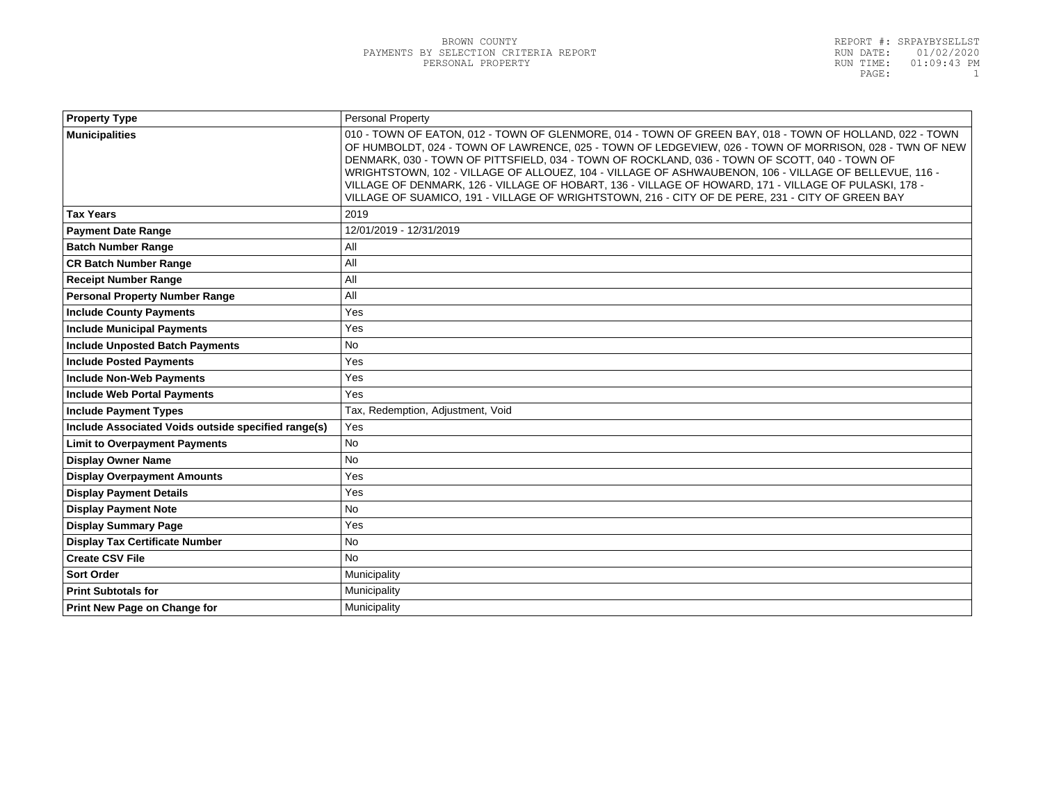| <b>Personal Property</b>                                                                                                                                                                                                                                                                                                                                                                                                                                                                                                                                                                                                                 |  |
|------------------------------------------------------------------------------------------------------------------------------------------------------------------------------------------------------------------------------------------------------------------------------------------------------------------------------------------------------------------------------------------------------------------------------------------------------------------------------------------------------------------------------------------------------------------------------------------------------------------------------------------|--|
| 010 - TOWN OF EATON, 012 - TOWN OF GLENMORE, 014 - TOWN OF GREEN BAY, 018 - TOWN OF HOLLAND, 022 - TOWN<br>OF HUMBOLDT, 024 - TOWN OF LAWRENCE, 025 - TOWN OF LEDGEVIEW, 026 - TOWN OF MORRISON, 028 - TWN OF NEW<br>DENMARK, 030 - TOWN OF PITTSFIELD, 034 - TOWN OF ROCKLAND, 036 - TOWN OF SCOTT, 040 - TOWN OF<br>WRIGHTSTOWN, 102 - VILLAGE OF ALLOUEZ, 104 - VILLAGE OF ASHWAUBENON, 106 - VILLAGE OF BELLEVUE, 116 -<br>VILLAGE OF DENMARK, 126 - VILLAGE OF HOBART, 136 - VILLAGE OF HOWARD, 171 - VILLAGE OF PULASKI, 178 -<br>VILLAGE OF SUAMICO, 191 - VILLAGE OF WRIGHTSTOWN, 216 - CITY OF DE PERE, 231 - CITY OF GREEN BAY |  |
| 2019                                                                                                                                                                                                                                                                                                                                                                                                                                                                                                                                                                                                                                     |  |
| 12/01/2019 - 12/31/2019                                                                                                                                                                                                                                                                                                                                                                                                                                                                                                                                                                                                                  |  |
| All                                                                                                                                                                                                                                                                                                                                                                                                                                                                                                                                                                                                                                      |  |
| All                                                                                                                                                                                                                                                                                                                                                                                                                                                                                                                                                                                                                                      |  |
| All                                                                                                                                                                                                                                                                                                                                                                                                                                                                                                                                                                                                                                      |  |
| All                                                                                                                                                                                                                                                                                                                                                                                                                                                                                                                                                                                                                                      |  |
| Yes                                                                                                                                                                                                                                                                                                                                                                                                                                                                                                                                                                                                                                      |  |
| Yes                                                                                                                                                                                                                                                                                                                                                                                                                                                                                                                                                                                                                                      |  |
| <b>No</b>                                                                                                                                                                                                                                                                                                                                                                                                                                                                                                                                                                                                                                |  |
| Yes                                                                                                                                                                                                                                                                                                                                                                                                                                                                                                                                                                                                                                      |  |
| Yes                                                                                                                                                                                                                                                                                                                                                                                                                                                                                                                                                                                                                                      |  |
| Yes                                                                                                                                                                                                                                                                                                                                                                                                                                                                                                                                                                                                                                      |  |
| Tax, Redemption, Adjustment, Void                                                                                                                                                                                                                                                                                                                                                                                                                                                                                                                                                                                                        |  |
| Yes                                                                                                                                                                                                                                                                                                                                                                                                                                                                                                                                                                                                                                      |  |
| <b>No</b>                                                                                                                                                                                                                                                                                                                                                                                                                                                                                                                                                                                                                                |  |
| <b>No</b>                                                                                                                                                                                                                                                                                                                                                                                                                                                                                                                                                                                                                                |  |
| Yes                                                                                                                                                                                                                                                                                                                                                                                                                                                                                                                                                                                                                                      |  |
| Yes                                                                                                                                                                                                                                                                                                                                                                                                                                                                                                                                                                                                                                      |  |
| <b>No</b>                                                                                                                                                                                                                                                                                                                                                                                                                                                                                                                                                                                                                                |  |
| Yes                                                                                                                                                                                                                                                                                                                                                                                                                                                                                                                                                                                                                                      |  |
| <b>No</b>                                                                                                                                                                                                                                                                                                                                                                                                                                                                                                                                                                                                                                |  |
| <b>No</b>                                                                                                                                                                                                                                                                                                                                                                                                                                                                                                                                                                                                                                |  |
| Municipality                                                                                                                                                                                                                                                                                                                                                                                                                                                                                                                                                                                                                             |  |
| Municipality                                                                                                                                                                                                                                                                                                                                                                                                                                                                                                                                                                                                                             |  |
| Municipality                                                                                                                                                                                                                                                                                                                                                                                                                                                                                                                                                                                                                             |  |
|                                                                                                                                                                                                                                                                                                                                                                                                                                                                                                                                                                                                                                          |  |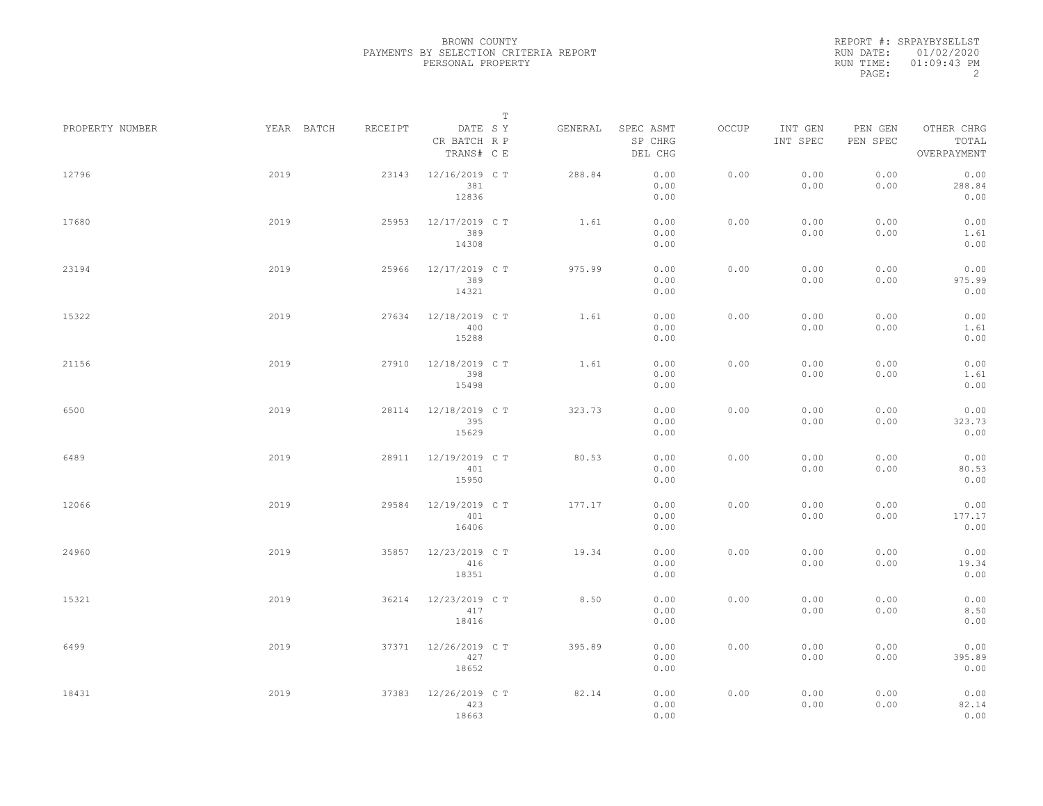|                 |            |         | $\mathbb T$                           |         |                                 |       |                     |                     |                                    |
|-----------------|------------|---------|---------------------------------------|---------|---------------------------------|-------|---------------------|---------------------|------------------------------------|
| PROPERTY NUMBER | YEAR BATCH | RECEIPT | DATE SY<br>CR BATCH R P<br>TRANS# C E | GENERAL | SPEC ASMT<br>SP CHRG<br>DEL CHG | OCCUP | INT GEN<br>INT SPEC | PEN GEN<br>PEN SPEC | OTHER CHRG<br>TOTAL<br>OVERPAYMENT |
| 12796           | 2019       | 23143   | 12/16/2019 C T<br>381<br>12836        | 288.84  | 0.00<br>0.00<br>0.00            | 0.00  | 0.00<br>0.00        | 0.00<br>0.00        | 0.00<br>288.84<br>0.00             |
| 17680           | 2019       | 25953   | 12/17/2019 C T<br>389<br>14308        | 1.61    | 0.00<br>0.00<br>0.00            | 0.00  | 0.00<br>0.00        | 0.00<br>0.00        | 0.00<br>1.61<br>0.00               |
| 23194           | 2019       | 25966   | 12/17/2019 C T<br>389<br>14321        | 975.99  | 0.00<br>0.00<br>0.00            | 0.00  | 0.00<br>0.00        | 0.00<br>0.00        | 0.00<br>975.99<br>0.00             |
| 15322           | 2019       | 27634   | 12/18/2019 C T<br>400<br>15288        | 1.61    | 0.00<br>0.00<br>0.00            | 0.00  | 0.00<br>0.00        | 0.00<br>0.00        | 0.00<br>1.61<br>0.00               |
| 21156           | 2019       | 27910   | 12/18/2019 C T<br>398<br>15498        | 1.61    | 0.00<br>0.00<br>0.00            | 0.00  | 0.00<br>0.00        | 0.00<br>0.00        | 0.00<br>1.61<br>0.00               |
| 6500            | 2019       | 28114   | 12/18/2019 C T<br>395<br>15629        | 323.73  | 0.00<br>0.00<br>0.00            | 0.00  | 0.00<br>0.00        | 0.00<br>0.00        | 0.00<br>323.73<br>0.00             |
| 6489            | 2019       | 28911   | 12/19/2019 C T<br>401<br>15950        | 80.53   | 0.00<br>0.00<br>0.00            | 0.00  | 0.00<br>0.00        | 0.00<br>0.00        | 0.00<br>80.53<br>0.00              |
| 12066           | 2019       | 29584   | 12/19/2019 C T<br>401<br>16406        | 177.17  | 0.00<br>0.00<br>0.00            | 0.00  | 0.00<br>0.00        | 0.00<br>0.00        | 0.00<br>177.17<br>0.00             |
| 24960           | 2019       | 35857   | 12/23/2019 C T<br>416<br>18351        | 19.34   | 0.00<br>0.00<br>0.00            | 0.00  | 0.00<br>0.00        | 0.00<br>0.00        | 0.00<br>19.34<br>0.00              |
| 15321           | 2019       | 36214   | 12/23/2019 C T<br>417<br>18416        | 8.50    | 0.00<br>0.00<br>0.00            | 0.00  | 0.00<br>0.00        | 0.00<br>0.00        | 0.00<br>8.50<br>0.00               |
| 6499            | 2019       | 37371   | 12/26/2019 C T<br>427<br>18652        | 395.89  | 0.00<br>0.00<br>0.00            | 0.00  | 0.00<br>0.00        | 0.00<br>0.00        | 0.00<br>395.89<br>0.00             |
| 18431           | 2019       | 37383   | 12/26/2019 C T<br>423<br>18663        | 82.14   | 0.00<br>0.00<br>0.00            | 0.00  | 0.00<br>0.00        | 0.00<br>0.00        | 0.00<br>82.14<br>0.00              |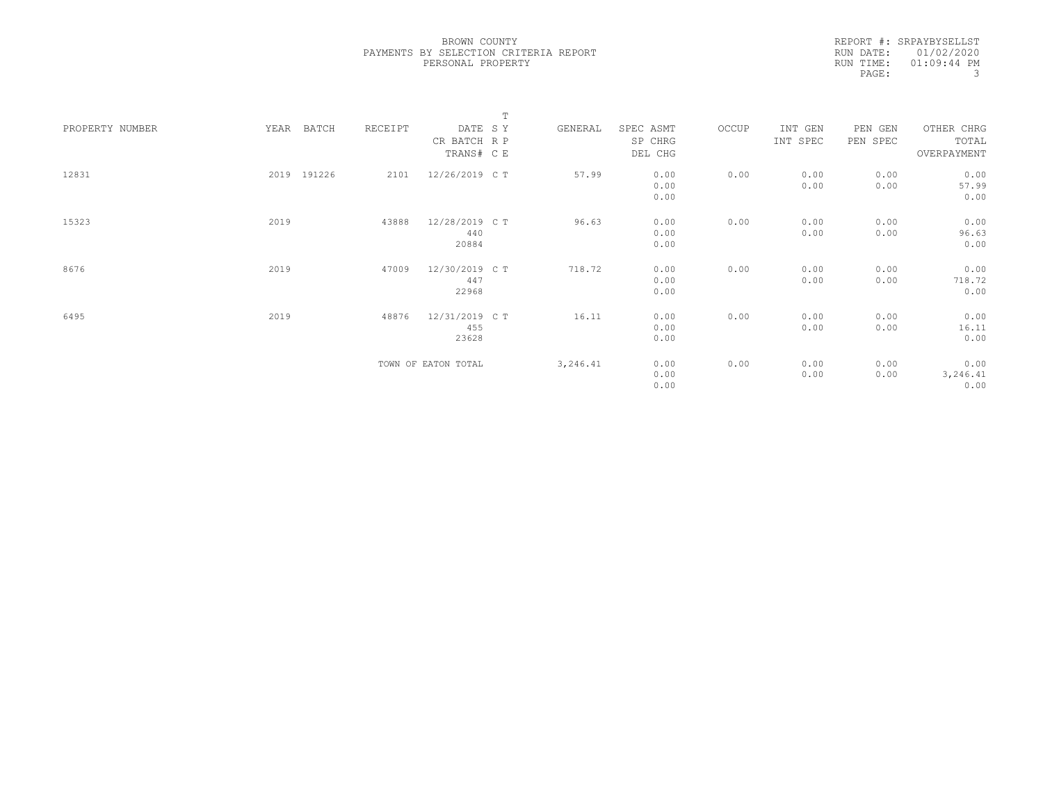|                 |      |             |         |                     | $\mathbb T$ |          |           |       |          |          |             |  |
|-----------------|------|-------------|---------|---------------------|-------------|----------|-----------|-------|----------|----------|-------------|--|
| PROPERTY NUMBER | YEAR | BATCH       | RECEIPT | DATE SY             |             | GENERAL  | SPEC ASMT | OCCUP | INT GEN  | PEN GEN  | OTHER CHRG  |  |
|                 |      |             |         | CR BATCH R P        |             |          | SP CHRG   |       | INT SPEC | PEN SPEC | TOTAL       |  |
|                 |      |             |         | TRANS# C E          |             |          | DEL CHG   |       |          |          | OVERPAYMENT |  |
|                 |      |             |         |                     |             |          |           |       |          |          |             |  |
| 12831           |      | 2019 191226 | 2101    | 12/26/2019 C T      |             | 57.99    | 0.00      | 0.00  | 0.00     | 0.00     | 0.00        |  |
|                 |      |             |         |                     |             |          | 0.00      |       | 0.00     | 0.00     | 57.99       |  |
|                 |      |             |         |                     |             |          | 0.00      |       |          |          | 0.00        |  |
|                 |      |             |         |                     |             |          |           |       |          |          |             |  |
| 15323           | 2019 |             | 43888   | 12/28/2019 C T      |             | 96.63    | 0.00      | 0.00  | 0.00     | 0.00     | 0.00        |  |
|                 |      |             |         | 440                 |             |          | 0.00      |       | 0.00     | 0.00     | 96.63       |  |
|                 |      |             |         | 20884               |             |          | 0.00      |       |          |          | 0.00        |  |
| 8676            | 2019 |             | 47009   | 12/30/2019 C T      |             | 718.72   | 0.00      | 0.00  | 0.00     | 0.00     | 0.00        |  |
|                 |      |             |         | 447                 |             |          | 0.00      |       | 0.00     | 0.00     | 718.72      |  |
|                 |      |             |         | 22968               |             |          | 0.00      |       |          |          | 0.00        |  |
|                 |      |             |         |                     |             |          |           |       |          |          |             |  |
| 6495            | 2019 |             | 48876   | 12/31/2019 C T      |             | 16.11    | 0.00      | 0.00  | 0.00     | 0.00     | 0.00        |  |
|                 |      |             |         | 455                 |             |          | 0.00      |       | 0.00     | 0.00     | 16.11       |  |
|                 |      |             |         | 23628               |             |          | 0.00      |       |          |          | 0.00        |  |
|                 |      |             |         |                     |             |          |           |       |          |          |             |  |
|                 |      |             |         | TOWN OF EATON TOTAL |             | 3,246.41 | 0.00      | 0.00  | 0.00     | 0.00     | 0.00        |  |
|                 |      |             |         |                     |             |          | 0.00      |       | 0.00     | 0.00     | 3,246.41    |  |
|                 |      |             |         |                     |             |          | 0.00      |       |          |          | 0.00        |  |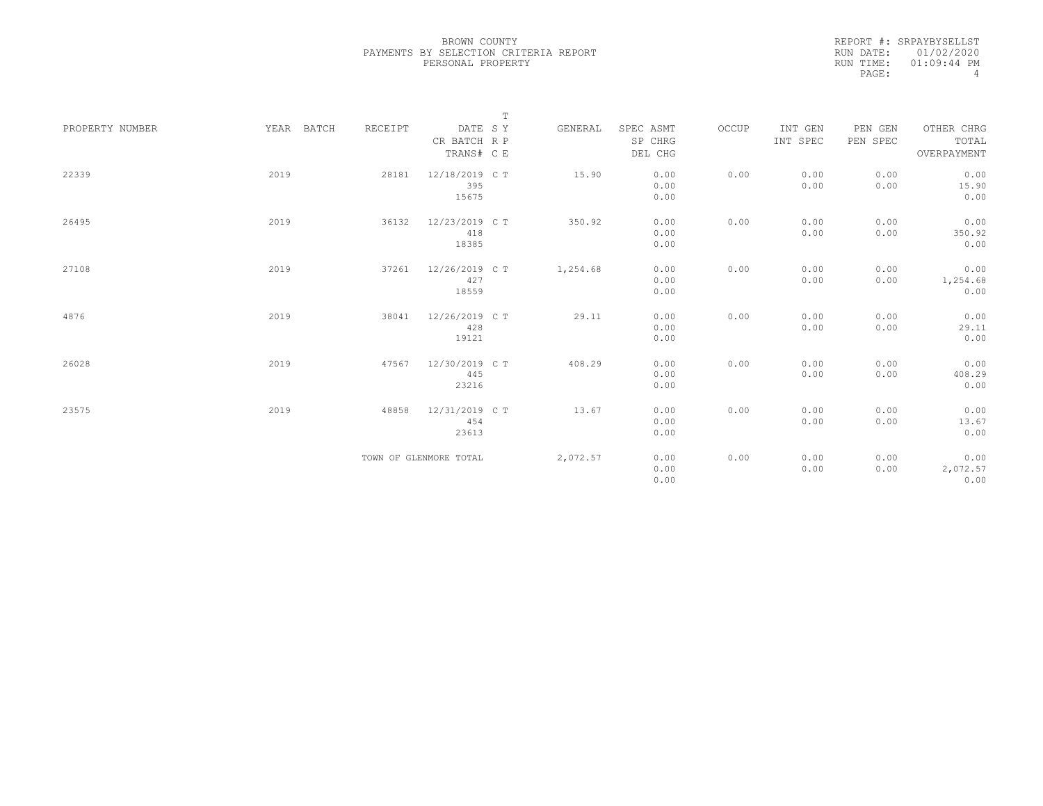|                 |      |            |         |                                       | $\mathbb T$ |          |                                 |       |                     |                     |                                    |
|-----------------|------|------------|---------|---------------------------------------|-------------|----------|---------------------------------|-------|---------------------|---------------------|------------------------------------|
| PROPERTY NUMBER |      | YEAR BATCH | RECEIPT | DATE SY<br>CR BATCH R P<br>TRANS# C E |             | GENERAL  | SPEC ASMT<br>SP CHRG<br>DEL CHG | OCCUP | INT GEN<br>INT SPEC | PEN GEN<br>PEN SPEC | OTHER CHRG<br>TOTAL<br>OVERPAYMENT |
| 22339           | 2019 |            | 28181   | 12/18/2019 C T<br>395<br>15675        |             | 15.90    | 0.00<br>0.00<br>0.00            | 0.00  | 0.00<br>0.00        | 0.00<br>0.00        | 0.00<br>15.90<br>0.00              |
| 26495           | 2019 |            | 36132   | 12/23/2019 C T<br>418<br>18385        |             | 350.92   | 0.00<br>0.00<br>0.00            | 0.00  | 0.00<br>0.00        | 0.00<br>0.00        | 0.00<br>350.92<br>0.00             |
| 27108           | 2019 |            | 37261   | 12/26/2019 C T<br>427<br>18559        |             | 1,254.68 | 0.00<br>0.00<br>0.00            | 0.00  | 0.00<br>0.00        | 0.00<br>0.00        | 0.00<br>1,254.68<br>0.00           |
| 4876            | 2019 |            | 38041   | 12/26/2019 C T<br>428<br>19121        |             | 29.11    | 0.00<br>0.00<br>0.00            | 0.00  | 0.00<br>0.00        | 0.00<br>0.00        | 0.00<br>29.11<br>0.00              |
| 26028           | 2019 |            | 47567   | 12/30/2019 C T<br>445<br>23216        |             | 408.29   | 0.00<br>0.00<br>0.00            | 0.00  | 0.00<br>0.00        | 0.00<br>0.00        | 0.00<br>408.29<br>0.00             |
| 23575           | 2019 |            | 48858   | 12/31/2019 C T<br>454<br>23613        |             | 13.67    | 0.00<br>0.00<br>0.00            | 0.00  | 0.00<br>0.00        | 0.00<br>0.00        | 0.00<br>13.67<br>0.00              |
|                 |      |            |         | TOWN OF GLENMORE TOTAL                |             | 2,072.57 | 0.00<br>0.00<br>0.00            | 0.00  | 0.00<br>0.00        | 0.00<br>0.00        | 0.00<br>2,072.57<br>0.00           |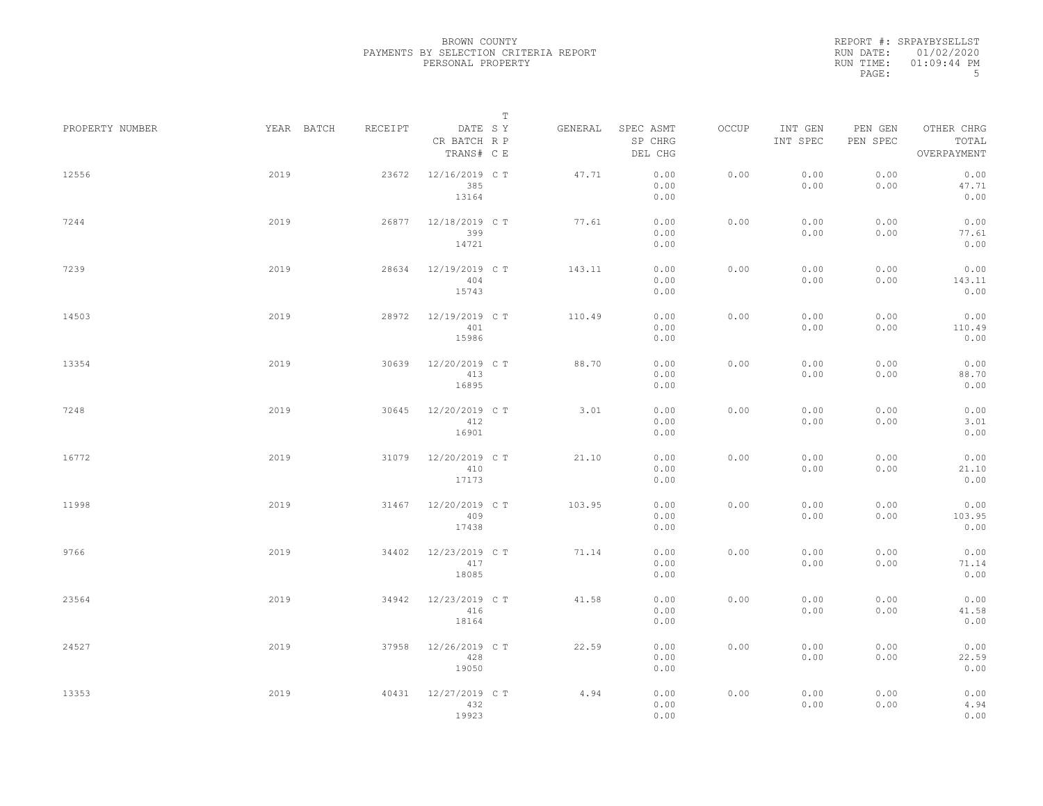|                 |      |                       |                                         | T |         |                                 |       |                     |                     |                                    |  |
|-----------------|------|-----------------------|-----------------------------------------|---|---------|---------------------------------|-------|---------------------|---------------------|------------------------------------|--|
| PROPERTY NUMBER |      | YEAR BATCH<br>RECEIPT | DATE SY<br>CR BATCH R P<br>TRANS# C E   |   | GENERAL | SPEC ASMT<br>SP CHRG<br>DEL CHG | OCCUP | INT GEN<br>INT SPEC | PEN GEN<br>PEN SPEC | OTHER CHRG<br>TOTAL<br>OVERPAYMENT |  |
| 12556           | 2019 |                       | 12/16/2019 C T<br>23672<br>385<br>13164 |   | 47.71   | 0.00<br>0.00<br>0.00            | 0.00  | 0.00<br>0.00        | 0.00<br>0.00        | 0.00<br>47.71<br>0.00              |  |
| 7244            | 2019 |                       | 12/18/2019 C T<br>26877<br>399<br>14721 |   | 77.61   | 0.00<br>0.00<br>0.00            | 0.00  | 0.00<br>0.00        | 0.00<br>0.00        | 0.00<br>77.61<br>0.00              |  |
| 7239            | 2019 |                       | 12/19/2019 C T<br>28634<br>404<br>15743 |   | 143.11  | 0.00<br>0.00<br>0.00            | 0.00  | 0.00<br>0.00        | 0.00<br>0.00        | 0.00<br>143.11<br>0.00             |  |
| 14503           | 2019 |                       | 28972<br>12/19/2019 C T<br>401<br>15986 |   | 110.49  | 0.00<br>0.00<br>0.00            | 0.00  | 0.00<br>0.00        | 0.00<br>0.00        | 0.00<br>110.49<br>0.00             |  |
| 13354           | 2019 |                       | 30639<br>12/20/2019 C T<br>413<br>16895 |   | 88.70   | 0.00<br>0.00<br>0.00            | 0.00  | 0.00<br>0.00        | 0.00<br>0.00        | 0.00<br>88.70<br>0.00              |  |
| 7248            | 2019 |                       | 30645<br>12/20/2019 C T<br>412<br>16901 |   | 3.01    | 0.00<br>0.00<br>0.00            | 0.00  | 0.00<br>0.00        | 0.00<br>0.00        | 0.00<br>3.01<br>0.00               |  |
| 16772           | 2019 |                       | 31079<br>12/20/2019 C T<br>410<br>17173 |   | 21.10   | 0.00<br>0.00<br>0.00            | 0.00  | 0.00<br>0.00        | 0.00<br>0.00        | 0.00<br>21.10<br>0.00              |  |
| 11998           | 2019 |                       | 12/20/2019 C T<br>31467<br>409<br>17438 |   | 103.95  | 0.00<br>0.00<br>0.00            | 0.00  | 0.00<br>0.00        | 0.00<br>0.00        | 0.00<br>103.95<br>0.00             |  |
| 9766            | 2019 |                       | 34402<br>12/23/2019 C T<br>417<br>18085 |   | 71.14   | 0.00<br>0.00<br>0.00            | 0.00  | 0.00<br>0.00        | 0.00<br>0.00        | 0.00<br>71.14<br>0.00              |  |
| 23564           | 2019 |                       | 12/23/2019 C T<br>34942<br>416<br>18164 |   | 41.58   | 0.00<br>0.00<br>0.00            | 0.00  | 0.00<br>0.00        | 0.00<br>0.00        | 0.00<br>41.58<br>0.00              |  |
| 24527           | 2019 |                       | 12/26/2019 C T<br>37958<br>428<br>19050 |   | 22.59   | 0.00<br>0.00<br>0.00            | 0.00  | 0.00<br>0.00        | 0.00<br>0.00        | 0.00<br>22.59<br>0.00              |  |
| 13353           | 2019 |                       | 40431<br>12/27/2019 C T<br>432<br>19923 |   | 4.94    | 0.00<br>0.00<br>0.00            | 0.00  | 0.00<br>0.00        | 0.00<br>0.00        | 0.00<br>4.94<br>0.00               |  |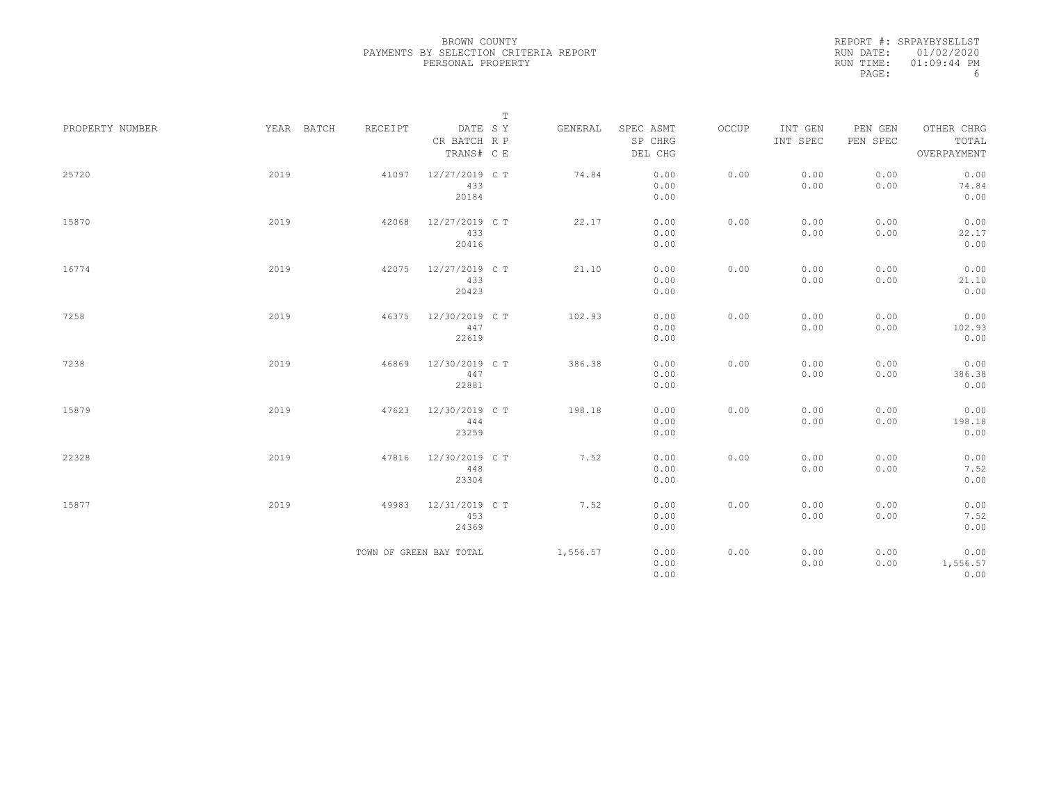|                 |            |         |                                       | $\mathbb T$ |                                 |       |                     |                     |                                    |
|-----------------|------------|---------|---------------------------------------|-------------|---------------------------------|-------|---------------------|---------------------|------------------------------------|
| PROPERTY NUMBER | YEAR BATCH | RECEIPT | DATE SY<br>CR BATCH R P<br>TRANS# C E | GENERAL     | SPEC ASMT<br>SP CHRG<br>DEL CHG | OCCUP | INT GEN<br>INT SPEC | PEN GEN<br>PEN SPEC | OTHER CHRG<br>TOTAL<br>OVERPAYMENT |
| 25720           | 2019       | 41097   | 12/27/2019 C T<br>433<br>20184        | 74.84       | 0.00<br>0.00<br>0.00            | 0.00  | 0.00<br>0.00        | 0.00<br>0.00        | 0.00<br>74.84<br>0.00              |
| 15870           | 2019       | 42068   | 12/27/2019 C T<br>433<br>20416        | 22.17       | 0.00<br>0.00<br>0.00            | 0.00  | 0.00<br>0.00        | 0.00<br>0.00        | 0.00<br>22.17<br>0.00              |
| 16774           | 2019       | 42075   | 12/27/2019 C T<br>433<br>20423        | 21.10       | 0.00<br>0.00<br>0.00            | 0.00  | 0.00<br>0.00        | 0.00<br>0.00        | 0.00<br>21.10<br>0.00              |
| 7258            | 2019       | 46375   | 12/30/2019 C T<br>447<br>22619        | 102.93      | 0.00<br>0.00<br>0.00            | 0.00  | 0.00<br>0.00        | 0.00<br>0.00        | 0.00<br>102.93<br>0.00             |
| 7238            | 2019       | 46869   | 12/30/2019 C T<br>447<br>22881        | 386.38      | 0.00<br>0.00<br>0.00            | 0.00  | 0.00<br>0.00        | 0.00<br>0.00        | 0.00<br>386.38<br>0.00             |
| 15879           | 2019       | 47623   | 12/30/2019 C T<br>444<br>23259        | 198.18      | 0.00<br>0.00<br>0.00            | 0.00  | 0.00<br>0.00        | 0.00<br>0.00        | 0.00<br>198.18<br>0.00             |
| 22328           | 2019       | 47816   | 12/30/2019 C T<br>448<br>23304        | 7.52        | 0.00<br>0.00<br>0.00            | 0.00  | 0.00<br>0.00        | 0.00<br>0.00        | 0.00<br>7.52<br>0.00               |
| 15877           | 2019       | 49983   | 12/31/2019 C T<br>453<br>24369        | 7.52        | 0.00<br>0.00<br>0.00            | 0.00  | 0.00<br>0.00        | 0.00<br>0.00        | 0.00<br>7.52<br>0.00               |
|                 |            |         | TOWN OF GREEN BAY TOTAL               | 1,556.57    | 0.00<br>0.00<br>0.00            | 0.00  | 0.00<br>0.00        | 0.00<br>0.00        | 0.00<br>1,556.57<br>0.00           |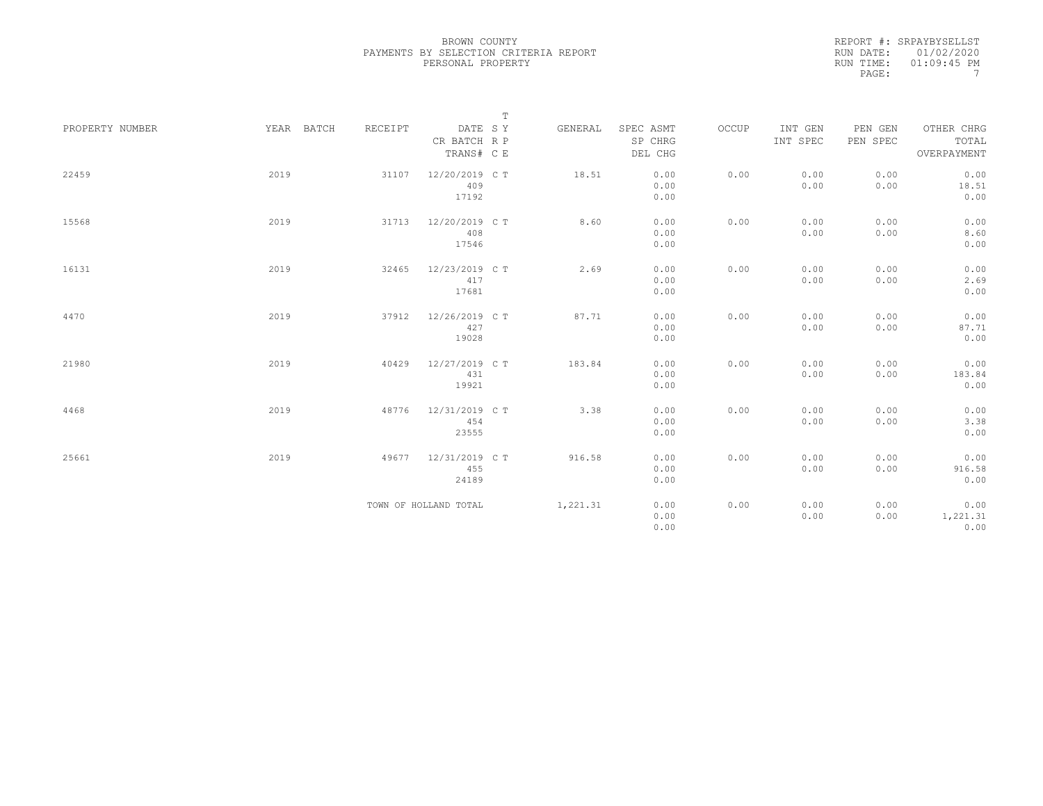|                 |            |         |                         | $\mathbb T$ |                      |       |                     |                     |                     |
|-----------------|------------|---------|-------------------------|-------------|----------------------|-------|---------------------|---------------------|---------------------|
| PROPERTY NUMBER | YEAR BATCH | RECEIPT | DATE SY<br>CR BATCH R P | GENERAL     | SPEC ASMT<br>SP CHRG | OCCUP | INT GEN<br>INT SPEC | PEN GEN<br>PEN SPEC | OTHER CHRG<br>TOTAL |
|                 |            |         | TRANS# C E              |             | DEL CHG              |       |                     |                     | OVERPAYMENT         |
| 22459           | 2019       | 31107   | 12/20/2019 C T          | 18.51       | 0.00                 | 0.00  | 0.00                | 0.00                | 0.00                |
|                 |            |         | 409<br>17192            |             | 0.00<br>0.00         |       | 0.00                | 0.00                | 18.51<br>0.00       |
|                 |            |         |                         |             |                      |       |                     |                     |                     |
| 15568           | 2019       | 31713   | 12/20/2019 C T          | 8.60        | 0.00                 | 0.00  | 0.00                | 0.00                | 0.00                |
|                 |            |         | 408                     |             | 0.00                 |       | 0.00                | 0.00                | 8.60                |
|                 |            |         | 17546                   |             | 0.00                 |       |                     |                     | 0.00                |
| 16131           | 2019       | 32465   | 12/23/2019 C T          | 2.69        | 0.00                 | 0.00  | 0.00                | 0.00                | 0.00                |
|                 |            |         | 417                     |             | 0.00                 |       | 0.00                | 0.00                | 2.69                |
|                 |            |         | 17681                   |             | 0.00                 |       |                     |                     | 0.00                |
| 4470            | 2019       | 37912   | 12/26/2019 C T          | 87.71       | 0.00                 | 0.00  | 0.00                | 0.00                | 0.00                |
|                 |            |         | 427                     |             | 0.00                 |       | 0.00                | 0.00                | 87.71               |
|                 |            |         | 19028                   |             | 0.00                 |       |                     |                     | 0.00                |
| 21980           | 2019       | 40429   | 12/27/2019 C T          | 183.84      | 0.00                 | 0.00  | 0.00                | 0.00                | 0.00                |
|                 |            |         | 431                     |             | 0.00                 |       | 0.00                | 0.00                | 183.84              |
|                 |            |         | 19921                   |             | 0.00                 |       |                     |                     | 0.00                |
| 4468            | 2019       | 48776   | 12/31/2019 C T          | 3.38        | 0.00                 | 0.00  | 0.00                | 0.00                | 0.00                |
|                 |            |         | 454                     |             | 0.00                 |       | 0.00                | 0.00                | 3.38                |
|                 |            |         | 23555                   |             | 0.00                 |       |                     |                     | 0.00                |
|                 |            |         |                         |             |                      |       |                     |                     |                     |
| 25661           | 2019       | 49677   | 12/31/2019 C T          | 916.58      | 0.00                 | 0.00  | 0.00                | 0.00                | 0.00                |
|                 |            |         | 455                     |             | 0.00                 |       | 0.00                | 0.00                | 916.58              |
|                 |            |         | 24189                   |             | 0.00                 |       |                     |                     | 0.00                |
|                 |            |         | TOWN OF HOLLAND TOTAL   | 1,221.31    | 0.00                 | 0.00  | 0.00                | 0.00                | 0.00                |
|                 |            |         |                         |             | 0.00                 |       | 0.00                | 0.00                | 1,221.31            |
|                 |            |         |                         |             | 0.00                 |       |                     |                     | 0.00                |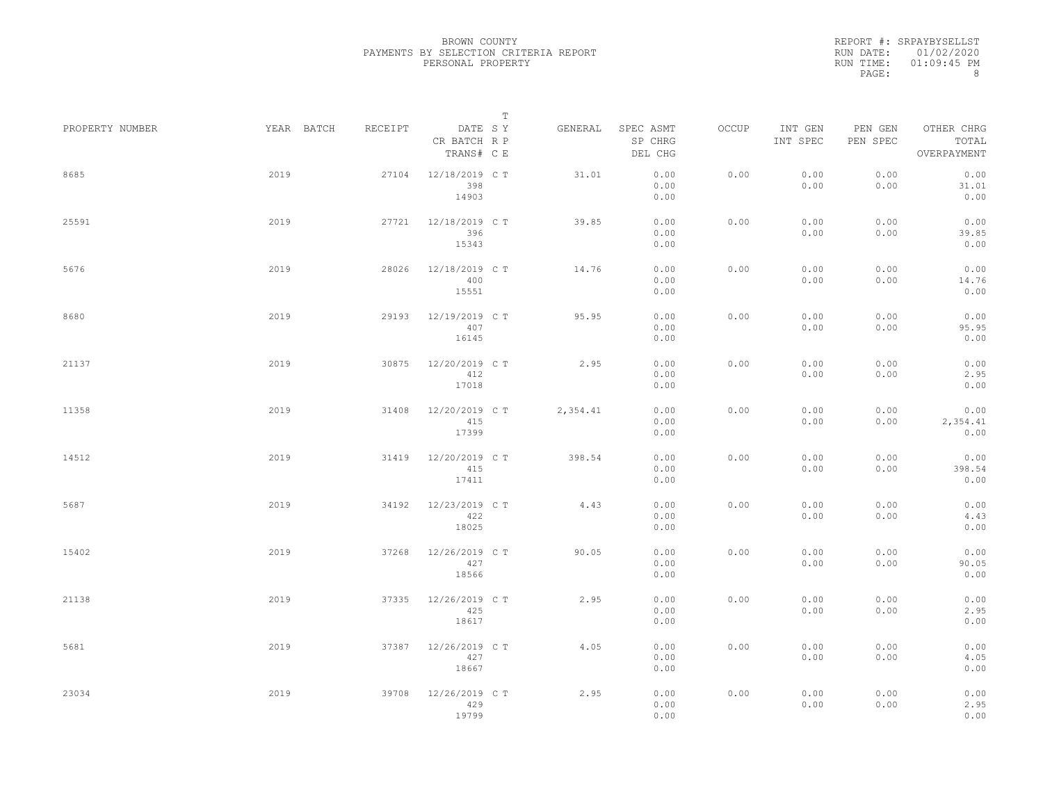|                 |            |         |                                       | $\mathbb T$ |                                 |       |                     |                     |                                    |
|-----------------|------------|---------|---------------------------------------|-------------|---------------------------------|-------|---------------------|---------------------|------------------------------------|
| PROPERTY NUMBER | YEAR BATCH | RECEIPT | DATE SY<br>CR BATCH R P<br>TRANS# C E | GENERAL     | SPEC ASMT<br>SP CHRG<br>DEL CHG | OCCUP | INT GEN<br>INT SPEC | PEN GEN<br>PEN SPEC | OTHER CHRG<br>TOTAL<br>OVERPAYMENT |
| 8685            | 2019       | 27104   | 12/18/2019 C T<br>398<br>14903        | 31.01       | 0.00<br>0.00<br>0.00            | 0.00  | 0.00<br>0.00        | 0.00<br>0.00        | 0.00<br>31.01<br>0.00              |
| 25591           | 2019       | 27721   | 12/18/2019 C T<br>396<br>15343        | 39.85       | 0.00<br>0.00<br>0.00            | 0.00  | 0.00<br>0.00        | 0.00<br>0.00        | 0.00<br>39.85<br>0.00              |
| 5676            | 2019       | 28026   | 12/18/2019 C T<br>400<br>15551        | 14.76       | 0.00<br>0.00<br>0.00            | 0.00  | 0.00<br>0.00        | 0.00<br>0.00        | 0.00<br>14.76<br>0.00              |
| 8680            | 2019       | 29193   | 12/19/2019 C T<br>407<br>16145        | 95.95       | 0.00<br>0.00<br>0.00            | 0.00  | 0.00<br>0.00        | 0.00<br>0.00        | 0.00<br>95.95<br>0.00              |
| 21137           | 2019       | 30875   | 12/20/2019 C T<br>412<br>17018        | 2.95        | 0.00<br>0.00<br>0.00            | 0.00  | 0.00<br>0.00        | 0.00<br>0.00        | 0.00<br>2.95<br>0.00               |
| 11358           | 2019       | 31408   | 12/20/2019 C T<br>415<br>17399        | 2,354.41    | 0.00<br>0.00<br>0.00            | 0.00  | 0.00<br>0.00        | 0.00<br>0.00        | 0.00<br>2,354.41<br>0.00           |
| 14512           | 2019       | 31419   | 12/20/2019 C T<br>415<br>17411        | 398.54      | 0.00<br>0.00<br>0.00            | 0.00  | 0.00<br>0.00        | 0.00<br>0.00        | 0.00<br>398.54<br>0.00             |
| 5687            | 2019       | 34192   | 12/23/2019 C T<br>422<br>18025        | 4.43        | 0.00<br>0.00<br>0.00            | 0.00  | 0.00<br>0.00        | 0.00<br>0.00        | 0.00<br>4.43<br>0.00               |
| 15402           | 2019       | 37268   | 12/26/2019 C T<br>427<br>18566        | 90.05       | 0.00<br>0.00<br>0.00            | 0.00  | 0.00<br>0.00        | 0.00<br>0.00        | 0.00<br>90.05<br>0.00              |
| 21138           | 2019       | 37335   | 12/26/2019 C T<br>425<br>18617        | 2.95        | 0.00<br>0.00<br>0.00            | 0.00  | 0.00<br>0.00        | 0.00<br>0.00        | 0.00<br>2.95<br>0.00               |
| 5681            | 2019       | 37387   | 12/26/2019 C T<br>427<br>18667        | 4.05        | 0.00<br>0.00<br>0.00            | 0.00  | 0.00<br>0.00        | 0.00<br>0.00        | 0.00<br>4.05<br>0.00               |
| 23034           | 2019       | 39708   | 12/26/2019 C T<br>429<br>19799        | 2.95        | 0.00<br>0.00<br>0.00            | 0.00  | 0.00<br>0.00        | 0.00<br>0.00        | 0.00<br>2.95<br>0.00               |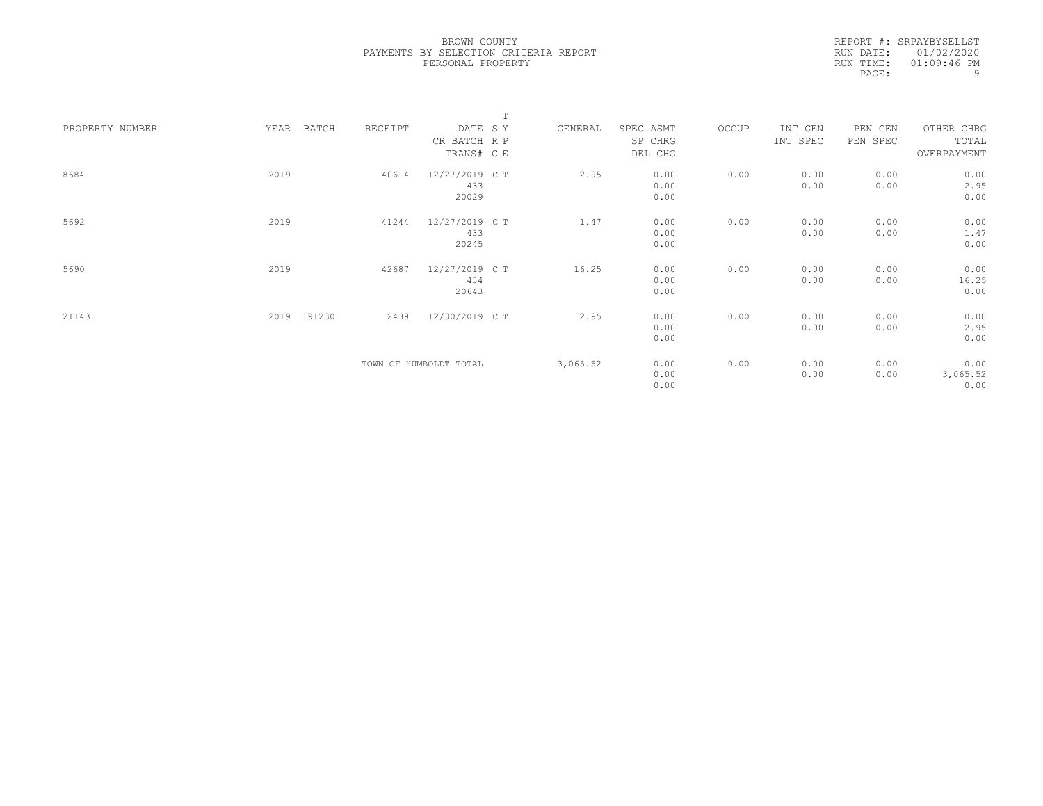|                 |                |         | $\mathbb T$            |          |           |       |          |          |             |  |
|-----------------|----------------|---------|------------------------|----------|-----------|-------|----------|----------|-------------|--|
| PROPERTY NUMBER | YEAR<br>BATCH  | RECEIPT | DATE SY                | GENERAL  | SPEC ASMT | OCCUP | INT GEN  | PEN GEN  | OTHER CHRG  |  |
|                 |                |         | CR BATCH R P           |          | SP CHRG   |       | INT SPEC | PEN SPEC | TOTAL       |  |
|                 |                |         | TRANS# C E             |          | DEL CHG   |       |          |          | OVERPAYMENT |  |
|                 |                |         |                        |          |           |       |          |          |             |  |
| 8684            | 2019           | 40614   | 12/27/2019 C T         | 2.95     | 0.00      | 0.00  | 0.00     | 0.00     | 0.00        |  |
|                 |                |         | 433                    |          | 0.00      |       | 0.00     | 0.00     | 2.95        |  |
|                 |                |         | 20029                  |          | 0.00      |       |          |          | 0.00        |  |
|                 |                |         |                        |          |           |       |          |          |             |  |
| 5692            | 2019           | 41244   | 12/27/2019 C T         | 1.47     | 0.00      | 0.00  | 0.00     | 0.00     | 0.00        |  |
|                 |                |         | 433                    |          | 0.00      |       | 0.00     | 0.00     | 1.47        |  |
|                 |                |         | 20245                  |          | 0.00      |       |          |          | 0.00        |  |
| 5690            | 2019           | 42687   | 12/27/2019 C T         | 16.25    | 0.00      | 0.00  | 0.00     | 0.00     | 0.00        |  |
|                 |                |         | 434                    |          | 0.00      |       | 0.00     | 0.00     | 16.25       |  |
|                 |                |         | 20643                  |          | 0.00      |       |          |          | 0.00        |  |
|                 |                |         |                        |          |           |       |          |          |             |  |
| 21143           | 191230<br>2019 | 2439    | 12/30/2019 C T         | 2.95     | 0.00      | 0.00  | 0.00     | 0.00     | 0.00        |  |
|                 |                |         |                        |          | 0.00      |       | 0.00     | 0.00     | 2.95        |  |
|                 |                |         |                        |          | 0.00      |       |          |          | 0.00        |  |
|                 |                |         |                        |          |           |       |          |          |             |  |
|                 |                |         | TOWN OF HUMBOLDT TOTAL | 3,065.52 | 0.00      | 0.00  | 0.00     | 0.00     | 0.00        |  |
|                 |                |         |                        |          | 0.00      |       | 0.00     | 0.00     | 3,065.52    |  |
|                 |                |         |                        |          | 0.00      |       |          |          | 0.00        |  |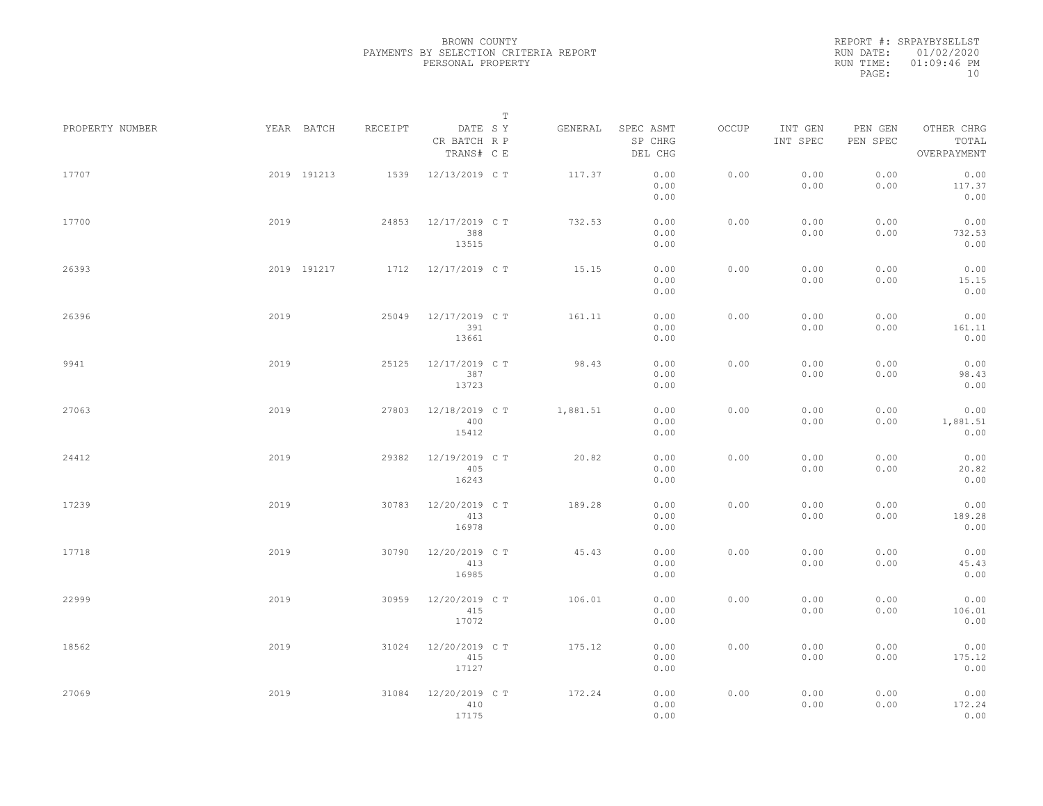|                 |      |             |         |                                       | T |          |                                 |       |                     |                     |                                    |  |
|-----------------|------|-------------|---------|---------------------------------------|---|----------|---------------------------------|-------|---------------------|---------------------|------------------------------------|--|
| PROPERTY NUMBER |      | YEAR BATCH  | RECEIPT | DATE SY<br>CR BATCH R P<br>TRANS# C E |   | GENERAL  | SPEC ASMT<br>SP CHRG<br>DEL CHG | OCCUP | INT GEN<br>INT SPEC | PEN GEN<br>PEN SPEC | OTHER CHRG<br>TOTAL<br>OVERPAYMENT |  |
| 17707           |      | 2019 191213 | 1539    | 12/13/2019 C T                        |   | 117.37   | 0.00<br>0.00<br>0.00            | 0.00  | 0.00<br>0.00        | 0.00<br>0.00        | 0.00<br>117.37<br>0.00             |  |
| 17700           | 2019 |             | 24853   | 12/17/2019 C T<br>388<br>13515        |   | 732.53   | 0.00<br>0.00<br>0.00            | 0.00  | 0.00<br>0.00        | 0.00<br>0.00        | 0.00<br>732.53<br>0.00             |  |
| 26393           |      | 2019 191217 |         | 1712 12/17/2019 CT                    |   | 15.15    | 0.00<br>0.00<br>0.00            | 0.00  | 0.00<br>0.00        | 0.00<br>0.00        | 0.00<br>15.15<br>0.00              |  |
| 26396           | 2019 |             | 25049   | 12/17/2019 C T<br>391<br>13661        |   | 161.11   | 0.00<br>0.00<br>0.00            | 0.00  | 0.00<br>0.00        | 0.00<br>0.00        | 0.00<br>161.11<br>0.00             |  |
| 9941            | 2019 |             | 25125   | 12/17/2019 C T<br>387<br>13723        |   | 98.43    | 0.00<br>0.00<br>0.00            | 0.00  | 0.00<br>0.00        | 0.00<br>0.00        | 0.00<br>98.43<br>0.00              |  |
| 27063           | 2019 |             | 27803   | 12/18/2019 C T<br>400<br>15412        |   | 1,881.51 | 0.00<br>0.00<br>0.00            | 0.00  | 0.00<br>0.00        | 0.00<br>0.00        | 0.00<br>1,881.51<br>0.00           |  |
| 24412           | 2019 |             | 29382   | 12/19/2019 C T<br>405<br>16243        |   | 20.82    | 0.00<br>0.00<br>0.00            | 0.00  | 0.00<br>0.00        | 0.00<br>0.00        | 0.00<br>20.82<br>0.00              |  |
| 17239           | 2019 |             | 30783   | 12/20/2019 C T<br>413<br>16978        |   | 189.28   | 0.00<br>0.00<br>0.00            | 0.00  | 0.00<br>0.00        | 0.00<br>0.00        | 0.00<br>189.28<br>0.00             |  |
| 17718           | 2019 |             | 30790   | 12/20/2019 C T<br>413<br>16985        |   | 45.43    | 0.00<br>0.00<br>0.00            | 0.00  | 0.00<br>0.00        | 0.00<br>0.00        | 0.00<br>45.43<br>0.00              |  |
| 22999           | 2019 |             | 30959   | 12/20/2019 C T<br>415<br>17072        |   | 106.01   | 0.00<br>0.00<br>0.00            | 0.00  | 0.00<br>0.00        | 0.00<br>0.00        | 0.00<br>106.01<br>0.00             |  |
| 18562           | 2019 |             | 31024   | 12/20/2019 C T<br>415<br>17127        |   | 175.12   | 0.00<br>0.00<br>0.00            | 0.00  | 0.00<br>0.00        | 0.00<br>0.00        | 0.00<br>175.12<br>0.00             |  |
| 27069           | 2019 |             | 31084   | 12/20/2019 C T<br>410<br>17175        |   | 172.24   | 0.00<br>0.00<br>0.00            | 0.00  | 0.00<br>0.00        | 0.00<br>0.00        | 0.00<br>172.24<br>0.00             |  |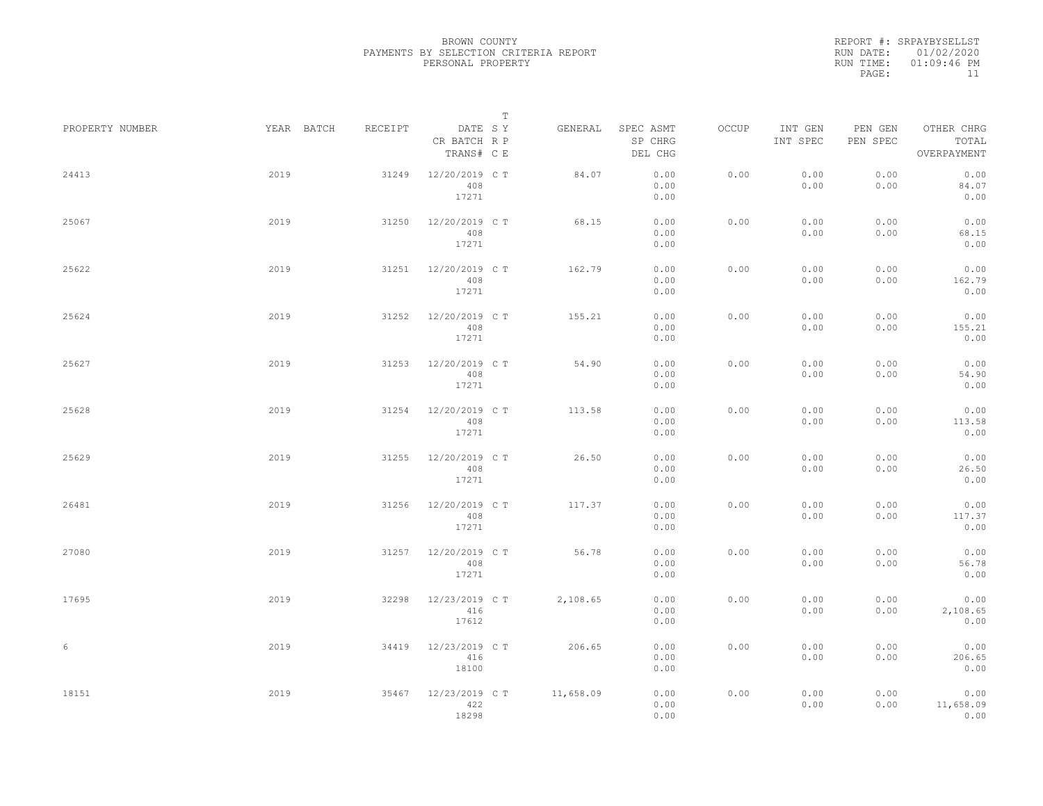|                 |            |         | $\mathbf T$                           |           |                                 |              |                     |                     |                                    |  |
|-----------------|------------|---------|---------------------------------------|-----------|---------------------------------|--------------|---------------------|---------------------|------------------------------------|--|
| PROPERTY NUMBER | YEAR BATCH | RECEIPT | DATE SY<br>CR BATCH R P<br>TRANS# C E | GENERAL   | SPEC ASMT<br>SP CHRG<br>DEL CHG | <b>OCCUP</b> | INT GEN<br>INT SPEC | PEN GEN<br>PEN SPEC | OTHER CHRG<br>TOTAL<br>OVERPAYMENT |  |
| 24413           | 2019       | 31249   | 12/20/2019 C T<br>408<br>17271        | 84.07     | 0.00<br>0.00<br>0.00            | 0.00         | 0.00<br>0.00        | 0.00<br>0.00        | 0.00<br>84.07<br>0.00              |  |
| 25067           | 2019       | 31250   | 12/20/2019 C T<br>408<br>17271        | 68.15     | 0.00<br>0.00<br>0.00            | 0.00         | 0.00<br>0.00        | 0.00<br>0.00        | 0.00<br>68.15<br>0.00              |  |
| 25622           | 2019       | 31251   | 12/20/2019 C T<br>408<br>17271        | 162.79    | 0.00<br>0.00<br>0.00            | 0.00         | 0.00<br>0.00        | 0.00<br>0.00        | 0.00<br>162.79<br>0.00             |  |
| 25624           | 2019       | 31252   | 12/20/2019 C T<br>408<br>17271        | 155.21    | 0.00<br>0.00<br>0.00            | 0.00         | 0.00<br>0.00        | 0.00<br>0.00        | 0.00<br>155.21<br>0.00             |  |
| 25627           | 2019       | 31253   | 12/20/2019 C T<br>408<br>17271        | 54.90     | 0.00<br>0.00<br>0.00            | 0.00         | 0.00<br>0.00        | 0.00<br>0.00        | 0.00<br>54.90<br>0.00              |  |
| 25628           | 2019       | 31254   | 12/20/2019 C T<br>408<br>17271        | 113.58    | 0.00<br>0.00<br>0.00            | 0.00         | 0.00<br>0.00        | 0.00<br>0.00        | 0.00<br>113.58<br>0.00             |  |
| 25629           | 2019       | 31255   | 12/20/2019 C T<br>408<br>17271        | 26.50     | 0.00<br>0.00<br>0.00            | 0.00         | 0.00<br>0.00        | 0.00<br>0.00        | 0.00<br>26.50<br>0.00              |  |
| 26481           | 2019       | 31256   | 12/20/2019 C T<br>408<br>17271        | 117.37    | 0.00<br>0.00<br>0.00            | 0.00         | 0.00<br>0.00        | 0.00<br>0.00        | 0.00<br>117.37<br>0.00             |  |
| 27080           | 2019       | 31257   | 12/20/2019 C T<br>408<br>17271        | 56.78     | 0.00<br>0.00<br>0.00            | 0.00         | 0.00<br>0.00        | 0.00<br>0.00        | 0.00<br>56.78<br>0.00              |  |
| 17695           | 2019       | 32298   | 12/23/2019 C T<br>416<br>17612        | 2,108.65  | 0.00<br>0.00<br>0.00            | 0.00         | 0.00<br>0.00        | 0.00<br>0.00        | 0.00<br>2,108.65<br>0.00           |  |
| 6               | 2019       | 34419   | 12/23/2019 C T<br>416<br>18100        | 206.65    | 0.00<br>0.00<br>0.00            | 0.00         | 0.00<br>0.00        | 0.00<br>0.00        | 0.00<br>206.65<br>0.00             |  |
| 18151           | 2019       | 35467   | 12/23/2019 C T<br>422<br>18298        | 11,658.09 | 0.00<br>0.00<br>0.00            | 0.00         | 0.00<br>0.00        | 0.00<br>0.00        | 0.00<br>11,658.09<br>0.00          |  |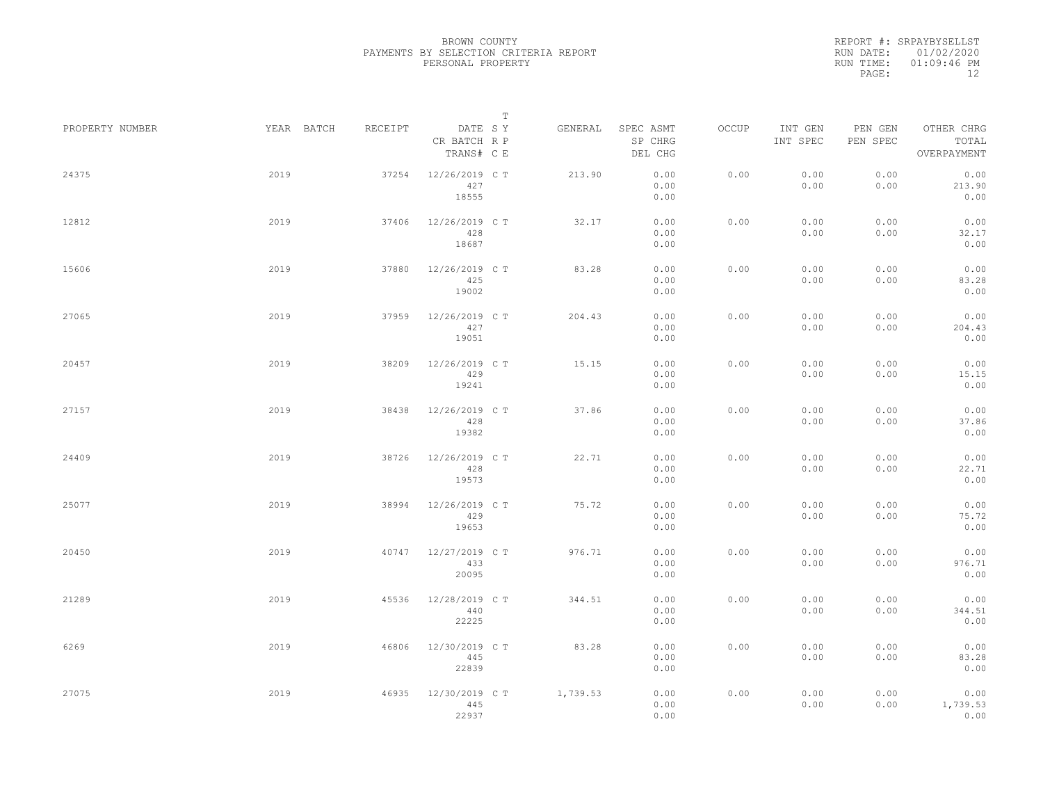|                 |            |         |                                       | $\mathbb T$ |          |                                 |       |                     |                     |                                    |  |
|-----------------|------------|---------|---------------------------------------|-------------|----------|---------------------------------|-------|---------------------|---------------------|------------------------------------|--|
| PROPERTY NUMBER | YEAR BATCH | RECEIPT | DATE SY<br>CR BATCH R P<br>TRANS# C E |             | GENERAL  | SPEC ASMT<br>SP CHRG<br>DEL CHG | OCCUP | INT GEN<br>INT SPEC | PEN GEN<br>PEN SPEC | OTHER CHRG<br>TOTAL<br>OVERPAYMENT |  |
| 24375           | 2019       | 37254   | 12/26/2019 C T<br>427<br>18555        |             | 213.90   | 0.00<br>0.00<br>0.00            | 0.00  | 0.00<br>0.00        | 0.00<br>0.00        | 0.00<br>213.90<br>0.00             |  |
| 12812           | 2019       | 37406   | 12/26/2019 C T<br>428<br>18687        |             | 32.17    | 0.00<br>0.00<br>0.00            | 0.00  | 0.00<br>0.00        | 0.00<br>0.00        | 0.00<br>32.17<br>0.00              |  |
| 15606           | 2019       | 37880   | 12/26/2019 C T<br>425<br>19002        |             | 83.28    | 0.00<br>0.00<br>0.00            | 0.00  | 0.00<br>0.00        | 0.00<br>0.00        | 0.00<br>83.28<br>0.00              |  |
| 27065           | 2019       | 37959   | 12/26/2019 C T<br>427<br>19051        |             | 204.43   | 0.00<br>0.00<br>0.00            | 0.00  | 0.00<br>0.00        | 0.00<br>0.00        | 0.00<br>204.43<br>0.00             |  |
| 20457           | 2019       | 38209   | 12/26/2019 C T<br>429<br>19241        |             | 15.15    | 0.00<br>0.00<br>0.00            | 0.00  | 0.00<br>0.00        | 0.00<br>0.00        | 0.00<br>15.15<br>0.00              |  |
| 27157           | 2019       | 38438   | 12/26/2019 C T<br>428<br>19382        |             | 37.86    | 0.00<br>0.00<br>0.00            | 0.00  | 0.00<br>0.00        | 0.00<br>0.00        | 0.00<br>37.86<br>0.00              |  |
| 24409           | 2019       | 38726   | 12/26/2019 C T<br>428<br>19573        |             | 22.71    | 0.00<br>0.00<br>0.00            | 0.00  | 0.00<br>0.00        | 0.00<br>0.00        | 0.00<br>22.71<br>0.00              |  |
| 25077           | 2019       | 38994   | 12/26/2019 C T<br>429<br>19653        |             | 75.72    | 0.00<br>0.00<br>0.00            | 0.00  | 0.00<br>0.00        | 0.00<br>0.00        | 0.00<br>75.72<br>0.00              |  |
| 20450           | 2019       | 40747   | 12/27/2019 C T<br>433<br>20095        |             | 976.71   | 0.00<br>0.00<br>0.00            | 0.00  | 0.00<br>0.00        | 0.00<br>0.00        | 0.00<br>976.71<br>0.00             |  |
| 21289           | 2019       | 45536   | 12/28/2019 C T<br>440<br>22225        |             | 344.51   | 0.00<br>0.00<br>0.00            | 0.00  | 0.00<br>0.00        | 0.00<br>0.00        | 0.00<br>344.51<br>0.00             |  |
| 6269            | 2019       | 46806   | 12/30/2019 C T<br>445<br>22839        |             | 83.28    | 0.00<br>0.00<br>0.00            | 0.00  | 0.00<br>0.00        | 0.00<br>0.00        | 0.00<br>83.28<br>0.00              |  |
| 27075           | 2019       | 46935   | 12/30/2019 C T<br>445<br>22937        |             | 1,739.53 | 0.00<br>0.00<br>0.00            | 0.00  | 0.00<br>0.00        | 0.00<br>0.00        | 0.00<br>1,739.53<br>0.00           |  |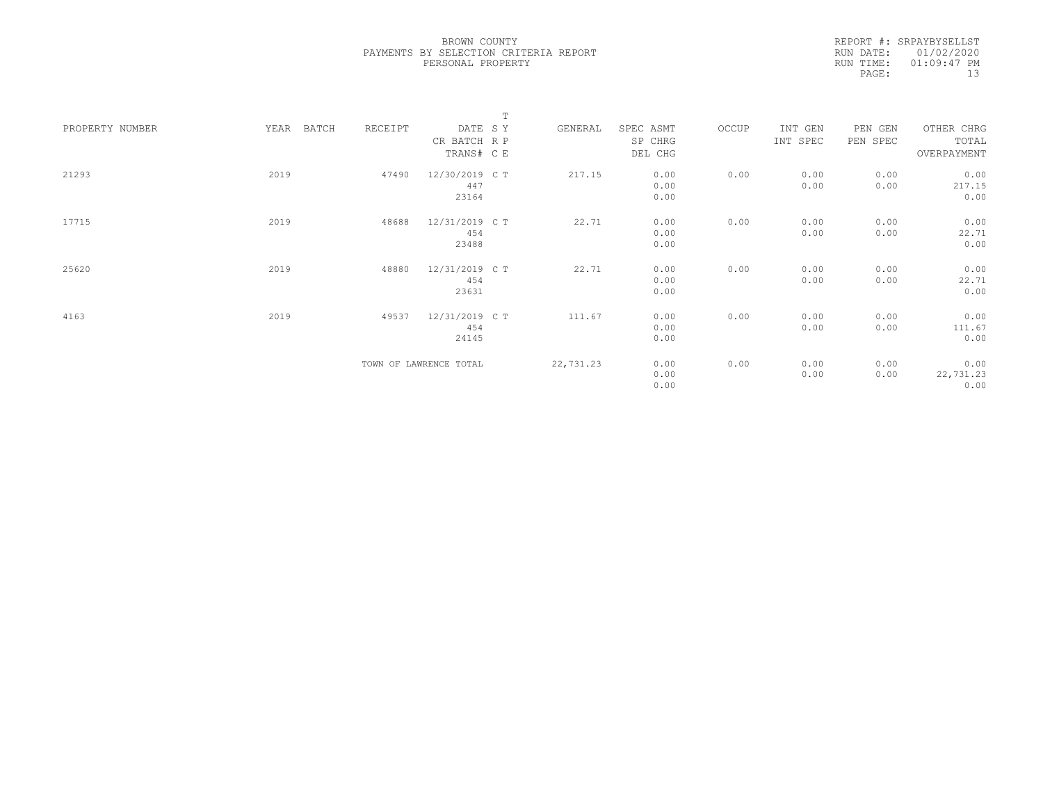|                 |      |       |         |                        | $\mathbb T$ |           |           |       |          |          |             |  |
|-----------------|------|-------|---------|------------------------|-------------|-----------|-----------|-------|----------|----------|-------------|--|
| PROPERTY NUMBER | YEAR | BATCH | RECEIPT | DATE SY                |             | GENERAL   | SPEC ASMT | OCCUP | INT GEN  | PEN GEN  | OTHER CHRG  |  |
|                 |      |       |         | CR BATCH R P           |             |           | SP CHRG   |       | INT SPEC | PEN SPEC | TOTAL       |  |
|                 |      |       |         | TRANS# C E             |             |           | DEL CHG   |       |          |          | OVERPAYMENT |  |
|                 |      |       |         |                        |             |           |           |       |          |          |             |  |
| 21293           | 2019 |       | 47490   | 12/30/2019 C T         |             | 217.15    | 0.00      | 0.00  | 0.00     | 0.00     | 0.00        |  |
|                 |      |       |         | 447                    |             |           | 0.00      |       | 0.00     | 0.00     | 217.15      |  |
|                 |      |       |         | 23164                  |             |           | 0.00      |       |          |          | 0.00        |  |
|                 |      |       |         |                        |             |           |           |       |          |          |             |  |
| 17715           | 2019 |       | 48688   | 12/31/2019 C T         |             | 22.71     | 0.00      | 0.00  | 0.00     | 0.00     | 0.00        |  |
|                 |      |       |         | 454                    |             |           | 0.00      |       | 0.00     | 0.00     | 22.71       |  |
|                 |      |       |         | 23488                  |             |           | 0.00      |       |          |          | 0.00        |  |
| 25620           | 2019 |       | 48880   | 12/31/2019 C T         |             | 22.71     | 0.00      | 0.00  | 0.00     | 0.00     | 0.00        |  |
|                 |      |       |         | 454                    |             |           | 0.00      |       | 0.00     | 0.00     | 22.71       |  |
|                 |      |       |         | 23631                  |             |           | 0.00      |       |          |          | 0.00        |  |
|                 |      |       |         |                        |             |           |           |       |          |          |             |  |
| 4163            | 2019 |       | 49537   | 12/31/2019 C T         |             | 111.67    | 0.00      | 0.00  | 0.00     | 0.00     | 0.00        |  |
|                 |      |       |         | 454                    |             |           | 0.00      |       | 0.00     | 0.00     | 111.67      |  |
|                 |      |       |         | 24145                  |             |           | 0.00      |       |          |          | 0.00        |  |
|                 |      |       |         |                        |             |           |           |       |          |          |             |  |
|                 |      |       |         | TOWN OF LAWRENCE TOTAL |             | 22,731.23 | 0.00      | 0.00  | 0.00     | 0.00     | 0.00        |  |
|                 |      |       |         |                        |             |           | 0.00      |       | 0.00     | 0.00     | 22,731.23   |  |
|                 |      |       |         |                        |             |           | 0.00      |       |          |          | 0.00        |  |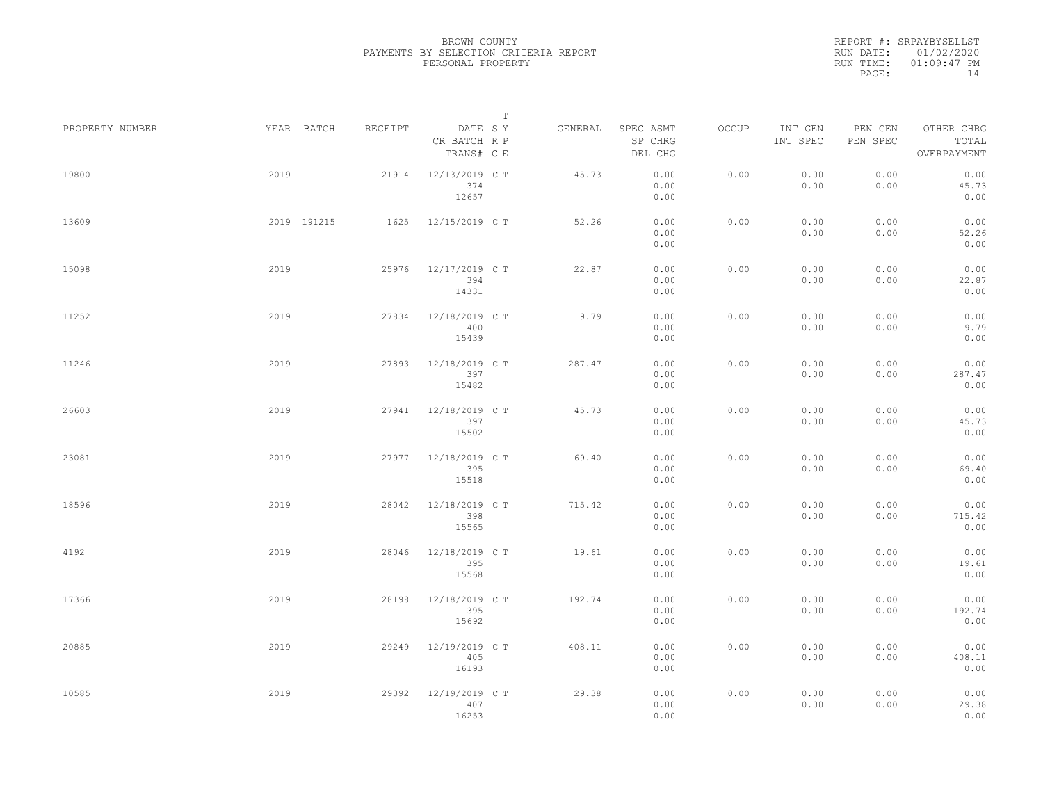|                 |      |             |         |                                       | $\mathbf T$ |         |                                 |       |                     |                     |                                    |  |
|-----------------|------|-------------|---------|---------------------------------------|-------------|---------|---------------------------------|-------|---------------------|---------------------|------------------------------------|--|
| PROPERTY NUMBER |      | YEAR BATCH  | RECEIPT | DATE SY<br>CR BATCH R P<br>TRANS# C E |             | GENERAL | SPEC ASMT<br>SP CHRG<br>DEL CHG | OCCUP | INT GEN<br>INT SPEC | PEN GEN<br>PEN SPEC | OTHER CHRG<br>TOTAL<br>OVERPAYMENT |  |
| 19800           | 2019 |             | 21914   | 12/13/2019 C T<br>374<br>12657        |             | 45.73   | 0.00<br>0.00<br>0.00            | 0.00  | 0.00<br>0.00        | 0.00<br>0.00        | 0.00<br>45.73<br>0.00              |  |
| 13609           |      | 2019 191215 | 1625    | 12/15/2019 C T                        |             | 52.26   | 0.00<br>0.00<br>0.00            | 0.00  | 0.00<br>0.00        | 0.00<br>0.00        | 0.00<br>52.26<br>0.00              |  |
| 15098           | 2019 |             | 25976   | 12/17/2019 C T<br>394<br>14331        |             | 22.87   | 0.00<br>0.00<br>0.00            | 0.00  | 0.00<br>0.00        | 0.00<br>0.00        | 0.00<br>22.87<br>0.00              |  |
| 11252           | 2019 |             | 27834   | 12/18/2019 C T<br>400<br>15439        |             | 9.79    | 0.00<br>0.00<br>0.00            | 0.00  | 0.00<br>0.00        | 0.00<br>0.00        | 0.00<br>9.79<br>0.00               |  |
| 11246           | 2019 |             | 27893   | 12/18/2019 C T<br>397<br>15482        |             | 287.47  | 0.00<br>0.00<br>0.00            | 0.00  | 0.00<br>0.00        | 0.00<br>0.00        | 0.00<br>287.47<br>0.00             |  |
| 26603           | 2019 |             | 27941   | 12/18/2019 C T<br>397<br>15502        |             | 45.73   | 0.00<br>0.00<br>0.00            | 0.00  | 0.00<br>0.00        | 0.00<br>0.00        | 0.00<br>45.73<br>0.00              |  |
| 23081           | 2019 |             | 27977   | 12/18/2019 C T<br>395<br>15518        |             | 69.40   | 0.00<br>0.00<br>0.00            | 0.00  | 0.00<br>0.00        | 0.00<br>0.00        | 0.00<br>69.40<br>0.00              |  |
| 18596           | 2019 |             | 28042   | 12/18/2019 C T<br>398<br>15565        |             | 715.42  | 0.00<br>0.00<br>0.00            | 0.00  | 0.00<br>0.00        | 0.00<br>0.00        | 0.00<br>715.42<br>0.00             |  |
| 4192            | 2019 |             | 28046   | 12/18/2019 C T<br>395<br>15568        |             | 19.61   | 0.00<br>0.00<br>0.00            | 0.00  | 0.00<br>0.00        | 0.00<br>0.00        | 0.00<br>19.61<br>0.00              |  |
| 17366           | 2019 |             | 28198   | 12/18/2019 C T<br>395<br>15692        |             | 192.74  | 0.00<br>0.00<br>0.00            | 0.00  | 0.00<br>0.00        | 0.00<br>0.00        | 0.00<br>192.74<br>0.00             |  |
| 20885           | 2019 |             | 29249   | 12/19/2019 C T<br>405<br>16193        |             | 408.11  | 0.00<br>0.00<br>0.00            | 0.00  | 0.00<br>0.00        | 0.00<br>0.00        | 0.00<br>408.11<br>0.00             |  |
| 10585           | 2019 |             | 29392   | 12/19/2019 C T<br>407<br>16253        |             | 29.38   | 0.00<br>0.00<br>0.00            | 0.00  | 0.00<br>0.00        | 0.00<br>0.00        | 0.00<br>29.38<br>0.00              |  |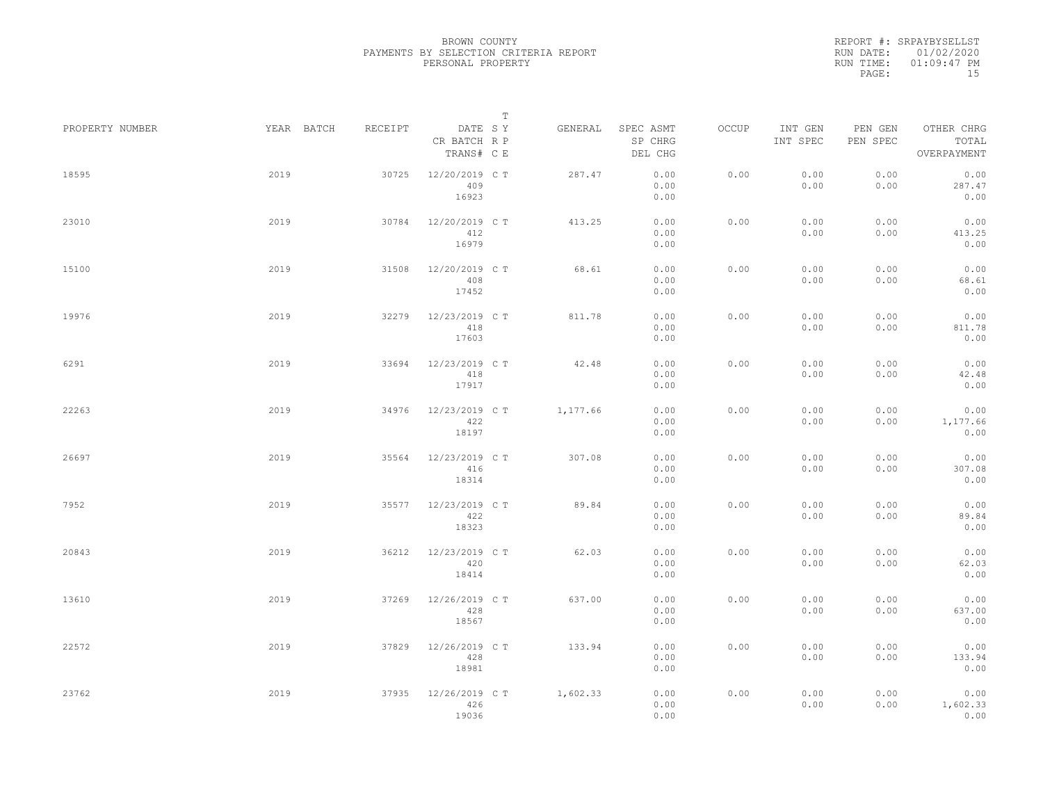|                 |            |         |                                       | $\mathbb T$ |                                 |       |                     |                     |                                    |
|-----------------|------------|---------|---------------------------------------|-------------|---------------------------------|-------|---------------------|---------------------|------------------------------------|
| PROPERTY NUMBER | YEAR BATCH | RECEIPT | DATE SY<br>CR BATCH R P<br>TRANS# C E | GENERAL     | SPEC ASMT<br>SP CHRG<br>DEL CHG | OCCUP | INT GEN<br>INT SPEC | PEN GEN<br>PEN SPEC | OTHER CHRG<br>TOTAL<br>OVERPAYMENT |
| 18595           | 2019       | 30725   | 12/20/2019 C T<br>409<br>16923        | 287.47      | 0.00<br>0.00<br>0.00            | 0.00  | 0.00<br>0.00        | 0.00<br>0.00        | 0.00<br>287.47<br>0.00             |
| 23010           | 2019       | 30784   | 12/20/2019 C T<br>412<br>16979        | 413.25      | 0.00<br>0.00<br>0.00            | 0.00  | 0.00<br>0.00        | 0.00<br>0.00        | 0.00<br>413.25<br>0.00             |
| 15100           | 2019       | 31508   | 12/20/2019 C T<br>408<br>17452        | 68.61       | 0.00<br>0.00<br>0.00            | 0.00  | 0.00<br>0.00        | 0.00<br>0.00        | 0.00<br>68.61<br>0.00              |
| 19976           | 2019       | 32279   | 12/23/2019 C T<br>418<br>17603        | 811.78      | 0.00<br>0.00<br>0.00            | 0.00  | 0.00<br>0.00        | 0.00<br>0.00        | 0.00<br>811.78<br>0.00             |
| 6291            | 2019       | 33694   | 12/23/2019 C T<br>418<br>17917        | 42.48       | 0.00<br>0.00<br>0.00            | 0.00  | 0.00<br>0.00        | 0.00<br>0.00        | 0.00<br>42.48<br>0.00              |
| 22263           | 2019       | 34976   | 12/23/2019 C T<br>422<br>18197        | 1,177.66    | 0.00<br>0.00<br>0.00            | 0.00  | 0.00<br>0.00        | 0.00<br>0.00        | 0.00<br>1,177.66<br>0.00           |
| 26697           | 2019       | 35564   | 12/23/2019 C T<br>416<br>18314        | 307.08      | 0.00<br>0.00<br>0.00            | 0.00  | 0.00<br>0.00        | 0.00<br>0.00        | 0.00<br>307.08<br>0.00             |
| 7952            | 2019       | 35577   | 12/23/2019 C T<br>422<br>18323        | 89.84       | 0.00<br>0.00<br>0.00            | 0.00  | 0.00<br>0.00        | 0.00<br>0.00        | 0.00<br>89.84<br>0.00              |
| 20843           | 2019       | 36212   | 12/23/2019 C T<br>420<br>18414        | 62.03       | 0.00<br>0.00<br>0.00            | 0.00  | 0.00<br>0.00        | 0.00<br>0.00        | 0.00<br>62.03<br>0.00              |
| 13610           | 2019       | 37269   | 12/26/2019 C T<br>428<br>18567        | 637.00      | 0.00<br>0.00<br>0.00            | 0.00  | 0.00<br>0.00        | 0.00<br>0.00        | 0.00<br>637.00<br>0.00             |
| 22572           | 2019       | 37829   | 12/26/2019 C T<br>428<br>18981        | 133.94      | 0.00<br>0.00<br>0.00            | 0.00  | 0.00<br>0.00        | 0.00<br>0.00        | 0.00<br>133.94<br>0.00             |
| 23762           | 2019       | 37935   | 12/26/2019 C T<br>426<br>19036        | 1,602.33    | 0.00<br>0.00<br>0.00            | 0.00  | 0.00<br>0.00        | 0.00<br>0.00        | 0.00<br>1,602.33<br>0.00           |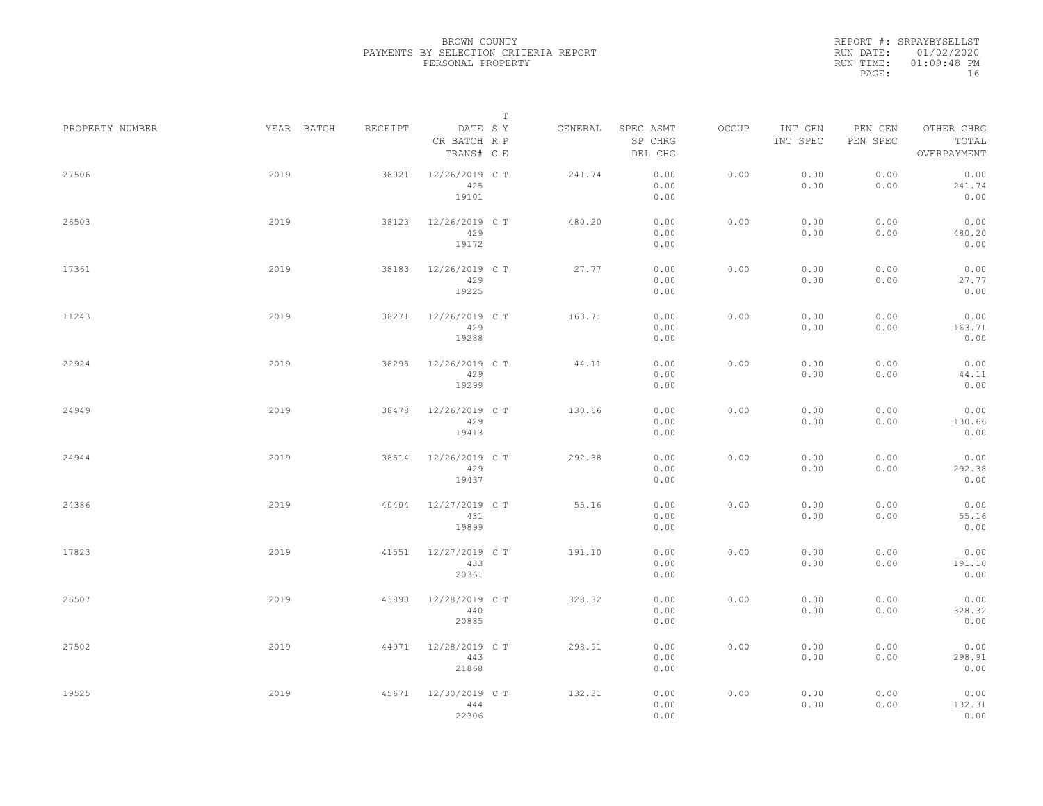|                 |            |         | $\mathbb T$                           |         |                                 |       |                     |                     |                                    |
|-----------------|------------|---------|---------------------------------------|---------|---------------------------------|-------|---------------------|---------------------|------------------------------------|
| PROPERTY NUMBER | YEAR BATCH | RECEIPT | DATE SY<br>CR BATCH R P<br>TRANS# C E | GENERAL | SPEC ASMT<br>SP CHRG<br>DEL CHG | OCCUP | INT GEN<br>INT SPEC | PEN GEN<br>PEN SPEC | OTHER CHRG<br>TOTAL<br>OVERPAYMENT |
| 27506           | 2019       | 38021   | 12/26/2019 C T<br>425<br>19101        | 241.74  | 0.00<br>0.00<br>0.00            | 0.00  | 0.00<br>0.00        | 0.00<br>0.00        | 0.00<br>241.74<br>0.00             |
| 26503           | 2019       | 38123   | 12/26/2019 C T<br>429<br>19172        | 480.20  | 0.00<br>0.00<br>0.00            | 0.00  | 0.00<br>0.00        | 0.00<br>0.00        | 0.00<br>480.20<br>0.00             |
| 17361           | 2019       | 38183   | 12/26/2019 C T<br>429<br>19225        | 27.77   | 0.00<br>0.00<br>0.00            | 0.00  | 0.00<br>0.00        | 0.00<br>0.00        | 0.00<br>27.77<br>0.00              |
| 11243           | 2019       | 38271   | 12/26/2019 C T<br>429<br>19288        | 163.71  | 0.00<br>0.00<br>0.00            | 0.00  | 0.00<br>0.00        | 0.00<br>0.00        | 0.00<br>163.71<br>0.00             |
| 22924           | 2019       | 38295   | 12/26/2019 C T<br>429<br>19299        | 44.11   | 0.00<br>0.00<br>0.00            | 0.00  | 0.00<br>0.00        | 0.00<br>0.00        | 0.00<br>44.11<br>0.00              |
| 24949           | 2019       | 38478   | 12/26/2019 C T<br>429<br>19413        | 130.66  | 0.00<br>0.00<br>0.00            | 0.00  | 0.00<br>0.00        | 0.00<br>0.00        | 0.00<br>130.66<br>0.00             |
| 24944           | 2019       | 38514   | 12/26/2019 C T<br>429<br>19437        | 292.38  | 0.00<br>0.00<br>0.00            | 0.00  | 0.00<br>0.00        | 0.00<br>0.00        | 0.00<br>292.38<br>0.00             |
| 24386           | 2019       | 40404   | 12/27/2019 C T<br>431<br>19899        | 55.16   | 0.00<br>0.00<br>0.00            | 0.00  | 0.00<br>0.00        | 0.00<br>0.00        | 0.00<br>55.16<br>0.00              |
| 17823           | 2019       | 41551   | 12/27/2019 C T<br>433<br>20361        | 191.10  | 0.00<br>0.00<br>0.00            | 0.00  | 0.00<br>0.00        | 0.00<br>0.00        | 0.00<br>191.10<br>0.00             |
| 26507           | 2019       | 43890   | 12/28/2019 C T<br>440<br>20885        | 328.32  | 0.00<br>0.00<br>0.00            | 0.00  | 0.00<br>0.00        | 0.00<br>0.00        | 0.00<br>328.32<br>0.00             |
| 27502           | 2019       | 44971   | 12/28/2019 C T<br>443<br>21868        | 298.91  | 0.00<br>0.00<br>0.00            | 0.00  | 0.00<br>0.00        | 0.00<br>0.00        | 0.00<br>298.91<br>0.00             |
| 19525           | 2019       | 45671   | 12/30/2019 C T<br>444<br>22306        | 132.31  | 0.00<br>0.00<br>0.00            | 0.00  | 0.00<br>0.00        | 0.00<br>0.00        | 0.00<br>132.31<br>0.00             |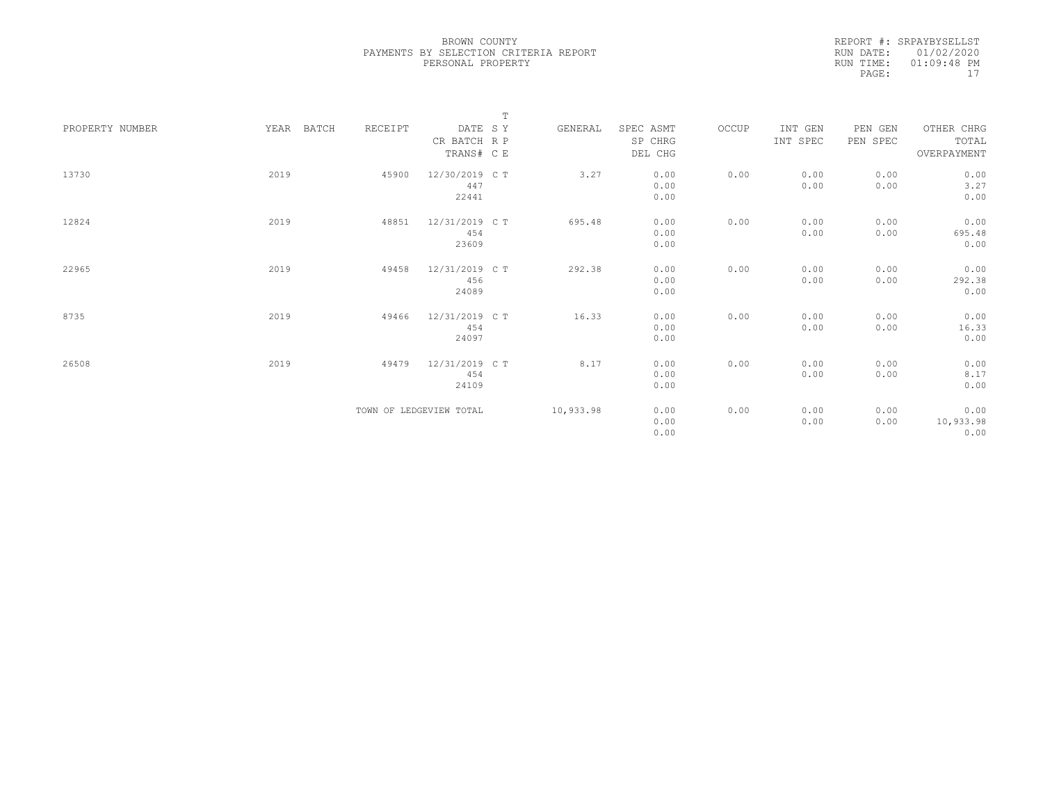|                 |               |         | $\mathbb T$             |           |           |       |          |          |             |
|-----------------|---------------|---------|-------------------------|-----------|-----------|-------|----------|----------|-------------|
| PROPERTY NUMBER | YEAR<br>BATCH | RECEIPT | DATE SY                 | GENERAL   | SPEC ASMT | OCCUP | INT GEN  | PEN GEN  | OTHER CHRG  |
|                 |               |         | CR BATCH R P            |           | SP CHRG   |       | INT SPEC | PEN SPEC | TOTAL       |
|                 |               |         | TRANS# C E              |           | DEL CHG   |       |          |          | OVERPAYMENT |
|                 |               |         |                         |           |           |       |          |          |             |
| 13730           | 2019          | 45900   | 12/30/2019 C T          | 3.27      | 0.00      | 0.00  | 0.00     | 0.00     | 0.00        |
|                 |               |         | 447                     |           | 0.00      |       | 0.00     | 0.00     | 3.27        |
|                 |               |         | 22441                   |           | 0.00      |       |          |          | 0.00        |
|                 |               |         |                         |           |           |       |          |          |             |
| 12824           | 2019          | 48851   | 12/31/2019 C T          | 695.48    | 0.00      | 0.00  | 0.00     | 0.00     | 0.00        |
|                 |               |         | 454                     |           | 0.00      |       | 0.00     | 0.00     | 695.48      |
|                 |               |         | 23609                   |           | 0.00      |       |          |          | 0.00        |
|                 |               |         |                         |           |           |       |          |          |             |
| 22965           | 2019          | 49458   | 12/31/2019 C T          | 292.38    | 0.00      | 0.00  | 0.00     | 0.00     | 0.00        |
|                 |               |         | 456                     |           | 0.00      |       | 0.00     | 0.00     | 292.38      |
|                 |               |         | 24089                   |           | 0.00      |       |          |          | 0.00        |
|                 |               |         |                         |           |           |       |          |          |             |
| 8735            | 2019          | 49466   | 12/31/2019 C T          | 16.33     | 0.00      | 0.00  | 0.00     | 0.00     | 0.00        |
|                 |               |         | 454                     |           | 0.00      |       | 0.00     | 0.00     | 16.33       |
|                 |               |         | 24097                   |           | 0.00      |       |          |          | 0.00        |
|                 |               |         |                         |           |           |       |          |          |             |
| 26508           | 2019          | 49479   | 12/31/2019 C T          | 8.17      | 0.00      | 0.00  | 0.00     | 0.00     | 0.00        |
|                 |               |         | 454                     |           | 0.00      |       | 0.00     | 0.00     | 8.17        |
|                 |               |         | 24109                   |           | 0.00      |       |          |          | 0.00        |
|                 |               |         |                         |           |           |       |          |          |             |
|                 |               |         | TOWN OF LEDGEVIEW TOTAL | 10,933.98 | 0.00      | 0.00  | 0.00     | 0.00     | 0.00        |
|                 |               |         |                         |           | 0.00      |       | 0.00     | 0.00     | 10,933.98   |
|                 |               |         |                         |           | 0.00      |       |          |          | 0.00        |
|                 |               |         |                         |           |           |       |          |          |             |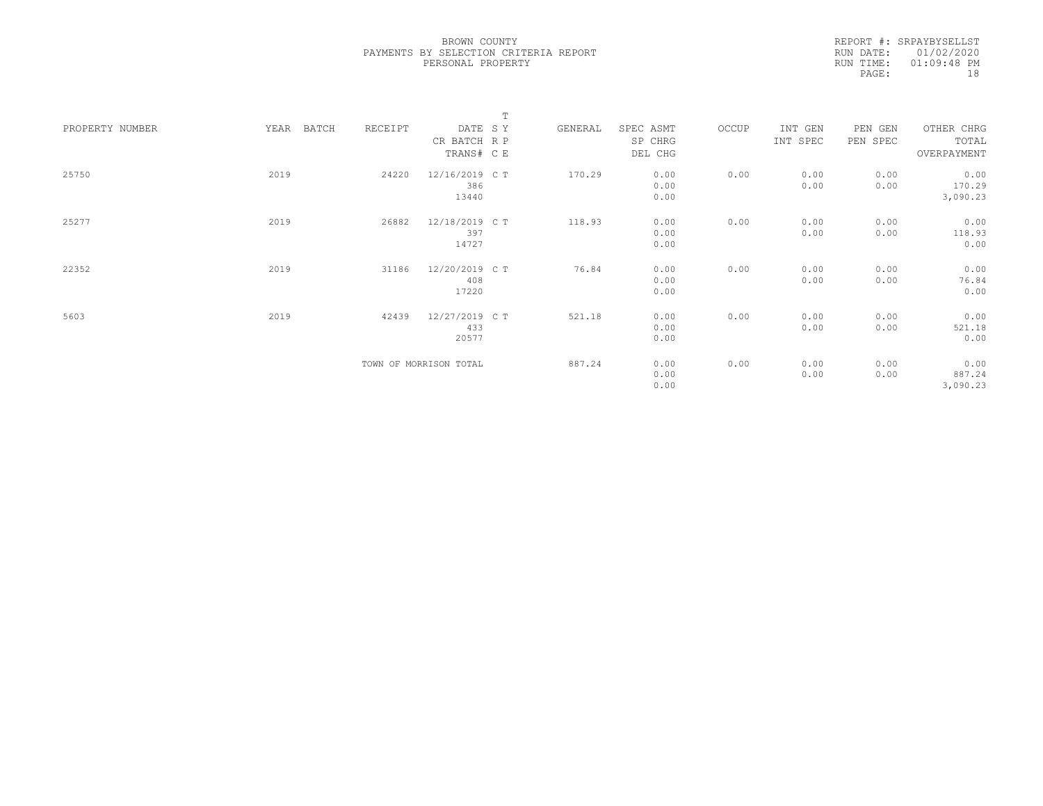|                 |      |       |         |                        | $\mathbb T$ |         |           |       |          |          |             |  |
|-----------------|------|-------|---------|------------------------|-------------|---------|-----------|-------|----------|----------|-------------|--|
| PROPERTY NUMBER | YEAR | BATCH | RECEIPT | DATE SY                |             | GENERAL | SPEC ASMT | OCCUP | INT GEN  | PEN GEN  | OTHER CHRG  |  |
|                 |      |       |         | CR BATCH R P           |             |         | SP CHRG   |       | INT SPEC | PEN SPEC | TOTAL       |  |
|                 |      |       |         | TRANS# C E             |             |         | DEL CHG   |       |          |          | OVERPAYMENT |  |
| 25750           | 2019 |       | 24220   | 12/16/2019 C T         |             | 170.29  | 0.00      | 0.00  | 0.00     | 0.00     | 0.00        |  |
|                 |      |       |         | 386                    |             |         | 0.00      |       | 0.00     | 0.00     | 170.29      |  |
|                 |      |       |         | 13440                  |             |         | 0.00      |       |          |          | 3,090.23    |  |
|                 |      |       |         |                        |             |         |           |       |          |          |             |  |
| 25277           | 2019 |       | 26882   | 12/18/2019 C T         |             | 118.93  | 0.00      | 0.00  | 0.00     | 0.00     | 0.00        |  |
|                 |      |       |         | 397                    |             |         | 0.00      |       | 0.00     | 0.00     | 118.93      |  |
|                 |      |       |         | 14727                  |             |         | 0.00      |       |          |          | 0.00        |  |
|                 |      |       |         |                        |             |         |           |       |          |          |             |  |
| 22352           | 2019 |       | 31186   | 12/20/2019 C T         |             | 76.84   | 0.00      | 0.00  | 0.00     | 0.00     | 0.00        |  |
|                 |      |       |         | 408                    |             |         | 0.00      |       | 0.00     | 0.00     | 76.84       |  |
|                 |      |       |         | 17220                  |             |         | 0.00      |       |          |          | 0.00        |  |
|                 |      |       |         |                        |             |         |           |       |          |          |             |  |
| 5603            | 2019 |       | 42439   | 12/27/2019 C T         |             | 521.18  | 0.00      | 0.00  | 0.00     | 0.00     | 0.00        |  |
|                 |      |       |         | 433                    |             |         | 0.00      |       | 0.00     | 0.00     | 521.18      |  |
|                 |      |       |         | 20577                  |             |         | 0.00      |       |          |          | 0.00        |  |
|                 |      |       |         |                        |             |         |           |       |          |          |             |  |
|                 |      |       |         | TOWN OF MORRISON TOTAL |             | 887.24  | 0.00      | 0.00  | 0.00     | 0.00     | 0.00        |  |
|                 |      |       |         |                        |             |         | 0.00      |       | 0.00     | 0.00     | 887.24      |  |
|                 |      |       |         |                        |             |         | 0.00      |       |          |          | 3,090.23    |  |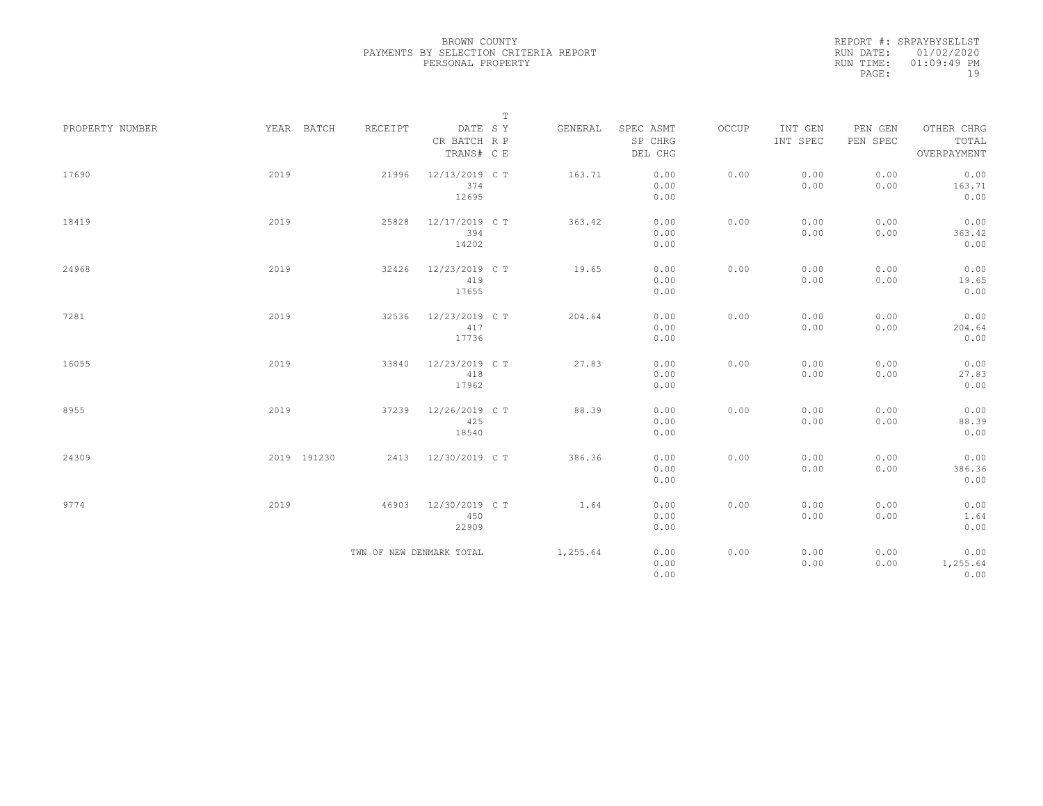|                 |             |         |                                       | $\mathbb T$ |                                 |       |                     |                     |                                    |
|-----------------|-------------|---------|---------------------------------------|-------------|---------------------------------|-------|---------------------|---------------------|------------------------------------|
| PROPERTY NUMBER | YEAR BATCH  | RECEIPT | DATE SY<br>CR BATCH R P<br>TRANS# C E | GENERAL     | SPEC ASMT<br>SP CHRG<br>DEL CHG | OCCUP | INT GEN<br>INT SPEC | PEN GEN<br>PEN SPEC | OTHER CHRG<br>TOTAL<br>OVERPAYMENT |
| 17690           | 2019        | 21996   | 12/13/2019 C T<br>374<br>12695        | 163.71      | 0.00<br>0.00<br>0.00            | 0.00  | 0.00<br>0.00        | 0.00<br>0.00        | 0.00<br>163.71<br>0.00             |
| 18419           | 2019        | 25828   | 12/17/2019 C T<br>394<br>14202        | 363.42      | 0.00<br>0.00<br>0.00            | 0.00  | 0.00<br>0.00        | 0.00<br>0.00        | 0.00<br>363.42<br>0.00             |
| 24968           | 2019        | 32426   | 12/23/2019 C T<br>419<br>17655        | 19.65       | 0.00<br>0.00<br>0.00            | 0.00  | 0.00<br>0.00        | 0.00<br>0.00        | 0.00<br>19.65<br>0.00              |
| 7281            | 2019        | 32536   | 12/23/2019 C T<br>417<br>17736        | 204.64      | 0.00<br>0.00<br>0.00            | 0.00  | 0.00<br>0.00        | 0.00<br>0.00        | 0.00<br>204.64<br>0.00             |
| 16055           | 2019        | 33840   | 12/23/2019 C T<br>418<br>17962        | 27.83       | 0.00<br>0.00<br>0.00            | 0.00  | 0.00<br>0.00        | 0.00<br>0.00        | 0.00<br>27.83<br>0.00              |
| 8955            | 2019        | 37239   | 12/26/2019 C T<br>425<br>18540        | 88.39       | 0.00<br>0.00<br>0.00            | 0.00  | 0.00<br>0.00        | 0.00<br>0.00        | 0.00<br>88.39<br>0.00              |
| 24309           | 2019 191230 |         | 2413 12/30/2019 CT                    | 386.36      | 0.00<br>0.00<br>0.00            | 0.00  | 0.00<br>0.00        | 0.00<br>0.00        | 0.00<br>386.36<br>0.00             |
| 9774            | 2019        | 46903   | 12/30/2019 C T<br>450<br>22909        | 1.64        | 0.00<br>0.00<br>0.00            | 0.00  | 0.00<br>0.00        | 0.00<br>0.00        | 0.00<br>1.64<br>0.00               |
|                 |             |         | TWN OF NEW DENMARK TOTAL              | 1,255.64    | 0.00<br>0.00<br>0.00            | 0.00  | 0.00<br>0.00        | 0.00<br>0.00        | 0.00<br>1,255.64<br>0.00           |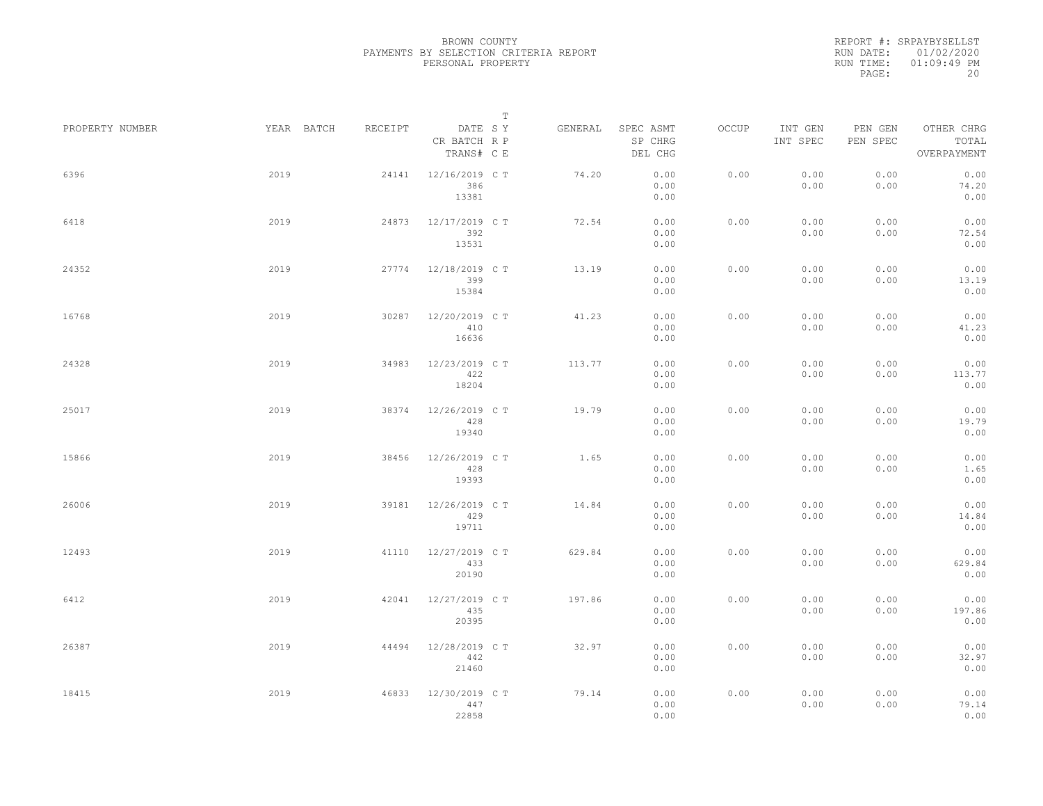|                 |            |         | $\mathbb T$                           |         |                                 |       |                     |                     |                                    |  |
|-----------------|------------|---------|---------------------------------------|---------|---------------------------------|-------|---------------------|---------------------|------------------------------------|--|
| PROPERTY NUMBER | YEAR BATCH | RECEIPT | DATE SY<br>CR BATCH R P<br>TRANS# C E | GENERAL | SPEC ASMT<br>SP CHRG<br>DEL CHG | OCCUP | INT GEN<br>INT SPEC | PEN GEN<br>PEN SPEC | OTHER CHRG<br>TOTAL<br>OVERPAYMENT |  |
| 6396            | 2019       | 24141   | 12/16/2019 C T<br>386<br>13381        | 74.20   | 0.00<br>0.00<br>0.00            | 0.00  | 0.00<br>0.00        | 0.00<br>0.00        | 0.00<br>74.20<br>0.00              |  |
| 6418            | 2019       | 24873   | 12/17/2019 C T<br>392<br>13531        | 72.54   | 0.00<br>0.00<br>0.00            | 0.00  | 0.00<br>0.00        | 0.00<br>0.00        | 0.00<br>72.54<br>0.00              |  |
| 24352           | 2019       | 27774   | 12/18/2019 C T<br>399<br>15384        | 13.19   | 0.00<br>0.00<br>0.00            | 0.00  | 0.00<br>0.00        | 0.00<br>0.00        | 0.00<br>13.19<br>0.00              |  |
| 16768           | 2019       | 30287   | 12/20/2019 C T<br>410<br>16636        | 41.23   | 0.00<br>0.00<br>0.00            | 0.00  | 0.00<br>0.00        | 0.00<br>0.00        | 0.00<br>41.23<br>0.00              |  |
| 24328           | 2019       | 34983   | 12/23/2019 C T<br>422<br>18204        | 113.77  | 0.00<br>0.00<br>0.00            | 0.00  | 0.00<br>0.00        | 0.00<br>0.00        | 0.00<br>113.77<br>0.00             |  |
| 25017           | 2019       | 38374   | 12/26/2019 C T<br>428<br>19340        | 19.79   | 0.00<br>0.00<br>0.00            | 0.00  | 0.00<br>0.00        | 0.00<br>0.00        | 0.00<br>19.79<br>0.00              |  |
| 15866           | 2019       | 38456   | 12/26/2019 C T<br>428<br>19393        | 1.65    | 0.00<br>0.00<br>0.00            | 0.00  | 0.00<br>0.00        | 0.00<br>0.00        | 0.00<br>1.65<br>0.00               |  |
| 26006           | 2019       | 39181   | 12/26/2019 C T<br>429<br>19711        | 14.84   | 0.00<br>0.00<br>0.00            | 0.00  | 0.00<br>0.00        | 0.00<br>0.00        | 0.00<br>14.84<br>0.00              |  |
| 12493           | 2019       | 41110   | 12/27/2019 C T<br>433<br>20190        | 629.84  | 0.00<br>0.00<br>0.00            | 0.00  | 0.00<br>0.00        | 0.00<br>0.00        | 0.00<br>629.84<br>0.00             |  |
| 6412            | 2019       | 42041   | 12/27/2019 C T<br>435<br>20395        | 197.86  | 0.00<br>0.00<br>0.00            | 0.00  | 0.00<br>0.00        | 0.00<br>0.00        | 0.00<br>197.86<br>0.00             |  |
| 26387           | 2019       | 44494   | 12/28/2019 C T<br>442<br>21460        | 32.97   | 0.00<br>0.00<br>0.00            | 0.00  | 0.00<br>0.00        | 0.00<br>0.00        | 0.00<br>32.97<br>0.00              |  |
| 18415           | 2019       | 46833   | 12/30/2019 C T<br>447<br>22858        | 79.14   | 0.00<br>0.00<br>0.00            | 0.00  | 0.00<br>0.00        | 0.00<br>0.00        | 0.00<br>79.14<br>0.00              |  |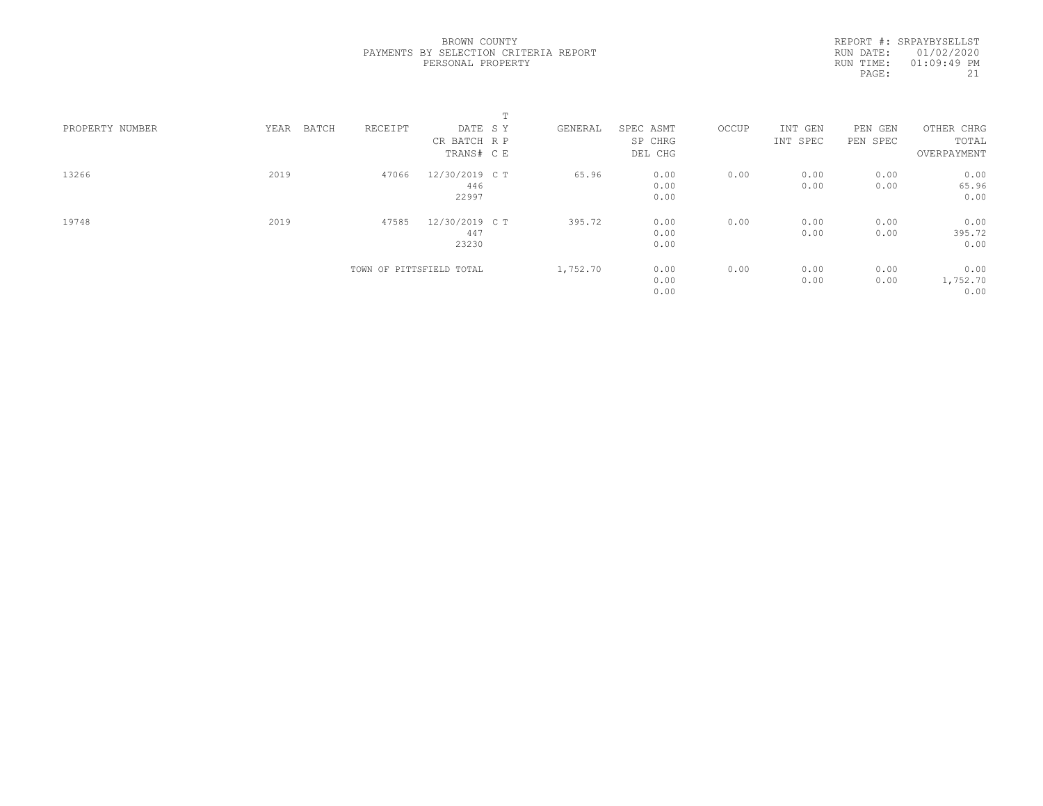|                 |               |                          |                | $\blacksquare$<br>÷. |          |           |       |          |          |             |
|-----------------|---------------|--------------------------|----------------|----------------------|----------|-----------|-------|----------|----------|-------------|
| PROPERTY NUMBER | YEAR<br>BATCH | RECEIPT                  | DATE SY        |                      | GENERAL  | SPEC ASMT | OCCUP | INT GEN  | PEN GEN  | OTHER CHRG  |
|                 |               |                          | CR BATCH R P   |                      |          | SP CHRG   |       | INT SPEC | PEN SPEC | TOTAL       |
|                 |               |                          | TRANS# C E     |                      |          | DEL CHG   |       |          |          | OVERPAYMENT |
| 13266           | 2019          | 47066                    | 12/30/2019 C T |                      | 65.96    | 0.00      | 0.00  | 0.00     | 0.00     | 0.00        |
|                 |               |                          | 446            |                      |          | 0.00      |       | 0.00     | 0.00     | 65.96       |
|                 |               |                          | 22997          |                      |          | 0.00      |       |          |          | 0.00        |
| 19748           | 2019          | 47585                    | 12/30/2019 C T |                      | 395.72   | 0.00      | 0.00  | 0.00     | 0.00     | 0.00        |
|                 |               |                          | 447            |                      |          | 0.00      |       | 0.00     | 0.00     | 395.72      |
|                 |               |                          | 23230          |                      |          | 0.00      |       |          |          | 0.00        |
|                 |               | TOWN OF PITTSFIELD TOTAL |                |                      | 1,752.70 | 0.00      | 0.00  | 0.00     | 0.00     | 0.00        |
|                 |               |                          |                |                      |          | 0.00      |       | 0.00     | 0.00     | 1,752.70    |
|                 |               |                          |                |                      |          | 0.00      |       |          |          | 0.00        |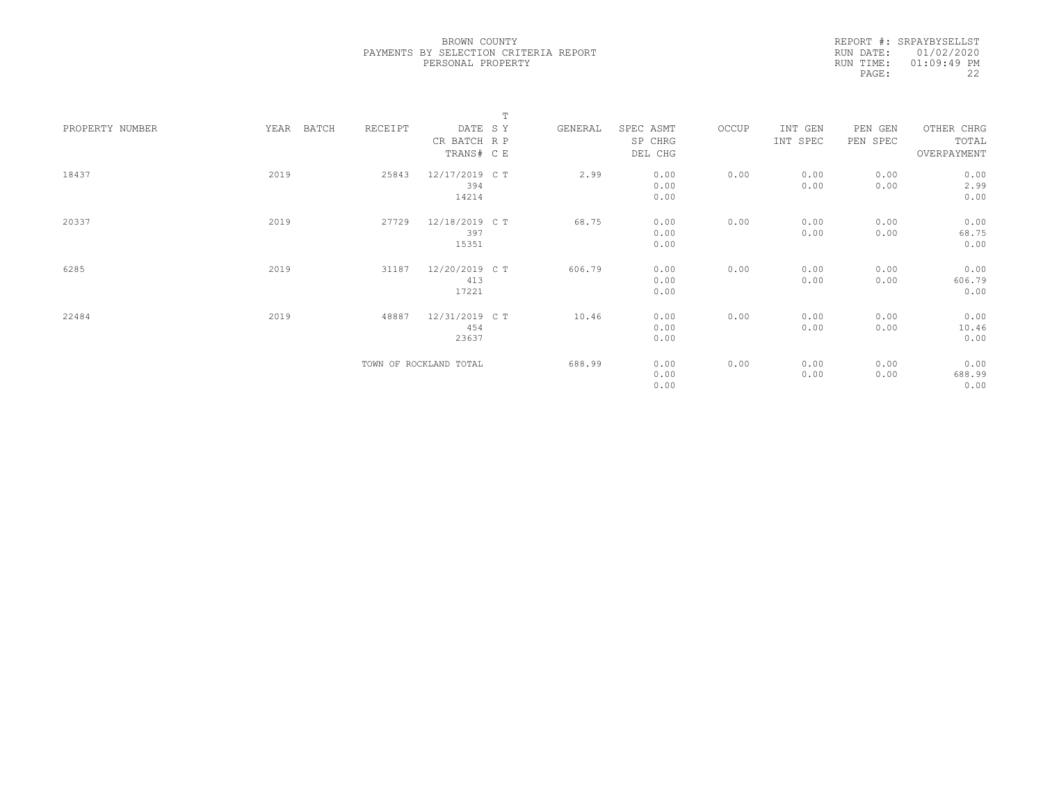|                 |               |         |                        | $\mathbb T$ |           |       |          |          |             |  |
|-----------------|---------------|---------|------------------------|-------------|-----------|-------|----------|----------|-------------|--|
| PROPERTY NUMBER | YEAR<br>BATCH | RECEIPT | DATE SY                | GENERAL     | SPEC ASMT | OCCUP | INT GEN  | PEN GEN  | OTHER CHRG  |  |
|                 |               |         | CR BATCH R P           |             | SP CHRG   |       | INT SPEC | PEN SPEC | TOTAL       |  |
|                 |               |         | TRANS# C E             |             | DEL CHG   |       |          |          | OVERPAYMENT |  |
|                 |               |         |                        |             |           |       |          |          |             |  |
| 18437           | 2019          | 25843   | 12/17/2019 C T         | 2.99        | 0.00      | 0.00  | 0.00     | 0.00     | 0.00        |  |
|                 |               |         | 394                    |             | 0.00      |       | 0.00     | 0.00     | 2.99        |  |
|                 |               |         | 14214                  |             | 0.00      |       |          |          | 0.00        |  |
|                 |               |         |                        |             |           |       |          |          |             |  |
| 20337           | 2019          | 27729   | 12/18/2019 C T         | 68.75       | 0.00      | 0.00  | 0.00     | 0.00     | 0.00        |  |
|                 |               |         | 397                    |             | 0.00      |       | 0.00     | 0.00     | 68.75       |  |
|                 |               |         | 15351                  |             | 0.00      |       |          |          | 0.00        |  |
| 6285            | 2019          | 31187   | 12/20/2019 C T         | 606.79      | 0.00      | 0.00  | 0.00     | 0.00     | 0.00        |  |
|                 |               |         | 413                    |             | 0.00      |       | 0.00     | 0.00     | 606.79      |  |
|                 |               |         | 17221                  |             | 0.00      |       |          |          | 0.00        |  |
|                 |               |         |                        |             |           |       |          |          |             |  |
| 22484           | 2019          | 48887   | 12/31/2019 C T         | 10.46       | 0.00      | 0.00  | 0.00     | 0.00     | 0.00        |  |
|                 |               |         | 454                    |             | 0.00      |       | 0.00     | 0.00     | 10.46       |  |
|                 |               |         | 23637                  |             | 0.00      |       |          |          | 0.00        |  |
|                 |               |         |                        |             |           |       |          |          |             |  |
|                 |               |         | TOWN OF ROCKLAND TOTAL | 688.99      | 0.00      | 0.00  | 0.00     | 0.00     | 0.00        |  |
|                 |               |         |                        |             | 0.00      |       | 0.00     | 0.00     | 688.99      |  |
|                 |               |         |                        |             | 0.00      |       |          |          | 0.00        |  |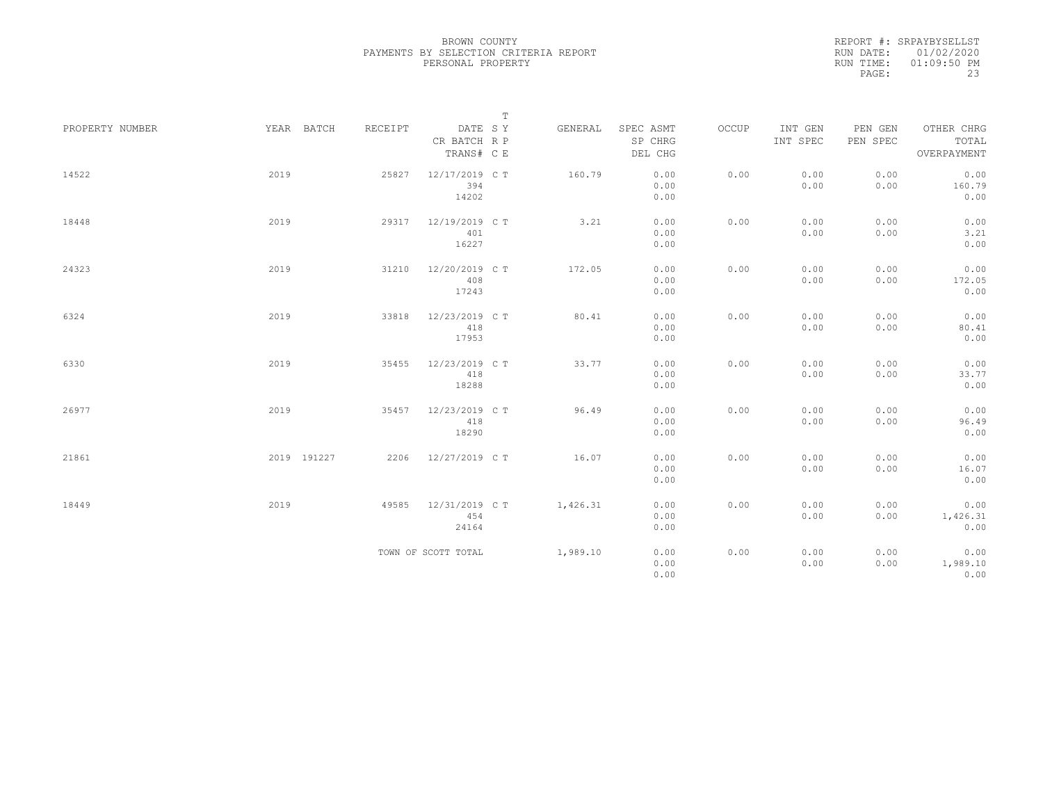|                 |             |         |                                       | $\mathbb T$ |                                 |       |                     |                     |                                    |
|-----------------|-------------|---------|---------------------------------------|-------------|---------------------------------|-------|---------------------|---------------------|------------------------------------|
| PROPERTY NUMBER | YEAR BATCH  | RECEIPT | DATE SY<br>CR BATCH R P<br>TRANS# C E | GENERAL     | SPEC ASMT<br>SP CHRG<br>DEL CHG | OCCUP | INT GEN<br>INT SPEC | PEN GEN<br>PEN SPEC | OTHER CHRG<br>TOTAL<br>OVERPAYMENT |
| 14522           | 2019        | 25827   | 12/17/2019 C T<br>394<br>14202        | 160.79      | 0.00<br>0.00<br>0.00            | 0.00  | 0.00<br>0.00        | 0.00<br>0.00        | 0.00<br>160.79<br>0.00             |
| 18448           | 2019        | 29317   | 12/19/2019 C T<br>401<br>16227        | 3.21        | 0.00<br>0.00<br>0.00            | 0.00  | 0.00<br>0.00        | 0.00<br>0.00        | 0.00<br>3.21<br>0.00               |
| 24323           | 2019        | 31210   | 12/20/2019 C T<br>408<br>17243        | 172.05      | 0.00<br>0.00<br>0.00            | 0.00  | 0.00<br>0.00        | 0.00<br>0.00        | 0.00<br>172.05<br>0.00             |
| 6324            | 2019        | 33818   | 12/23/2019 C T<br>418<br>17953        | 80.41       | 0.00<br>0.00<br>0.00            | 0.00  | 0.00<br>0.00        | 0.00<br>0.00        | 0.00<br>80.41<br>0.00              |
| 6330            | 2019        | 35455   | 12/23/2019 C T<br>418<br>18288        | 33.77       | 0.00<br>0.00<br>0.00            | 0.00  | 0.00<br>0.00        | 0.00<br>0.00        | 0.00<br>33.77<br>0.00              |
| 26977           | 2019        | 35457   | 12/23/2019 C T<br>418<br>18290        | 96.49       | 0.00<br>0.00<br>0.00            | 0.00  | 0.00<br>0.00        | 0.00<br>0.00        | 0.00<br>96.49<br>0.00              |
| 21861           | 2019 191227 |         | 2206 12/27/2019 C T                   | 16.07       | 0.00<br>0.00<br>0.00            | 0.00  | 0.00<br>0.00        | 0.00<br>0.00        | 0.00<br>16.07<br>0.00              |
| 18449           | 2019        | 49585   | 12/31/2019 C T<br>454<br>24164        | 1,426.31    | 0.00<br>0.00<br>0.00            | 0.00  | 0.00<br>0.00        | 0.00<br>0.00        | 0.00<br>1,426.31<br>0.00           |
|                 |             |         | TOWN OF SCOTT TOTAL                   | 1,989.10    | 0.00<br>0.00<br>0.00            | 0.00  | 0.00<br>0.00        | 0.00<br>0.00        | 0.00<br>1,989.10<br>0.00           |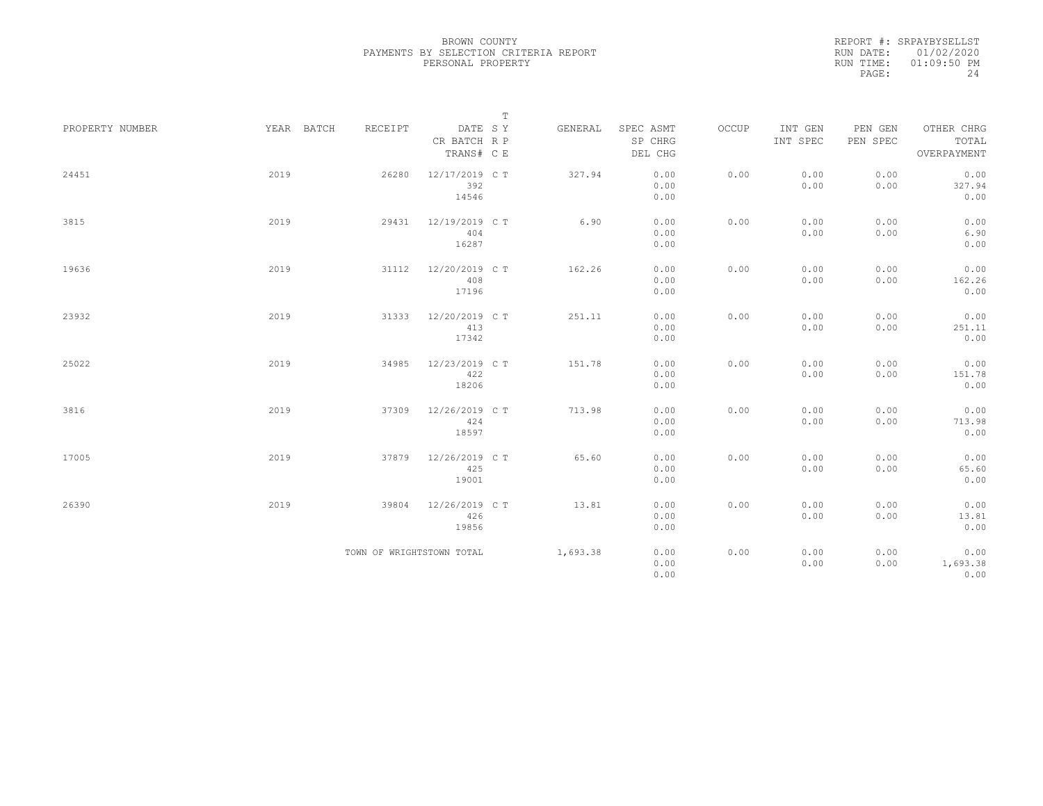|                 |            |                           | $\mathbb T$                           |          |                                 |       |                     |                     |                                    |
|-----------------|------------|---------------------------|---------------------------------------|----------|---------------------------------|-------|---------------------|---------------------|------------------------------------|
| PROPERTY NUMBER | YEAR BATCH | RECEIPT                   | DATE SY<br>CR BATCH R P<br>TRANS# C E | GENERAL  | SPEC ASMT<br>SP CHRG<br>DEL CHG | OCCUP | INT GEN<br>INT SPEC | PEN GEN<br>PEN SPEC | OTHER CHRG<br>TOTAL<br>OVERPAYMENT |
| 24451           | 2019       | 26280                     | 12/17/2019 C T<br>392<br>14546        | 327.94   | 0.00<br>0.00<br>0.00            | 0.00  | 0.00<br>0.00        | 0.00<br>0.00        | 0.00<br>327.94<br>0.00             |
| 3815            | 2019       | 29431                     | 12/19/2019 C T<br>404<br>16287        | 6.90     | 0.00<br>0.00<br>0.00            | 0.00  | 0.00<br>0.00        | 0.00<br>0.00        | 0.00<br>6.90<br>0.00               |
| 19636           | 2019       | 31112                     | 12/20/2019 C T<br>408<br>17196        | 162.26   | 0.00<br>0.00<br>0.00            | 0.00  | 0.00<br>0.00        | 0.00<br>0.00        | 0.00<br>162.26<br>0.00             |
| 23932           | 2019       | 31333                     | 12/20/2019 C T<br>413<br>17342        | 251.11   | 0.00<br>0.00<br>0.00            | 0.00  | 0.00<br>0.00        | 0.00<br>0.00        | 0.00<br>251.11<br>0.00             |
| 25022           | 2019       | 34985                     | 12/23/2019 C T<br>422<br>18206        | 151.78   | 0.00<br>0.00<br>0.00            | 0.00  | 0.00<br>0.00        | 0.00<br>0.00        | 0.00<br>151.78<br>0.00             |
| 3816            | 2019       | 37309                     | 12/26/2019 C T<br>424<br>18597        | 713.98   | 0.00<br>0.00<br>0.00            | 0.00  | 0.00<br>0.00        | 0.00<br>0.00        | 0.00<br>713.98<br>0.00             |
| 17005           | 2019       | 37879                     | 12/26/2019 C T<br>425<br>19001        | 65.60    | 0.00<br>0.00<br>0.00            | 0.00  | 0.00<br>0.00        | 0.00<br>0.00        | 0.00<br>65.60<br>0.00              |
| 26390           | 2019       | 39804                     | 12/26/2019 C T<br>426<br>19856        | 13.81    | 0.00<br>0.00<br>0.00            | 0.00  | 0.00<br>0.00        | 0.00<br>0.00        | 0.00<br>13.81<br>0.00              |
|                 |            | TOWN OF WRIGHTSTOWN TOTAL |                                       | 1,693.38 | 0.00<br>0.00<br>0.00            | 0.00  | 0.00<br>0.00        | 0.00<br>0.00        | 0.00<br>1,693.38<br>0.00           |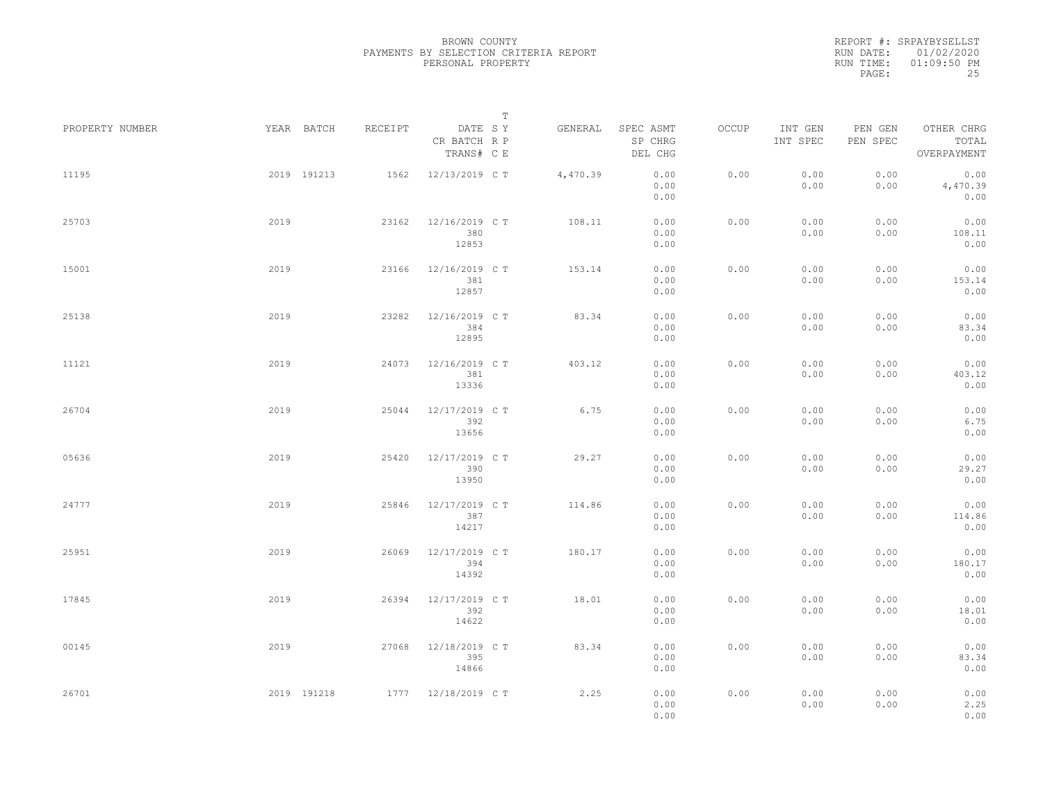|                 |             |         | $\mathbb T$                           |          |                                 |       |                     |                     |                                    |  |
|-----------------|-------------|---------|---------------------------------------|----------|---------------------------------|-------|---------------------|---------------------|------------------------------------|--|
| PROPERTY NUMBER | YEAR BATCH  | RECEIPT | DATE SY<br>CR BATCH R P<br>TRANS# C E | GENERAL  | SPEC ASMT<br>SP CHRG<br>DEL CHG | OCCUP | INT GEN<br>INT SPEC | PEN GEN<br>PEN SPEC | OTHER CHRG<br>TOTAL<br>OVERPAYMENT |  |
| 11195           | 2019 191213 | 1562    | 12/13/2019 C T                        | 4,470.39 | 0.00<br>0.00<br>0.00            | 0.00  | 0.00<br>0.00        | 0.00<br>0.00        | 0.00<br>4,470.39<br>0.00           |  |
| 25703           | 2019        | 23162   | 12/16/2019 C T<br>380<br>12853        | 108.11   | 0.00<br>0.00<br>0.00            | 0.00  | 0.00<br>0.00        | 0.00<br>0.00        | 0.00<br>108.11<br>0.00             |  |
| 15001           | 2019        | 23166   | 12/16/2019 C T<br>381<br>12857        | 153.14   | 0.00<br>0.00<br>0.00            | 0.00  | 0.00<br>0.00        | 0.00<br>0.00        | 0.00<br>153.14<br>0.00             |  |
| 25138           | 2019        | 23282   | 12/16/2019 C T<br>384<br>12895        | 83.34    | 0.00<br>0.00<br>0.00            | 0.00  | 0.00<br>0.00        | 0.00<br>0.00        | 0.00<br>83.34<br>0.00              |  |
| 11121           | 2019        | 24073   | 12/16/2019 C T<br>381<br>13336        | 403.12   | 0.00<br>0.00<br>0.00            | 0.00  | 0.00<br>0.00        | 0.00<br>0.00        | 0.00<br>403.12<br>0.00             |  |
| 26704           | 2019        | 25044   | 12/17/2019 C T<br>392<br>13656        | 6.75     | 0.00<br>0.00<br>0.00            | 0.00  | 0.00<br>0.00        | 0.00<br>0.00        | 0.00<br>6.75<br>0.00               |  |
| 05636           | 2019        | 25420   | 12/17/2019 C T<br>390<br>13950        | 29.27    | 0.00<br>0.00<br>0.00            | 0.00  | 0.00<br>0.00        | 0.00<br>0.00        | 0.00<br>29.27<br>0.00              |  |
| 24777           | 2019        | 25846   | 12/17/2019 C T<br>387<br>14217        | 114.86   | 0.00<br>0.00<br>0.00            | 0.00  | 0.00<br>0.00        | 0.00<br>0.00        | 0.00<br>114.86<br>0.00             |  |
| 25951           | 2019        | 26069   | 12/17/2019 C T<br>394<br>14392        | 180.17   | 0.00<br>0.00<br>0.00            | 0.00  | 0.00<br>0.00        | 0.00<br>0.00        | 0.00<br>180.17<br>0.00             |  |
| 17845           | 2019        | 26394   | 12/17/2019 C T<br>392<br>14622        | 18.01    | 0.00<br>0.00<br>0.00            | 0.00  | 0.00<br>0.00        | 0.00<br>0.00        | 0.00<br>18.01<br>0.00              |  |
| 00145           | 2019        | 27068   | 12/18/2019 C T<br>395<br>14866        | 83.34    | 0.00<br>0.00<br>0.00            | 0.00  | 0.00<br>0.00        | 0.00<br>0.00        | 0.00<br>83.34<br>0.00              |  |
| 26701           | 2019 191218 |         | 1777 12/18/2019 CT                    | 2.25     | 0.00<br>0.00<br>0.00            | 0.00  | 0.00<br>0.00        | 0.00<br>0.00        | 0.00<br>2.25<br>0.00               |  |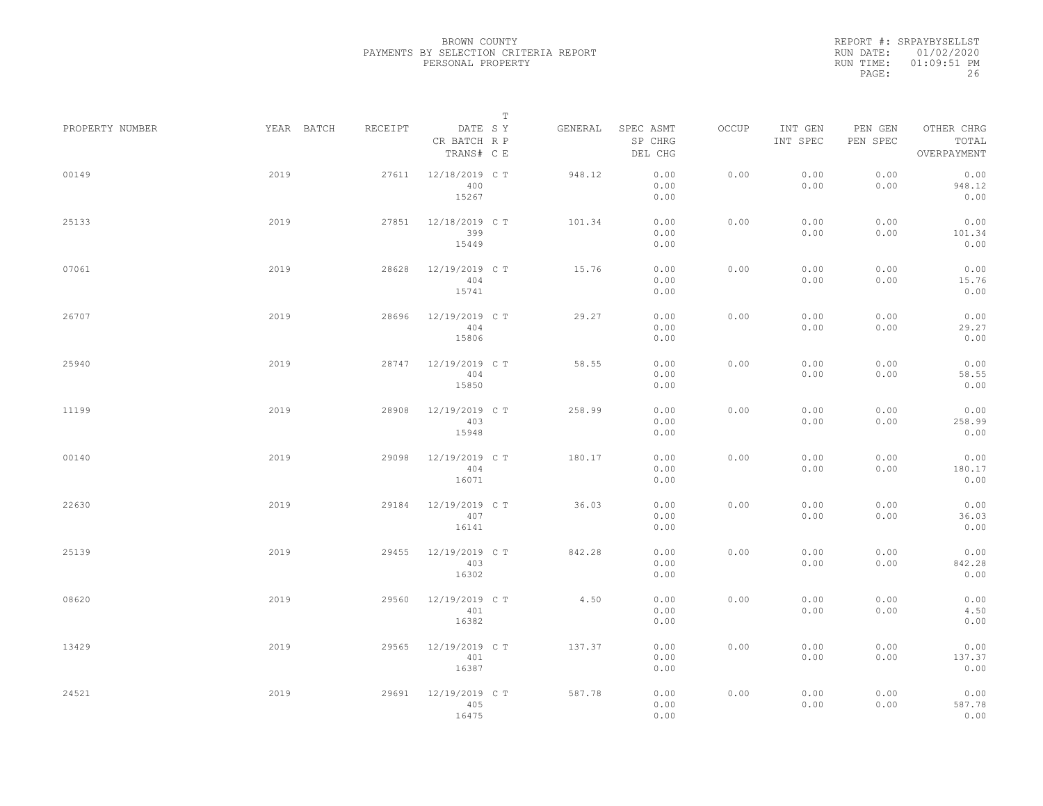|                 |            |         |                                       | $\mathbb T$ |         |                                 |       |                     |                     |                                    |  |
|-----------------|------------|---------|---------------------------------------|-------------|---------|---------------------------------|-------|---------------------|---------------------|------------------------------------|--|
| PROPERTY NUMBER | YEAR BATCH | RECEIPT | DATE SY<br>CR BATCH R P<br>TRANS# C E |             | GENERAL | SPEC ASMT<br>SP CHRG<br>DEL CHG | OCCUP | INT GEN<br>INT SPEC | PEN GEN<br>PEN SPEC | OTHER CHRG<br>TOTAL<br>OVERPAYMENT |  |
| 00149           | 2019       | 27611   | 12/18/2019 C T<br>400<br>15267        |             | 948.12  | 0.00<br>0.00<br>0.00            | 0.00  | 0.00<br>0.00        | 0.00<br>0.00        | 0.00<br>948.12<br>0.00             |  |
| 25133           | 2019       | 27851   | 12/18/2019 C T<br>399<br>15449        |             | 101.34  | 0.00<br>0.00<br>0.00            | 0.00  | 0.00<br>0.00        | 0.00<br>0.00        | 0.00<br>101.34<br>0.00             |  |
| 07061           | 2019       | 28628   | 12/19/2019 C T<br>404<br>15741        |             | 15.76   | 0.00<br>0.00<br>0.00            | 0.00  | 0.00<br>0.00        | 0.00<br>0.00        | 0.00<br>15.76<br>0.00              |  |
| 26707           | 2019       | 28696   | 12/19/2019 C T<br>404<br>15806        |             | 29.27   | 0.00<br>0.00<br>0.00            | 0.00  | 0.00<br>0.00        | 0.00<br>0.00        | 0.00<br>29.27<br>0.00              |  |
| 25940           | 2019       | 28747   | 12/19/2019 C T<br>404<br>15850        |             | 58.55   | 0.00<br>0.00<br>0.00            | 0.00  | 0.00<br>0.00        | 0.00<br>0.00        | 0.00<br>58.55<br>0.00              |  |
| 11199           | 2019       | 28908   | 12/19/2019 C T<br>403<br>15948        |             | 258.99  | 0.00<br>0.00<br>0.00            | 0.00  | 0.00<br>0.00        | 0.00<br>0.00        | 0.00<br>258.99<br>0.00             |  |
| 00140           | 2019       | 29098   | 12/19/2019 C T<br>404<br>16071        |             | 180.17  | 0.00<br>0.00<br>0.00            | 0.00  | 0.00<br>0.00        | 0.00<br>0.00        | 0.00<br>180.17<br>0.00             |  |
| 22630           | 2019       | 29184   | 12/19/2019 C T<br>407<br>16141        |             | 36.03   | 0.00<br>0.00<br>0.00            | 0.00  | 0.00<br>0.00        | 0.00<br>0.00        | 0.00<br>36.03<br>0.00              |  |
| 25139           | 2019       | 29455   | 12/19/2019 C T<br>403<br>16302        |             | 842.28  | 0.00<br>0.00<br>0.00            | 0.00  | 0.00<br>0.00        | 0.00<br>0.00        | 0.00<br>842.28<br>0.00             |  |
| 08620           | 2019       | 29560   | 12/19/2019 C T<br>401<br>16382        |             | 4.50    | 0.00<br>0.00<br>0.00            | 0.00  | 0.00<br>0.00        | 0.00<br>0.00        | 0.00<br>4.50<br>0.00               |  |
| 13429           | 2019       | 29565   | 12/19/2019 C T<br>401<br>16387        |             | 137.37  | 0.00<br>0.00<br>0.00            | 0.00  | 0.00<br>0.00        | 0.00<br>0.00        | 0.00<br>137.37<br>0.00             |  |
| 24521           | 2019       | 29691   | 12/19/2019 C T<br>405<br>16475        |             | 587.78  | 0.00<br>0.00<br>0.00            | 0.00  | 0.00<br>0.00        | 0.00<br>0.00        | 0.00<br>587.78<br>0.00             |  |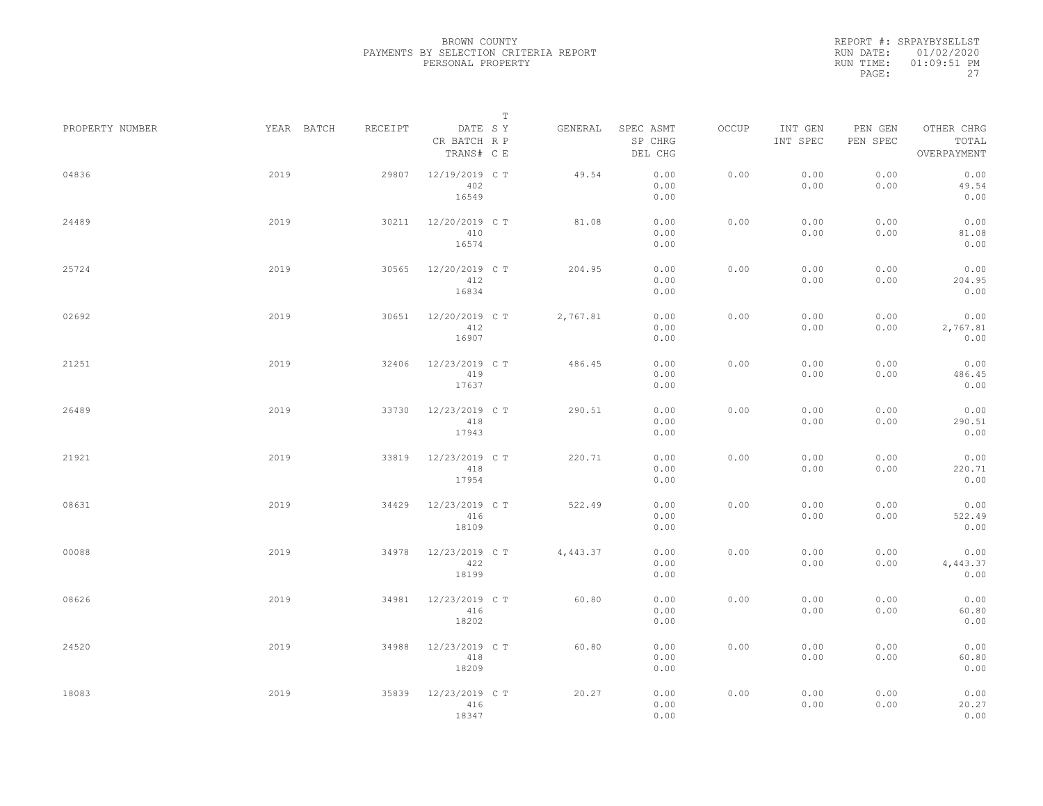|                 |      |            |         |                                       | $\mathbb T$ |          |                                 |       |                     |                     |                                    |  |
|-----------------|------|------------|---------|---------------------------------------|-------------|----------|---------------------------------|-------|---------------------|---------------------|------------------------------------|--|
| PROPERTY NUMBER |      | YEAR BATCH | RECEIPT | DATE SY<br>CR BATCH R P<br>TRANS# C E |             | GENERAL  | SPEC ASMT<br>SP CHRG<br>DEL CHG | OCCUP | INT GEN<br>INT SPEC | PEN GEN<br>PEN SPEC | OTHER CHRG<br>TOTAL<br>OVERPAYMENT |  |
| 04836           | 2019 |            | 29807   | 12/19/2019 C T<br>402<br>16549        |             | 49.54    | 0.00<br>0.00<br>0.00            | 0.00  | 0.00<br>0.00        | 0.00<br>0.00        | 0.00<br>49.54<br>0.00              |  |
| 24489           | 2019 |            | 30211   | 12/20/2019 C T<br>410<br>16574        |             | 81.08    | 0.00<br>0.00<br>0.00            | 0.00  | 0.00<br>0.00        | 0.00<br>0.00        | 0.00<br>81.08<br>0.00              |  |
| 25724           | 2019 |            | 30565   | 12/20/2019 C T<br>412<br>16834        |             | 204.95   | 0.00<br>0.00<br>0.00            | 0.00  | 0.00<br>0.00        | 0.00<br>0.00        | 0.00<br>204.95<br>0.00             |  |
| 02692           | 2019 |            | 30651   | 12/20/2019 C T<br>412<br>16907        |             | 2,767.81 | 0.00<br>0.00<br>0.00            | 0.00  | 0.00<br>0.00        | 0.00<br>0.00        | 0.00<br>2,767.81<br>0.00           |  |
| 21251           | 2019 |            | 32406   | 12/23/2019 C T<br>419<br>17637        |             | 486.45   | 0.00<br>0.00<br>0.00            | 0.00  | 0.00<br>0.00        | 0.00<br>0.00        | 0.00<br>486.45<br>0.00             |  |
| 26489           | 2019 |            | 33730   | 12/23/2019 C T<br>418<br>17943        |             | 290.51   | 0.00<br>0.00<br>0.00            | 0.00  | 0.00<br>0.00        | 0.00<br>0.00        | 0.00<br>290.51<br>0.00             |  |
| 21921           | 2019 |            | 33819   | 12/23/2019 C T<br>418<br>17954        |             | 220.71   | 0.00<br>0.00<br>0.00            | 0.00  | 0.00<br>0.00        | 0.00<br>0.00        | 0.00<br>220.71<br>0.00             |  |
| 08631           | 2019 |            | 34429   | 12/23/2019 C T<br>416<br>18109        |             | 522.49   | 0.00<br>0.00<br>0.00            | 0.00  | 0.00<br>0.00        | 0.00<br>0.00        | 0.00<br>522.49<br>0.00             |  |
| 00088           | 2019 |            | 34978   | 12/23/2019 C T<br>422<br>18199        |             | 4,443.37 | 0.00<br>0.00<br>0.00            | 0.00  | 0.00<br>0.00        | 0.00<br>0.00        | 0.00<br>4,443.37<br>0.00           |  |
| 08626           | 2019 |            | 34981   | 12/23/2019 C T<br>416<br>18202        |             | 60.80    | 0.00<br>0.00<br>0.00            | 0.00  | 0.00<br>0.00        | 0.00<br>0.00        | 0.00<br>60.80<br>0.00              |  |
| 24520           | 2019 |            | 34988   | 12/23/2019 C T<br>418<br>18209        |             | 60.80    | 0.00<br>0.00<br>0.00            | 0.00  | 0.00<br>0.00        | 0.00<br>0.00        | 0.00<br>60.80<br>0.00              |  |
| 18083           | 2019 |            | 35839   | 12/23/2019 C T<br>416<br>18347        |             | 20.27    | 0.00<br>0.00<br>0.00            | 0.00  | 0.00<br>0.00        | 0.00<br>0.00        | 0.00<br>20.27<br>0.00              |  |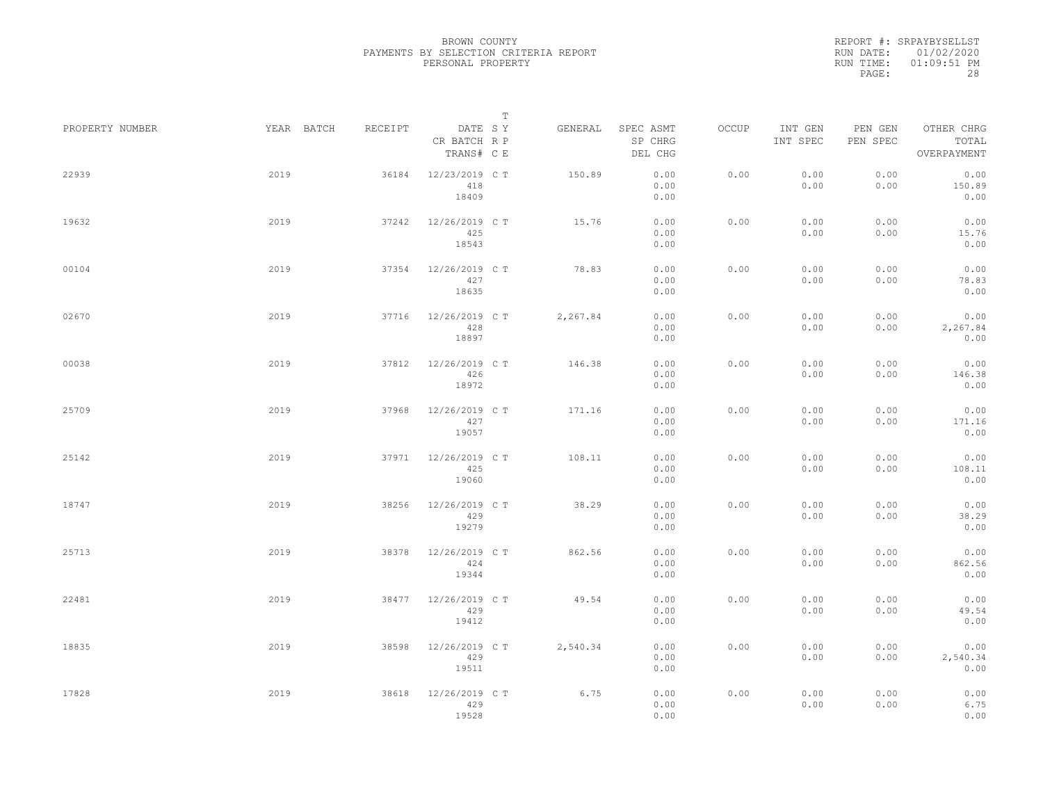|                 |      |            |         |                                       | $\mathbb T$ |          |                                 |       |                     |                     |                                    |  |
|-----------------|------|------------|---------|---------------------------------------|-------------|----------|---------------------------------|-------|---------------------|---------------------|------------------------------------|--|
| PROPERTY NUMBER |      | YEAR BATCH | RECEIPT | DATE SY<br>CR BATCH R P<br>TRANS# C E |             | GENERAL  | SPEC ASMT<br>SP CHRG<br>DEL CHG | OCCUP | INT GEN<br>INT SPEC | PEN GEN<br>PEN SPEC | OTHER CHRG<br>TOTAL<br>OVERPAYMENT |  |
| 22939           | 2019 |            | 36184   | 12/23/2019 C T<br>418<br>18409        |             | 150.89   | 0.00<br>0.00<br>0.00            | 0.00  | 0.00<br>0.00        | 0.00<br>0.00        | 0.00<br>150.89<br>0.00             |  |
| 19632           | 2019 |            | 37242   | 12/26/2019 C T<br>425<br>18543        |             | 15.76    | 0.00<br>0.00<br>0.00            | 0.00  | 0.00<br>0.00        | 0.00<br>0.00        | 0.00<br>15.76<br>0.00              |  |
| 00104           | 2019 |            | 37354   | 12/26/2019 C T<br>427<br>18635        |             | 78.83    | 0.00<br>0.00<br>0.00            | 0.00  | 0.00<br>0.00        | 0.00<br>0.00        | 0.00<br>78.83<br>0.00              |  |
| 02670           | 2019 |            | 37716   | 12/26/2019 C T<br>428<br>18897        |             | 2,267.84 | 0.00<br>0.00<br>0.00            | 0.00  | 0.00<br>0.00        | 0.00<br>0.00        | 0.00<br>2,267.84<br>0.00           |  |
| 00038           | 2019 |            | 37812   | 12/26/2019 C T<br>426<br>18972        |             | 146.38   | 0.00<br>0.00<br>0.00            | 0.00  | 0.00<br>0.00        | 0.00<br>0.00        | 0.00<br>146.38<br>0.00             |  |
| 25709           | 2019 |            | 37968   | 12/26/2019 C T<br>427<br>19057        |             | 171.16   | 0.00<br>0.00<br>0.00            | 0.00  | 0.00<br>0.00        | 0.00<br>0.00        | 0.00<br>171.16<br>0.00             |  |
| 25142           | 2019 |            | 37971   | 12/26/2019 C T<br>425<br>19060        |             | 108.11   | 0.00<br>0.00<br>0.00            | 0.00  | 0.00<br>0.00        | 0.00<br>0.00        | 0.00<br>108.11<br>0.00             |  |
| 18747           | 2019 |            | 38256   | 12/26/2019 C T<br>429<br>19279        |             | 38.29    | 0.00<br>0.00<br>0.00            | 0.00  | 0.00<br>0.00        | 0.00<br>0.00        | 0.00<br>38.29<br>0.00              |  |
| 25713           | 2019 |            | 38378   | 12/26/2019 C T<br>424<br>19344        |             | 862.56   | 0.00<br>0.00<br>0.00            | 0.00  | 0.00<br>0.00        | 0.00<br>0.00        | 0.00<br>862.56<br>0.00             |  |
| 22481           | 2019 |            | 38477   | 12/26/2019 C T<br>429<br>19412        |             | 49.54    | 0.00<br>0.00<br>0.00            | 0.00  | 0.00<br>0.00        | 0.00<br>0.00        | 0.00<br>49.54<br>0.00              |  |
| 18835           | 2019 |            | 38598   | 12/26/2019 C T<br>429<br>19511        |             | 2,540.34 | 0.00<br>0.00<br>0.00            | 0.00  | 0.00<br>0.00        | 0.00<br>0.00        | 0.00<br>2,540.34<br>0.00           |  |
| 17828           | 2019 |            | 38618   | 12/26/2019 C T<br>429<br>19528        |             | 6.75     | 0.00<br>0.00<br>0.00            | 0.00  | 0.00<br>0.00        | 0.00<br>0.00        | 0.00<br>6.75<br>0.00               |  |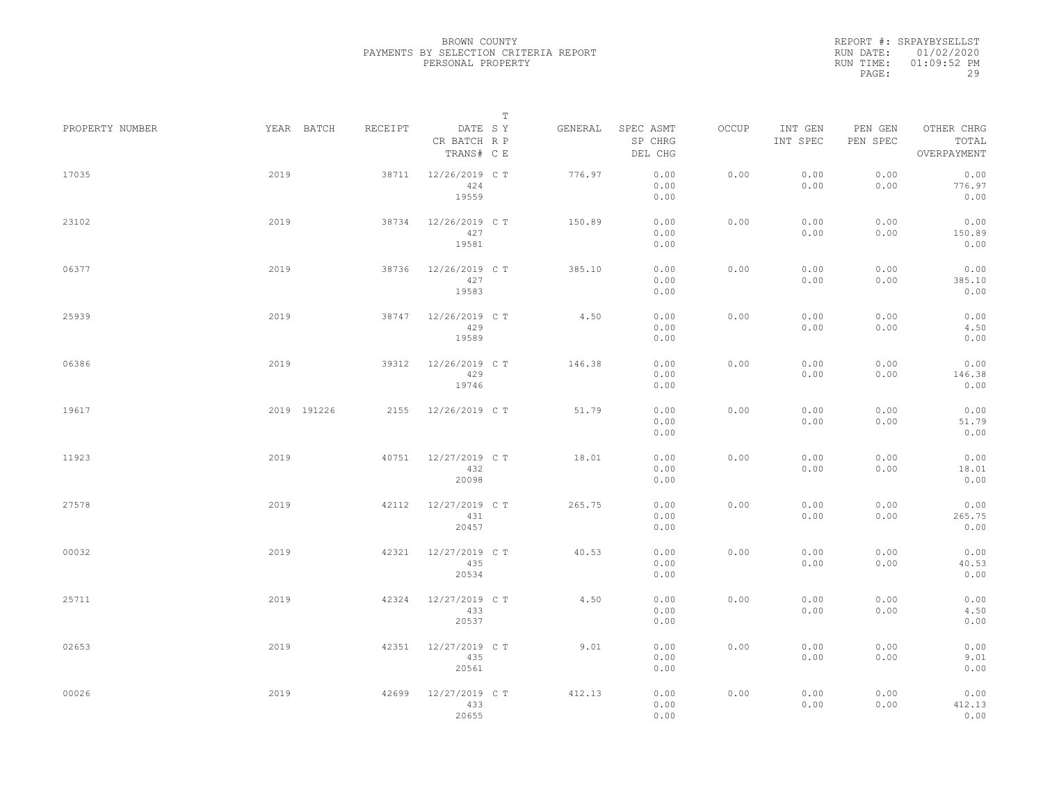|                 |      |             |         |                                       | $\mathbb T$ |         |                                 |       |                     |                     |                                    |  |
|-----------------|------|-------------|---------|---------------------------------------|-------------|---------|---------------------------------|-------|---------------------|---------------------|------------------------------------|--|
| PROPERTY NUMBER |      | YEAR BATCH  | RECEIPT | DATE SY<br>CR BATCH R P<br>TRANS# C E |             | GENERAL | SPEC ASMT<br>SP CHRG<br>DEL CHG | OCCUP | INT GEN<br>INT SPEC | PEN GEN<br>PEN SPEC | OTHER CHRG<br>TOTAL<br>OVERPAYMENT |  |
| 17035           | 2019 |             | 38711   | 12/26/2019 C T<br>424<br>19559        |             | 776.97  | 0.00<br>0.00<br>0.00            | 0.00  | 0.00<br>0.00        | 0.00<br>0.00        | 0.00<br>776.97<br>0.00             |  |
| 23102           | 2019 |             | 38734   | 12/26/2019 C T<br>427<br>19581        |             | 150.89  | 0.00<br>0.00<br>0.00            | 0.00  | 0.00<br>0.00        | 0.00<br>0.00        | 0.00<br>150.89<br>0.00             |  |
| 06377           | 2019 |             | 38736   | 12/26/2019 C T<br>427<br>19583        |             | 385.10  | 0.00<br>0.00<br>0.00            | 0.00  | 0.00<br>0.00        | 0.00<br>0.00        | 0.00<br>385.10<br>0.00             |  |
| 25939           | 2019 |             | 38747   | 12/26/2019 C T<br>429<br>19589        |             | 4.50    | 0.00<br>0.00<br>0.00            | 0.00  | 0.00<br>0.00        | 0.00<br>0.00        | 0.00<br>4.50<br>0.00               |  |
| 06386           | 2019 |             | 39312   | 12/26/2019 C T<br>429<br>19746        |             | 146.38  | 0.00<br>0.00<br>0.00            | 0.00  | 0.00<br>0.00        | 0.00<br>0.00        | 0.00<br>146.38<br>0.00             |  |
| 19617           |      | 2019 191226 | 2155    | 12/26/2019 C T                        |             | 51.79   | 0.00<br>0.00<br>0.00            | 0.00  | 0.00<br>0.00        | 0.00<br>0.00        | 0.00<br>51.79<br>0.00              |  |
| 11923           | 2019 |             | 40751   | 12/27/2019 C T<br>432<br>20098        |             | 18.01   | 0.00<br>0.00<br>0.00            | 0.00  | 0.00<br>0.00        | 0.00<br>0.00        | 0.00<br>18.01<br>0.00              |  |
| 27578           | 2019 |             | 42112   | 12/27/2019 C T<br>431<br>20457        |             | 265.75  | 0.00<br>0.00<br>0.00            | 0.00  | 0.00<br>0.00        | 0.00<br>0.00        | 0.00<br>265.75<br>0.00             |  |
| 00032           | 2019 |             | 42321   | 12/27/2019 C T<br>435<br>20534        |             | 40.53   | 0.00<br>0.00<br>0.00            | 0.00  | 0.00<br>0.00        | 0.00<br>0.00        | 0.00<br>40.53<br>0.00              |  |
| 25711           | 2019 |             | 42324   | 12/27/2019 C T<br>433<br>20537        |             | 4.50    | 0.00<br>0.00<br>0.00            | 0.00  | 0.00<br>0.00        | 0.00<br>0.00        | 0.00<br>4.50<br>0.00               |  |
| 02653           | 2019 |             | 42351   | 12/27/2019 C T<br>435<br>20561        |             | 9.01    | 0.00<br>0.00<br>0.00            | 0.00  | 0.00<br>0.00        | 0.00<br>0.00        | 0.00<br>9.01<br>0.00               |  |
| 00026           | 2019 |             | 42699   | 12/27/2019 C T<br>433<br>20655        |             | 412.13  | 0.00<br>0.00<br>0.00            | 0.00  | 0.00<br>0.00        | 0.00<br>0.00        | 0.00<br>412.13<br>0.00             |  |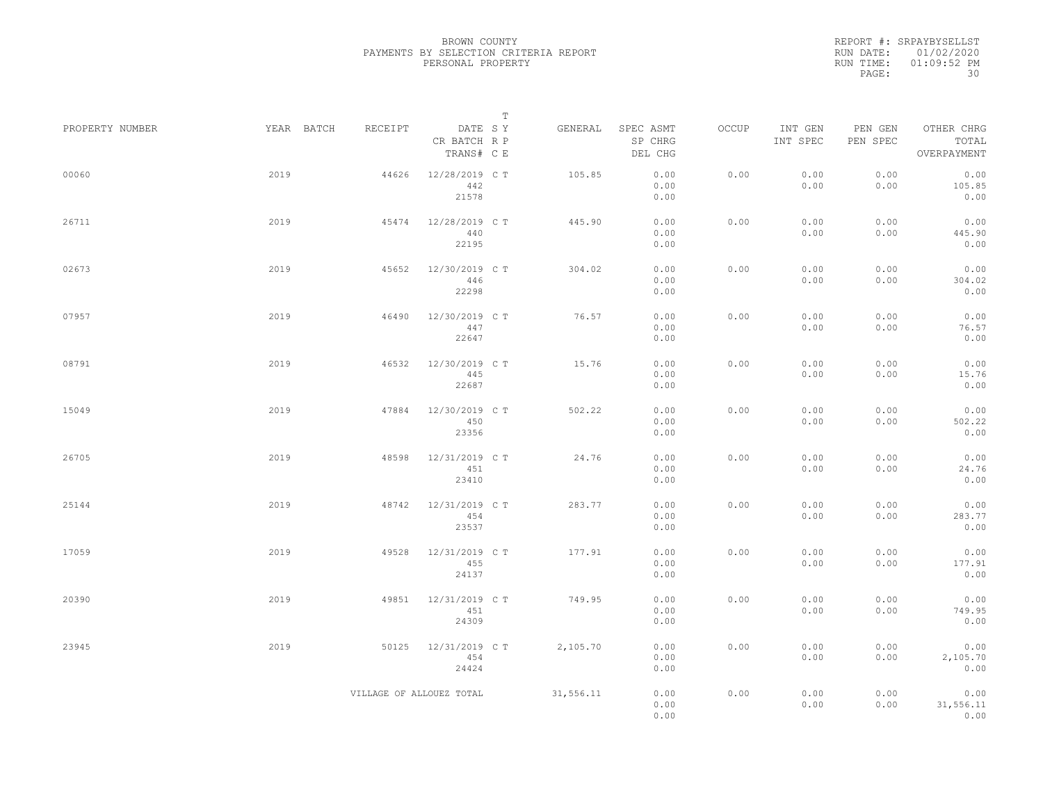|                 |            |                          | $\mathbb T$                           |           |                                 |       |                     |                     |                                    |
|-----------------|------------|--------------------------|---------------------------------------|-----------|---------------------------------|-------|---------------------|---------------------|------------------------------------|
| PROPERTY NUMBER | YEAR BATCH | RECEIPT                  | DATE SY<br>CR BATCH R P<br>TRANS# C E | GENERAL   | SPEC ASMT<br>SP CHRG<br>DEL CHG | OCCUP | INT GEN<br>INT SPEC | PEN GEN<br>PEN SPEC | OTHER CHRG<br>TOTAL<br>OVERPAYMENT |
| 00060           | 2019       | 44626                    | 12/28/2019 C T<br>442<br>21578        | 105.85    | 0.00<br>0.00<br>0.00            | 0.00  | 0.00<br>0.00        | 0.00<br>0.00        | 0.00<br>105.85<br>0.00             |
| 26711           | 2019       | 45474                    | 12/28/2019 C T<br>440<br>22195        | 445.90    | 0.00<br>0.00<br>0.00            | 0.00  | 0.00<br>0.00        | 0.00<br>0.00        | 0.00<br>445.90<br>0.00             |
| 02673           | 2019       | 45652                    | 12/30/2019 C T<br>446<br>22298        | 304.02    | 0.00<br>0.00<br>0.00            | 0.00  | 0.00<br>0.00        | 0.00<br>0.00        | 0.00<br>304.02<br>0.00             |
| 07957           | 2019       | 46490                    | 12/30/2019 C T<br>447<br>22647        | 76.57     | 0.00<br>0.00<br>0.00            | 0.00  | 0.00<br>0.00        | 0.00<br>0.00        | 0.00<br>76.57<br>0.00              |
| 08791           | 2019       | 46532                    | 12/30/2019 C T<br>445<br>22687        | 15.76     | 0.00<br>0.00<br>0.00            | 0.00  | 0.00<br>0.00        | 0.00<br>0.00        | 0.00<br>15.76<br>0.00              |
| 15049           | 2019       | 47884                    | 12/30/2019 C T<br>450<br>23356        | 502.22    | 0.00<br>0.00<br>0.00            | 0.00  | 0.00<br>0.00        | 0.00<br>0.00        | 0.00<br>502.22<br>0.00             |
| 26705           | 2019       | 48598                    | 12/31/2019 C T<br>451<br>23410        | 24.76     | 0.00<br>0.00<br>0.00            | 0.00  | 0.00<br>0.00        | 0.00<br>0.00        | 0.00<br>24.76<br>0.00              |
| 25144           | 2019       | 48742                    | 12/31/2019 C T<br>454<br>23537        | 283.77    | 0.00<br>0.00<br>0.00            | 0.00  | 0.00<br>0.00        | 0.00<br>0.00        | 0.00<br>283.77<br>0.00             |
| 17059           | 2019       | 49528                    | 12/31/2019 C T<br>455<br>24137        | 177.91    | 0.00<br>0.00<br>0.00            | 0.00  | 0.00<br>0.00        | 0.00<br>0.00        | 0.00<br>177.91<br>0.00             |
| 20390           | 2019       | 49851                    | 12/31/2019 C T<br>451<br>24309        | 749.95    | 0.00<br>0.00<br>0.00            | 0.00  | 0.00<br>0.00        | 0.00<br>0.00        | 0.00<br>749.95<br>0.00             |
| 23945           | 2019       | 50125                    | 12/31/2019 C T<br>454<br>24424        | 2,105.70  | 0.00<br>0.00<br>0.00            | 0.00  | 0.00<br>0.00        | 0.00<br>0.00        | 0.00<br>2,105.70<br>0.00           |
|                 |            | VILLAGE OF ALLOUEZ TOTAL |                                       | 31,556.11 | 0.00<br>0.00<br>0.00            | 0.00  | 0.00<br>0.00        | 0.00<br>0.00        | 0.00<br>31,556.11<br>0.00          |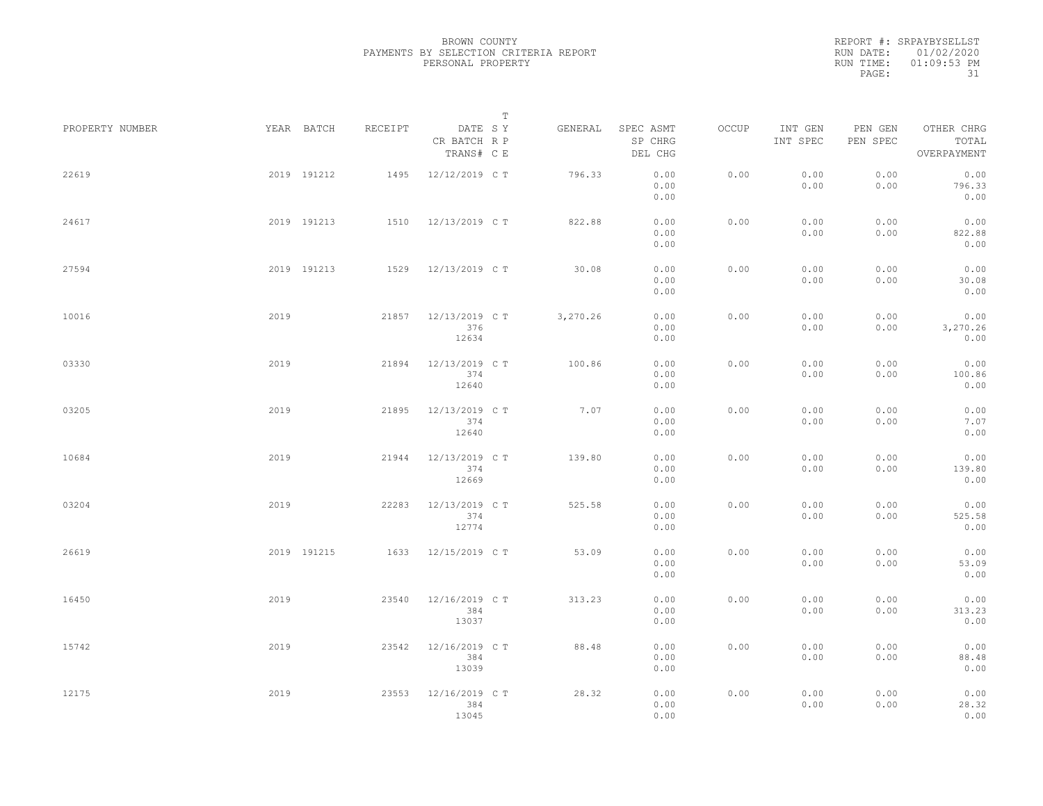|                 |      |             |         |                                       | $\mathbb T$ |          |                                 |       |                     |                     |                                    |  |
|-----------------|------|-------------|---------|---------------------------------------|-------------|----------|---------------------------------|-------|---------------------|---------------------|------------------------------------|--|
| PROPERTY NUMBER |      | YEAR BATCH  | RECEIPT | DATE SY<br>CR BATCH R P<br>TRANS# C E |             | GENERAL  | SPEC ASMT<br>SP CHRG<br>DEL CHG | OCCUP | INT GEN<br>INT SPEC | PEN GEN<br>PEN SPEC | OTHER CHRG<br>TOTAL<br>OVERPAYMENT |  |
| 22619           |      | 2019 191212 | 1495    | 12/12/2019 C T                        |             | 796.33   | 0.00<br>0.00<br>0.00            | 0.00  | 0.00<br>0.00        | 0.00<br>0.00        | 0.00<br>796.33<br>0.00             |  |
| 24617           |      | 2019 191213 |         | 1510 12/13/2019 CT                    |             | 822.88   | 0.00<br>0.00<br>0.00            | 0.00  | 0.00<br>0.00        | 0.00<br>0.00        | 0.00<br>822.88<br>0.00             |  |
| 27594           |      | 2019 191213 |         | 1529 12/13/2019 CT                    |             | 30.08    | 0.00<br>0.00<br>0.00            | 0.00  | 0.00<br>0.00        | 0.00<br>0.00        | 0.00<br>30.08<br>0.00              |  |
| 10016           | 2019 |             | 21857   | 12/13/2019 C T<br>376<br>12634        |             | 3,270.26 | 0.00<br>0.00<br>0.00            | 0.00  | 0.00<br>0.00        | 0.00<br>0.00        | 0.00<br>3,270.26<br>0.00           |  |
| 03330           | 2019 |             | 21894   | 12/13/2019 C T<br>374<br>12640        |             | 100.86   | 0.00<br>0.00<br>0.00            | 0.00  | 0.00<br>0.00        | 0.00<br>0.00        | 0.00<br>100.86<br>0.00             |  |
| 03205           | 2019 |             | 21895   | 12/13/2019 C T<br>374<br>12640        |             | 7.07     | 0.00<br>0.00<br>0.00            | 0.00  | 0.00<br>0.00        | 0.00<br>0.00        | 0.00<br>7.07<br>0.00               |  |
| 10684           | 2019 |             | 21944   | 12/13/2019 C T<br>374<br>12669        |             | 139.80   | 0.00<br>0.00<br>0.00            | 0.00  | 0.00<br>0.00        | 0.00<br>0.00        | 0.00<br>139.80<br>0.00             |  |
| 03204           | 2019 |             | 22283   | 12/13/2019 C T<br>374<br>12774        |             | 525.58   | 0.00<br>0.00<br>0.00            | 0.00  | 0.00<br>0.00        | 0.00<br>0.00        | 0.00<br>525.58<br>0.00             |  |
| 26619           |      | 2019 191215 | 1633    | 12/15/2019 C T                        |             | 53.09    | 0.00<br>0.00<br>0.00            | 0.00  | 0.00<br>0.00        | 0.00<br>0.00        | 0.00<br>53.09<br>0.00              |  |
| 16450           | 2019 |             | 23540   | 12/16/2019 C T<br>384<br>13037        |             | 313.23   | 0.00<br>0.00<br>0.00            | 0.00  | 0.00<br>0.00        | 0.00<br>0.00        | 0.00<br>313.23<br>0.00             |  |
| 15742           | 2019 |             | 23542   | 12/16/2019 C T<br>384<br>13039        |             | 88.48    | 0.00<br>0.00<br>0.00            | 0.00  | 0.00<br>0.00        | 0.00<br>0.00        | 0.00<br>88.48<br>0.00              |  |
| 12175           | 2019 |             | 23553   | 12/16/2019 C T<br>384<br>13045        |             | 28.32    | 0.00<br>0.00<br>0.00            | 0.00  | 0.00<br>0.00        | 0.00<br>0.00        | 0.00<br>28.32<br>0.00              |  |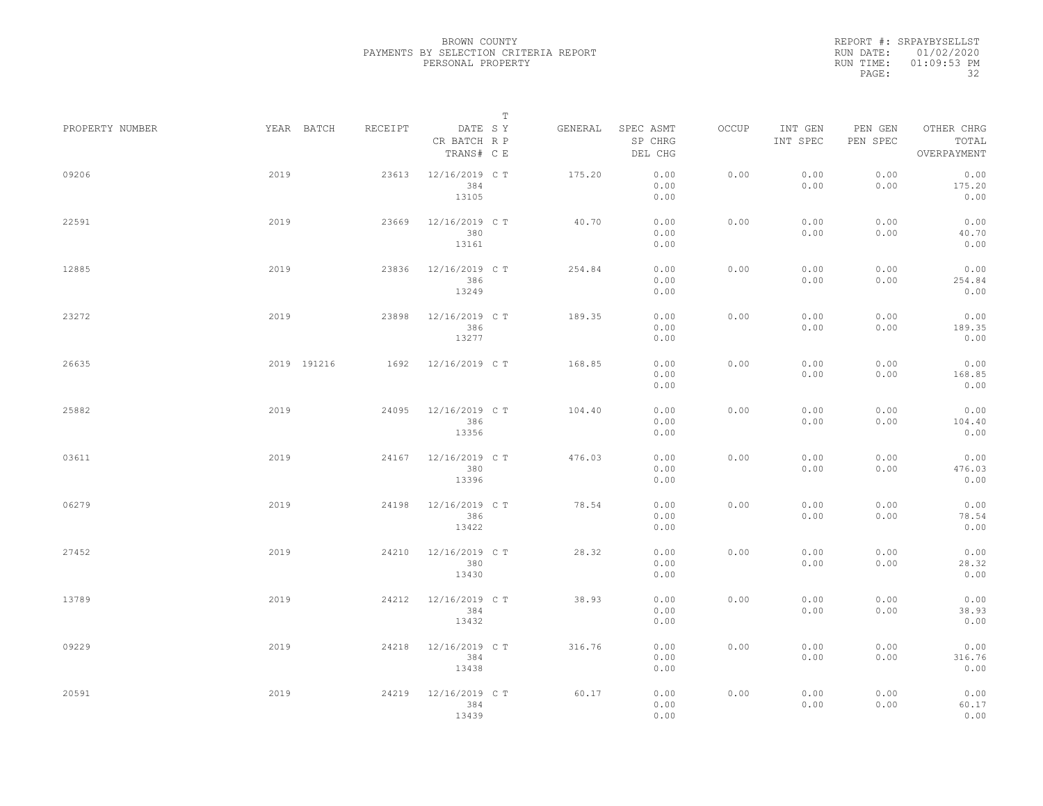|                 |      |             |         |                                       | $\mathbb T$ |         |                                 |       |                     |                     |                                    |  |
|-----------------|------|-------------|---------|---------------------------------------|-------------|---------|---------------------------------|-------|---------------------|---------------------|------------------------------------|--|
| PROPERTY NUMBER |      | YEAR BATCH  | RECEIPT | DATE SY<br>CR BATCH R P<br>TRANS# C E |             | GENERAL | SPEC ASMT<br>SP CHRG<br>DEL CHG | OCCUP | INT GEN<br>INT SPEC | PEN GEN<br>PEN SPEC | OTHER CHRG<br>TOTAL<br>OVERPAYMENT |  |
| 09206           | 2019 |             | 23613   | 12/16/2019 C T<br>384<br>13105        |             | 175.20  | 0.00<br>0.00<br>0.00            | 0.00  | 0.00<br>0.00        | 0.00<br>0.00        | 0.00<br>175.20<br>0.00             |  |
| 22591           | 2019 |             | 23669   | 12/16/2019 C T<br>380<br>13161        |             | 40.70   | 0.00<br>0.00<br>0.00            | 0.00  | 0.00<br>0.00        | 0.00<br>0.00        | 0.00<br>40.70<br>0.00              |  |
| 12885           | 2019 |             | 23836   | 12/16/2019 C T<br>386<br>13249        |             | 254.84  | 0.00<br>0.00<br>0.00            | 0.00  | 0.00<br>0.00        | 0.00<br>0.00        | 0.00<br>254.84<br>0.00             |  |
| 23272           | 2019 |             | 23898   | 12/16/2019 C T<br>386<br>13277        |             | 189.35  | 0.00<br>0.00<br>0.00            | 0.00  | 0.00<br>0.00        | 0.00<br>0.00        | 0.00<br>189.35<br>0.00             |  |
| 26635           |      | 2019 191216 | 1692    | 12/16/2019 C T                        |             | 168.85  | 0.00<br>0.00<br>0.00            | 0.00  | 0.00<br>0.00        | 0.00<br>0.00        | 0.00<br>168.85<br>0.00             |  |
| 25882           | 2019 |             | 24095   | 12/16/2019 C T<br>386<br>13356        |             | 104.40  | 0.00<br>0.00<br>0.00            | 0.00  | 0.00<br>0.00        | 0.00<br>0.00        | 0.00<br>104.40<br>0.00             |  |
| 03611           | 2019 |             | 24167   | 12/16/2019 C T<br>380<br>13396        |             | 476.03  | 0.00<br>0.00<br>0.00            | 0.00  | 0.00<br>0.00        | 0.00<br>0.00        | 0.00<br>476.03<br>0.00             |  |
| 06279           | 2019 |             | 24198   | 12/16/2019 C T<br>386<br>13422        |             | 78.54   | 0.00<br>0.00<br>0.00            | 0.00  | 0.00<br>0.00        | 0.00<br>0.00        | 0.00<br>78.54<br>0.00              |  |
| 27452           | 2019 |             | 24210   | 12/16/2019 C T<br>380<br>13430        |             | 28.32   | 0.00<br>0.00<br>0.00            | 0.00  | 0.00<br>0.00        | 0.00<br>0.00        | 0.00<br>28.32<br>0.00              |  |
| 13789           | 2019 |             | 24212   | 12/16/2019 C T<br>384<br>13432        |             | 38.93   | 0.00<br>0.00<br>0.00            | 0.00  | 0.00<br>0.00        | 0.00<br>0.00        | 0.00<br>38.93<br>0.00              |  |
| 09229           | 2019 |             | 24218   | 12/16/2019 C T<br>384<br>13438        |             | 316.76  | 0.00<br>0.00<br>0.00            | 0.00  | 0.00<br>0.00        | 0.00<br>0.00        | 0.00<br>316.76<br>0.00             |  |
| 20591           | 2019 |             | 24219   | 12/16/2019 C T<br>384<br>13439        |             | 60.17   | 0.00<br>0.00<br>0.00            | 0.00  | 0.00<br>0.00        | 0.00<br>0.00        | 0.00<br>60.17<br>0.00              |  |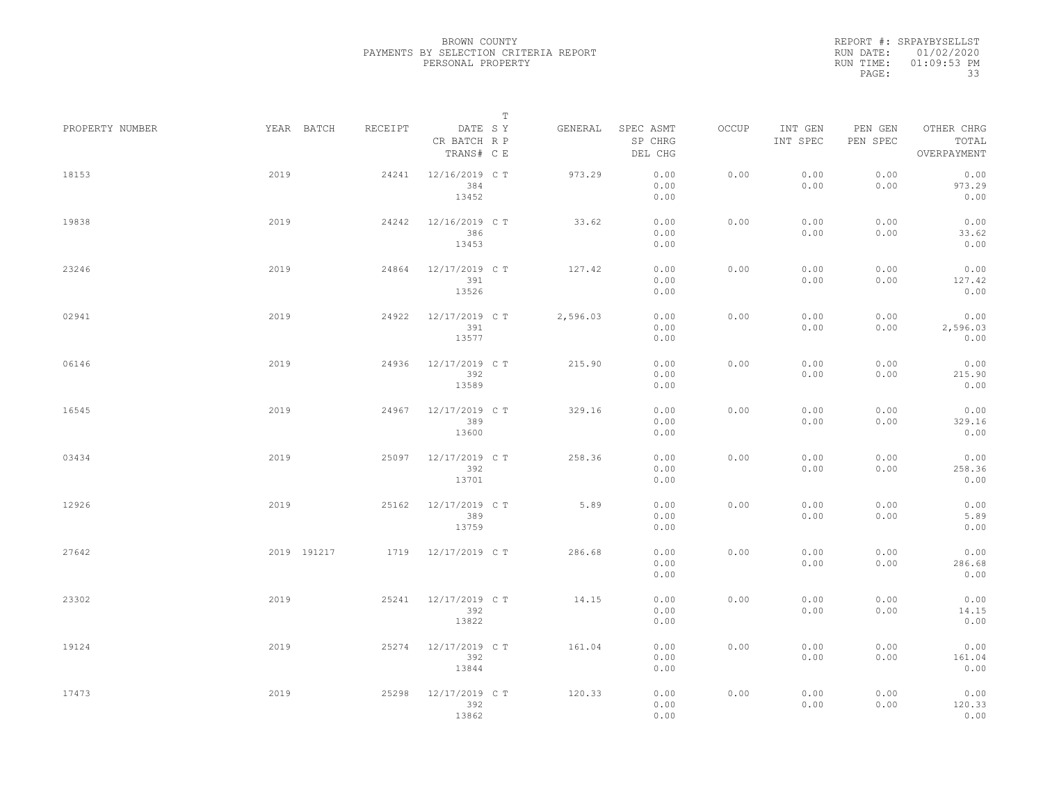|                 |             |         |                                       | T |          |                                 |       |                     |                     |                                    |  |
|-----------------|-------------|---------|---------------------------------------|---|----------|---------------------------------|-------|---------------------|---------------------|------------------------------------|--|
| PROPERTY NUMBER | YEAR BATCH  | RECEIPT | DATE SY<br>CR BATCH R P<br>TRANS# C E |   | GENERAL  | SPEC ASMT<br>SP CHRG<br>DEL CHG | OCCUP | INT GEN<br>INT SPEC | PEN GEN<br>PEN SPEC | OTHER CHRG<br>TOTAL<br>OVERPAYMENT |  |
| 18153           | 2019        | 24241   | 12/16/2019 C T<br>384<br>13452        |   | 973.29   | 0.00<br>0.00<br>0.00            | 0.00  | 0.00<br>0.00        | 0.00<br>0.00        | 0.00<br>973.29<br>0.00             |  |
| 19838           | 2019        | 24242   | 12/16/2019 C T<br>386<br>13453        |   | 33.62    | 0.00<br>0.00<br>0.00            | 0.00  | 0.00<br>0.00        | 0.00<br>0.00        | 0.00<br>33.62<br>0.00              |  |
| 23246           | 2019        | 24864   | 12/17/2019 C T<br>391<br>13526        |   | 127.42   | 0.00<br>0.00<br>0.00            | 0.00  | 0.00<br>0.00        | 0.00<br>0.00        | 0.00<br>127.42<br>0.00             |  |
| 02941           | 2019        | 24922   | 12/17/2019 C T<br>391<br>13577        |   | 2,596.03 | 0.00<br>0.00<br>0.00            | 0.00  | 0.00<br>0.00        | 0.00<br>0.00        | 0.00<br>2,596.03<br>0.00           |  |
| 06146           | 2019        | 24936   | 12/17/2019 C T<br>392<br>13589        |   | 215.90   | 0.00<br>0.00<br>0.00            | 0.00  | 0.00<br>0.00        | 0.00<br>0.00        | 0.00<br>215.90<br>0.00             |  |
| 16545           | 2019        | 24967   | 12/17/2019 C T<br>389<br>13600        |   | 329.16   | 0.00<br>0.00<br>0.00            | 0.00  | 0.00<br>0.00        | 0.00<br>0.00        | 0.00<br>329.16<br>0.00             |  |
| 03434           | 2019        | 25097   | 12/17/2019 C T<br>392<br>13701        |   | 258.36   | 0.00<br>0.00<br>0.00            | 0.00  | 0.00<br>0.00        | 0.00<br>0.00        | 0.00<br>258.36<br>0.00             |  |
| 12926           | 2019        | 25162   | 12/17/2019 C T<br>389<br>13759        |   | 5.89     | 0.00<br>0.00<br>0.00            | 0.00  | 0.00<br>0.00        | 0.00<br>0.00        | 0.00<br>5.89<br>0.00               |  |
| 27642           | 2019 191217 |         | 1719 12/17/2019 CT                    |   | 286.68   | 0.00<br>0.00<br>0.00            | 0.00  | 0.00<br>0.00        | 0.00<br>0.00        | 0.00<br>286.68<br>0.00             |  |
| 23302           | 2019        | 25241   | 12/17/2019 C T<br>392<br>13822        |   | 14.15    | 0.00<br>0.00<br>0.00            | 0.00  | 0.00<br>0.00        | 0.00<br>0.00        | 0.00<br>14.15<br>0.00              |  |
| 19124           | 2019        | 25274   | 12/17/2019 C T<br>392<br>13844        |   | 161.04   | 0.00<br>0.00<br>0.00            | 0.00  | 0.00<br>0.00        | 0.00<br>0.00        | 0.00<br>161.04<br>0.00             |  |
| 17473           | 2019        | 25298   | 12/17/2019 C T<br>392<br>13862        |   | 120.33   | 0.00<br>0.00<br>0.00            | 0.00  | 0.00<br>0.00        | 0.00<br>0.00        | 0.00<br>120.33<br>0.00             |  |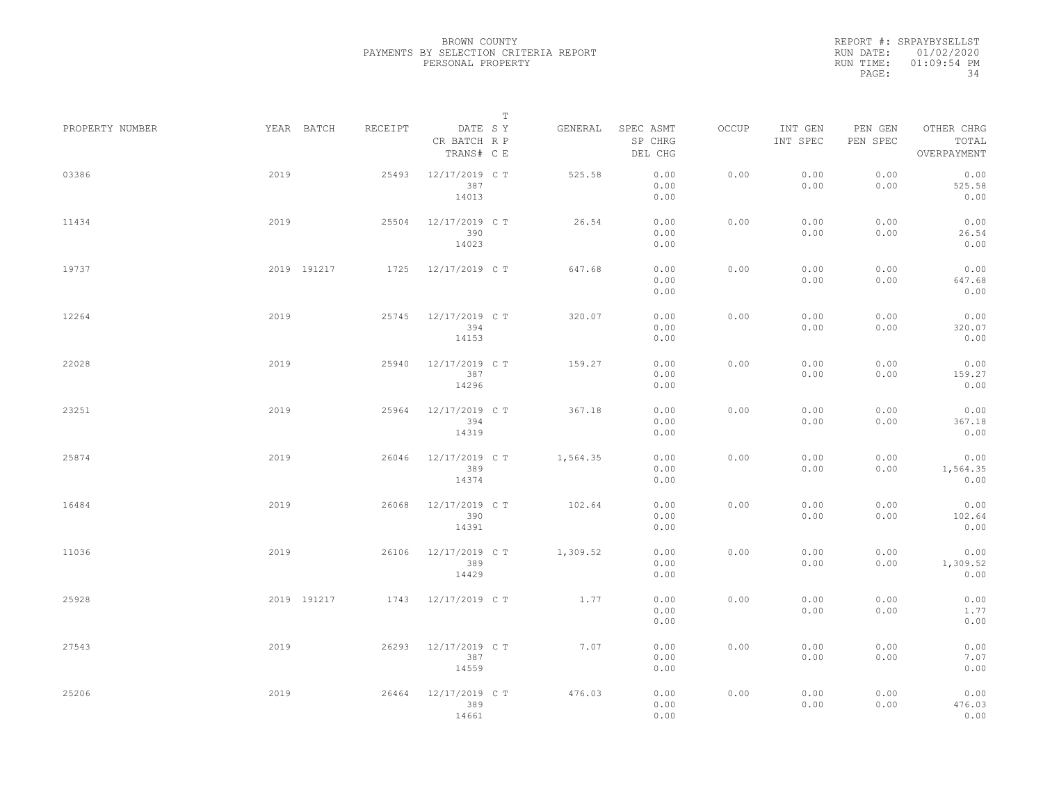|                 |      |             |         |                                       | $\mathbb T$ |          |                                 |       |                     |                     |                                    |  |
|-----------------|------|-------------|---------|---------------------------------------|-------------|----------|---------------------------------|-------|---------------------|---------------------|------------------------------------|--|
| PROPERTY NUMBER |      | YEAR BATCH  | RECEIPT | DATE SY<br>CR BATCH R P<br>TRANS# C E |             | GENERAL  | SPEC ASMT<br>SP CHRG<br>DEL CHG | OCCUP | INT GEN<br>INT SPEC | PEN GEN<br>PEN SPEC | OTHER CHRG<br>TOTAL<br>OVERPAYMENT |  |
| 03386           | 2019 |             | 25493   | 12/17/2019 C T<br>387<br>14013        |             | 525.58   | 0.00<br>0.00<br>0.00            | 0.00  | 0.00<br>0.00        | 0.00<br>0.00        | 0.00<br>525.58<br>0.00             |  |
| 11434           | 2019 |             | 25504   | 12/17/2019 C T<br>390<br>14023        |             | 26.54    | 0.00<br>0.00<br>0.00            | 0.00  | 0.00<br>0.00        | 0.00<br>0.00        | 0.00<br>26.54<br>0.00              |  |
| 19737           |      | 2019 191217 | 1725    | 12/17/2019 C T                        |             | 647.68   | 0.00<br>0.00<br>0.00            | 0.00  | 0.00<br>0.00        | 0.00<br>0.00        | 0.00<br>647.68<br>0.00             |  |
| 12264           | 2019 |             | 25745   | 12/17/2019 C T<br>394<br>14153        |             | 320.07   | 0.00<br>0.00<br>0.00            | 0.00  | 0.00<br>0.00        | 0.00<br>0.00        | 0.00<br>320.07<br>0.00             |  |
| 22028           | 2019 |             | 25940   | 12/17/2019 C T<br>387<br>14296        |             | 159.27   | 0.00<br>0.00<br>0.00            | 0.00  | 0.00<br>0.00        | 0.00<br>0.00        | 0.00<br>159.27<br>0.00             |  |
| 23251           | 2019 |             | 25964   | 12/17/2019 C T<br>394<br>14319        |             | 367.18   | 0.00<br>0.00<br>0.00            | 0.00  | 0.00<br>0.00        | 0.00<br>0.00        | 0.00<br>367.18<br>0.00             |  |
| 25874           | 2019 |             | 26046   | 12/17/2019 C T<br>389<br>14374        |             | 1,564.35 | 0.00<br>0.00<br>0.00            | 0.00  | 0.00<br>0.00        | 0.00<br>0.00        | 0.00<br>1,564.35<br>0.00           |  |
| 16484           | 2019 |             | 26068   | 12/17/2019 C T<br>390<br>14391        |             | 102.64   | 0.00<br>0.00<br>0.00            | 0.00  | 0.00<br>0.00        | 0.00<br>0.00        | 0.00<br>102.64<br>0.00             |  |
| 11036           | 2019 |             | 26106   | 12/17/2019 C T<br>389<br>14429        |             | 1,309.52 | 0.00<br>0.00<br>0.00            | 0.00  | 0.00<br>0.00        | 0.00<br>0.00        | 0.00<br>1,309.52<br>0.00           |  |
| 25928           |      | 2019 191217 |         | 1743 12/17/2019 CT                    |             | 1.77     | 0.00<br>0.00<br>0.00            | 0.00  | 0.00<br>0.00        | 0.00<br>0.00        | 0.00<br>1.77<br>0.00               |  |
| 27543           | 2019 |             | 26293   | 12/17/2019 C T<br>387<br>14559        |             | 7.07     | 0.00<br>0.00<br>0.00            | 0.00  | 0.00<br>0.00        | 0.00<br>0.00        | 0.00<br>7.07<br>0.00               |  |
| 25206           | 2019 |             | 26464   | 12/17/2019 C T<br>389<br>14661        |             | 476.03   | 0.00<br>0.00<br>0.00            | 0.00  | 0.00<br>0.00        | 0.00<br>0.00        | 0.00<br>476.03<br>0.00             |  |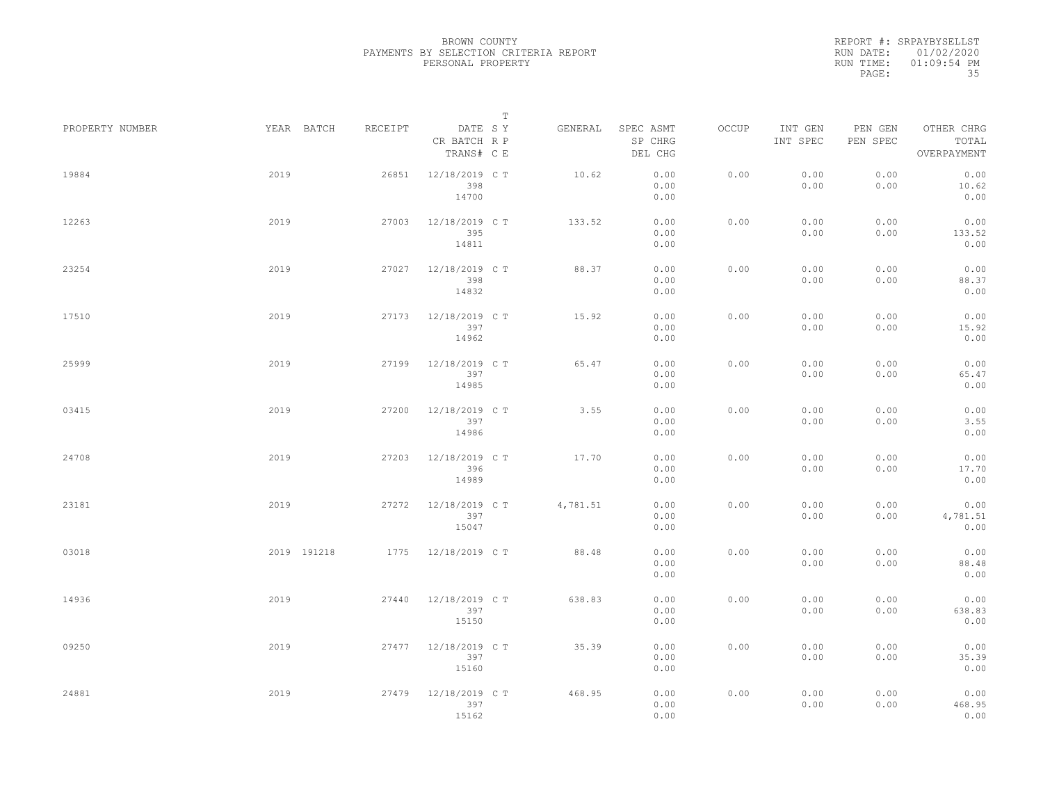|                 |             |         |                                       | $\mathbb T$ |          |                                 |       |                     |                     |                                    |  |
|-----------------|-------------|---------|---------------------------------------|-------------|----------|---------------------------------|-------|---------------------|---------------------|------------------------------------|--|
| PROPERTY NUMBER | YEAR BATCH  | RECEIPT | DATE SY<br>CR BATCH R P<br>TRANS# C E |             | GENERAL  | SPEC ASMT<br>SP CHRG<br>DEL CHG | OCCUP | INT GEN<br>INT SPEC | PEN GEN<br>PEN SPEC | OTHER CHRG<br>TOTAL<br>OVERPAYMENT |  |
| 19884           | 2019        | 26851   | 12/18/2019 C T<br>398<br>14700        |             | 10.62    | 0.00<br>0.00<br>0.00            | 0.00  | 0.00<br>0.00        | 0.00<br>0.00        | 0.00<br>10.62<br>0.00              |  |
| 12263           | 2019        | 27003   | 12/18/2019 C T<br>395<br>14811        |             | 133.52   | 0.00<br>0.00<br>0.00            | 0.00  | 0.00<br>0.00        | 0.00<br>0.00        | 0.00<br>133.52<br>0.00             |  |
| 23254           | 2019        | 27027   | 12/18/2019 C T<br>398<br>14832        |             | 88.37    | 0.00<br>0.00<br>0.00            | 0.00  | 0.00<br>0.00        | 0.00<br>0.00        | 0.00<br>88.37<br>0.00              |  |
| 17510           | 2019        | 27173   | 12/18/2019 C T<br>397<br>14962        |             | 15.92    | 0.00<br>0.00<br>0.00            | 0.00  | 0.00<br>0.00        | 0.00<br>0.00        | 0.00<br>15.92<br>0.00              |  |
| 25999           | 2019        | 27199   | 12/18/2019 C T<br>397<br>14985        |             | 65.47    | 0.00<br>0.00<br>0.00            | 0.00  | 0.00<br>0.00        | 0.00<br>0.00        | 0.00<br>65.47<br>0.00              |  |
| 03415           | 2019        | 27200   | 12/18/2019 C T<br>397<br>14986        |             | 3.55     | 0.00<br>0.00<br>0.00            | 0.00  | 0.00<br>0.00        | 0.00<br>0.00        | 0.00<br>3.55<br>0.00               |  |
| 24708           | 2019        | 27203   | 12/18/2019 C T<br>396<br>14989        |             | 17.70    | 0.00<br>0.00<br>0.00            | 0.00  | 0.00<br>0.00        | 0.00<br>0.00        | 0.00<br>17.70<br>0.00              |  |
| 23181           | 2019        | 27272   | 12/18/2019 C T<br>397<br>15047        |             | 4,781.51 | 0.00<br>0.00<br>0.00            | 0.00  | 0.00<br>0.00        | 0.00<br>0.00        | 0.00<br>4,781.51<br>0.00           |  |
| 03018           | 2019 191218 | 1775    | 12/18/2019 C T                        |             | 88.48    | 0.00<br>0.00<br>0.00            | 0.00  | 0.00<br>0.00        | 0.00<br>0.00        | 0.00<br>88.48<br>0.00              |  |
| 14936           | 2019        | 27440   | 12/18/2019 C T<br>397<br>15150        |             | 638.83   | 0.00<br>0.00<br>0.00            | 0.00  | 0.00<br>0.00        | 0.00<br>0.00        | 0.00<br>638.83<br>0.00             |  |
| 09250           | 2019        | 27477   | 12/18/2019 C T<br>397<br>15160        |             | 35.39    | 0.00<br>0.00<br>0.00            | 0.00  | 0.00<br>0.00        | 0.00<br>0.00        | 0.00<br>35.39<br>0.00              |  |
| 24881           | 2019        | 27479   | 12/18/2019 C T<br>397<br>15162        |             | 468.95   | 0.00<br>0.00<br>0.00            | 0.00  | 0.00<br>0.00        | 0.00<br>0.00        | 0.00<br>468.95<br>0.00             |  |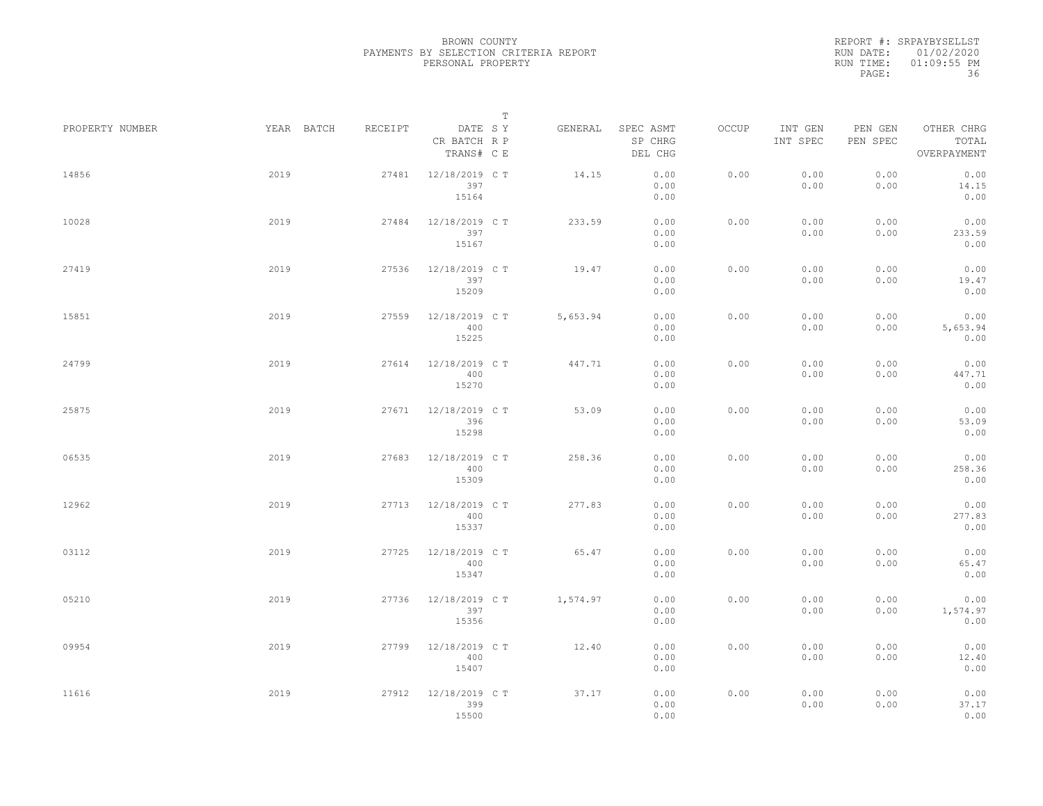|                 |            |         | $\mathbb T$                           |          |                                 |       |                     |                     |                                    |
|-----------------|------------|---------|---------------------------------------|----------|---------------------------------|-------|---------------------|---------------------|------------------------------------|
| PROPERTY NUMBER | YEAR BATCH | RECEIPT | DATE SY<br>CR BATCH R P<br>TRANS# C E | GENERAL  | SPEC ASMT<br>SP CHRG<br>DEL CHG | OCCUP | INT GEN<br>INT SPEC | PEN GEN<br>PEN SPEC | OTHER CHRG<br>TOTAL<br>OVERPAYMENT |
| 14856           | 2019       | 27481   | 12/18/2019 C T<br>397<br>15164        | 14.15    | 0.00<br>0.00<br>0.00            | 0.00  | 0.00<br>0.00        | 0.00<br>0.00        | 0.00<br>14.15<br>0.00              |
| 10028           | 2019       | 27484   | 12/18/2019 C T<br>397<br>15167        | 233.59   | 0.00<br>0.00<br>0.00            | 0.00  | 0.00<br>0.00        | 0.00<br>0.00        | 0.00<br>233.59<br>0.00             |
| 27419           | 2019       | 27536   | 12/18/2019 C T<br>397<br>15209        | 19.47    | 0.00<br>0.00<br>0.00            | 0.00  | 0.00<br>0.00        | 0.00<br>0.00        | 0.00<br>19.47<br>0.00              |
| 15851           | 2019       | 27559   | 12/18/2019 C T<br>400<br>15225        | 5,653.94 | 0.00<br>0.00<br>0.00            | 0.00  | 0.00<br>0.00        | 0.00<br>0.00        | 0.00<br>5,653.94<br>0.00           |
| 24799           | 2019       | 27614   | 12/18/2019 C T<br>400<br>15270        | 447.71   | 0.00<br>0.00<br>0.00            | 0.00  | 0.00<br>0.00        | 0.00<br>0.00        | 0.00<br>447.71<br>0.00             |
| 25875           | 2019       | 27671   | 12/18/2019 C T<br>396<br>15298        | 53.09    | 0.00<br>0.00<br>0.00            | 0.00  | 0.00<br>0.00        | 0.00<br>0.00        | 0.00<br>53.09<br>0.00              |
| 06535           | 2019       | 27683   | 12/18/2019 C T<br>400<br>15309        | 258.36   | 0.00<br>0.00<br>0.00            | 0.00  | 0.00<br>0.00        | 0.00<br>0.00        | 0.00<br>258.36<br>0.00             |
| 12962           | 2019       | 27713   | 12/18/2019 C T<br>400<br>15337        | 277.83   | 0.00<br>0.00<br>0.00            | 0.00  | 0.00<br>0.00        | 0.00<br>0.00        | 0.00<br>277.83<br>0.00             |
| 03112           | 2019       | 27725   | 12/18/2019 C T<br>400<br>15347        | 65.47    | 0.00<br>0.00<br>0.00            | 0.00  | 0.00<br>0.00        | 0.00<br>0.00        | 0.00<br>65.47<br>0.00              |
| 05210           | 2019       | 27736   | 12/18/2019 C T<br>397<br>15356        | 1,574.97 | 0.00<br>0.00<br>0.00            | 0.00  | 0.00<br>0.00        | 0.00<br>0.00        | 0.00<br>1,574.97<br>0.00           |
| 09954           | 2019       | 27799   | 12/18/2019 C T<br>400<br>15407        | 12.40    | 0.00<br>0.00<br>0.00            | 0.00  | 0.00<br>0.00        | 0.00<br>0.00        | 0.00<br>12.40<br>0.00              |
| 11616           | 2019       | 27912   | 12/18/2019 C T<br>399<br>15500        | 37.17    | 0.00<br>0.00<br>0.00            | 0.00  | 0.00<br>0.00        | 0.00<br>0.00        | 0.00<br>37.17<br>0.00              |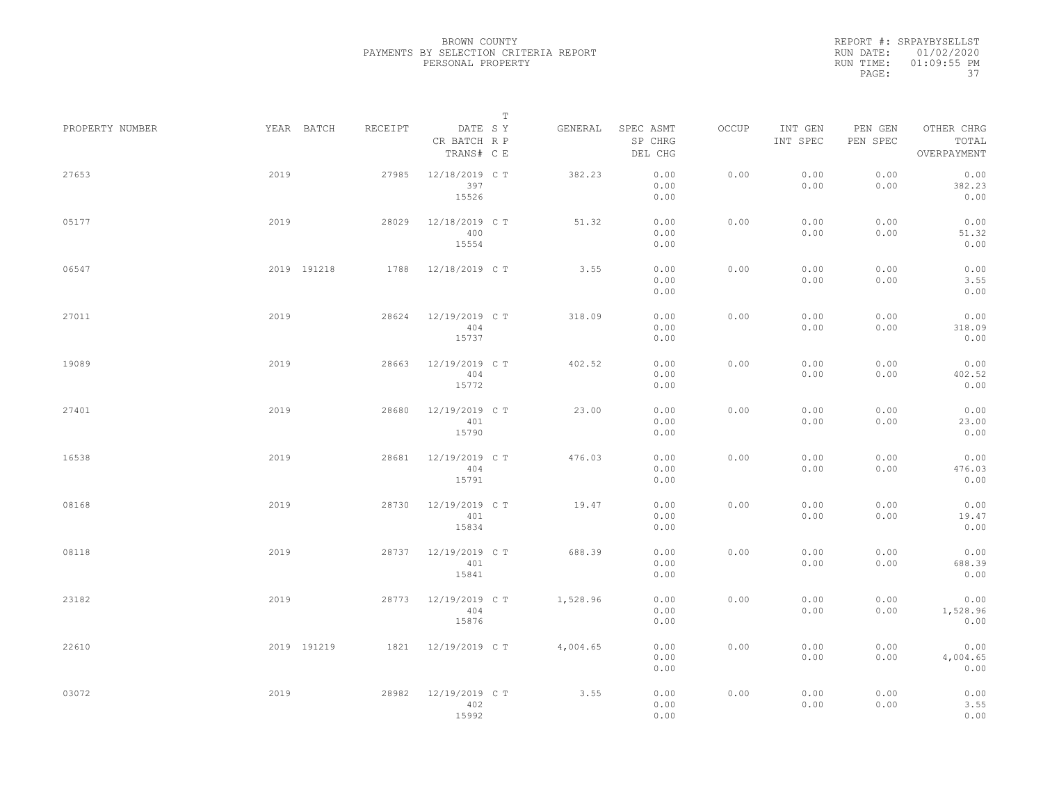REPORT #: SRPAYBYSELLST RUN DATE: 01/02/2020 RUN TIME: 01:09:55 PM PAGE: 37

|                 |      |             |         |                                       | $\mathbb T$ |          |                                 |       |                     |                     |                                    |  |
|-----------------|------|-------------|---------|---------------------------------------|-------------|----------|---------------------------------|-------|---------------------|---------------------|------------------------------------|--|
| PROPERTY NUMBER |      | YEAR BATCH  | RECEIPT | DATE SY<br>CR BATCH R P<br>TRANS# C E |             | GENERAL  | SPEC ASMT<br>SP CHRG<br>DEL CHG | OCCUP | INT GEN<br>INT SPEC | PEN GEN<br>PEN SPEC | OTHER CHRG<br>TOTAL<br>OVERPAYMENT |  |
| 27653           | 2019 |             | 27985   | 12/18/2019 C T<br>397<br>15526        |             | 382.23   | 0.00<br>0.00<br>0.00            | 0.00  | 0.00<br>0.00        | 0.00<br>0.00        | 0.00<br>382.23<br>0.00             |  |
| 05177           | 2019 |             | 28029   | 12/18/2019 C T<br>400<br>15554        |             | 51.32    | 0.00<br>0.00<br>0.00            | 0.00  | 0.00<br>0.00        | 0.00<br>0.00        | 0.00<br>51.32<br>0.00              |  |
| 06547           |      | 2019 191218 | 1788    | 12/18/2019 C T                        |             | 3.55     | 0.00<br>0.00<br>0.00            | 0.00  | 0.00<br>0.00        | 0.00<br>0.00        | 0.00<br>3.55<br>0.00               |  |
| 27011           | 2019 |             | 28624   | 12/19/2019 C T<br>404<br>15737        |             | 318.09   | 0.00<br>0.00<br>0.00            | 0.00  | 0.00<br>0.00        | 0.00<br>0.00        | 0.00<br>318.09<br>0.00             |  |
| 19089           | 2019 |             | 28663   | 12/19/2019 C T<br>404<br>15772        |             | 402.52   | 0.00<br>0.00<br>0.00            | 0.00  | 0.00<br>0.00        | 0.00<br>0.00        | 0.00<br>402.52<br>0.00             |  |
| 27401           | 2019 |             | 28680   | 12/19/2019 C T<br>401<br>15790        |             | 23.00    | 0.00<br>0.00<br>0.00            | 0.00  | 0.00<br>0.00        | 0.00<br>0.00        | 0.00<br>23.00<br>0.00              |  |
| 16538           | 2019 |             | 28681   | 12/19/2019 C T<br>404<br>15791        |             | 476.03   | 0.00<br>0.00<br>0.00            | 0.00  | 0.00<br>0.00        | 0.00<br>0.00        | 0.00<br>476.03<br>0.00             |  |
| 08168           | 2019 |             | 28730   | 12/19/2019 C T<br>401<br>15834        |             | 19.47    | 0.00<br>0.00<br>0.00            | 0.00  | 0.00<br>0.00        | 0.00<br>0.00        | 0.00<br>19.47<br>0.00              |  |
| 08118           | 2019 |             | 28737   | 12/19/2019 C T<br>401<br>15841        |             | 688.39   | 0.00<br>0.00<br>0.00            | 0.00  | 0.00<br>0.00        | 0.00<br>0.00        | 0.00<br>688.39<br>0.00             |  |
| 23182           | 2019 |             | 28773   | 12/19/2019 C T<br>404<br>15876        |             | 1,528.96 | 0.00<br>0.00<br>0.00            | 0.00  | 0.00<br>0.00        | 0.00<br>0.00        | 0.00<br>1,528.96<br>0.00           |  |
| 22610           |      | 2019 191219 | 1821    | 12/19/2019 C T                        |             | 4,004.65 | 0.00<br>0.00<br>0.00            | 0.00  | 0.00<br>0.00        | 0.00<br>0.00        | 0.00<br>4,004.65<br>0.00           |  |
| 03072           | 2019 |             | 28982   | 12/19/2019 C T<br>402<br>15992        |             | 3.55     | 0.00<br>0.00<br>0.00            | 0.00  | 0.00<br>0.00        | 0.00<br>0.00        | 0.00<br>3.55<br>0.00               |  |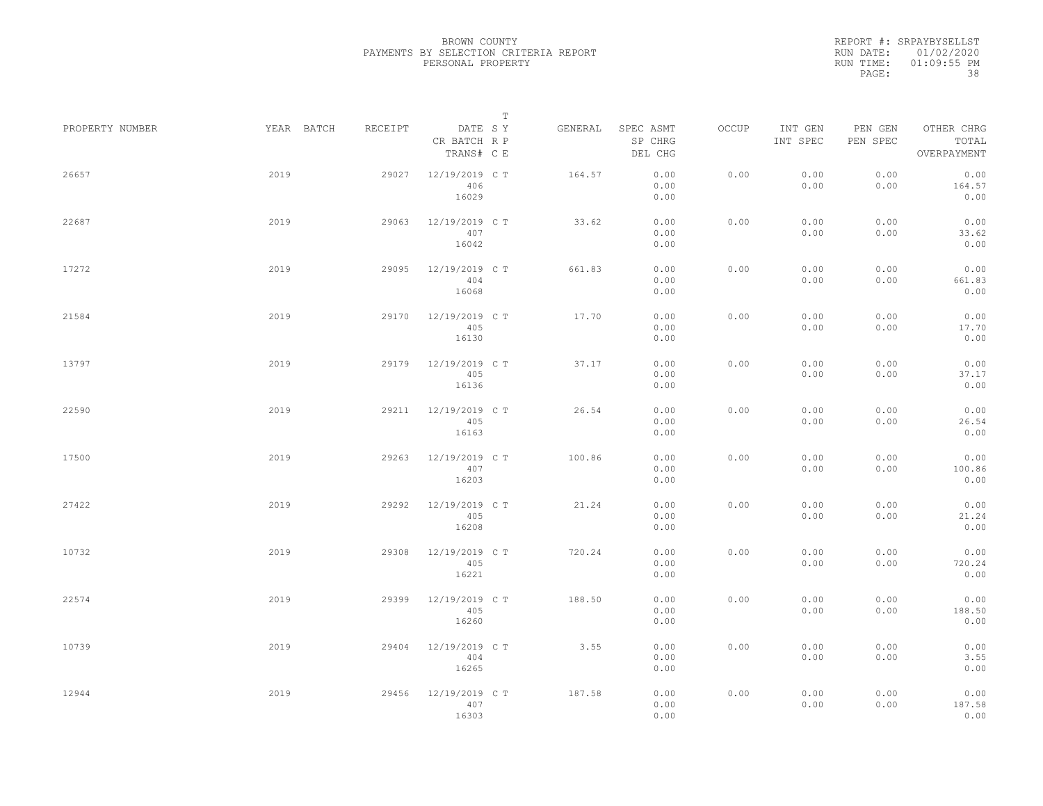REPORT #: SRPAYBYSELLST RUN DATE: 01/02/2020 RUN TIME: 01:09:55 PM PAGE: 38

|                 |            |         |                                       | $\mathbb T$ |         |                                 |       |                     |                     |                                    |  |
|-----------------|------------|---------|---------------------------------------|-------------|---------|---------------------------------|-------|---------------------|---------------------|------------------------------------|--|
| PROPERTY NUMBER | YEAR BATCH | RECEIPT | DATE SY<br>CR BATCH R P<br>TRANS# C E |             | GENERAL | SPEC ASMT<br>SP CHRG<br>DEL CHG | OCCUP | INT GEN<br>INT SPEC | PEN GEN<br>PEN SPEC | OTHER CHRG<br>TOTAL<br>OVERPAYMENT |  |
| 26657           | 2019       | 29027   | 12/19/2019 C T<br>406<br>16029        |             | 164.57  | 0.00<br>0.00<br>0.00            | 0.00  | 0.00<br>0.00        | 0.00<br>0.00        | 0.00<br>164.57<br>0.00             |  |
| 22687           | 2019       | 29063   | 12/19/2019 C T<br>407<br>16042        |             | 33.62   | 0.00<br>0.00<br>0.00            | 0.00  | 0.00<br>0.00        | 0.00<br>0.00        | 0.00<br>33.62<br>0.00              |  |
| 17272           | 2019       | 29095   | 12/19/2019 C T<br>404<br>16068        |             | 661.83  | 0.00<br>0.00<br>0.00            | 0.00  | 0.00<br>0.00        | 0.00<br>0.00        | 0.00<br>661.83<br>0.00             |  |
| 21584           | 2019       | 29170   | 12/19/2019 C T<br>405<br>16130        |             | 17.70   | 0.00<br>0.00<br>0.00            | 0.00  | 0.00<br>0.00        | 0.00<br>0.00        | 0.00<br>17.70<br>0.00              |  |
| 13797           | 2019       | 29179   | 12/19/2019 C T<br>405<br>16136        |             | 37.17   | 0.00<br>0.00<br>0.00            | 0.00  | 0.00<br>0.00        | 0.00<br>0.00        | 0.00<br>37.17<br>0.00              |  |
| 22590           | 2019       | 29211   | 12/19/2019 C T<br>405<br>16163        |             | 26.54   | 0.00<br>0.00<br>0.00            | 0.00  | 0.00<br>0.00        | 0.00<br>0.00        | 0.00<br>26.54<br>0.00              |  |
| 17500           | 2019       | 29263   | 12/19/2019 C T<br>407<br>16203        |             | 100.86  | 0.00<br>0.00<br>0.00            | 0.00  | 0.00<br>0.00        | 0.00<br>0.00        | 0.00<br>100.86<br>0.00             |  |
| 27422           | 2019       | 29292   | 12/19/2019 C T<br>405<br>16208        |             | 21.24   | 0.00<br>0.00<br>0.00            | 0.00  | 0.00<br>0.00        | 0.00<br>0.00        | 0.00<br>21.24<br>0.00              |  |
| 10732           | 2019       | 29308   | 12/19/2019 C T<br>405<br>16221        |             | 720.24  | 0.00<br>0.00<br>0.00            | 0.00  | 0.00<br>0.00        | 0.00<br>0.00        | 0.00<br>720.24<br>0.00             |  |
| 22574           | 2019       | 29399   | 12/19/2019 C T<br>405<br>16260        |             | 188.50  | 0.00<br>0.00<br>0.00            | 0.00  | 0.00<br>0.00        | 0.00<br>0.00        | 0.00<br>188.50<br>0.00             |  |
| 10739           | 2019       | 29404   | 12/19/2019 C T<br>404<br>16265        |             | 3.55    | 0.00<br>0.00<br>0.00            | 0.00  | 0.00<br>0.00        | 0.00<br>0.00        | 0.00<br>3.55<br>0.00               |  |
| 12944           | 2019       | 29456   | 12/19/2019 C T<br>407<br>16303        |             | 187.58  | 0.00<br>0.00<br>0.00            | 0.00  | 0.00<br>0.00        | 0.00<br>0.00        | 0.00<br>187.58<br>0.00             |  |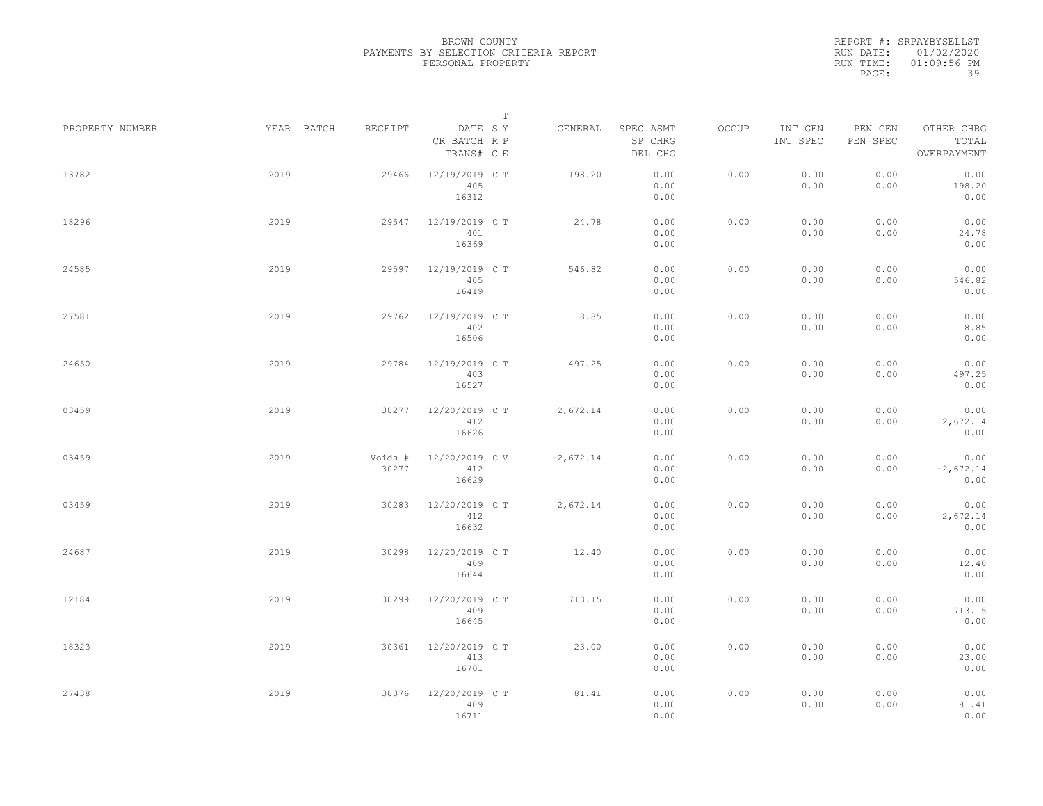REPORT #: SRPAYBYSELLST RUN DATE: 01/02/2020 RUN TIME: 01:09:56 PM PAGE: 39

|                 |      |            |                  |                                       | $\mathbb T$ |             |                                 |       |                     |                     |                                    |  |
|-----------------|------|------------|------------------|---------------------------------------|-------------|-------------|---------------------------------|-------|---------------------|---------------------|------------------------------------|--|
| PROPERTY NUMBER |      | YEAR BATCH | RECEIPT          | DATE SY<br>CR BATCH R P<br>TRANS# C E |             | GENERAL     | SPEC ASMT<br>SP CHRG<br>DEL CHG | OCCUP | INT GEN<br>INT SPEC | PEN GEN<br>PEN SPEC | OTHER CHRG<br>TOTAL<br>OVERPAYMENT |  |
| 13782           | 2019 |            | 29466            | 12/19/2019 C T<br>405<br>16312        |             | 198.20      | 0.00<br>0.00<br>0.00            | 0.00  | 0.00<br>0.00        | 0.00<br>0.00        | 0.00<br>198.20<br>0.00             |  |
| 18296           | 2019 |            | 29547            | 12/19/2019 C T<br>401<br>16369        |             | 24.78       | 0.00<br>0.00<br>0.00            | 0.00  | 0.00<br>0.00        | 0.00<br>0.00        | 0.00<br>24.78<br>0.00              |  |
| 24585           | 2019 |            | 29597            | 12/19/2019 C T<br>405<br>16419        |             | 546.82      | 0.00<br>0.00<br>0.00            | 0.00  | 0.00<br>0.00        | 0.00<br>0.00        | 0.00<br>546.82<br>0.00             |  |
| 27581           | 2019 |            | 29762            | 12/19/2019 C T<br>402<br>16506        |             | 8.85        | 0.00<br>0.00<br>0.00            | 0.00  | 0.00<br>0.00        | 0.00<br>0.00        | 0.00<br>8.85<br>0.00               |  |
| 24650           | 2019 |            | 29784            | 12/19/2019 C T<br>403<br>16527        |             | 497.25      | 0.00<br>0.00<br>0.00            | 0.00  | 0.00<br>0.00        | 0.00<br>0.00        | 0.00<br>497.25<br>0.00             |  |
| 03459           | 2019 |            | 30277            | 12/20/2019 C T<br>412<br>16626        |             | 2,672.14    | 0.00<br>0.00<br>0.00            | 0.00  | 0.00<br>0.00        | 0.00<br>0.00        | 0.00<br>2,672.14<br>0.00           |  |
| 03459           | 2019 |            | Voids #<br>30277 | 12/20/2019 CV<br>412<br>16629         |             | $-2,672.14$ | 0.00<br>0.00<br>0.00            | 0.00  | 0.00<br>0.00        | 0.00<br>0.00        | 0.00<br>$-2,672.14$<br>0.00        |  |
| 03459           | 2019 |            | 30283            | 12/20/2019 C T<br>412<br>16632        |             | 2,672.14    | 0.00<br>0.00<br>0.00            | 0.00  | 0.00<br>0.00        | 0.00<br>0.00        | 0.00<br>2,672.14<br>0.00           |  |
| 24687           | 2019 |            | 30298            | 12/20/2019 C T<br>409<br>16644        |             | 12.40       | 0.00<br>0.00<br>0.00            | 0.00  | 0.00<br>0.00        | 0.00<br>0.00        | 0.00<br>12.40<br>0.00              |  |
| 12184           | 2019 |            | 30299            | 12/20/2019 C T<br>409<br>16645        |             | 713.15      | 0.00<br>0.00<br>0.00            | 0.00  | 0.00<br>0.00        | 0.00<br>0.00        | 0.00<br>713.15<br>0.00             |  |
| 18323           | 2019 |            | 30361            | 12/20/2019 C T<br>413<br>16701        |             | 23.00       | 0.00<br>0.00<br>0.00            | 0.00  | 0.00<br>0.00        | 0.00<br>0.00        | 0.00<br>23.00<br>0.00              |  |
| 27438           | 2019 |            | 30376            | 12/20/2019 C T<br>409<br>16711        |             | 81.41       | 0.00<br>0.00<br>0.00            | 0.00  | 0.00<br>0.00        | 0.00<br>0.00        | 0.00<br>81.41<br>0.00              |  |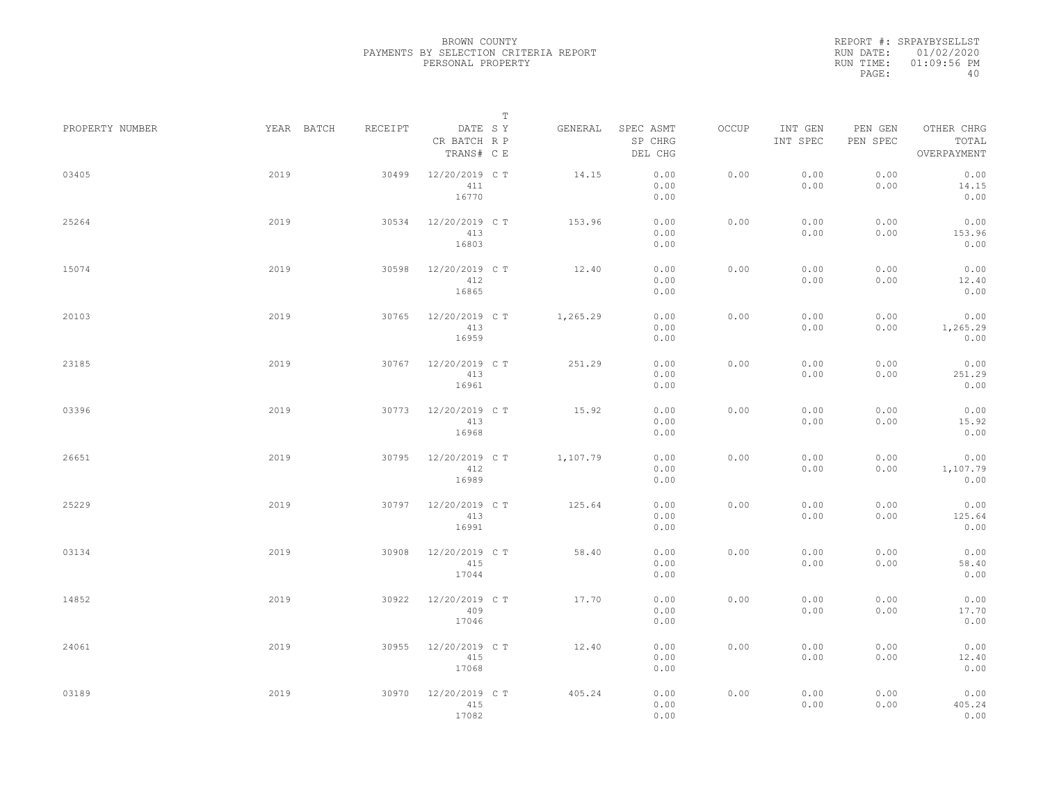REPORT #: SRPAYBYSELLST RUN DATE: 01/02/2020 RUN TIME: 01:09:56 PM PAGE: 40

|                 |            |         | $\mathbb T$                           |          |                                 |              |                     |                     |                                    |
|-----------------|------------|---------|---------------------------------------|----------|---------------------------------|--------------|---------------------|---------------------|------------------------------------|
| PROPERTY NUMBER | YEAR BATCH | RECEIPT | DATE SY<br>CR BATCH R P<br>TRANS# C E | GENERAL  | SPEC ASMT<br>SP CHRG<br>DEL CHG | <b>OCCUP</b> | INT GEN<br>INT SPEC | PEN GEN<br>PEN SPEC | OTHER CHRG<br>TOTAL<br>OVERPAYMENT |
| 03405           | 2019       | 30499   | 12/20/2019 C T<br>411<br>16770        | 14.15    | 0.00<br>0.00<br>0.00            | 0.00         | 0.00<br>0.00        | 0.00<br>0.00        | 0.00<br>14.15<br>0.00              |
| 25264           | 2019       | 30534   | 12/20/2019 C T<br>413<br>16803        | 153.96   | 0.00<br>0.00<br>0.00            | 0.00         | 0.00<br>0.00        | 0.00<br>0.00        | 0.00<br>153.96<br>0.00             |
| 15074           | 2019       | 30598   | 12/20/2019 C T<br>412<br>16865        | 12.40    | 0.00<br>0.00<br>0.00            | 0.00         | 0.00<br>0.00        | 0.00<br>0.00        | 0.00<br>12.40<br>0.00              |
| 20103           | 2019       | 30765   | 12/20/2019 C T<br>413<br>16959        | 1,265.29 | 0.00<br>0.00<br>0.00            | 0.00         | 0.00<br>0.00        | 0.00<br>0.00        | 0.00<br>1,265.29<br>0.00           |
| 23185           | 2019       | 30767   | 12/20/2019 C T<br>413<br>16961        | 251.29   | 0.00<br>0.00<br>0.00            | 0.00         | 0.00<br>0.00        | 0.00<br>0.00        | 0.00<br>251.29<br>0.00             |
| 03396           | 2019       | 30773   | 12/20/2019 C T<br>413<br>16968        | 15.92    | 0.00<br>0.00<br>0.00            | 0.00         | 0.00<br>0.00        | 0.00<br>0.00        | 0.00<br>15.92<br>0.00              |
| 26651           | 2019       | 30795   | 12/20/2019 C T<br>412<br>16989        | 1,107.79 | 0.00<br>0.00<br>0.00            | 0.00         | 0.00<br>0.00        | 0.00<br>0.00        | 0.00<br>1,107.79<br>0.00           |
| 25229           | 2019       | 30797   | 12/20/2019 C T<br>413<br>16991        | 125.64   | 0.00<br>0.00<br>0.00            | 0.00         | 0.00<br>0.00        | 0.00<br>0.00        | 0.00<br>125.64<br>0.00             |
| 03134           | 2019       | 30908   | 12/20/2019 C T<br>415<br>17044        | 58.40    | 0.00<br>0.00<br>0.00            | 0.00         | 0.00<br>0.00        | 0.00<br>0.00        | 0.00<br>58.40<br>0.00              |
| 14852           | 2019       | 30922   | 12/20/2019 C T<br>409<br>17046        | 17.70    | 0.00<br>0.00<br>0.00            | 0.00         | 0.00<br>0.00        | 0.00<br>0.00        | 0.00<br>17.70<br>0.00              |
| 24061           | 2019       | 30955   | 12/20/2019 C T<br>415<br>17068        | 12.40    | 0.00<br>0.00<br>0.00            | 0.00         | 0.00<br>0.00        | 0.00<br>0.00        | 0.00<br>12.40<br>0.00              |
| 03189           | 2019       | 30970   | 12/20/2019 C T<br>415<br>17082        | 405.24   | 0.00<br>0.00<br>0.00            | 0.00         | 0.00<br>0.00        | 0.00<br>0.00        | 0.00<br>405.24<br>0.00             |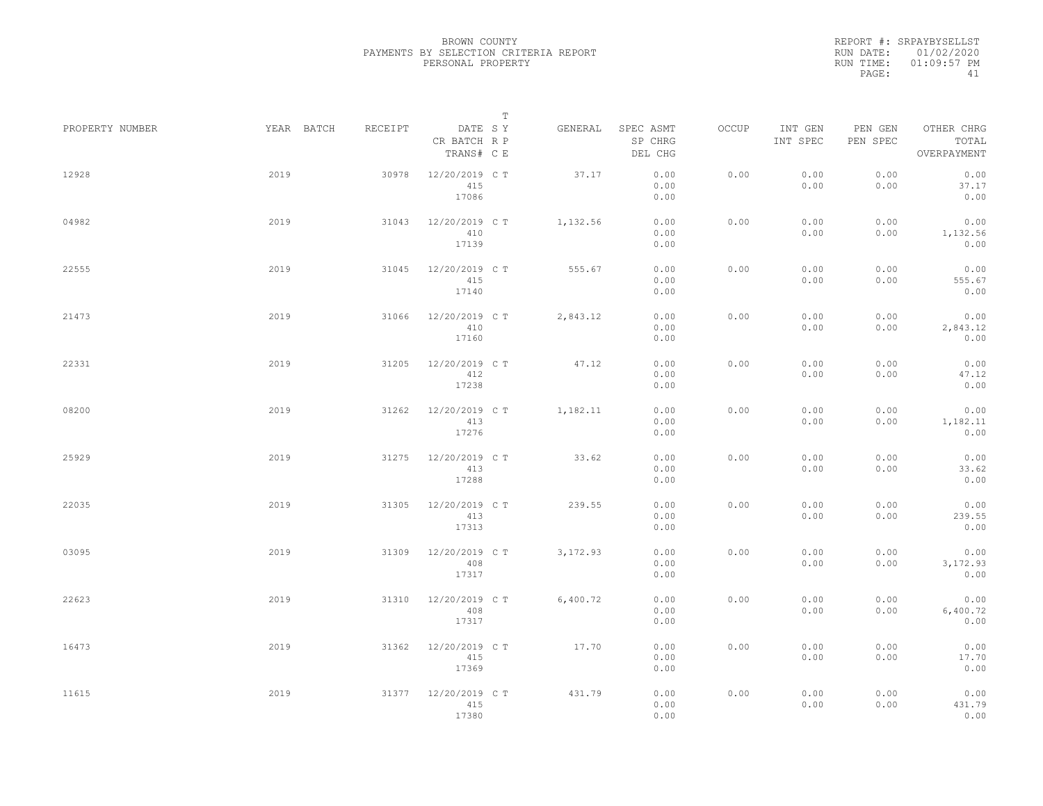REPORT #: SRPAYBYSELLST RUN DATE: 01/02/2020 RUN TIME: 01:09:57 PM PAGE: 41

|                 |            |         | $\mathbb T$                           |           |                                 |       |                     |                     |                                    |
|-----------------|------------|---------|---------------------------------------|-----------|---------------------------------|-------|---------------------|---------------------|------------------------------------|
| PROPERTY NUMBER | YEAR BATCH | RECEIPT | DATE SY<br>CR BATCH R P<br>TRANS# C E | GENERAL   | SPEC ASMT<br>SP CHRG<br>DEL CHG | OCCUP | INT GEN<br>INT SPEC | PEN GEN<br>PEN SPEC | OTHER CHRG<br>TOTAL<br>OVERPAYMENT |
| 12928           | 2019       | 30978   | 12/20/2019 C T<br>415<br>17086        | 37.17     | 0.00<br>0.00<br>0.00            | 0.00  | 0.00<br>0.00        | 0.00<br>0.00        | 0.00<br>37.17<br>0.00              |
| 04982           | 2019       | 31043   | 12/20/2019 C T<br>410<br>17139        | 1,132.56  | 0.00<br>0.00<br>0.00            | 0.00  | 0.00<br>0.00        | 0.00<br>0.00        | 0.00<br>1,132.56<br>0.00           |
| 22555           | 2019       | 31045   | 12/20/2019 C T<br>415<br>17140        | 555.67    | 0.00<br>0.00<br>0.00            | 0.00  | 0.00<br>0.00        | 0.00<br>0.00        | 0.00<br>555.67<br>0.00             |
| 21473           | 2019       | 31066   | 12/20/2019 C T<br>410<br>17160        | 2,843.12  | 0.00<br>0.00<br>0.00            | 0.00  | 0.00<br>0.00        | 0.00<br>0.00        | 0.00<br>2,843.12<br>0.00           |
| 22331           | 2019       | 31205   | 12/20/2019 C T<br>412<br>17238        | 47.12     | 0.00<br>0.00<br>0.00            | 0.00  | 0.00<br>0.00        | 0.00<br>0.00        | 0.00<br>47.12<br>0.00              |
| 08200           | 2019       | 31262   | 12/20/2019 C T<br>413<br>17276        | 1,182.11  | 0.00<br>0.00<br>0.00            | 0.00  | 0.00<br>0.00        | 0.00<br>0.00        | 0.00<br>1,182.11<br>0.00           |
| 25929           | 2019       | 31275   | 12/20/2019 C T<br>413<br>17288        | 33.62     | 0.00<br>0.00<br>0.00            | 0.00  | 0.00<br>0.00        | 0.00<br>0.00        | 0.00<br>33.62<br>0.00              |
| 22035           | 2019       | 31305   | 12/20/2019 C T<br>413<br>17313        | 239.55    | 0.00<br>0.00<br>0.00            | 0.00  | 0.00<br>0.00        | 0.00<br>0.00        | 0.00<br>239.55<br>0.00             |
| 03095           | 2019       | 31309   | 12/20/2019 C T<br>408<br>17317        | 3, 172.93 | 0.00<br>0.00<br>0.00            | 0.00  | 0.00<br>0.00        | 0.00<br>0.00        | 0.00<br>3,172.93<br>0.00           |
| 22623           | 2019       | 31310   | 12/20/2019 C T<br>408<br>17317        | 6,400.72  | 0.00<br>0.00<br>0.00            | 0.00  | 0.00<br>0.00        | 0.00<br>0.00        | 0.00<br>6,400.72<br>0.00           |
| 16473           | 2019       | 31362   | 12/20/2019 C T<br>415<br>17369        | 17.70     | 0.00<br>0.00<br>0.00            | 0.00  | 0.00<br>0.00        | 0.00<br>0.00        | 0.00<br>17.70<br>0.00              |
| 11615           | 2019       | 31377   | 12/20/2019 C T<br>415<br>17380        | 431.79    | 0.00<br>0.00<br>0.00            | 0.00  | 0.00<br>0.00        | 0.00<br>0.00        | 0.00<br>431.79<br>0.00             |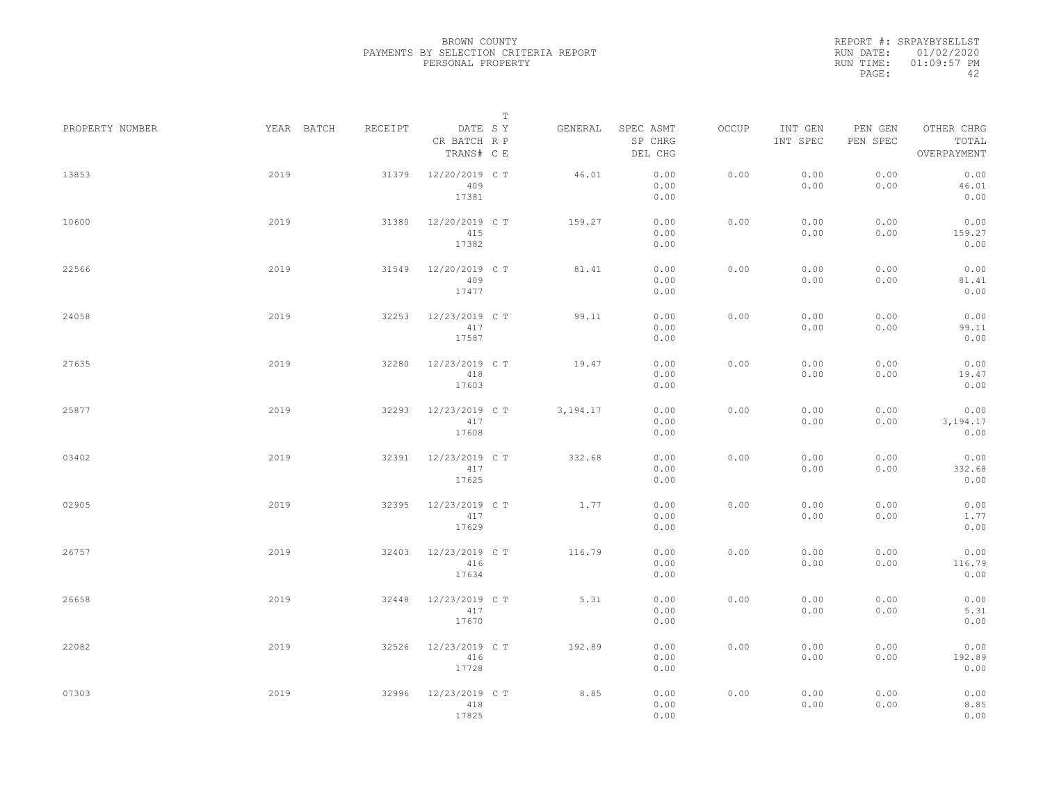REPORT #: SRPAYBYSELLST RUN DATE: 01/02/2020 RUN TIME: 01:09:57 PM PAGE: 42

|                 |            |         | $\mathbb T$                           |          |                                 |       |                     |                     |                                    |
|-----------------|------------|---------|---------------------------------------|----------|---------------------------------|-------|---------------------|---------------------|------------------------------------|
| PROPERTY NUMBER | YEAR BATCH | RECEIPT | DATE SY<br>CR BATCH R P<br>TRANS# C E | GENERAL  | SPEC ASMT<br>SP CHRG<br>DEL CHG | OCCUP | INT GEN<br>INT SPEC | PEN GEN<br>PEN SPEC | OTHER CHRG<br>TOTAL<br>OVERPAYMENT |
| 13853           | 2019       | 31379   | 12/20/2019 C T<br>409<br>17381        | 46.01    | 0.00<br>0.00<br>0.00            | 0.00  | 0.00<br>0.00        | 0.00<br>0.00        | 0.00<br>46.01<br>0.00              |
| 10600           | 2019       | 31380   | 12/20/2019 C T<br>415<br>17382        | 159.27   | 0.00<br>0.00<br>0.00            | 0.00  | 0.00<br>0.00        | 0.00<br>0.00        | 0.00<br>159.27<br>0.00             |
| 22566           | 2019       | 31549   | 12/20/2019 C T<br>409<br>17477        | 81.41    | 0.00<br>0.00<br>0.00            | 0.00  | 0.00<br>0.00        | 0.00<br>0.00        | 0.00<br>81.41<br>0.00              |
| 24058           | 2019       | 32253   | 12/23/2019 C T<br>417<br>17587        | 99.11    | 0.00<br>0.00<br>0.00            | 0.00  | 0.00<br>0.00        | 0.00<br>0.00        | 0.00<br>99.11<br>0.00              |
| 27635           | 2019       | 32280   | 12/23/2019 C T<br>418<br>17603        | 19.47    | 0.00<br>0.00<br>0.00            | 0.00  | 0.00<br>0.00        | 0.00<br>0.00        | 0.00<br>19.47<br>0.00              |
| 25877           | 2019       | 32293   | 12/23/2019 C T<br>417<br>17608        | 3,194.17 | 0.00<br>0.00<br>0.00            | 0.00  | 0.00<br>0.00        | 0.00<br>0.00        | 0.00<br>3,194.17<br>0.00           |
| 03402           | 2019       | 32391   | 12/23/2019 C T<br>417<br>17625        | 332.68   | 0.00<br>0.00<br>0.00            | 0.00  | 0.00<br>0.00        | 0.00<br>0.00        | 0.00<br>332.68<br>0.00             |
| 02905           | 2019       | 32395   | 12/23/2019 C T<br>417<br>17629        | 1.77     | 0.00<br>0.00<br>0.00            | 0.00  | 0.00<br>0.00        | 0.00<br>0.00        | 0.00<br>1.77<br>0.00               |
| 26757           | 2019       | 32403   | 12/23/2019 C T<br>416<br>17634        | 116.79   | 0.00<br>0.00<br>0.00            | 0.00  | 0.00<br>0.00        | 0.00<br>0.00        | 0.00<br>116.79<br>0.00             |
| 26658           | 2019       | 32448   | 12/23/2019 C T<br>417<br>17670        | 5.31     | 0.00<br>0.00<br>0.00            | 0.00  | 0.00<br>0.00        | 0.00<br>0.00        | 0.00<br>5.31<br>0.00               |
| 22082           | 2019       | 32526   | 12/23/2019 C T<br>416<br>17728        | 192.89   | 0.00<br>0.00<br>0.00            | 0.00  | 0.00<br>0.00        | 0.00<br>0.00        | 0.00<br>192.89<br>0.00             |
| 07303           | 2019       | 32996   | 12/23/2019 C T<br>418<br>17825        | 8.85     | 0.00<br>0.00<br>0.00            | 0.00  | 0.00<br>0.00        | 0.00<br>0.00        | 0.00<br>8.85<br>0.00               |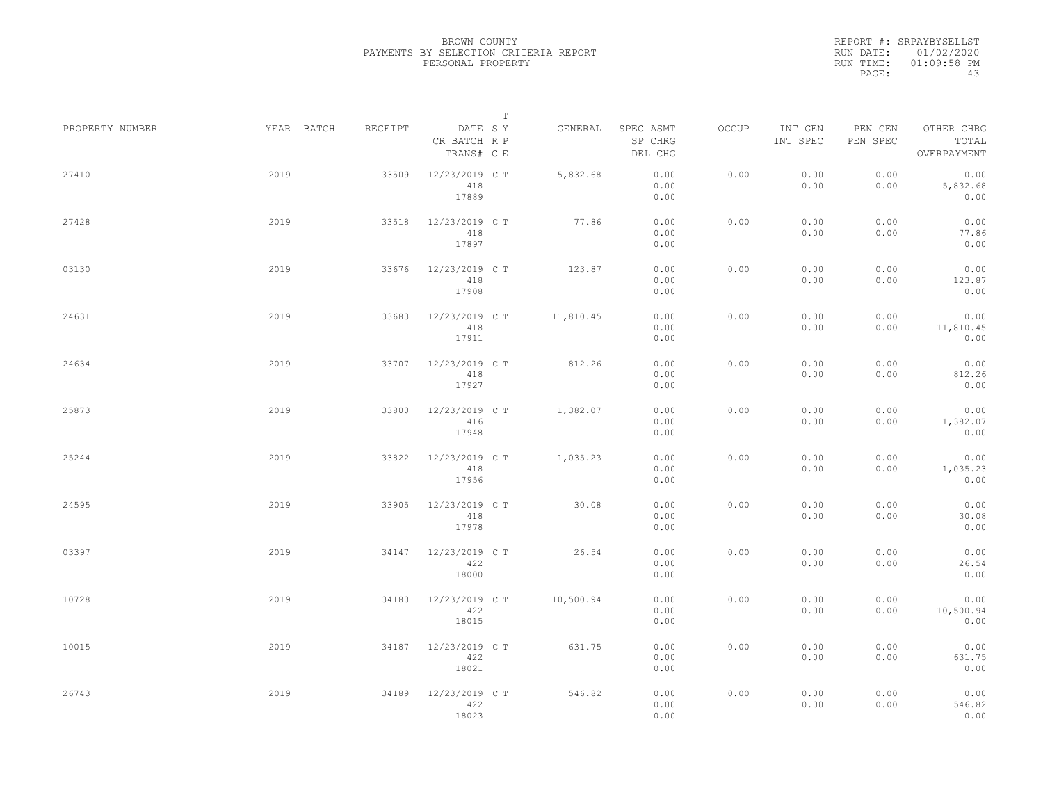REPORT #: SRPAYBYSELLST RUN DATE: 01/02/2020 RUN TIME: 01:09:58 PM PAGE: 43

|                 |            |         | $\mathbb T$                           |           |                                 |       |                     |                     |                                    |
|-----------------|------------|---------|---------------------------------------|-----------|---------------------------------|-------|---------------------|---------------------|------------------------------------|
| PROPERTY NUMBER | YEAR BATCH | RECEIPT | DATE SY<br>CR BATCH R P<br>TRANS# C E | GENERAL   | SPEC ASMT<br>SP CHRG<br>DEL CHG | OCCUP | INT GEN<br>INT SPEC | PEN GEN<br>PEN SPEC | OTHER CHRG<br>TOTAL<br>OVERPAYMENT |
| 27410           | 2019       | 33509   | 12/23/2019 C T<br>418<br>17889        | 5,832.68  | 0.00<br>0.00<br>0.00            | 0.00  | 0.00<br>0.00        | 0.00<br>0.00        | 0.00<br>5,832.68<br>0.00           |
| 27428           | 2019       | 33518   | 12/23/2019 C T<br>418<br>17897        | 77.86     | 0.00<br>0.00<br>0.00            | 0.00  | 0.00<br>0.00        | 0.00<br>0.00        | 0.00<br>77.86<br>0.00              |
| 03130           | 2019       | 33676   | 12/23/2019 C T<br>418<br>17908        | 123.87    | 0.00<br>0.00<br>0.00            | 0.00  | 0.00<br>0.00        | 0.00<br>0.00        | 0.00<br>123.87<br>0.00             |
| 24631           | 2019       | 33683   | 12/23/2019 C T<br>418<br>17911        | 11,810.45 | 0.00<br>0.00<br>0.00            | 0.00  | 0.00<br>0.00        | 0.00<br>0.00        | 0.00<br>11,810.45<br>0.00          |
| 24634           | 2019       | 33707   | 12/23/2019 C T<br>418<br>17927        | 812.26    | 0.00<br>0.00<br>0.00            | 0.00  | 0.00<br>0.00        | 0.00<br>0.00        | 0.00<br>812.26<br>0.00             |
| 25873           | 2019       | 33800   | 12/23/2019 C T<br>416<br>17948        | 1,382.07  | 0.00<br>0.00<br>0.00            | 0.00  | 0.00<br>0.00        | 0.00<br>0.00        | 0.00<br>1,382.07<br>0.00           |
| 25244           | 2019       | 33822   | 12/23/2019 C T<br>418<br>17956        | 1,035.23  | 0.00<br>0.00<br>0.00            | 0.00  | 0.00<br>0.00        | 0.00<br>0.00        | 0.00<br>1,035.23<br>0.00           |
| 24595           | 2019       | 33905   | 12/23/2019 C T<br>418<br>17978        | 30.08     | 0.00<br>0.00<br>0.00            | 0.00  | 0.00<br>0.00        | 0.00<br>0.00        | 0.00<br>30.08<br>0.00              |
| 03397           | 2019       | 34147   | 12/23/2019 C T<br>422<br>18000        | 26.54     | 0.00<br>0.00<br>0.00            | 0.00  | 0.00<br>0.00        | 0.00<br>0.00        | 0.00<br>26.54<br>0.00              |
| 10728           | 2019       | 34180   | 12/23/2019 C T<br>422<br>18015        | 10,500.94 | 0.00<br>0.00<br>0.00            | 0.00  | 0.00<br>0.00        | 0.00<br>0.00        | 0.00<br>10,500.94<br>0.00          |
| 10015           | 2019       | 34187   | 12/23/2019 C T<br>422<br>18021        | 631.75    | 0.00<br>0.00<br>0.00            | 0.00  | 0.00<br>0.00        | 0.00<br>0.00        | 0.00<br>631.75<br>0.00             |
| 26743           | 2019       | 34189   | 12/23/2019 C T<br>422<br>18023        | 546.82    | 0.00<br>0.00<br>0.00            | 0.00  | 0.00<br>0.00        | 0.00<br>0.00        | 0.00<br>546.82<br>0.00             |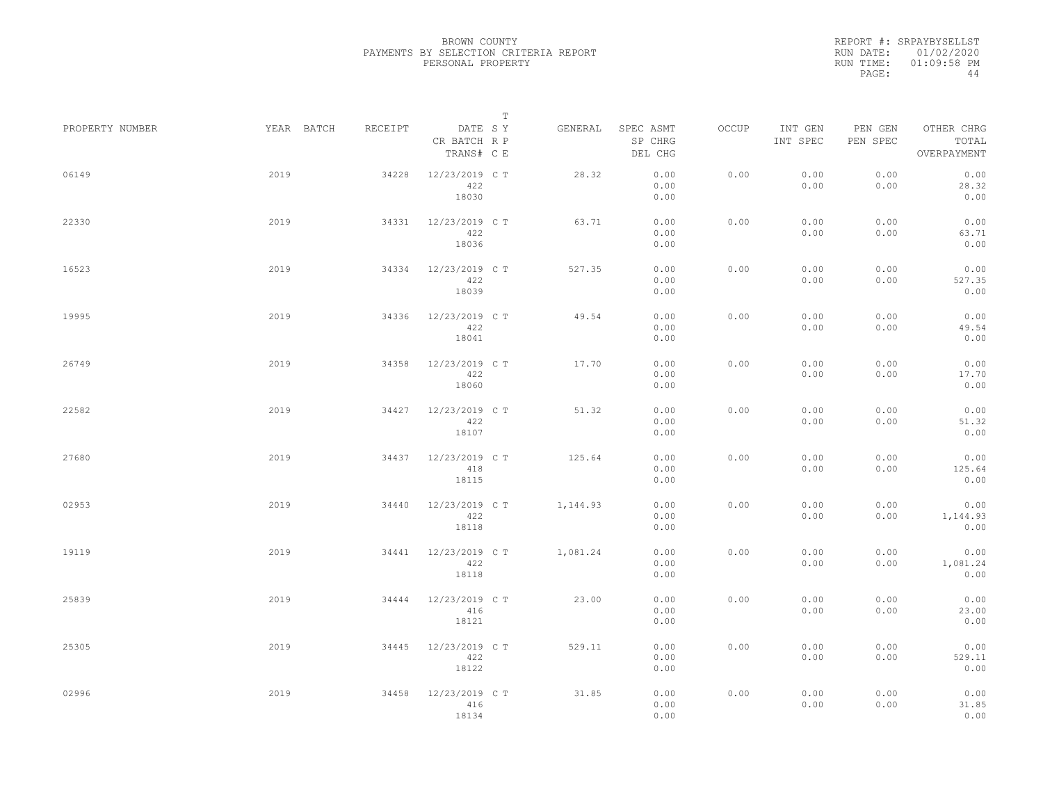REPORT #: SRPAYBYSELLST RUN DATE: 01/02/2020 RUN TIME: 01:09:58 PM PAGE:

|                 |            |         | $\mathbb T$                           |          |                                 |       |                     |                     |                                    |
|-----------------|------------|---------|---------------------------------------|----------|---------------------------------|-------|---------------------|---------------------|------------------------------------|
| PROPERTY NUMBER | YEAR BATCH | RECEIPT | DATE SY<br>CR BATCH R P<br>TRANS# C E | GENERAL  | SPEC ASMT<br>SP CHRG<br>DEL CHG | OCCUP | INT GEN<br>INT SPEC | PEN GEN<br>PEN SPEC | OTHER CHRG<br>TOTAL<br>OVERPAYMENT |
| 06149           | 2019       | 34228   | 12/23/2019 C T<br>422<br>18030        | 28.32    | 0.00<br>0.00<br>0.00            | 0.00  | 0.00<br>0.00        | 0.00<br>0.00        | 0.00<br>28.32<br>0.00              |
| 22330           | 2019       | 34331   | 12/23/2019 C T<br>422<br>18036        | 63.71    | 0.00<br>0.00<br>0.00            | 0.00  | 0.00<br>0.00        | 0.00<br>0.00        | 0.00<br>63.71<br>0.00              |
| 16523           | 2019       | 34334   | 12/23/2019 C T<br>422<br>18039        | 527.35   | 0.00<br>0.00<br>0.00            | 0.00  | 0.00<br>0.00        | 0.00<br>0.00        | 0.00<br>527.35<br>0.00             |
| 19995           | 2019       | 34336   | 12/23/2019 C T<br>422<br>18041        | 49.54    | 0.00<br>0.00<br>0.00            | 0.00  | 0.00<br>0.00        | 0.00<br>0.00        | 0.00<br>49.54<br>0.00              |
| 26749           | 2019       | 34358   | 12/23/2019 C T<br>422<br>18060        | 17.70    | 0.00<br>0.00<br>0.00            | 0.00  | 0.00<br>0.00        | 0.00<br>0.00        | 0.00<br>17.70<br>0.00              |
| 22582           | 2019       | 34427   | 12/23/2019 C T<br>422<br>18107        | 51.32    | 0.00<br>0.00<br>0.00            | 0.00  | 0.00<br>0.00        | 0.00<br>0.00        | 0.00<br>51.32<br>0.00              |
| 27680           | 2019       | 34437   | 12/23/2019 C T<br>418<br>18115        | 125.64   | 0.00<br>0.00<br>0.00            | 0.00  | 0.00<br>0.00        | 0.00<br>0.00        | 0.00<br>125.64<br>0.00             |
| 02953           | 2019       | 34440   | 12/23/2019 C T<br>422<br>18118        | 1,144.93 | 0.00<br>0.00<br>0.00            | 0.00  | 0.00<br>0.00        | 0.00<br>0.00        | 0.00<br>1,144.93<br>0.00           |
| 19119           | 2019       | 34441   | 12/23/2019 C T<br>422<br>18118        | 1,081.24 | 0.00<br>0.00<br>0.00            | 0.00  | 0.00<br>0.00        | 0.00<br>0.00        | 0.00<br>1,081.24<br>0.00           |
| 25839           | 2019       | 34444   | 12/23/2019 C T<br>416<br>18121        | 23.00    | 0.00<br>0.00<br>0.00            | 0.00  | 0.00<br>0.00        | 0.00<br>0.00        | 0.00<br>23.00<br>0.00              |
| 25305           | 2019       | 34445   | 12/23/2019 C T<br>422<br>18122        | 529.11   | 0.00<br>0.00<br>0.00            | 0.00  | 0.00<br>0.00        | 0.00<br>0.00        | 0.00<br>529.11<br>0.00             |
| 02996           | 2019       | 34458   | 12/23/2019 C T<br>416<br>18134        | 31.85    | 0.00<br>0.00<br>0.00            | 0.00  | 0.00<br>0.00        | 0.00<br>0.00        | 0.00<br>31.85<br>0.00              |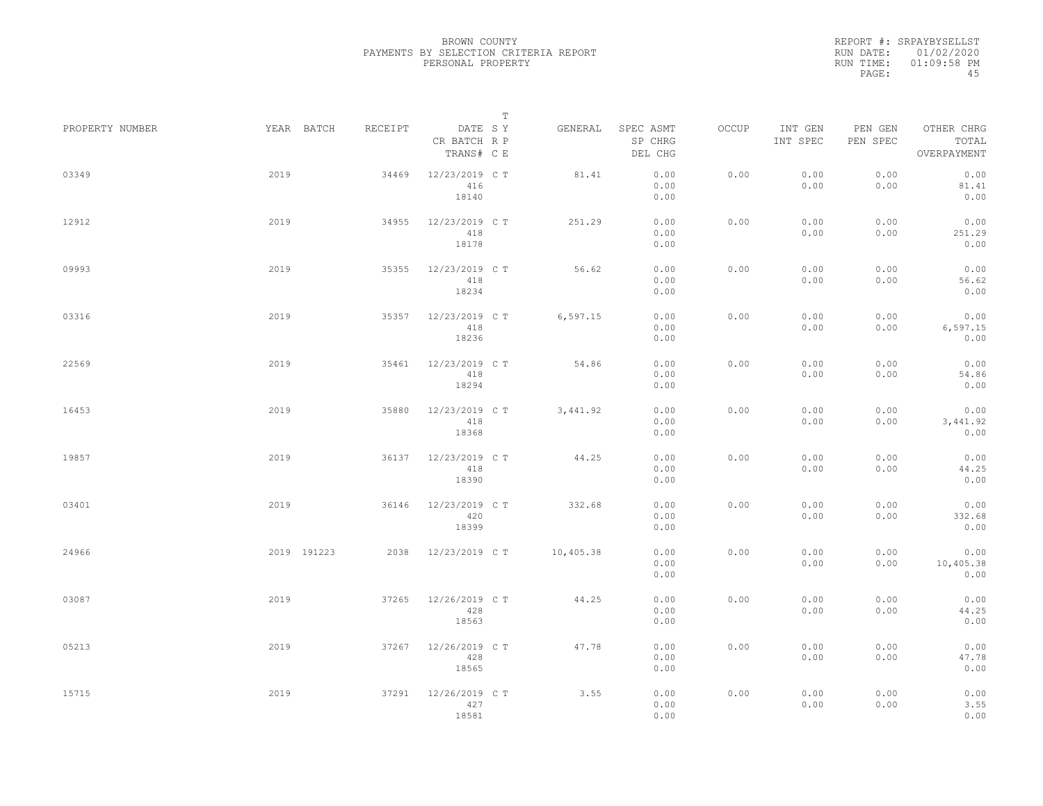REPORT #: SRPAYBYSELLST RUN DATE: 01/02/2020 RUN TIME: 01:09:58 PM PAGE: 45

|                 |             |         |                                       | $\mathbb T$ |                                 |       |                     |                     |                                    |
|-----------------|-------------|---------|---------------------------------------|-------------|---------------------------------|-------|---------------------|---------------------|------------------------------------|
| PROPERTY NUMBER | YEAR BATCH  | RECEIPT | DATE SY<br>CR BATCH R P<br>TRANS# C E | GENERAL     | SPEC ASMT<br>SP CHRG<br>DEL CHG | OCCUP | INT GEN<br>INT SPEC | PEN GEN<br>PEN SPEC | OTHER CHRG<br>TOTAL<br>OVERPAYMENT |
| 03349           | 2019        | 34469   | 12/23/2019 C T<br>416<br>18140        | 81.41       | 0.00<br>0.00<br>0.00            | 0.00  | 0.00<br>0.00        | 0.00<br>0.00        | 0.00<br>81.41<br>0.00              |
| 12912           | 2019        | 34955   | 12/23/2019 C T<br>418<br>18178        | 251.29      | 0.00<br>0.00<br>0.00            | 0.00  | 0.00<br>0.00        | 0.00<br>0.00        | 0.00<br>251.29<br>0.00             |
| 09993           | 2019        | 35355   | 12/23/2019 C T<br>418<br>18234        | 56.62       | 0.00<br>0.00<br>0.00            | 0.00  | 0.00<br>0.00        | 0.00<br>0.00        | 0.00<br>56.62<br>0.00              |
| 03316           | 2019        | 35357   | 12/23/2019 C T<br>418<br>18236        | 6, 597.15   | 0.00<br>0.00<br>0.00            | 0.00  | 0.00<br>0.00        | 0.00<br>0.00        | 0.00<br>6,597.15<br>0.00           |
| 22569           | 2019        | 35461   | 12/23/2019 C T<br>418<br>18294        | 54.86       | 0.00<br>0.00<br>0.00            | 0.00  | 0.00<br>0.00        | 0.00<br>0.00        | 0.00<br>54.86<br>0.00              |
| 16453           | 2019        | 35880   | 12/23/2019 C T<br>418<br>18368        | 3, 441.92   | 0.00<br>0.00<br>0.00            | 0.00  | 0.00<br>0.00        | 0.00<br>0.00        | 0.00<br>3,441.92<br>0.00           |
| 19857           | 2019        | 36137   | 12/23/2019 C T<br>418<br>18390        | 44.25       | 0.00<br>0.00<br>0.00            | 0.00  | 0.00<br>0.00        | 0.00<br>0.00        | 0.00<br>44.25<br>0.00              |
| 03401           | 2019        | 36146   | 12/23/2019 C T<br>420<br>18399        | 332.68      | 0.00<br>0.00<br>0.00            | 0.00  | 0.00<br>0.00        | 0.00<br>0.00        | 0.00<br>332.68<br>0.00             |
| 24966           | 2019 191223 | 2038    | 12/23/2019 C T                        | 10,405.38   | 0.00<br>0.00<br>0.00            | 0.00  | 0.00<br>0.00        | 0.00<br>0.00        | 0.00<br>10,405.38<br>0.00          |
| 03087           | 2019        | 37265   | 12/26/2019 C T<br>428<br>18563        | 44.25       | 0.00<br>0.00<br>0.00            | 0.00  | 0.00<br>0.00        | 0.00<br>0.00        | 0.00<br>44.25<br>0.00              |
| 05213           | 2019        | 37267   | 12/26/2019 C T<br>428<br>18565        | 47.78       | 0.00<br>0.00<br>0.00            | 0.00  | 0.00<br>0.00        | 0.00<br>0.00        | 0.00<br>47.78<br>0.00              |
| 15715           | 2019        | 37291   | 12/26/2019 C T<br>427<br>18581        | 3.55        | 0.00<br>0.00<br>0.00            | 0.00  | 0.00<br>0.00        | 0.00<br>0.00        | 0.00<br>3.55<br>0.00               |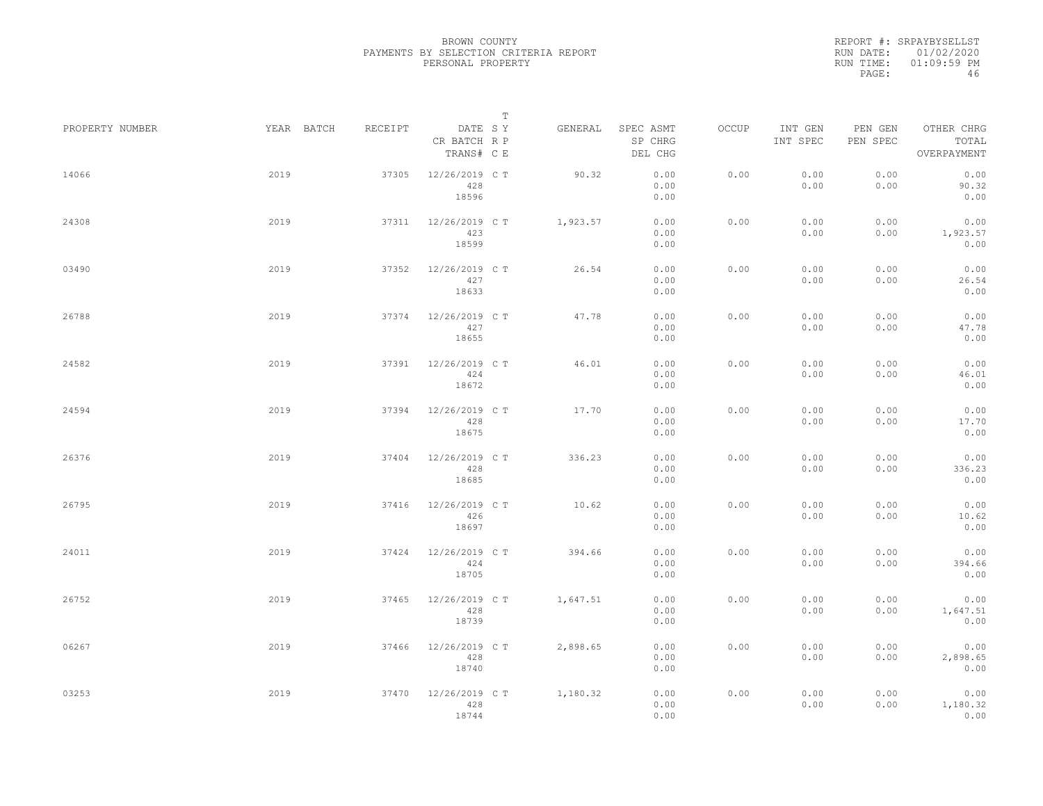REPORT #: SRPAYBYSELLST RUN DATE: 01/02/2020 RUN TIME: 01:09:59 PM PAGE: 46

|                 |            |         |                                       | $\mathbb T$ |                                 |       |                     |                     |                                    |
|-----------------|------------|---------|---------------------------------------|-------------|---------------------------------|-------|---------------------|---------------------|------------------------------------|
| PROPERTY NUMBER | YEAR BATCH | RECEIPT | DATE SY<br>CR BATCH R P<br>TRANS# C E | GENERAL     | SPEC ASMT<br>SP CHRG<br>DEL CHG | OCCUP | INT GEN<br>INT SPEC | PEN GEN<br>PEN SPEC | OTHER CHRG<br>TOTAL<br>OVERPAYMENT |
| 14066           | 2019       | 37305   | 12/26/2019 C T<br>428<br>18596        | 90.32       | 0.00<br>0.00<br>0.00            | 0.00  | 0.00<br>0.00        | 0.00<br>0.00        | 0.00<br>90.32<br>0.00              |
| 24308           | 2019       | 37311   | 12/26/2019 C T<br>423<br>18599        | 1,923.57    | 0.00<br>0.00<br>0.00            | 0.00  | 0.00<br>0.00        | 0.00<br>0.00        | 0.00<br>1,923.57<br>0.00           |
| 03490           | 2019       | 37352   | 12/26/2019 C T<br>427<br>18633        | 26.54       | 0.00<br>0.00<br>0.00            | 0.00  | 0.00<br>0.00        | 0.00<br>0.00        | 0.00<br>26.54<br>0.00              |
| 26788           | 2019       | 37374   | 12/26/2019 C T<br>427<br>18655        | 47.78       | 0.00<br>0.00<br>0.00            | 0.00  | 0.00<br>0.00        | 0.00<br>0.00        | 0.00<br>47.78<br>0.00              |
| 24582           | 2019       | 37391   | 12/26/2019 C T<br>424<br>18672        | 46.01       | 0.00<br>0.00<br>0.00            | 0.00  | 0.00<br>0.00        | 0.00<br>0.00        | 0.00<br>46.01<br>0.00              |
| 24594           | 2019       | 37394   | 12/26/2019 C T<br>428<br>18675        | 17.70       | 0.00<br>0.00<br>0.00            | 0.00  | 0.00<br>0.00        | 0.00<br>0.00        | 0.00<br>17.70<br>0.00              |
| 26376           | 2019       | 37404   | 12/26/2019 C T<br>428<br>18685        | 336.23      | 0.00<br>0.00<br>0.00            | 0.00  | 0.00<br>0.00        | 0.00<br>0.00        | 0.00<br>336.23<br>0.00             |
| 26795           | 2019       | 37416   | 12/26/2019 C T<br>426<br>18697        | 10.62       | 0.00<br>0.00<br>0.00            | 0.00  | 0.00<br>0.00        | 0.00<br>0.00        | 0.00<br>10.62<br>0.00              |
| 24011           | 2019       | 37424   | 12/26/2019 C T<br>424<br>18705        | 394.66      | 0.00<br>0.00<br>0.00            | 0.00  | 0.00<br>0.00        | 0.00<br>0.00        | 0.00<br>394.66<br>0.00             |
| 26752           | 2019       | 37465   | 12/26/2019 C T<br>428<br>18739        | 1,647.51    | 0.00<br>0.00<br>0.00            | 0.00  | 0.00<br>0.00        | 0.00<br>0.00        | 0.00<br>1,647.51<br>0.00           |
| 06267           | 2019       | 37466   | 12/26/2019 C T<br>428<br>18740        | 2,898.65    | 0.00<br>0.00<br>0.00            | 0.00  | 0.00<br>0.00        | 0.00<br>0.00        | 0.00<br>2,898.65<br>0.00           |
| 03253           | 2019       | 37470   | 12/26/2019 C T<br>428<br>18744        | 1,180.32    | 0.00<br>0.00<br>0.00            | 0.00  | 0.00<br>0.00        | 0.00<br>0.00        | 0.00<br>1,180.32<br>0.00           |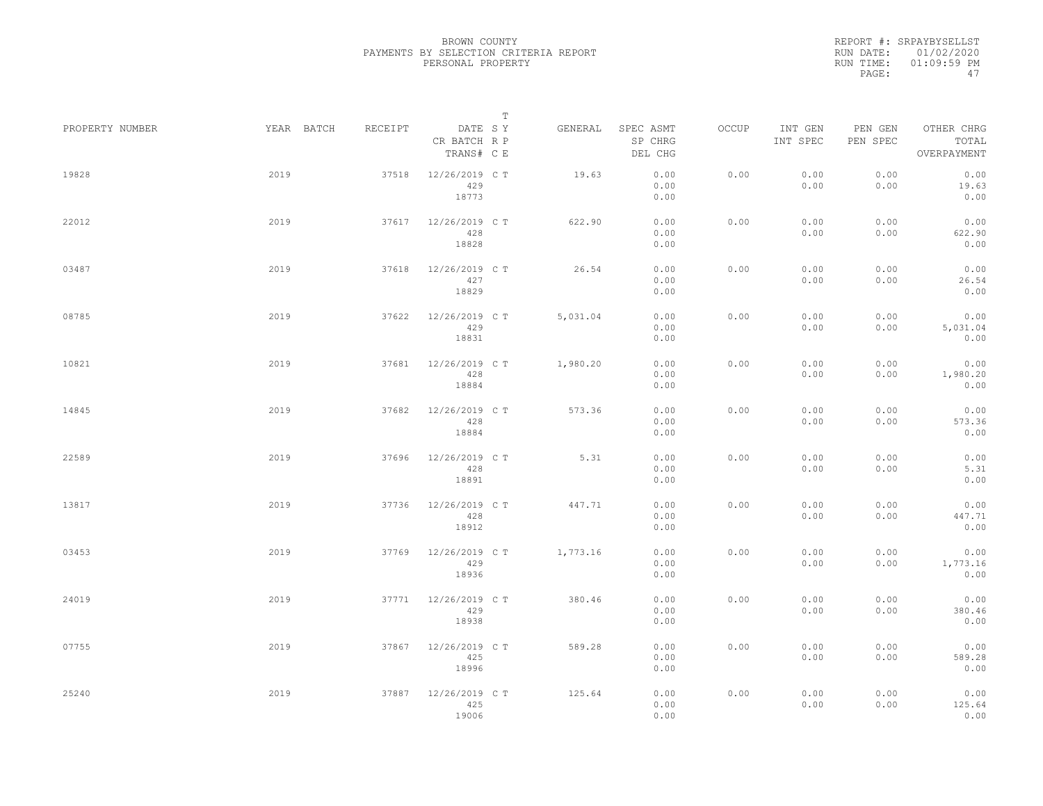REPORT #: SRPAYBYSELLST RUN DATE: 01/02/2020 RUN TIME: 01:09:59 PM PAGE: 47

|                 |            |         |                                       | $\mathbb T$ |          |                                 |       |                     |                     |                                    |
|-----------------|------------|---------|---------------------------------------|-------------|----------|---------------------------------|-------|---------------------|---------------------|------------------------------------|
| PROPERTY NUMBER | YEAR BATCH | RECEIPT | DATE SY<br>CR BATCH R P<br>TRANS# C E |             | GENERAL  | SPEC ASMT<br>SP CHRG<br>DEL CHG | OCCUP | INT GEN<br>INT SPEC | PEN GEN<br>PEN SPEC | OTHER CHRG<br>TOTAL<br>OVERPAYMENT |
| 19828           | 2019       | 37518   | 12/26/2019 C T<br>429<br>18773        |             | 19.63    | 0.00<br>0.00<br>0.00            | 0.00  | 0.00<br>0.00        | 0.00<br>0.00        | 0.00<br>19.63<br>0.00              |
| 22012           | 2019       | 37617   | 12/26/2019 C T<br>428<br>18828        |             | 622.90   | 0.00<br>0.00<br>0.00            | 0.00  | 0.00<br>0.00        | 0.00<br>0.00        | 0.00<br>622.90<br>0.00             |
| 03487           | 2019       | 37618   | 12/26/2019 C T<br>427<br>18829        |             | 26.54    | 0.00<br>0.00<br>0.00            | 0.00  | 0.00<br>0.00        | 0.00<br>0.00        | 0.00<br>26.54<br>0.00              |
| 08785           | 2019       | 37622   | 12/26/2019 C T<br>429<br>18831        |             | 5,031.04 | 0.00<br>0.00<br>0.00            | 0.00  | 0.00<br>0.00        | 0.00<br>0.00        | 0.00<br>5,031.04<br>0.00           |
| 10821           | 2019       | 37681   | 12/26/2019 C T<br>428<br>18884        |             | 1,980.20 | 0.00<br>0.00<br>0.00            | 0.00  | 0.00<br>0.00        | 0.00<br>0.00        | 0.00<br>1,980.20<br>0.00           |
| 14845           | 2019       | 37682   | 12/26/2019 C T<br>428<br>18884        |             | 573.36   | 0.00<br>0.00<br>0.00            | 0.00  | 0.00<br>0.00        | 0.00<br>0.00        | 0.00<br>573.36<br>0.00             |
| 22589           | 2019       | 37696   | 12/26/2019 C T<br>428<br>18891        |             | 5.31     | 0.00<br>0.00<br>0.00            | 0.00  | 0.00<br>0.00        | 0.00<br>0.00        | 0.00<br>5.31<br>0.00               |
| 13817           | 2019       | 37736   | 12/26/2019 C T<br>428<br>18912        |             | 447.71   | 0.00<br>0.00<br>0.00            | 0.00  | 0.00<br>0.00        | 0.00<br>0.00        | 0.00<br>447.71<br>0.00             |
| 03453           | 2019       | 37769   | 12/26/2019 C T<br>429<br>18936        |             | 1,773.16 | 0.00<br>0.00<br>0.00            | 0.00  | 0.00<br>0.00        | 0.00<br>0.00        | 0.00<br>1,773.16<br>0.00           |
| 24019           | 2019       | 37771   | 12/26/2019 C T<br>429<br>18938        |             | 380.46   | 0.00<br>0.00<br>0.00            | 0.00  | 0.00<br>0.00        | 0.00<br>0.00        | 0.00<br>380.46<br>0.00             |
| 07755           | 2019       | 37867   | 12/26/2019 C T<br>425<br>18996        |             | 589.28   | 0.00<br>0.00<br>0.00            | 0.00  | 0.00<br>0.00        | 0.00<br>0.00        | 0.00<br>589.28<br>0.00             |
| 25240           | 2019       | 37887   | 12/26/2019 C T<br>425<br>19006        |             | 125.64   | 0.00<br>0.00<br>0.00            | 0.00  | 0.00<br>0.00        | 0.00<br>0.00        | 0.00<br>125.64<br>0.00             |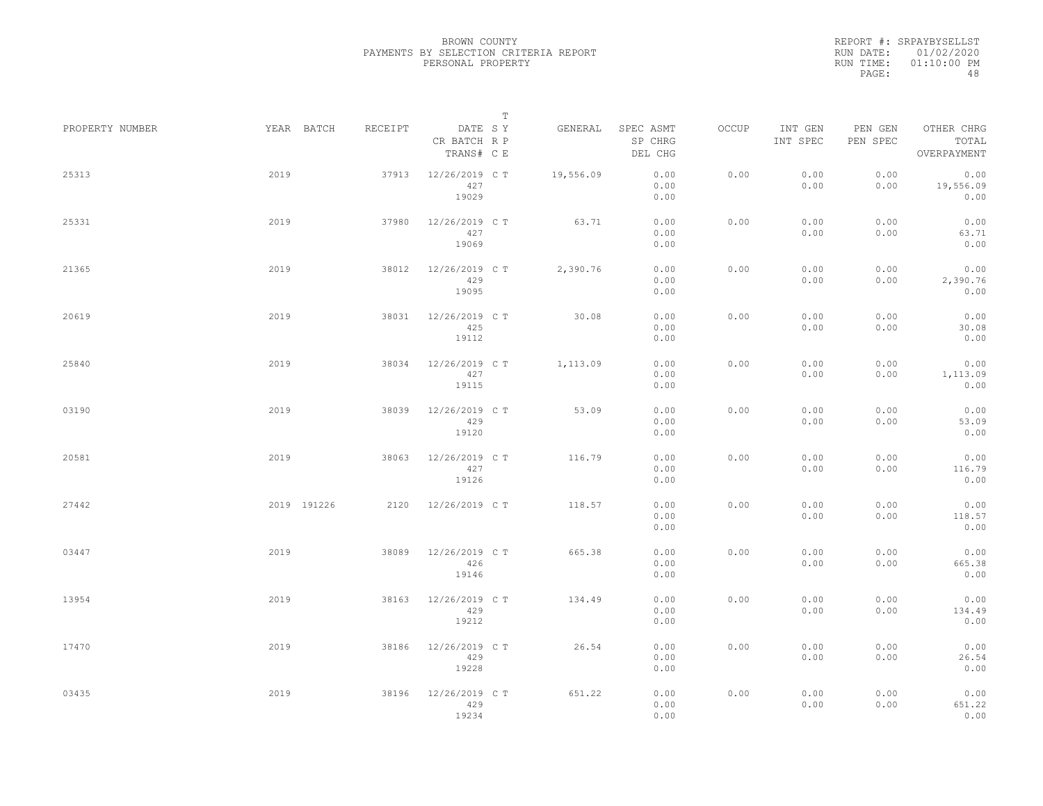REPORT #: SRPAYBYSELLST RUN DATE: 01/02/2020 RUN TIME: 01:10:00 PM PAGE: 48

|                 |             |         | $\mathbb T$                           |           |                                 |       |                     |                     |                                    |
|-----------------|-------------|---------|---------------------------------------|-----------|---------------------------------|-------|---------------------|---------------------|------------------------------------|
| PROPERTY NUMBER | YEAR BATCH  | RECEIPT | DATE SY<br>CR BATCH R P<br>TRANS# C E | GENERAL   | SPEC ASMT<br>SP CHRG<br>DEL CHG | OCCUP | INT GEN<br>INT SPEC | PEN GEN<br>PEN SPEC | OTHER CHRG<br>TOTAL<br>OVERPAYMENT |
| 25313           | 2019        | 37913   | 12/26/2019 C T<br>427<br>19029        | 19,556.09 | 0.00<br>0.00<br>0.00            | 0.00  | 0.00<br>0.00        | 0.00<br>0.00        | 0.00<br>19,556.09<br>0.00          |
| 25331           | 2019        | 37980   | 12/26/2019 C T<br>427<br>19069        | 63.71     | 0.00<br>0.00<br>0.00            | 0.00  | 0.00<br>0.00        | 0.00<br>0.00        | 0.00<br>63.71<br>0.00              |
| 21365           | 2019        | 38012   | 12/26/2019 C T<br>429<br>19095        | 2,390.76  | 0.00<br>0.00<br>0.00            | 0.00  | 0.00<br>0.00        | 0.00<br>0.00        | 0.00<br>2,390.76<br>0.00           |
| 20619           | 2019        | 38031   | 12/26/2019 C T<br>425<br>19112        | 30.08     | 0.00<br>0.00<br>0.00            | 0.00  | 0.00<br>0.00        | 0.00<br>0.00        | 0.00<br>30.08<br>0.00              |
| 25840           | 2019        | 38034   | 12/26/2019 C T<br>427<br>19115        | 1,113.09  | 0.00<br>0.00<br>0.00            | 0.00  | 0.00<br>0.00        | 0.00<br>0.00        | 0.00<br>1,113.09<br>0.00           |
| 03190           | 2019        | 38039   | 12/26/2019 C T<br>429<br>19120        | 53.09     | 0.00<br>0.00<br>0.00            | 0.00  | 0.00<br>0.00        | 0.00<br>0.00        | 0.00<br>53.09<br>0.00              |
| 20581           | 2019        | 38063   | 12/26/2019 C T<br>427<br>19126        | 116.79    | 0.00<br>0.00<br>0.00            | 0.00  | 0.00<br>0.00        | 0.00<br>0.00        | 0.00<br>116.79<br>0.00             |
| 27442           | 2019 191226 | 2120    | 12/26/2019 C T                        | 118.57    | 0.00<br>0.00<br>0.00            | 0.00  | 0.00<br>0.00        | 0.00<br>0.00        | 0.00<br>118.57<br>0.00             |
| 03447           | 2019        | 38089   | 12/26/2019 C T<br>426<br>19146        | 665.38    | 0.00<br>0.00<br>0.00            | 0.00  | 0.00<br>0.00        | 0.00<br>0.00        | 0.00<br>665.38<br>0.00             |
| 13954           | 2019        | 38163   | 12/26/2019 C T<br>429<br>19212        | 134.49    | 0.00<br>0.00<br>0.00            | 0.00  | 0.00<br>0.00        | 0.00<br>0.00        | 0.00<br>134.49<br>0.00             |
| 17470           | 2019        | 38186   | 12/26/2019 C T<br>429<br>19228        | 26.54     | 0.00<br>0.00<br>0.00            | 0.00  | 0.00<br>0.00        | 0.00<br>0.00        | 0.00<br>26.54<br>0.00              |
| 03435           | 2019        | 38196   | 12/26/2019 C T<br>429<br>19234        | 651.22    | 0.00<br>0.00<br>0.00            | 0.00  | 0.00<br>0.00        | 0.00<br>0.00        | 0.00<br>651.22<br>0.00             |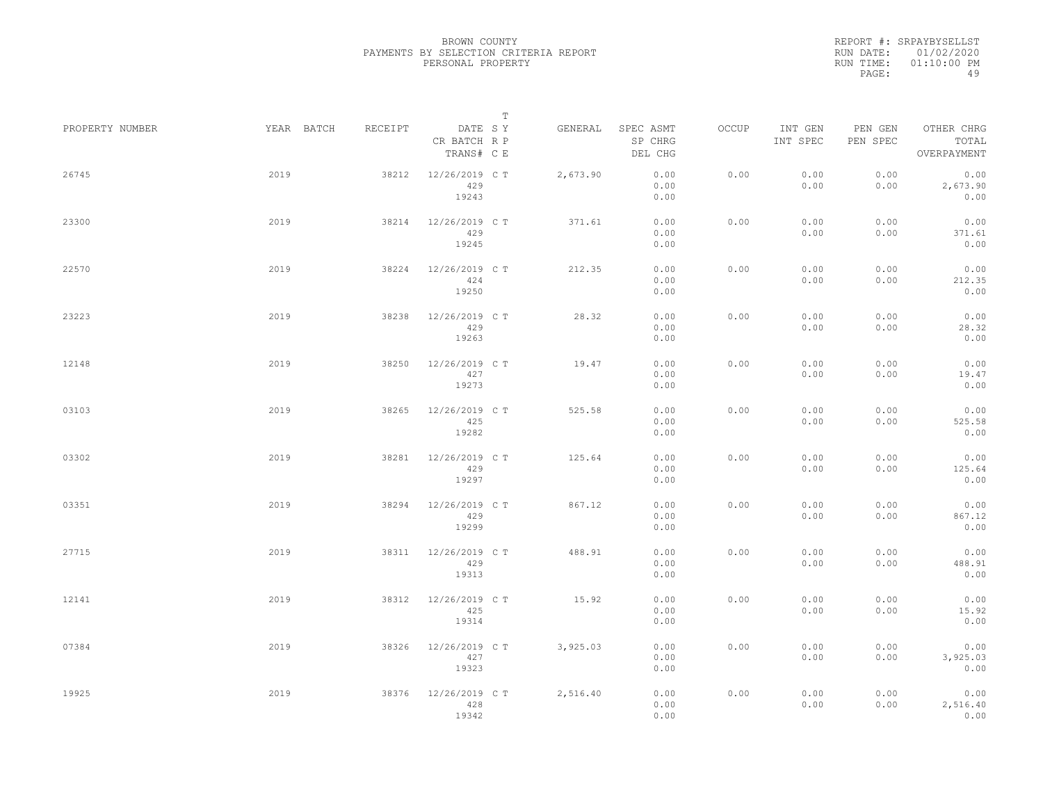REPORT #: SRPAYBYSELLST RUN DATE: 01/02/2020 RUN TIME: 01:10:00 PM PAGE: 49

|                 |            |         | $\mathbb T$                           |          |                                 |       |                     |                     |                                    |
|-----------------|------------|---------|---------------------------------------|----------|---------------------------------|-------|---------------------|---------------------|------------------------------------|
| PROPERTY NUMBER | YEAR BATCH | RECEIPT | DATE SY<br>CR BATCH R P<br>TRANS# C E | GENERAL  | SPEC ASMT<br>SP CHRG<br>DEL CHG | OCCUP | INT GEN<br>INT SPEC | PEN GEN<br>PEN SPEC | OTHER CHRG<br>TOTAL<br>OVERPAYMENT |
| 26745           | 2019       | 38212   | 12/26/2019 C T<br>429<br>19243        | 2,673.90 | 0.00<br>0.00<br>0.00            | 0.00  | 0.00<br>0.00        | 0.00<br>0.00        | 0.00<br>2,673.90<br>0.00           |
| 23300           | 2019       | 38214   | 12/26/2019 C T<br>429<br>19245        | 371.61   | 0.00<br>0.00<br>0.00            | 0.00  | 0.00<br>0.00        | 0.00<br>0.00        | 0.00<br>371.61<br>0.00             |
| 22570           | 2019       | 38224   | 12/26/2019 C T<br>424<br>19250        | 212.35   | 0.00<br>0.00<br>0.00            | 0.00  | 0.00<br>0.00        | 0.00<br>0.00        | 0.00<br>212.35<br>0.00             |
| 23223           | 2019       | 38238   | 12/26/2019 C T<br>429<br>19263        | 28.32    | 0.00<br>0.00<br>0.00            | 0.00  | 0.00<br>0.00        | 0.00<br>0.00        | 0.00<br>28.32<br>0.00              |
| 12148           | 2019       | 38250   | 12/26/2019 C T<br>427<br>19273        | 19.47    | 0.00<br>0.00<br>0.00            | 0.00  | 0.00<br>0.00        | 0.00<br>0.00        | 0.00<br>19.47<br>0.00              |
| 03103           | 2019       | 38265   | 12/26/2019 C T<br>425<br>19282        | 525.58   | 0.00<br>0.00<br>0.00            | 0.00  | 0.00<br>0.00        | 0.00<br>0.00        | 0.00<br>525.58<br>0.00             |
| 03302           | 2019       | 38281   | 12/26/2019 C T<br>429<br>19297        | 125.64   | 0.00<br>0.00<br>0.00            | 0.00  | 0.00<br>0.00        | 0.00<br>0.00        | 0.00<br>125.64<br>0.00             |
| 03351           | 2019       | 38294   | 12/26/2019 C T<br>429<br>19299        | 867.12   | 0.00<br>0.00<br>0.00            | 0.00  | 0.00<br>0.00        | 0.00<br>0.00        | 0.00<br>867.12<br>0.00             |
| 27715           | 2019       | 38311   | 12/26/2019 C T<br>429<br>19313        | 488.91   | 0.00<br>0.00<br>0.00            | 0.00  | 0.00<br>0.00        | 0.00<br>0.00        | 0.00<br>488.91<br>0.00             |
| 12141           | 2019       | 38312   | 12/26/2019 C T<br>425<br>19314        | 15.92    | 0.00<br>0.00<br>0.00            | 0.00  | 0.00<br>0.00        | 0.00<br>0.00        | 0.00<br>15.92<br>0.00              |
| 07384           | 2019       | 38326   | 12/26/2019 C T<br>427<br>19323        | 3,925.03 | 0.00<br>0.00<br>0.00            | 0.00  | 0.00<br>0.00        | 0.00<br>0.00        | 0.00<br>3,925.03<br>0.00           |
| 19925           | 2019       | 38376   | 12/26/2019 C T<br>428<br>19342        | 2,516.40 | 0.00<br>0.00<br>0.00            | 0.00  | 0.00<br>0.00        | 0.00<br>0.00        | 0.00<br>2,516.40<br>0.00           |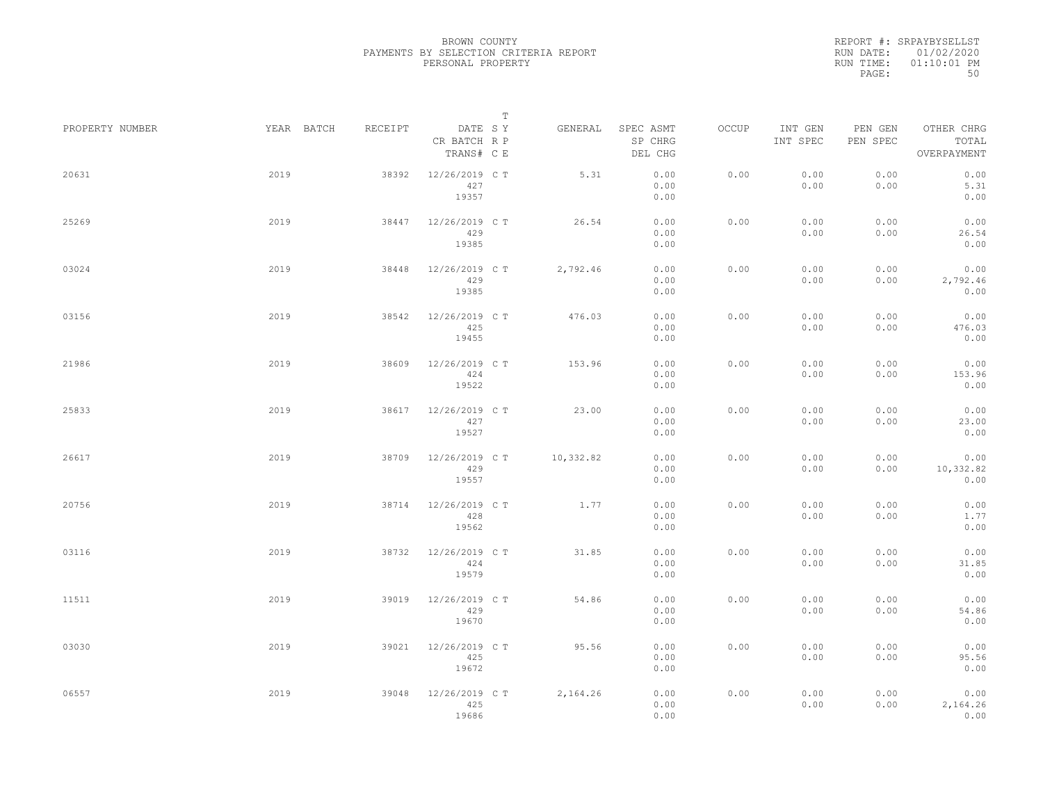REPORT #: SRPAYBYSELLST RUN DATE: 01/02/2020 RUN TIME: 01:10:01 PM PAGE: 50

|                 |            |         |                                       | $\mathbb T$ |                                 |       |                     |                     |                                    |
|-----------------|------------|---------|---------------------------------------|-------------|---------------------------------|-------|---------------------|---------------------|------------------------------------|
| PROPERTY NUMBER | YEAR BATCH | RECEIPT | DATE SY<br>CR BATCH R P<br>TRANS# C E | GENERAL     | SPEC ASMT<br>SP CHRG<br>DEL CHG | OCCUP | INT GEN<br>INT SPEC | PEN GEN<br>PEN SPEC | OTHER CHRG<br>TOTAL<br>OVERPAYMENT |
| 20631           | 2019       | 38392   | 12/26/2019 C T<br>427<br>19357        | 5.31        | 0.00<br>0.00<br>0.00            | 0.00  | 0.00<br>0.00        | 0.00<br>0.00        | 0.00<br>5.31<br>0.00               |
| 25269           | 2019       | 38447   | 12/26/2019 C T<br>429<br>19385        | 26.54       | 0.00<br>0.00<br>0.00            | 0.00  | 0.00<br>0.00        | 0.00<br>0.00        | 0.00<br>26.54<br>0.00              |
| 03024           | 2019       | 38448   | 12/26/2019 C T<br>429<br>19385        | 2,792.46    | 0.00<br>0.00<br>0.00            | 0.00  | 0.00<br>0.00        | 0.00<br>0.00        | 0.00<br>2,792.46<br>0.00           |
| 03156           | 2019       | 38542   | 12/26/2019 C T<br>425<br>19455        | 476.03      | 0.00<br>0.00<br>0.00            | 0.00  | 0.00<br>0.00        | 0.00<br>0.00        | 0.00<br>476.03<br>0.00             |
| 21986           | 2019       | 38609   | 12/26/2019 C T<br>424<br>19522        | 153.96      | 0.00<br>0.00<br>0.00            | 0.00  | 0.00<br>0.00        | 0.00<br>0.00        | 0.00<br>153.96<br>0.00             |
| 25833           | 2019       | 38617   | 12/26/2019 C T<br>427<br>19527        | 23.00       | 0.00<br>0.00<br>0.00            | 0.00  | 0.00<br>0.00        | 0.00<br>0.00        | 0.00<br>23.00<br>0.00              |
| 26617           | 2019       | 38709   | 12/26/2019 C T<br>429<br>19557        | 10,332.82   | 0.00<br>0.00<br>0.00            | 0.00  | 0.00<br>0.00        | 0.00<br>0.00        | 0.00<br>10,332.82<br>0.00          |
| 20756           | 2019       | 38714   | 12/26/2019 C T<br>428<br>19562        | 1.77        | 0.00<br>0.00<br>0.00            | 0.00  | 0.00<br>0.00        | 0.00<br>0.00        | 0.00<br>1.77<br>0.00               |
| 03116           | 2019       | 38732   | 12/26/2019 C T<br>424<br>19579        | 31.85       | 0.00<br>0.00<br>0.00            | 0.00  | 0.00<br>0.00        | 0.00<br>0.00        | 0.00<br>31.85<br>0.00              |
| 11511           | 2019       | 39019   | 12/26/2019 C T<br>429<br>19670        | 54.86       | 0.00<br>0.00<br>0.00            | 0.00  | 0.00<br>0.00        | 0.00<br>0.00        | 0.00<br>54.86<br>0.00              |
| 03030           | 2019       | 39021   | 12/26/2019 C T<br>425<br>19672        | 95.56       | 0.00<br>0.00<br>0.00            | 0.00  | 0.00<br>0.00        | 0.00<br>0.00        | 0.00<br>95.56<br>0.00              |
| 06557           | 2019       | 39048   | 12/26/2019 C T<br>425<br>19686        | 2,164.26    | 0.00<br>0.00<br>0.00            | 0.00  | 0.00<br>0.00        | 0.00<br>0.00        | 0.00<br>2,164.26<br>0.00           |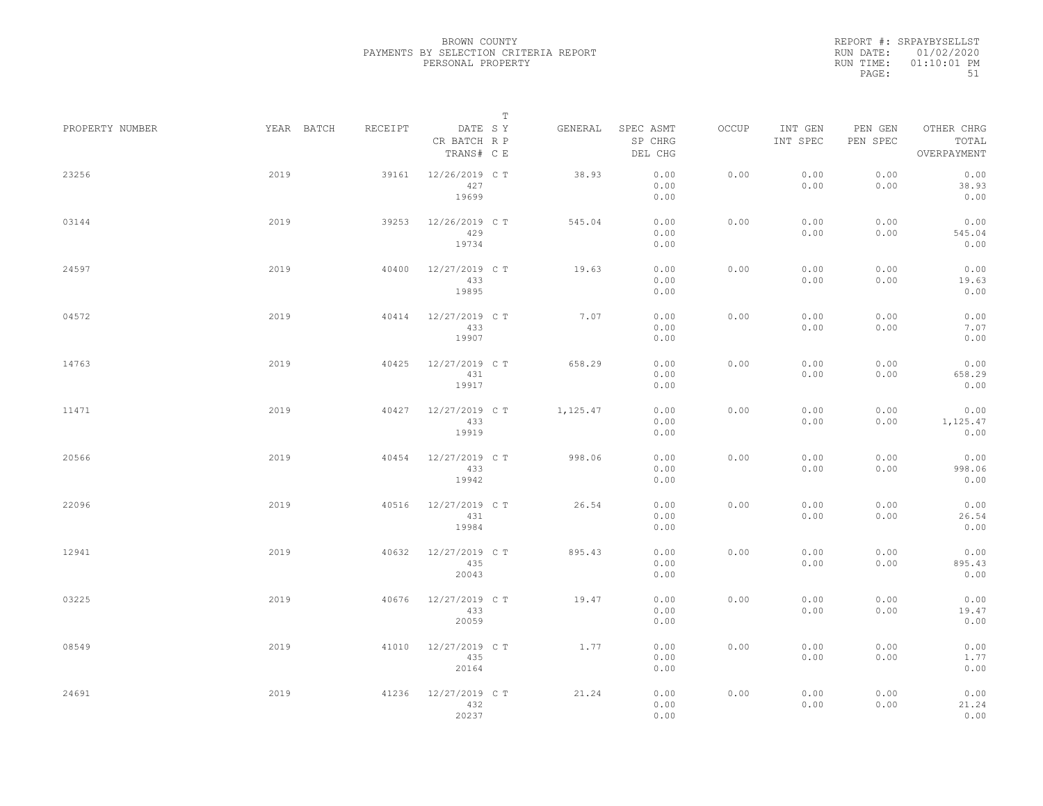REPORT #: SRPAYBYSELLST RUN DATE: 01/02/2020 RUN TIME: 01:10:01 PM PAGE: 51

|                 |            |         | $\mathbb T$                           |          |                                 |       |                     |                     |                                    |
|-----------------|------------|---------|---------------------------------------|----------|---------------------------------|-------|---------------------|---------------------|------------------------------------|
| PROPERTY NUMBER | YEAR BATCH | RECEIPT | DATE SY<br>CR BATCH R P<br>TRANS# C E | GENERAL  | SPEC ASMT<br>SP CHRG<br>DEL CHG | OCCUP | INT GEN<br>INT SPEC | PEN GEN<br>PEN SPEC | OTHER CHRG<br>TOTAL<br>OVERPAYMENT |
| 23256           | 2019       | 39161   | 12/26/2019 C T<br>427<br>19699        | 38.93    | 0.00<br>0.00<br>0.00            | 0.00  | 0.00<br>0.00        | 0.00<br>0.00        | 0.00<br>38.93<br>0.00              |
| 03144           | 2019       | 39253   | 12/26/2019 C T<br>429<br>19734        | 545.04   | 0.00<br>0.00<br>0.00            | 0.00  | 0.00<br>0.00        | 0.00<br>0.00        | 0.00<br>545.04<br>0.00             |
| 24597           | 2019       | 40400   | 12/27/2019 C T<br>433<br>19895        | 19.63    | 0.00<br>0.00<br>0.00            | 0.00  | 0.00<br>0.00        | 0.00<br>0.00        | 0.00<br>19.63<br>0.00              |
| 04572           | 2019       | 40414   | 12/27/2019 C T<br>433<br>19907        | 7.07     | 0.00<br>0.00<br>0.00            | 0.00  | 0.00<br>0.00        | 0.00<br>0.00        | 0.00<br>7.07<br>0.00               |
| 14763           | 2019       | 40425   | 12/27/2019 C T<br>431<br>19917        | 658.29   | 0.00<br>0.00<br>0.00            | 0.00  | 0.00<br>0.00        | 0.00<br>0.00        | 0.00<br>658.29<br>0.00             |
| 11471           | 2019       | 40427   | 12/27/2019 C T<br>433<br>19919        | 1,125.47 | 0.00<br>0.00<br>0.00            | 0.00  | 0.00<br>0.00        | 0.00<br>0.00        | 0.00<br>1,125.47<br>0.00           |
| 20566           | 2019       | 40454   | 12/27/2019 C T<br>433<br>19942        | 998.06   | 0.00<br>0.00<br>0.00            | 0.00  | 0.00<br>0.00        | 0.00<br>0.00        | 0.00<br>998.06<br>0.00             |
| 22096           | 2019       | 40516   | 12/27/2019 C T<br>431<br>19984        | 26.54    | 0.00<br>0.00<br>0.00            | 0.00  | 0.00<br>0.00        | 0.00<br>0.00        | 0.00<br>26.54<br>0.00              |
| 12941           | 2019       | 40632   | 12/27/2019 C T<br>435<br>20043        | 895.43   | 0.00<br>0.00<br>0.00            | 0.00  | 0.00<br>0.00        | 0.00<br>0.00        | 0.00<br>895.43<br>0.00             |
| 03225           | 2019       | 40676   | 12/27/2019 C T<br>433<br>20059        | 19.47    | 0.00<br>0.00<br>0.00            | 0.00  | 0.00<br>0.00        | 0.00<br>0.00        | 0.00<br>19.47<br>0.00              |
| 08549           | 2019       | 41010   | 12/27/2019 C T<br>435<br>20164        | 1.77     | 0.00<br>0.00<br>0.00            | 0.00  | 0.00<br>0.00        | 0.00<br>0.00        | 0.00<br>1.77<br>0.00               |
| 24691           | 2019       | 41236   | 12/27/2019 C T<br>432<br>20237        | 21.24    | 0.00<br>0.00<br>0.00            | 0.00  | 0.00<br>0.00        | 0.00<br>0.00        | 0.00<br>21.24<br>0.00              |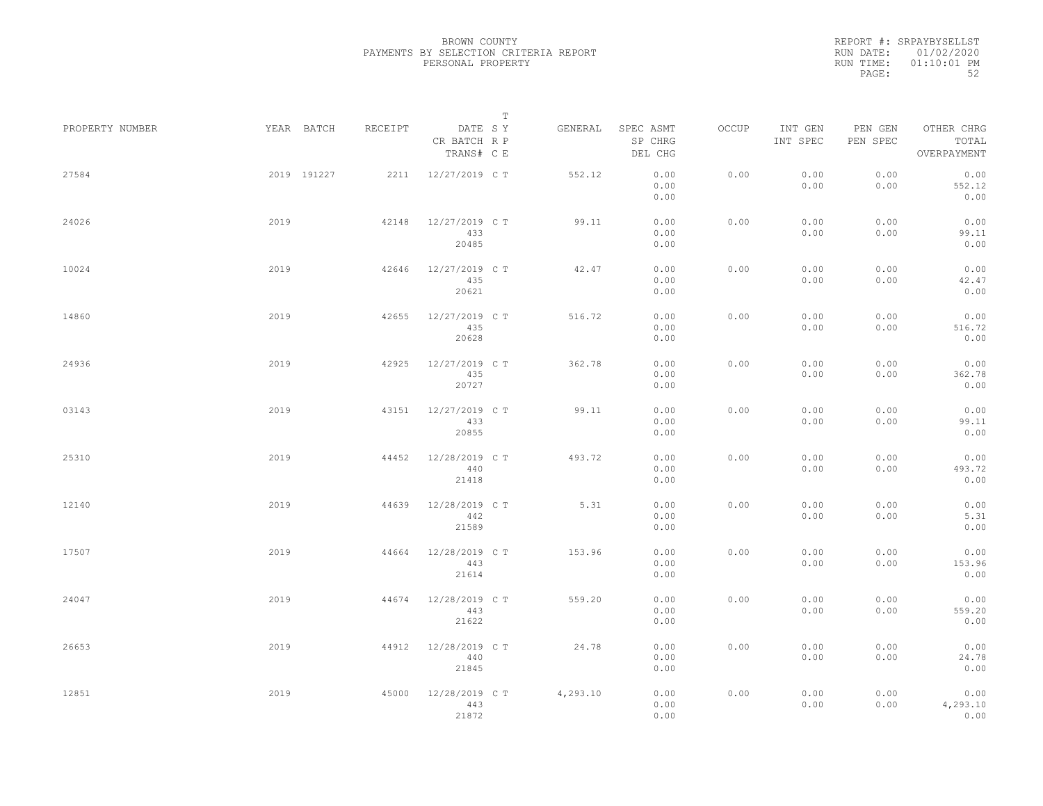REPORT #: SRPAYBYSELLST RUN DATE: 01/02/2020 RUN TIME: 01:10:01 PM PAGE: 52

|                 |      |             |         |                                       | T |          |                                 |       |                     |                     |                                    |  |
|-----------------|------|-------------|---------|---------------------------------------|---|----------|---------------------------------|-------|---------------------|---------------------|------------------------------------|--|
| PROPERTY NUMBER |      | YEAR BATCH  | RECEIPT | DATE SY<br>CR BATCH R P<br>TRANS# C E |   | GENERAL  | SPEC ASMT<br>SP CHRG<br>DEL CHG | OCCUP | INT GEN<br>INT SPEC | PEN GEN<br>PEN SPEC | OTHER CHRG<br>TOTAL<br>OVERPAYMENT |  |
| 27584           |      | 2019 191227 | 2211    | 12/27/2019 C T                        |   | 552.12   | 0.00<br>0.00<br>0.00            | 0.00  | 0.00<br>0.00        | 0.00<br>0.00        | 0.00<br>552.12<br>0.00             |  |
| 24026           | 2019 |             | 42148   | 12/27/2019 C T<br>433<br>20485        |   | 99.11    | 0.00<br>0.00<br>0.00            | 0.00  | 0.00<br>0.00        | 0.00<br>0.00        | 0.00<br>99.11<br>0.00              |  |
| 10024           | 2019 |             | 42646   | 12/27/2019 C T<br>435<br>20621        |   | 42.47    | 0.00<br>0.00<br>0.00            | 0.00  | 0.00<br>0.00        | 0.00<br>0.00        | 0.00<br>42.47<br>0.00              |  |
| 14860           | 2019 |             | 42655   | 12/27/2019 C T<br>435<br>20628        |   | 516.72   | 0.00<br>0.00<br>0.00            | 0.00  | 0.00<br>0.00        | 0.00<br>0.00        | 0.00<br>516.72<br>0.00             |  |
| 24936           | 2019 |             | 42925   | 12/27/2019 C T<br>435<br>20727        |   | 362.78   | 0.00<br>0.00<br>0.00            | 0.00  | 0.00<br>0.00        | 0.00<br>0.00        | 0.00<br>362.78<br>0.00             |  |
| 03143           | 2019 |             | 43151   | 12/27/2019 C T<br>433<br>20855        |   | 99.11    | 0.00<br>0.00<br>0.00            | 0.00  | 0.00<br>0.00        | 0.00<br>0.00        | 0.00<br>99.11<br>0.00              |  |
| 25310           | 2019 |             | 44452   | 12/28/2019 C T<br>440<br>21418        |   | 493.72   | 0.00<br>0.00<br>0.00            | 0.00  | 0.00<br>0.00        | 0.00<br>0.00        | 0.00<br>493.72<br>0.00             |  |
| 12140           | 2019 |             | 44639   | 12/28/2019 C T<br>442<br>21589        |   | 5.31     | 0.00<br>0.00<br>0.00            | 0.00  | 0.00<br>0.00        | 0.00<br>0.00        | 0.00<br>5.31<br>0.00               |  |
| 17507           | 2019 |             | 44664   | 12/28/2019 C T<br>443<br>21614        |   | 153.96   | 0.00<br>0.00<br>0.00            | 0.00  | 0.00<br>0.00        | 0.00<br>0.00        | 0.00<br>153.96<br>0.00             |  |
| 24047           | 2019 |             | 44674   | 12/28/2019 C T<br>443<br>21622        |   | 559.20   | 0.00<br>0.00<br>0.00            | 0.00  | 0.00<br>0.00        | 0.00<br>0.00        | 0.00<br>559.20<br>0.00             |  |
| 26653           | 2019 |             | 44912   | 12/28/2019 C T<br>440<br>21845        |   | 24.78    | 0.00<br>0.00<br>0.00            | 0.00  | 0.00<br>0.00        | 0.00<br>0.00        | 0.00<br>24.78<br>0.00              |  |
| 12851           | 2019 |             | 45000   | 12/28/2019 C T<br>443<br>21872        |   | 4,293.10 | 0.00<br>0.00<br>0.00            | 0.00  | 0.00<br>0.00        | 0.00<br>0.00        | 0.00<br>4,293.10<br>0.00           |  |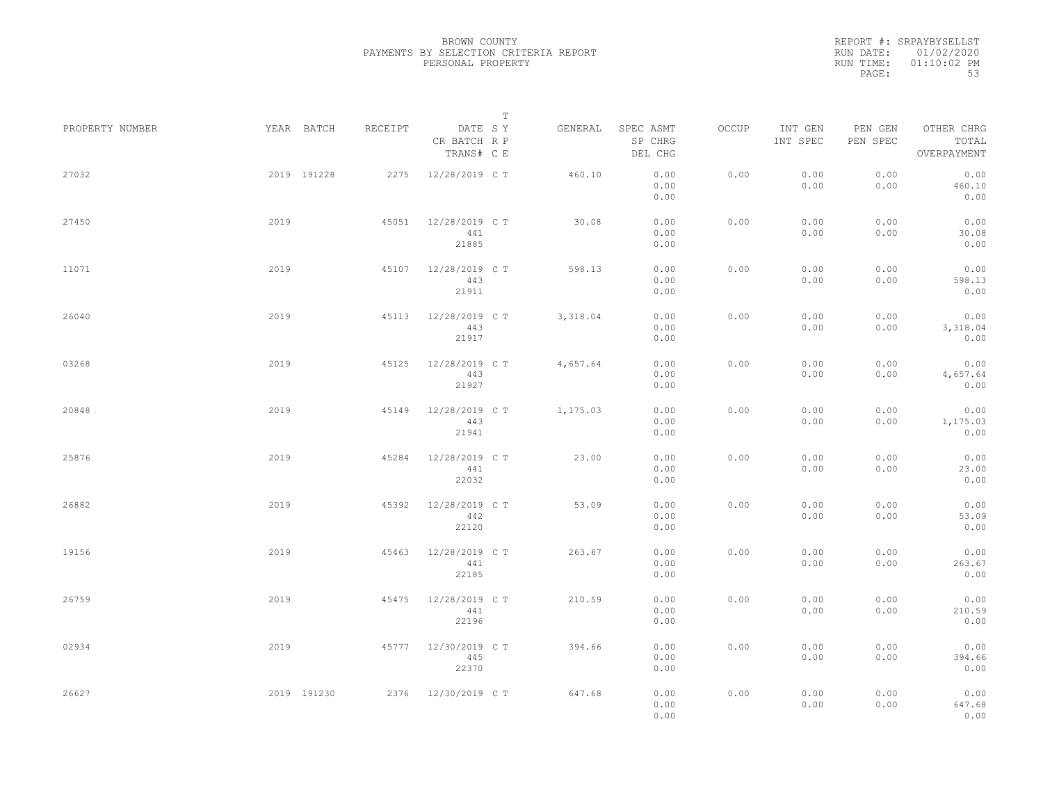REPORT #: SRPAYBYSELLST RUN DATE: 01/02/2020 RUN TIME: 01:10:02 PM PAGE: 53

|                 |      |             |         |                                       | $\mathbb T$ |          |                                 |       |                     |                     |                                    |  |
|-----------------|------|-------------|---------|---------------------------------------|-------------|----------|---------------------------------|-------|---------------------|---------------------|------------------------------------|--|
| PROPERTY NUMBER |      | YEAR BATCH  | RECEIPT | DATE SY<br>CR BATCH R P<br>TRANS# C E |             | GENERAL  | SPEC ASMT<br>SP CHRG<br>DEL CHG | OCCUP | INT GEN<br>INT SPEC | PEN GEN<br>PEN SPEC | OTHER CHRG<br>TOTAL<br>OVERPAYMENT |  |
| 27032           |      | 2019 191228 | 2275    | 12/28/2019 C T                        |             | 460.10   | 0.00<br>0.00<br>0.00            | 0.00  | 0.00<br>0.00        | 0.00<br>0.00        | 0.00<br>460.10<br>0.00             |  |
| 27450           | 2019 |             | 45051   | 12/28/2019 C T<br>441<br>21885        |             | 30.08    | 0.00<br>0.00<br>0.00            | 0.00  | 0.00<br>0.00        | 0.00<br>0.00        | 0.00<br>30.08<br>0.00              |  |
| 11071           | 2019 |             | 45107   | 12/28/2019 C T<br>443<br>21911        |             | 598.13   | 0.00<br>0.00<br>0.00            | 0.00  | 0.00<br>0.00        | 0.00<br>0.00        | 0.00<br>598.13<br>0.00             |  |
| 26040           | 2019 |             | 45113   | 12/28/2019 C T<br>443<br>21917        |             | 3,318.04 | 0.00<br>0.00<br>0.00            | 0.00  | 0.00<br>0.00        | 0.00<br>0.00        | 0.00<br>3,318.04<br>0.00           |  |
| 03268           | 2019 |             | 45125   | 12/28/2019 C T<br>443<br>21927        |             | 4,657.64 | 0.00<br>0.00<br>0.00            | 0.00  | 0.00<br>0.00        | 0.00<br>0.00        | 0.00<br>4,657.64<br>0.00           |  |
| 20848           | 2019 |             | 45149   | 12/28/2019 C T<br>443<br>21941        |             | 1,175.03 | 0.00<br>0.00<br>0.00            | 0.00  | 0.00<br>0.00        | 0.00<br>0.00        | 0.00<br>1,175.03<br>0.00           |  |
| 25876           | 2019 |             | 45284   | 12/28/2019 C T<br>441<br>22032        |             | 23.00    | 0.00<br>0.00<br>0.00            | 0.00  | 0.00<br>0.00        | 0.00<br>0.00        | 0.00<br>23.00<br>0.00              |  |
| 26882           | 2019 |             | 45392   | 12/28/2019 C T<br>442<br>22120        |             | 53.09    | 0.00<br>0.00<br>0.00            | 0.00  | 0.00<br>0.00        | 0.00<br>0.00        | 0.00<br>53.09<br>0.00              |  |
| 19156           | 2019 |             | 45463   | 12/28/2019 C T<br>441<br>22185        |             | 263.67   | 0.00<br>0.00<br>0.00            | 0.00  | 0.00<br>0.00        | 0.00<br>0.00        | 0.00<br>263.67<br>0.00             |  |
| 26759           | 2019 |             | 45475   | 12/28/2019 C T<br>441<br>22196        |             | 210.59   | 0.00<br>0.00<br>0.00            | 0.00  | 0.00<br>0.00        | 0.00<br>0.00        | 0.00<br>210.59<br>0.00             |  |
| 02934           | 2019 |             |         | 45777 12/30/2019 CT<br>445<br>22370   |             | 394.66   | 0.00<br>0.00<br>0.00            | 0.00  | 0.00<br>0.00        | 0.00<br>0.00        | 0.00<br>394.66<br>0.00             |  |
| 26627           |      | 2019 191230 |         | 2376 12/30/2019 C T                   |             | 647.68   | 0.00<br>0.00<br>0.00            | 0.00  | 0.00<br>0.00        | 0.00<br>0.00        | 0.00<br>647.68<br>0.00             |  |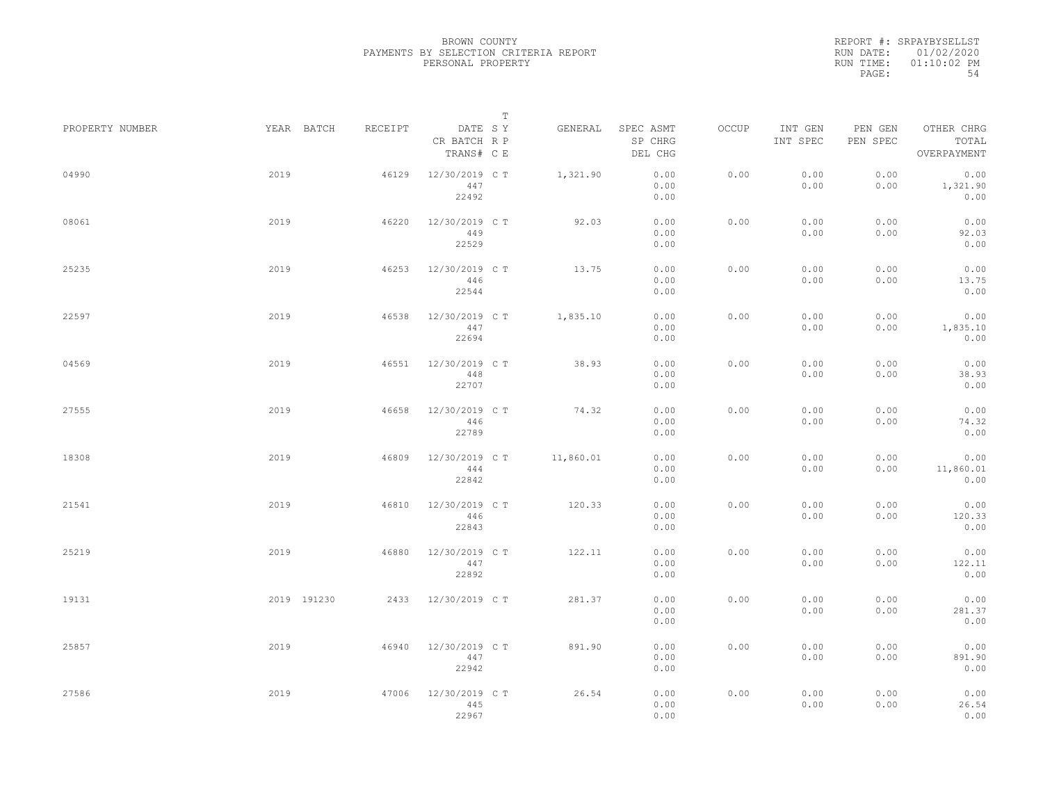REPORT #: SRPAYBYSELLST RUN DATE: 01/02/2020 RUN TIME: 01:10:02 PM PAGE: 54

|                 |             |         |                                       | $\mathbb T$ |                                 |       |                     |                     |                                    |
|-----------------|-------------|---------|---------------------------------------|-------------|---------------------------------|-------|---------------------|---------------------|------------------------------------|
| PROPERTY NUMBER | YEAR BATCH  | RECEIPT | DATE SY<br>CR BATCH R P<br>TRANS# C E | GENERAL     | SPEC ASMT<br>SP CHRG<br>DEL CHG | OCCUP | INT GEN<br>INT SPEC | PEN GEN<br>PEN SPEC | OTHER CHRG<br>TOTAL<br>OVERPAYMENT |
| 04990           | 2019        | 46129   | 12/30/2019 C T<br>447<br>22492        | 1,321.90    | 0.00<br>0.00<br>0.00            | 0.00  | 0.00<br>0.00        | 0.00<br>0.00        | 0.00<br>1,321.90<br>0.00           |
| 08061           | 2019        | 46220   | 12/30/2019 C T<br>449<br>22529        | 92.03       | 0.00<br>0.00<br>0.00            | 0.00  | 0.00<br>0.00        | 0.00<br>0.00        | 0.00<br>92.03<br>0.00              |
| 25235           | 2019        | 46253   | 12/30/2019 C T<br>446<br>22544        | 13.75       | 0.00<br>0.00<br>0.00            | 0.00  | 0.00<br>0.00        | 0.00<br>0.00        | 0.00<br>13.75<br>0.00              |
| 22597           | 2019        | 46538   | 12/30/2019 C T<br>447<br>22694        | 1,835.10    | 0.00<br>0.00<br>0.00            | 0.00  | 0.00<br>0.00        | 0.00<br>0.00        | 0.00<br>1,835.10<br>0.00           |
| 04569           | 2019        | 46551   | 12/30/2019 C T<br>448<br>22707        | 38.93       | 0.00<br>0.00<br>0.00            | 0.00  | 0.00<br>0.00        | 0.00<br>0.00        | 0.00<br>38.93<br>0.00              |
| 27555           | 2019        | 46658   | 12/30/2019 C T<br>446<br>22789        | 74.32       | 0.00<br>0.00<br>0.00            | 0.00  | 0.00<br>0.00        | 0.00<br>0.00        | 0.00<br>74.32<br>0.00              |
| 18308           | 2019        | 46809   | 12/30/2019 C T<br>444<br>22842        | 11,860.01   | 0.00<br>0.00<br>0.00            | 0.00  | 0.00<br>0.00        | 0.00<br>0.00        | 0.00<br>11,860.01<br>0.00          |
| 21541           | 2019        | 46810   | 12/30/2019 C T<br>446<br>22843        | 120.33      | 0.00<br>0.00<br>0.00            | 0.00  | 0.00<br>0.00        | 0.00<br>0.00        | 0.00<br>120.33<br>0.00             |
| 25219           | 2019        | 46880   | 12/30/2019 C T<br>447<br>22892        | 122.11      | 0.00<br>0.00<br>0.00            | 0.00  | 0.00<br>0.00        | 0.00<br>0.00        | 0.00<br>122.11<br>0.00             |
| 19131           | 2019 191230 | 2433    | 12/30/2019 C T                        | 281.37      | 0.00<br>0.00<br>0.00            | 0.00  | 0.00<br>0.00        | 0.00<br>0.00        | 0.00<br>281.37<br>0.00             |
| 25857           | 2019        | 46940   | 12/30/2019 C T<br>447<br>22942        | 891.90      | 0.00<br>0.00<br>0.00            | 0.00  | 0.00<br>0.00        | 0.00<br>0.00        | 0.00<br>891.90<br>0.00             |
| 27586           | 2019        | 47006   | 12/30/2019 C T<br>445<br>22967        | 26.54       | 0.00<br>0.00<br>0.00            | 0.00  | 0.00<br>0.00        | 0.00<br>0.00        | 0.00<br>26.54<br>0.00              |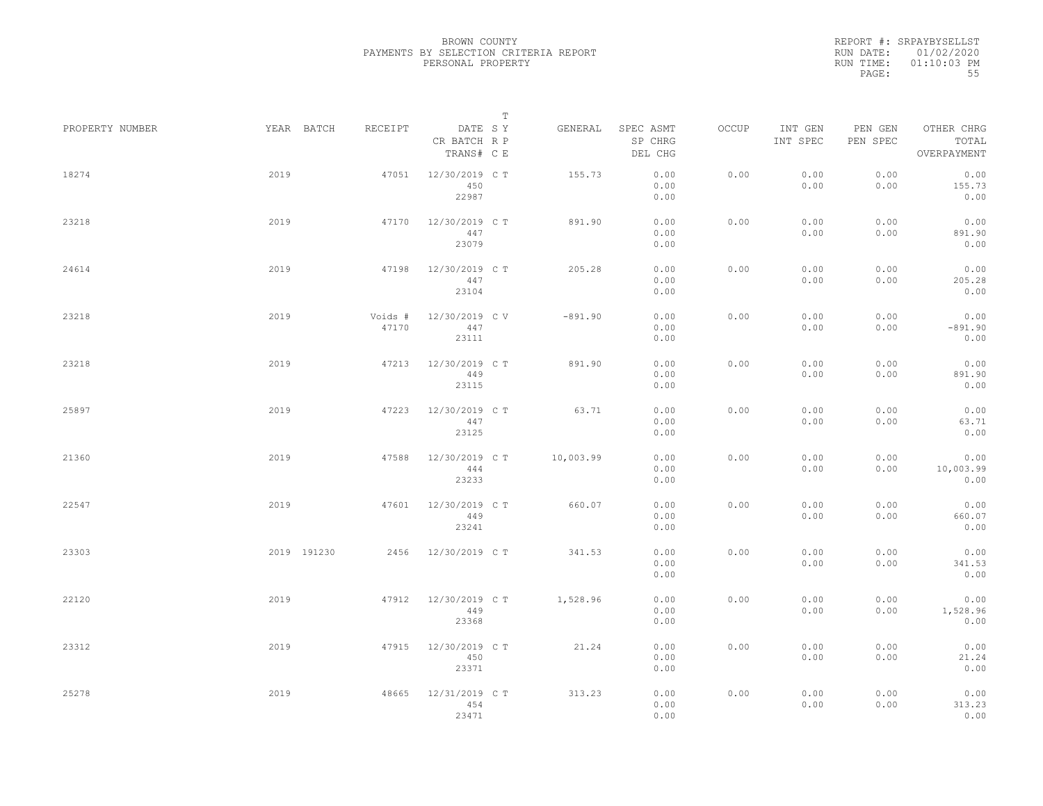REPORT #: SRPAYBYSELLST RUN DATE: 01/02/2020 RUN TIME: 01:10:03 PM PAGE: 55

|                 |      |             |                  |                                       | $\mathbb T$ |           |                                 |       |                     |                     |                                    |  |
|-----------------|------|-------------|------------------|---------------------------------------|-------------|-----------|---------------------------------|-------|---------------------|---------------------|------------------------------------|--|
| PROPERTY NUMBER |      | YEAR BATCH  | RECEIPT          | DATE SY<br>CR BATCH R P<br>TRANS# C E |             | GENERAL   | SPEC ASMT<br>SP CHRG<br>DEL CHG | OCCUP | INT GEN<br>INT SPEC | PEN GEN<br>PEN SPEC | OTHER CHRG<br>TOTAL<br>OVERPAYMENT |  |
| 18274           | 2019 |             | 47051            | 12/30/2019 C T<br>450<br>22987        |             | 155.73    | 0.00<br>0.00<br>0.00            | 0.00  | 0.00<br>0.00        | 0.00<br>0.00        | 0.00<br>155.73<br>0.00             |  |
| 23218           | 2019 |             | 47170            | 12/30/2019 C T<br>447<br>23079        |             | 891.90    | 0.00<br>0.00<br>0.00            | 0.00  | 0.00<br>0.00        | 0.00<br>0.00        | 0.00<br>891.90<br>0.00             |  |
| 24614           | 2019 |             | 47198            | 12/30/2019 C T<br>447<br>23104        |             | 205.28    | 0.00<br>0.00<br>0.00            | 0.00  | 0.00<br>0.00        | 0.00<br>0.00        | 0.00<br>205.28<br>0.00             |  |
| 23218           | 2019 |             | Voids #<br>47170 | 12/30/2019 C V<br>447<br>23111        |             | $-891.90$ | 0.00<br>0.00<br>0.00            | 0.00  | 0.00<br>0.00        | 0.00<br>0.00        | 0.00<br>$-891.90$<br>0.00          |  |
| 23218           | 2019 |             | 47213            | 12/30/2019 C T<br>449<br>23115        |             | 891.90    | 0.00<br>0.00<br>0.00            | 0.00  | 0.00<br>0.00        | 0.00<br>0.00        | 0.00<br>891.90<br>0.00             |  |
| 25897           | 2019 |             | 47223            | 12/30/2019 C T<br>447<br>23125        |             | 63.71     | 0.00<br>0.00<br>0.00            | 0.00  | 0.00<br>0.00        | 0.00<br>0.00        | 0.00<br>63.71<br>0.00              |  |
| 21360           | 2019 |             | 47588            | 12/30/2019 C T<br>444<br>23233        |             | 10,003.99 | 0.00<br>0.00<br>0.00            | 0.00  | 0.00<br>0.00        | 0.00<br>0.00        | 0.00<br>10,003.99<br>0.00          |  |
| 22547           | 2019 |             | 47601            | 12/30/2019 C T<br>449<br>23241        |             | 660.07    | 0.00<br>0.00<br>0.00            | 0.00  | 0.00<br>0.00        | 0.00<br>0.00        | 0.00<br>660.07<br>0.00             |  |
| 23303           |      | 2019 191230 | 2456             | 12/30/2019 C T                        |             | 341.53    | 0.00<br>0.00<br>0.00            | 0.00  | 0.00<br>0.00        | 0.00<br>0.00        | 0.00<br>341.53<br>0.00             |  |
| 22120           | 2019 |             | 47912            | 12/30/2019 C T<br>449<br>23368        |             | 1,528.96  | 0.00<br>0.00<br>0.00            | 0.00  | 0.00<br>0.00        | 0.00<br>0.00        | 0.00<br>1,528.96<br>0.00           |  |
| 23312           | 2019 |             | 47915            | 12/30/2019 C T<br>450<br>23371        |             | 21.24     | 0.00<br>0.00<br>0.00            | 0.00  | 0.00<br>0.00        | 0.00<br>0.00        | 0.00<br>21.24<br>0.00              |  |
| 25278           | 2019 |             | 48665            | 12/31/2019 C T<br>454<br>23471        |             | 313.23    | 0.00<br>0.00<br>0.00            | 0.00  | 0.00<br>0.00        | 0.00<br>0.00        | 0.00<br>313.23<br>0.00             |  |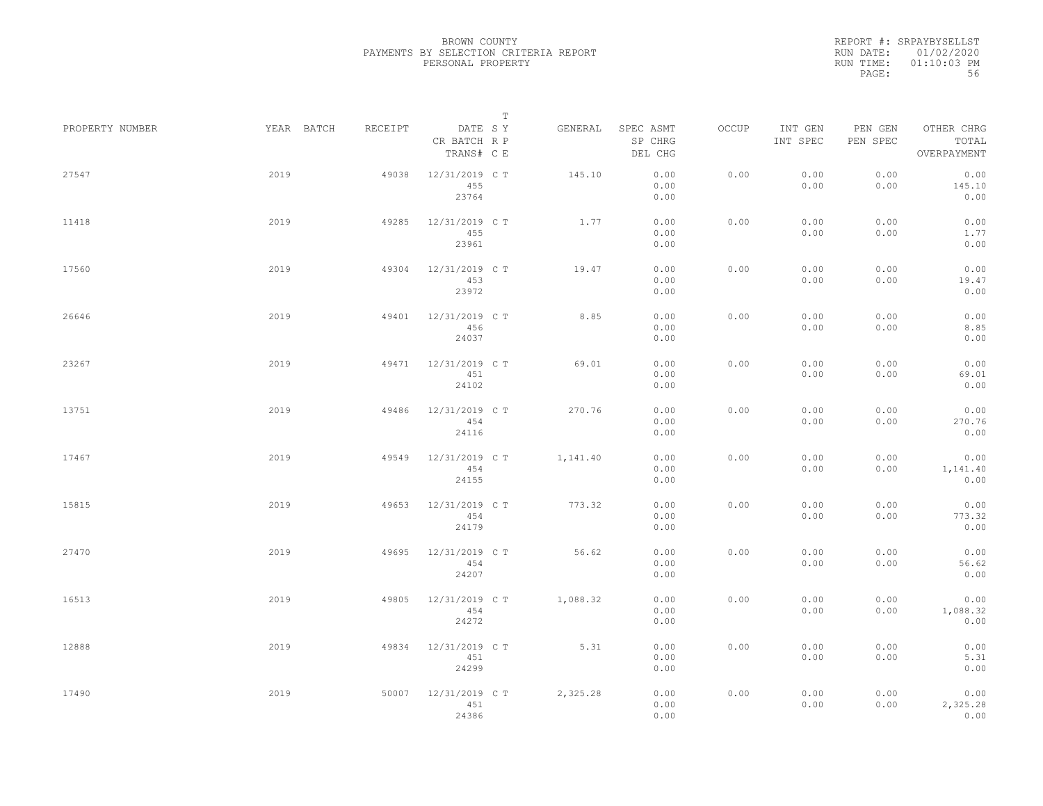REPORT #: SRPAYBYSELLST RUN DATE: 01/02/2020 RUN TIME: 01:10:03 PM PAGE: 56

|                 |            |         | $\mathbb T$                           |          |                                 |       |                     |                     |                                    |
|-----------------|------------|---------|---------------------------------------|----------|---------------------------------|-------|---------------------|---------------------|------------------------------------|
| PROPERTY NUMBER | YEAR BATCH | RECEIPT | DATE SY<br>CR BATCH R P<br>TRANS# C E | GENERAL  | SPEC ASMT<br>SP CHRG<br>DEL CHG | OCCUP | INT GEN<br>INT SPEC | PEN GEN<br>PEN SPEC | OTHER CHRG<br>TOTAL<br>OVERPAYMENT |
| 27547           | 2019       | 49038   | 12/31/2019 C T<br>455<br>23764        | 145.10   | 0.00<br>0.00<br>0.00            | 0.00  | 0.00<br>0.00        | 0.00<br>0.00        | 0.00<br>145.10<br>0.00             |
| 11418           | 2019       | 49285   | 12/31/2019 C T<br>455<br>23961        | 1.77     | 0.00<br>0.00<br>0.00            | 0.00  | 0.00<br>0.00        | 0.00<br>0.00        | 0.00<br>1.77<br>0.00               |
| 17560           | 2019       | 49304   | 12/31/2019 C T<br>453<br>23972        | 19.47    | 0.00<br>0.00<br>0.00            | 0.00  | 0.00<br>0.00        | 0.00<br>0.00        | 0.00<br>19.47<br>0.00              |
| 26646           | 2019       | 49401   | 12/31/2019 C T<br>456<br>24037        | 8.85     | 0.00<br>0.00<br>0.00            | 0.00  | 0.00<br>0.00        | 0.00<br>0.00        | 0.00<br>8.85<br>0.00               |
| 23267           | 2019       | 49471   | 12/31/2019 C T<br>451<br>24102        | 69.01    | 0.00<br>0.00<br>0.00            | 0.00  | 0.00<br>0.00        | 0.00<br>0.00        | 0.00<br>69.01<br>0.00              |
| 13751           | 2019       | 49486   | 12/31/2019 C T<br>454<br>24116        | 270.76   | 0.00<br>0.00<br>0.00            | 0.00  | 0.00<br>0.00        | 0.00<br>0.00        | 0.00<br>270.76<br>0.00             |
| 17467           | 2019       | 49549   | 12/31/2019 C T<br>454<br>24155        | 1,141.40 | 0.00<br>0.00<br>0.00            | 0.00  | 0.00<br>0.00        | 0.00<br>0.00        | 0.00<br>1,141.40<br>0.00           |
| 15815           | 2019       | 49653   | 12/31/2019 C T<br>454<br>24179        | 773.32   | 0.00<br>0.00<br>0.00            | 0.00  | 0.00<br>0.00        | 0.00<br>0.00        | 0.00<br>773.32<br>0.00             |
| 27470           | 2019       | 49695   | 12/31/2019 C T<br>454<br>24207        | 56.62    | 0.00<br>0.00<br>0.00            | 0.00  | 0.00<br>0.00        | 0.00<br>0.00        | 0.00<br>56.62<br>0.00              |
| 16513           | 2019       | 49805   | 12/31/2019 C T<br>454<br>24272        | 1,088.32 | 0.00<br>0.00<br>0.00            | 0.00  | 0.00<br>0.00        | 0.00<br>0.00        | 0.00<br>1,088.32<br>0.00           |
| 12888           | 2019       | 49834   | 12/31/2019 C T<br>451<br>24299        | 5.31     | 0.00<br>0.00<br>0.00            | 0.00  | 0.00<br>0.00        | 0.00<br>0.00        | 0.00<br>5.31<br>0.00               |
| 17490           | 2019       | 50007   | 12/31/2019 C T<br>451<br>24386        | 2,325.28 | 0.00<br>0.00<br>0.00            | 0.00  | 0.00<br>0.00        | 0.00<br>0.00        | 0.00<br>2,325.28<br>0.00           |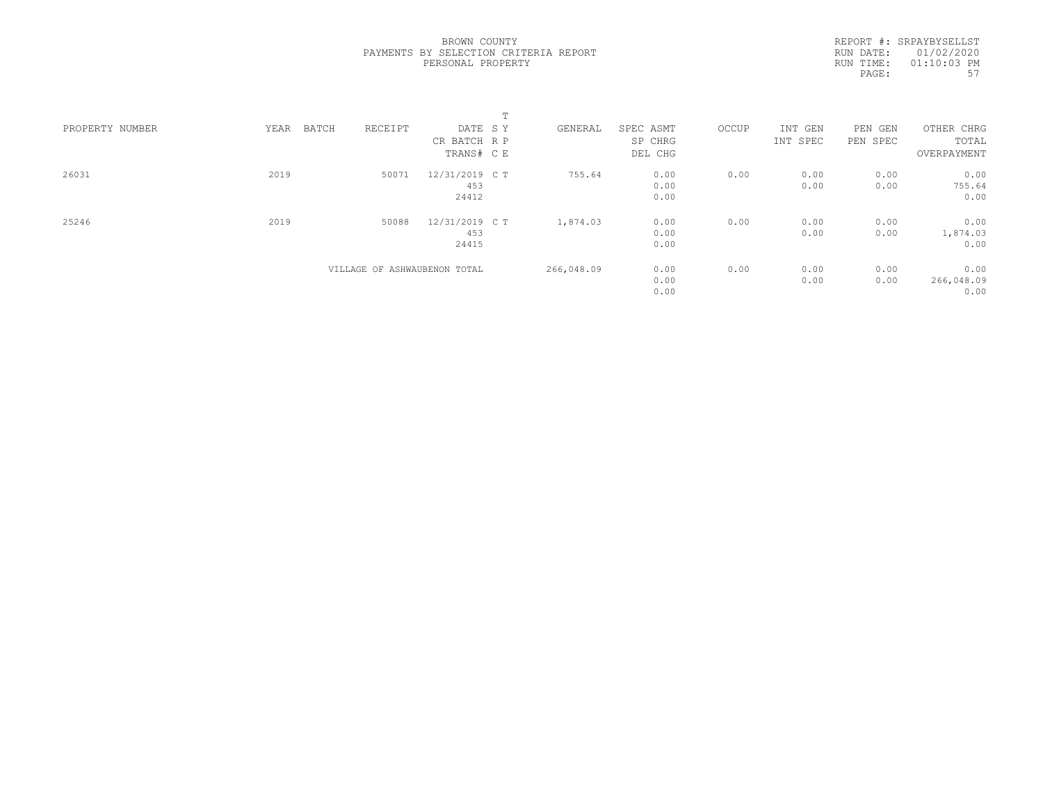REPORT #: SRPAYBYSELLST RUN DATE: 01/02/2020 RUN TIME: 01:10:03 PM PAGE: 57

|                 |               |                              | m              |            |           |       |          |          |             |
|-----------------|---------------|------------------------------|----------------|------------|-----------|-------|----------|----------|-------------|
| PROPERTY NUMBER | YEAR<br>BATCH | RECEIPT                      | DATE SY        | GENERAL    | SPEC ASMT | OCCUP | INT GEN  | PEN GEN  | OTHER CHRG  |
|                 |               |                              | CR BATCH R P   |            | SP CHRG   |       | INT SPEC | PEN SPEC | TOTAL       |
|                 |               |                              | TRANS# C E     |            | DEL CHG   |       |          |          | OVERPAYMENT |
| 26031           | 2019          | 50071                        | 12/31/2019 C T | 755.64     | 0.00      | 0.00  | 0.00     | 0.00     | 0.00        |
|                 |               |                              | 453            |            | 0.00      |       | 0.00     | 0.00     | 755.64      |
|                 |               |                              | 24412          |            | 0.00      |       |          |          | 0.00        |
| 25246           | 2019          | 50088                        | 12/31/2019 C T | 1,874.03   | 0.00      | 0.00  | 0.00     | 0.00     | 0.00        |
|                 |               |                              | 453            |            | 0.00      |       | 0.00     | 0.00     | 1,874.03    |
|                 |               |                              | 24415          |            | 0.00      |       |          |          | 0.00        |
|                 |               | VILLAGE OF ASHWAUBENON TOTAL |                | 266,048.09 | 0.00      | 0.00  | 0.00     | 0.00     | 0.00        |
|                 |               |                              |                |            | 0.00      |       | 0.00     | 0.00     | 266,048.09  |
|                 |               |                              |                |            | 0.00      |       |          |          | 0.00        |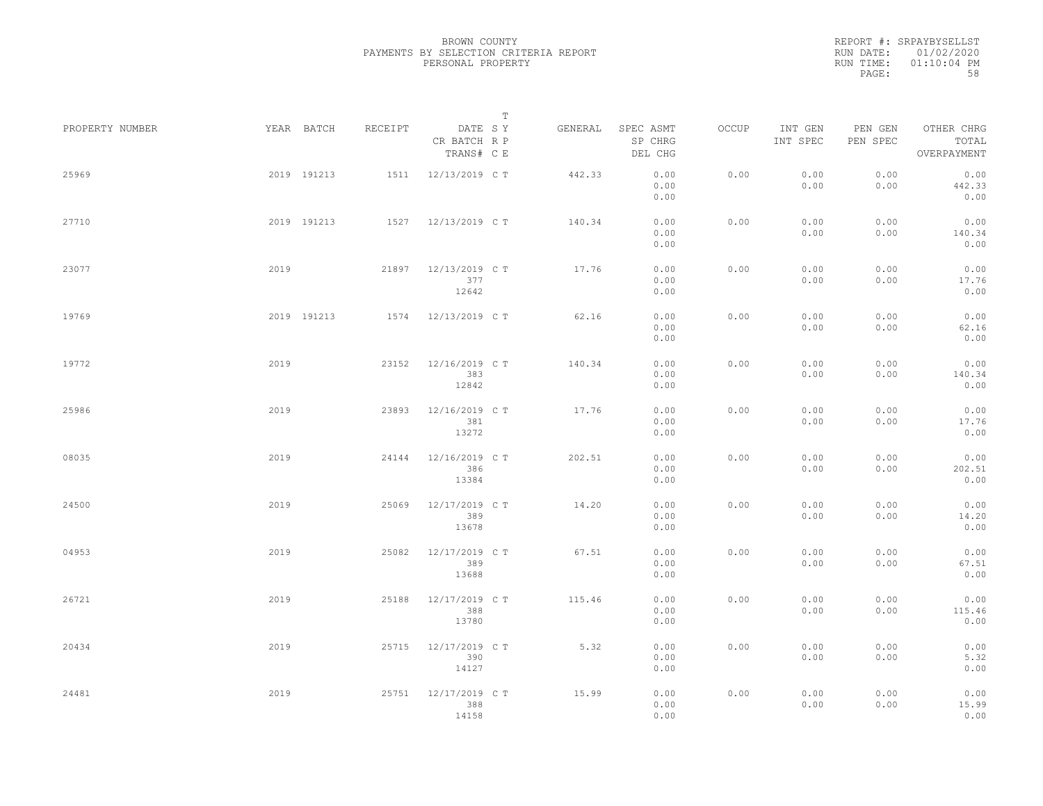REPORT #: SRPAYBYSELLST RUN DATE: 01/02/2020 RUN TIME: 01:10:04 PM PAGE: 58

|                 |      |             |         |                                       | $\mathbb T$ |         |                                 |       |                     |                     |                                    |  |
|-----------------|------|-------------|---------|---------------------------------------|-------------|---------|---------------------------------|-------|---------------------|---------------------|------------------------------------|--|
| PROPERTY NUMBER |      | YEAR BATCH  | RECEIPT | DATE SY<br>CR BATCH R P<br>TRANS# C E |             | GENERAL | SPEC ASMT<br>SP CHRG<br>DEL CHG | OCCUP | INT GEN<br>INT SPEC | PEN GEN<br>PEN SPEC | OTHER CHRG<br>TOTAL<br>OVERPAYMENT |  |
| 25969           |      | 2019 191213 | 1511    | 12/13/2019 C T                        |             | 442.33  | 0.00<br>0.00<br>0.00            | 0.00  | 0.00<br>0.00        | 0.00<br>0.00        | 0.00<br>442.33<br>0.00             |  |
| 27710           |      | 2019 191213 |         | 1527 12/13/2019 CT                    |             | 140.34  | 0.00<br>0.00<br>0.00            | 0.00  | 0.00<br>0.00        | 0.00<br>0.00        | 0.00<br>140.34<br>0.00             |  |
| 23077           | 2019 |             | 21897   | 12/13/2019 C T<br>377<br>12642        |             | 17.76   | 0.00<br>0.00<br>0.00            | 0.00  | 0.00<br>0.00        | 0.00<br>0.00        | 0.00<br>17.76<br>0.00              |  |
| 19769           |      | 2019 191213 | 1574    | 12/13/2019 C T                        |             | 62.16   | 0.00<br>0.00<br>0.00            | 0.00  | 0.00<br>0.00        | 0.00<br>0.00        | 0.00<br>62.16<br>0.00              |  |
| 19772           | 2019 |             | 23152   | 12/16/2019 C T<br>383<br>12842        |             | 140.34  | 0.00<br>0.00<br>0.00            | 0.00  | 0.00<br>0.00        | 0.00<br>0.00        | 0.00<br>140.34<br>0.00             |  |
| 25986           | 2019 |             | 23893   | 12/16/2019 C T<br>381<br>13272        |             | 17.76   | 0.00<br>0.00<br>0.00            | 0.00  | 0.00<br>0.00        | 0.00<br>0.00        | 0.00<br>17.76<br>0.00              |  |
| 08035           | 2019 |             | 24144   | 12/16/2019 C T<br>386<br>13384        |             | 202.51  | 0.00<br>0.00<br>0.00            | 0.00  | 0.00<br>0.00        | 0.00<br>0.00        | 0.00<br>202.51<br>0.00             |  |
| 24500           | 2019 |             | 25069   | 12/17/2019 C T<br>389<br>13678        |             | 14.20   | 0.00<br>0.00<br>0.00            | 0.00  | 0.00<br>0.00        | 0.00<br>0.00        | 0.00<br>14.20<br>0.00              |  |
| 04953           | 2019 |             | 25082   | 12/17/2019 C T<br>389<br>13688        |             | 67.51   | 0.00<br>0.00<br>0.00            | 0.00  | 0.00<br>0.00        | 0.00<br>0.00        | 0.00<br>67.51<br>0.00              |  |
| 26721           | 2019 |             | 25188   | 12/17/2019 C T<br>388<br>13780        |             | 115.46  | 0.00<br>0.00<br>0.00            | 0.00  | 0.00<br>0.00        | 0.00<br>0.00        | 0.00<br>115.46<br>0.00             |  |
| 20434           | 2019 |             | 25715   | 12/17/2019 C T<br>390<br>14127        |             | 5.32    | 0.00<br>0.00<br>0.00            | 0.00  | 0.00<br>0.00        | 0.00<br>0.00        | 0.00<br>5.32<br>0.00               |  |
| 24481           | 2019 |             | 25751   | 12/17/2019 C T<br>388<br>14158        |             | 15.99   | 0.00<br>0.00<br>0.00            | 0.00  | 0.00<br>0.00        | 0.00<br>0.00        | 0.00<br>15.99<br>0.00              |  |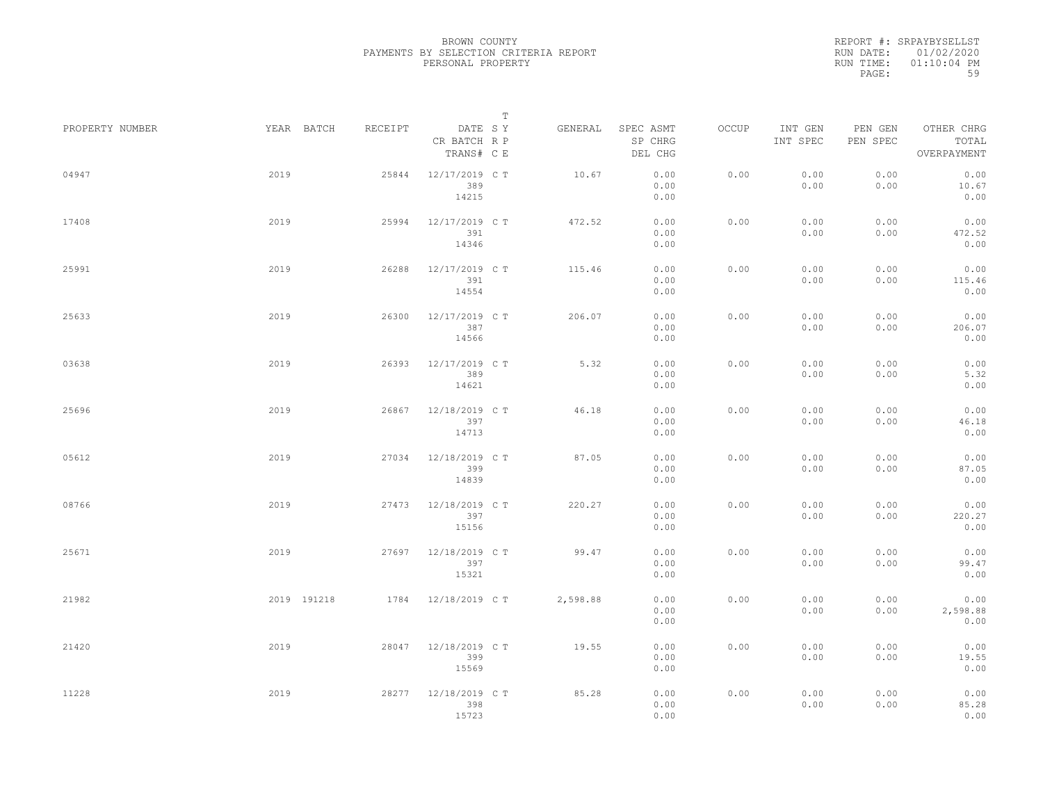REPORT #: SRPAYBYSELLST RUN DATE: 01/02/2020 RUN TIME: 01:10:04 PM PAGE: 59

|                 |             |         |                                       | $\mathbb T$ |          |                                 |       |                     |                     |                                    |  |
|-----------------|-------------|---------|---------------------------------------|-------------|----------|---------------------------------|-------|---------------------|---------------------|------------------------------------|--|
| PROPERTY NUMBER | YEAR BATCH  | RECEIPT | DATE SY<br>CR BATCH R P<br>TRANS# C E |             | GENERAL  | SPEC ASMT<br>SP CHRG<br>DEL CHG | OCCUP | INT GEN<br>INT SPEC | PEN GEN<br>PEN SPEC | OTHER CHRG<br>TOTAL<br>OVERPAYMENT |  |
| 04947           | 2019        | 25844   | 12/17/2019 C T<br>389<br>14215        |             | 10.67    | 0.00<br>0.00<br>0.00            | 0.00  | 0.00<br>0.00        | 0.00<br>0.00        | 0.00<br>10.67<br>0.00              |  |
| 17408           | 2019        | 25994   | 12/17/2019 C T<br>391<br>14346        |             | 472.52   | 0.00<br>0.00<br>0.00            | 0.00  | 0.00<br>0.00        | 0.00<br>0.00        | 0.00<br>472.52<br>0.00             |  |
| 25991           | 2019        | 26288   | 12/17/2019 C T<br>391<br>14554        |             | 115.46   | 0.00<br>0.00<br>0.00            | 0.00  | 0.00<br>0.00        | 0.00<br>0.00        | 0.00<br>115.46<br>0.00             |  |
| 25633           | 2019        | 26300   | 12/17/2019 C T<br>387<br>14566        |             | 206.07   | 0.00<br>0.00<br>0.00            | 0.00  | 0.00<br>0.00        | 0.00<br>0.00        | 0.00<br>206.07<br>0.00             |  |
| 03638           | 2019        | 26393   | 12/17/2019 C T<br>389<br>14621        |             | 5.32     | 0.00<br>0.00<br>0.00            | 0.00  | 0.00<br>0.00        | 0.00<br>0.00        | 0.00<br>5.32<br>0.00               |  |
| 25696           | 2019        | 26867   | 12/18/2019 C T<br>397<br>14713        |             | 46.18    | 0.00<br>0.00<br>0.00            | 0.00  | 0.00<br>0.00        | 0.00<br>0.00        | 0.00<br>46.18<br>0.00              |  |
| 05612           | 2019        | 27034   | 12/18/2019 C T<br>399<br>14839        |             | 87.05    | 0.00<br>0.00<br>0.00            | 0.00  | 0.00<br>0.00        | 0.00<br>0.00        | 0.00<br>87.05<br>0.00              |  |
| 08766           | 2019        | 27473   | 12/18/2019 C T<br>397<br>15156        |             | 220.27   | 0.00<br>0.00<br>0.00            | 0.00  | 0.00<br>0.00        | 0.00<br>0.00        | 0.00<br>220.27<br>0.00             |  |
| 25671           | 2019        | 27697   | 12/18/2019 C T<br>397<br>15321        |             | 99.47    | 0.00<br>0.00<br>0.00            | 0.00  | 0.00<br>0.00        | 0.00<br>0.00        | 0.00<br>99.47<br>0.00              |  |
| 21982           | 2019 191218 |         | 1784 12/18/2019 CT                    |             | 2,598.88 | 0.00<br>0.00<br>0.00            | 0.00  | 0.00<br>0.00        | 0.00<br>0.00        | 0.00<br>2,598.88<br>0.00           |  |
| 21420           | 2019        | 28047   | 12/18/2019 C T<br>399<br>15569        |             | 19.55    | 0.00<br>0.00<br>0.00            | 0.00  | 0.00<br>0.00        | 0.00<br>0.00        | 0.00<br>19.55<br>0.00              |  |
| 11228           | 2019        | 28277   | 12/18/2019 C T<br>398<br>15723        |             | 85.28    | 0.00<br>0.00<br>0.00            | 0.00  | 0.00<br>0.00        | 0.00<br>0.00        | 0.00<br>85.28<br>0.00              |  |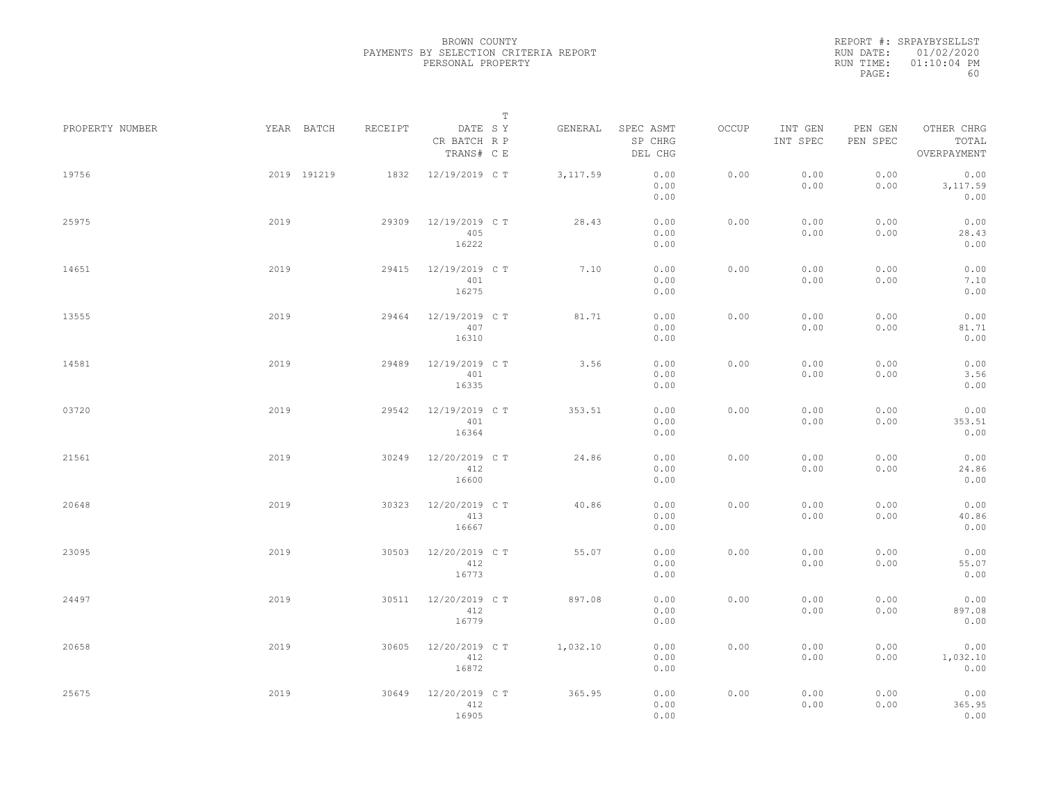REPORT #: SRPAYBYSELLST RUN DATE: 01/02/2020 RUN TIME: 01:10:04 PM PAGE: 60

|                 |      |             |         |                                       | T |           |                                 |       |                     |                     |                                    |  |
|-----------------|------|-------------|---------|---------------------------------------|---|-----------|---------------------------------|-------|---------------------|---------------------|------------------------------------|--|
| PROPERTY NUMBER |      | YEAR BATCH  | RECEIPT | DATE SY<br>CR BATCH R P<br>TRANS# C E |   | GENERAL   | SPEC ASMT<br>SP CHRG<br>DEL CHG | OCCUP | INT GEN<br>INT SPEC | PEN GEN<br>PEN SPEC | OTHER CHRG<br>TOTAL<br>OVERPAYMENT |  |
| 19756           |      | 2019 191219 | 1832    | 12/19/2019 C T                        |   | 3, 117.59 | 0.00<br>0.00<br>0.00            | 0.00  | 0.00<br>0.00        | 0.00<br>0.00        | 0.00<br>3, 117.59<br>0.00          |  |
| 25975           | 2019 |             | 29309   | 12/19/2019 C T<br>405<br>16222        |   | 28.43     | 0.00<br>0.00<br>0.00            | 0.00  | 0.00<br>0.00        | 0.00<br>0.00        | 0.00<br>28.43<br>0.00              |  |
| 14651           | 2019 |             | 29415   | 12/19/2019 C T<br>401<br>16275        |   | 7.10      | 0.00<br>0.00<br>0.00            | 0.00  | 0.00<br>0.00        | 0.00<br>0.00        | 0.00<br>7.10<br>0.00               |  |
| 13555           | 2019 |             | 29464   | 12/19/2019 C T<br>407<br>16310        |   | 81.71     | 0.00<br>0.00<br>0.00            | 0.00  | 0.00<br>0.00        | 0.00<br>0.00        | 0.00<br>81.71<br>0.00              |  |
| 14581           | 2019 |             | 29489   | 12/19/2019 C T<br>401<br>16335        |   | 3.56      | 0.00<br>0.00<br>0.00            | 0.00  | 0.00<br>0.00        | 0.00<br>0.00        | 0.00<br>3.56<br>0.00               |  |
| 03720           | 2019 |             | 29542   | 12/19/2019 C T<br>401<br>16364        |   | 353.51    | 0.00<br>0.00<br>0.00            | 0.00  | 0.00<br>0.00        | 0.00<br>0.00        | 0.00<br>353.51<br>0.00             |  |
| 21561           | 2019 |             | 30249   | 12/20/2019 C T<br>412<br>16600        |   | 24.86     | 0.00<br>0.00<br>0.00            | 0.00  | 0.00<br>0.00        | 0.00<br>0.00        | 0.00<br>24.86<br>0.00              |  |
| 20648           | 2019 |             | 30323   | 12/20/2019 C T<br>413<br>16667        |   | 40.86     | 0.00<br>0.00<br>0.00            | 0.00  | 0.00<br>0.00        | 0.00<br>0.00        | 0.00<br>40.86<br>0.00              |  |
| 23095           | 2019 |             | 30503   | 12/20/2019 C T<br>412<br>16773        |   | 55.07     | 0.00<br>0.00<br>0.00            | 0.00  | 0.00<br>0.00        | 0.00<br>0.00        | 0.00<br>55.07<br>0.00              |  |
| 24497           | 2019 |             | 30511   | 12/20/2019 C T<br>412<br>16779        |   | 897.08    | 0.00<br>0.00<br>0.00            | 0.00  | 0.00<br>0.00        | 0.00<br>0.00        | 0.00<br>897.08<br>0.00             |  |
| 20658           | 2019 |             | 30605   | 12/20/2019 C T<br>412<br>16872        |   | 1,032.10  | 0.00<br>0.00<br>0.00            | 0.00  | 0.00<br>0.00        | 0.00<br>0.00        | 0.00<br>1,032.10<br>0.00           |  |
| 25675           | 2019 |             | 30649   | 12/20/2019 C T<br>412<br>16905        |   | 365.95    | 0.00<br>0.00<br>0.00            | 0.00  | 0.00<br>0.00        | 0.00<br>0.00        | 0.00<br>365.95<br>0.00             |  |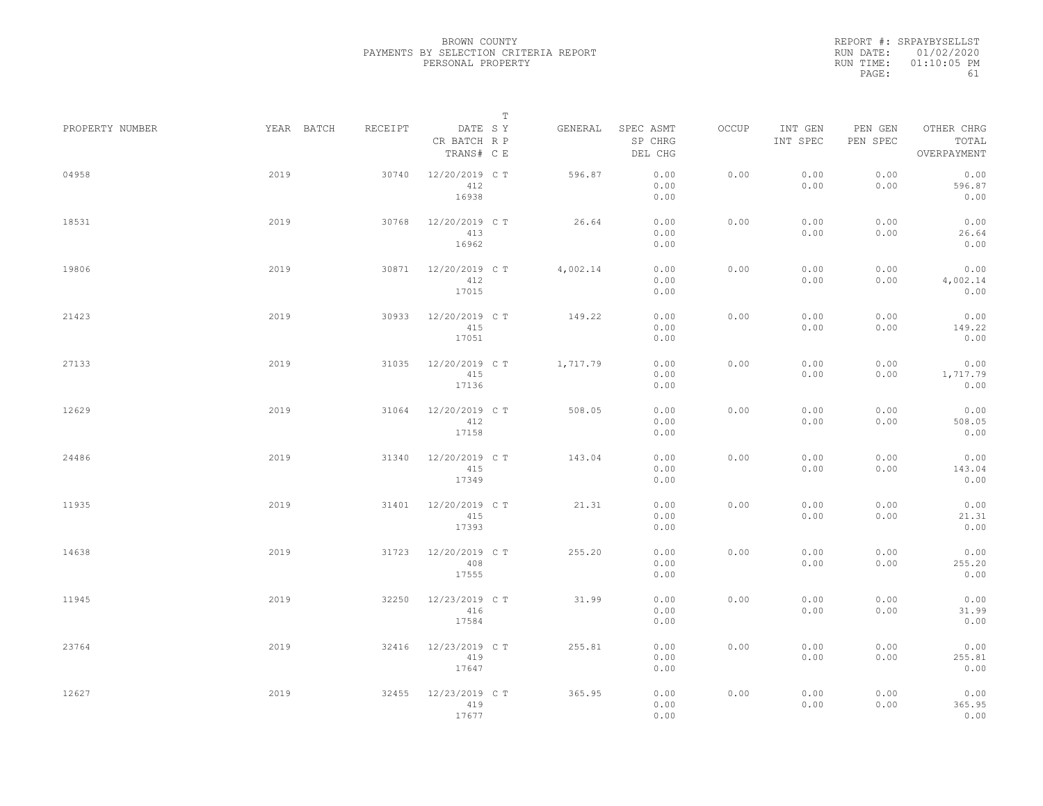REPORT #: SRPAYBYSELLST RUN DATE: 01/02/2020 RUN TIME: 01:10:05 PM PAGE: 61

|                 |            |         | $\mathbb T$                           |          |                                 |       |                     |                     |                                    |
|-----------------|------------|---------|---------------------------------------|----------|---------------------------------|-------|---------------------|---------------------|------------------------------------|
| PROPERTY NUMBER | YEAR BATCH | RECEIPT | DATE SY<br>CR BATCH R P<br>TRANS# C E | GENERAL  | SPEC ASMT<br>SP CHRG<br>DEL CHG | OCCUP | INT GEN<br>INT SPEC | PEN GEN<br>PEN SPEC | OTHER CHRG<br>TOTAL<br>OVERPAYMENT |
| 04958           | 2019       | 30740   | 12/20/2019 C T<br>412<br>16938        | 596.87   | 0.00<br>0.00<br>0.00            | 0.00  | 0.00<br>0.00        | 0.00<br>0.00        | 0.00<br>596.87<br>0.00             |
| 18531           | 2019       | 30768   | 12/20/2019 C T<br>413<br>16962        | 26.64    | 0.00<br>0.00<br>0.00            | 0.00  | 0.00<br>0.00        | 0.00<br>0.00        | 0.00<br>26.64<br>0.00              |
| 19806           | 2019       | 30871   | 12/20/2019 C T<br>412<br>17015        | 4,002.14 | 0.00<br>0.00<br>0.00            | 0.00  | 0.00<br>0.00        | 0.00<br>0.00        | 0.00<br>4,002.14<br>0.00           |
| 21423           | 2019       | 30933   | 12/20/2019 C T<br>415<br>17051        | 149.22   | 0.00<br>0.00<br>0.00            | 0.00  | 0.00<br>0.00        | 0.00<br>0.00        | 0.00<br>149.22<br>0.00             |
| 27133           | 2019       | 31035   | 12/20/2019 C T<br>415<br>17136        | 1,717.79 | 0.00<br>0.00<br>0.00            | 0.00  | 0.00<br>0.00        | 0.00<br>0.00        | 0.00<br>1,717.79<br>0.00           |
| 12629           | 2019       | 31064   | 12/20/2019 C T<br>412<br>17158        | 508.05   | 0.00<br>0.00<br>0.00            | 0.00  | 0.00<br>0.00        | 0.00<br>0.00        | 0.00<br>508.05<br>0.00             |
| 24486           | 2019       | 31340   | 12/20/2019 C T<br>415<br>17349        | 143.04   | 0.00<br>0.00<br>0.00            | 0.00  | 0.00<br>0.00        | 0.00<br>0.00        | 0.00<br>143.04<br>0.00             |
| 11935           | 2019       | 31401   | 12/20/2019 C T<br>415<br>17393        | 21.31    | 0.00<br>0.00<br>0.00            | 0.00  | 0.00<br>0.00        | 0.00<br>0.00        | 0.00<br>21.31<br>0.00              |
| 14638           | 2019       | 31723   | 12/20/2019 C T<br>408<br>17555        | 255.20   | 0.00<br>0.00<br>0.00            | 0.00  | 0.00<br>0.00        | 0.00<br>0.00        | 0.00<br>255.20<br>0.00             |
| 11945           | 2019       | 32250   | 12/23/2019 C T<br>416<br>17584        | 31.99    | 0.00<br>0.00<br>0.00            | 0.00  | 0.00<br>0.00        | 0.00<br>0.00        | 0.00<br>31.99<br>0.00              |
| 23764           | 2019       | 32416   | 12/23/2019 C T<br>419<br>17647        | 255.81   | 0.00<br>0.00<br>0.00            | 0.00  | 0.00<br>0.00        | 0.00<br>0.00        | 0.00<br>255.81<br>0.00             |
| 12627           | 2019       | 32455   | 12/23/2019 C T<br>419<br>17677        | 365.95   | 0.00<br>0.00<br>0.00            | 0.00  | 0.00<br>0.00        | 0.00<br>0.00        | 0.00<br>365.95<br>0.00             |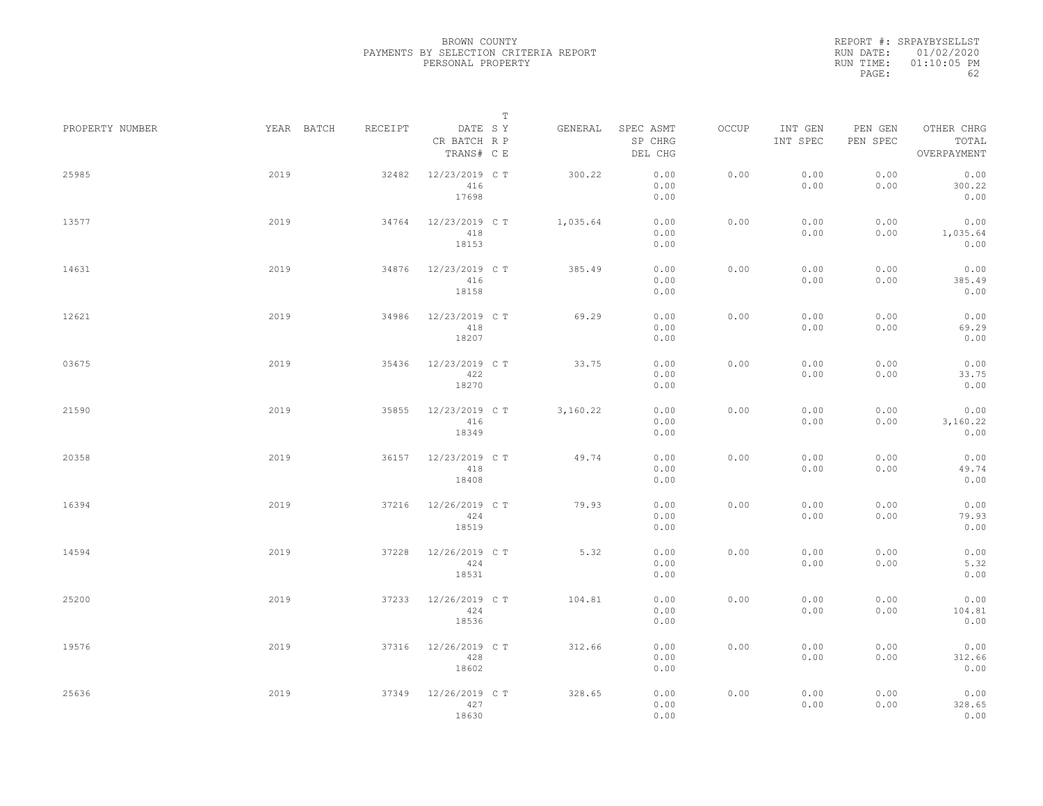REPORT #: SRPAYBYSELLST RUN DATE: 01/02/2020 RUN TIME: 01:10:05 PM PAGE: 62

|                 |            |         | $\mathbb T$                           |          |                                 |       |                     |                     |                                    |
|-----------------|------------|---------|---------------------------------------|----------|---------------------------------|-------|---------------------|---------------------|------------------------------------|
| PROPERTY NUMBER | YEAR BATCH | RECEIPT | DATE SY<br>CR BATCH R P<br>TRANS# C E | GENERAL  | SPEC ASMT<br>SP CHRG<br>DEL CHG | OCCUP | INT GEN<br>INT SPEC | PEN GEN<br>PEN SPEC | OTHER CHRG<br>TOTAL<br>OVERPAYMENT |
| 25985           | 2019       | 32482   | 12/23/2019 C T<br>416<br>17698        | 300.22   | 0.00<br>0.00<br>0.00            | 0.00  | 0.00<br>0.00        | 0.00<br>0.00        | 0.00<br>300.22<br>0.00             |
| 13577           | 2019       | 34764   | 12/23/2019 C T<br>418<br>18153        | 1,035.64 | 0.00<br>0.00<br>0.00            | 0.00  | 0.00<br>0.00        | 0.00<br>0.00        | 0.00<br>1,035.64<br>0.00           |
| 14631           | 2019       | 34876   | 12/23/2019 C T<br>416<br>18158        | 385.49   | 0.00<br>0.00<br>0.00            | 0.00  | 0.00<br>0.00        | 0.00<br>0.00        | 0.00<br>385.49<br>0.00             |
| 12621           | 2019       | 34986   | 12/23/2019 C T<br>418<br>18207        | 69.29    | 0.00<br>0.00<br>0.00            | 0.00  | 0.00<br>0.00        | 0.00<br>0.00        | 0.00<br>69.29<br>0.00              |
| 03675           | 2019       | 35436   | 12/23/2019 C T<br>422<br>18270        | 33.75    | 0.00<br>0.00<br>0.00            | 0.00  | 0.00<br>0.00        | 0.00<br>0.00        | 0.00<br>33.75<br>0.00              |
| 21590           | 2019       | 35855   | 12/23/2019 C T<br>416<br>18349        | 3,160.22 | 0.00<br>0.00<br>0.00            | 0.00  | 0.00<br>0.00        | 0.00<br>0.00        | 0.00<br>3,160.22<br>0.00           |
| 20358           | 2019       | 36157   | 12/23/2019 C T<br>418<br>18408        | 49.74    | 0.00<br>0.00<br>0.00            | 0.00  | 0.00<br>0.00        | 0.00<br>0.00        | 0.00<br>49.74<br>0.00              |
| 16394           | 2019       | 37216   | 12/26/2019 C T<br>424<br>18519        | 79.93    | 0.00<br>0.00<br>0.00            | 0.00  | 0.00<br>0.00        | 0.00<br>0.00        | 0.00<br>79.93<br>0.00              |
| 14594           | 2019       | 37228   | 12/26/2019 C T<br>424<br>18531        | 5.32     | 0.00<br>0.00<br>0.00            | 0.00  | 0.00<br>0.00        | 0.00<br>0.00        | 0.00<br>5.32<br>0.00               |
| 25200           | 2019       | 37233   | 12/26/2019 C T<br>424<br>18536        | 104.81   | 0.00<br>0.00<br>0.00            | 0.00  | 0.00<br>0.00        | 0.00<br>0.00        | 0.00<br>104.81<br>0.00             |
| 19576           | 2019       | 37316   | 12/26/2019 C T<br>428<br>18602        | 312.66   | 0.00<br>0.00<br>0.00            | 0.00  | 0.00<br>0.00        | 0.00<br>0.00        | 0.00<br>312.66<br>0.00             |
| 25636           | 2019       | 37349   | 12/26/2019 C T<br>427<br>18630        | 328.65   | 0.00<br>0.00<br>0.00            | 0.00  | 0.00<br>0.00        | 0.00<br>0.00        | 0.00<br>328.65<br>0.00             |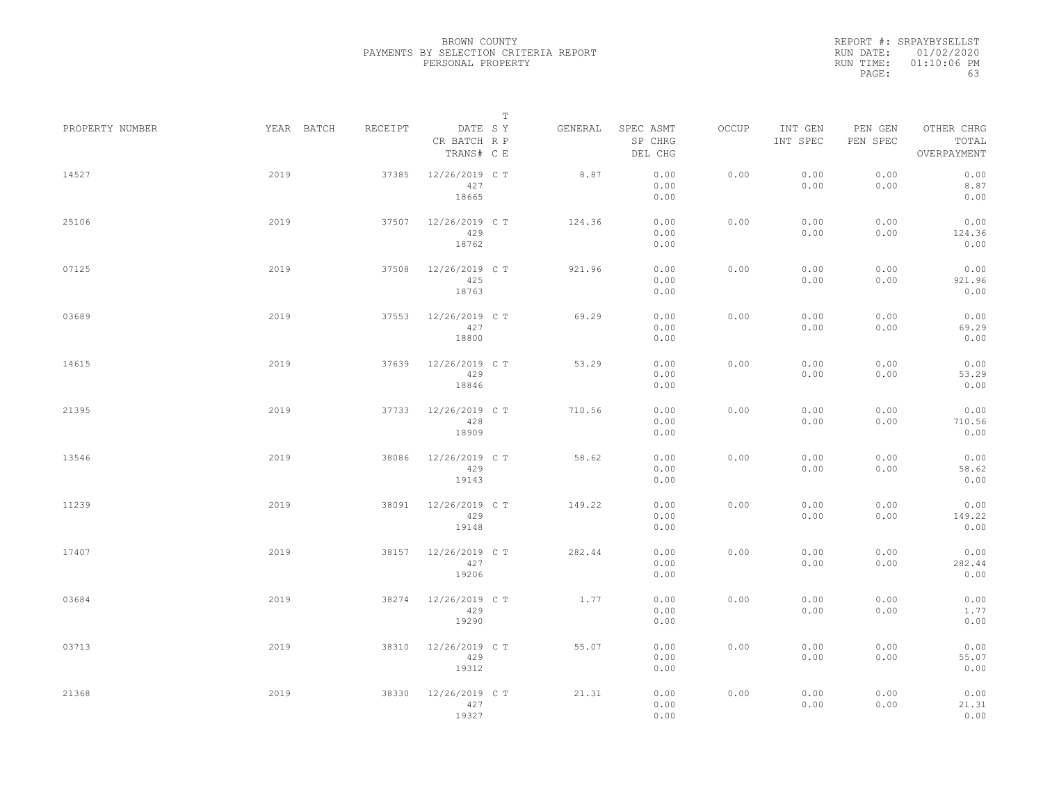REPORT #: SRPAYBYSELLST RUN DATE: 01/02/2020 RUN TIME: 01:10:06 PM PAGE: 63

|                 |            |         |                                       | $\mathbb T$ |                                 |       |                     |                     |                                    |
|-----------------|------------|---------|---------------------------------------|-------------|---------------------------------|-------|---------------------|---------------------|------------------------------------|
| PROPERTY NUMBER | YEAR BATCH | RECEIPT | DATE SY<br>CR BATCH R P<br>TRANS# C E | GENERAL     | SPEC ASMT<br>SP CHRG<br>DEL CHG | OCCUP | INT GEN<br>INT SPEC | PEN GEN<br>PEN SPEC | OTHER CHRG<br>TOTAL<br>OVERPAYMENT |
| 14527           | 2019       | 37385   | 12/26/2019 C T<br>427<br>18665        | 8.87        | 0.00<br>0.00<br>0.00            | 0.00  | 0.00<br>0.00        | 0.00<br>0.00        | 0.00<br>8.87<br>0.00               |
| 25106           | 2019       | 37507   | 12/26/2019 C T<br>429<br>18762        | 124.36      | 0.00<br>0.00<br>0.00            | 0.00  | 0.00<br>0.00        | 0.00<br>0.00        | 0.00<br>124.36<br>0.00             |
| 07125           | 2019       | 37508   | 12/26/2019 C T<br>425<br>18763        | 921.96      | 0.00<br>0.00<br>0.00            | 0.00  | 0.00<br>0.00        | 0.00<br>0.00        | 0.00<br>921.96<br>0.00             |
| 03689           | 2019       | 37553   | 12/26/2019 C T<br>427<br>18800        | 69.29       | 0.00<br>0.00<br>0.00            | 0.00  | 0.00<br>0.00        | 0.00<br>0.00        | 0.00<br>69.29<br>0.00              |
| 14615           | 2019       | 37639   | 12/26/2019 C T<br>429<br>18846        | 53.29       | 0.00<br>0.00<br>0.00            | 0.00  | 0.00<br>0.00        | 0.00<br>0.00        | 0.00<br>53.29<br>0.00              |
| 21395           | 2019       | 37733   | 12/26/2019 C T<br>428<br>18909        | 710.56      | 0.00<br>0.00<br>0.00            | 0.00  | 0.00<br>0.00        | 0.00<br>0.00        | 0.00<br>710.56<br>0.00             |
| 13546           | 2019       | 38086   | 12/26/2019 C T<br>429<br>19143        | 58.62       | 0.00<br>0.00<br>0.00            | 0.00  | 0.00<br>0.00        | 0.00<br>0.00        | 0.00<br>58.62<br>0.00              |
| 11239           | 2019       | 38091   | 12/26/2019 C T<br>429<br>19148        | 149.22      | 0.00<br>0.00<br>0.00            | 0.00  | 0.00<br>0.00        | 0.00<br>0.00        | 0.00<br>149.22<br>0.00             |
| 17407           | 2019       | 38157   | 12/26/2019 C T<br>427<br>19206        | 282.44      | 0.00<br>0.00<br>0.00            | 0.00  | 0.00<br>0.00        | 0.00<br>0.00        | 0.00<br>282.44<br>0.00             |
| 03684           | 2019       | 38274   | 12/26/2019 C T<br>429<br>19290        | 1.77        | 0.00<br>0.00<br>0.00            | 0.00  | 0.00<br>0.00        | 0.00<br>0.00        | 0.00<br>1.77<br>0.00               |
| 03713           | 2019       | 38310   | 12/26/2019 C T<br>429<br>19312        | 55.07       | 0.00<br>0.00<br>0.00            | 0.00  | 0.00<br>0.00        | 0.00<br>0.00        | 0.00<br>55.07<br>0.00              |
| 21368           | 2019       | 38330   | 12/26/2019 C T<br>427<br>19327        | 21.31       | 0.00<br>0.00<br>0.00            | 0.00  | 0.00<br>0.00        | 0.00<br>0.00        | 0.00<br>21.31<br>0.00              |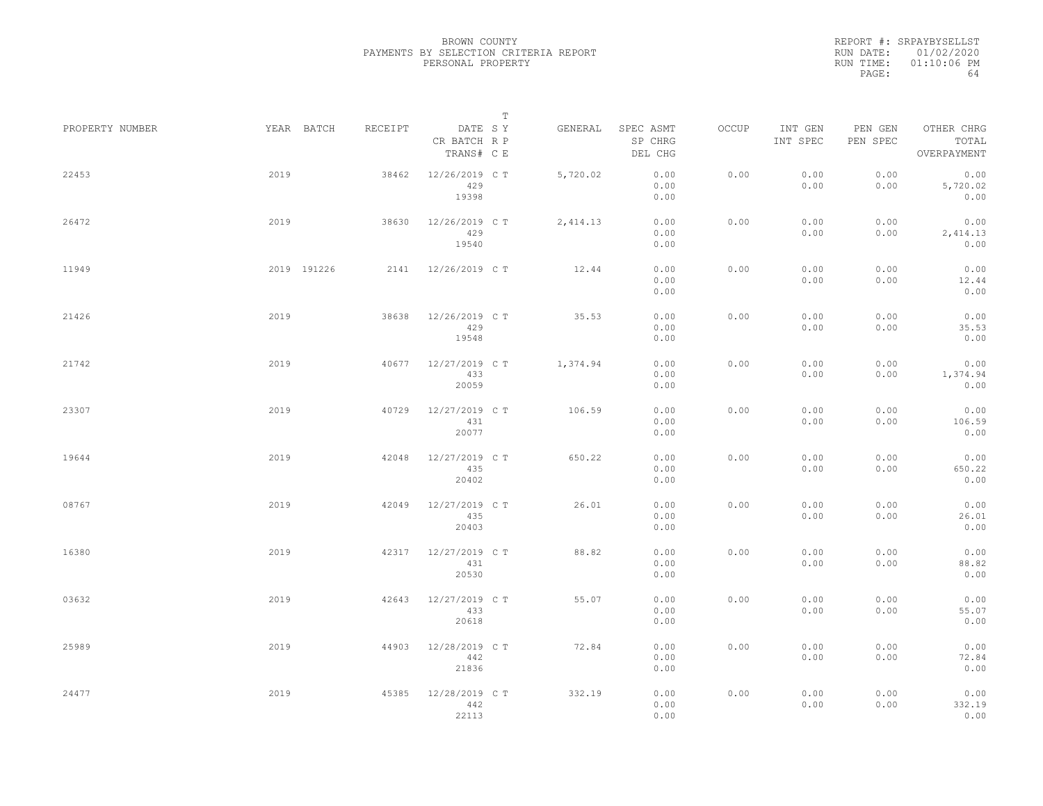REPORT #: SRPAYBYSELLST RUN DATE: 01/02/2020 RUN TIME: 01:10:06 PM PAGE: 64

|                 |      |             |         |                                       | $\mathbb T$ |           |                                 |       |                     |                     |                                    |  |
|-----------------|------|-------------|---------|---------------------------------------|-------------|-----------|---------------------------------|-------|---------------------|---------------------|------------------------------------|--|
| PROPERTY NUMBER |      | YEAR BATCH  | RECEIPT | DATE SY<br>CR BATCH R P<br>TRANS# C E |             | GENERAL   | SPEC ASMT<br>SP CHRG<br>DEL CHG | OCCUP | INT GEN<br>INT SPEC | PEN GEN<br>PEN SPEC | OTHER CHRG<br>TOTAL<br>OVERPAYMENT |  |
| 22453           | 2019 |             | 38462   | 12/26/2019 C T<br>429<br>19398        |             | 5,720.02  | 0.00<br>0.00<br>0.00            | 0.00  | 0.00<br>0.00        | 0.00<br>0.00        | 0.00<br>5,720.02<br>0.00           |  |
| 26472           | 2019 |             | 38630   | 12/26/2019 C T<br>429<br>19540        |             | 2, 414.13 | 0.00<br>0.00<br>0.00            | 0.00  | 0.00<br>0.00        | 0.00<br>0.00        | 0.00<br>2,414.13<br>0.00           |  |
| 11949           |      | 2019 191226 | 2141    | 12/26/2019 C T                        |             | 12.44     | 0.00<br>0.00<br>0.00            | 0.00  | 0.00<br>0.00        | 0.00<br>0.00        | 0.00<br>12.44<br>0.00              |  |
| 21426           | 2019 |             | 38638   | 12/26/2019 C T<br>429<br>19548        |             | 35.53     | 0.00<br>0.00<br>0.00            | 0.00  | 0.00<br>0.00        | 0.00<br>0.00        | 0.00<br>35.53<br>0.00              |  |
| 21742           | 2019 |             | 40677   | 12/27/2019 C T<br>433<br>20059        |             | 1,374.94  | 0.00<br>0.00<br>0.00            | 0.00  | 0.00<br>0.00        | 0.00<br>0.00        | 0.00<br>1,374.94<br>0.00           |  |
| 23307           | 2019 |             | 40729   | 12/27/2019 C T<br>431<br>20077        |             | 106.59    | 0.00<br>0.00<br>0.00            | 0.00  | 0.00<br>0.00        | 0.00<br>0.00        | 0.00<br>106.59<br>0.00             |  |
| 19644           | 2019 |             | 42048   | 12/27/2019 C T<br>435<br>20402        |             | 650.22    | 0.00<br>0.00<br>0.00            | 0.00  | 0.00<br>0.00        | 0.00<br>0.00        | 0.00<br>650.22<br>0.00             |  |
| 08767           | 2019 |             | 42049   | 12/27/2019 C T<br>435<br>20403        |             | 26.01     | 0.00<br>0.00<br>0.00            | 0.00  | 0.00<br>0.00        | 0.00<br>0.00        | 0.00<br>26.01<br>0.00              |  |
| 16380           | 2019 |             | 42317   | 12/27/2019 C T<br>431<br>20530        |             | 88.82     | 0.00<br>0.00<br>0.00            | 0.00  | 0.00<br>0.00        | 0.00<br>0.00        | 0.00<br>88.82<br>0.00              |  |
| 03632           | 2019 |             | 42643   | 12/27/2019 C T<br>433<br>20618        |             | 55.07     | 0.00<br>0.00<br>0.00            | 0.00  | 0.00<br>0.00        | 0.00<br>0.00        | 0.00<br>55.07<br>0.00              |  |
| 25989           | 2019 |             | 44903   | 12/28/2019 C T<br>442<br>21836        |             | 72.84     | 0.00<br>0.00<br>0.00            | 0.00  | 0.00<br>0.00        | 0.00<br>0.00        | 0.00<br>72.84<br>0.00              |  |
| 24477           | 2019 |             | 45385   | 12/28/2019 C T<br>442<br>22113        |             | 332.19    | 0.00<br>0.00<br>0.00            | 0.00  | 0.00<br>0.00        | 0.00<br>0.00        | 0.00<br>332.19<br>0.00             |  |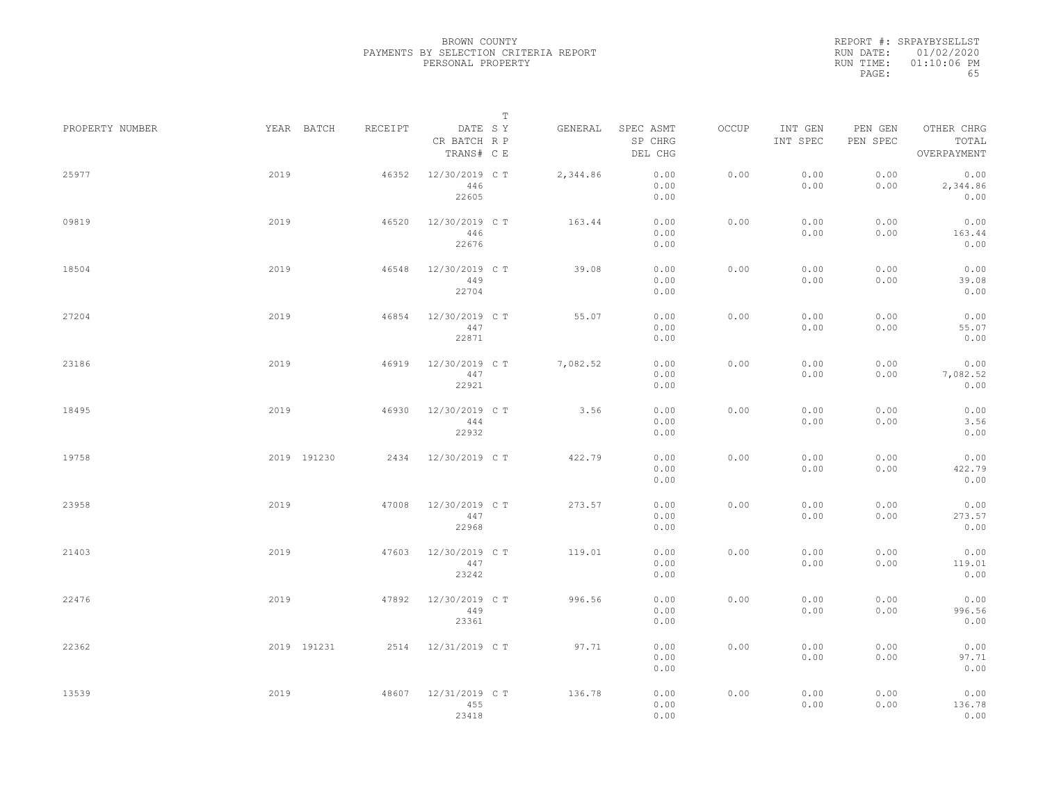REPORT #: SRPAYBYSELLST RUN DATE: 01/02/2020 RUN TIME: 01:10:06 PM PAGE: 65

|                 |      |             |         |                                       | $\mathbb T$ |          |                                 |       |                     |                     |                                    |  |
|-----------------|------|-------------|---------|---------------------------------------|-------------|----------|---------------------------------|-------|---------------------|---------------------|------------------------------------|--|
| PROPERTY NUMBER |      | YEAR BATCH  | RECEIPT | DATE SY<br>CR BATCH R P<br>TRANS# C E |             | GENERAL  | SPEC ASMT<br>SP CHRG<br>DEL CHG | OCCUP | INT GEN<br>INT SPEC | PEN GEN<br>PEN SPEC | OTHER CHRG<br>TOTAL<br>OVERPAYMENT |  |
| 25977           | 2019 |             | 46352   | 12/30/2019 C T<br>446<br>22605        |             | 2,344.86 | 0.00<br>0.00<br>0.00            | 0.00  | 0.00<br>0.00        | 0.00<br>0.00        | 0.00<br>2,344.86<br>0.00           |  |
| 09819           | 2019 |             | 46520   | 12/30/2019 C T<br>446<br>22676        |             | 163.44   | 0.00<br>0.00<br>0.00            | 0.00  | 0.00<br>0.00        | 0.00<br>0.00        | 0.00<br>163.44<br>0.00             |  |
| 18504           | 2019 |             | 46548   | 12/30/2019 C T<br>449<br>22704        |             | 39.08    | 0.00<br>0.00<br>0.00            | 0.00  | 0.00<br>0.00        | 0.00<br>0.00        | 0.00<br>39.08<br>0.00              |  |
| 27204           | 2019 |             | 46854   | 12/30/2019 C T<br>447<br>22871        |             | 55.07    | 0.00<br>0.00<br>0.00            | 0.00  | 0.00<br>0.00        | 0.00<br>0.00        | 0.00<br>55.07<br>0.00              |  |
| 23186           | 2019 |             | 46919   | 12/30/2019 C T<br>447<br>22921        |             | 7,082.52 | 0.00<br>0.00<br>0.00            | 0.00  | 0.00<br>0.00        | 0.00<br>0.00        | 0.00<br>7,082.52<br>0.00           |  |
| 18495           | 2019 |             | 46930   | 12/30/2019 C T<br>444<br>22932        |             | 3.56     | 0.00<br>0.00<br>0.00            | 0.00  | 0.00<br>0.00        | 0.00<br>0.00        | 0.00<br>3.56<br>0.00               |  |
| 19758           |      | 2019 191230 | 2434    | 12/30/2019 C T                        |             | 422.79   | 0.00<br>0.00<br>0.00            | 0.00  | 0.00<br>0.00        | 0.00<br>0.00        | 0.00<br>422.79<br>0.00             |  |
| 23958           | 2019 |             | 47008   | 12/30/2019 C T<br>447<br>22968        |             | 273.57   | 0.00<br>0.00<br>0.00            | 0.00  | 0.00<br>0.00        | 0.00<br>0.00        | 0.00<br>273.57<br>0.00             |  |
| 21403           | 2019 |             | 47603   | 12/30/2019 C T<br>447<br>23242        |             | 119.01   | 0.00<br>0.00<br>0.00            | 0.00  | 0.00<br>0.00        | 0.00<br>0.00        | 0.00<br>119.01<br>0.00             |  |
| 22476           | 2019 |             | 47892   | 12/30/2019 C T<br>449<br>23361        |             | 996.56   | 0.00<br>0.00<br>0.00            | 0.00  | 0.00<br>0.00        | 0.00<br>0.00        | 0.00<br>996.56<br>0.00             |  |
| 22362           |      | 2019 191231 |         | 2514 12/31/2019 CT                    |             | 97.71    | 0.00<br>0.00<br>0.00            | 0.00  | 0.00<br>0.00        | 0.00<br>0.00        | 0.00<br>97.71<br>0.00              |  |
| 13539           | 2019 |             | 48607   | 12/31/2019 C T<br>455<br>23418        |             | 136.78   | 0.00<br>0.00<br>0.00            | 0.00  | 0.00<br>0.00        | 0.00<br>0.00        | 0.00<br>136.78<br>0.00             |  |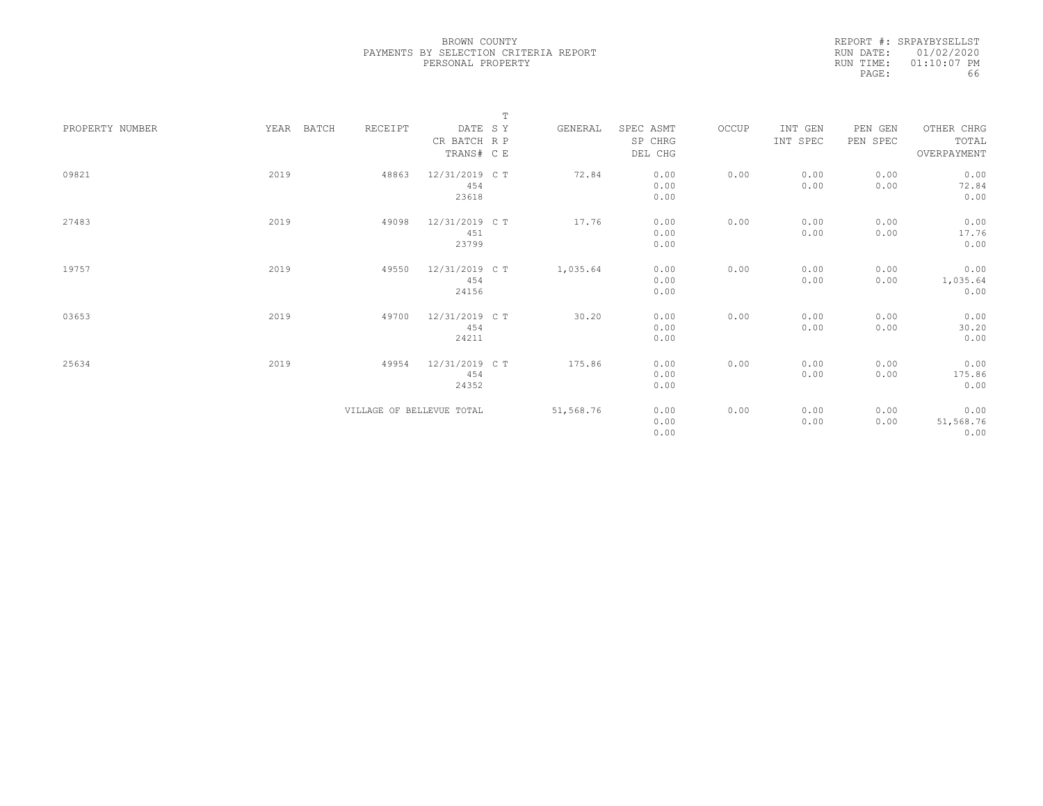REPORT #: SRPAYBYSELLST RUN DATE: 01/02/2020 RUN TIME: 01:10:07 PM PAGE: 66

|                 |               |                           | $\mathbb T$    |           |           |       |          |          |             |
|-----------------|---------------|---------------------------|----------------|-----------|-----------|-------|----------|----------|-------------|
| PROPERTY NUMBER | YEAR<br>BATCH | RECEIPT                   | DATE SY        | GENERAL   | SPEC ASMT | OCCUP | INT GEN  | PEN GEN  | OTHER CHRG  |
|                 |               |                           | CR BATCH R P   |           | SP CHRG   |       | INT SPEC | PEN SPEC | TOTAL       |
|                 |               |                           | TRANS# C E     |           | DEL CHG   |       |          |          | OVERPAYMENT |
|                 |               |                           |                |           |           |       |          |          |             |
| 09821           | 2019          | 48863                     | 12/31/2019 C T | 72.84     | 0.00      | 0.00  | 0.00     | 0.00     | 0.00        |
|                 |               |                           | 454            |           | 0.00      |       | 0.00     | 0.00     | 72.84       |
|                 |               |                           | 23618          |           | 0.00      |       |          |          | 0.00        |
|                 |               |                           |                |           |           |       |          |          |             |
| 27483           | 2019          | 49098                     | 12/31/2019 C T | 17.76     | 0.00      | 0.00  | 0.00     | 0.00     | 0.00        |
|                 |               |                           | 451            |           | 0.00      |       | 0.00     | 0.00     | 17.76       |
|                 |               |                           | 23799          |           | 0.00      |       |          |          | 0.00        |
|                 |               |                           |                |           |           |       |          |          |             |
| 19757           | 2019          | 49550                     | 12/31/2019 C T | 1,035.64  | 0.00      | 0.00  | 0.00     | 0.00     | 0.00        |
|                 |               |                           | 454            |           | 0.00      |       | 0.00     | 0.00     | 1,035.64    |
|                 |               |                           | 24156          |           | 0.00      |       |          |          | 0.00        |
|                 |               |                           |                |           |           |       |          |          |             |
| 03653           | 2019          | 49700                     | 12/31/2019 C T | 30.20     | 0.00      | 0.00  | 0.00     | 0.00     | 0.00        |
|                 |               |                           | 454            |           | 0.00      |       | 0.00     | 0.00     | 30.20       |
|                 |               |                           | 24211          |           | 0.00      |       |          |          | 0.00        |
|                 |               |                           |                |           |           |       |          |          |             |
| 25634           | 2019          | 49954                     | 12/31/2019 C T | 175.86    | 0.00      | 0.00  | 0.00     | 0.00     | 0.00        |
|                 |               |                           | 454            |           | 0.00      |       | 0.00     | 0.00     | 175.86      |
|                 |               |                           | 24352          |           | 0.00      |       |          |          | 0.00        |
|                 |               |                           |                |           |           |       |          |          |             |
|                 |               | VILLAGE OF BELLEVUE TOTAL |                | 51,568.76 | 0.00      | 0.00  | 0.00     | 0.00     | 0.00        |
|                 |               |                           |                |           | 0.00      |       | 0.00     | 0.00     | 51,568.76   |
|                 |               |                           |                |           | 0.00      |       |          |          | 0.00        |
|                 |               |                           |                |           |           |       |          |          |             |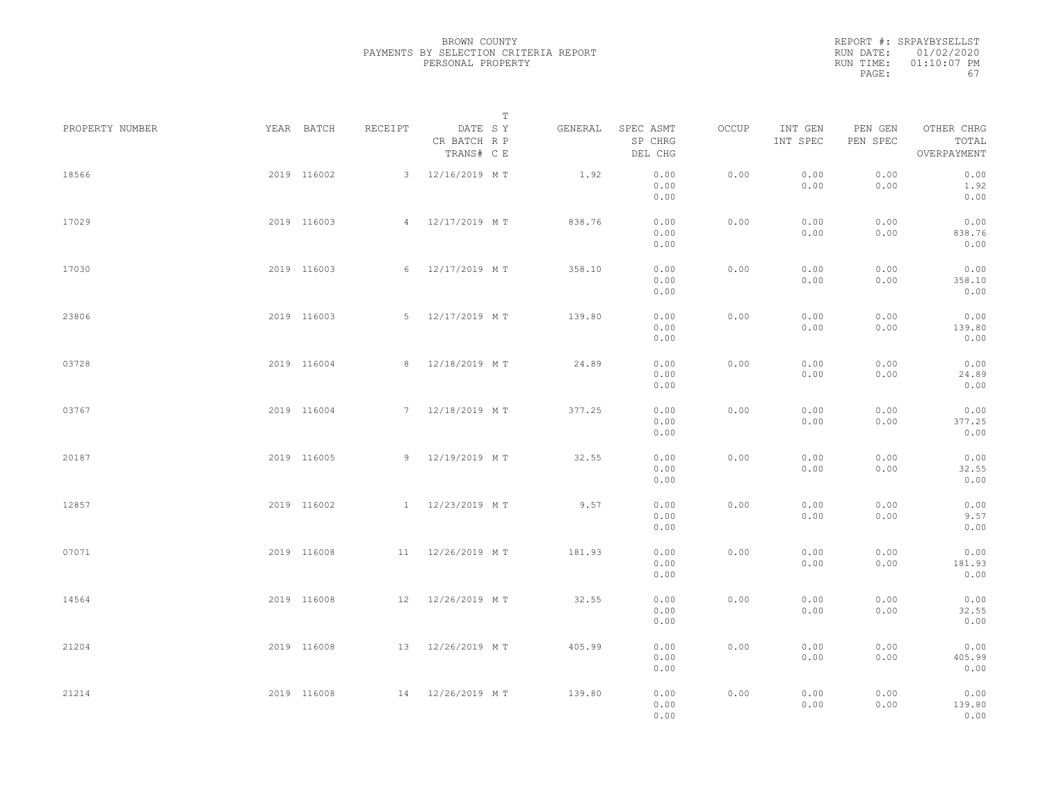|           | REPORT #: SRPAYBYSELLST |
|-----------|-------------------------|
|           | RUN DATE: 01/02/2020    |
| RUN TIME: | $01:10:07$ PM           |
| PAGE:     | 67                      |

|                 |             |             |         |                                       | $\mathbb T$ |                                 |       |                     |                     |                                    |  |
|-----------------|-------------|-------------|---------|---------------------------------------|-------------|---------------------------------|-------|---------------------|---------------------|------------------------------------|--|
| PROPERTY NUMBER | YEAR BATCH  |             | RECEIPT | DATE SY<br>CR BATCH R P<br>TRANS# C E | GENERAL     | SPEC ASMT<br>SP CHRG<br>DEL CHG | OCCUP | INT GEN<br>INT SPEC | PEN GEN<br>PEN SPEC | OTHER CHRG<br>TOTAL<br>OVERPAYMENT |  |
| 18566           |             | 2019 116002 |         | 3 12/16/2019 MT                       | 1.92        | 0.00<br>0.00<br>0.00            | 0.00  | 0.00<br>0.00        | 0.00<br>0.00        | 0.00<br>1.92<br>0.00               |  |
| 17029           |             | 2019 116003 |         | 4 12/17/2019 MT                       | 838.76      | 0.00<br>0.00<br>0.00            | 0.00  | 0.00<br>0.00        | 0.00<br>0.00        | 0.00<br>838.76<br>0.00             |  |
| 17030           |             | 2019 116003 |         | 6 12/17/2019 MT                       | 358.10      | 0.00<br>0.00<br>0.00            | 0.00  | 0.00<br>0.00        | 0.00<br>0.00        | 0.00<br>358.10<br>0.00             |  |
| 23806           |             | 2019 116003 |         | 5 12/17/2019 MT                       | 139.80      | 0.00<br>0.00<br>0.00            | 0.00  | 0.00<br>0.00        | 0.00<br>0.00        | 0.00<br>139.80<br>0.00             |  |
| 03728           |             | 2019 116004 |         | 8 12/18/2019 MT                       | 24.89       | 0.00<br>0.00<br>0.00            | 0.00  | 0.00<br>0.00        | 0.00<br>0.00        | 0.00<br>24.89<br>0.00              |  |
| 03767           |             | 2019 116004 |         | 7 12/18/2019 MT                       | 377.25      | 0.00<br>0.00<br>0.00            | 0.00  | 0.00<br>0.00        | 0.00<br>0.00        | 0.00<br>377.25<br>0.00             |  |
| 20187           |             | 2019 116005 |         | 9 12/19/2019 MT                       | 32.55       | 0.00<br>0.00<br>0.00            | 0.00  | 0.00<br>0.00        | 0.00<br>0.00        | 0.00<br>32.55<br>0.00              |  |
| 12857           |             | 2019 116002 |         | 1 12/23/2019 MT                       | 9.57        | 0.00<br>0.00<br>0.00            | 0.00  | 0.00<br>0.00        | 0.00<br>0.00        | 0.00<br>9.57<br>0.00               |  |
| 07071           |             | 2019 116008 |         | 11 12/26/2019 MT                      | 181.93      | 0.00<br>0.00<br>0.00            | 0.00  | 0.00<br>0.00        | 0.00<br>0.00        | 0.00<br>181.93<br>0.00             |  |
| 14564           |             | 2019 116008 |         | 12 12/26/2019 MT                      | 32.55       | 0.00<br>0.00<br>0.00            | 0.00  | 0.00<br>0.00        | 0.00<br>0.00        | 0.00<br>32.55<br>0.00              |  |
| 21204           |             | 2019 116008 |         | 13 12/26/2019 MT                      | 405.99      | 0.00<br>0.00<br>0.00            | 0.00  | 0.00<br>0.00        | 0.00<br>0.00        | 0.00<br>405.99<br>0.00             |  |
| 21214           | 2019 116008 |             |         | 14 12/26/2019 MT                      | 139.80      | 0.00<br>0.00<br>0.00            | 0.00  | 0.00<br>0.00        | 0.00<br>0.00        | 0.00<br>139.80<br>0.00             |  |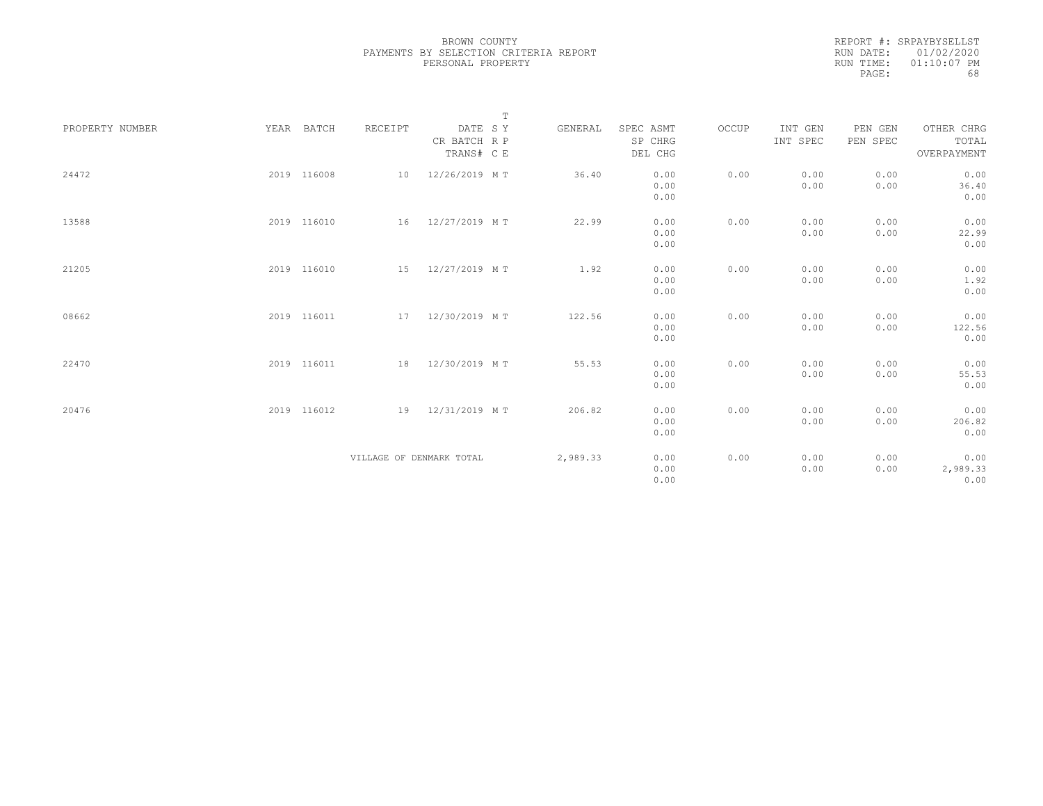|           | REPORT #: SRPAYBYSELLST |
|-----------|-------------------------|
|           | RUN DATE: 01/02/2020    |
| RUN TIME: | $01:10:07$ PM           |
| PAGE:     | 68                      |

|                 |             |         | $\mathbb T$                           |          |                                 |       |                     |                     |                                    |  |
|-----------------|-------------|---------|---------------------------------------|----------|---------------------------------|-------|---------------------|---------------------|------------------------------------|--|
| PROPERTY NUMBER | YEAR BATCH  | RECEIPT | DATE SY<br>CR BATCH R P<br>TRANS# C E | GENERAL  | SPEC ASMT<br>SP CHRG<br>DEL CHG | OCCUP | INT GEN<br>INT SPEC | PEN GEN<br>PEN SPEC | OTHER CHRG<br>TOTAL<br>OVERPAYMENT |  |
| 24472           | 2019 116008 | 10      | 12/26/2019 MT                         | 36.40    | 0.00<br>0.00<br>0.00            | 0.00  | 0.00<br>0.00        | 0.00<br>0.00        | 0.00<br>36.40<br>0.00              |  |
| 13588           | 2019 116010 | 16      | 12/27/2019 MT                         | 22.99    | 0.00<br>0.00<br>0.00            | 0.00  | 0.00<br>0.00        | 0.00<br>0.00        | 0.00<br>22.99<br>0.00              |  |
| 21205           | 2019 116010 |         | 15 12/27/2019 MT                      | 1.92     | 0.00<br>0.00<br>0.00            | 0.00  | 0.00<br>0.00        | 0.00<br>0.00        | 0.00<br>1.92<br>0.00               |  |
| 08662           | 2019 116011 | 17      | 12/30/2019 MT                         | 122.56   | 0.00<br>0.00<br>0.00            | 0.00  | 0.00<br>0.00        | 0.00<br>0.00        | 0.00<br>122.56<br>0.00             |  |
| 22470           | 2019 116011 | 18      | 12/30/2019 MT                         | 55.53    | 0.00<br>0.00<br>0.00            | 0.00  | 0.00<br>0.00        | 0.00<br>0.00        | 0.00<br>55.53<br>0.00              |  |
| 20476           | 2019 116012 | 19      | 12/31/2019 MT                         | 206.82   | 0.00<br>0.00<br>0.00            | 0.00  | 0.00<br>0.00        | 0.00<br>0.00        | 0.00<br>206.82<br>0.00             |  |
|                 |             |         | VILLAGE OF DENMARK TOTAL              | 2,989.33 | 0.00<br>0.00<br>0.00            | 0.00  | 0.00<br>0.00        | 0.00<br>0.00        | 0.00<br>2,989.33<br>0.00           |  |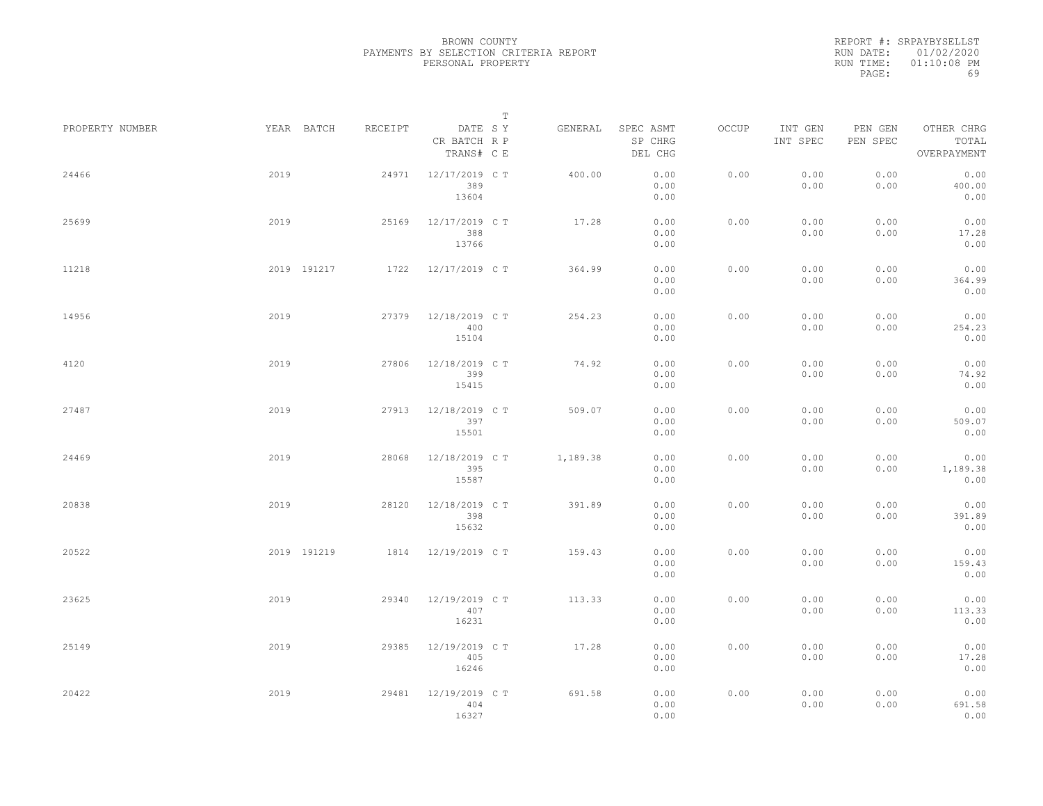REPORT #: SRPAYBYSELLST RUN DATE: 01/02/2020 RUN TIME: 01:10:08 PM PAGE: 69

|                 |      |             |         |                                       | $\mathbb T$ |          |                                 |       |                     |                     |                                    |  |
|-----------------|------|-------------|---------|---------------------------------------|-------------|----------|---------------------------------|-------|---------------------|---------------------|------------------------------------|--|
| PROPERTY NUMBER |      | YEAR BATCH  | RECEIPT | DATE SY<br>CR BATCH R P<br>TRANS# C E |             | GENERAL  | SPEC ASMT<br>SP CHRG<br>DEL CHG | OCCUP | INT GEN<br>INT SPEC | PEN GEN<br>PEN SPEC | OTHER CHRG<br>TOTAL<br>OVERPAYMENT |  |
| 24466           | 2019 |             | 24971   | 12/17/2019 C T<br>389<br>13604        |             | 400.00   | 0.00<br>0.00<br>0.00            | 0.00  | 0.00<br>0.00        | 0.00<br>0.00        | 0.00<br>400.00<br>0.00             |  |
| 25699           | 2019 |             | 25169   | 12/17/2019 C T<br>388<br>13766        |             | 17.28    | 0.00<br>0.00<br>0.00            | 0.00  | 0.00<br>0.00        | 0.00<br>0.00        | 0.00<br>17.28<br>0.00              |  |
| 11218           |      | 2019 191217 | 1722    | 12/17/2019 C T                        |             | 364.99   | 0.00<br>0.00<br>0.00            | 0.00  | 0.00<br>0.00        | 0.00<br>0.00        | 0.00<br>364.99<br>0.00             |  |
| 14956           | 2019 |             | 27379   | 12/18/2019 C T<br>400<br>15104        |             | 254.23   | 0.00<br>0.00<br>0.00            | 0.00  | 0.00<br>0.00        | 0.00<br>0.00        | 0.00<br>254.23<br>0.00             |  |
| 4120            | 2019 |             | 27806   | 12/18/2019 C T<br>399<br>15415        |             | 74.92    | 0.00<br>0.00<br>0.00            | 0.00  | 0.00<br>0.00        | 0.00<br>0.00        | 0.00<br>74.92<br>0.00              |  |
| 27487           | 2019 |             | 27913   | 12/18/2019 C T<br>397<br>15501        |             | 509.07   | 0.00<br>0.00<br>0.00            | 0.00  | 0.00<br>0.00        | 0.00<br>0.00        | 0.00<br>509.07<br>0.00             |  |
| 24469           | 2019 |             | 28068   | 12/18/2019 C T<br>395<br>15587        |             | 1,189.38 | 0.00<br>0.00<br>0.00            | 0.00  | 0.00<br>0.00        | 0.00<br>0.00        | 0.00<br>1,189.38<br>0.00           |  |
| 20838           | 2019 |             | 28120   | 12/18/2019 C T<br>398<br>15632        |             | 391.89   | 0.00<br>0.00<br>0.00            | 0.00  | 0.00<br>0.00        | 0.00<br>0.00        | 0.00<br>391.89<br>0.00             |  |
| 20522           |      | 2019 191219 | 1814    | 12/19/2019 C T                        |             | 159.43   | 0.00<br>0.00<br>0.00            | 0.00  | 0.00<br>0.00        | 0.00<br>0.00        | 0.00<br>159.43<br>0.00             |  |
| 23625           | 2019 |             | 29340   | 12/19/2019 C T<br>407<br>16231        |             | 113.33   | 0.00<br>0.00<br>0.00            | 0.00  | 0.00<br>0.00        | 0.00<br>0.00        | 0.00<br>113.33<br>0.00             |  |
| 25149           | 2019 |             | 29385   | 12/19/2019 C T<br>405<br>16246        |             | 17.28    | 0.00<br>0.00<br>0.00            | 0.00  | 0.00<br>0.00        | 0.00<br>0.00        | 0.00<br>17.28<br>0.00              |  |
| 20422           | 2019 |             | 29481   | 12/19/2019 C T<br>404<br>16327        |             | 691.58   | 0.00<br>0.00<br>0.00            | 0.00  | 0.00<br>0.00        | 0.00<br>0.00        | 0.00<br>691.58<br>0.00             |  |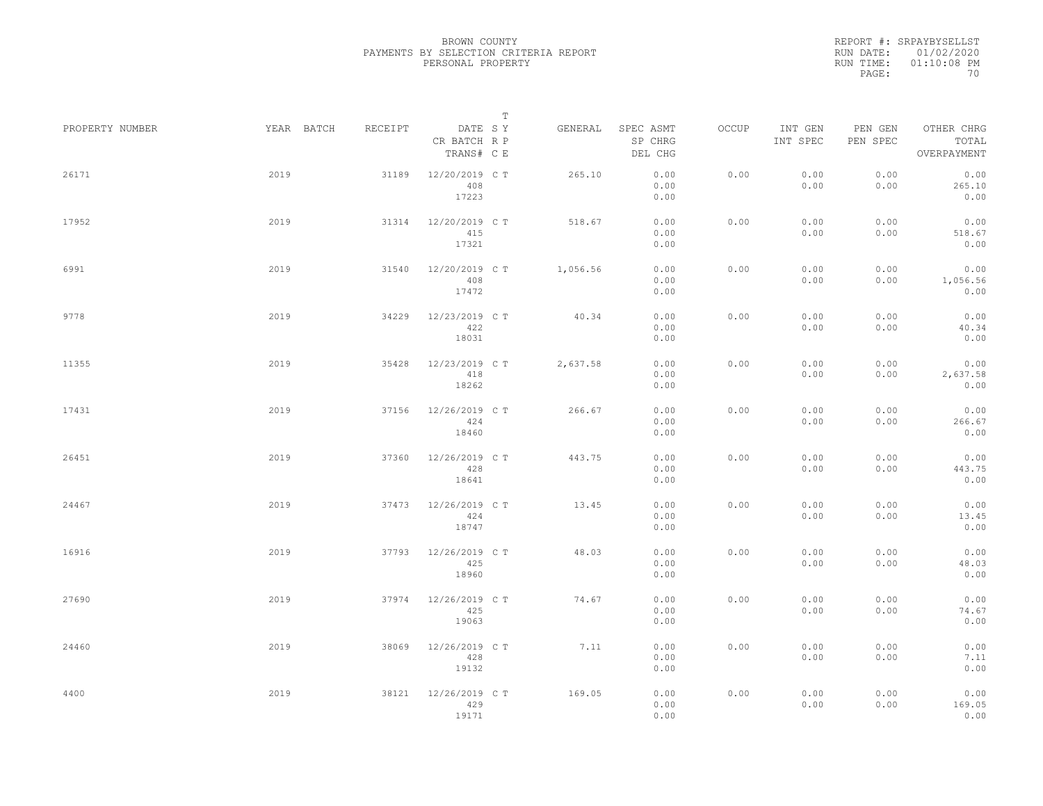REPORT #: SRPAYBYSELLST RUN DATE: 01/02/2020 RUN TIME: 01:10:08 PM PAGE: 70

|                 |            |         | $\mathbb T$                           |          |                                 |       |                     |                     |                                    |
|-----------------|------------|---------|---------------------------------------|----------|---------------------------------|-------|---------------------|---------------------|------------------------------------|
| PROPERTY NUMBER | YEAR BATCH | RECEIPT | DATE SY<br>CR BATCH R P<br>TRANS# C E | GENERAL  | SPEC ASMT<br>SP CHRG<br>DEL CHG | OCCUP | INT GEN<br>INT SPEC | PEN GEN<br>PEN SPEC | OTHER CHRG<br>TOTAL<br>OVERPAYMENT |
| 26171           | 2019       | 31189   | 12/20/2019 C T<br>408<br>17223        | 265.10   | 0.00<br>0.00<br>0.00            | 0.00  | 0.00<br>0.00        | 0.00<br>0.00        | 0.00<br>265.10<br>0.00             |
| 17952           | 2019       | 31314   | 12/20/2019 C T<br>415<br>17321        | 518.67   | 0.00<br>0.00<br>0.00            | 0.00  | 0.00<br>0.00        | 0.00<br>0.00        | 0.00<br>518.67<br>0.00             |
| 6991            | 2019       | 31540   | 12/20/2019 C T<br>408<br>17472        | 1,056.56 | 0.00<br>0.00<br>0.00            | 0.00  | 0.00<br>0.00        | 0.00<br>0.00        | 0.00<br>1,056.56<br>0.00           |
| 9778            | 2019       | 34229   | 12/23/2019 C T<br>422<br>18031        | 40.34    | 0.00<br>0.00<br>0.00            | 0.00  | 0.00<br>0.00        | 0.00<br>0.00        | 0.00<br>40.34<br>0.00              |
| 11355           | 2019       | 35428   | 12/23/2019 C T<br>418<br>18262        | 2,637.58 | 0.00<br>0.00<br>0.00            | 0.00  | 0.00<br>0.00        | 0.00<br>0.00        | 0.00<br>2,637.58<br>0.00           |
| 17431           | 2019       | 37156   | 12/26/2019 C T<br>424<br>18460        | 266.67   | 0.00<br>0.00<br>0.00            | 0.00  | 0.00<br>0.00        | 0.00<br>0.00        | 0.00<br>266.67<br>0.00             |
| 26451           | 2019       | 37360   | 12/26/2019 C T<br>428<br>18641        | 443.75   | 0.00<br>0.00<br>0.00            | 0.00  | 0.00<br>0.00        | 0.00<br>0.00        | 0.00<br>443.75<br>0.00             |
| 24467           | 2019       | 37473   | 12/26/2019 C T<br>424<br>18747        | 13.45    | 0.00<br>0.00<br>0.00            | 0.00  | 0.00<br>0.00        | 0.00<br>0.00        | 0.00<br>13.45<br>0.00              |
| 16916           | 2019       | 37793   | 12/26/2019 C T<br>425<br>18960        | 48.03    | 0.00<br>0.00<br>0.00            | 0.00  | 0.00<br>0.00        | 0.00<br>0.00        | 0.00<br>48.03<br>0.00              |
| 27690           | 2019       | 37974   | 12/26/2019 C T<br>425<br>19063        | 74.67    | 0.00<br>0.00<br>0.00            | 0.00  | 0.00<br>0.00        | 0.00<br>0.00        | 0.00<br>74.67<br>0.00              |
| 24460           | 2019       | 38069   | 12/26/2019 C T<br>428<br>19132        | 7.11     | 0.00<br>0.00<br>0.00            | 0.00  | 0.00<br>0.00        | 0.00<br>0.00        | 0.00<br>7.11<br>0.00               |
| 4400            | 2019       | 38121   | 12/26/2019 C T<br>429<br>19171        | 169.05   | 0.00<br>0.00<br>0.00            | 0.00  | 0.00<br>0.00        | 0.00<br>0.00        | 0.00<br>169.05<br>0.00             |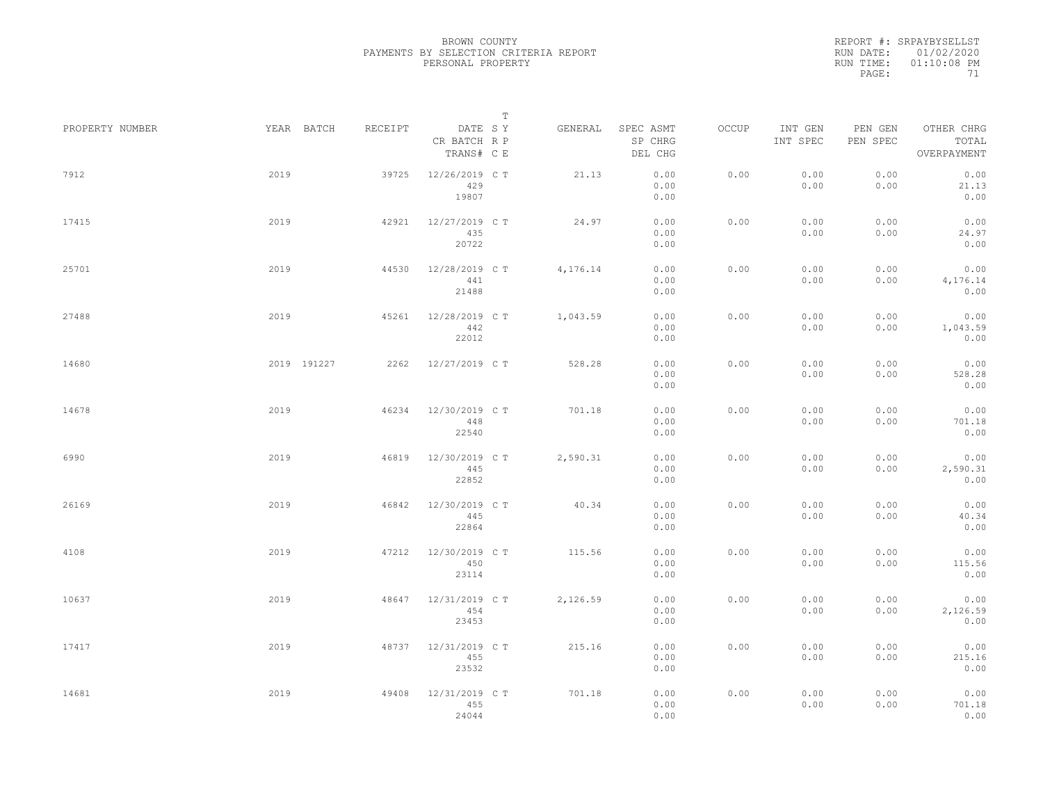REPORT #: SRPAYBYSELLST RUN DATE: 01/02/2020 RUN TIME: 01:10:08 PM PAGE: 71

|                 |            |                     |                                       | $\mathbb T$ |          |                                 |       |                     |                     |                                    |  |
|-----------------|------------|---------------------|---------------------------------------|-------------|----------|---------------------------------|-------|---------------------|---------------------|------------------------------------|--|
| PROPERTY NUMBER | YEAR BATCH | RECEIPT             | DATE SY<br>CR BATCH R P<br>TRANS# C E |             | GENERAL  | SPEC ASMT<br>SP CHRG<br>DEL CHG | OCCUP | INT GEN<br>INT SPEC | PEN GEN<br>PEN SPEC | OTHER CHRG<br>TOTAL<br>OVERPAYMENT |  |
| 7912            | 2019       | 39725               | 12/26/2019 C T<br>429<br>19807        |             | 21.13    | 0.00<br>0.00<br>0.00            | 0.00  | 0.00<br>0.00        | 0.00<br>0.00        | 0.00<br>21.13<br>0.00              |  |
| 17415           | 2019       | 42921               | 12/27/2019 C T<br>435<br>20722        |             | 24.97    | 0.00<br>0.00<br>0.00            | 0.00  | 0.00<br>0.00        | 0.00<br>0.00        | 0.00<br>24.97<br>0.00              |  |
| 25701           | 2019       | 44530               | 12/28/2019 C T<br>441<br>21488        |             | 4,176.14 | 0.00<br>0.00<br>0.00            | 0.00  | 0.00<br>0.00        | 0.00<br>0.00        | 0.00<br>4,176.14<br>0.00           |  |
| 27488           | 2019       | 45261               | 12/28/2019 C T<br>442<br>22012        |             | 1,043.59 | 0.00<br>0.00<br>0.00            | 0.00  | 0.00<br>0.00        | 0.00<br>0.00        | 0.00<br>1,043.59<br>0.00           |  |
| 14680           |            | 2019 191227<br>2262 | 12/27/2019 C T                        |             | 528.28   | 0.00<br>0.00<br>0.00            | 0.00  | 0.00<br>0.00        | 0.00<br>0.00        | 0.00<br>528.28<br>0.00             |  |
| 14678           | 2019       | 46234               | 12/30/2019 C T<br>448<br>22540        |             | 701.18   | 0.00<br>0.00<br>0.00            | 0.00  | 0.00<br>0.00        | 0.00<br>0.00        | 0.00<br>701.18<br>0.00             |  |
| 6990            | 2019       | 46819               | 12/30/2019 C T<br>445<br>22852        |             | 2,590.31 | 0.00<br>0.00<br>0.00            | 0.00  | 0.00<br>0.00        | 0.00<br>0.00        | 0.00<br>2,590.31<br>0.00           |  |
| 26169           | 2019       | 46842               | 12/30/2019 C T<br>445<br>22864        |             | 40.34    | 0.00<br>0.00<br>0.00            | 0.00  | 0.00<br>0.00        | 0.00<br>0.00        | 0.00<br>40.34<br>0.00              |  |
| 4108            | 2019       | 47212               | 12/30/2019 C T<br>450<br>23114        |             | 115.56   | 0.00<br>0.00<br>0.00            | 0.00  | 0.00<br>0.00        | 0.00<br>0.00        | 0.00<br>115.56<br>0.00             |  |
| 10637           | 2019       | 48647               | 12/31/2019 C T<br>454<br>23453        |             | 2,126.59 | 0.00<br>0.00<br>0.00            | 0.00  | 0.00<br>0.00        | 0.00<br>0.00        | 0.00<br>2,126.59<br>0.00           |  |
| 17417           | 2019       | 48737               | 12/31/2019 C T<br>455<br>23532        |             | 215.16   | 0.00<br>0.00<br>0.00            | 0.00  | 0.00<br>0.00        | 0.00<br>0.00        | 0.00<br>215.16<br>0.00             |  |
| 14681           | 2019       | 49408               | 12/31/2019 C T<br>455<br>24044        |             | 701.18   | 0.00<br>0.00<br>0.00            | 0.00  | 0.00<br>0.00        | 0.00<br>0.00        | 0.00<br>701.18<br>0.00             |  |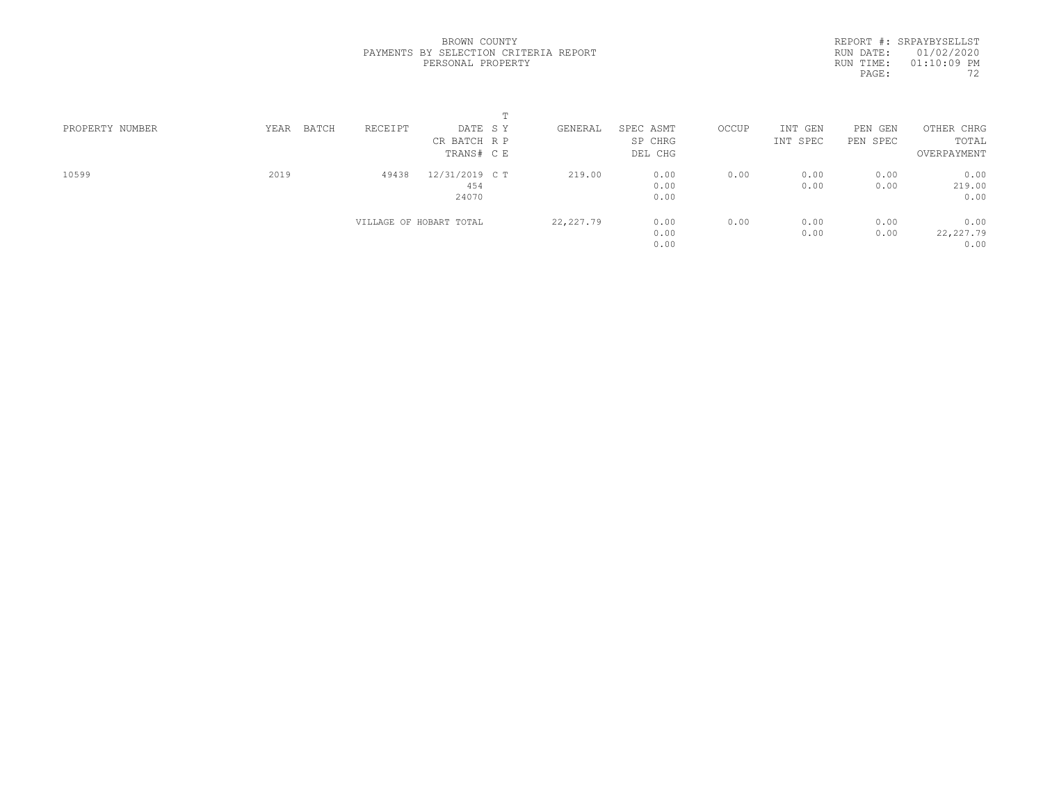REPORT #: SRPAYBYSELLST RUN DATE: 01/02/2020 RUN TIME: 01:10:09 PM PAGE: 72

| PROPERTY NUMBER | BATCH<br>YEAR | RECEIPT                 | DATE SY        | GENERAL    | SPEC ASMT | OCCUP | INT GEN  | PEN GEN  | OTHER CHRG  |  |
|-----------------|---------------|-------------------------|----------------|------------|-----------|-------|----------|----------|-------------|--|
|                 |               |                         | CR BATCH R P   |            | SP CHRG   |       | INT SPEC | PEN SPEC | TOTAL       |  |
|                 |               |                         | TRANS# C E     |            | DEL CHG   |       |          |          | OVERPAYMENT |  |
| 10599           | 2019          | 49438                   | 12/31/2019 C T | 219.00     | 0.00      | 0.00  | 0.00     | 0.00     | 0.00        |  |
|                 |               |                         | 454            |            | 0.00      |       | 0.00     | 0.00     | 219.00      |  |
|                 |               |                         | 24070          |            | 0.00      |       |          |          | 0.00        |  |
|                 |               | VILLAGE OF HOBART TOTAL |                | 22, 227.79 | 0.00      | 0.00  | 0.00     | 0.00     | 0.00        |  |
|                 |               |                         |                |            | 0.00      |       | 0.00     | 0.00     | 22, 227.79  |  |
|                 |               |                         |                |            | 0.00      |       |          |          | 0.00        |  |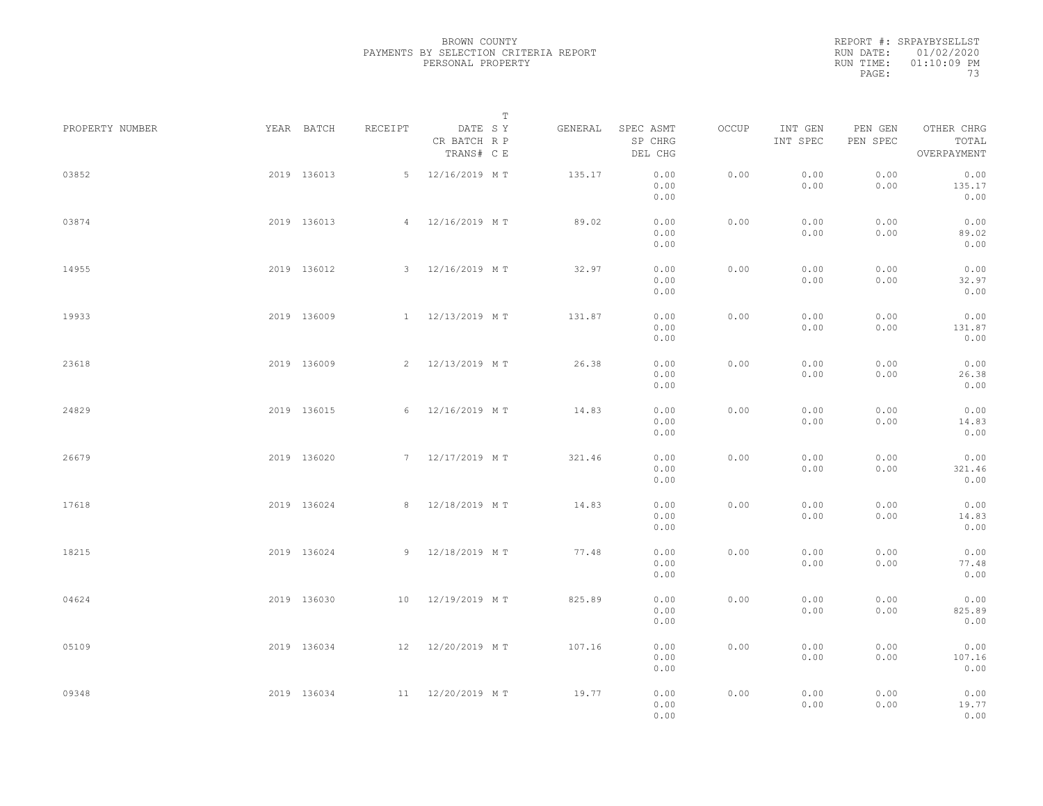|           | REPORT #: SRPAYBYSELLST |
|-----------|-------------------------|
|           | RUN DATE: 01/02/2020    |
| RUN TIME: | $01:10:09$ PM           |
| PAGE:     | 73                      |

|                 |             |             |         |                                       | $\mathbb T$ |         |                                 |       |                     |                     |                                    |  |
|-----------------|-------------|-------------|---------|---------------------------------------|-------------|---------|---------------------------------|-------|---------------------|---------------------|------------------------------------|--|
| PROPERTY NUMBER |             | YEAR BATCH  | RECEIPT | DATE SY<br>CR BATCH R P<br>TRANS# C E |             | GENERAL | SPEC ASMT<br>SP CHRG<br>DEL CHG | OCCUP | INT GEN<br>INT SPEC | PEN GEN<br>PEN SPEC | OTHER CHRG<br>TOTAL<br>OVERPAYMENT |  |
| 03852           |             | 2019 136013 |         | 5 12/16/2019 MT                       |             | 135.17  | 0.00<br>0.00<br>0.00            | 0.00  | 0.00<br>0.00        | 0.00<br>0.00        | 0.00<br>135.17<br>0.00             |  |
| 03874           |             | 2019 136013 |         | 4 12/16/2019 MT                       |             | 89.02   | 0.00<br>0.00<br>0.00            | 0.00  | 0.00<br>0.00        | 0.00<br>0.00        | 0.00<br>89.02<br>0.00              |  |
| 14955           |             | 2019 136012 |         | 3 12/16/2019 MT                       |             | 32.97   | 0.00<br>0.00<br>0.00            | 0.00  | 0.00<br>0.00        | 0.00<br>0.00        | 0.00<br>32.97<br>0.00              |  |
| 19933           |             | 2019 136009 |         | 1 12/13/2019 MT                       |             | 131.87  | 0.00<br>0.00<br>0.00            | 0.00  | 0.00<br>0.00        | 0.00<br>0.00        | 0.00<br>131.87<br>0.00             |  |
| 23618           |             | 2019 136009 |         | 2 12/13/2019 MT                       |             | 26.38   | 0.00<br>0.00<br>0.00            | 0.00  | 0.00<br>0.00        | 0.00<br>0.00        | 0.00<br>26.38<br>0.00              |  |
| 24829           |             | 2019 136015 |         | 6 12/16/2019 MT                       |             | 14.83   | 0.00<br>0.00<br>0.00            | 0.00  | 0.00<br>0.00        | 0.00<br>0.00        | 0.00<br>14.83<br>0.00              |  |
| 26679           |             | 2019 136020 |         | 7 12/17/2019 MT                       |             | 321.46  | 0.00<br>0.00<br>0.00            | 0.00  | 0.00<br>0.00        | 0.00<br>0.00        | 0.00<br>321.46<br>0.00             |  |
| 17618           |             | 2019 136024 |         | 8 12/18/2019 MT                       |             | 14.83   | 0.00<br>0.00<br>0.00            | 0.00  | 0.00<br>0.00        | 0.00<br>0.00        | 0.00<br>14.83<br>0.00              |  |
| 18215           |             | 2019 136024 |         | 9 12/18/2019 MT                       |             | 77.48   | 0.00<br>0.00<br>0.00            | 0.00  | 0.00<br>0.00        | 0.00<br>0.00        | 0.00<br>77.48<br>0.00              |  |
| 04624           |             | 2019 136030 |         | 10 12/19/2019 MT                      |             | 825.89  | 0.00<br>0.00<br>0.00            | 0.00  | 0.00<br>0.00        | 0.00<br>0.00        | 0.00<br>825.89<br>0.00             |  |
| 05109           |             | 2019 136034 |         | 12 12/20/2019 MT                      |             | 107.16  | 0.00<br>0.00                    | 0.00  | 0.00<br>0.00        | 0.00<br>0.00        | 0.00<br>107.16                     |  |
| 09348           | 2019 136034 |             |         | 11 12/20/2019 MT                      |             | 19.77   | 0.00<br>0.00<br>0.00<br>0.00    | 0.00  | 0.00<br>0.00        | 0.00<br>0.00        | 0.00<br>0.00<br>19.77<br>0.00      |  |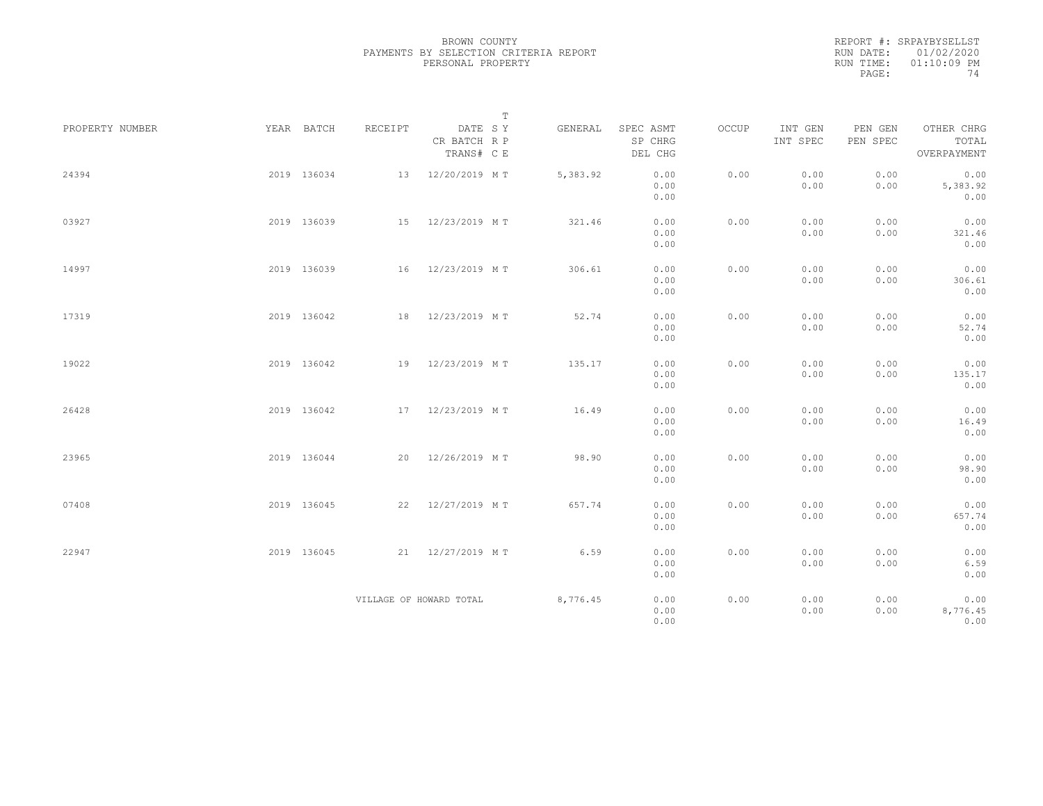|           | REPORT #: SRPAYBYSELLST |
|-----------|-------------------------|
|           | RUN DATE: 01/02/2020    |
| RUN TIME: | $01:10:09$ PM           |
| PAGE:     | 74                      |

|                 |             |         | $\mathbb T$                           |          |                                 |       |                     |                     |                                    |  |
|-----------------|-------------|---------|---------------------------------------|----------|---------------------------------|-------|---------------------|---------------------|------------------------------------|--|
| PROPERTY NUMBER | YEAR BATCH  | RECEIPT | DATE SY<br>CR BATCH R P<br>TRANS# C E | GENERAL  | SPEC ASMT<br>SP CHRG<br>DEL CHG | OCCUP | INT GEN<br>INT SPEC | PEN GEN<br>PEN SPEC | OTHER CHRG<br>TOTAL<br>OVERPAYMENT |  |
| 24394           | 2019 136034 | 13      | 12/20/2019 MT                         | 5,383.92 | 0.00<br>0.00<br>0.00            | 0.00  | 0.00<br>0.00        | 0.00<br>0.00        | 0.00<br>5,383.92<br>0.00           |  |
| 03927           | 2019 136039 |         | 15 12/23/2019 MT                      | 321.46   | 0.00<br>0.00<br>0.00            | 0.00  | 0.00<br>0.00        | 0.00<br>0.00        | 0.00<br>321.46<br>0.00             |  |
| 14997           | 2019 136039 | 16      | 12/23/2019 MT                         | 306.61   | 0.00<br>0.00<br>0.00            | 0.00  | 0.00<br>0.00        | 0.00<br>0.00        | 0.00<br>306.61<br>0.00             |  |
| 17319           | 2019 136042 | 18      | 12/23/2019 MT                         | 52.74    | 0.00<br>0.00<br>0.00            | 0.00  | 0.00<br>0.00        | 0.00<br>0.00        | 0.00<br>52.74<br>0.00              |  |
| 19022           | 2019 136042 |         | 19 12/23/2019 MT                      | 135.17   | 0.00<br>0.00<br>0.00            | 0.00  | 0.00<br>0.00        | 0.00<br>0.00        | 0.00<br>135.17<br>0.00             |  |
| 26428           | 2019 136042 |         | 17 12/23/2019 MT                      | 16.49    | 0.00<br>0.00<br>0.00            | 0.00  | 0.00<br>0.00        | 0.00<br>0.00        | 0.00<br>16.49<br>0.00              |  |
| 23965           | 2019 136044 | 20      | 12/26/2019 MT                         | 98.90    | 0.00<br>0.00<br>0.00            | 0.00  | 0.00<br>0.00        | 0.00<br>0.00        | 0.00<br>98.90<br>0.00              |  |
| 07408           | 2019 136045 | 22      | 12/27/2019 MT                         | 657.74   | 0.00<br>0.00<br>0.00            | 0.00  | 0.00<br>0.00        | 0.00<br>0.00        | 0.00<br>657.74<br>0.00             |  |
| 22947           | 2019 136045 |         | 21 12/27/2019 MT                      | 6.59     | 0.00<br>0.00<br>0.00            | 0.00  | 0.00<br>0.00        | 0.00<br>0.00        | 0.00<br>6.59<br>0.00               |  |
|                 |             |         | VILLAGE OF HOWARD TOTAL               | 8,776.45 | 0.00<br>0.00<br>0.00            | 0.00  | 0.00<br>0.00        | 0.00<br>0.00        | 0.00<br>8,776.45<br>0.00           |  |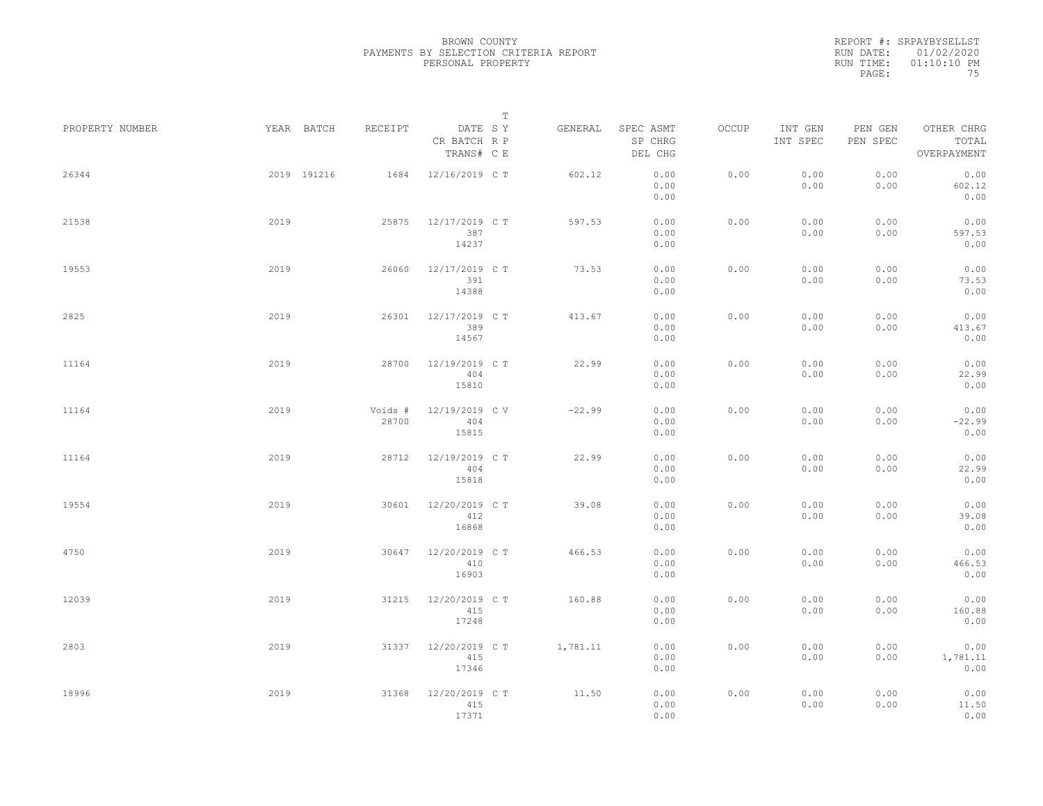|                 |      |                       |                                         | T |          |                                 |       |                     |                     |                                    |  |
|-----------------|------|-----------------------|-----------------------------------------|---|----------|---------------------------------|-------|---------------------|---------------------|------------------------------------|--|
| PROPERTY NUMBER |      | YEAR BATCH<br>RECEIPT | DATE SY<br>CR BATCH R P<br>TRANS# C E   |   | GENERAL  | SPEC ASMT<br>SP CHRG<br>DEL CHG | OCCUP | INT GEN<br>INT SPEC | PEN GEN<br>PEN SPEC | OTHER CHRG<br>TOTAL<br>OVERPAYMENT |  |
| 26344           |      | 2019 191216           | 12/16/2019 C T<br>1684                  |   | 602.12   | 0.00<br>0.00<br>0.00            | 0.00  | 0.00<br>0.00        | 0.00<br>0.00        | 0.00<br>602.12<br>0.00             |  |
| 21538           | 2019 |                       | 25875<br>12/17/2019 C T<br>387<br>14237 |   | 597.53   | 0.00<br>0.00<br>0.00            | 0.00  | 0.00<br>0.00        | 0.00<br>0.00        | 0.00<br>597.53<br>0.00             |  |
| 19553           | 2019 |                       | 26060<br>12/17/2019 C T<br>391<br>14388 |   | 73.53    | 0.00<br>0.00<br>0.00            | 0.00  | 0.00<br>0.00        | 0.00<br>0.00        | 0.00<br>73.53<br>0.00              |  |
| 2825            | 2019 |                       | 26301<br>12/17/2019 C T<br>389<br>14567 |   | 413.67   | 0.00<br>0.00<br>0.00            | 0.00  | 0.00<br>0.00        | 0.00<br>0.00        | 0.00<br>413.67<br>0.00             |  |
| 11164           | 2019 |                       | 28700<br>12/19/2019 C T<br>404<br>15810 |   | 22.99    | 0.00<br>0.00<br>0.00            | 0.00  | 0.00<br>0.00        | 0.00<br>0.00        | 0.00<br>22.99<br>0.00              |  |
| 11164           | 2019 | Voids #               | 12/19/2019 C V<br>28700<br>404<br>15815 |   | $-22.99$ | 0.00<br>0.00<br>0.00            | 0.00  | 0.00<br>0.00        | 0.00<br>0.00        | 0.00<br>$-22.99$<br>0.00           |  |
| 11164           | 2019 |                       | 28712<br>12/19/2019 C T<br>404<br>15818 |   | 22.99    | 0.00<br>0.00<br>0.00            | 0.00  | 0.00<br>0.00        | 0.00<br>0.00        | 0.00<br>22.99<br>0.00              |  |
| 19554           | 2019 |                       | 12/20/2019 C T<br>30601<br>412<br>16868 |   | 39.08    | 0.00<br>0.00<br>0.00            | 0.00  | 0.00<br>0.00        | 0.00<br>0.00        | 0.00<br>39.08<br>0.00              |  |
| 4750            | 2019 |                       | 12/20/2019 C T<br>30647<br>410<br>16903 |   | 466.53   | 0.00<br>0.00<br>0.00            | 0.00  | 0.00<br>0.00        | 0.00<br>0.00        | 0.00<br>466.53<br>0.00             |  |
| 12039           | 2019 |                       | 12/20/2019 C T<br>31215<br>415<br>17248 |   | 160.88   | 0.00<br>0.00<br>0.00            | 0.00  | 0.00<br>0.00        | 0.00<br>0.00        | 0.00<br>160.88<br>0.00             |  |
| 2803            | 2019 |                       | 12/20/2019 C T<br>31337<br>415<br>17346 |   | 1,781.11 | 0.00<br>0.00<br>0.00            | 0.00  | 0.00<br>0.00        | 0.00<br>0.00        | 0.00<br>1,781.11<br>0.00           |  |
| 18996           | 2019 |                       | 31368<br>12/20/2019 C T<br>415<br>17371 |   | 11.50    | 0.00<br>0.00<br>0.00            | 0.00  | 0.00<br>0.00        | 0.00<br>0.00        | 0.00<br>11.50<br>0.00              |  |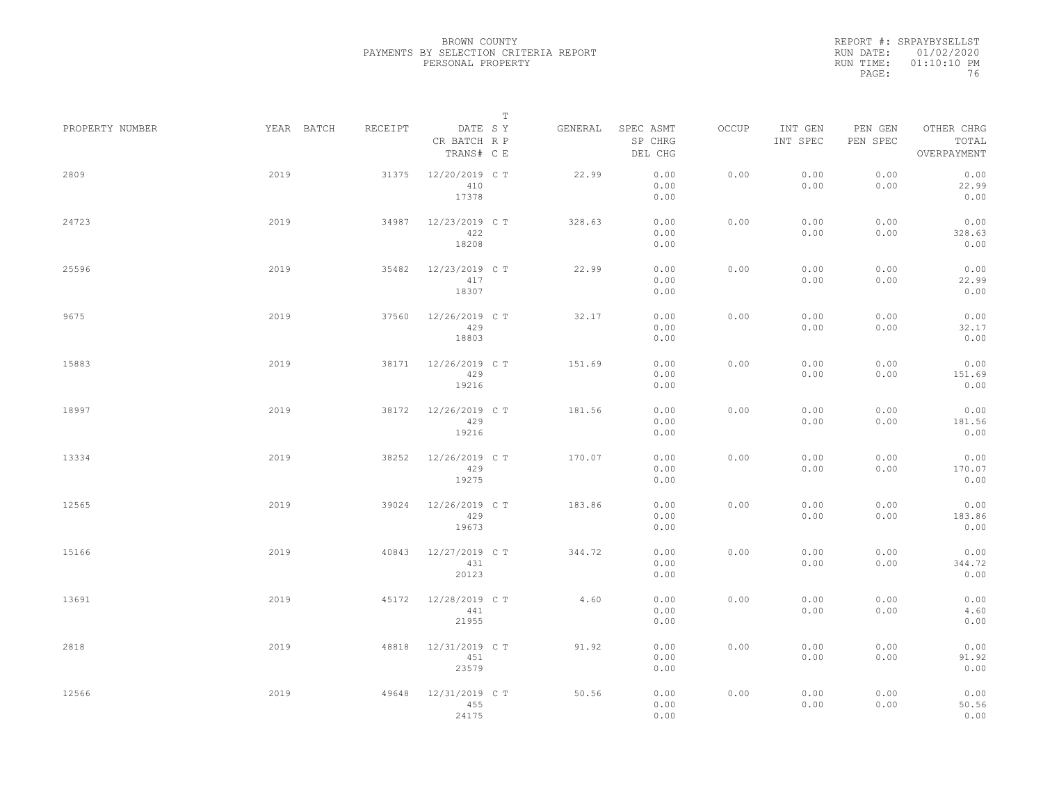|                 |            |         | $\mathbb T$                           |         |                                 |       |                     |                     |                                    |
|-----------------|------------|---------|---------------------------------------|---------|---------------------------------|-------|---------------------|---------------------|------------------------------------|
| PROPERTY NUMBER | YEAR BATCH | RECEIPT | DATE SY<br>CR BATCH R P<br>TRANS# C E | GENERAL | SPEC ASMT<br>SP CHRG<br>DEL CHG | OCCUP | INT GEN<br>INT SPEC | PEN GEN<br>PEN SPEC | OTHER CHRG<br>TOTAL<br>OVERPAYMENT |
| 2809            | 2019       | 31375   | 12/20/2019 C T<br>410<br>17378        | 22.99   | 0.00<br>0.00<br>0.00            | 0.00  | 0.00<br>0.00        | 0.00<br>0.00        | 0.00<br>22.99<br>0.00              |
| 24723           | 2019       | 34987   | 12/23/2019 C T<br>422<br>18208        | 328.63  | 0.00<br>0.00<br>0.00            | 0.00  | 0.00<br>0.00        | 0.00<br>0.00        | 0.00<br>328.63<br>0.00             |
| 25596           | 2019       | 35482   | 12/23/2019 C T<br>417<br>18307        | 22.99   | 0.00<br>0.00<br>0.00            | 0.00  | 0.00<br>0.00        | 0.00<br>0.00        | 0.00<br>22.99<br>0.00              |
| 9675            | 2019       | 37560   | 12/26/2019 C T<br>429<br>18803        | 32.17   | 0.00<br>0.00<br>0.00            | 0.00  | 0.00<br>0.00        | 0.00<br>0.00        | 0.00<br>32.17<br>0.00              |
| 15883           | 2019       | 38171   | 12/26/2019 C T<br>429<br>19216        | 151.69  | 0.00<br>0.00<br>0.00            | 0.00  | 0.00<br>0.00        | 0.00<br>0.00        | 0.00<br>151.69<br>0.00             |
| 18997           | 2019       | 38172   | 12/26/2019 C T<br>429<br>19216        | 181.56  | 0.00<br>0.00<br>0.00            | 0.00  | 0.00<br>0.00        | 0.00<br>0.00        | 0.00<br>181.56<br>0.00             |
| 13334           | 2019       | 38252   | 12/26/2019 C T<br>429<br>19275        | 170.07  | 0.00<br>0.00<br>0.00            | 0.00  | 0.00<br>0.00        | 0.00<br>0.00        | 0.00<br>170.07<br>0.00             |
| 12565           | 2019       | 39024   | 12/26/2019 C T<br>429<br>19673        | 183.86  | 0.00<br>0.00<br>0.00            | 0.00  | 0.00<br>0.00        | 0.00<br>0.00        | 0.00<br>183.86<br>0.00             |
| 15166           | 2019       | 40843   | 12/27/2019 C T<br>431<br>20123        | 344.72  | 0.00<br>0.00<br>0.00            | 0.00  | 0.00<br>0.00        | 0.00<br>0.00        | 0.00<br>344.72<br>0.00             |
| 13691           | 2019       | 45172   | 12/28/2019 C T<br>441<br>21955        | 4.60    | 0.00<br>0.00<br>0.00            | 0.00  | 0.00<br>0.00        | 0.00<br>0.00        | 0.00<br>4.60<br>0.00               |
| 2818            | 2019       | 48818   | 12/31/2019 C T<br>451<br>23579        | 91.92   | 0.00<br>0.00<br>0.00            | 0.00  | 0.00<br>0.00        | 0.00<br>0.00        | 0.00<br>91.92<br>0.00              |
| 12566           | 2019       | 49648   | 12/31/2019 C T<br>455<br>24175        | 50.56   | 0.00<br>0.00<br>0.00            | 0.00  | 0.00<br>0.00        | 0.00<br>0.00        | 0.00<br>50.56<br>0.00              |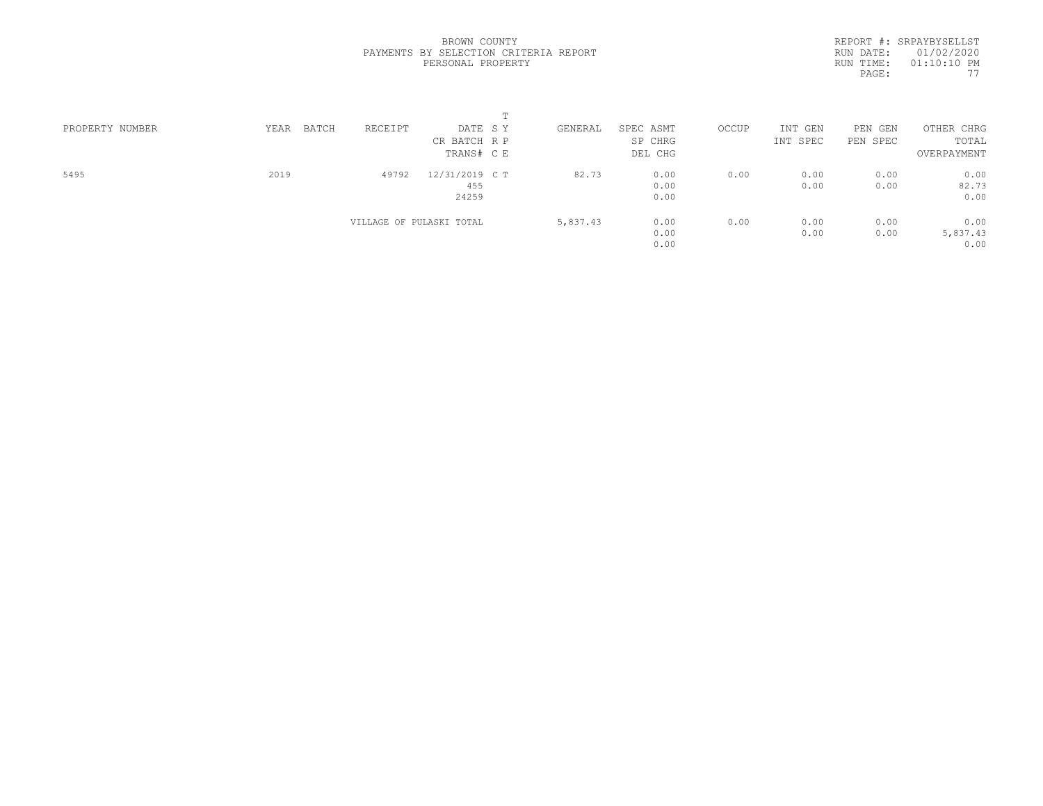| PROPERTY NUMBER | BATCH<br>YEAR | RECEIPT                  | DATE SY        | GENERAL  | SPEC ASMT | OCCUP | INT GEN  | PEN GEN  | OTHER CHRG  |  |
|-----------------|---------------|--------------------------|----------------|----------|-----------|-------|----------|----------|-------------|--|
|                 |               |                          | CR BATCH R P   |          | SP CHRG   |       | INT SPEC | PEN SPEC | TOTAL       |  |
|                 |               |                          | TRANS# C E     |          | DEL CHG   |       |          |          | OVERPAYMENT |  |
| 5495            | 2019          | 49792                    | 12/31/2019 C T | 82.73    | 0.00      | 0.00  | 0.00     | 0.00     | 0.00        |  |
|                 |               |                          | 455            |          | 0.00      |       | 0.00     | 0.00     | 82.73       |  |
|                 |               |                          | 24259          |          | 0.00      |       |          |          | 0.00        |  |
|                 |               | VILLAGE OF PULASKI TOTAL |                | 5,837.43 | 0.00      | 0.00  | 0.00     | 0.00     | 0.00        |  |
|                 |               |                          |                |          | 0.00      |       | 0.00     | 0.00     | 5,837.43    |  |
|                 |               |                          |                |          | 0.00      |       |          |          | 0.00        |  |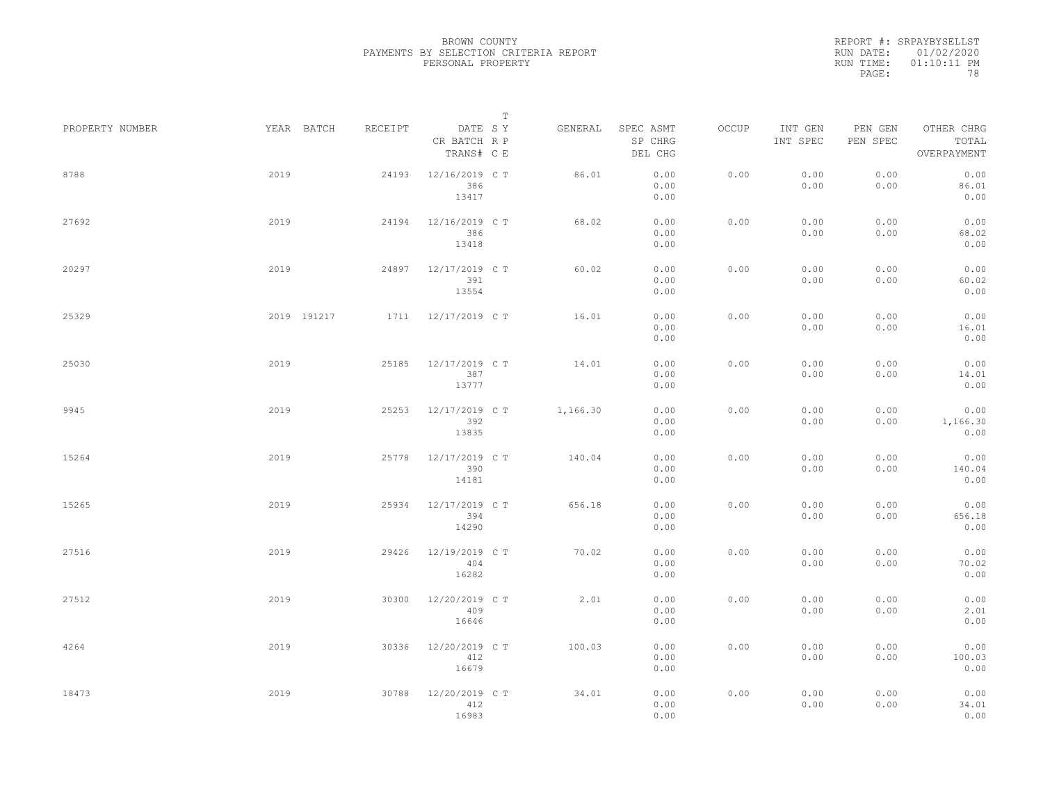|                 |             |         |                                       | $\mathbb T$ |                                 |       |                     |                     |                                    |
|-----------------|-------------|---------|---------------------------------------|-------------|---------------------------------|-------|---------------------|---------------------|------------------------------------|
| PROPERTY NUMBER | YEAR BATCH  | RECEIPT | DATE SY<br>CR BATCH R P<br>TRANS# C E | GENERAL     | SPEC ASMT<br>SP CHRG<br>DEL CHG | OCCUP | INT GEN<br>INT SPEC | PEN GEN<br>PEN SPEC | OTHER CHRG<br>TOTAL<br>OVERPAYMENT |
| 8788            | 2019        | 24193   | 12/16/2019 C T<br>386<br>13417        | 86.01       | 0.00<br>0.00<br>0.00            | 0.00  | 0.00<br>0.00        | 0.00<br>0.00        | 0.00<br>86.01<br>0.00              |
| 27692           | 2019        | 24194   | 12/16/2019 C T<br>386<br>13418        | 68.02       | 0.00<br>0.00<br>0.00            | 0.00  | 0.00<br>0.00        | 0.00<br>0.00        | 0.00<br>68.02<br>0.00              |
| 20297           | 2019        | 24897   | 12/17/2019 C T<br>391<br>13554        | 60.02       | 0.00<br>0.00<br>0.00            | 0.00  | 0.00<br>0.00        | 0.00<br>0.00        | 0.00<br>60.02<br>0.00              |
| 25329           | 2019 191217 | 1711    | 12/17/2019 C T                        | 16.01       | 0.00<br>0.00<br>0.00            | 0.00  | 0.00<br>0.00        | 0.00<br>0.00        | 0.00<br>16.01<br>0.00              |
| 25030           | 2019        | 25185   | 12/17/2019 C T<br>387<br>13777        | 14.01       | 0.00<br>0.00<br>0.00            | 0.00  | 0.00<br>0.00        | 0.00<br>0.00        | 0.00<br>14.01<br>0.00              |
| 9945            | 2019        | 25253   | 12/17/2019 C T<br>392<br>13835        | 1,166.30    | 0.00<br>0.00<br>0.00            | 0.00  | 0.00<br>0.00        | 0.00<br>0.00        | 0.00<br>1,166.30<br>0.00           |
| 15264           | 2019        | 25778   | 12/17/2019 C T<br>390<br>14181        | 140.04      | 0.00<br>0.00<br>0.00            | 0.00  | 0.00<br>0.00        | 0.00<br>0.00        | 0.00<br>140.04<br>0.00             |
| 15265           | 2019        | 25934   | 12/17/2019 C T<br>394<br>14290        | 656.18      | 0.00<br>0.00<br>0.00            | 0.00  | 0.00<br>0.00        | 0.00<br>0.00        | 0.00<br>656.18<br>0.00             |
| 27516           | 2019        | 29426   | 12/19/2019 C T<br>404<br>16282        | 70.02       | 0.00<br>0.00<br>0.00            | 0.00  | 0.00<br>0.00        | 0.00<br>0.00        | 0.00<br>70.02<br>0.00              |
| 27512           | 2019        | 30300   | 12/20/2019 C T<br>409<br>16646        | 2.01        | 0.00<br>0.00<br>0.00            | 0.00  | 0.00<br>0.00        | 0.00<br>0.00        | 0.00<br>2.01<br>0.00               |
| 4264            | 2019        | 30336   | 12/20/2019 C T<br>412<br>16679        | 100.03      | 0.00<br>0.00<br>0.00            | 0.00  | 0.00<br>0.00        | 0.00<br>0.00        | 0.00<br>100.03<br>0.00             |
| 18473           | 2019        | 30788   | 12/20/2019 C T<br>412<br>16983        | 34.01       | 0.00<br>0.00<br>0.00            | 0.00  | 0.00<br>0.00        | 0.00<br>0.00        | 0.00<br>34.01<br>0.00              |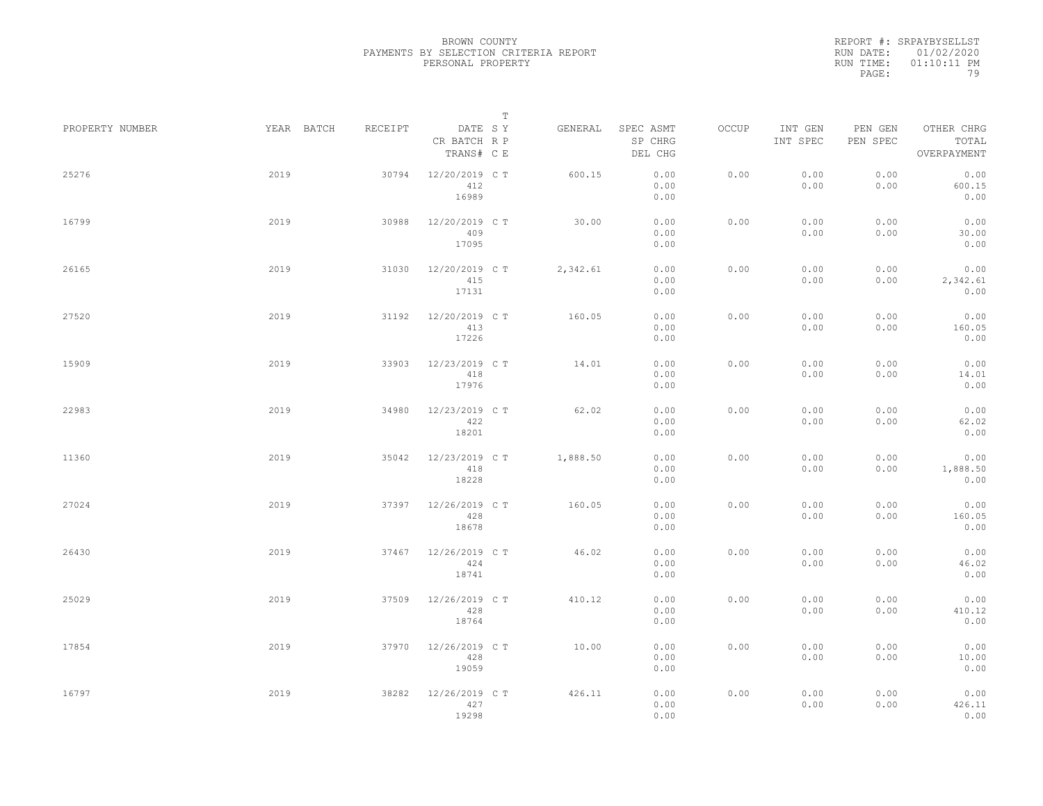|                 |            |         | $\mathbb T$                           |          |                                 |       |                     |                     |                                    |
|-----------------|------------|---------|---------------------------------------|----------|---------------------------------|-------|---------------------|---------------------|------------------------------------|
| PROPERTY NUMBER | YEAR BATCH | RECEIPT | DATE SY<br>CR BATCH R P<br>TRANS# C E | GENERAL  | SPEC ASMT<br>SP CHRG<br>DEL CHG | OCCUP | INT GEN<br>INT SPEC | PEN GEN<br>PEN SPEC | OTHER CHRG<br>TOTAL<br>OVERPAYMENT |
| 25276           | 2019       | 30794   | 12/20/2019 C T<br>412<br>16989        | 600.15   | 0.00<br>0.00<br>0.00            | 0.00  | 0.00<br>0.00        | 0.00<br>0.00        | 0.00<br>600.15<br>0.00             |
| 16799           | 2019       | 30988   | 12/20/2019 C T<br>409<br>17095        | 30.00    | 0.00<br>0.00<br>0.00            | 0.00  | 0.00<br>0.00        | 0.00<br>0.00        | 0.00<br>30.00<br>0.00              |
| 26165           | 2019       | 31030   | 12/20/2019 C T<br>415<br>17131        | 2,342.61 | 0.00<br>0.00<br>0.00            | 0.00  | 0.00<br>0.00        | 0.00<br>0.00        | 0.00<br>2,342.61<br>0.00           |
| 27520           | 2019       | 31192   | 12/20/2019 C T<br>413<br>17226        | 160.05   | 0.00<br>0.00<br>0.00            | 0.00  | 0.00<br>0.00        | 0.00<br>0.00        | 0.00<br>160.05<br>0.00             |
| 15909           | 2019       | 33903   | 12/23/2019 C T<br>418<br>17976        | 14.01    | 0.00<br>0.00<br>0.00            | 0.00  | 0.00<br>0.00        | 0.00<br>0.00        | 0.00<br>14.01<br>0.00              |
| 22983           | 2019       | 34980   | 12/23/2019 C T<br>422<br>18201        | 62.02    | 0.00<br>0.00<br>0.00            | 0.00  | 0.00<br>0.00        | 0.00<br>0.00        | 0.00<br>62.02<br>0.00              |
| 11360           | 2019       | 35042   | 12/23/2019 C T<br>418<br>18228        | 1,888.50 | 0.00<br>0.00<br>0.00            | 0.00  | 0.00<br>0.00        | 0.00<br>0.00        | 0.00<br>1,888.50<br>0.00           |
| 27024           | 2019       | 37397   | 12/26/2019 C T<br>428<br>18678        | 160.05   | 0.00<br>0.00<br>0.00            | 0.00  | 0.00<br>0.00        | 0.00<br>0.00        | 0.00<br>160.05<br>0.00             |
| 26430           | 2019       | 37467   | 12/26/2019 C T<br>424<br>18741        | 46.02    | 0.00<br>0.00<br>0.00            | 0.00  | 0.00<br>0.00        | 0.00<br>0.00        | 0.00<br>46.02<br>0.00              |
| 25029           | 2019       | 37509   | 12/26/2019 C T<br>428<br>18764        | 410.12   | 0.00<br>0.00<br>0.00            | 0.00  | 0.00<br>0.00        | 0.00<br>0.00        | 0.00<br>410.12<br>0.00             |
| 17854           | 2019       | 37970   | 12/26/2019 C T<br>428<br>19059        | 10.00    | 0.00<br>0.00<br>0.00            | 0.00  | 0.00<br>0.00        | 0.00<br>0.00        | 0.00<br>10.00<br>0.00              |
| 16797           | 2019       | 38282   | 12/26/2019 C T<br>427<br>19298        | 426.11   | 0.00<br>0.00<br>0.00            | 0.00  | 0.00<br>0.00        | 0.00<br>0.00        | 0.00<br>426.11<br>0.00             |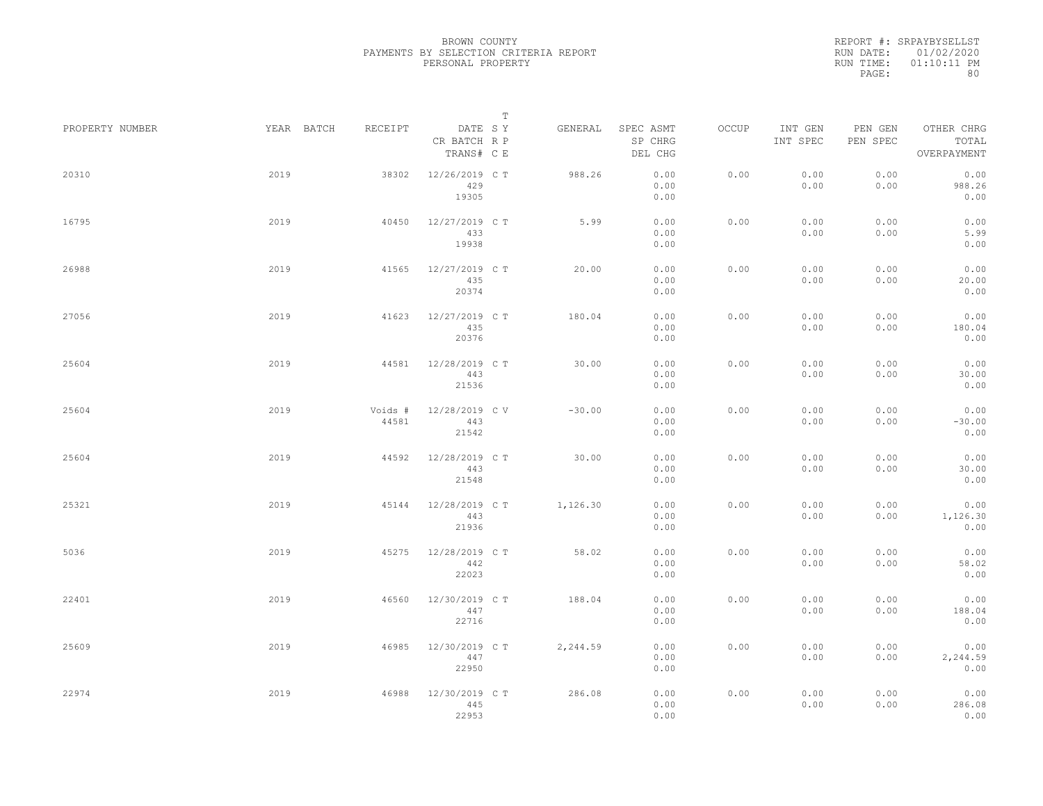|                 |            |                  |                                       | $\mathbb T$ |          |                                 |       |                     |                     |                                    |  |
|-----------------|------------|------------------|---------------------------------------|-------------|----------|---------------------------------|-------|---------------------|---------------------|------------------------------------|--|
| PROPERTY NUMBER | YEAR BATCH | RECEIPT          | DATE SY<br>CR BATCH R P<br>TRANS# C E |             | GENERAL  | SPEC ASMT<br>SP CHRG<br>DEL CHG | OCCUP | INT GEN<br>INT SPEC | PEN GEN<br>PEN SPEC | OTHER CHRG<br>TOTAL<br>OVERPAYMENT |  |
| 20310           | 2019       | 38302            | 12/26/2019 C T<br>429<br>19305        |             | 988.26   | 0.00<br>0.00<br>0.00            | 0.00  | 0.00<br>0.00        | 0.00<br>0.00        | 0.00<br>988.26<br>0.00             |  |
| 16795           | 2019       | 40450            | 12/27/2019 C T<br>433<br>19938        |             | 5.99     | 0.00<br>0.00<br>0.00            | 0.00  | 0.00<br>0.00        | 0.00<br>0.00        | 0.00<br>5.99<br>0.00               |  |
| 26988           | 2019       | 41565            | 12/27/2019 C T<br>435<br>20374        |             | 20.00    | 0.00<br>0.00<br>0.00            | 0.00  | 0.00<br>0.00        | 0.00<br>0.00        | 0.00<br>20.00<br>0.00              |  |
| 27056           | 2019       | 41623            | 12/27/2019 C T<br>435<br>20376        |             | 180.04   | 0.00<br>0.00<br>0.00            | 0.00  | 0.00<br>0.00        | 0.00<br>0.00        | 0.00<br>180.04<br>0.00             |  |
| 25604           | 2019       | 44581            | 12/28/2019 C T<br>443<br>21536        |             | 30.00    | 0.00<br>0.00<br>0.00            | 0.00  | 0.00<br>0.00        | 0.00<br>0.00        | 0.00<br>30.00<br>0.00              |  |
| 25604           | 2019       | Voids #<br>44581 | 12/28/2019 CV<br>443<br>21542         |             | $-30.00$ | 0.00<br>0.00<br>0.00            | 0.00  | 0.00<br>0.00        | 0.00<br>0.00        | 0.00<br>$-30.00$<br>0.00           |  |
| 25604           | 2019       | 44592            | 12/28/2019 C T<br>443<br>21548        |             | 30.00    | 0.00<br>0.00<br>0.00            | 0.00  | 0.00<br>0.00        | 0.00<br>0.00        | 0.00<br>30.00<br>0.00              |  |
| 25321           | 2019       | 45144            | 12/28/2019 C T<br>443<br>21936        |             | 1,126.30 | 0.00<br>0.00<br>0.00            | 0.00  | 0.00<br>0.00        | 0.00<br>0.00        | 0.00<br>1,126.30<br>0.00           |  |
| 5036            | 2019       | 45275            | 12/28/2019 C T<br>442<br>22023        |             | 58.02    | 0.00<br>0.00<br>0.00            | 0.00  | 0.00<br>0.00        | 0.00<br>0.00        | 0.00<br>58.02<br>0.00              |  |
| 22401           | 2019       | 46560            | 12/30/2019 C T<br>447<br>22716        |             | 188.04   | 0.00<br>0.00<br>0.00            | 0.00  | 0.00<br>0.00        | 0.00<br>0.00        | 0.00<br>188.04<br>0.00             |  |
| 25609           | 2019       | 46985            | 12/30/2019 C T<br>447<br>22950        |             | 2,244.59 | 0.00<br>0.00<br>0.00            | 0.00  | 0.00<br>0.00        | 0.00<br>0.00        | 0.00<br>2,244.59<br>0.00           |  |
| 22974           | 2019       | 46988            | 12/30/2019 C T<br>445<br>22953        |             | 286.08   | 0.00<br>0.00<br>0.00            | 0.00  | 0.00<br>0.00        | 0.00<br>0.00        | 0.00<br>286.08<br>0.00             |  |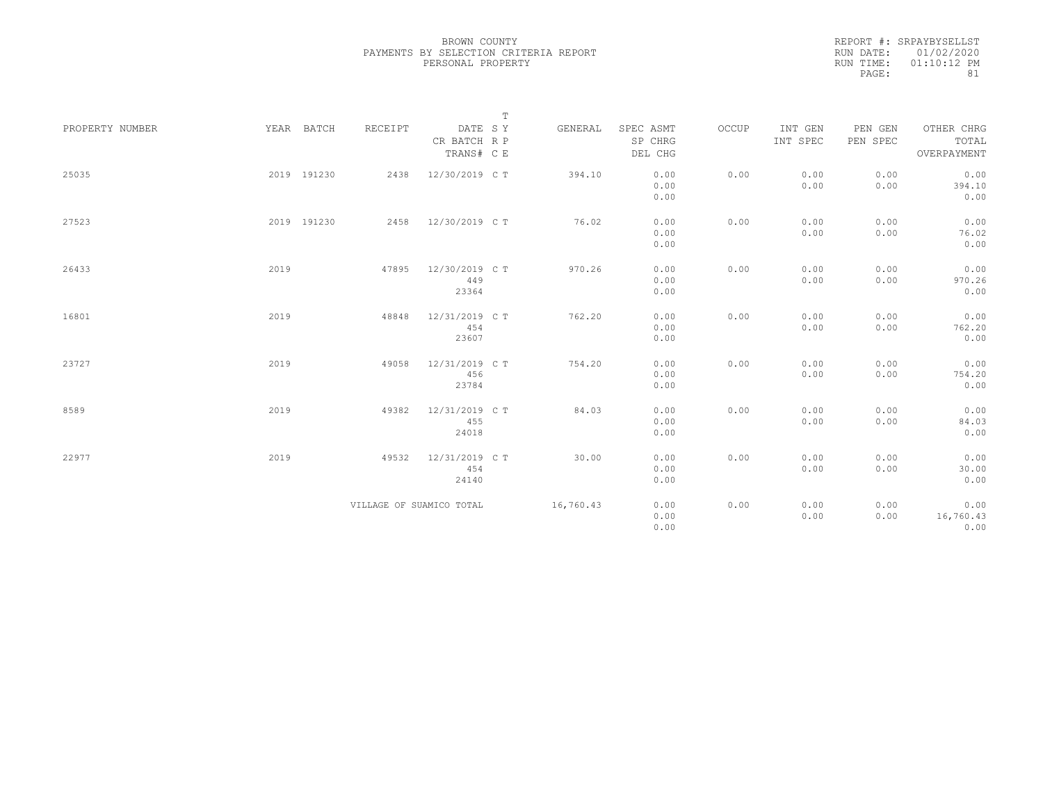|                 |             |                          |                         | $\mathbb T$ |           |                      |       |                     |                     |                     |
|-----------------|-------------|--------------------------|-------------------------|-------------|-----------|----------------------|-------|---------------------|---------------------|---------------------|
| PROPERTY NUMBER | YEAR BATCH  | RECEIPT                  | DATE SY<br>CR BATCH R P |             | GENERAL   | SPEC ASMT<br>SP CHRG | OCCUP | INT GEN<br>INT SPEC | PEN GEN<br>PEN SPEC | OTHER CHRG<br>TOTAL |
|                 |             |                          | TRANS# C E              |             |           | DEL CHG              |       |                     |                     | OVERPAYMENT         |
| 25035           | 2019 191230 | 2438                     | 12/30/2019 C T          |             | 394.10    | 0.00                 | 0.00  | 0.00                | 0.00                | 0.00                |
|                 |             |                          |                         |             |           | 0.00                 |       | 0.00                | 0.00                | 394.10              |
|                 |             |                          |                         |             |           | 0.00                 |       |                     |                     | 0.00                |
| 27523           | 2019 191230 | 2458                     | 12/30/2019 C T          |             | 76.02     | 0.00                 | 0.00  | 0.00                | 0.00                | 0.00                |
|                 |             |                          |                         |             |           | 0.00                 |       | 0.00                | 0.00                | 76.02               |
|                 |             |                          |                         |             |           | 0.00                 |       |                     |                     | 0.00                |
| 26433           | 2019        | 47895                    | 12/30/2019 C T          |             | 970.26    | 0.00                 | 0.00  | 0.00                | 0.00                | 0.00                |
|                 |             |                          | 449                     |             |           | 0.00                 |       | 0.00                | 0.00                | 970.26              |
|                 |             |                          | 23364                   |             |           | 0.00                 |       |                     |                     | 0.00                |
| 16801           | 2019        | 48848                    | 12/31/2019 C T          |             | 762.20    | 0.00                 | 0.00  | 0.00                | 0.00                | 0.00                |
|                 |             |                          | 454                     |             |           | 0.00                 |       | 0.00                | 0.00                | 762.20              |
|                 |             |                          | 23607                   |             |           | 0.00                 |       |                     |                     | 0.00                |
| 23727           | 2019        | 49058                    | 12/31/2019 C T          |             | 754.20    | 0.00                 | 0.00  | 0.00                | 0.00                | 0.00                |
|                 |             |                          | 456                     |             |           | 0.00                 |       | 0.00                | 0.00                | 754.20              |
|                 |             |                          | 23784                   |             |           | 0.00                 |       |                     |                     | 0.00                |
| 8589            | 2019        | 49382                    | 12/31/2019 C T          |             | 84.03     | 0.00                 | 0.00  | 0.00                | 0.00                | 0.00                |
|                 |             |                          | 455                     |             |           | 0.00                 |       | 0.00                | 0.00                | 84.03               |
|                 |             |                          | 24018                   |             |           | 0.00                 |       |                     |                     | 0.00                |
| 22977           | 2019        | 49532                    | 12/31/2019 C T          |             | 30.00     | 0.00                 | 0.00  | 0.00                | 0.00                | 0.00                |
|                 |             |                          | 454                     |             |           | 0.00                 |       | 0.00                | 0.00                | 30.00               |
|                 |             |                          | 24140                   |             |           | 0.00                 |       |                     |                     | 0.00                |
|                 |             | VILLAGE OF SUAMICO TOTAL |                         |             | 16,760.43 | 0.00                 | 0.00  | 0.00                | 0.00                | 0.00                |
|                 |             |                          |                         |             |           | 0.00                 |       | 0.00                | 0.00                | 16,760.43           |
|                 |             |                          |                         |             |           | 0.00                 |       |                     |                     | 0.00                |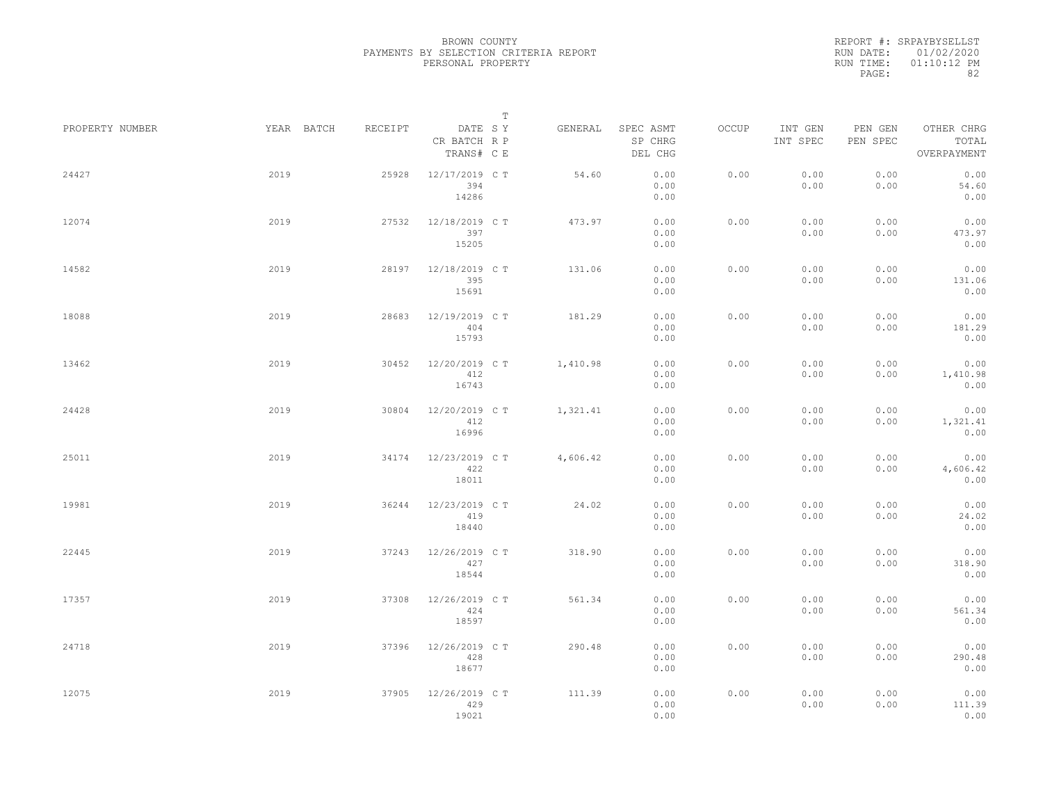|                 |      |                       |                                       | $\mathbb T$ |          |                                 |       |                     |                     |                                    |  |
|-----------------|------|-----------------------|---------------------------------------|-------------|----------|---------------------------------|-------|---------------------|---------------------|------------------------------------|--|
| PROPERTY NUMBER |      | YEAR BATCH<br>RECEIPT | DATE SY<br>CR BATCH R P<br>TRANS# C E |             | GENERAL  | SPEC ASMT<br>SP CHRG<br>DEL CHG | OCCUP | INT GEN<br>INT SPEC | PEN GEN<br>PEN SPEC | OTHER CHRG<br>TOTAL<br>OVERPAYMENT |  |
| 24427           | 2019 | 25928                 | 12/17/2019 C T<br>394<br>14286        |             | 54.60    | 0.00<br>0.00<br>0.00            | 0.00  | 0.00<br>0.00        | 0.00<br>0.00        | 0.00<br>54.60<br>0.00              |  |
| 12074           | 2019 | 27532                 | 12/18/2019 C T<br>397<br>15205        |             | 473.97   | 0.00<br>0.00<br>0.00            | 0.00  | 0.00<br>0.00        | 0.00<br>0.00        | 0.00<br>473.97<br>0.00             |  |
| 14582           | 2019 | 28197                 | 12/18/2019 C T<br>395<br>15691        |             | 131.06   | 0.00<br>0.00<br>0.00            | 0.00  | 0.00<br>0.00        | 0.00<br>0.00        | 0.00<br>131.06<br>0.00             |  |
| 18088           | 2019 | 28683                 | 12/19/2019 C T<br>404<br>15793        |             | 181.29   | 0.00<br>0.00<br>0.00            | 0.00  | 0.00<br>0.00        | 0.00<br>0.00        | 0.00<br>181.29<br>0.00             |  |
| 13462           | 2019 | 30452                 | 12/20/2019 C T<br>412<br>16743        |             | 1,410.98 | 0.00<br>0.00<br>0.00            | 0.00  | 0.00<br>0.00        | 0.00<br>0.00        | 0.00<br>1,410.98<br>0.00           |  |
| 24428           | 2019 | 30804                 | 12/20/2019 C T<br>412<br>16996        |             | 1,321.41 | 0.00<br>0.00<br>0.00            | 0.00  | 0.00<br>0.00        | 0.00<br>0.00        | 0.00<br>1,321.41<br>0.00           |  |
| 25011           | 2019 | 34174                 | 12/23/2019 C T<br>422<br>18011        |             | 4,606.42 | 0.00<br>0.00<br>0.00            | 0.00  | 0.00<br>0.00        | 0.00<br>0.00        | 0.00<br>4,606.42<br>0.00           |  |
| 19981           | 2019 | 36244                 | 12/23/2019 C T<br>419<br>18440        |             | 24.02    | 0.00<br>0.00<br>0.00            | 0.00  | 0.00<br>0.00        | 0.00<br>0.00        | 0.00<br>24.02<br>0.00              |  |
| 22445           | 2019 | 37243                 | 12/26/2019 C T<br>427<br>18544        |             | 318.90   | 0.00<br>0.00<br>0.00            | 0.00  | 0.00<br>0.00        | 0.00<br>0.00        | 0.00<br>318.90<br>0.00             |  |
| 17357           | 2019 | 37308                 | 12/26/2019 C T<br>424<br>18597        |             | 561.34   | 0.00<br>0.00<br>0.00            | 0.00  | 0.00<br>0.00        | 0.00<br>0.00        | 0.00<br>561.34<br>0.00             |  |
| 24718           | 2019 | 37396                 | 12/26/2019 C T<br>428<br>18677        |             | 290.48   | 0.00<br>0.00<br>0.00            | 0.00  | 0.00<br>0.00        | 0.00<br>0.00        | 0.00<br>290.48<br>0.00             |  |
| 12075           | 2019 | 37905                 | 12/26/2019 C T<br>429<br>19021        |             | 111.39   | 0.00<br>0.00<br>0.00            | 0.00  | 0.00<br>0.00        | 0.00<br>0.00        | 0.00<br>111.39<br>0.00             |  |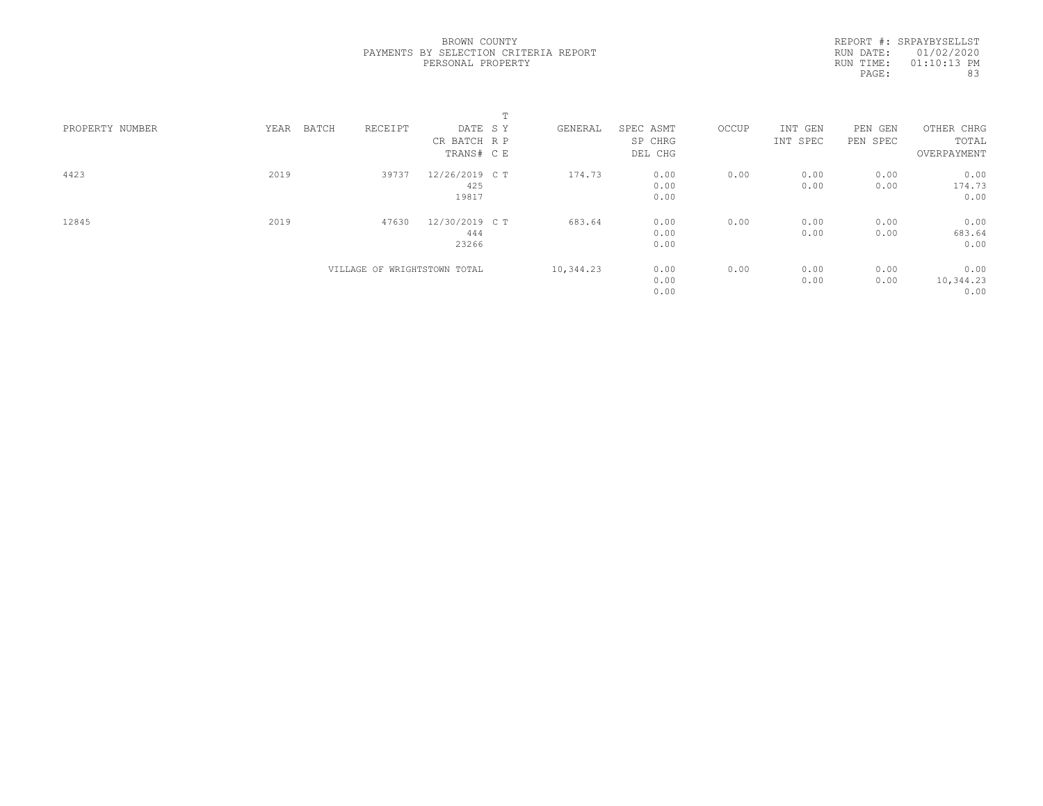|                 |               |                              | m              |           |           |       |          |          |             |
|-----------------|---------------|------------------------------|----------------|-----------|-----------|-------|----------|----------|-------------|
| PROPERTY NUMBER | YEAR<br>BATCH | RECEIPT                      | DATE SY        | GENERAL   | SPEC ASMT | OCCUP | INT GEN  | PEN GEN  | OTHER CHRG  |
|                 |               |                              | CR BATCH R P   |           | SP CHRG   |       | INT SPEC | PEN SPEC | TOTAL       |
|                 |               |                              | TRANS# C E     |           | DEL CHG   |       |          |          | OVERPAYMENT |
| 4423            | 2019          | 39737                        | 12/26/2019 C T | 174.73    | 0.00      | 0.00  | 0.00     | 0.00     | 0.00        |
|                 |               |                              | 425            |           | 0.00      |       | 0.00     | 0.00     | 174.73      |
|                 |               |                              | 19817          |           | 0.00      |       |          |          | 0.00        |
| 12845           | 2019          | 47630                        | 12/30/2019 C T | 683.64    | 0.00      | 0.00  | 0.00     | 0.00     | 0.00        |
|                 |               |                              | 444            |           | 0.00      |       | 0.00     | 0.00     | 683.64      |
|                 |               |                              | 23266          |           | 0.00      |       |          |          | 0.00        |
|                 |               | VILLAGE OF WRIGHTSTOWN TOTAL |                | 10,344.23 | 0.00      | 0.00  | 0.00     | 0.00     | 0.00        |
|                 |               |                              |                |           | 0.00      |       | 0.00     | 0.00     | 10,344.23   |
|                 |               |                              |                |           | 0.00      |       |          |          | 0.00        |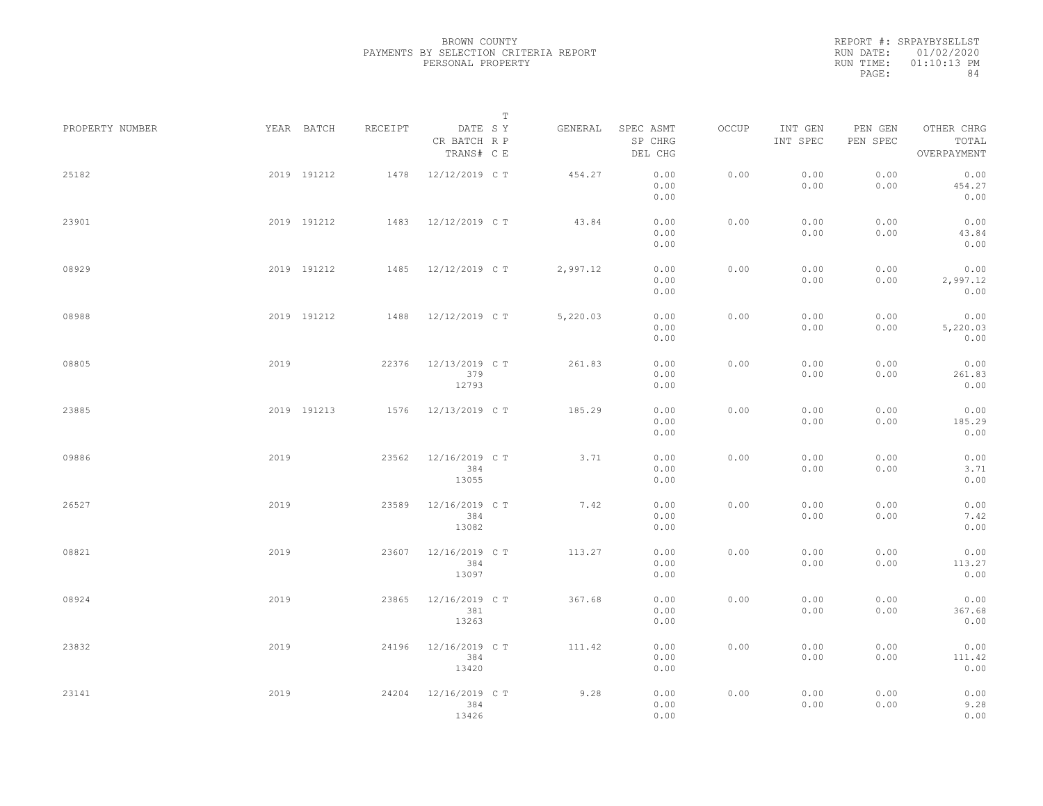|                 |      |             |         |                                       | T |          |                                 |       |                     |                     |                                    |  |
|-----------------|------|-------------|---------|---------------------------------------|---|----------|---------------------------------|-------|---------------------|---------------------|------------------------------------|--|
| PROPERTY NUMBER |      | YEAR BATCH  | RECEIPT | DATE SY<br>CR BATCH R P<br>TRANS# C E |   | GENERAL  | SPEC ASMT<br>SP CHRG<br>DEL CHG | OCCUP | INT GEN<br>INT SPEC | PEN GEN<br>PEN SPEC | OTHER CHRG<br>TOTAL<br>OVERPAYMENT |  |
| 25182           |      | 2019 191212 | 1478    | 12/12/2019 C T                        |   | 454.27   | 0.00<br>0.00<br>0.00            | 0.00  | 0.00<br>0.00        | 0.00<br>0.00        | 0.00<br>454.27<br>0.00             |  |
| 23901           |      | 2019 191212 |         | 1483 12/12/2019 CT                    |   | 43.84    | 0.00<br>0.00<br>0.00            | 0.00  | 0.00<br>0.00        | 0.00<br>0.00        | 0.00<br>43.84<br>0.00              |  |
| 08929           |      | 2019 191212 |         | 1485 12/12/2019 CT                    |   | 2,997.12 | 0.00<br>0.00<br>0.00            | 0.00  | 0.00<br>0.00        | 0.00<br>0.00        | 0.00<br>2,997.12<br>0.00           |  |
| 08988           |      | 2019 191212 | 1488    | 12/12/2019 C T                        |   | 5,220.03 | 0.00<br>0.00<br>0.00            | 0.00  | 0.00<br>0.00        | 0.00<br>0.00        | 0.00<br>5,220.03<br>0.00           |  |
| 08805           | 2019 |             | 22376   | 12/13/2019 C T<br>379<br>12793        |   | 261.83   | 0.00<br>0.00<br>0.00            | 0.00  | 0.00<br>0.00        | 0.00<br>0.00        | 0.00<br>261.83<br>0.00             |  |
| 23885           |      | 2019 191213 | 1576    | 12/13/2019 C T                        |   | 185.29   | 0.00<br>0.00<br>0.00            | 0.00  | 0.00<br>0.00        | 0.00<br>0.00        | 0.00<br>185.29<br>0.00             |  |
| 09886           | 2019 |             | 23562   | 12/16/2019 C T<br>384<br>13055        |   | 3.71     | 0.00<br>0.00<br>0.00            | 0.00  | 0.00<br>0.00        | 0.00<br>0.00        | 0.00<br>3.71<br>0.00               |  |
| 26527           | 2019 |             | 23589   | 12/16/2019 C T<br>384<br>13082        |   | 7.42     | 0.00<br>0.00<br>0.00            | 0.00  | 0.00<br>0.00        | 0.00<br>0.00        | 0.00<br>7.42<br>0.00               |  |
| 08821           | 2019 |             | 23607   | 12/16/2019 C T<br>384<br>13097        |   | 113.27   | 0.00<br>0.00<br>0.00            | 0.00  | 0.00<br>0.00        | 0.00<br>0.00        | 0.00<br>113.27<br>0.00             |  |
| 08924           | 2019 |             | 23865   | 12/16/2019 C T<br>381<br>13263        |   | 367.68   | 0.00<br>0.00<br>0.00            | 0.00  | 0.00<br>0.00        | 0.00<br>0.00        | 0.00<br>367.68<br>0.00             |  |
| 23832           | 2019 |             | 24196   | 12/16/2019 C T<br>384<br>13420        |   | 111.42   | 0.00<br>0.00<br>0.00            | 0.00  | 0.00<br>0.00        | 0.00<br>0.00        | 0.00<br>111.42<br>0.00             |  |
| 23141           | 2019 |             | 24204   | 12/16/2019 C T<br>384<br>13426        |   | 9.28     | 0.00<br>0.00<br>0.00            | 0.00  | 0.00<br>0.00        | 0.00<br>0.00        | 0.00<br>9.28<br>0.00               |  |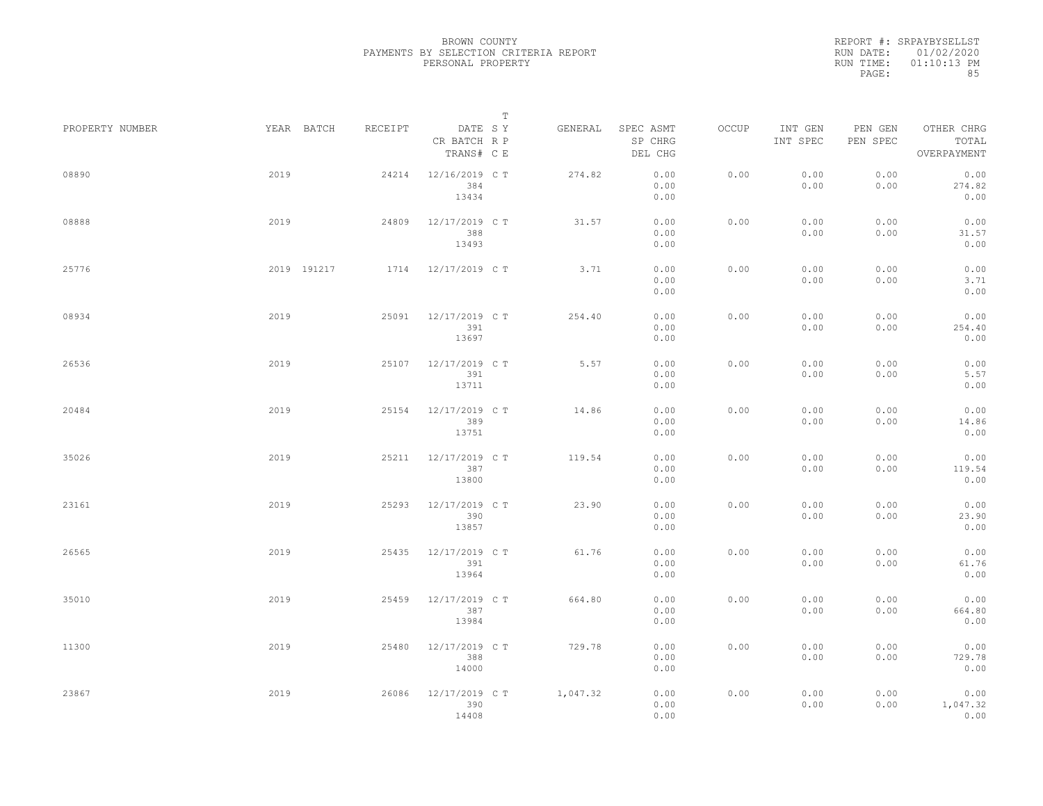|                 |             |         |                                       | $\mathbb T$ |          |                                 |       |                     |                     |                                    |  |
|-----------------|-------------|---------|---------------------------------------|-------------|----------|---------------------------------|-------|---------------------|---------------------|------------------------------------|--|
| PROPERTY NUMBER | YEAR BATCH  | RECEIPT | DATE SY<br>CR BATCH R P<br>TRANS# C E |             | GENERAL  | SPEC ASMT<br>SP CHRG<br>DEL CHG | OCCUP | INT GEN<br>INT SPEC | PEN GEN<br>PEN SPEC | OTHER CHRG<br>TOTAL<br>OVERPAYMENT |  |
| 08890           | 2019        | 24214   | 12/16/2019 C T<br>384<br>13434        |             | 274.82   | 0.00<br>0.00<br>0.00            | 0.00  | 0.00<br>0.00        | 0.00<br>0.00        | 0.00<br>274.82<br>0.00             |  |
| 08888           | 2019        | 24809   | 12/17/2019 C T<br>388<br>13493        |             | 31.57    | 0.00<br>0.00<br>0.00            | 0.00  | 0.00<br>0.00        | 0.00<br>0.00        | 0.00<br>31.57<br>0.00              |  |
| 25776           | 2019 191217 |         | 1714 12/17/2019 CT                    |             | 3.71     | 0.00<br>0.00<br>0.00            | 0.00  | 0.00<br>0.00        | 0.00<br>0.00        | 0.00<br>3.71<br>0.00               |  |
| 08934           | 2019        | 25091   | 12/17/2019 C T<br>391<br>13697        |             | 254.40   | 0.00<br>0.00<br>0.00            | 0.00  | 0.00<br>0.00        | 0.00<br>0.00        | 0.00<br>254.40<br>0.00             |  |
| 26536           | 2019        | 25107   | 12/17/2019 C T<br>391<br>13711        |             | 5.57     | 0.00<br>0.00<br>0.00            | 0.00  | 0.00<br>0.00        | 0.00<br>0.00        | 0.00<br>5.57<br>0.00               |  |
| 20484           | 2019        | 25154   | 12/17/2019 C T<br>389<br>13751        |             | 14.86    | 0.00<br>0.00<br>0.00            | 0.00  | 0.00<br>0.00        | 0.00<br>0.00        | 0.00<br>14.86<br>0.00              |  |
| 35026           | 2019        | 25211   | 12/17/2019 C T<br>387<br>13800        |             | 119.54   | 0.00<br>0.00<br>0.00            | 0.00  | 0.00<br>0.00        | 0.00<br>0.00        | 0.00<br>119.54<br>0.00             |  |
| 23161           | 2019        | 25293   | 12/17/2019 C T<br>390<br>13857        |             | 23.90    | 0.00<br>0.00<br>0.00            | 0.00  | 0.00<br>0.00        | 0.00<br>0.00        | 0.00<br>23.90<br>0.00              |  |
| 26565           | 2019        | 25435   | 12/17/2019 C T<br>391<br>13964        |             | 61.76    | 0.00<br>0.00<br>0.00            | 0.00  | 0.00<br>0.00        | 0.00<br>0.00        | 0.00<br>61.76<br>0.00              |  |
| 35010           | 2019        | 25459   | 12/17/2019 C T<br>387<br>13984        |             | 664.80   | 0.00<br>0.00<br>0.00            | 0.00  | 0.00<br>0.00        | 0.00<br>0.00        | 0.00<br>664.80<br>0.00             |  |
| 11300           | 2019        | 25480   | 12/17/2019 C T<br>388<br>14000        |             | 729.78   | 0.00<br>0.00<br>0.00            | 0.00  | 0.00<br>0.00        | 0.00<br>0.00        | 0.00<br>729.78<br>0.00             |  |
| 23867           | 2019        | 26086   | 12/17/2019 C T<br>390<br>14408        |             | 1,047.32 | 0.00<br>0.00<br>0.00            | 0.00  | 0.00<br>0.00        | 0.00<br>0.00        | 0.00<br>1,047.32<br>0.00           |  |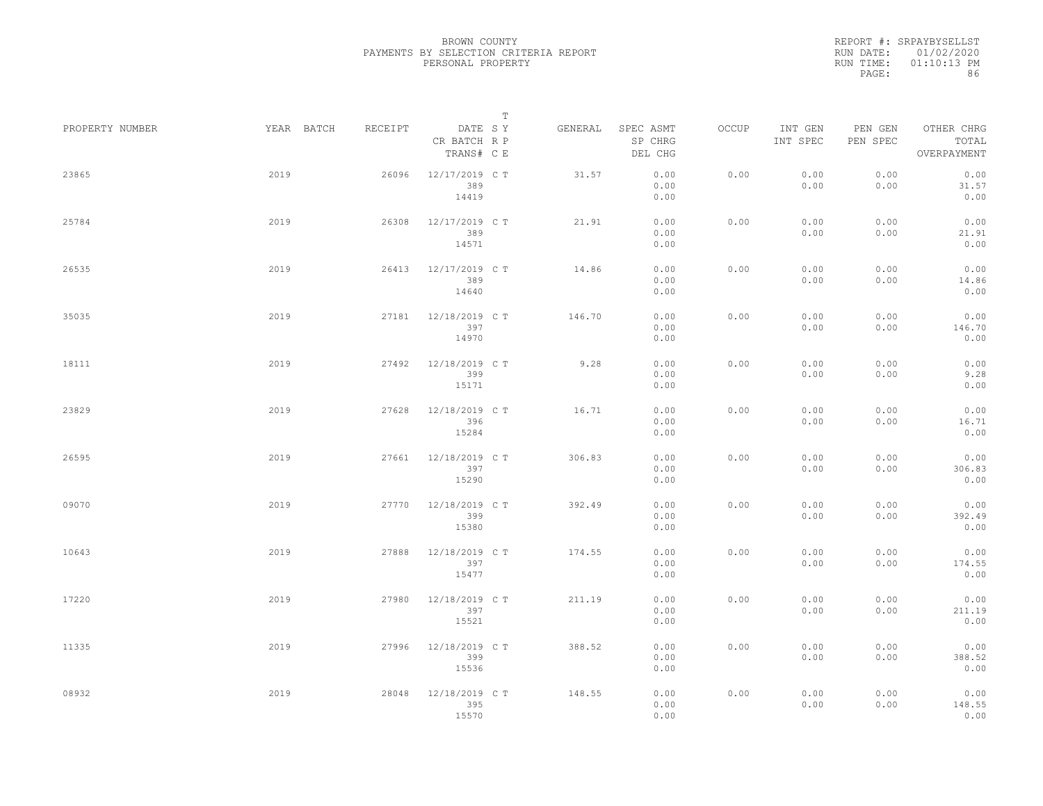|                 |            |         | $\mathbb T$                           |         |                                 |       |                     |                     |                                    |
|-----------------|------------|---------|---------------------------------------|---------|---------------------------------|-------|---------------------|---------------------|------------------------------------|
| PROPERTY NUMBER | YEAR BATCH | RECEIPT | DATE SY<br>CR BATCH R P<br>TRANS# C E | GENERAL | SPEC ASMT<br>SP CHRG<br>DEL CHG | OCCUP | INT GEN<br>INT SPEC | PEN GEN<br>PEN SPEC | OTHER CHRG<br>TOTAL<br>OVERPAYMENT |
| 23865           | 2019       | 26096   | 12/17/2019 C T<br>389<br>14419        | 31.57   | 0.00<br>0.00<br>0.00            | 0.00  | 0.00<br>0.00        | 0.00<br>0.00        | 0.00<br>31.57<br>0.00              |
| 25784           | 2019       | 26308   | 12/17/2019 C T<br>389<br>14571        | 21.91   | 0.00<br>0.00<br>0.00            | 0.00  | 0.00<br>0.00        | 0.00<br>0.00        | 0.00<br>21.91<br>0.00              |
| 26535           | 2019       | 26413   | 12/17/2019 C T<br>389<br>14640        | 14.86   | 0.00<br>0.00<br>0.00            | 0.00  | 0.00<br>0.00        | 0.00<br>0.00        | 0.00<br>14.86<br>0.00              |
| 35035           | 2019       | 27181   | 12/18/2019 C T<br>397<br>14970        | 146.70  | 0.00<br>0.00<br>0.00            | 0.00  | 0.00<br>0.00        | 0.00<br>0.00        | 0.00<br>146.70<br>0.00             |
| 18111           | 2019       | 27492   | 12/18/2019 C T<br>399<br>15171        | 9.28    | 0.00<br>0.00<br>0.00            | 0.00  | 0.00<br>0.00        | 0.00<br>0.00        | 0.00<br>9.28<br>0.00               |
| 23829           | 2019       | 27628   | 12/18/2019 C T<br>396<br>15284        | 16.71   | 0.00<br>0.00<br>0.00            | 0.00  | 0.00<br>0.00        | 0.00<br>0.00        | 0.00<br>16.71<br>0.00              |
| 26595           | 2019       | 27661   | 12/18/2019 C T<br>397<br>15290        | 306.83  | 0.00<br>0.00<br>0.00            | 0.00  | 0.00<br>0.00        | 0.00<br>0.00        | 0.00<br>306.83<br>0.00             |
| 09070           | 2019       | 27770   | 12/18/2019 C T<br>399<br>15380        | 392.49  | 0.00<br>0.00<br>0.00            | 0.00  | 0.00<br>0.00        | 0.00<br>0.00        | 0.00<br>392.49<br>0.00             |
| 10643           | 2019       | 27888   | 12/18/2019 C T<br>397<br>15477        | 174.55  | 0.00<br>0.00<br>0.00            | 0.00  | 0.00<br>0.00        | 0.00<br>0.00        | 0.00<br>174.55<br>0.00             |
| 17220           | 2019       | 27980   | 12/18/2019 C T<br>397<br>15521        | 211.19  | 0.00<br>0.00<br>0.00            | 0.00  | 0.00<br>0.00        | 0.00<br>0.00        | 0.00<br>211.19<br>0.00             |
| 11335           | 2019       | 27996   | 12/18/2019 C T<br>399<br>15536        | 388.52  | 0.00<br>0.00<br>0.00            | 0.00  | 0.00<br>0.00        | 0.00<br>0.00        | 0.00<br>388.52<br>0.00             |
| 08932           | 2019       | 28048   | 12/18/2019 C T<br>395<br>15570        | 148.55  | 0.00<br>0.00<br>0.00            | 0.00  | 0.00<br>0.00        | 0.00<br>0.00        | 0.00<br>148.55<br>0.00             |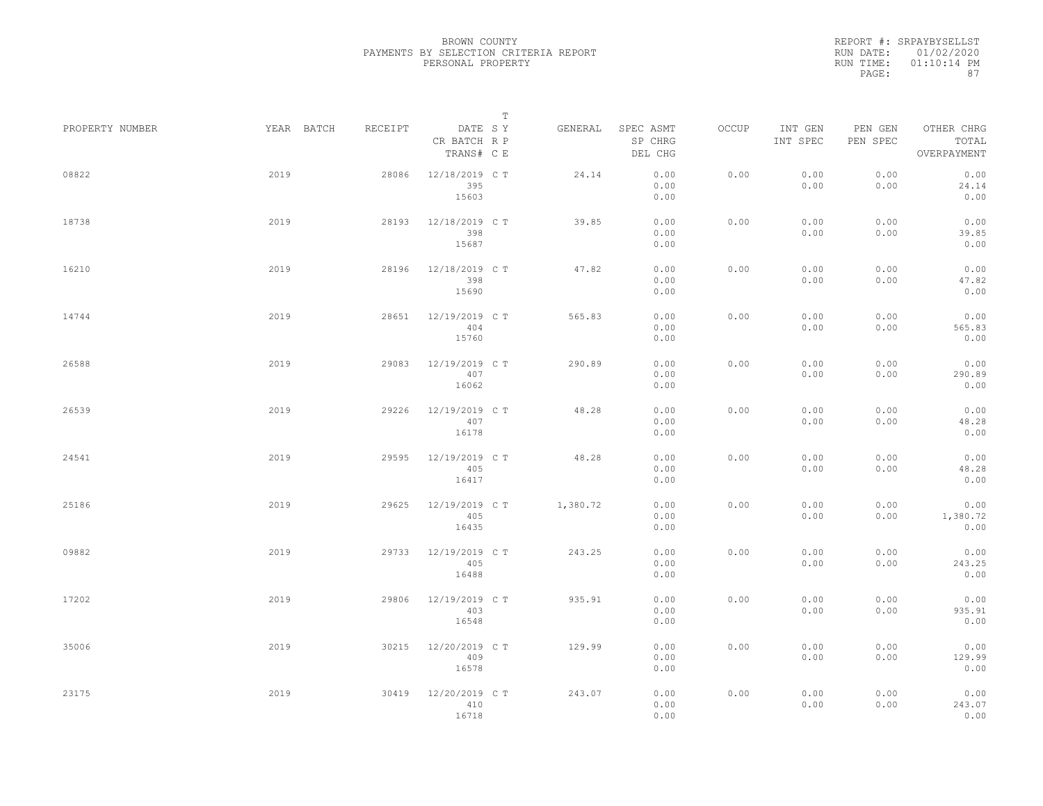|                 |            |         |                                       | $\mathbb T$ |                                 |       |                     |                     |                                    |  |
|-----------------|------------|---------|---------------------------------------|-------------|---------------------------------|-------|---------------------|---------------------|------------------------------------|--|
| PROPERTY NUMBER | YEAR BATCH | RECEIPT | DATE SY<br>CR BATCH R P<br>TRANS# C E | GENERAL     | SPEC ASMT<br>SP CHRG<br>DEL CHG | OCCUP | INT GEN<br>INT SPEC | PEN GEN<br>PEN SPEC | OTHER CHRG<br>TOTAL<br>OVERPAYMENT |  |
| 08822           | 2019       | 28086   | 12/18/2019 C T<br>395<br>15603        | 24.14       | 0.00<br>0.00<br>0.00            | 0.00  | 0.00<br>0.00        | 0.00<br>0.00        | 0.00<br>24.14<br>0.00              |  |
| 18738           | 2019       | 28193   | 12/18/2019 C T<br>398<br>15687        | 39.85       | 0.00<br>0.00<br>0.00            | 0.00  | 0.00<br>0.00        | 0.00<br>0.00        | 0.00<br>39.85<br>0.00              |  |
| 16210           | 2019       | 28196   | 12/18/2019 C T<br>398<br>15690        | 47.82       | 0.00<br>0.00<br>0.00            | 0.00  | 0.00<br>0.00        | 0.00<br>0.00        | 0.00<br>47.82<br>0.00              |  |
| 14744           | 2019       | 28651   | 12/19/2019 C T<br>404<br>15760        | 565.83      | 0.00<br>0.00<br>0.00            | 0.00  | 0.00<br>0.00        | 0.00<br>0.00        | 0.00<br>565.83<br>0.00             |  |
| 26588           | 2019       | 29083   | 12/19/2019 C T<br>407<br>16062        | 290.89      | 0.00<br>0.00<br>0.00            | 0.00  | 0.00<br>0.00        | 0.00<br>0.00        | 0.00<br>290.89<br>0.00             |  |
| 26539           | 2019       | 29226   | 12/19/2019 C T<br>407<br>16178        | 48.28       | 0.00<br>0.00<br>0.00            | 0.00  | 0.00<br>0.00        | 0.00<br>0.00        | 0.00<br>48.28<br>0.00              |  |
| 24541           | 2019       | 29595   | 12/19/2019 C T<br>405<br>16417        | 48.28       | 0.00<br>0.00<br>0.00            | 0.00  | 0.00<br>0.00        | 0.00<br>0.00        | 0.00<br>48.28<br>0.00              |  |
| 25186           | 2019       | 29625   | 12/19/2019 C T<br>405<br>16435        | 1,380.72    | 0.00<br>0.00<br>0.00            | 0.00  | 0.00<br>0.00        | 0.00<br>0.00        | 0.00<br>1,380.72<br>0.00           |  |
| 09882           | 2019       | 29733   | 12/19/2019 C T<br>405<br>16488        | 243.25      | 0.00<br>0.00<br>0.00            | 0.00  | 0.00<br>0.00        | 0.00<br>0.00        | 0.00<br>243.25<br>0.00             |  |
| 17202           | 2019       | 29806   | 12/19/2019 C T<br>403<br>16548        | 935.91      | 0.00<br>0.00<br>0.00            | 0.00  | 0.00<br>0.00        | 0.00<br>0.00        | 0.00<br>935.91<br>0.00             |  |
| 35006           | 2019       | 30215   | 12/20/2019 C T<br>409<br>16578        | 129.99      | 0.00<br>0.00<br>0.00            | 0.00  | 0.00<br>0.00        | 0.00<br>0.00        | 0.00<br>129.99<br>0.00             |  |
| 23175           | 2019       | 30419   | 12/20/2019 C T<br>410<br>16718        | 243.07      | 0.00<br>0.00<br>0.00            | 0.00  | 0.00<br>0.00        | 0.00<br>0.00        | 0.00<br>243.07<br>0.00             |  |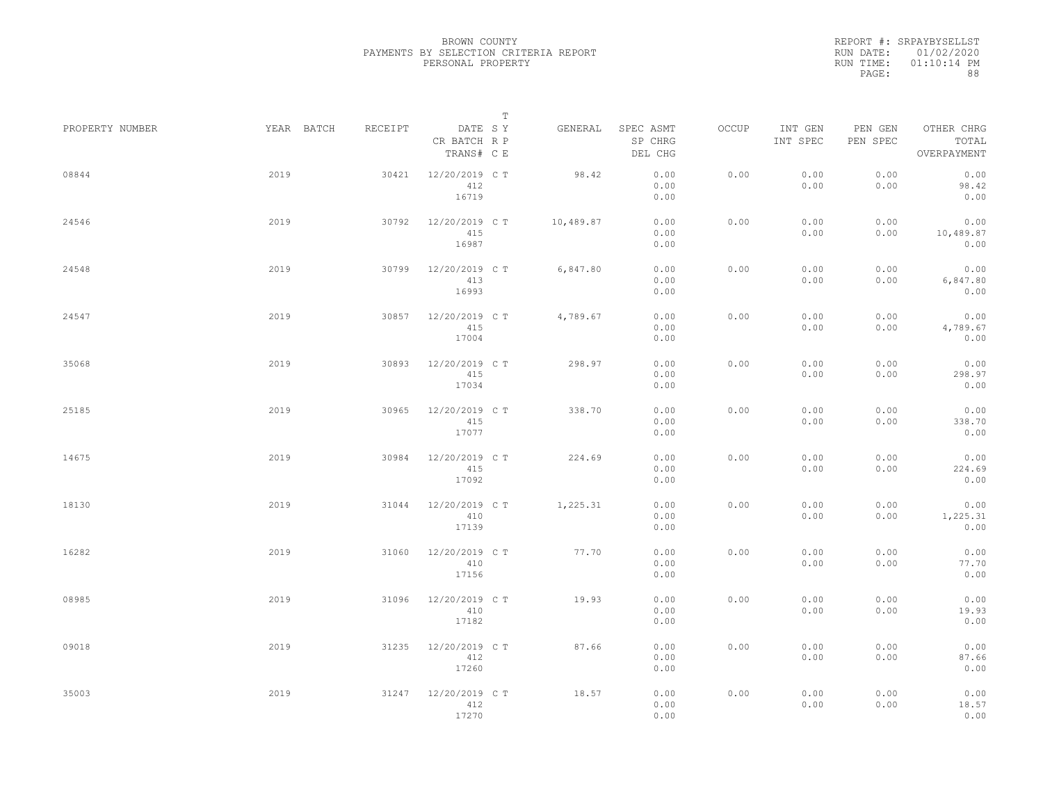|                 |            |         |                                       | $\mathbb T$ |           |                                 |       |                     |                     |                                    |  |
|-----------------|------------|---------|---------------------------------------|-------------|-----------|---------------------------------|-------|---------------------|---------------------|------------------------------------|--|
| PROPERTY NUMBER | YEAR BATCH | RECEIPT | DATE SY<br>CR BATCH R P<br>TRANS# C E |             | GENERAL   | SPEC ASMT<br>SP CHRG<br>DEL CHG | OCCUP | INT GEN<br>INT SPEC | PEN GEN<br>PEN SPEC | OTHER CHRG<br>TOTAL<br>OVERPAYMENT |  |
| 08844           | 2019       | 30421   | 12/20/2019 C T<br>412<br>16719        |             | 98.42     | 0.00<br>0.00<br>0.00            | 0.00  | 0.00<br>0.00        | 0.00<br>0.00        | 0.00<br>98.42<br>0.00              |  |
| 24546           | 2019       | 30792   | 12/20/2019 C T<br>415<br>16987        |             | 10,489.87 | 0.00<br>0.00<br>0.00            | 0.00  | 0.00<br>0.00        | 0.00<br>0.00        | 0.00<br>10,489.87<br>0.00          |  |
| 24548           | 2019       | 30799   | 12/20/2019 C T<br>413<br>16993        |             | 6,847.80  | 0.00<br>0.00<br>0.00            | 0.00  | 0.00<br>0.00        | 0.00<br>0.00        | 0.00<br>6,847.80<br>0.00           |  |
| 24547           | 2019       | 30857   | 12/20/2019 C T<br>415<br>17004        |             | 4,789.67  | 0.00<br>0.00<br>0.00            | 0.00  | 0.00<br>0.00        | 0.00<br>0.00        | 0.00<br>4,789.67<br>0.00           |  |
| 35068           | 2019       | 30893   | 12/20/2019 C T<br>415<br>17034        |             | 298.97    | 0.00<br>0.00<br>0.00            | 0.00  | 0.00<br>0.00        | 0.00<br>0.00        | 0.00<br>298.97<br>0.00             |  |
| 25185           | 2019       | 30965   | 12/20/2019 C T<br>415<br>17077        |             | 338.70    | 0.00<br>0.00<br>0.00            | 0.00  | 0.00<br>0.00        | 0.00<br>0.00        | 0.00<br>338.70<br>0.00             |  |
| 14675           | 2019       | 30984   | 12/20/2019 C T<br>415<br>17092        |             | 224.69    | 0.00<br>0.00<br>0.00            | 0.00  | 0.00<br>0.00        | 0.00<br>0.00        | 0.00<br>224.69<br>0.00             |  |
| 18130           | 2019       | 31044   | 12/20/2019 C T<br>410<br>17139        |             | 1,225.31  | 0.00<br>0.00<br>0.00            | 0.00  | 0.00<br>0.00        | 0.00<br>0.00        | 0.00<br>1,225.31<br>0.00           |  |
| 16282           | 2019       | 31060   | 12/20/2019 C T<br>410<br>17156        |             | 77.70     | 0.00<br>0.00<br>0.00            | 0.00  | 0.00<br>0.00        | 0.00<br>0.00        | 0.00<br>77.70<br>0.00              |  |
| 08985           | 2019       | 31096   | 12/20/2019 C T<br>410<br>17182        |             | 19.93     | 0.00<br>0.00<br>0.00            | 0.00  | 0.00<br>0.00        | 0.00<br>0.00        | 0.00<br>19.93<br>0.00              |  |
| 09018           | 2019       | 31235   | 12/20/2019 C T<br>412<br>17260        |             | 87.66     | 0.00<br>0.00<br>0.00            | 0.00  | 0.00<br>0.00        | 0.00<br>0.00        | 0.00<br>87.66<br>0.00              |  |
| 35003           | 2019       | 31247   | 12/20/2019 C T<br>412<br>17270        |             | 18.57     | 0.00<br>0.00<br>0.00            | 0.00  | 0.00<br>0.00        | 0.00<br>0.00        | 0.00<br>18.57<br>0.00              |  |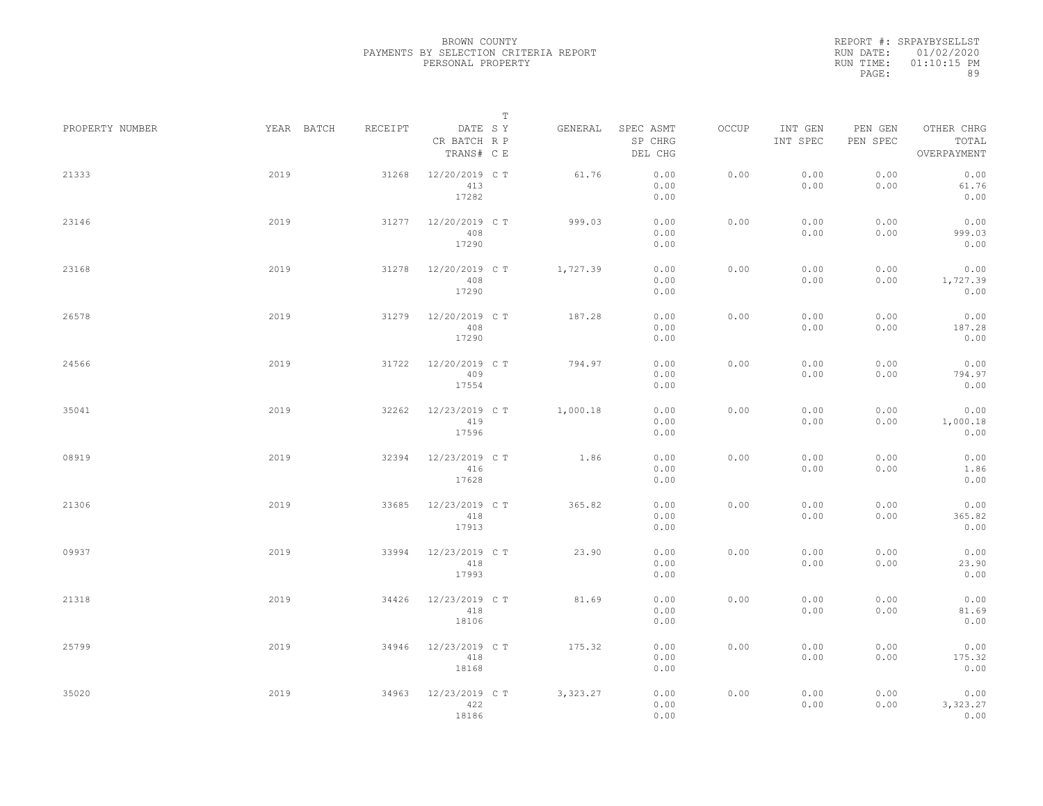|                 |            |         |                                       | $\mathbb T$ |                                 |       |                     |                     |                                    |
|-----------------|------------|---------|---------------------------------------|-------------|---------------------------------|-------|---------------------|---------------------|------------------------------------|
| PROPERTY NUMBER | YEAR BATCH | RECEIPT | DATE SY<br>CR BATCH R P<br>TRANS# C E | GENERAL     | SPEC ASMT<br>SP CHRG<br>DEL CHG | OCCUP | INT GEN<br>INT SPEC | PEN GEN<br>PEN SPEC | OTHER CHRG<br>TOTAL<br>OVERPAYMENT |
| 21333           | 2019       | 31268   | 12/20/2019 C T<br>413<br>17282        | 61.76       | 0.00<br>0.00<br>0.00            | 0.00  | 0.00<br>0.00        | 0.00<br>0.00        | 0.00<br>61.76<br>0.00              |
| 23146           | 2019       | 31277   | 12/20/2019 C T<br>408<br>17290        | 999.03      | 0.00<br>0.00<br>0.00            | 0.00  | 0.00<br>0.00        | 0.00<br>0.00        | 0.00<br>999.03<br>0.00             |
| 23168           | 2019       | 31278   | 12/20/2019 C T<br>408<br>17290        | 1,727.39    | 0.00<br>0.00<br>0.00            | 0.00  | 0.00<br>0.00        | 0.00<br>0.00        | 0.00<br>1,727.39<br>0.00           |
| 26578           | 2019       | 31279   | 12/20/2019 C T<br>408<br>17290        | 187.28      | 0.00<br>0.00<br>0.00            | 0.00  | 0.00<br>0.00        | 0.00<br>0.00        | 0.00<br>187.28<br>0.00             |
| 24566           | 2019       | 31722   | 12/20/2019 C T<br>409<br>17554        | 794.97      | 0.00<br>0.00<br>0.00            | 0.00  | 0.00<br>0.00        | 0.00<br>0.00        | 0.00<br>794.97<br>0.00             |
| 35041           | 2019       | 32262   | 12/23/2019 C T<br>419<br>17596        | 1,000.18    | 0.00<br>0.00<br>0.00            | 0.00  | 0.00<br>0.00        | 0.00<br>0.00        | 0.00<br>1,000.18<br>0.00           |
| 08919           | 2019       | 32394   | 12/23/2019 C T<br>416<br>17628        | 1.86        | 0.00<br>0.00<br>0.00            | 0.00  | 0.00<br>0.00        | 0.00<br>0.00        | 0.00<br>1.86<br>0.00               |
| 21306           | 2019       | 33685   | 12/23/2019 C T<br>418<br>17913        | 365.82      | 0.00<br>0.00<br>0.00            | 0.00  | 0.00<br>0.00        | 0.00<br>0.00        | 0.00<br>365.82<br>0.00             |
| 09937           | 2019       | 33994   | 12/23/2019 C T<br>418<br>17993        | 23.90       | 0.00<br>0.00<br>0.00            | 0.00  | 0.00<br>0.00        | 0.00<br>0.00        | 0.00<br>23.90<br>0.00              |
| 21318           | 2019       | 34426   | 12/23/2019 C T<br>418<br>18106        | 81.69       | 0.00<br>0.00<br>0.00            | 0.00  | 0.00<br>0.00        | 0.00<br>0.00        | 0.00<br>81.69<br>0.00              |
| 25799           | 2019       | 34946   | 12/23/2019 C T<br>418<br>18168        | 175.32      | 0.00<br>0.00<br>0.00            | 0.00  | 0.00<br>0.00        | 0.00<br>0.00        | 0.00<br>175.32<br>0.00             |
| 35020           | 2019       | 34963   | 12/23/2019 C T<br>422<br>18186        | 3,323.27    | 0.00<br>0.00<br>0.00            | 0.00  | 0.00<br>0.00        | 0.00<br>0.00        | 0.00<br>3,323.27<br>0.00           |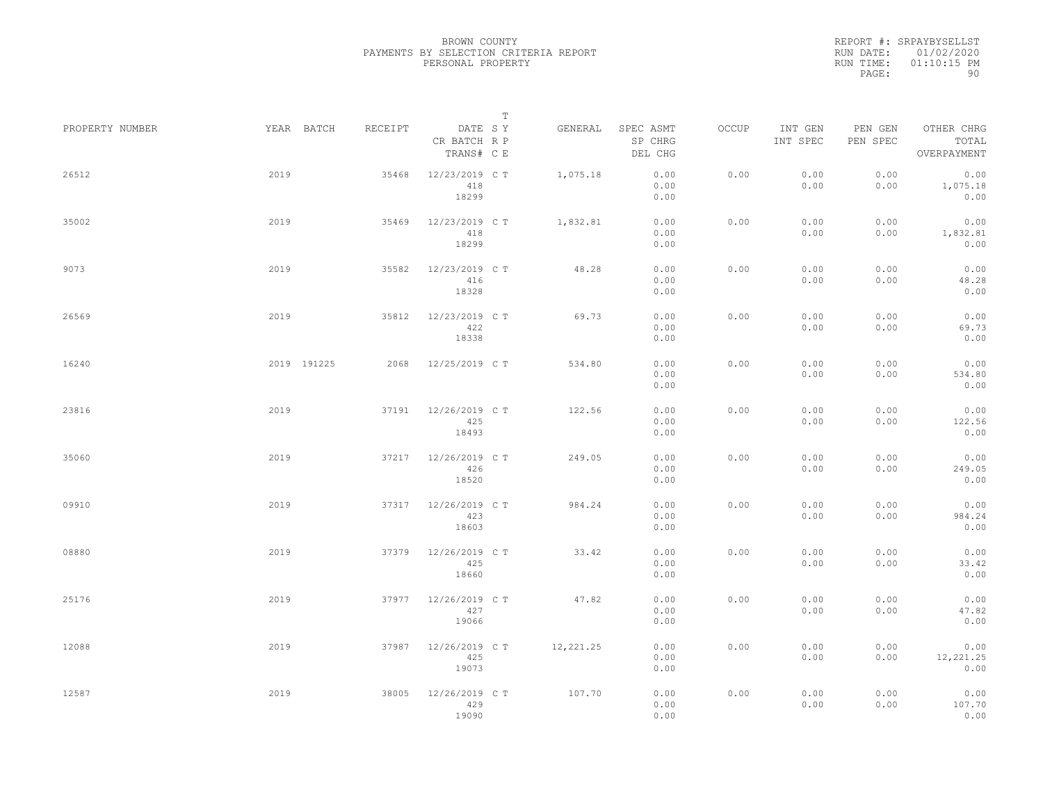|                 |             |         | $\mathbb T$                           |           |                                 |       |                     |                     |                                    |
|-----------------|-------------|---------|---------------------------------------|-----------|---------------------------------|-------|---------------------|---------------------|------------------------------------|
| PROPERTY NUMBER | YEAR BATCH  | RECEIPT | DATE SY<br>CR BATCH R P<br>TRANS# C E | GENERAL   | SPEC ASMT<br>SP CHRG<br>DEL CHG | OCCUP | INT GEN<br>INT SPEC | PEN GEN<br>PEN SPEC | OTHER CHRG<br>TOTAL<br>OVERPAYMENT |
| 26512           | 2019        | 35468   | 12/23/2019 C T<br>418<br>18299        | 1,075.18  | 0.00<br>0.00<br>0.00            | 0.00  | 0.00<br>0.00        | 0.00<br>0.00        | 0.00<br>1,075.18<br>0.00           |
| 35002           | 2019        | 35469   | 12/23/2019 C T<br>418<br>18299        | 1,832.81  | 0.00<br>0.00<br>0.00            | 0.00  | 0.00<br>0.00        | 0.00<br>0.00        | 0.00<br>1,832.81<br>0.00           |
| 9073            | 2019        | 35582   | 12/23/2019 C T<br>416<br>18328        | 48.28     | 0.00<br>0.00<br>0.00            | 0.00  | 0.00<br>0.00        | 0.00<br>0.00        | 0.00<br>48.28<br>0.00              |
| 26569           | 2019        | 35812   | 12/23/2019 C T<br>422<br>18338        | 69.73     | 0.00<br>0.00<br>0.00            | 0.00  | 0.00<br>0.00        | 0.00<br>0.00        | 0.00<br>69.73<br>0.00              |
| 16240           | 2019 191225 | 2068    | 12/25/2019 C T                        | 534.80    | 0.00<br>0.00<br>0.00            | 0.00  | 0.00<br>0.00        | 0.00<br>0.00        | 0.00<br>534.80<br>0.00             |
| 23816           | 2019        | 37191   | 12/26/2019 C T<br>425<br>18493        | 122.56    | 0.00<br>0.00<br>0.00            | 0.00  | 0.00<br>0.00        | 0.00<br>0.00        | 0.00<br>122.56<br>0.00             |
| 35060           | 2019        | 37217   | 12/26/2019 C T<br>426<br>18520        | 249.05    | 0.00<br>0.00<br>0.00            | 0.00  | 0.00<br>0.00        | 0.00<br>0.00        | 0.00<br>249.05<br>0.00             |
| 09910           | 2019        | 37317   | 12/26/2019 C T<br>423<br>18603        | 984.24    | 0.00<br>0.00<br>0.00            | 0.00  | 0.00<br>0.00        | 0.00<br>0.00        | 0.00<br>984.24<br>0.00             |
| 08880           | 2019        | 37379   | 12/26/2019 C T<br>425<br>18660        | 33.42     | 0.00<br>0.00<br>0.00            | 0.00  | 0.00<br>0.00        | 0.00<br>0.00        | 0.00<br>33.42<br>0.00              |
| 25176           | 2019        | 37977   | 12/26/2019 C T<br>427<br>19066        | 47.82     | 0.00<br>0.00<br>0.00            | 0.00  | 0.00<br>0.00        | 0.00<br>0.00        | 0.00<br>47.82<br>0.00              |
| 12088           | 2019        | 37987   | 12/26/2019 C T<br>425<br>19073        | 12,221.25 | 0.00<br>0.00<br>0.00            | 0.00  | 0.00<br>0.00        | 0.00<br>0.00        | 0.00<br>12,221.25<br>0.00          |
| 12587           | 2019        | 38005   | 12/26/2019 C T<br>429<br>19090        | 107.70    | 0.00<br>0.00<br>0.00            | 0.00  | 0.00<br>0.00        | 0.00<br>0.00        | 0.00<br>107.70<br>0.00             |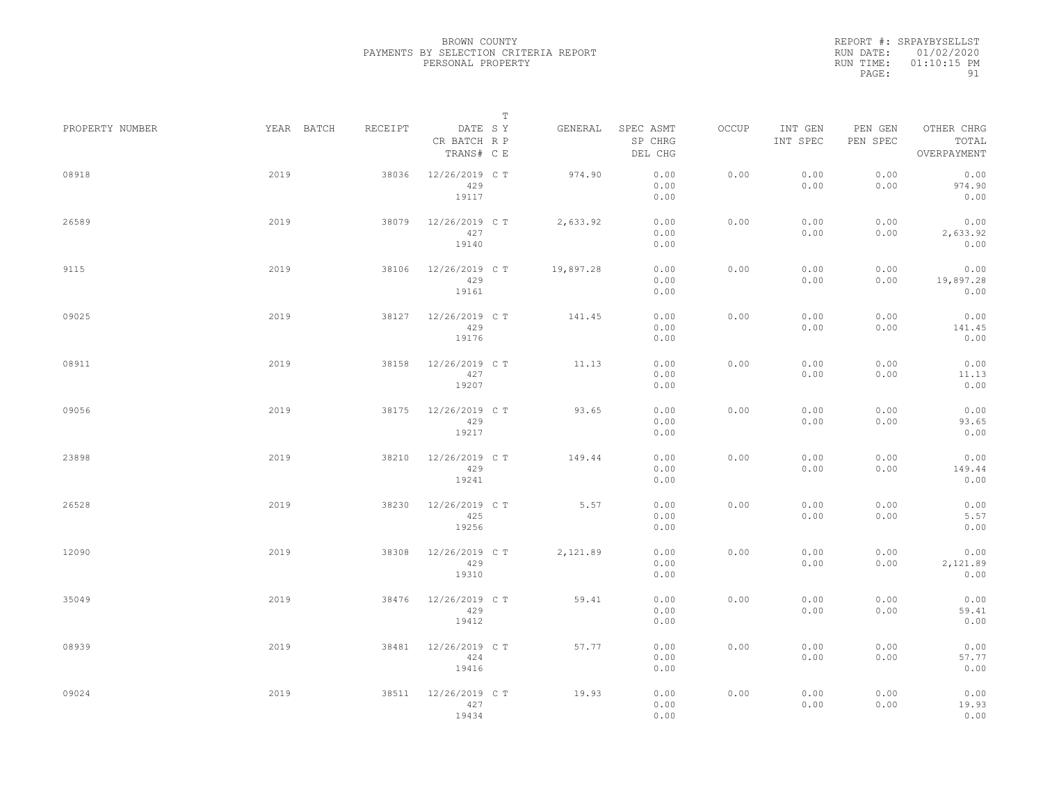|                 |            |         |                                       | $\mathbb T$ |                                 |       |                     |                     |                                    |  |
|-----------------|------------|---------|---------------------------------------|-------------|---------------------------------|-------|---------------------|---------------------|------------------------------------|--|
| PROPERTY NUMBER | YEAR BATCH | RECEIPT | DATE SY<br>CR BATCH R P<br>TRANS# C E | GENERAL     | SPEC ASMT<br>SP CHRG<br>DEL CHG | OCCUP | INT GEN<br>INT SPEC | PEN GEN<br>PEN SPEC | OTHER CHRG<br>TOTAL<br>OVERPAYMENT |  |
| 08918           | 2019       | 38036   | 12/26/2019 C T<br>429<br>19117        | 974.90      | 0.00<br>0.00<br>0.00            | 0.00  | 0.00<br>0.00        | 0.00<br>0.00        | 0.00<br>974.90<br>0.00             |  |
| 26589           | 2019       | 38079   | 12/26/2019 C T<br>427<br>19140        | 2,633.92    | 0.00<br>0.00<br>0.00            | 0.00  | 0.00<br>0.00        | 0.00<br>0.00        | 0.00<br>2,633.92<br>0.00           |  |
| 9115            | 2019       | 38106   | 12/26/2019 C T<br>429<br>19161        | 19,897.28   | 0.00<br>0.00<br>0.00            | 0.00  | 0.00<br>0.00        | 0.00<br>0.00        | 0.00<br>19,897.28<br>0.00          |  |
| 09025           | 2019       | 38127   | 12/26/2019 C T<br>429<br>19176        | 141.45      | 0.00<br>0.00<br>0.00            | 0.00  | 0.00<br>0.00        | 0.00<br>0.00        | 0.00<br>141.45<br>0.00             |  |
| 08911           | 2019       | 38158   | 12/26/2019 C T<br>427<br>19207        | 11.13       | 0.00<br>0.00<br>0.00            | 0.00  | 0.00<br>0.00        | 0.00<br>0.00        | 0.00<br>11.13<br>0.00              |  |
| 09056           | 2019       | 38175   | 12/26/2019 C T<br>429<br>19217        | 93.65       | 0.00<br>0.00<br>0.00            | 0.00  | 0.00<br>0.00        | 0.00<br>0.00        | 0.00<br>93.65<br>0.00              |  |
| 23898           | 2019       | 38210   | 12/26/2019 C T<br>429<br>19241        | 149.44      | 0.00<br>0.00<br>0.00            | 0.00  | 0.00<br>0.00        | 0.00<br>0.00        | 0.00<br>149.44<br>0.00             |  |
| 26528           | 2019       | 38230   | 12/26/2019 C T<br>425<br>19256        | 5.57        | 0.00<br>0.00<br>0.00            | 0.00  | 0.00<br>0.00        | 0.00<br>0.00        | 0.00<br>5.57<br>0.00               |  |
| 12090           | 2019       | 38308   | 12/26/2019 C T<br>429<br>19310        | 2,121.89    | 0.00<br>0.00<br>0.00            | 0.00  | 0.00<br>0.00        | 0.00<br>0.00        | 0.00<br>2,121.89<br>0.00           |  |
| 35049           | 2019       | 38476   | 12/26/2019 C T<br>429<br>19412        | 59.41       | 0.00<br>0.00<br>0.00            | 0.00  | 0.00<br>0.00        | 0.00<br>0.00        | 0.00<br>59.41<br>0.00              |  |
| 08939           | 2019       | 38481   | 12/26/2019 C T<br>424<br>19416        | 57.77       | 0.00<br>0.00<br>0.00            | 0.00  | 0.00<br>0.00        | 0.00<br>0.00        | 0.00<br>57.77<br>0.00              |  |
| 09024           | 2019       | 38511   | 12/26/2019 C T<br>427<br>19434        | 19.93       | 0.00<br>0.00<br>0.00            | 0.00  | 0.00<br>0.00        | 0.00<br>0.00        | 0.00<br>19.93<br>0.00              |  |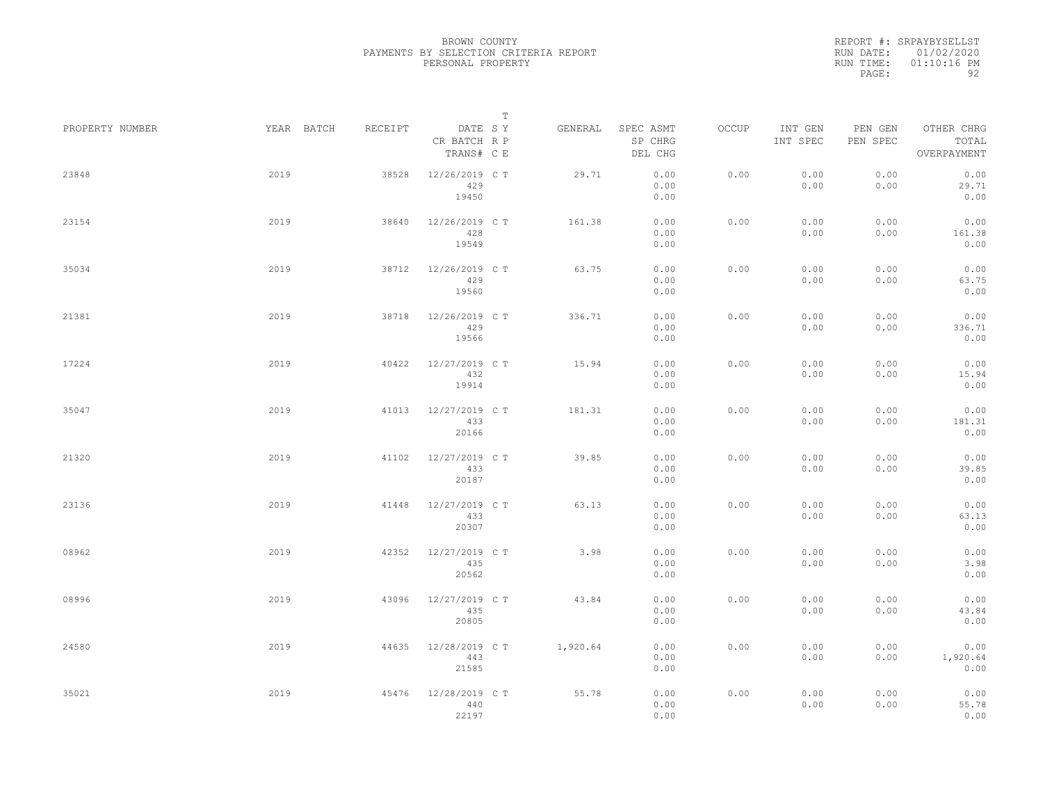|                 |            |         |                                       | $\mathbb T$ |                                 |       |                     |                     |                                    |  |
|-----------------|------------|---------|---------------------------------------|-------------|---------------------------------|-------|---------------------|---------------------|------------------------------------|--|
| PROPERTY NUMBER | YEAR BATCH | RECEIPT | DATE SY<br>CR BATCH R P<br>TRANS# C E | GENERAL     | SPEC ASMT<br>SP CHRG<br>DEL CHG | OCCUP | INT GEN<br>INT SPEC | PEN GEN<br>PEN SPEC | OTHER CHRG<br>TOTAL<br>OVERPAYMENT |  |
| 23848           | 2019       | 38528   | 12/26/2019 C T<br>429<br>19450        | 29.71       | 0.00<br>0.00<br>0.00            | 0.00  | 0.00<br>0.00        | 0.00<br>0.00        | 0.00<br>29.71<br>0.00              |  |
| 23154           | 2019       | 38640   | 12/26/2019 C T<br>428<br>19549        | 161.38      | 0.00<br>0.00<br>0.00            | 0.00  | 0.00<br>0.00        | 0.00<br>0.00        | 0.00<br>161.38<br>0.00             |  |
| 35034           | 2019       | 38712   | 12/26/2019 C T<br>429<br>19560        | 63.75       | 0.00<br>0.00<br>0.00            | 0.00  | 0.00<br>0.00        | 0.00<br>0.00        | 0.00<br>63.75<br>0.00              |  |
| 21381           | 2019       | 38718   | 12/26/2019 C T<br>429<br>19566        | 336.71      | 0.00<br>0.00<br>0.00            | 0.00  | 0.00<br>0.00        | 0.00<br>0.00        | 0.00<br>336.71<br>0.00             |  |
| 17224           | 2019       | 40422   | 12/27/2019 C T<br>432<br>19914        | 15.94       | 0.00<br>0.00<br>0.00            | 0.00  | 0.00<br>0.00        | 0.00<br>0.00        | 0.00<br>15.94<br>0.00              |  |
| 35047           | 2019       | 41013   | 12/27/2019 C T<br>433<br>20166        | 181.31      | 0.00<br>0.00<br>0.00            | 0.00  | 0.00<br>0.00        | 0.00<br>0.00        | 0.00<br>181.31<br>0.00             |  |
| 21320           | 2019       | 41102   | 12/27/2019 C T<br>433<br>20187        | 39.85       | 0.00<br>0.00<br>0.00            | 0.00  | 0.00<br>0.00        | 0.00<br>0.00        | 0.00<br>39.85<br>0.00              |  |
| 23136           | 2019       | 41448   | 12/27/2019 C T<br>433<br>20307        | 63.13       | 0.00<br>0.00<br>0.00            | 0.00  | 0.00<br>0.00        | 0.00<br>0.00        | 0.00<br>63.13<br>0.00              |  |
| 08962           | 2019       | 42352   | 12/27/2019 C T<br>435<br>20562        | 3.98        | 0.00<br>0.00<br>0.00            | 0.00  | 0.00<br>0.00        | 0.00<br>0.00        | 0.00<br>3.98<br>0.00               |  |
| 08996           | 2019       | 43096   | 12/27/2019 C T<br>435<br>20805        | 43.84       | 0.00<br>0.00<br>0.00            | 0.00  | 0.00<br>0.00        | 0.00<br>0.00        | 0.00<br>43.84<br>0.00              |  |
| 24580           | 2019       | 44635   | 12/28/2019 C T<br>443<br>21585        | 1,920.64    | 0.00<br>0.00<br>0.00            | 0.00  | 0.00<br>0.00        | 0.00<br>0.00        | 0.00<br>1,920.64<br>0.00           |  |
| 35021           | 2019       | 45476   | 12/28/2019 C T<br>440<br>22197        | 55.78       | 0.00<br>0.00<br>0.00            | 0.00  | 0.00<br>0.00        | 0.00<br>0.00        | 0.00<br>55.78<br>0.00              |  |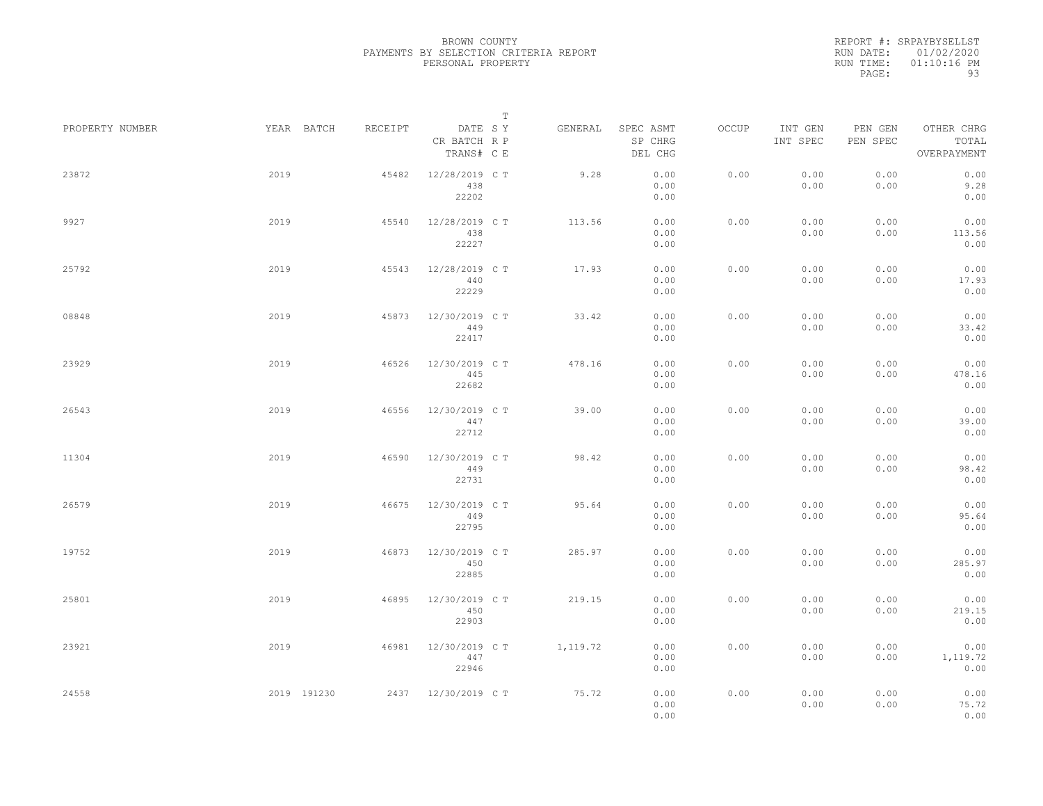|                 |             |         |                                       | $\mathbb T$ |                                 |       |                     |                     |                                    |
|-----------------|-------------|---------|---------------------------------------|-------------|---------------------------------|-------|---------------------|---------------------|------------------------------------|
| PROPERTY NUMBER | YEAR BATCH  | RECEIPT | DATE SY<br>CR BATCH R P<br>TRANS# C E | GENERAL     | SPEC ASMT<br>SP CHRG<br>DEL CHG | OCCUP | INT GEN<br>INT SPEC | PEN GEN<br>PEN SPEC | OTHER CHRG<br>TOTAL<br>OVERPAYMENT |
| 23872           | 2019        | 45482   | 12/28/2019 C T<br>438<br>22202        | 9.28        | 0.00<br>0.00<br>0.00            | 0.00  | 0.00<br>0.00        | 0.00<br>0.00        | 0.00<br>9.28<br>0.00               |
| 9927            | 2019        | 45540   | 12/28/2019 C T<br>438<br>22227        | 113.56      | 0.00<br>0.00<br>0.00            | 0.00  | 0.00<br>0.00        | 0.00<br>0.00        | 0.00<br>113.56<br>0.00             |
| 25792           | 2019        | 45543   | 12/28/2019 C T<br>440<br>22229        | 17.93       | 0.00<br>0.00<br>0.00            | 0.00  | 0.00<br>0.00        | 0.00<br>0.00        | 0.00<br>17.93<br>0.00              |
| 08848           | 2019        | 45873   | 12/30/2019 C T<br>449<br>22417        | 33.42       | 0.00<br>0.00<br>0.00            | 0.00  | 0.00<br>0.00        | 0.00<br>0.00        | 0.00<br>33.42<br>0.00              |
| 23929           | 2019        | 46526   | 12/30/2019 C T<br>445<br>22682        | 478.16      | 0.00<br>0.00<br>0.00            | 0.00  | 0.00<br>0.00        | 0.00<br>0.00        | 0.00<br>478.16<br>0.00             |
| 26543           | 2019        | 46556   | 12/30/2019 C T<br>447<br>22712        | 39.00       | 0.00<br>0.00<br>0.00            | 0.00  | 0.00<br>0.00        | 0.00<br>0.00        | 0.00<br>39.00<br>0.00              |
| 11304           | 2019        | 46590   | 12/30/2019 C T<br>449<br>22731        | 98.42       | 0.00<br>0.00<br>0.00            | 0.00  | 0.00<br>0.00        | 0.00<br>0.00        | 0.00<br>98.42<br>0.00              |
| 26579           | 2019        | 46675   | 12/30/2019 C T<br>449<br>22795        | 95.64       | 0.00<br>0.00<br>0.00            | 0.00  | 0.00<br>0.00        | 0.00<br>0.00        | 0.00<br>95.64<br>0.00              |
| 19752           | 2019        | 46873   | 12/30/2019 C T<br>450<br>22885        | 285.97      | 0.00<br>0.00<br>0.00            | 0.00  | 0.00<br>0.00        | 0.00<br>0.00        | 0.00<br>285.97<br>0.00             |
| 25801           | 2019        | 46895   | 12/30/2019 C T<br>450<br>22903        | 219.15      | 0.00<br>0.00<br>0.00            | 0.00  | 0.00<br>0.00        | 0.00<br>0.00        | 0.00<br>219.15<br>0.00             |
| 23921           | 2019        | 46981   | 12/30/2019 C T<br>447<br>22946        | 1,119.72    | 0.00<br>0.00<br>0.00            | 0.00  | 0.00<br>0.00        | 0.00<br>0.00        | 0.00<br>1,119.72<br>0.00           |
| 24558           | 2019 191230 |         | 2437 12/30/2019 CT                    | 75.72       | 0.00<br>0.00<br>0.00            | 0.00  | 0.00<br>0.00        | 0.00<br>0.00        | 0.00<br>75.72<br>0.00              |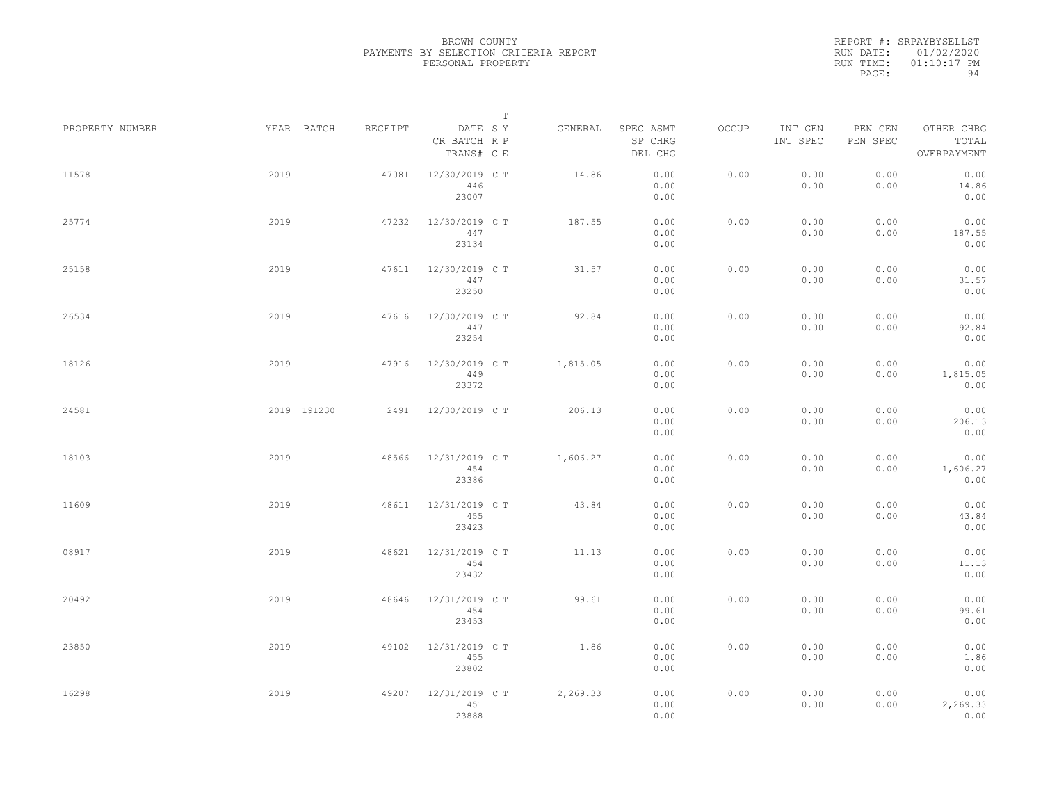|                 |      |             |         |                                       | $\mathbb T$ |          |                                 |       |                     |                     |                                    |  |
|-----------------|------|-------------|---------|---------------------------------------|-------------|----------|---------------------------------|-------|---------------------|---------------------|------------------------------------|--|
| PROPERTY NUMBER |      | YEAR BATCH  | RECEIPT | DATE SY<br>CR BATCH R P<br>TRANS# C E |             | GENERAL  | SPEC ASMT<br>SP CHRG<br>DEL CHG | OCCUP | INT GEN<br>INT SPEC | PEN GEN<br>PEN SPEC | OTHER CHRG<br>TOTAL<br>OVERPAYMENT |  |
| 11578           | 2019 |             | 47081   | 12/30/2019 C T<br>446<br>23007        |             | 14.86    | 0.00<br>0.00<br>0.00            | 0.00  | 0.00<br>0.00        | 0.00<br>0.00        | 0.00<br>14.86<br>0.00              |  |
| 25774           | 2019 |             | 47232   | 12/30/2019 C T<br>447<br>23134        |             | 187.55   | 0.00<br>0.00<br>0.00            | 0.00  | 0.00<br>0.00        | 0.00<br>0.00        | 0.00<br>187.55<br>0.00             |  |
| 25158           | 2019 |             | 47611   | 12/30/2019 C T<br>447<br>23250        |             | 31.57    | 0.00<br>0.00<br>0.00            | 0.00  | 0.00<br>0.00        | 0.00<br>0.00        | 0.00<br>31.57<br>0.00              |  |
| 26534           | 2019 |             | 47616   | 12/30/2019 C T<br>447<br>23254        |             | 92.84    | 0.00<br>0.00<br>0.00            | 0.00  | 0.00<br>0.00        | 0.00<br>0.00        | 0.00<br>92.84<br>0.00              |  |
| 18126           | 2019 |             | 47916   | 12/30/2019 C T<br>449<br>23372        |             | 1,815.05 | 0.00<br>0.00<br>0.00            | 0.00  | 0.00<br>0.00        | 0.00<br>0.00        | 0.00<br>1,815.05<br>0.00           |  |
| 24581           |      | 2019 191230 | 2491    | 12/30/2019 C T                        |             | 206.13   | 0.00<br>0.00<br>0.00            | 0.00  | 0.00<br>0.00        | 0.00<br>0.00        | 0.00<br>206.13<br>0.00             |  |
| 18103           | 2019 |             | 48566   | 12/31/2019 C T<br>454<br>23386        |             | 1,606.27 | 0.00<br>0.00<br>0.00            | 0.00  | 0.00<br>0.00        | 0.00<br>0.00        | 0.00<br>1,606.27<br>0.00           |  |
| 11609           | 2019 |             | 48611   | 12/31/2019 C T<br>455<br>23423        |             | 43.84    | 0.00<br>0.00<br>0.00            | 0.00  | 0.00<br>0.00        | 0.00<br>0.00        | 0.00<br>43.84<br>0.00              |  |
| 08917           | 2019 |             | 48621   | 12/31/2019 C T<br>454<br>23432        |             | 11.13    | 0.00<br>0.00<br>0.00            | 0.00  | 0.00<br>0.00        | 0.00<br>0.00        | 0.00<br>11.13<br>0.00              |  |
| 20492           | 2019 |             | 48646   | 12/31/2019 C T<br>454<br>23453        |             | 99.61    | 0.00<br>0.00<br>0.00            | 0.00  | 0.00<br>0.00        | 0.00<br>0.00        | 0.00<br>99.61<br>0.00              |  |
| 23850           | 2019 |             | 49102   | 12/31/2019 C T<br>455<br>23802        |             | 1.86     | 0.00<br>0.00<br>0.00            | 0.00  | 0.00<br>0.00        | 0.00<br>0.00        | 0.00<br>1.86<br>0.00               |  |
| 16298           | 2019 |             | 49207   | 12/31/2019 C T<br>451<br>23888        |             | 2,269.33 | 0.00<br>0.00<br>0.00            | 0.00  | 0.00<br>0.00        | 0.00<br>0.00        | 0.00<br>2,269.33<br>0.00           |  |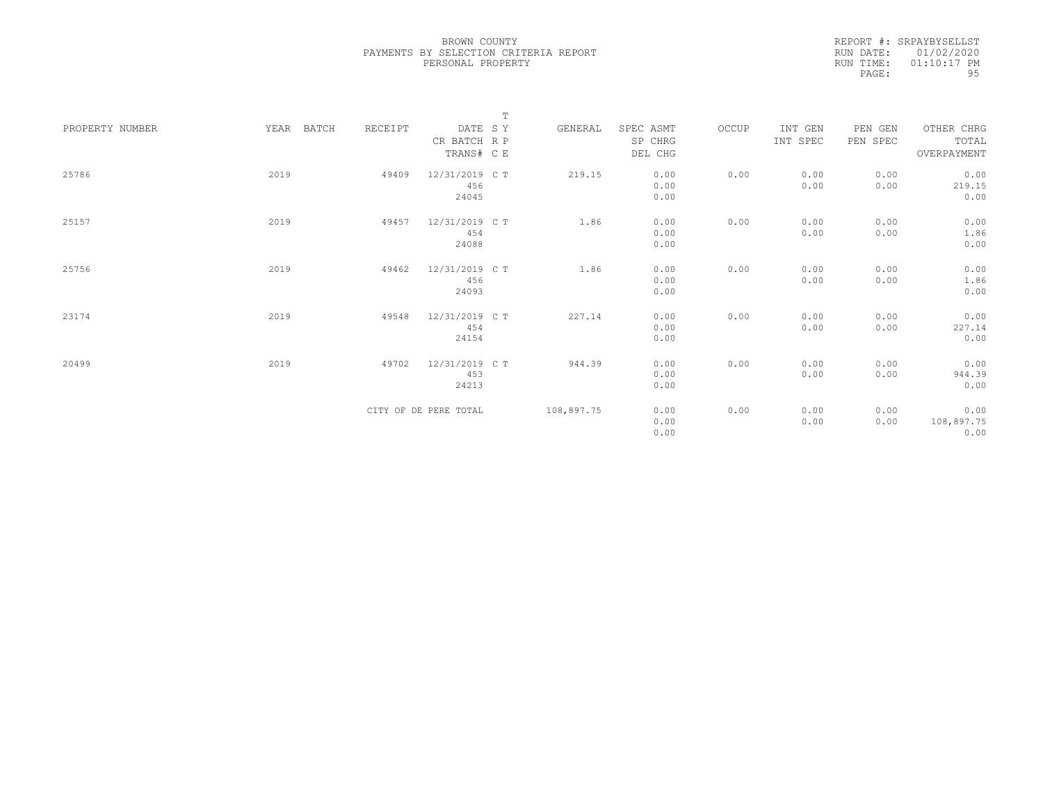|                 |               |         | $\mathbb T$           |            |           |       |          |          |             |
|-----------------|---------------|---------|-----------------------|------------|-----------|-------|----------|----------|-------------|
| PROPERTY NUMBER | YEAR<br>BATCH | RECEIPT | DATE SY               | GENERAL    | SPEC ASMT | OCCUP | INT GEN  | PEN GEN  | OTHER CHRG  |
|                 |               |         | CR BATCH R P          |            | SP CHRG   |       | INT SPEC | PEN SPEC | TOTAL       |
|                 |               |         | TRANS# C E            |            | DEL CHG   |       |          |          | OVERPAYMENT |
|                 |               |         |                       |            |           |       |          |          |             |
| 25786           | 2019          | 49409   | 12/31/2019 C T        | 219.15     | 0.00      | 0.00  | 0.00     | 0.00     | 0.00        |
|                 |               |         | 456                   |            | 0.00      |       | 0.00     | 0.00     | 219.15      |
|                 |               |         | 24045                 |            | 0.00      |       |          |          | 0.00        |
|                 |               |         |                       |            |           |       |          |          |             |
| 25157           | 2019          | 49457   | 12/31/2019 C T        | 1.86       | 0.00      | 0.00  | 0.00     | 0.00     | 0.00        |
|                 |               |         | 454                   |            | 0.00      |       | 0.00     | 0.00     | 1.86        |
|                 |               |         | 24088                 |            | 0.00      |       |          |          | 0.00        |
|                 |               |         |                       |            |           |       |          |          |             |
| 25756           | 2019          | 49462   | 12/31/2019 C T        | 1.86       | 0.00      | 0.00  | 0.00     | 0.00     | 0.00        |
|                 |               |         | 456                   |            | 0.00      |       | 0.00     | 0.00     | 1.86        |
|                 |               |         | 24093                 |            | 0.00      |       |          |          | 0.00        |
|                 |               |         |                       |            |           |       |          |          |             |
| 23174           | 2019          | 49548   | 12/31/2019 C T        | 227.14     | 0.00      | 0.00  | 0.00     | 0.00     | 0.00        |
|                 |               |         | 454                   |            | 0.00      |       | 0.00     | 0.00     | 227.14      |
|                 |               |         | 24154                 |            | 0.00      |       |          |          | 0.00        |
|                 |               |         |                       |            |           |       |          |          |             |
| 20499           | 2019          | 49702   | 12/31/2019 C T        | 944.39     | 0.00      | 0.00  | 0.00     | 0.00     | 0.00        |
|                 |               |         | 453                   |            | 0.00      |       | 0.00     | 0.00     | 944.39      |
|                 |               |         | 24213                 |            | 0.00      |       |          |          | 0.00        |
|                 |               |         |                       |            |           |       |          |          |             |
|                 |               |         | CITY OF DE PERE TOTAL | 108,897.75 | 0.00      | 0.00  | 0.00     | 0.00     | 0.00        |
|                 |               |         |                       |            | 0.00      |       | 0.00     | 0.00     | 108,897.75  |
|                 |               |         |                       |            | 0.00      |       |          |          | 0.00        |
|                 |               |         |                       |            |           |       |          |          |             |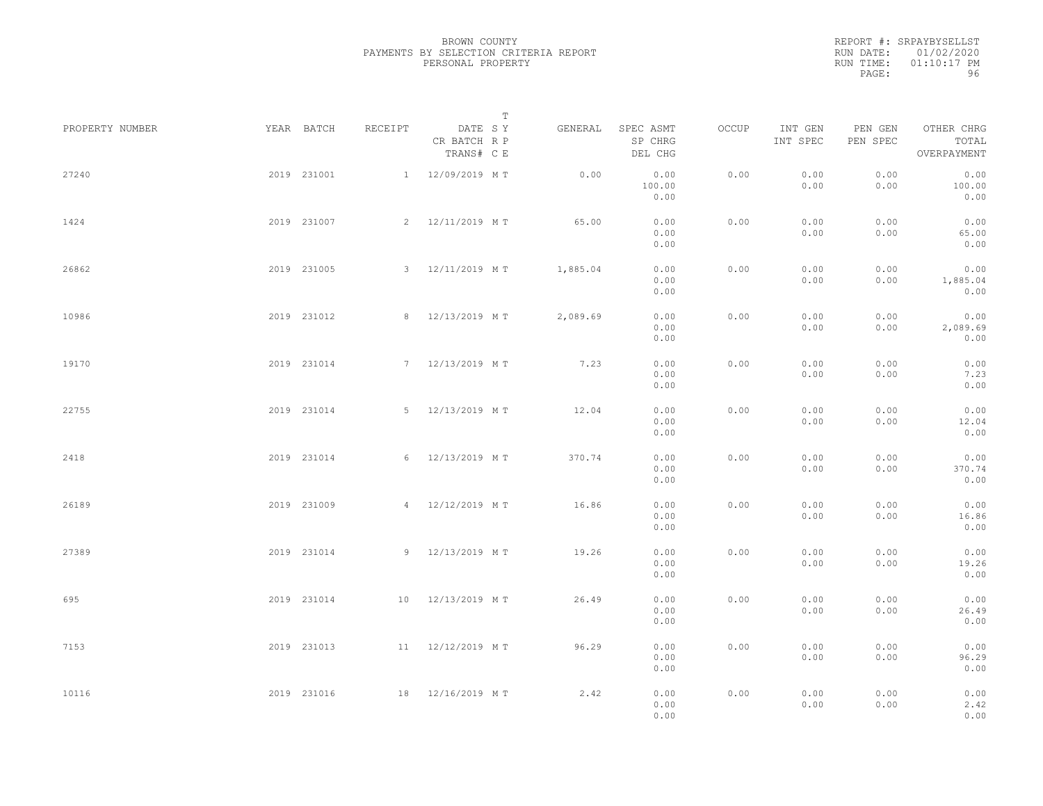|           | REPORT #: SRPAYBYSELLST |
|-----------|-------------------------|
|           | RUN DATE: 01/02/2020    |
| RUN TIME: | $01:10:17$ PM           |
| PAGE:     | 96                      |

|                 |             |             |         |                                       | $\mathbb T$ |          |                                 |       |                     |                     |                                    |  |
|-----------------|-------------|-------------|---------|---------------------------------------|-------------|----------|---------------------------------|-------|---------------------|---------------------|------------------------------------|--|
| PROPERTY NUMBER |             | YEAR BATCH  | RECEIPT | DATE SY<br>CR BATCH R P<br>TRANS# C E |             | GENERAL  | SPEC ASMT<br>SP CHRG<br>DEL CHG | OCCUP | INT GEN<br>INT SPEC | PEN GEN<br>PEN SPEC | OTHER CHRG<br>TOTAL<br>OVERPAYMENT |  |
| 27240           |             | 2019 231001 |         | 1 12/09/2019 MT                       |             | 0.00     | 0.00<br>100.00<br>0.00          | 0.00  | 0.00<br>0.00        | 0.00<br>0.00        | 0.00<br>100.00<br>0.00             |  |
| 1424            |             | 2019 231007 |         | 2 12/11/2019 MT                       |             | 65.00    | 0.00<br>0.00<br>0.00            | 0.00  | 0.00<br>0.00        | 0.00<br>0.00        | 0.00<br>65.00<br>0.00              |  |
| 26862           |             | 2019 231005 |         | 3 12/11/2019 MT                       |             | 1,885.04 | 0.00<br>0.00<br>0.00            | 0.00  | 0.00<br>0.00        | 0.00<br>0.00        | 0.00<br>1,885.04<br>0.00           |  |
| 10986           |             | 2019 231012 |         | 8 12/13/2019 MT                       |             | 2,089.69 | 0.00<br>0.00<br>0.00            | 0.00  | 0.00<br>0.00        | 0.00<br>0.00        | 0.00<br>2,089.69<br>0.00           |  |
| 19170           |             | 2019 231014 |         | 7 12/13/2019 MT                       |             | 7.23     | 0.00<br>0.00<br>0.00            | 0.00  | 0.00<br>0.00        | 0.00<br>0.00        | 0.00<br>7.23<br>0.00               |  |
| 22755           |             | 2019 231014 |         | 5 12/13/2019 MT                       |             | 12.04    | 0.00<br>0.00<br>0.00            | 0.00  | 0.00<br>0.00        | 0.00<br>0.00        | 0.00<br>12.04<br>0.00              |  |
| 2418            |             | 2019 231014 |         | 6 12/13/2019 MT                       |             | 370.74   | 0.00<br>0.00<br>0.00            | 0.00  | 0.00<br>0.00        | 0.00<br>0.00        | 0.00<br>370.74<br>0.00             |  |
| 26189           |             | 2019 231009 |         | 4 12/12/2019 MT                       |             | 16.86    | 0.00<br>0.00<br>0.00            | 0.00  | 0.00<br>0.00        | 0.00<br>0.00        | 0.00<br>16.86<br>0.00              |  |
| 27389           |             | 2019 231014 |         | 9 12/13/2019 MT                       |             | 19.26    | 0.00<br>0.00<br>0.00            | 0.00  | 0.00<br>0.00        | 0.00<br>0.00        | 0.00<br>19.26<br>0.00              |  |
| 695             |             | 2019 231014 |         | 10 12/13/2019 MT                      |             | 26.49    | 0.00<br>0.00<br>0.00            | 0.00  | 0.00<br>0.00        | 0.00<br>0.00        | 0.00<br>26.49<br>0.00              |  |
| 7153            |             | 2019 231013 |         | 11 12/12/2019 MT                      |             | 96.29    | 0.00<br>0.00<br>0.00            | 0.00  | 0.00<br>0.00        | 0.00<br>0.00        | 0.00<br>96.29<br>0.00              |  |
| 10116           | 2019 231016 |             |         | 18 12/16/2019 MT                      |             | 2.42     | 0.00<br>0.00<br>0.00            | 0.00  | 0.00<br>0.00        | 0.00<br>0.00        | 0.00<br>2.42<br>0.00               |  |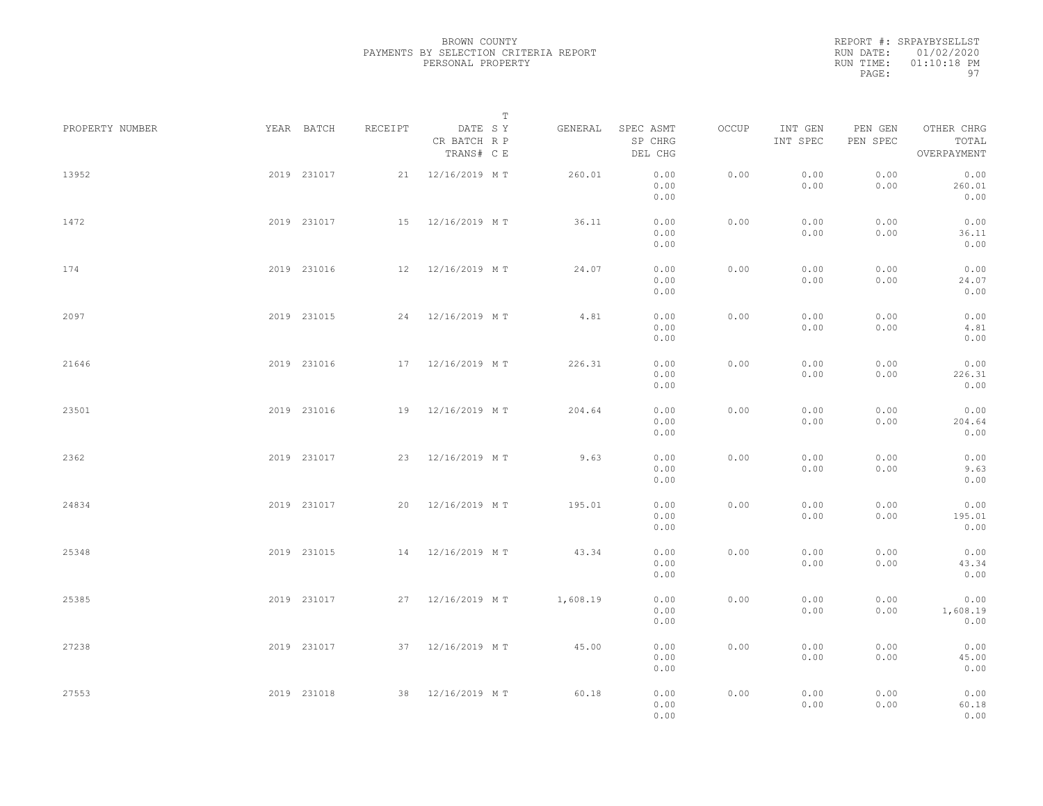|           | REPORT #: SRPAYBYSELLST |
|-----------|-------------------------|
|           | RUN DATE: 01/02/2020    |
| RUN TIME: | $01:10:18$ PM           |
| PAGE:     | 97                      |

|                 |             |             |         |                                       | T |          |                                 |       |                     |                     |                                    |  |
|-----------------|-------------|-------------|---------|---------------------------------------|---|----------|---------------------------------|-------|---------------------|---------------------|------------------------------------|--|
| PROPERTY NUMBER |             | YEAR BATCH  | RECEIPT | DATE SY<br>CR BATCH R P<br>TRANS# C E |   | GENERAL  | SPEC ASMT<br>SP CHRG<br>DEL CHG | OCCUP | INT GEN<br>INT SPEC | PEN GEN<br>PEN SPEC | OTHER CHRG<br>TOTAL<br>OVERPAYMENT |  |
| 13952           |             | 2019 231017 |         | 21 12/16/2019 MT                      |   | 260.01   | 0.00<br>0.00<br>0.00            | 0.00  | 0.00<br>0.00        | 0.00<br>0.00        | 0.00<br>260.01<br>0.00             |  |
| 1472            |             | 2019 231017 |         | 15 12/16/2019 MT                      |   | 36.11    | 0.00<br>0.00<br>0.00            | 0.00  | 0.00<br>0.00        | 0.00<br>0.00        | 0.00<br>36.11<br>0.00              |  |
| 174             |             | 2019 231016 |         | 12 12/16/2019 MT                      |   | 24.07    | 0.00<br>0.00<br>0.00            | 0.00  | 0.00<br>0.00        | 0.00<br>0.00        | 0.00<br>24.07<br>0.00              |  |
| 2097            |             | 2019 231015 |         | 24 12/16/2019 MT                      |   | 4.81     | 0.00<br>0.00<br>0.00            | 0.00  | 0.00<br>0.00        | 0.00<br>0.00        | 0.00<br>4.81<br>0.00               |  |
| 21646           |             | 2019 231016 |         | 17 12/16/2019 MT                      |   | 226.31   | 0.00<br>0.00<br>0.00            | 0.00  | 0.00<br>0.00        | 0.00<br>0.00        | 0.00<br>226.31<br>0.00             |  |
| 23501           |             | 2019 231016 |         | 19 12/16/2019 MT                      |   | 204.64   | 0.00<br>0.00<br>0.00            | 0.00  | 0.00<br>0.00        | 0.00<br>0.00        | 0.00<br>204.64<br>0.00             |  |
| 2362            |             | 2019 231017 |         | 23 12/16/2019 MT                      |   | 9.63     | 0.00<br>0.00<br>0.00            | 0.00  | 0.00<br>0.00        | 0.00<br>0.00        | 0.00<br>9.63<br>0.00               |  |
| 24834           |             | 2019 231017 |         | 20 12/16/2019 MT                      |   | 195.01   | 0.00<br>0.00<br>0.00            | 0.00  | 0.00<br>0.00        | 0.00<br>0.00        | 0.00<br>195.01<br>0.00             |  |
| 25348           |             | 2019 231015 |         | 14 12/16/2019 MT                      |   | 43.34    | 0.00<br>0.00<br>0.00            | 0.00  | 0.00<br>0.00        | 0.00<br>0.00        | 0.00<br>43.34<br>0.00              |  |
| 25385           |             | 2019 231017 |         | 27 12/16/2019 MT                      |   | 1,608.19 | 0.00<br>0.00<br>0.00            | 0.00  | 0.00<br>0.00        | 0.00<br>0.00        | 0.00<br>1,608.19<br>0.00           |  |
| 27238           |             | 2019 231017 |         | 37 12/16/2019 MT                      |   | 45.00    | 0.00<br>0.00<br>0.00            | 0.00  | 0.00<br>0.00        | 0.00<br>0.00        | 0.00<br>45.00<br>0.00              |  |
| 27553           | 2019 231018 |             |         | 38 12/16/2019 MT                      |   | 60.18    | 0.00<br>0.00<br>0.00            | 0.00  | 0.00<br>0.00        | 0.00<br>0.00        | 0.00<br>60.18<br>0.00              |  |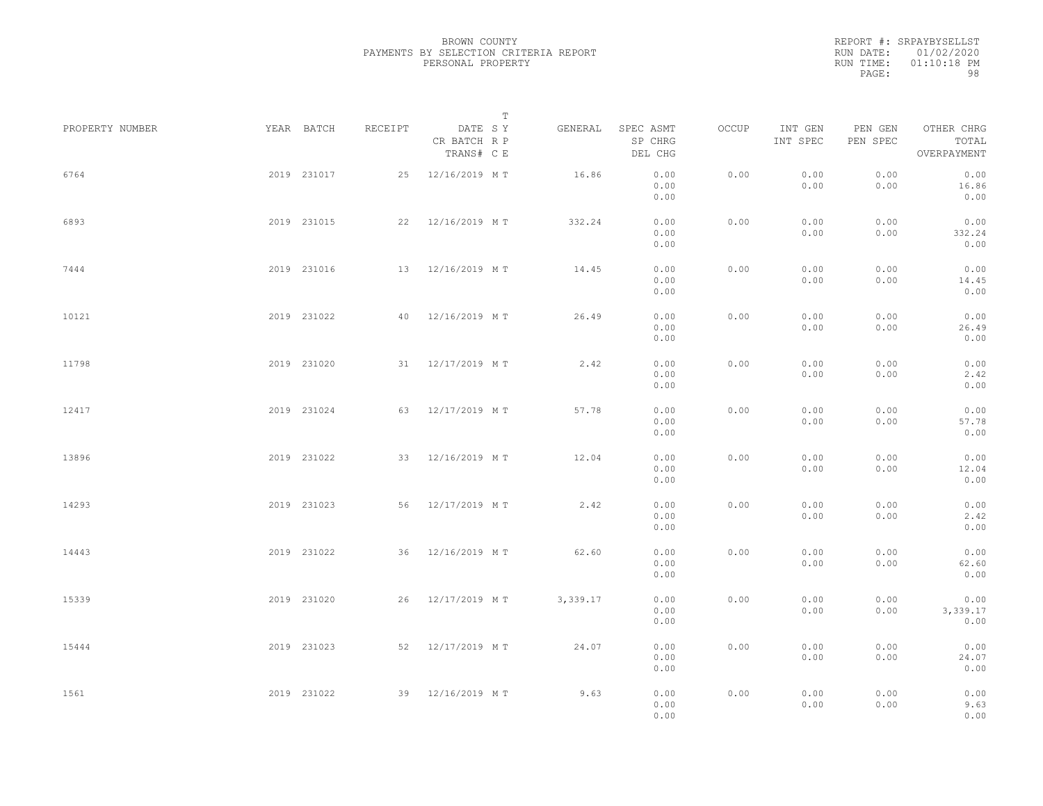|           | REPORT #: SRPAYBYSELLST |
|-----------|-------------------------|
|           | RUN DATE: 01/02/2020    |
| RUN TIME: | $01:10:18$ PM           |
| PAGE:     | 98                      |

|                 |             |         | $\mathbb T$                           |          |                                 |       |                     |                     |                                    |  |
|-----------------|-------------|---------|---------------------------------------|----------|---------------------------------|-------|---------------------|---------------------|------------------------------------|--|
| PROPERTY NUMBER | YEAR BATCH  | RECEIPT | DATE SY<br>CR BATCH R P<br>TRANS# C E | GENERAL  | SPEC ASMT<br>SP CHRG<br>DEL CHG | OCCUP | INT GEN<br>INT SPEC | PEN GEN<br>PEN SPEC | OTHER CHRG<br>TOTAL<br>OVERPAYMENT |  |
| 6764            | 2019 231017 |         | 25 12/16/2019 MT                      | 16.86    | 0.00<br>0.00<br>0.00            | 0.00  | 0.00<br>0.00        | 0.00<br>0.00        | 0.00<br>16.86<br>0.00              |  |
| 6893            | 2019 231015 | 22      | 12/16/2019 MT                         | 332.24   | 0.00<br>0.00<br>0.00            | 0.00  | 0.00<br>0.00        | 0.00<br>0.00        | 0.00<br>332.24<br>0.00             |  |
| 7444            | 2019 231016 |         | 13 12/16/2019 MT                      | 14.45    | 0.00<br>0.00<br>0.00            | 0.00  | 0.00<br>0.00        | 0.00<br>0.00        | 0.00<br>14.45<br>0.00              |  |
| 10121           | 2019 231022 | 40      | 12/16/2019 MT                         | 26.49    | 0.00<br>0.00<br>0.00            | 0.00  | 0.00<br>0.00        | 0.00<br>0.00        | 0.00<br>26.49<br>0.00              |  |
| 11798           | 2019 231020 |         | 31 12/17/2019 MT                      | 2.42     | 0.00<br>0.00<br>0.00            | 0.00  | 0.00<br>0.00        | 0.00<br>0.00        | 0.00<br>2.42<br>0.00               |  |
| 12417           | 2019 231024 | 63      | 12/17/2019 MT                         | 57.78    | 0.00<br>0.00<br>0.00            | 0.00  | 0.00<br>0.00        | 0.00<br>0.00        | 0.00<br>57.78<br>0.00              |  |
| 13896           | 2019 231022 | 33      | 12/16/2019 MT                         | 12.04    | 0.00<br>0.00<br>0.00            | 0.00  | 0.00<br>0.00        | 0.00<br>0.00        | 0.00<br>12.04<br>0.00              |  |
| 14293           | 2019 231023 | 56      | 12/17/2019 MT                         | 2.42     | 0.00<br>0.00<br>0.00            | 0.00  | 0.00<br>0.00        | 0.00<br>0.00        | 0.00<br>2.42<br>0.00               |  |
| 14443           | 2019 231022 | 36      | 12/16/2019 MT                         | 62.60    | 0.00<br>0.00<br>0.00            | 0.00  | 0.00<br>0.00        | 0.00<br>0.00        | 0.00<br>62.60<br>0.00              |  |
| 15339           | 2019 231020 | 26      | 12/17/2019 MT                         | 3,339.17 | 0.00<br>0.00<br>0.00            | 0.00  | 0.00<br>0.00        | 0.00<br>0.00        | 0.00<br>3,339.17<br>0.00           |  |
| 15444           | 2019 231023 | 52      | 12/17/2019 MT                         | 24.07    | 0.00<br>0.00<br>0.00            | 0.00  | 0.00<br>0.00        | 0.00<br>0.00        | 0.00<br>24.07<br>0.00              |  |
| 1561            | 2019 231022 |         | 39 12/16/2019 MT                      | 9.63     | 0.00<br>0.00<br>0.00            | 0.00  | 0.00<br>0.00        | 0.00<br>0.00        | 0.00<br>9.63<br>0.00               |  |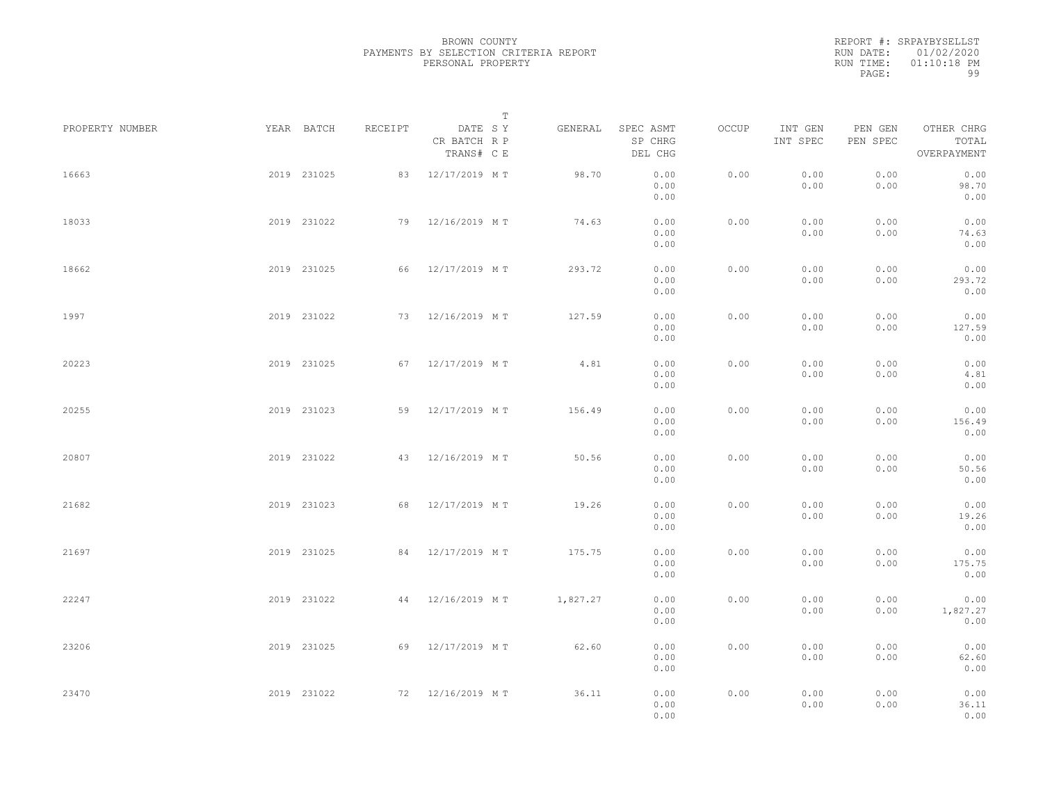|           | REPORT #: SRPAYBYSELLST |
|-----------|-------------------------|
|           | RUN DATE: 01/02/2020    |
| RUN TIME: | $01:10:18$ PM           |
| PAGE:     | 99                      |

|                 |             |             |         | T                                     |          |                                 |       |                     |                     |                                    |  |
|-----------------|-------------|-------------|---------|---------------------------------------|----------|---------------------------------|-------|---------------------|---------------------|------------------------------------|--|
| PROPERTY NUMBER |             | YEAR BATCH  | RECEIPT | DATE SY<br>CR BATCH R P<br>TRANS# C E | GENERAL  | SPEC ASMT<br>SP CHRG<br>DEL CHG | OCCUP | INT GEN<br>INT SPEC | PEN GEN<br>PEN SPEC | OTHER CHRG<br>TOTAL<br>OVERPAYMENT |  |
| 16663           |             | 2019 231025 |         | 83 12/17/2019 MT                      | 98.70    | 0.00<br>0.00<br>0.00            | 0.00  | 0.00<br>0.00        | 0.00<br>0.00        | 0.00<br>98.70<br>0.00              |  |
| 18033           |             | 2019 231022 |         | 79 12/16/2019 MT                      | 74.63    | 0.00<br>0.00<br>0.00            | 0.00  | 0.00<br>0.00        | 0.00<br>0.00        | 0.00<br>74.63<br>0.00              |  |
| 18662           |             | 2019 231025 |         | 66 12/17/2019 MT                      | 293.72   | 0.00<br>0.00<br>0.00            | 0.00  | 0.00<br>0.00        | 0.00<br>0.00        | 0.00<br>293.72<br>0.00             |  |
| 1997            |             | 2019 231022 |         | 73 12/16/2019 MT                      | 127.59   | 0.00<br>0.00<br>0.00            | 0.00  | 0.00<br>0.00        | 0.00<br>0.00        | 0.00<br>127.59<br>0.00             |  |
| 20223           |             | 2019 231025 |         | 67 12/17/2019 MT                      | 4.81     | 0.00<br>0.00<br>0.00            | 0.00  | 0.00<br>0.00        | 0.00<br>0.00        | 0.00<br>4.81<br>0.00               |  |
| 20255           |             | 2019 231023 |         | 59 12/17/2019 MT                      | 156.49   | 0.00<br>0.00<br>0.00            | 0.00  | 0.00<br>0.00        | 0.00<br>0.00        | 0.00<br>156.49<br>0.00             |  |
| 20807           |             | 2019 231022 | 43      | 12/16/2019 MT                         | 50.56    | 0.00<br>0.00<br>0.00            | 0.00  | 0.00<br>0.00        | 0.00<br>0.00        | 0.00<br>50.56<br>0.00              |  |
| 21682           |             | 2019 231023 |         | 68 12/17/2019 MT                      | 19.26    | 0.00<br>0.00<br>0.00            | 0.00  | 0.00<br>0.00        | 0.00<br>0.00        | 0.00<br>19.26<br>0.00              |  |
| 21697           |             | 2019 231025 | 84      | 12/17/2019 MT                         | 175.75   | 0.00<br>0.00<br>0.00            | 0.00  | 0.00<br>0.00        | 0.00<br>0.00        | 0.00<br>175.75<br>0.00             |  |
| 22247           |             | 2019 231022 |         | 44 12/16/2019 MT                      | 1,827.27 | 0.00<br>0.00<br>0.00            | 0.00  | 0.00<br>0.00        | 0.00<br>0.00        | 0.00<br>1,827.27<br>0.00           |  |
| 23206           |             | 2019 231025 |         | 69 12/17/2019 MT                      | 62.60    | 0.00<br>0.00<br>0.00            | 0.00  | 0.00<br>0.00        | 0.00<br>0.00        | 0.00<br>62.60<br>0.00              |  |
| 23470           | 2019 231022 |             |         | 72 12/16/2019 MT                      | 36.11    | 0.00<br>0.00<br>0.00            | 0.00  | 0.00<br>0.00        | 0.00<br>0.00        | 0.00<br>36.11<br>0.00              |  |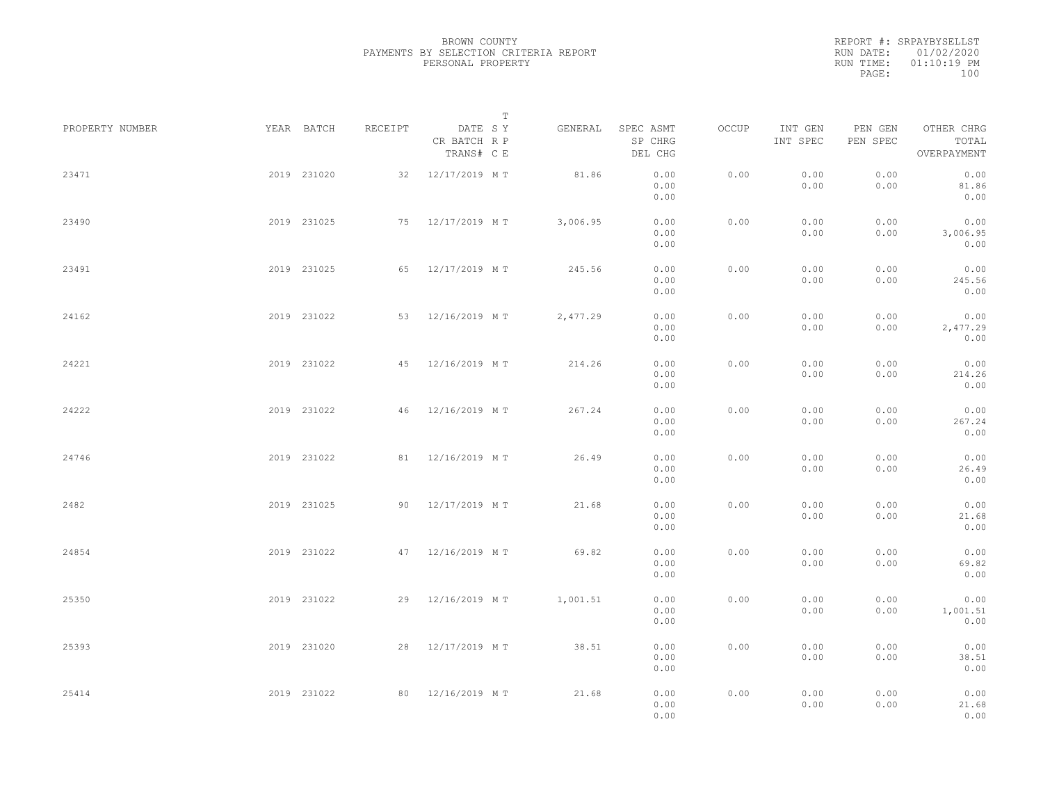| RUN DATE: 01/02/2020<br>$01:10:19$ PM |           | REPORT #: SRPAYBYSELLST |  |
|---------------------------------------|-----------|-------------------------|--|
|                                       |           |                         |  |
|                                       | RUN TIME: |                         |  |
| 100<br>PAGE:                          |           |                         |  |

|                 |             |         | $\mathbb T$                           |          |                                 |       |                     |                     |                                    |  |
|-----------------|-------------|---------|---------------------------------------|----------|---------------------------------|-------|---------------------|---------------------|------------------------------------|--|
| PROPERTY NUMBER | YEAR BATCH  | RECEIPT | DATE SY<br>CR BATCH R P<br>TRANS# C E | GENERAL  | SPEC ASMT<br>SP CHRG<br>DEL CHG | OCCUP | INT GEN<br>INT SPEC | PEN GEN<br>PEN SPEC | OTHER CHRG<br>TOTAL<br>OVERPAYMENT |  |
| 23471           | 2019 231020 |         | 32 12/17/2019 MT                      | 81.86    | 0.00<br>0.00<br>0.00            | 0.00  | 0.00<br>0.00        | 0.00<br>0.00        | 0.00<br>81.86<br>0.00              |  |
| 23490           | 2019 231025 |         | 75 12/17/2019 MT                      | 3,006.95 | 0.00<br>0.00<br>0.00            | 0.00  | 0.00<br>0.00        | 0.00<br>0.00        | 0.00<br>3,006.95<br>0.00           |  |
| 23491           | 2019 231025 |         | 65 12/17/2019 MT                      | 245.56   | 0.00<br>0.00<br>0.00            | 0.00  | 0.00<br>0.00        | 0.00<br>0.00        | 0.00<br>245.56<br>0.00             |  |
| 24162           | 2019 231022 |         | 53 12/16/2019 MT                      | 2,477.29 | 0.00<br>0.00<br>0.00            | 0.00  | 0.00<br>0.00        | 0.00<br>0.00        | 0.00<br>2,477.29<br>0.00           |  |
| 24221           | 2019 231022 |         | 45 12/16/2019 MT                      | 214.26   | 0.00<br>0.00<br>0.00            | 0.00  | 0.00<br>0.00        | 0.00<br>0.00        | 0.00<br>214.26<br>0.00             |  |
| 24222           | 2019 231022 |         | 46 12/16/2019 MT                      | 267.24   | 0.00<br>0.00<br>0.00            | 0.00  | 0.00<br>0.00        | 0.00<br>0.00        | 0.00<br>267.24<br>0.00             |  |
| 24746           | 2019 231022 |         | 81 12/16/2019 MT                      | 26.49    | 0.00<br>0.00<br>0.00            | 0.00  | 0.00<br>0.00        | 0.00<br>0.00        | 0.00<br>26.49<br>0.00              |  |
| 2482            | 2019 231025 |         | 90 12/17/2019 MT                      | 21.68    | 0.00<br>0.00<br>0.00            | 0.00  | 0.00<br>0.00        | 0.00<br>0.00        | 0.00<br>21.68<br>0.00              |  |
| 24854           | 2019 231022 |         | 47 12/16/2019 MT                      | 69.82    | 0.00<br>0.00<br>0.00            | 0.00  | 0.00<br>0.00        | 0.00<br>0.00        | 0.00<br>69.82<br>0.00              |  |
| 25350           | 2019 231022 |         | 29 12/16/2019 MT                      | 1,001.51 | 0.00<br>0.00<br>0.00            | 0.00  | 0.00<br>0.00        | 0.00<br>0.00        | 0.00<br>1,001.51<br>0.00           |  |
| 25393           | 2019 231020 |         | 28 12/17/2019 MT                      | 38.51    | 0.00<br>0.00<br>0.00            | 0.00  | 0.00<br>0.00        | 0.00<br>0.00        | 0.00<br>38.51<br>0.00              |  |
| 25414           | 2019 231022 |         | 80 12/16/2019 MT                      | 21.68    | 0.00<br>0.00<br>0.00            | 0.00  | 0.00<br>0.00        | 0.00<br>0.00        | 0.00<br>21.68<br>0.00              |  |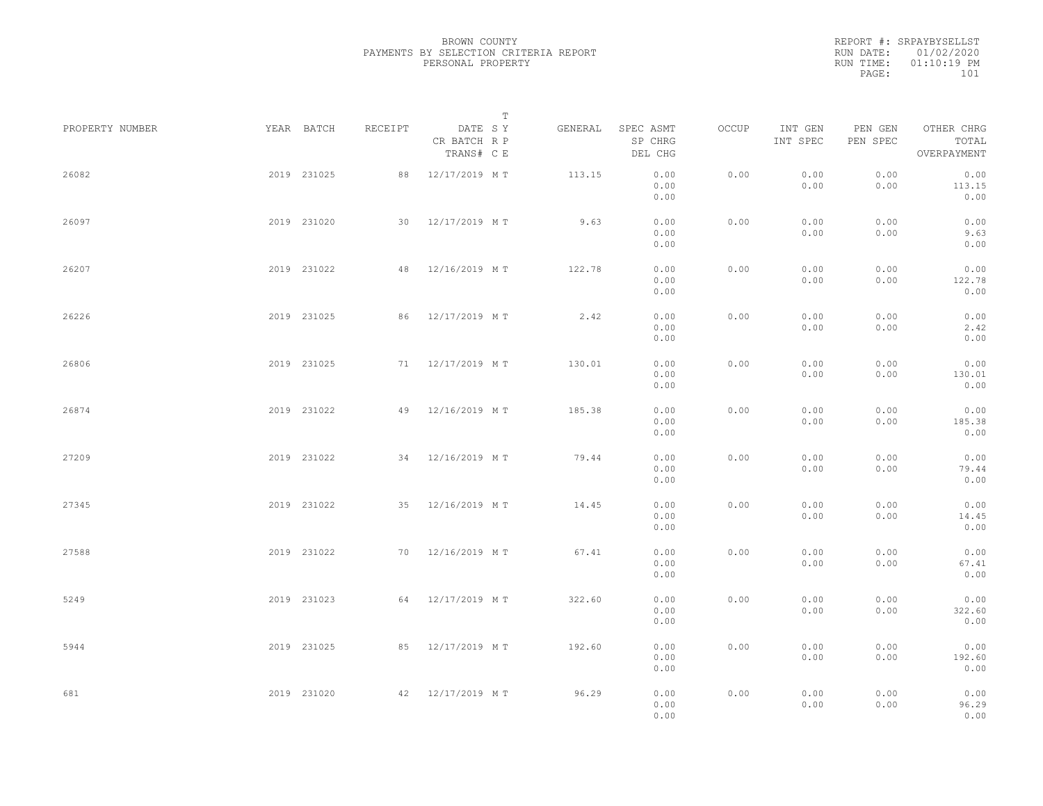|           | REPORT #: SRPAYBYSELLST |
|-----------|-------------------------|
|           | RUN DATE: 01/02/2020    |
| RUN TIME: | $01:10:19$ PM           |
| PAGE:     | 101                     |
|           |                         |

|                 |             |         |                                       | $\mathbb T$ |                                 |       |                     |                     |                                    |  |
|-----------------|-------------|---------|---------------------------------------|-------------|---------------------------------|-------|---------------------|---------------------|------------------------------------|--|
| PROPERTY NUMBER | YEAR BATCH  | RECEIPT | DATE SY<br>CR BATCH R P<br>TRANS# C E | GENERAL     | SPEC ASMT<br>SP CHRG<br>DEL CHG | OCCUP | INT GEN<br>INT SPEC | PEN GEN<br>PEN SPEC | OTHER CHRG<br>TOTAL<br>OVERPAYMENT |  |
| 26082           | 2019 231025 |         | 88 12/17/2019 MT                      | 113.15      | 0.00<br>0.00<br>0.00            | 0.00  | 0.00<br>0.00        | 0.00<br>0.00        | 0.00<br>113.15<br>0.00             |  |
| 26097           | 2019 231020 |         | 30 12/17/2019 MT                      | 9.63        | 0.00<br>0.00<br>0.00            | 0.00  | 0.00<br>0.00        | 0.00<br>0.00        | 0.00<br>9.63<br>0.00               |  |
| 26207           | 2019 231022 | 48      | 12/16/2019 MT                         | 122.78      | 0.00<br>0.00<br>0.00            | 0.00  | 0.00<br>0.00        | 0.00<br>0.00        | 0.00<br>122.78<br>0.00             |  |
| 26226           | 2019 231025 |         | 86 12/17/2019 MT                      | 2.42        | 0.00<br>0.00<br>0.00            | 0.00  | 0.00<br>0.00        | 0.00<br>0.00        | 0.00<br>2.42<br>0.00               |  |
| 26806           | 2019 231025 |         | 71 12/17/2019 MT                      | 130.01      | 0.00<br>0.00<br>0.00            | 0.00  | 0.00<br>0.00        | 0.00<br>0.00        | 0.00<br>130.01<br>0.00             |  |
| 26874           | 2019 231022 |         | 49 12/16/2019 MT                      | 185.38      | 0.00<br>0.00<br>0.00            | 0.00  | 0.00<br>0.00        | 0.00<br>0.00        | 0.00<br>185.38<br>0.00             |  |
| 27209           | 2019 231022 | 34      | 12/16/2019 MT                         | 79.44       | 0.00<br>0.00<br>0.00            | 0.00  | 0.00<br>0.00        | 0.00<br>0.00        | 0.00<br>79.44<br>0.00              |  |
| 27345           | 2019 231022 |         | 35 12/16/2019 MT                      | 14.45       | 0.00<br>0.00<br>0.00            | 0.00  | 0.00<br>0.00        | 0.00<br>0.00        | 0.00<br>14.45<br>0.00              |  |
| 27588           | 2019 231022 | 70      | 12/16/2019 MT                         | 67.41       | 0.00<br>0.00<br>0.00            | 0.00  | 0.00<br>0.00        | 0.00<br>0.00        | 0.00<br>67.41<br>0.00              |  |
| 5249            | 2019 231023 |         | 64 12/17/2019 MT                      | 322.60      | 0.00<br>0.00<br>0.00            | 0.00  | 0.00<br>0.00        | 0.00<br>0.00        | 0.00<br>322.60<br>0.00             |  |
| 5944            | 2019 231025 |         | 85 12/17/2019 MT                      | 192.60      | 0.00<br>0.00<br>0.00            | 0.00  | 0.00<br>0.00        | 0.00<br>0.00        | 0.00<br>192.60<br>0.00             |  |
| 681             | 2019 231020 |         | 42 12/17/2019 MT                      | 96.29       | 0.00<br>0.00<br>0.00            | 0.00  | 0.00<br>0.00        | 0.00<br>0.00        | 0.00<br>96.29<br>0.00              |  |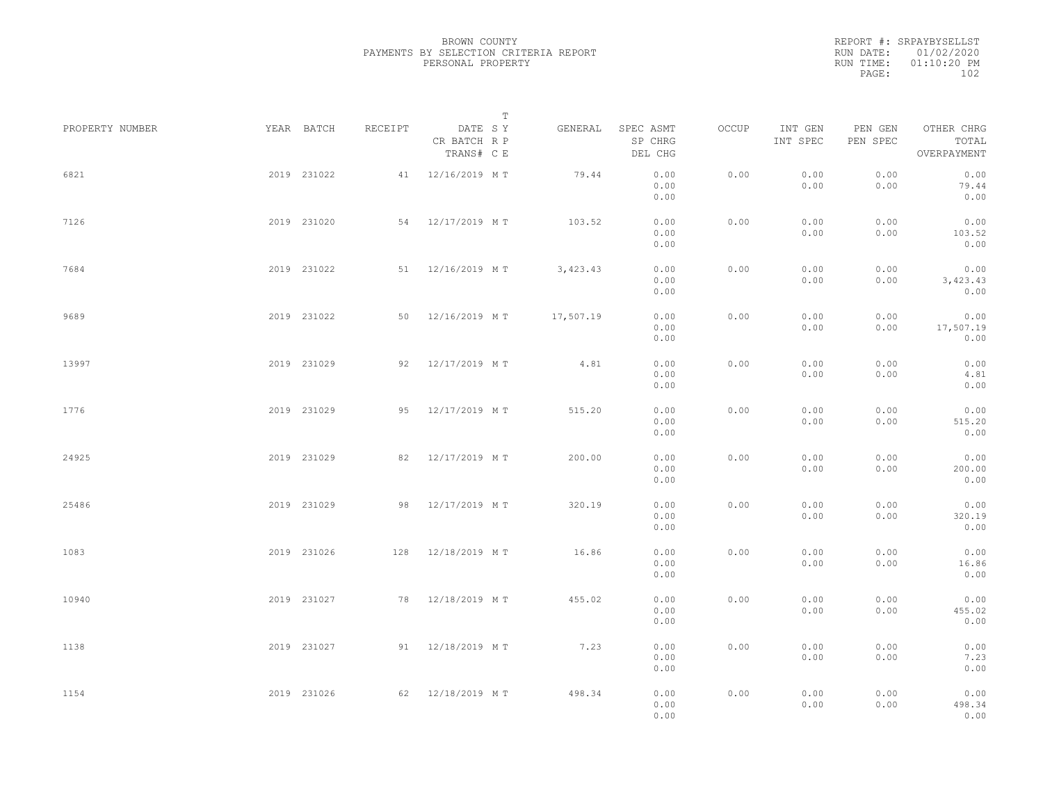|           | REPORT #: SRPAYBYSELLST |
|-----------|-------------------------|
|           | RUN DATE: 01/02/2020    |
| RUN TIME: | $01:10:20$ PM           |
| PAGE:     | 102                     |

|                 |             |             |         |                                       | $\mathbb T$ |           |                                 |       |                     |                     |                                    |  |
|-----------------|-------------|-------------|---------|---------------------------------------|-------------|-----------|---------------------------------|-------|---------------------|---------------------|------------------------------------|--|
| PROPERTY NUMBER |             | YEAR BATCH  | RECEIPT | DATE SY<br>CR BATCH R P<br>TRANS# C E |             | GENERAL   | SPEC ASMT<br>SP CHRG<br>DEL CHG | OCCUP | INT GEN<br>INT SPEC | PEN GEN<br>PEN SPEC | OTHER CHRG<br>TOTAL<br>OVERPAYMENT |  |
| 6821            |             | 2019 231022 |         | 41 12/16/2019 MT                      |             | 79.44     | 0.00<br>0.00<br>0.00            | 0.00  | 0.00<br>0.00        | 0.00<br>0.00        | 0.00<br>79.44<br>0.00              |  |
| 7126            |             | 2019 231020 |         | 54 12/17/2019 MT                      |             | 103.52    | 0.00<br>0.00<br>0.00            | 0.00  | 0.00<br>0.00        | 0.00<br>0.00        | 0.00<br>103.52<br>0.00             |  |
| 7684            |             | 2019 231022 |         | 51 12/16/2019 MT                      |             | 3,423.43  | 0.00<br>0.00<br>0.00            | 0.00  | 0.00<br>0.00        | 0.00<br>0.00        | 0.00<br>3,423.43<br>0.00           |  |
| 9689            |             | 2019 231022 |         | 50 12/16/2019 MT                      |             | 17,507.19 | 0.00<br>0.00<br>0.00            | 0.00  | 0.00<br>0.00        | 0.00<br>0.00        | 0.00<br>17,507.19<br>0.00          |  |
| 13997           |             | 2019 231029 |         | 92 12/17/2019 MT                      |             | 4.81      | 0.00<br>0.00<br>0.00            | 0.00  | 0.00<br>0.00        | 0.00<br>0.00        | 0.00<br>4.81<br>0.00               |  |
| 1776            |             | 2019 231029 | 95      | 12/17/2019 MT                         |             | 515.20    | 0.00<br>0.00<br>0.00            | 0.00  | 0.00<br>0.00        | 0.00<br>0.00        | 0.00<br>515.20<br>0.00             |  |
| 24925           |             | 2019 231029 |         | 82 12/17/2019 MT                      |             | 200.00    | 0.00<br>0.00<br>0.00            | 0.00  | 0.00<br>0.00        | 0.00<br>0.00        | 0.00<br>200.00<br>0.00             |  |
| 25486           |             | 2019 231029 |         | 98 12/17/2019 MT                      |             | 320.19    | 0.00<br>0.00<br>0.00            | 0.00  | 0.00<br>0.00        | 0.00<br>0.00        | 0.00<br>320.19<br>0.00             |  |
| 1083            |             | 2019 231026 |         | 128 12/18/2019 MT                     |             | 16.86     | 0.00<br>0.00<br>0.00            | 0.00  | 0.00<br>0.00        | 0.00<br>0.00        | 0.00<br>16.86<br>0.00              |  |
| 10940           |             | 2019 231027 |         | 78 12/18/2019 MT                      |             | 455.02    | 0.00<br>0.00<br>0.00            | 0.00  | 0.00<br>0.00        | 0.00<br>0.00        | 0.00<br>455.02<br>0.00             |  |
| 1138            |             | 2019 231027 |         | 91 12/18/2019 MT                      |             | 7.23      | 0.00<br>0.00<br>0.00            | 0.00  | 0.00<br>0.00        | 0.00<br>0.00        | 0.00<br>7.23<br>0.00               |  |
| 1154            | 2019 231026 |             |         | 62 12/18/2019 M T                     |             | 498.34    | 0.00<br>0.00<br>0.00            | 0.00  | 0.00<br>0.00        | 0.00<br>0.00        | 0.00<br>498.34<br>0.00             |  |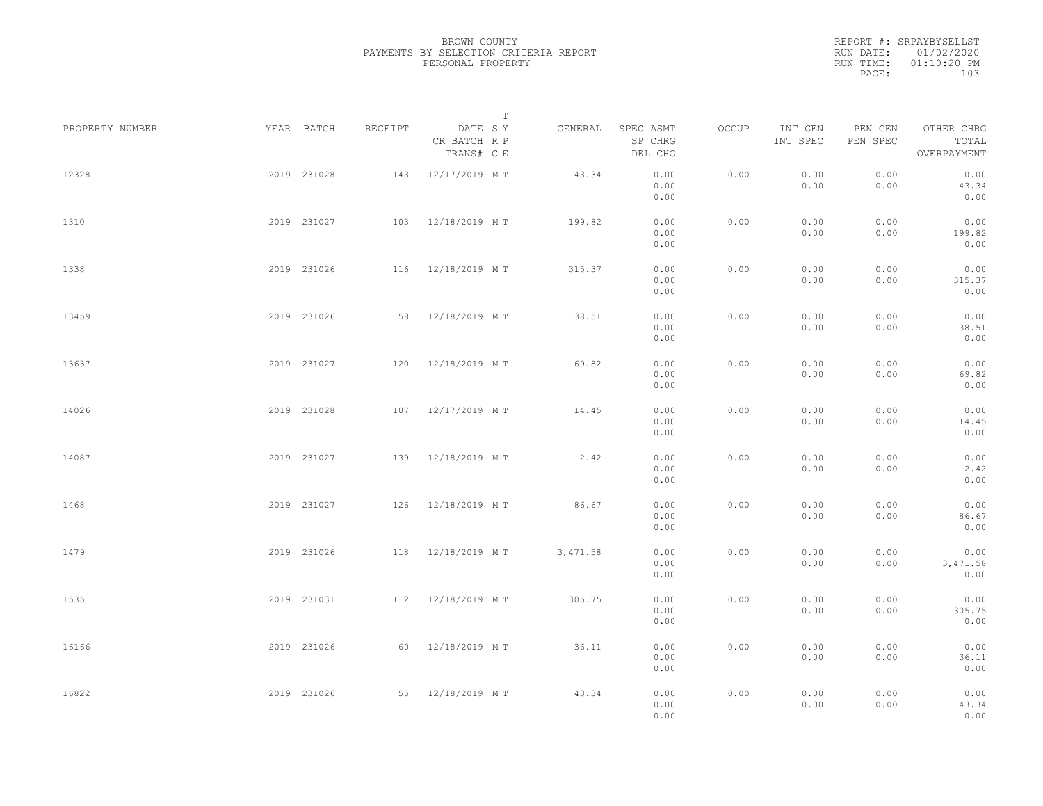|           | REPORT #: SRPAYBYSELLST |
|-----------|-------------------------|
|           | RUN DATE: 01/02/2020    |
| RUN TIME: | $01:10:20$ PM           |
| PAGE:     | 103                     |

|                 |             |             |         | $\mathbb T$                           |          |                                 |       |                     |                     |                                    |  |
|-----------------|-------------|-------------|---------|---------------------------------------|----------|---------------------------------|-------|---------------------|---------------------|------------------------------------|--|
| PROPERTY NUMBER |             | YEAR BATCH  | RECEIPT | DATE SY<br>CR BATCH R P<br>TRANS# C E | GENERAL  | SPEC ASMT<br>SP CHRG<br>DEL CHG | OCCUP | INT GEN<br>INT SPEC | PEN GEN<br>PEN SPEC | OTHER CHRG<br>TOTAL<br>OVERPAYMENT |  |
| 12328           |             | 2019 231028 |         | 143 12/17/2019 MT                     | 43.34    | 0.00<br>0.00<br>0.00            | 0.00  | 0.00<br>0.00        | 0.00<br>0.00        | 0.00<br>43.34<br>0.00              |  |
| 1310            |             | 2019 231027 |         | 103 12/18/2019 MT                     | 199.82   | 0.00<br>0.00<br>0.00            | 0.00  | 0.00<br>0.00        | 0.00<br>0.00        | 0.00<br>199.82<br>0.00             |  |
| 1338            |             | 2019 231026 |         | 116 12/18/2019 MT                     | 315.37   | 0.00<br>0.00<br>0.00            | 0.00  | 0.00<br>0.00        | 0.00<br>0.00        | 0.00<br>315.37<br>0.00             |  |
| 13459           |             | 2019 231026 |         | 58 12/18/2019 MT                      | 38.51    | 0.00<br>0.00<br>0.00            | 0.00  | 0.00<br>0.00        | 0.00<br>0.00        | 0.00<br>38.51<br>0.00              |  |
| 13637           |             | 2019 231027 |         | 120 12/18/2019 MT                     | 69.82    | 0.00<br>0.00<br>0.00            | 0.00  | 0.00<br>0.00        | 0.00<br>0.00        | 0.00<br>69.82<br>0.00              |  |
| 14026           |             | 2019 231028 | 107     | 12/17/2019 MT                         | 14.45    | 0.00<br>0.00<br>0.00            | 0.00  | 0.00<br>0.00        | 0.00<br>0.00        | 0.00<br>14.45<br>0.00              |  |
| 14087           |             | 2019 231027 | 139     | 12/18/2019 MT                         | 2.42     | 0.00<br>0.00<br>0.00            | 0.00  | 0.00<br>0.00        | 0.00<br>0.00        | 0.00<br>2.42<br>0.00               |  |
| 1468            |             | 2019 231027 |         | 126 12/18/2019 MT                     | 86.67    | 0.00<br>0.00<br>0.00            | 0.00  | 0.00<br>0.00        | 0.00<br>0.00        | 0.00<br>86.67<br>0.00              |  |
| 1479            |             | 2019 231026 | 118     | 12/18/2019 MT                         | 3,471.58 | 0.00<br>0.00<br>0.00            | 0.00  | 0.00<br>0.00        | 0.00<br>0.00        | 0.00<br>3,471.58<br>0.00           |  |
| 1535            |             | 2019 231031 |         | 112 12/18/2019 MT                     | 305.75   | 0.00<br>0.00<br>0.00            | 0.00  | 0.00<br>0.00        | 0.00<br>0.00        | 0.00<br>305.75<br>0.00             |  |
| 16166           |             | 2019 231026 |         | 60 12/18/2019 MT                      | 36.11    | 0.00<br>0.00<br>0.00            | 0.00  | 0.00<br>0.00        | 0.00<br>0.00        | 0.00<br>36.11<br>0.00              |  |
| 16822           | 2019 231026 |             |         | 55 12/18/2019 MT                      | 43.34    | 0.00<br>0.00<br>0.00            | 0.00  | 0.00<br>0.00        | 0.00<br>0.00        | 0.00<br>43.34<br>0.00              |  |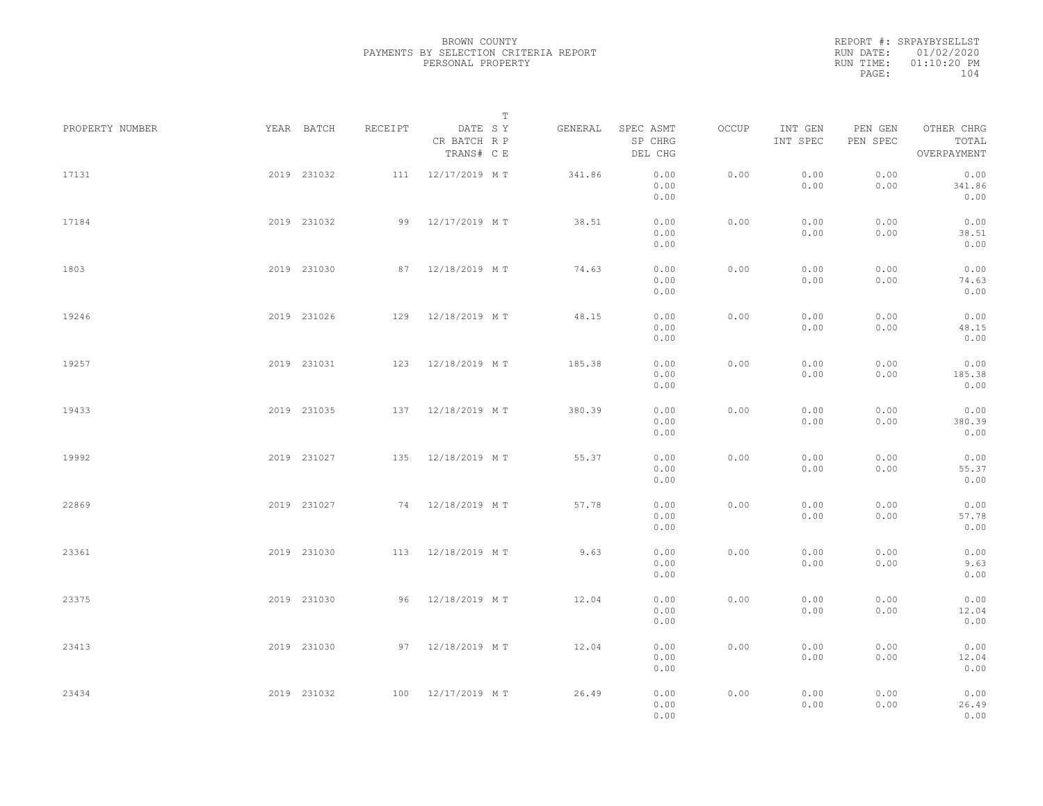|           | REPORT #: SRPAYBYSELLST |  |
|-----------|-------------------------|--|
|           | RUN DATE: 01/02/2020    |  |
| RUN TIME: | $01:10:20$ PM           |  |
| PAGE:     | 104                     |  |
|           |                         |  |

|                 |             |             |         | $\mathbb T$                           |         |                                 |       |                     |                     |                                    |  |
|-----------------|-------------|-------------|---------|---------------------------------------|---------|---------------------------------|-------|---------------------|---------------------|------------------------------------|--|
| PROPERTY NUMBER |             | YEAR BATCH  | RECEIPT | DATE SY<br>CR BATCH R P<br>TRANS# C E | GENERAL | SPEC ASMT<br>SP CHRG<br>DEL CHG | OCCUP | INT GEN<br>INT SPEC | PEN GEN<br>PEN SPEC | OTHER CHRG<br>TOTAL<br>OVERPAYMENT |  |
| 17131           |             | 2019 231032 |         | 111 12/17/2019 MT                     | 341.86  | 0.00<br>0.00<br>0.00            | 0.00  | 0.00<br>0.00        | 0.00<br>0.00        | 0.00<br>341.86<br>0.00             |  |
| 17184           |             | 2019 231032 |         | 99 12/17/2019 MT                      | 38.51   | 0.00<br>0.00<br>0.00            | 0.00  | 0.00<br>0.00        | 0.00<br>0.00        | 0.00<br>38.51<br>0.00              |  |
| 1803            |             | 2019 231030 |         | 87 12/18/2019 MT                      | 74.63   | 0.00<br>0.00<br>0.00            | 0.00  | 0.00<br>0.00        | 0.00<br>0.00        | 0.00<br>74.63<br>0.00              |  |
| 19246           |             | 2019 231026 |         | 129 12/18/2019 MT                     | 48.15   | 0.00<br>0.00<br>0.00            | 0.00  | 0.00<br>0.00        | 0.00<br>0.00        | 0.00<br>48.15<br>0.00              |  |
| 19257           |             | 2019 231031 |         | 123 12/18/2019 MT                     | 185.38  | 0.00<br>0.00<br>0.00            | 0.00  | 0.00<br>0.00        | 0.00<br>0.00        | 0.00<br>185.38<br>0.00             |  |
| 19433           |             | 2019 231035 |         | 137 12/18/2019 MT                     | 380.39  | 0.00<br>0.00<br>0.00            | 0.00  | 0.00<br>0.00        | 0.00<br>0.00        | 0.00<br>380.39<br>0.00             |  |
| 19992           |             | 2019 231027 | 135     | 12/18/2019 MT                         | 55.37   | 0.00<br>0.00<br>0.00            | 0.00  | 0.00<br>0.00        | 0.00<br>0.00        | 0.00<br>55.37<br>0.00              |  |
| 22869           |             | 2019 231027 |         | 74 12/18/2019 MT                      | 57.78   | 0.00<br>0.00<br>0.00            | 0.00  | 0.00<br>0.00        | 0.00<br>0.00        | 0.00<br>57.78<br>0.00              |  |
| 23361           |             | 2019 231030 |         | 113 12/18/2019 MT                     | 9.63    | 0.00<br>0.00<br>0.00            | 0.00  | 0.00<br>0.00        | 0.00<br>0.00        | 0.00<br>9.63<br>0.00               |  |
| 23375           |             | 2019 231030 |         | 96 12/18/2019 MT                      | 12.04   | 0.00<br>0.00<br>0.00            | 0.00  | 0.00<br>0.00        | 0.00<br>0.00        | 0.00<br>12.04<br>0.00              |  |
| 23413           |             | 2019 231030 |         | 97 12/18/2019 MT                      | 12.04   | 0.00<br>0.00<br>0.00            | 0.00  | 0.00<br>0.00        | 0.00<br>0.00        | 0.00<br>12.04<br>0.00              |  |
| 23434           | 2019 231032 |             |         | 100 12/17/2019 MT                     | 26.49   | 0.00<br>0.00<br>0.00            | 0.00  | 0.00<br>0.00        | 0.00<br>0.00        | 0.00<br>26.49<br>0.00              |  |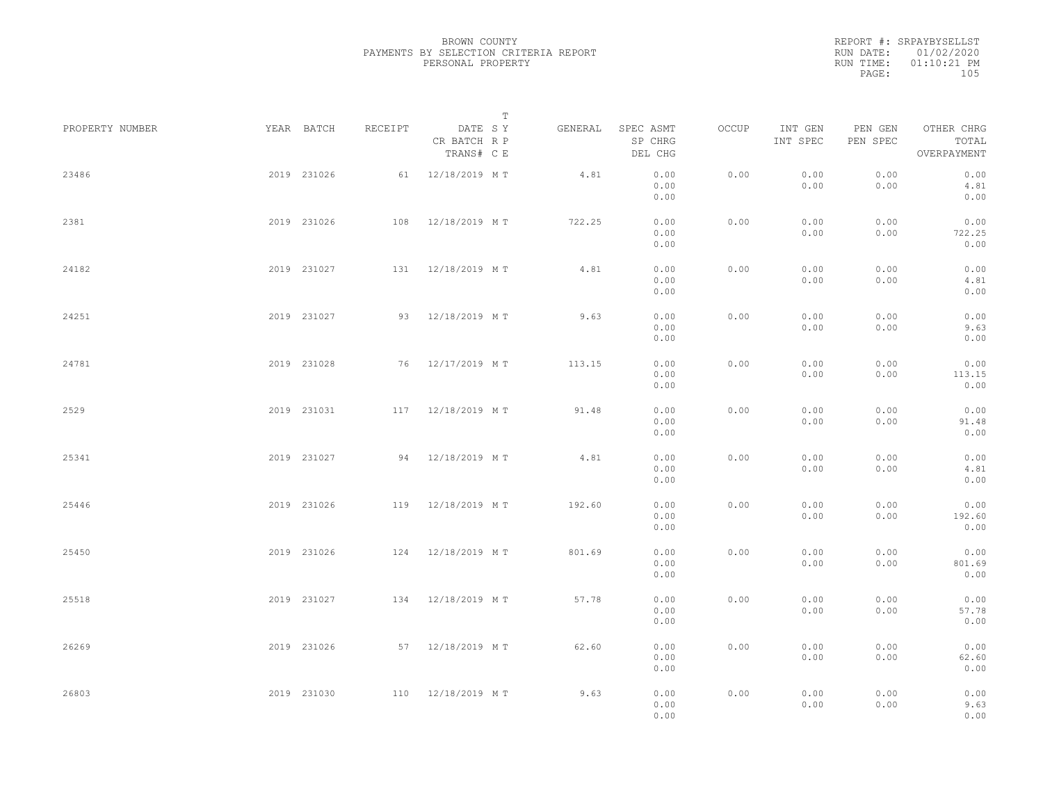|           | REPORT #: SRPAYBYSELLST |
|-----------|-------------------------|
|           | RUN DATE: 01/02/2020    |
| RUN TIME: | $01:10:21$ PM           |
| PAGE:     | 105                     |

|                 |             |             |         |                                       | $\mathbb T$ |                                 |       |                     |                     |                                    |  |
|-----------------|-------------|-------------|---------|---------------------------------------|-------------|---------------------------------|-------|---------------------|---------------------|------------------------------------|--|
| PROPERTY NUMBER |             | YEAR BATCH  | RECEIPT | DATE SY<br>CR BATCH R P<br>TRANS# C E | GENERAL     | SPEC ASMT<br>SP CHRG<br>DEL CHG | OCCUP | INT GEN<br>INT SPEC | PEN GEN<br>PEN SPEC | OTHER CHRG<br>TOTAL<br>OVERPAYMENT |  |
| 23486           |             | 2019 231026 |         | 61 12/18/2019 MT                      | 4.81        | 0.00<br>0.00<br>0.00            | 0.00  | 0.00<br>0.00        | 0.00<br>0.00        | 0.00<br>4.81<br>0.00               |  |
| 2381            |             | 2019 231026 |         | 108 12/18/2019 MT                     | 722.25      | 0.00<br>0.00<br>0.00            | 0.00  | 0.00<br>0.00        | 0.00<br>0.00        | 0.00<br>722.25<br>0.00             |  |
| 24182           |             | 2019 231027 |         | 131 12/18/2019 MT                     | 4.81        | 0.00<br>0.00<br>0.00            | 0.00  | 0.00<br>0.00        | 0.00<br>0.00        | 0.00<br>4.81<br>0.00               |  |
| 24251           |             | 2019 231027 |         | 93 12/18/2019 MT                      | 9.63        | 0.00<br>0.00<br>0.00            | 0.00  | 0.00<br>0.00        | 0.00<br>0.00        | 0.00<br>9.63<br>0.00               |  |
| 24781           |             | 2019 231028 |         | 76 12/17/2019 MT                      | 113.15      | 0.00<br>0.00<br>0.00            | 0.00  | 0.00<br>0.00        | 0.00<br>0.00        | 0.00<br>113.15<br>0.00             |  |
| 2529            |             | 2019 231031 |         | 117 12/18/2019 MT                     | 91.48       | 0.00<br>0.00<br>0.00            | 0.00  | 0.00<br>0.00        | 0.00<br>0.00        | 0.00<br>91.48<br>0.00              |  |
| 25341           |             | 2019 231027 |         | 94 12/18/2019 MT                      | 4.81        | 0.00<br>0.00<br>0.00            | 0.00  | 0.00<br>0.00        | 0.00<br>0.00        | 0.00<br>4.81<br>0.00               |  |
| 25446           |             | 2019 231026 |         | 119 12/18/2019 MT                     | 192.60      | 0.00<br>0.00<br>0.00            | 0.00  | 0.00<br>0.00        | 0.00<br>0.00        | 0.00<br>192.60<br>0.00             |  |
| 25450           |             | 2019 231026 |         | 124 12/18/2019 MT                     | 801.69      | 0.00<br>0.00<br>0.00            | 0.00  | 0.00<br>0.00        | 0.00<br>0.00        | 0.00<br>801.69<br>0.00             |  |
| 25518           |             | 2019 231027 |         | 134 12/18/2019 MT                     | 57.78       | 0.00<br>0.00<br>0.00            | 0.00  | 0.00<br>0.00        | 0.00<br>0.00        | 0.00<br>57.78<br>0.00              |  |
| 26269           |             | 2019 231026 |         | 57 12/18/2019 MT                      | 62.60       | 0.00<br>0.00<br>0.00            | 0.00  | 0.00<br>0.00        | 0.00<br>0.00        | 0.00<br>62.60<br>0.00              |  |
| 26803           | 2019 231030 |             |         | 110 12/18/2019 MT                     | 9.63        | 0.00<br>0.00<br>0.00            | 0.00  | 0.00<br>0.00        | 0.00<br>0.00        | 0.00<br>9.63<br>0.00               |  |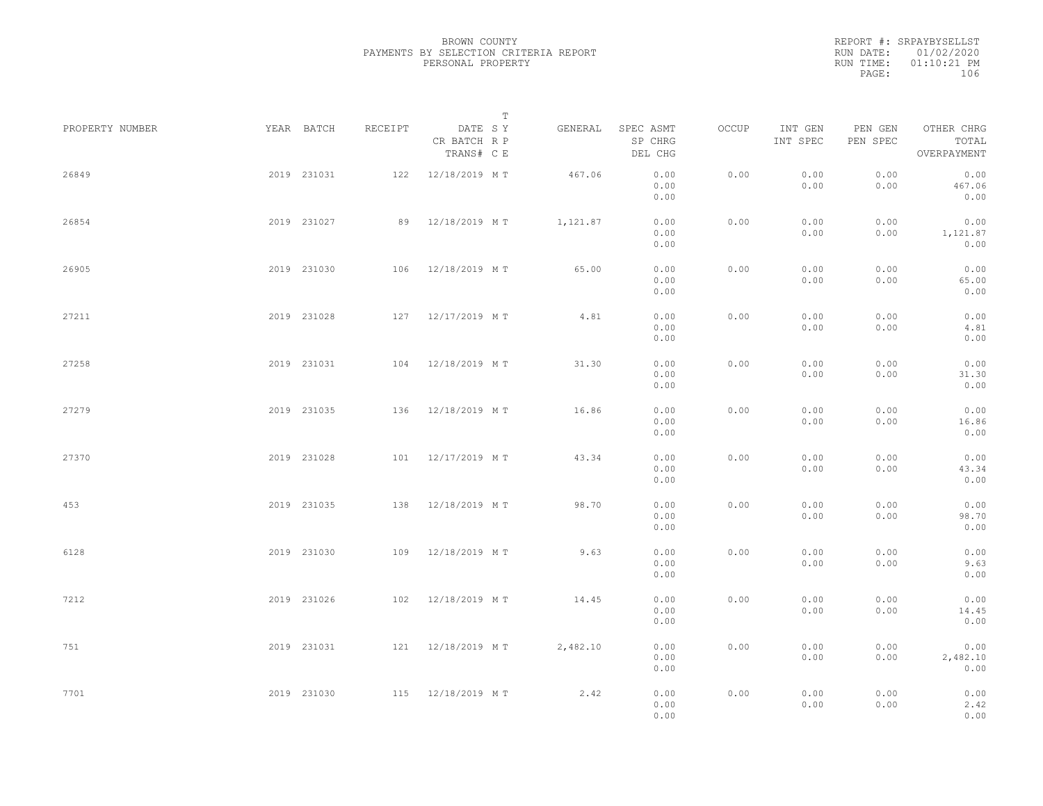|           | REPORT #: SRPAYBYSELLST |
|-----------|-------------------------|
|           | RUN DATE: 01/02/2020    |
| RUN TIME: | $01:10:21$ PM           |
| PAGE:     | 106                     |

|                 |             |         | $\mathbb T$                           |          |                                 |       |                     |                     |                                    |  |
|-----------------|-------------|---------|---------------------------------------|----------|---------------------------------|-------|---------------------|---------------------|------------------------------------|--|
| PROPERTY NUMBER | YEAR BATCH  | RECEIPT | DATE SY<br>CR BATCH R P<br>TRANS# C E | GENERAL  | SPEC ASMT<br>SP CHRG<br>DEL CHG | OCCUP | INT GEN<br>INT SPEC | PEN GEN<br>PEN SPEC | OTHER CHRG<br>TOTAL<br>OVERPAYMENT |  |
| 26849           | 2019 231031 |         | 122 12/18/2019 MT                     | 467.06   | 0.00<br>0.00<br>0.00            | 0.00  | 0.00<br>0.00        | 0.00<br>0.00        | 0.00<br>467.06<br>0.00             |  |
| 26854           | 2019 231027 |         | 89 12/18/2019 MT                      | 1,121.87 | 0.00<br>0.00<br>0.00            | 0.00  | 0.00<br>0.00        | 0.00<br>0.00        | 0.00<br>1,121.87<br>0.00           |  |
| 26905           | 2019 231030 |         | 106 12/18/2019 MT                     | 65.00    | 0.00<br>0.00<br>0.00            | 0.00  | 0.00<br>0.00        | 0.00<br>0.00        | 0.00<br>65.00<br>0.00              |  |
| 27211           | 2019 231028 |         | 127 12/17/2019 MT                     | 4.81     | 0.00<br>0.00<br>0.00            | 0.00  | 0.00<br>0.00        | 0.00<br>0.00        | 0.00<br>4.81<br>0.00               |  |
| 27258           | 2019 231031 |         | 104 12/18/2019 MT                     | 31.30    | 0.00<br>0.00<br>0.00            | 0.00  | 0.00<br>0.00        | 0.00<br>0.00        | 0.00<br>31.30<br>0.00              |  |
| 27279           | 2019 231035 |         | 136 12/18/2019 MT                     | 16.86    | 0.00<br>0.00<br>0.00            | 0.00  | 0.00<br>0.00        | 0.00<br>0.00        | 0.00<br>16.86<br>0.00              |  |
| 27370           | 2019 231028 | 101     | 12/17/2019 MT                         | 43.34    | 0.00<br>0.00<br>0.00            | 0.00  | 0.00<br>0.00        | 0.00<br>0.00        | 0.00<br>43.34<br>0.00              |  |
| 453             | 2019 231035 |         | 138 12/18/2019 MT                     | 98.70    | 0.00<br>0.00<br>0.00            | 0.00  | 0.00<br>0.00        | 0.00<br>0.00        | 0.00<br>98.70<br>0.00              |  |
| 6128            | 2019 231030 | 109     | 12/18/2019 MT                         | 9.63     | 0.00<br>0.00<br>0.00            | 0.00  | 0.00<br>0.00        | 0.00<br>0.00        | 0.00<br>9.63<br>0.00               |  |
| 7212            | 2019 231026 |         | 102 12/18/2019 MT                     | 14.45    | 0.00<br>0.00<br>0.00            | 0.00  | 0.00<br>0.00        | 0.00<br>0.00        | 0.00<br>14.45<br>0.00              |  |
| 751             | 2019 231031 |         | 121 12/18/2019 MT                     | 2,482.10 | 0.00<br>0.00<br>0.00            | 0.00  | 0.00<br>0.00        | 0.00<br>0.00        | 0.00<br>2,482.10<br>0.00           |  |
| 7701            | 2019 231030 |         | 115 12/18/2019 MT                     | 2,42     | 0.00<br>0.00<br>0.00            | 0.00  | 0.00<br>0.00        | 0.00<br>0.00        | 0.00<br>2.42<br>0.00               |  |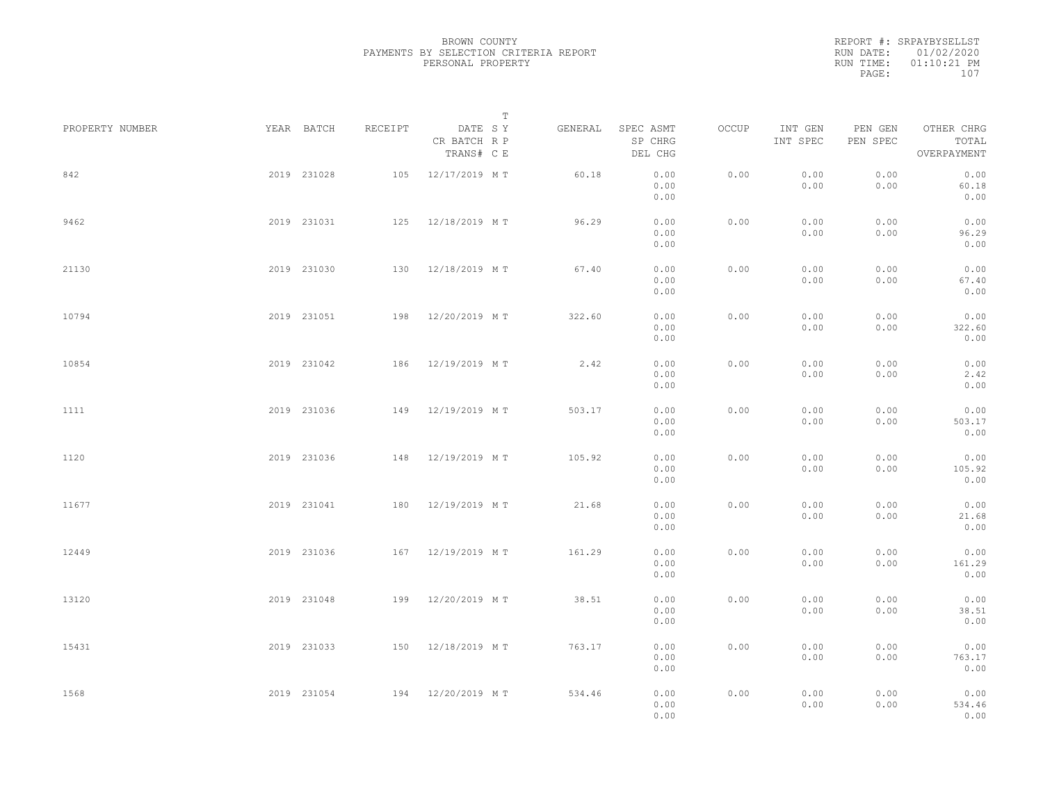REPORT #: SRPAYBYSELLST RUN DATE: 01/02/2020 RUN TIME: 01:10:21 PM PAGE: 107

|                 |             |             |         |                                       | $\mathbb T$ |                                 |       |                     |                     |                                    |  |
|-----------------|-------------|-------------|---------|---------------------------------------|-------------|---------------------------------|-------|---------------------|---------------------|------------------------------------|--|
| PROPERTY NUMBER | YEAR BATCH  |             | RECEIPT | DATE SY<br>CR BATCH R P<br>TRANS# C E | GENERAL     | SPEC ASMT<br>SP CHRG<br>DEL CHG | OCCUP | INT GEN<br>INT SPEC | PEN GEN<br>PEN SPEC | OTHER CHRG<br>TOTAL<br>OVERPAYMENT |  |
| 842             |             | 2019 231028 | 105     | 12/17/2019 MT                         | 60.18       | 0.00<br>0.00<br>0.00            | 0.00  | 0.00<br>0.00        | 0.00<br>0.00        | 0.00<br>60.18<br>0.00              |  |
| 9462            |             | 2019 231031 |         | 125 12/18/2019 MT                     | 96.29       | 0.00<br>0.00<br>0.00            | 0.00  | 0.00<br>0.00        | 0.00<br>0.00        | 0.00<br>96.29<br>0.00              |  |
| 21130           |             | 2019 231030 |         | 130 12/18/2019 MT                     | 67.40       | 0.00<br>0.00<br>0.00            | 0.00  | 0.00<br>0.00        | 0.00<br>0.00        | 0.00<br>67.40<br>0.00              |  |
| 10794           |             | 2019 231051 |         | 198 12/20/2019 MT                     | 322.60      | 0.00<br>0.00<br>0.00            | 0.00  | 0.00<br>0.00        | 0.00<br>0.00        | 0.00<br>322.60<br>0.00             |  |
| 10854           |             | 2019 231042 |         | 186 12/19/2019 MT                     | 2.42        | 0.00<br>0.00<br>0.00            | 0.00  | 0.00<br>0.00        | 0.00<br>0.00        | 0.00<br>2.42<br>0.00               |  |
| 1111            |             | 2019 231036 | 149     | 12/19/2019 MT                         | 503.17      | 0.00<br>0.00<br>0.00            | 0.00  | 0.00<br>0.00        | 0.00<br>0.00        | 0.00<br>503.17<br>0.00             |  |
| 1120            |             | 2019 231036 | 148     | 12/19/2019 MT                         | 105.92      | 0.00<br>0.00<br>0.00            | 0.00  | 0.00<br>0.00        | 0.00<br>0.00        | 0.00<br>105.92<br>0.00             |  |
| 11677           |             | 2019 231041 | 180     | 12/19/2019 MT                         | 21.68       | 0.00<br>0.00<br>0.00            | 0.00  | 0.00<br>0.00        | 0.00<br>0.00        | 0.00<br>21.68<br>0.00              |  |
| 12449           |             | 2019 231036 |         | 167 12/19/2019 MT                     | 161.29      | 0.00<br>0.00<br>0.00            | 0.00  | 0.00<br>0.00        | 0.00<br>0.00        | 0.00<br>161.29<br>0.00             |  |
| 13120           |             | 2019 231048 |         | 199 12/20/2019 MT                     | 38.51       | 0.00<br>0.00<br>0.00            | 0.00  | 0.00<br>0.00        | 0.00<br>0.00        | 0.00<br>38.51<br>0.00              |  |
| 15431           | 2019 231033 |             |         | 150 12/18/2019 MT                     | 763.17      | 0.00<br>0.00                    | 0.00  | 0.00<br>0.00        | 0.00<br>0.00        | 0.00<br>763.17<br>0.00             |  |
| 1568            | 2019 231054 |             |         | 194 12/20/2019 MT                     | 534.46      | 0.00<br>0.00<br>0.00<br>0.00    | 0.00  | 0.00<br>0.00        | 0.00<br>0.00        | 0.00<br>534.46<br>0.00             |  |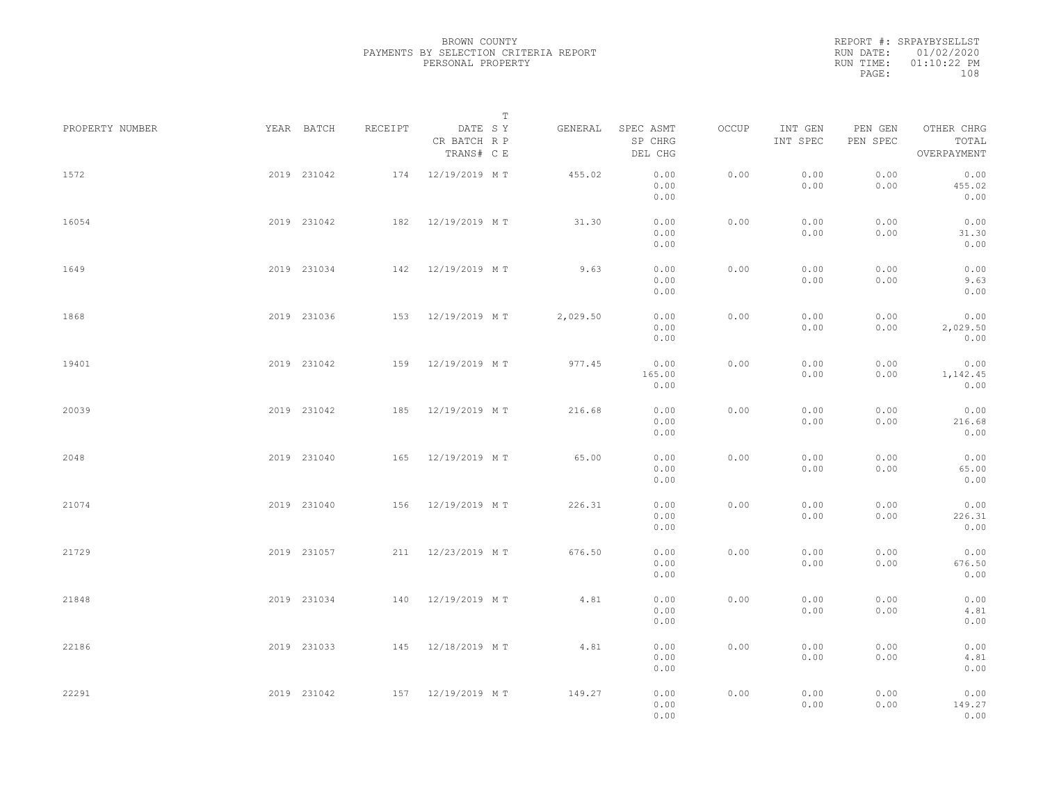|                 |             |         |                                       | $\mathbb{T}$ |          |                                 |       |                     |                     |                                    |  |
|-----------------|-------------|---------|---------------------------------------|--------------|----------|---------------------------------|-------|---------------------|---------------------|------------------------------------|--|
| PROPERTY NUMBER | YEAR BATCH  | RECEIPT | DATE SY<br>CR BATCH R P<br>TRANS# C E |              | GENERAL  | SPEC ASMT<br>SP CHRG<br>DEL CHG | OCCUP | INT GEN<br>INT SPEC | PEN GEN<br>PEN SPEC | OTHER CHRG<br>TOTAL<br>OVERPAYMENT |  |
| 1572            | 2019 231042 |         | 174 12/19/2019 MT                     |              | 455.02   | 0.00<br>0.00<br>0.00            | 0.00  | 0.00<br>0.00        | 0.00<br>0.00        | 0.00<br>455.02<br>0.00             |  |
| 16054           | 2019 231042 |         | 182 12/19/2019 MT                     |              | 31.30    | 0.00<br>0.00<br>0.00            | 0.00  | 0.00<br>0.00        | 0.00<br>0.00        | 0.00<br>31.30<br>0.00              |  |
| 1649            | 2019 231034 |         | 142 12/19/2019 MT                     |              | 9.63     | 0.00<br>0.00<br>0.00            | 0.00  | 0.00<br>0.00        | 0.00<br>0.00        | 0.00<br>9.63<br>0.00               |  |
| 1868            | 2019 231036 |         | 153 12/19/2019 MT                     |              | 2,029.50 | 0.00<br>0.00<br>0.00            | 0.00  | 0.00<br>0.00        | 0.00<br>0.00        | 0.00<br>2,029.50<br>0.00           |  |
| 19401           | 2019 231042 | 159     | 12/19/2019 MT                         |              | 977.45   | 0.00<br>165.00<br>0.00          | 0.00  | 0.00<br>0.00        | 0.00<br>0.00        | 0.00<br>1,142.45<br>0.00           |  |
| 20039           | 2019 231042 | 185     | 12/19/2019 MT                         |              | 216.68   | 0.00<br>0.00<br>0.00            | 0.00  | 0.00<br>0.00        | 0.00<br>0.00        | 0.00<br>216.68<br>0.00             |  |
| 2048            | 2019 231040 | 165     | 12/19/2019 MT                         |              | 65.00    | 0.00<br>0.00<br>0.00            | 0.00  | 0.00<br>0.00        | 0.00<br>0.00        | 0.00<br>65.00<br>0.00              |  |
| 21074           | 2019 231040 |         | 156 12/19/2019 MT                     |              | 226.31   | 0.00<br>0.00<br>0.00            | 0.00  | 0.00<br>0.00        | 0.00<br>0.00        | 0.00<br>226.31<br>0.00             |  |
| 21729           | 2019 231057 |         | 211 12/23/2019 MT                     |              | 676.50   | 0.00<br>0.00<br>0.00            | 0.00  | 0.00<br>0.00        | 0.00<br>0.00        | 0.00<br>676.50<br>0.00             |  |
| 21848           | 2019 231034 |         | 140 12/19/2019 MT                     |              | 4.81     | 0.00<br>0.00<br>0.00            | 0.00  | 0.00<br>0.00        | 0.00<br>0.00        | 0.00<br>4.81<br>0.00               |  |
| 22186           | 2019 231033 |         | 145 12/18/2019 MT                     |              | 4.81     | 0.00<br>0.00<br>0.00            | 0.00  | 0.00<br>0.00        | 0.00<br>0.00        | 0.00<br>4.81<br>0.00               |  |
| 22291           | 2019 231042 |         | 157 12/19/2019 MT                     |              | 149.27   | 0.00<br>0.00<br>0.00            | 0.00  | 0.00<br>0.00        | 0.00<br>0.00        | 0.00<br>149.27<br>0.00             |  |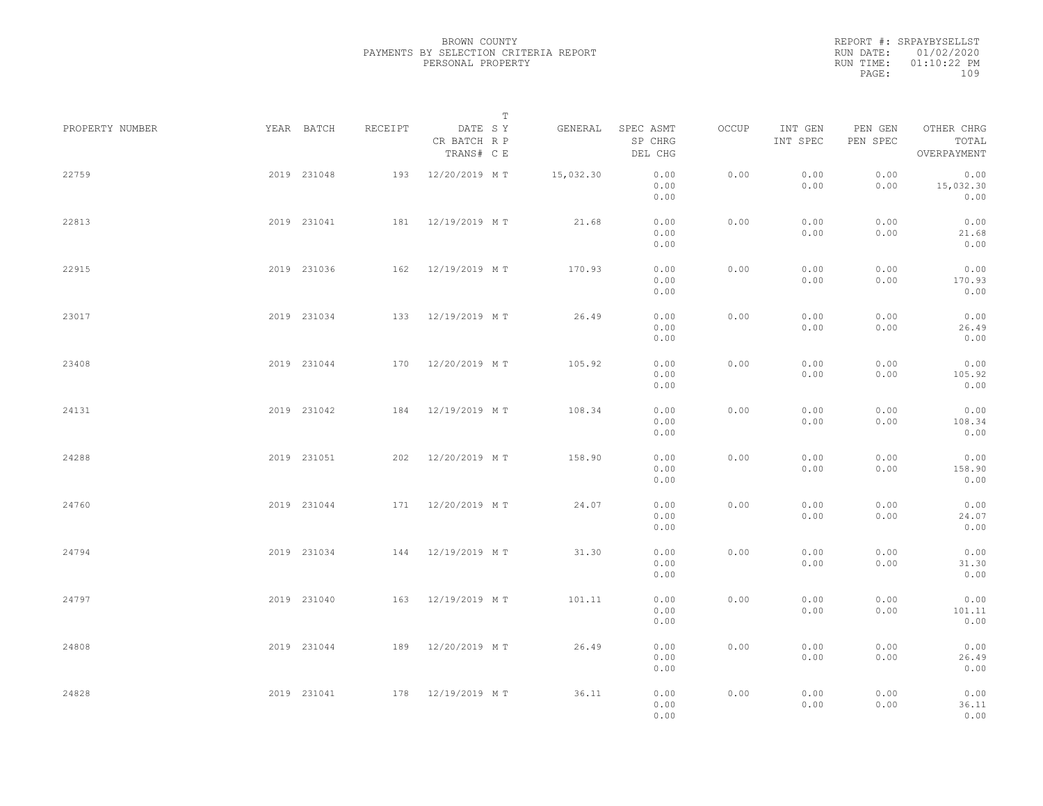REPORT #: SRPAYBYSELLST RUN DATE: 01/02/2020 RUN TIME: 01:10:22 PM PAGE: 109

|                 |             |         |                                       | T |           |                                 |       |                     |                     |                                    |  |
|-----------------|-------------|---------|---------------------------------------|---|-----------|---------------------------------|-------|---------------------|---------------------|------------------------------------|--|
| PROPERTY NUMBER | YEAR BATCH  | RECEIPT | DATE SY<br>CR BATCH R P<br>TRANS# C E |   | GENERAL   | SPEC ASMT<br>SP CHRG<br>DEL CHG | OCCUP | INT GEN<br>INT SPEC | PEN GEN<br>PEN SPEC | OTHER CHRG<br>TOTAL<br>OVERPAYMENT |  |
| 22759           | 2019 231048 |         | 193 12/20/2019 MT                     |   | 15,032.30 | 0.00<br>0.00<br>0.00            | 0.00  | 0.00<br>0.00        | 0.00<br>0.00        | 0.00<br>15,032.30<br>0.00          |  |
| 22813           | 2019 231041 |         | 181 12/19/2019 MT                     |   | 21.68     | 0.00<br>0.00<br>0.00            | 0.00  | 0.00<br>0.00        | 0.00<br>0.00        | 0.00<br>21.68<br>0.00              |  |
| 22915           | 2019 231036 |         | 162 12/19/2019 MT                     |   | 170.93    | 0.00<br>0.00<br>0.00            | 0.00  | 0.00<br>0.00        | 0.00<br>0.00        | 0.00<br>170.93<br>0.00             |  |
| 23017           | 2019 231034 |         | 133 12/19/2019 MT                     |   | 26.49     | 0.00<br>0.00<br>0.00            | 0.00  | 0.00<br>0.00        | 0.00<br>0.00        | 0.00<br>26.49<br>0.00              |  |
| 23408           | 2019 231044 | 170     | 12/20/2019 MT                         |   | 105.92    | 0.00<br>0.00<br>0.00            | 0.00  | 0.00<br>0.00        | 0.00<br>0.00        | 0.00<br>105.92<br>0.00             |  |
| 24131           | 2019 231042 | 184     | 12/19/2019 MT                         |   | 108.34    | 0.00<br>0.00<br>0.00            | 0.00  | 0.00<br>0.00        | 0.00<br>0.00        | 0.00<br>108.34<br>0.00             |  |
| 24288           | 2019 231051 |         | 202 12/20/2019 MT                     |   | 158.90    | 0.00<br>0.00<br>0.00            | 0.00  | 0.00<br>0.00        | 0.00<br>0.00        | 0.00<br>158.90<br>0.00             |  |
| 24760           | 2019 231044 |         | 171 12/20/2019 MT                     |   | 24.07     | 0.00<br>0.00<br>0.00            | 0.00  | 0.00<br>0.00        | 0.00<br>0.00        | 0.00<br>24.07<br>0.00              |  |
| 24794           | 2019 231034 |         | 144 12/19/2019 MT                     |   | 31.30     | 0.00<br>0.00<br>0.00            | 0.00  | 0.00<br>0.00        | 0.00<br>0.00        | 0.00<br>31.30<br>0.00              |  |
| 24797           | 2019 231040 |         | 163 12/19/2019 MT                     |   | 101.11    | 0.00<br>0.00<br>0.00            | 0.00  | 0.00<br>0.00        | 0.00<br>0.00        | 0.00<br>101.11<br>0.00             |  |
| 24808           | 2019 231044 |         | 189 12/20/2019 MT                     |   | 26.49     | 0.00<br>0.00<br>0.00            | 0.00  | 0.00<br>0.00        | 0.00<br>0.00        | 0.00<br>26.49<br>0.00              |  |
| 24828           | 2019 231041 |         | 178 12/19/2019 MT                     |   | 36.11     | 0.00<br>0.00<br>0.00            | 0.00  | 0.00<br>0.00        | 0.00<br>0.00        | 0.00<br>36.11<br>0.00              |  |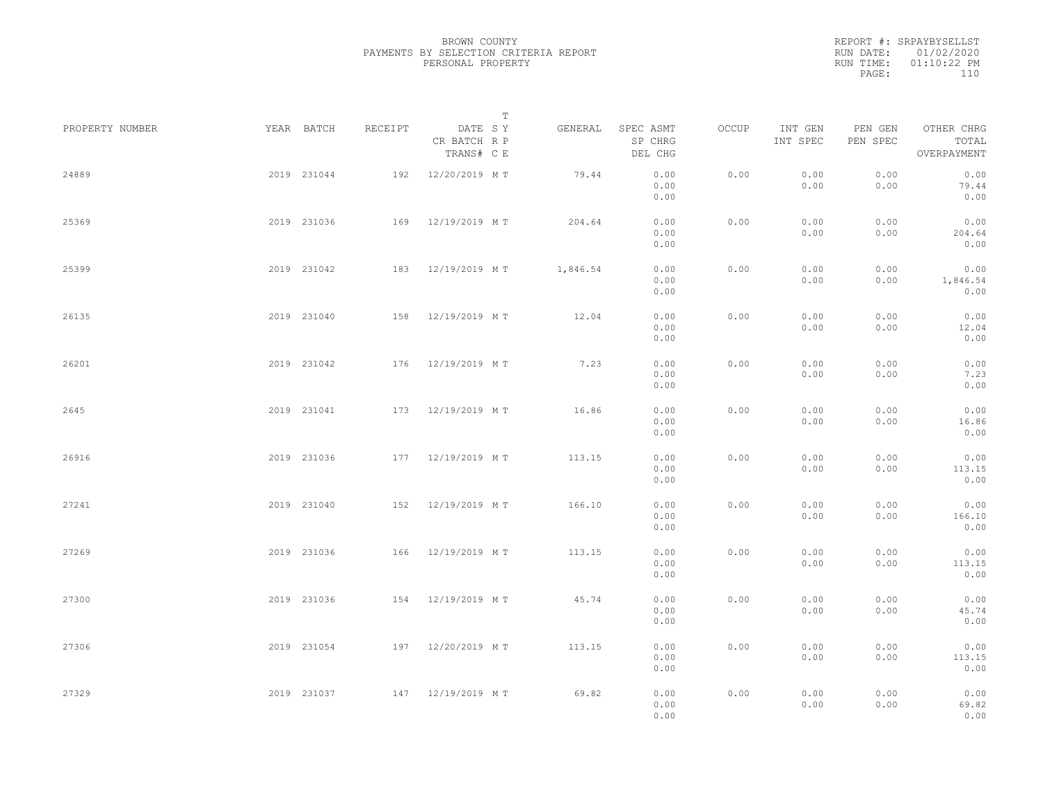REPORT #: SRPAYBYSELLST RUN DATE: 01/02/2020 RUN TIME: 01:10:22 PM PAGE: 110

|                 |             |         |                                       | $\mathbb T$ |          |                                 |       |                     |                     |                                    |  |
|-----------------|-------------|---------|---------------------------------------|-------------|----------|---------------------------------|-------|---------------------|---------------------|------------------------------------|--|
| PROPERTY NUMBER | YEAR BATCH  | RECEIPT | DATE SY<br>CR BATCH R P<br>TRANS# C E |             | GENERAL  | SPEC ASMT<br>SP CHRG<br>DEL CHG | OCCUP | INT GEN<br>INT SPEC | PEN GEN<br>PEN SPEC | OTHER CHRG<br>TOTAL<br>OVERPAYMENT |  |
| 24889           | 2019 231044 |         | 192 12/20/2019 MT                     |             | 79.44    | 0.00<br>0.00<br>0.00            | 0.00  | 0.00<br>0.00        | 0.00<br>0.00        | 0.00<br>79.44<br>0.00              |  |
| 25369           | 2019 231036 |         | 169 12/19/2019 MT                     |             | 204.64   | 0.00<br>0.00<br>0.00            | 0.00  | 0.00<br>0.00        | 0.00<br>0.00        | 0.00<br>204.64<br>0.00             |  |
| 25399           | 2019 231042 |         | 183 12/19/2019 MT                     |             | 1,846.54 | 0.00<br>0.00<br>0.00            | 0.00  | 0.00<br>0.00        | 0.00<br>0.00        | 0.00<br>1,846.54<br>0.00           |  |
| 26135           | 2019 231040 |         | 158 12/19/2019 MT                     |             | 12.04    | 0.00<br>0.00<br>0.00            | 0.00  | 0.00<br>0.00        | 0.00<br>0.00        | 0.00<br>12.04<br>0.00              |  |
| 26201           | 2019 231042 |         | 176 12/19/2019 MT                     |             | 7.23     | 0.00<br>0.00<br>0.00            | 0.00  | 0.00<br>0.00        | 0.00<br>0.00        | 0.00<br>7.23<br>0.00               |  |
| 2645            | 2019 231041 | 173     | 12/19/2019 MT                         |             | 16.86    | 0.00<br>0.00<br>0.00            | 0.00  | 0.00<br>0.00        | 0.00<br>0.00        | 0.00<br>16.86<br>0.00              |  |
| 26916           | 2019 231036 |         | 177 12/19/2019 MT                     |             | 113.15   | 0.00<br>0.00<br>0.00            | 0.00  | 0.00<br>0.00        | 0.00<br>0.00        | 0.00<br>113.15<br>0.00             |  |
| 27241           | 2019 231040 |         | 152 12/19/2019 MT                     |             | 166.10   | 0.00<br>0.00<br>0.00            | 0.00  | 0.00<br>0.00        | 0.00<br>0.00        | 0.00<br>166.10<br>0.00             |  |
| 27269           | 2019 231036 |         | 166 12/19/2019 MT                     |             | 113.15   | 0.00<br>0.00<br>0.00            | 0.00  | 0.00<br>0.00        | 0.00<br>0.00        | 0.00<br>113.15<br>0.00             |  |
| 27300           | 2019 231036 |         | 154 12/19/2019 MT                     |             | 45.74    | 0.00<br>0.00<br>0.00            | 0.00  | 0.00<br>0.00        | 0.00<br>0.00        | 0.00<br>45.74<br>0.00              |  |
| 27306           | 2019 231054 |         | 197 12/20/2019 MT                     |             | 113.15   | 0.00<br>0.00<br>0.00            | 0.00  | 0.00<br>0.00        | 0.00<br>0.00        | 0.00<br>113.15<br>0.00             |  |
| 27329           | 2019 231037 |         | 147 12/19/2019 MT                     |             | 69.82    | 0.00<br>0.00<br>0.00            | 0.00  | 0.00<br>0.00        | 0.00<br>0.00        | 0.00<br>69.82<br>0.00              |  |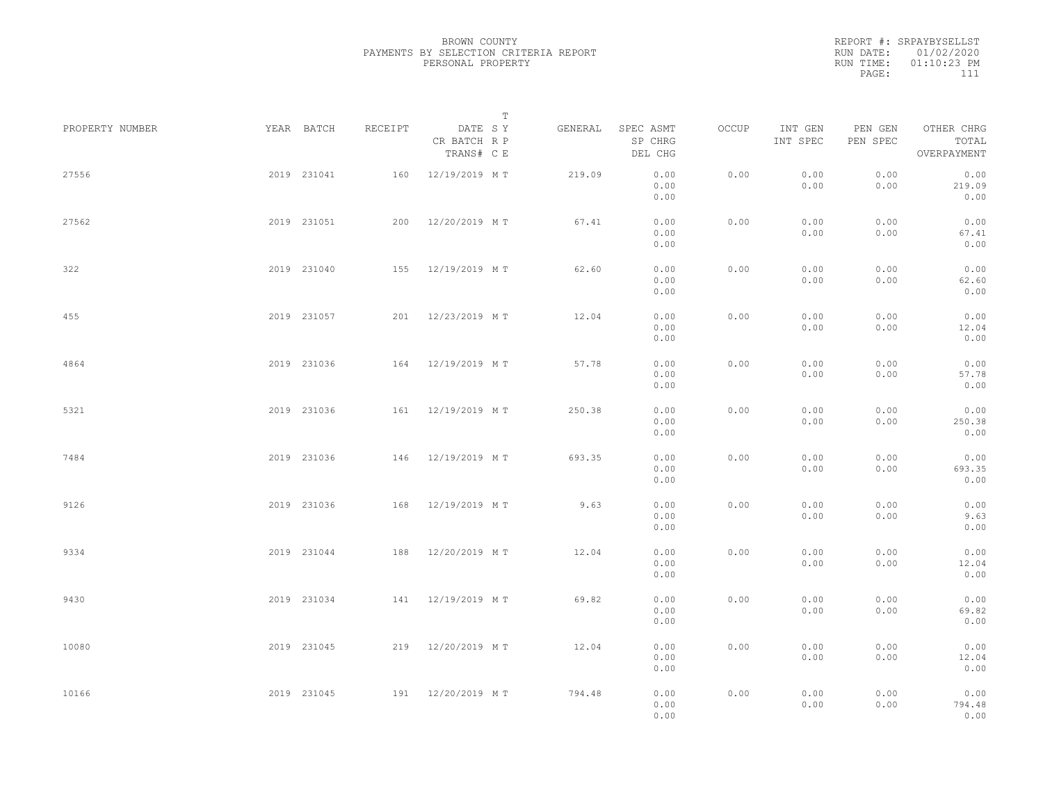| RUN DATE: 01/02/2020<br>$01:10:23$ PM<br>RUN TIME:<br>111<br>PAGE: | REPORT #: SRPAYBYSELLST |
|--------------------------------------------------------------------|-------------------------|
|                                                                    |                         |
|                                                                    |                         |
|                                                                    |                         |

|                 |             |             |         |                                       | T |         |                                 |       |                     |                     |                                    |  |
|-----------------|-------------|-------------|---------|---------------------------------------|---|---------|---------------------------------|-------|---------------------|---------------------|------------------------------------|--|
| PROPERTY NUMBER |             | YEAR BATCH  | RECEIPT | DATE SY<br>CR BATCH R P<br>TRANS# C E |   | GENERAL | SPEC ASMT<br>SP CHRG<br>DEL CHG | OCCUP | INT GEN<br>INT SPEC | PEN GEN<br>PEN SPEC | OTHER CHRG<br>TOTAL<br>OVERPAYMENT |  |
| 27556           |             | 2019 231041 | 160     | 12/19/2019 MT                         |   | 219.09  | 0.00<br>0.00<br>0.00            | 0.00  | 0.00<br>0.00        | 0.00<br>0.00        | 0.00<br>219.09<br>0.00             |  |
| 27562           |             | 2019 231051 |         | 200 12/20/2019 MT                     |   | 67.41   | 0.00<br>0.00<br>0.00            | 0.00  | 0.00<br>0.00        | 0.00<br>0.00        | 0.00<br>67.41<br>0.00              |  |
| 322             |             | 2019 231040 |         | 155 12/19/2019 MT                     |   | 62.60   | 0.00<br>0.00<br>0.00            | 0.00  | 0.00<br>0.00        | 0.00<br>0.00        | 0.00<br>62.60<br>0.00              |  |
| 455             |             | 2019 231057 |         | 201 12/23/2019 MT                     |   | 12.04   | 0.00<br>0.00<br>0.00            | 0.00  | 0.00<br>0.00        | 0.00<br>0.00        | 0.00<br>12.04<br>0.00              |  |
| 4864            |             | 2019 231036 |         | 164 12/19/2019 MT                     |   | 57.78   | 0.00<br>0.00<br>0.00            | 0.00  | 0.00<br>0.00        | 0.00<br>0.00        | 0.00<br>57.78<br>0.00              |  |
| 5321            |             | 2019 231036 |         | 161 12/19/2019 MT                     |   | 250.38  | 0.00<br>0.00<br>0.00            | 0.00  | 0.00<br>0.00        | 0.00<br>0.00        | 0.00<br>250.38<br>0.00             |  |
| 7484            |             | 2019 231036 | 146     | 12/19/2019 MT                         |   | 693.35  | 0.00<br>0.00<br>0.00            | 0.00  | 0.00<br>0.00        | 0.00<br>0.00        | 0.00<br>693.35<br>0.00             |  |
| 9126            |             | 2019 231036 | 168     | 12/19/2019 MT                         |   | 9.63    | 0.00<br>0.00<br>0.00            | 0.00  | 0.00<br>0.00        | 0.00<br>0.00        | 0.00<br>9.63<br>0.00               |  |
| 9334            |             | 2019 231044 | 188     | 12/20/2019 MT                         |   | 12.04   | 0.00<br>0.00<br>0.00            | 0.00  | 0.00<br>0.00        | 0.00<br>0.00        | 0.00<br>12.04<br>0.00              |  |
| 9430            |             | 2019 231034 |         | 141 12/19/2019 MT                     |   | 69.82   | 0.00<br>0.00<br>0.00            | 0.00  | 0.00<br>0.00        | 0.00<br>0.00        | 0.00<br>69.82<br>0.00              |  |
| 10080           |             | 2019 231045 |         | 219 12/20/2019 MT                     |   | 12.04   | 0.00<br>0.00<br>0.00            | 0.00  | 0.00<br>0.00        | 0.00<br>0.00        | 0.00<br>12.04<br>0.00              |  |
| 10166           | 2019 231045 |             |         | 191 12/20/2019 MT                     |   | 794.48  | 0.00<br>0.00<br>0.00            | 0.00  | 0.00<br>0.00        | 0.00<br>0.00        | 0.00<br>794.48<br>0.00             |  |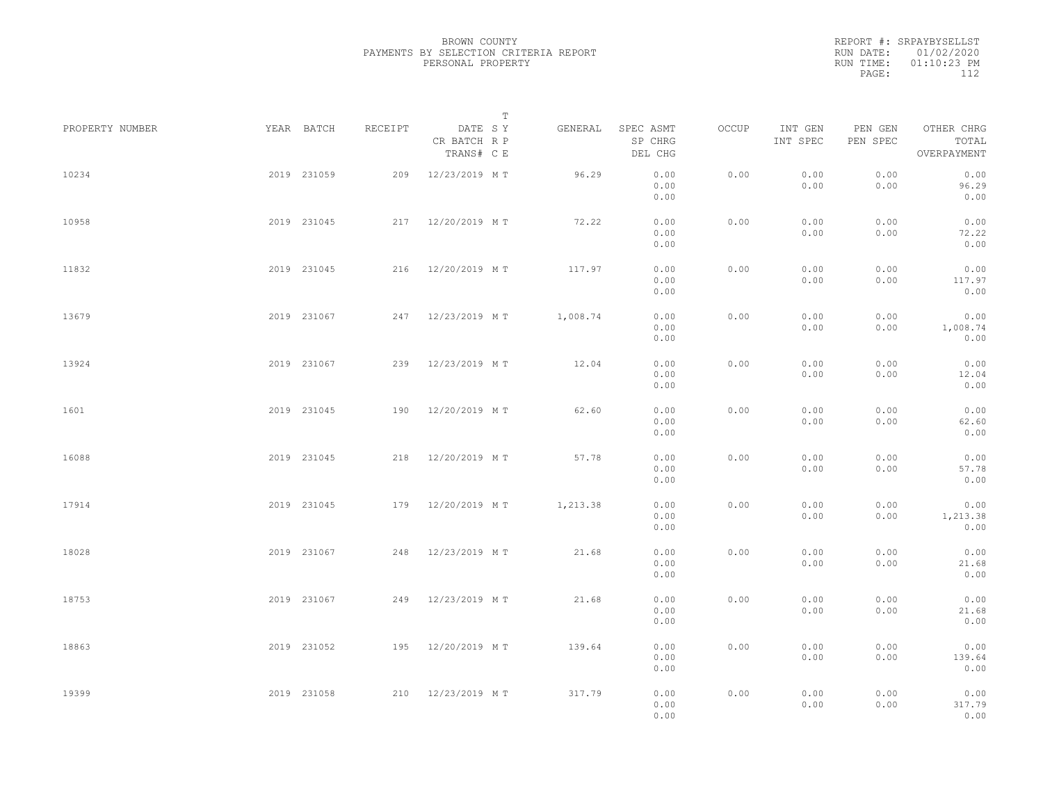REPORT #: SRPAYBYSELLST RUN DATE: 01/02/2020 RUN TIME: 01:10:23 PM PAGE: 112

|                 |             |         | $\mathbb T$                           |          |                                 |       |                     |                     |                                    |  |
|-----------------|-------------|---------|---------------------------------------|----------|---------------------------------|-------|---------------------|---------------------|------------------------------------|--|
| PROPERTY NUMBER | YEAR BATCH  | RECEIPT | DATE SY<br>CR BATCH R P<br>TRANS# C E | GENERAL  | SPEC ASMT<br>SP CHRG<br>DEL CHG | OCCUP | INT GEN<br>INT SPEC | PEN GEN<br>PEN SPEC | OTHER CHRG<br>TOTAL<br>OVERPAYMENT |  |
| 10234           | 2019 231059 | 209     | 12/23/2019 MT                         | 96.29    | 0.00<br>0.00<br>0.00            | 0.00  | 0.00<br>0.00        | 0.00<br>0.00        | 0.00<br>96.29<br>0.00              |  |
| 10958           | 2019 231045 |         | 217 12/20/2019 MT                     | 72.22    | 0.00<br>0.00<br>0.00            | 0.00  | 0.00<br>0.00        | 0.00<br>0.00        | 0.00<br>72.22<br>0.00              |  |
| 11832           | 2019 231045 |         | 216 12/20/2019 MT                     | 117.97   | 0.00<br>0.00<br>0.00            | 0.00  | 0.00<br>0.00        | 0.00<br>0.00        | 0.00<br>117.97<br>0.00             |  |
| 13679           | 2019 231067 |         | 247 12/23/2019 MT                     | 1,008.74 | 0.00<br>0.00<br>0.00            | 0.00  | 0.00<br>0.00        | 0.00<br>0.00        | 0.00<br>1,008.74<br>0.00           |  |
| 13924           | 2019 231067 |         | 239 12/23/2019 MT                     | 12.04    | 0.00<br>0.00<br>0.00            | 0.00  | 0.00<br>0.00        | 0.00<br>0.00        | 0.00<br>12.04<br>0.00              |  |
| 1601            | 2019 231045 | 190     | 12/20/2019 MT                         | 62.60    | 0.00<br>0.00<br>0.00            | 0.00  | 0.00<br>0.00        | 0.00<br>0.00        | 0.00<br>62.60<br>0.00              |  |
| 16088           | 2019 231045 | 218     | 12/20/2019 MT                         | 57.78    | 0.00<br>0.00<br>0.00            | 0.00  | 0.00<br>0.00        | 0.00<br>0.00        | 0.00<br>57.78<br>0.00              |  |
| 17914           | 2019 231045 |         | 179 12/20/2019 MT                     | 1,213.38 | 0.00<br>0.00<br>0.00            | 0.00  | 0.00<br>0.00        | 0.00<br>0.00        | 0.00<br>1,213.38<br>0.00           |  |
| 18028           | 2019 231067 |         | 248 12/23/2019 MT                     | 21.68    | 0.00<br>0.00<br>0.00            | 0.00  | 0.00<br>0.00        | 0.00<br>0.00        | 0.00<br>21.68<br>0.00              |  |
| 18753           | 2019 231067 |         | 249 12/23/2019 MT                     | 21.68    | 0.00<br>0.00<br>0.00            | 0.00  | 0.00<br>0.00        | 0.00<br>0.00        | 0.00<br>21.68<br>0.00              |  |
| 18863           | 2019 231052 |         | 195 12/20/2019 MT                     | 139.64   | 0.00<br>0.00<br>0.00            | 0.00  | 0.00<br>0.00        | 0.00<br>0.00        | 0.00<br>139.64<br>0.00             |  |
| 19399           | 2019 231058 |         | 210 12/23/2019 MT                     | 317.79   | 0.00<br>0.00<br>0.00            | 0.00  | 0.00<br>0.00        | 0.00<br>0.00        | 0.00<br>317.79<br>0.00             |  |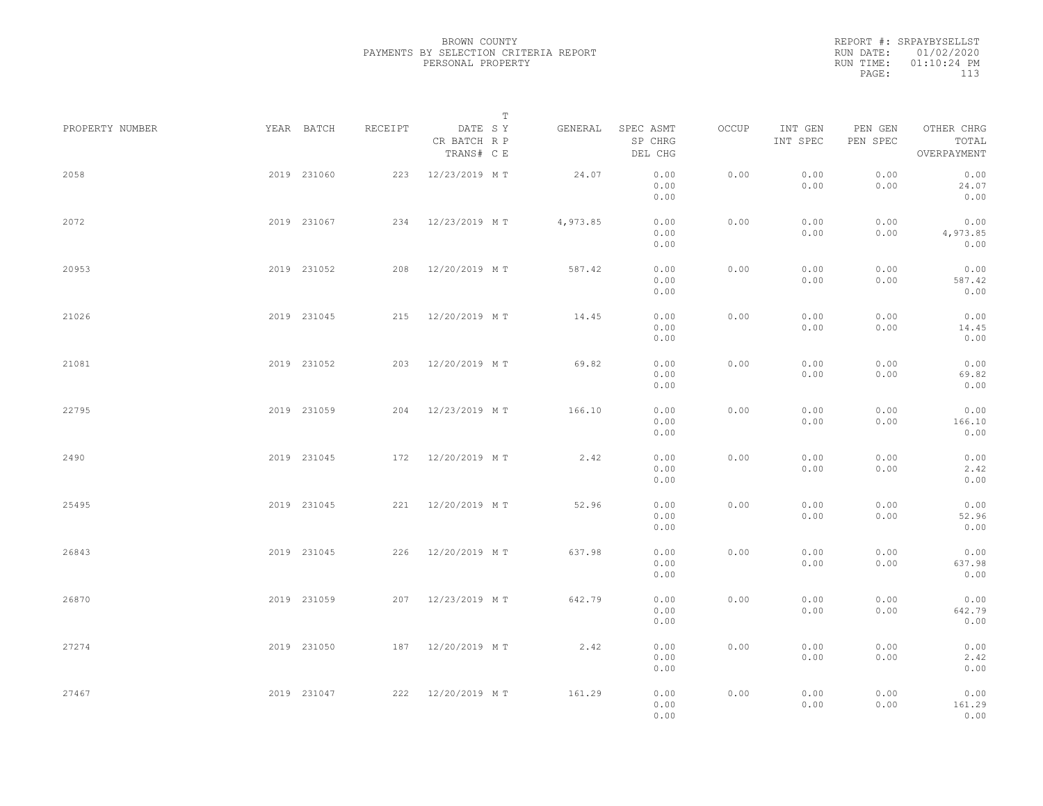REPORT #: SRPAYBYSELLST RUN DATE: 01/02/2020 RUN TIME: 01:10:24 PM PAGE: 113

|                 |             |         | $\mathbb T$                           |          |                                 |              |                     |                     |                                    |  |
|-----------------|-------------|---------|---------------------------------------|----------|---------------------------------|--------------|---------------------|---------------------|------------------------------------|--|
| PROPERTY NUMBER | YEAR BATCH  | RECEIPT | DATE SY<br>CR BATCH R P<br>TRANS# C E | GENERAL  | SPEC ASMT<br>SP CHRG<br>DEL CHG | <b>OCCUP</b> | INT GEN<br>INT SPEC | PEN GEN<br>PEN SPEC | OTHER CHRG<br>TOTAL<br>OVERPAYMENT |  |
| 2058            | 2019 231060 |         | 223 12/23/2019 MT                     | 24.07    | 0.00<br>0.00<br>0.00            | 0.00         | 0.00<br>0.00        | 0.00<br>0.00        | 0.00<br>24.07<br>0.00              |  |
| 2072            | 2019 231067 |         | 234 12/23/2019 MT                     | 4,973.85 | 0.00<br>0.00<br>0.00            | 0.00         | 0.00<br>0.00        | 0.00<br>0.00        | 0.00<br>4,973.85<br>0.00           |  |
| 20953           | 2019 231052 |         | 208 12/20/2019 MT                     | 587.42   | 0.00<br>0.00<br>0.00            | 0.00         | 0.00<br>0.00        | 0.00<br>0.00        | 0.00<br>587.42<br>0.00             |  |
| 21026           | 2019 231045 |         | 215 12/20/2019 MT                     | 14.45    | 0.00<br>0.00<br>0.00            | 0.00         | 0.00<br>0.00        | 0.00<br>0.00        | 0.00<br>14.45<br>0.00              |  |
| 21081           | 2019 231052 |         | 203 12/20/2019 MT                     | 69.82    | 0.00<br>0.00<br>0.00            | 0.00         | 0.00<br>0.00        | 0.00<br>0.00        | 0.00<br>69.82<br>0.00              |  |
| 22795           | 2019 231059 | 204     | 12/23/2019 MT                         | 166.10   | 0.00<br>0.00<br>0.00            | 0.00         | 0.00<br>0.00        | 0.00<br>0.00        | 0.00<br>166.10<br>0.00             |  |
| 2490            | 2019 231045 | 172     | 12/20/2019 MT                         | 2.42     | 0.00<br>0.00<br>0.00            | 0.00         | 0.00<br>0.00        | 0.00<br>0.00        | 0.00<br>2.42<br>0.00               |  |
| 25495           | 2019 231045 |         | 221 12/20/2019 MT                     | 52.96    | 0.00<br>0.00<br>0.00            | 0.00         | 0.00<br>0.00        | 0.00<br>0.00        | 0.00<br>52.96<br>0.00              |  |
| 26843           | 2019 231045 |         | 226 12/20/2019 MT                     | 637.98   | 0.00<br>0.00<br>0.00            | 0.00         | 0.00<br>0.00        | 0.00<br>0.00        | 0.00<br>637.98<br>0.00             |  |
| 26870           | 2019 231059 |         | 207 12/23/2019 MT                     | 642.79   | 0.00<br>0.00<br>0.00            | 0.00         | 0.00<br>0.00        | 0.00<br>0.00        | 0.00<br>642.79<br>0.00             |  |
| 27274           | 2019 231050 |         | 187 12/20/2019 MT                     | 2.42     | 0.00<br>0.00<br>0.00            | 0.00         | 0.00<br>0.00        | 0.00<br>0.00        | 0.00<br>2.42<br>0.00               |  |
| 27467           | 2019 231047 |         | 222 12/20/2019 MT                     | 161.29   | 0.00<br>0.00<br>0.00            | 0.00         | 0.00<br>0.00        | 0.00<br>0.00        | 0.00<br>161.29<br>0.00             |  |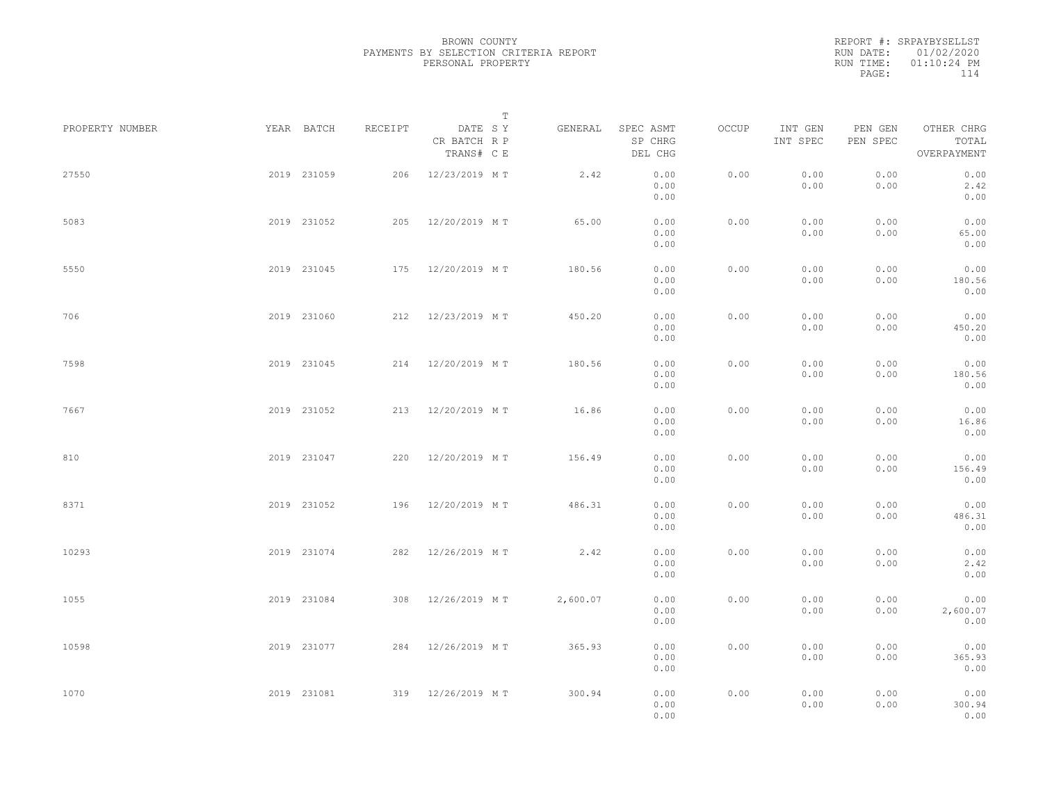REPORT #: SRPAYBYSELLST RUN DATE: 01/02/2020 RUN TIME: 01:10:24 PM PAGE: 114

|                 |             |             |         |                                       | $\mathbb T$ |          |                                 |       |                     |                     |                                    |  |
|-----------------|-------------|-------------|---------|---------------------------------------|-------------|----------|---------------------------------|-------|---------------------|---------------------|------------------------------------|--|
| PROPERTY NUMBER | YEAR BATCH  |             | RECEIPT | DATE SY<br>CR BATCH R P<br>TRANS# C E |             | GENERAL  | SPEC ASMT<br>SP CHRG<br>DEL CHG | OCCUP | INT GEN<br>INT SPEC | PEN GEN<br>PEN SPEC | OTHER CHRG<br>TOTAL<br>OVERPAYMENT |  |
| 27550           | 2019 231059 |             | 206     | 12/23/2019 MT                         |             | 2.42     | 0.00<br>0.00<br>0.00            | 0.00  | 0.00<br>0.00        | 0.00<br>0.00        | 0.00<br>2.42<br>0.00               |  |
| 5083            | 2019 231052 |             |         | 205 12/20/2019 MT                     |             | 65.00    | 0.00<br>0.00<br>0.00            | 0.00  | 0.00<br>0.00        | 0.00<br>0.00        | 0.00<br>65.00<br>0.00              |  |
| 5550            | 2019 231045 |             |         | 175 12/20/2019 MT                     |             | 180.56   | 0.00<br>0.00<br>0.00            | 0.00  | 0.00<br>0.00        | 0.00<br>0.00        | 0.00<br>180.56<br>0.00             |  |
| 706             | 2019 231060 |             |         | 212 12/23/2019 MT                     |             | 450.20   | 0.00<br>0.00<br>0.00            | 0.00  | 0.00<br>0.00        | 0.00<br>0.00        | 0.00<br>450.20<br>0.00             |  |
| 7598            | 2019 231045 |             |         | 214 12/20/2019 MT                     |             | 180.56   | 0.00<br>0.00<br>0.00            | 0.00  | 0.00<br>0.00        | 0.00<br>0.00        | 0.00<br>180.56<br>0.00             |  |
| 7667            | 2019 231052 |             | 213     | 12/20/2019 MT                         |             | 16.86    | 0.00<br>0.00<br>0.00            | 0.00  | 0.00<br>0.00        | 0.00<br>0.00        | 0.00<br>16.86<br>0.00              |  |
| 810             | 2019 231047 |             | 220     | 12/20/2019 MT                         |             | 156.49   | 0.00<br>0.00<br>0.00            | 0.00  | 0.00<br>0.00        | 0.00<br>0.00        | 0.00<br>156.49<br>0.00             |  |
| 8371            | 2019 231052 |             | 196     | 12/20/2019 MT                         |             | 486.31   | 0.00<br>0.00<br>0.00            | 0.00  | 0.00<br>0.00        | 0.00<br>0.00        | 0.00<br>486.31<br>0.00             |  |
| 10293           |             | 2019 231074 |         | 282 12/26/2019 MT                     |             | 2.42     | 0.00<br>0.00<br>0.00            | 0.00  | 0.00<br>0.00        | 0.00<br>0.00        | 0.00<br>2.42<br>0.00               |  |
| 1055            | 2019 231084 |             |         | 308 12/26/2019 MT                     |             | 2,600.07 | 0.00<br>0.00<br>0.00            | 0.00  | 0.00<br>0.00        | 0.00<br>0.00        | 0.00<br>2,600.07<br>0.00           |  |
| 10598           | 2019 231077 |             |         | 284 12/26/2019 MT                     |             | 365.93   | 0.00<br>0.00<br>0.00            | 0.00  | 0.00<br>0.00        | 0.00<br>0.00        | 0.00<br>365.93<br>0.00             |  |
| 1070            | 2019 231081 |             |         | 319 12/26/2019 MT                     |             | 300.94   | 0.00<br>0.00<br>0.00            | 0.00  | 0.00<br>0.00        | 0.00<br>0.00        | 0.00<br>300.94<br>0.00             |  |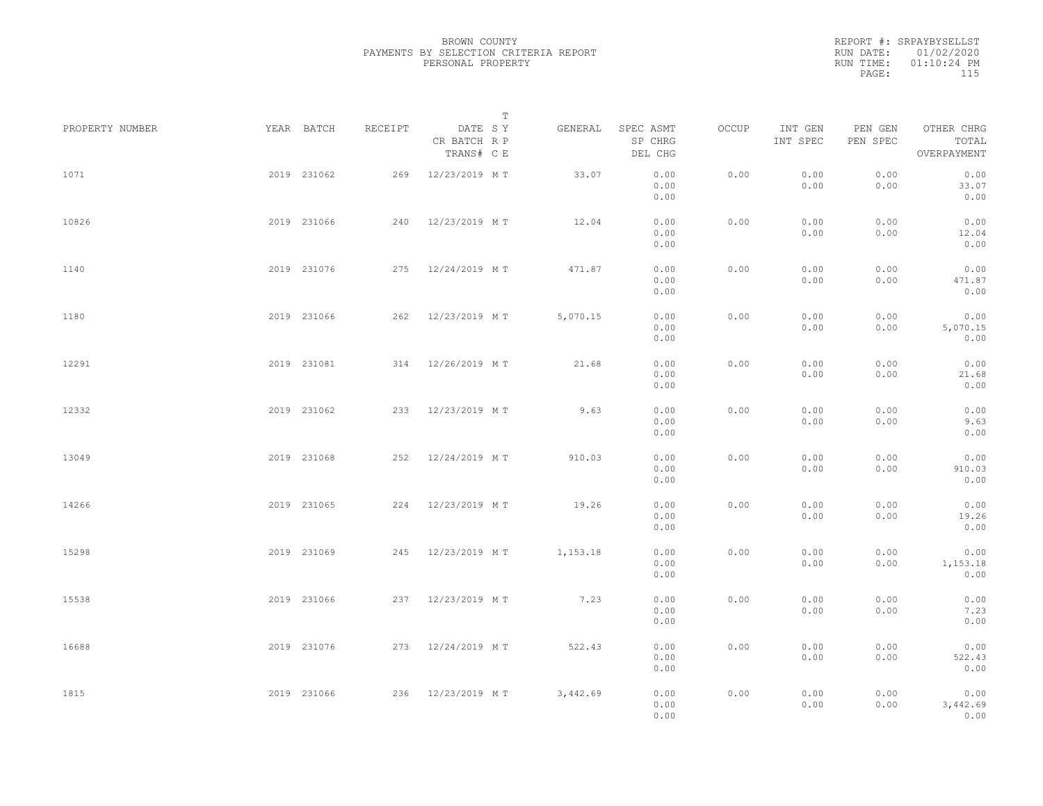REPORT #: SRPAYBYSELLST RUN DATE: 01/02/2020 RUN TIME: 01:10:24 PM PAGE: 115

|                 |             |         |                                       | $\mathbb T$ |                                 |       |                     |                     |                                    |  |
|-----------------|-------------|---------|---------------------------------------|-------------|---------------------------------|-------|---------------------|---------------------|------------------------------------|--|
| PROPERTY NUMBER | YEAR BATCH  | RECEIPT | DATE SY<br>CR BATCH R P<br>TRANS# C E | GENERAL     | SPEC ASMT<br>SP CHRG<br>DEL CHG | OCCUP | INT GEN<br>INT SPEC | PEN GEN<br>PEN SPEC | OTHER CHRG<br>TOTAL<br>OVERPAYMENT |  |
| 1071            | 2019 231062 | 269     | 12/23/2019 MT                         | 33.07       | 0.00<br>0.00<br>0.00            | 0.00  | 0.00<br>0.00        | 0.00<br>0.00        | 0.00<br>33.07<br>0.00              |  |
| 10826           | 2019 231066 |         | 240 12/23/2019 MT                     | 12.04       | 0.00<br>0.00<br>0.00            | 0.00  | 0.00<br>0.00        | 0.00<br>0.00        | 0.00<br>12.04<br>0.00              |  |
| 1140            | 2019 231076 |         | 275 12/24/2019 MT                     | 471.87      | 0.00<br>0.00<br>0.00            | 0.00  | 0.00<br>0.00        | 0.00<br>0.00        | 0.00<br>471.87<br>0.00             |  |
| 1180            | 2019 231066 |         | 262 12/23/2019 MT                     | 5,070.15    | 0.00<br>0.00<br>0.00            | 0.00  | 0.00<br>0.00        | 0.00<br>0.00        | 0.00<br>5,070.15<br>0.00           |  |
| 12291           | 2019 231081 |         | 314 12/26/2019 MT                     | 21.68       | 0.00<br>0.00<br>0.00            | 0.00  | 0.00<br>0.00        | 0.00<br>0.00        | 0.00<br>21.68<br>0.00              |  |
| 12332           | 2019 231062 | 233     | 12/23/2019 MT                         | 9.63        | 0.00<br>0.00<br>0.00            | 0.00  | 0.00<br>0.00        | 0.00<br>0.00        | 0.00<br>9.63<br>0.00               |  |
| 13049           | 2019 231068 |         | 252 12/24/2019 MT                     | 910.03      | 0.00<br>0.00<br>0.00            | 0.00  | 0.00<br>0.00        | 0.00<br>0.00        | 0.00<br>910.03<br>0.00             |  |
| 14266           | 2019 231065 |         | 224 12/23/2019 MT                     | 19.26       | 0.00<br>0.00<br>0.00            | 0.00  | 0.00<br>0.00        | 0.00<br>0.00        | 0.00<br>19.26<br>0.00              |  |
| 15298           | 2019 231069 |         | 245 12/23/2019 MT                     | 1,153.18    | 0.00<br>0.00<br>0.00            | 0.00  | 0.00<br>0.00        | 0.00<br>0.00        | 0.00<br>1,153.18<br>0.00           |  |
| 15538           | 2019 231066 |         | 237 12/23/2019 MT                     | 7.23        | 0.00<br>0.00<br>0.00            | 0.00  | 0.00<br>0.00        | 0.00<br>0.00        | 0.00<br>7.23<br>0.00               |  |
| 16688           | 2019 231076 |         | 273 12/24/2019 MT                     | 522.43      | 0.00<br>0.00<br>0.00            | 0.00  | 0.00<br>0.00        | 0.00<br>0.00        | 0.00<br>522.43<br>0.00             |  |
| 1815            | 2019 231066 |         | 236 12/23/2019 MT                     | 3,442.69    | 0.00<br>0.00<br>0.00            | 0.00  | 0.00<br>0.00        | 0.00<br>0.00        | 0.00<br>3,442.69<br>0.00           |  |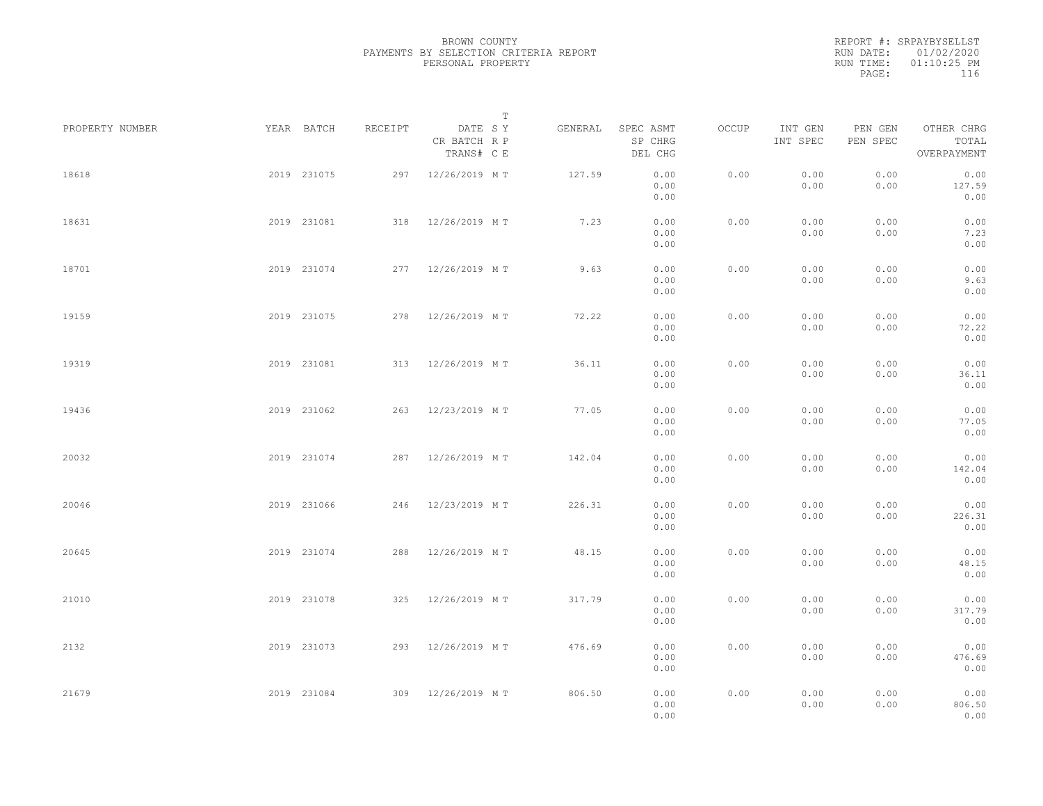| RUN DATE: 01/02/2020<br>$01:10:25$ PM<br>RUN TIME: |       | REPORT #: SRPAYBYSELLST |  |
|----------------------------------------------------|-------|-------------------------|--|
|                                                    |       |                         |  |
|                                                    |       |                         |  |
|                                                    | PAGE: | 116                     |  |

| PROPERTY NUMBER |             | YEAR BATCH  | RECEIPT | DATE SY                    | $\mathbb T$ | GENERAL | SPEC ASMT            | OCCUP | INT GEN      | PEN GEN      | OTHER CHRG             |  |
|-----------------|-------------|-------------|---------|----------------------------|-------------|---------|----------------------|-------|--------------|--------------|------------------------|--|
|                 |             |             |         | CR BATCH R P<br>TRANS# C E |             |         | SP CHRG<br>DEL CHG   |       | INT SPEC     | PEN SPEC     | TOTAL<br>OVERPAYMENT   |  |
| 18618           |             | 2019 231075 |         | 297 12/26/2019 MT          |             | 127.59  | 0.00<br>0.00<br>0.00 | 0.00  | 0.00<br>0.00 | 0.00<br>0.00 | 0.00<br>127.59<br>0.00 |  |
| 18631           |             | 2019 231081 |         | 318 12/26/2019 MT          |             | 7.23    | 0.00<br>0.00<br>0.00 | 0.00  | 0.00<br>0.00 | 0.00<br>0.00 | 0.00<br>7.23<br>0.00   |  |
| 18701           |             | 2019 231074 |         | 277 12/26/2019 MT          |             | 9.63    | 0.00<br>0.00<br>0.00 | 0.00  | 0.00<br>0.00 | 0.00<br>0.00 | 0.00<br>9.63<br>0.00   |  |
| 19159           |             | 2019 231075 |         | 278 12/26/2019 MT          |             | 72.22   | 0.00<br>0.00<br>0.00 | 0.00  | 0.00<br>0.00 | 0.00<br>0.00 | 0.00<br>72.22<br>0.00  |  |
| 19319           |             | 2019 231081 |         | 313 12/26/2019 MT          |             | 36.11   | 0.00<br>0.00<br>0.00 | 0.00  | 0.00<br>0.00 | 0.00<br>0.00 | 0.00<br>36.11<br>0.00  |  |
| 19436           |             | 2019 231062 | 263     | 12/23/2019 MT              |             | 77.05   | 0.00<br>0.00<br>0.00 | 0.00  | 0.00<br>0.00 | 0.00<br>0.00 | 0.00<br>77.05<br>0.00  |  |
| 20032           |             | 2019 231074 | 287     | 12/26/2019 MT              |             | 142.04  | 0.00<br>0.00<br>0.00 | 0.00  | 0.00<br>0.00 | 0.00<br>0.00 | 0.00<br>142.04<br>0.00 |  |
| 20046           |             | 2019 231066 |         | 246 12/23/2019 MT          |             | 226.31  | 0.00<br>0.00<br>0.00 | 0.00  | 0.00<br>0.00 | 0.00<br>0.00 | 0.00<br>226.31<br>0.00 |  |
| 20645           |             | 2019 231074 |         | 288 12/26/2019 MT          |             | 48.15   | 0.00<br>0.00<br>0.00 | 0.00  | 0.00<br>0.00 | 0.00<br>0.00 | 0.00<br>48.15<br>0.00  |  |
| 21010           |             | 2019 231078 |         | 325 12/26/2019 MT          |             | 317.79  | 0.00<br>0.00<br>0.00 | 0.00  | 0.00<br>0.00 | 0.00<br>0.00 | 0.00<br>317.79<br>0.00 |  |
| 2132            |             | 2019 231073 |         | 293 12/26/2019 MT          |             | 476.69  | 0.00<br>0.00<br>0.00 | 0.00  | 0.00<br>0.00 | 0.00<br>0.00 | 0.00<br>476.69<br>0.00 |  |
| 21679           | 2019 231084 |             |         | 309 12/26/2019 MT          |             | 806.50  | 0.00<br>0.00<br>0.00 | 0.00  | 0.00<br>0.00 | 0.00<br>0.00 | 0.00<br>806.50<br>0.00 |  |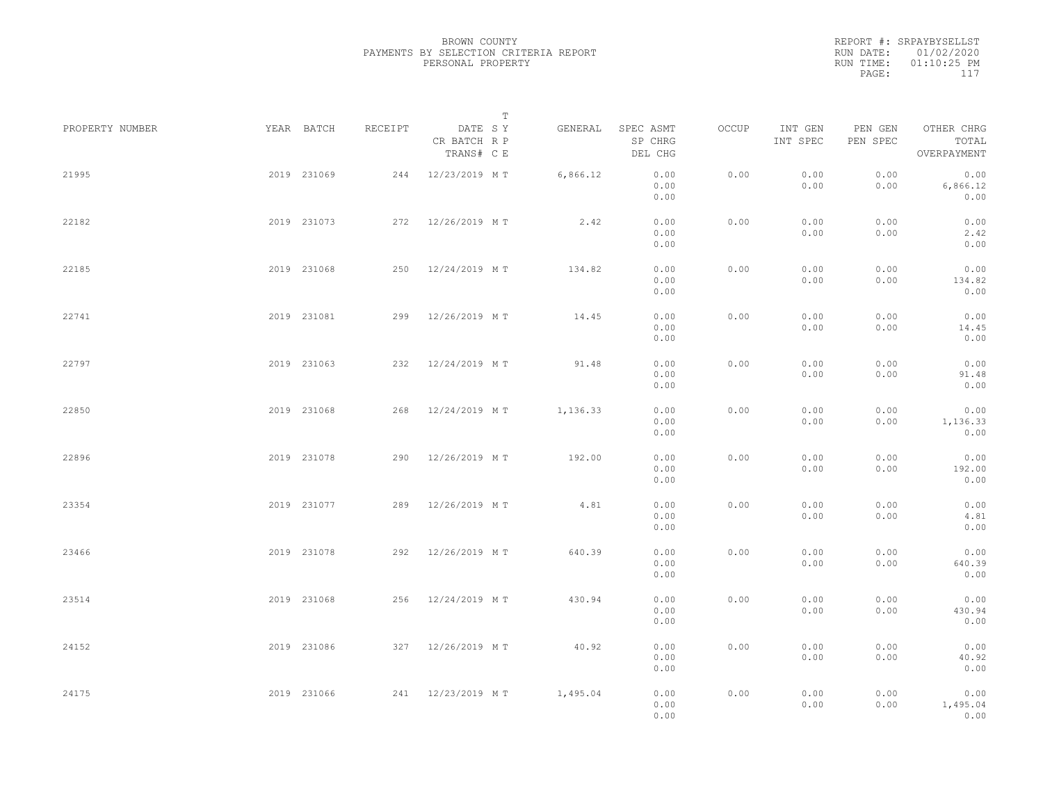|           | REPORT #: SRPAYBYSELLST |  |
|-----------|-------------------------|--|
|           | RUN DATE: 01/02/2020    |  |
| RUN TIME: | $01:10:25$ PM           |  |
| PAGE:     | 117                     |  |

|                 |             |             |         |                                       | $\mathbb T$ |          |                                 |       |                     |                     |                                    |  |
|-----------------|-------------|-------------|---------|---------------------------------------|-------------|----------|---------------------------------|-------|---------------------|---------------------|------------------------------------|--|
| PROPERTY NUMBER |             | YEAR BATCH  | RECEIPT | DATE SY<br>CR BATCH R P<br>TRANS# C E |             | GENERAL  | SPEC ASMT<br>SP CHRG<br>DEL CHG | OCCUP | INT GEN<br>INT SPEC | PEN GEN<br>PEN SPEC | OTHER CHRG<br>TOTAL<br>OVERPAYMENT |  |
| 21995           |             | 2019 231069 |         | 244 12/23/2019 MT                     |             | 6,866.12 | 0.00<br>0.00<br>0.00            | 0.00  | 0.00<br>0.00        | 0.00<br>0.00        | 0.00<br>6,866.12<br>0.00           |  |
| 22182           |             | 2019 231073 |         | 272 12/26/2019 MT                     |             | 2.42     | 0.00<br>0.00<br>0.00            | 0.00  | 0.00<br>0.00        | 0.00<br>0.00        | 0.00<br>2.42<br>0.00               |  |
| 22185           |             | 2019 231068 |         | 250 12/24/2019 MT                     |             | 134.82   | 0.00<br>0.00<br>0.00            | 0.00  | 0.00<br>0.00        | 0.00<br>0.00        | 0.00<br>134.82<br>0.00             |  |
| 22741           |             | 2019 231081 |         | 299 12/26/2019 MT                     |             | 14.45    | 0.00<br>0.00<br>0.00            | 0.00  | 0.00<br>0.00        | 0.00<br>0.00        | 0.00<br>14.45<br>0.00              |  |
| 22797           |             | 2019 231063 |         | 232 12/24/2019 MT                     |             | 91.48    | 0.00<br>0.00<br>0.00            | 0.00  | 0.00<br>0.00        | 0.00<br>0.00        | 0.00<br>91.48<br>0.00              |  |
| 22850           |             | 2019 231068 | 268     | 12/24/2019 MT                         |             | 1,136.33 | 0.00<br>0.00<br>0.00            | 0.00  | 0.00<br>0.00        | 0.00<br>0.00        | 0.00<br>1,136.33<br>0.00           |  |
| 22896           |             | 2019 231078 |         | 290 12/26/2019 MT                     |             | 192.00   | 0.00<br>0.00<br>0.00            | 0.00  | 0.00<br>0.00        | 0.00<br>0.00        | 0.00<br>192.00<br>0.00             |  |
| 23354           |             | 2019 231077 | 289     | 12/26/2019 MT                         |             | 4.81     | 0.00<br>0.00<br>0.00            | 0.00  | 0.00<br>0.00        | 0.00<br>0.00        | 0.00<br>4.81<br>0.00               |  |
| 23466           |             | 2019 231078 |         | 292 12/26/2019 MT                     |             | 640.39   | 0.00<br>0.00<br>0.00            | 0.00  | 0.00<br>0.00        | 0.00<br>0.00        | 0.00<br>640.39<br>0.00             |  |
| 23514           |             | 2019 231068 |         | 256 12/24/2019 MT                     |             | 430.94   | 0.00<br>0.00<br>0.00            | 0.00  | 0.00<br>0.00        | 0.00<br>0.00        | 0.00<br>430.94<br>0.00             |  |
| 24152           |             | 2019 231086 |         | 327 12/26/2019 MT                     |             | 40.92    | 0.00<br>0.00<br>0.00            | 0.00  | 0.00<br>0.00        | 0.00<br>0.00        | 0.00<br>40.92<br>0.00              |  |
| 24175           | 2019 231066 |             |         | 241 12/23/2019 MT                     |             | 1,495.04 | 0.00<br>0.00<br>0.00            | 0.00  | 0.00<br>0.00        | 0.00<br>0.00        | 0.00<br>1,495.04<br>0.00           |  |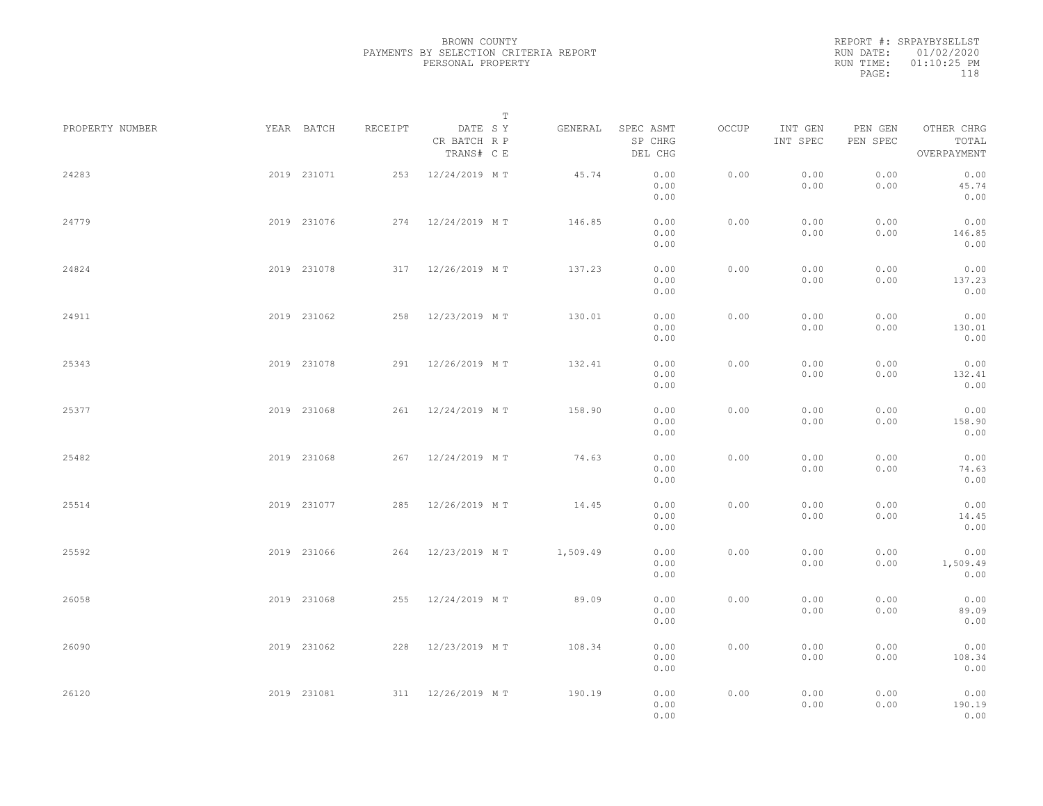|           | REPORT #: SRPAYBYSELLST |  |
|-----------|-------------------------|--|
|           | RUN DATE: 01/02/2020    |  |
| RUN TIME: | $01:10:25$ PM           |  |
| PAGE:     | 118                     |  |

|                 |             |             |         |                                       | $\mathbb T$ |                                 |       |                     |                     |                                    |  |
|-----------------|-------------|-------------|---------|---------------------------------------|-------------|---------------------------------|-------|---------------------|---------------------|------------------------------------|--|
| PROPERTY NUMBER |             | YEAR BATCH  | RECEIPT | DATE SY<br>CR BATCH R P<br>TRANS# C E | GENERAL     | SPEC ASMT<br>SP CHRG<br>DEL CHG | OCCUP | INT GEN<br>INT SPEC | PEN GEN<br>PEN SPEC | OTHER CHRG<br>TOTAL<br>OVERPAYMENT |  |
| 24283           |             | 2019 231071 |         | 253 12/24/2019 MT                     | 45.74       | 0.00<br>0.00<br>0.00            | 0.00  | 0.00<br>0.00        | 0.00<br>0.00        | 0.00<br>45.74<br>0.00              |  |
| 24779           |             | 2019 231076 |         | 274 12/24/2019 MT                     | 146.85      | 0.00<br>0.00<br>0.00            | 0.00  | 0.00<br>0.00        | 0.00<br>0.00        | 0.00<br>146.85<br>0.00             |  |
| 24824           |             | 2019 231078 |         | 317 12/26/2019 MT                     | 137.23      | 0.00<br>0.00<br>0.00            | 0.00  | 0.00<br>0.00        | 0.00<br>0.00        | 0.00<br>137.23<br>0.00             |  |
| 24911           |             | 2019 231062 |         | 258 12/23/2019 MT                     | 130.01      | 0.00<br>0.00<br>0.00            | 0.00  | 0.00<br>0.00        | 0.00<br>0.00        | 0.00<br>130.01<br>0.00             |  |
| 25343           |             | 2019 231078 |         | 291 12/26/2019 MT                     | 132.41      | 0.00<br>0.00<br>0.00            | 0.00  | 0.00<br>0.00        | 0.00<br>0.00        | 0.00<br>132.41<br>0.00             |  |
| 25377           |             | 2019 231068 |         | 261 12/24/2019 MT                     | 158.90      | 0.00<br>0.00<br>0.00            | 0.00  | 0.00<br>0.00        | 0.00<br>0.00        | 0.00<br>158.90<br>0.00             |  |
| 25482           |             | 2019 231068 |         | 267 12/24/2019 MT                     | 74.63       | 0.00<br>0.00<br>0.00            | 0.00  | 0.00<br>0.00        | 0.00<br>0.00        | 0.00<br>74.63<br>0.00              |  |
| 25514           |             | 2019 231077 |         | 285 12/26/2019 MT                     | 14.45       | 0.00<br>0.00<br>0.00            | 0.00  | 0.00<br>0.00        | 0.00<br>0.00        | 0.00<br>14.45<br>0.00              |  |
| 25592           |             | 2019 231066 |         | 264 12/23/2019 MT                     | 1,509.49    | 0.00<br>0.00<br>0.00            | 0.00  | 0.00<br>0.00        | 0.00<br>0.00        | 0.00<br>1,509.49<br>0.00           |  |
| 26058           |             | 2019 231068 |         | 255 12/24/2019 MT                     | 89.09       | 0.00<br>0.00<br>0.00            | 0.00  | 0.00<br>0.00        | 0.00<br>0.00        | 0.00<br>89.09<br>0.00              |  |
| 26090           |             | 2019 231062 |         | 228 12/23/2019 MT                     | 108.34      | 0.00<br>0.00<br>0.00            | 0.00  | 0.00<br>0.00        | 0.00<br>0.00        | 0.00<br>108.34<br>0.00             |  |
| 26120           | 2019 231081 |             |         | 311 12/26/2019 MT                     | 190.19      | 0.00<br>0.00<br>0.00            | 0.00  | 0.00<br>0.00        | 0.00<br>0.00        | 0.00<br>190.19<br>0.00             |  |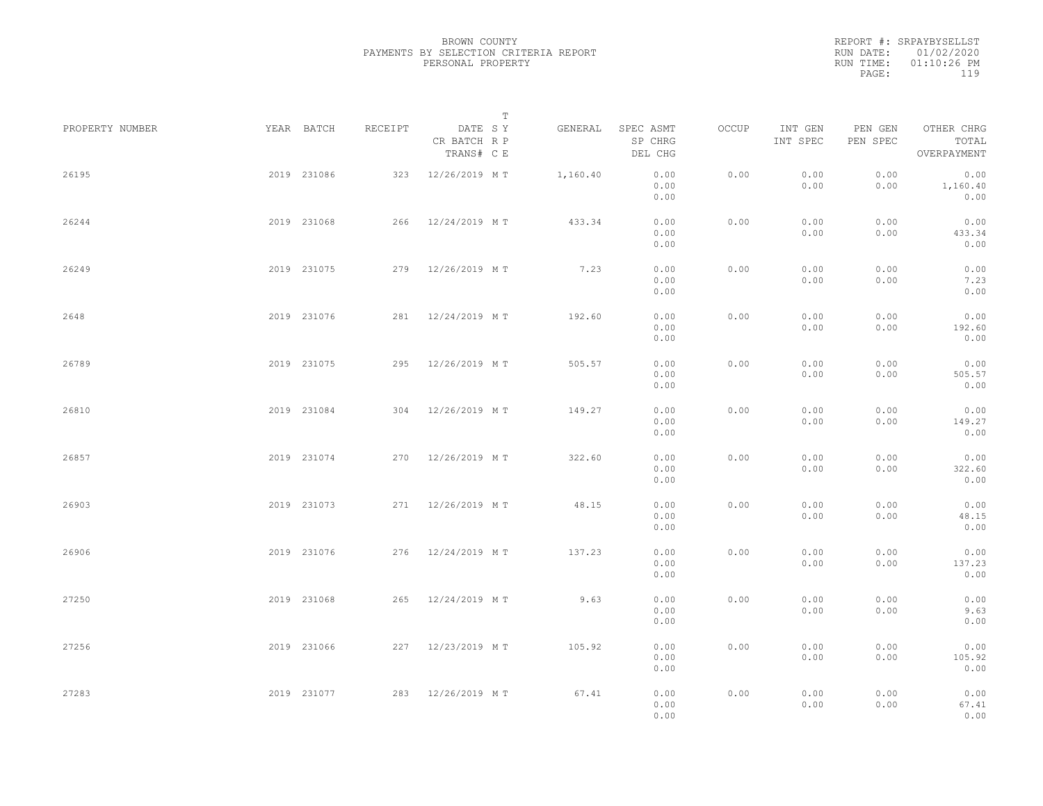|           | REPORT #: SRPAYBYSELLST |  |
|-----------|-------------------------|--|
|           | RUN DATE: 01/02/2020    |  |
| RUN TIME: | $01:10:26$ PM           |  |
| PAGE:     | 119                     |  |
|           |                         |  |

|                 |             |         |                                       | T        |                                 |       |                     |                     |                                    |  |
|-----------------|-------------|---------|---------------------------------------|----------|---------------------------------|-------|---------------------|---------------------|------------------------------------|--|
| PROPERTY NUMBER | YEAR BATCH  | RECEIPT | DATE SY<br>CR BATCH R P<br>TRANS# C E | GENERAL  | SPEC ASMT<br>SP CHRG<br>DEL CHG | OCCUP | INT GEN<br>INT SPEC | PEN GEN<br>PEN SPEC | OTHER CHRG<br>TOTAL<br>OVERPAYMENT |  |
| 26195           | 2019 231086 | 323     | 12/26/2019 MT                         | 1,160.40 | 0.00<br>0.00<br>0.00            | 0.00  | 0.00<br>0.00        | 0.00<br>0.00        | 0.00<br>1,160.40<br>0.00           |  |
| 26244           | 2019 231068 |         | 266 12/24/2019 MT                     | 433.34   | 0.00<br>0.00<br>0.00            | 0.00  | 0.00<br>0.00        | 0.00<br>0.00        | 0.00<br>433.34<br>0.00             |  |
| 26249           | 2019 231075 |         | 279 12/26/2019 MT                     | 7.23     | 0.00<br>0.00<br>0.00            | 0.00  | 0.00<br>0.00        | 0.00<br>0.00        | 0.00<br>7.23<br>0.00               |  |
| 2648            | 2019 231076 |         | 281 12/24/2019 MT                     | 192.60   | 0.00<br>0.00<br>0.00            | 0.00  | 0.00<br>0.00        | 0.00<br>0.00        | 0.00<br>192.60<br>0.00             |  |
| 26789           | 2019 231075 |         | 295 12/26/2019 MT                     | 505.57   | 0.00<br>0.00<br>0.00            | 0.00  | 0.00<br>0.00        | 0.00<br>0.00        | 0.00<br>505.57<br>0.00             |  |
| 26810           | 2019 231084 |         | 304 12/26/2019 MT                     | 149.27   | 0.00<br>0.00<br>0.00            | 0.00  | 0.00<br>0.00        | 0.00<br>0.00        | 0.00<br>149.27<br>0.00             |  |
| 26857           | 2019 231074 | 270     | 12/26/2019 MT                         | 322.60   | 0.00<br>0.00<br>0.00            | 0.00  | 0.00<br>0.00        | 0.00<br>0.00        | 0.00<br>322.60<br>0.00             |  |
| 26903           | 2019 231073 |         | 271 12/26/2019 MT                     | 48.15    | 0.00<br>0.00<br>0.00            | 0.00  | 0.00<br>0.00        | 0.00<br>0.00        | 0.00<br>48.15<br>0.00              |  |
| 26906           | 2019 231076 |         | 276 12/24/2019 MT                     | 137.23   | 0.00<br>0.00<br>0.00            | 0.00  | 0.00<br>0.00        | 0.00<br>0.00        | 0.00<br>137.23<br>0.00             |  |
| 27250           | 2019 231068 |         | 265 12/24/2019 MT                     | 9.63     | 0.00<br>0.00<br>0.00            | 0.00  | 0.00<br>0.00        | 0.00<br>0.00        | 0.00<br>9.63<br>0.00               |  |
| 27256           | 2019 231066 |         | 227 12/23/2019 MT                     | 105.92   | 0.00<br>0.00<br>0.00            | 0.00  | 0.00<br>0.00        | 0.00<br>0.00        | 0.00<br>105.92<br>0.00             |  |
| 27283           | 2019 231077 |         | 283 12/26/2019 MT                     | 67.41    | 0.00<br>0.00<br>0.00            | 0.00  | 0.00<br>0.00        | 0.00<br>0.00        | 0.00<br>67.41<br>0.00              |  |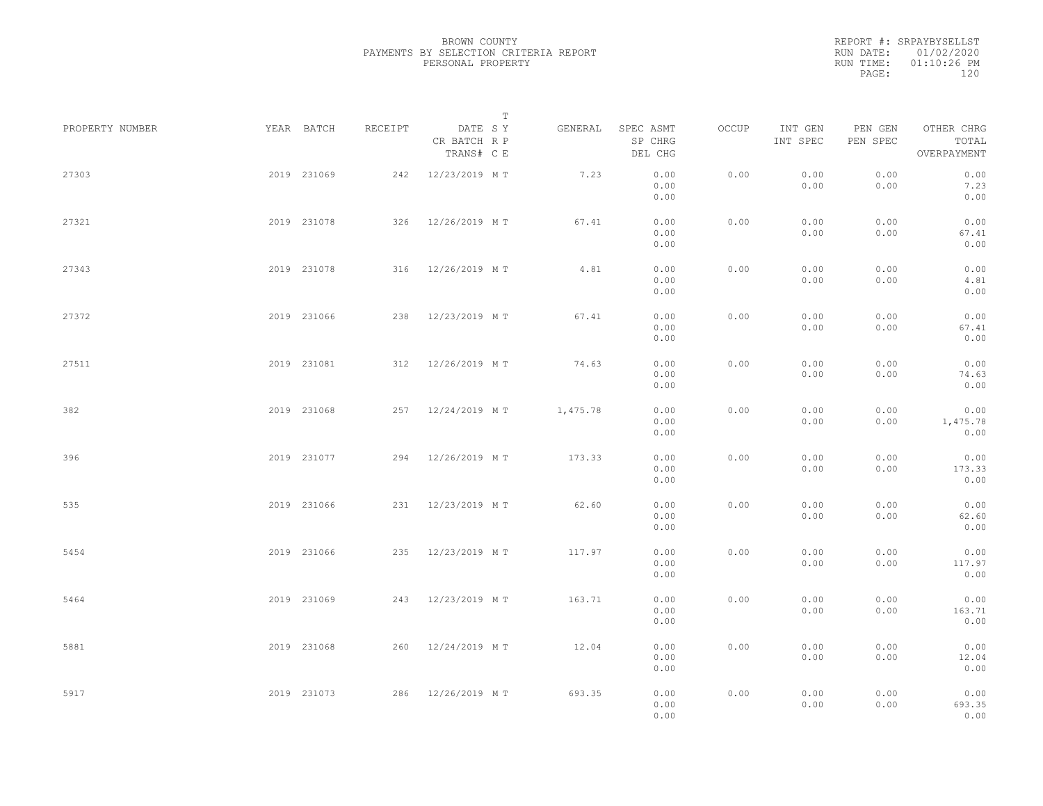|           | REPORT #: SRPAYBYSELLST |
|-----------|-------------------------|
|           | RUN DATE: 01/02/2020    |
| RUN TIME: | $01:10:26$ PM           |
| PAGE:     | 120                     |

|                 |             |             |         | $\mathbb T$                           |          |                                 |       |                     |                     |                                    |  |
|-----------------|-------------|-------------|---------|---------------------------------------|----------|---------------------------------|-------|---------------------|---------------------|------------------------------------|--|
| PROPERTY NUMBER | YEAR BATCH  |             | RECEIPT | DATE SY<br>CR BATCH R P<br>TRANS# C E | GENERAL  | SPEC ASMT<br>SP CHRG<br>DEL CHG | OCCUP | INT GEN<br>INT SPEC | PEN GEN<br>PEN SPEC | OTHER CHRG<br>TOTAL<br>OVERPAYMENT |  |
| 27303           |             | 2019 231069 |         | 242 12/23/2019 MT                     | 7.23     | 0.00<br>0.00<br>0.00            | 0.00  | 0.00<br>0.00        | 0.00<br>0.00        | 0.00<br>7.23<br>0.00               |  |
| 27321           |             | 2019 231078 |         | 326 12/26/2019 MT                     | 67.41    | 0.00<br>0.00<br>0.00            | 0.00  | 0.00<br>0.00        | 0.00<br>0.00        | 0.00<br>67.41<br>0.00              |  |
| 27343           |             | 2019 231078 |         | 316 12/26/2019 MT                     | 4.81     | 0.00<br>0.00<br>0.00            | 0.00  | 0.00<br>0.00        | 0.00<br>0.00        | 0.00<br>4.81<br>0.00               |  |
| 27372           |             | 2019 231066 |         | 238 12/23/2019 MT                     | 67.41    | 0.00<br>0.00<br>0.00            | 0.00  | 0.00<br>0.00        | 0.00<br>0.00        | 0.00<br>67.41<br>0.00              |  |
| 27511           |             | 2019 231081 |         | 312 12/26/2019 MT                     | 74.63    | 0.00<br>0.00<br>0.00            | 0.00  | 0.00<br>0.00        | 0.00<br>0.00        | 0.00<br>74.63<br>0.00              |  |
| 382             |             | 2019 231068 |         | 257 12/24/2019 MT                     | 1,475.78 | 0.00<br>0.00<br>0.00            | 0.00  | 0.00<br>0.00        | 0.00<br>0.00        | 0.00<br>1,475.78<br>0.00           |  |
| 396             |             | 2019 231077 |         | 294 12/26/2019 MT                     | 173.33   | 0.00<br>0.00<br>0.00            | 0.00  | 0.00<br>0.00        | 0.00<br>0.00        | 0.00<br>173.33<br>0.00             |  |
| 535             |             | 2019 231066 |         | 231 12/23/2019 MT                     | 62.60    | 0.00<br>0.00<br>0.00            | 0.00  | 0.00<br>0.00        | 0.00<br>0.00        | 0.00<br>62.60<br>0.00              |  |
| 5454            |             | 2019 231066 |         | 235 12/23/2019 MT                     | 117.97   | 0.00<br>0.00                    | 0.00  | 0.00<br>0.00        | 0.00<br>0.00        | 0.00<br>117.97                     |  |
| 5464            |             | 2019 231069 |         | 243 12/23/2019 MT                     | 163.71   | 0.00<br>0.00<br>0.00<br>0.00    | 0.00  | 0.00<br>0.00        | 0.00<br>0.00        | 0.00<br>0.00<br>163.71<br>0.00     |  |
| 5881            |             | 2019 231068 |         | 260 12/24/2019 MT                     | 12.04    | 0.00<br>0.00                    | 0.00  | 0.00<br>0.00        | 0.00<br>0.00        | 0.00<br>12.04                      |  |
| 5917            | 2019 231073 |             |         | 286 12/26/2019 MT                     | 693.35   | 0.00<br>0.00<br>0.00<br>0.00    | 0.00  | 0.00<br>0.00        | 0.00<br>0.00        | 0.00<br>0.00<br>693.35<br>0.00     |  |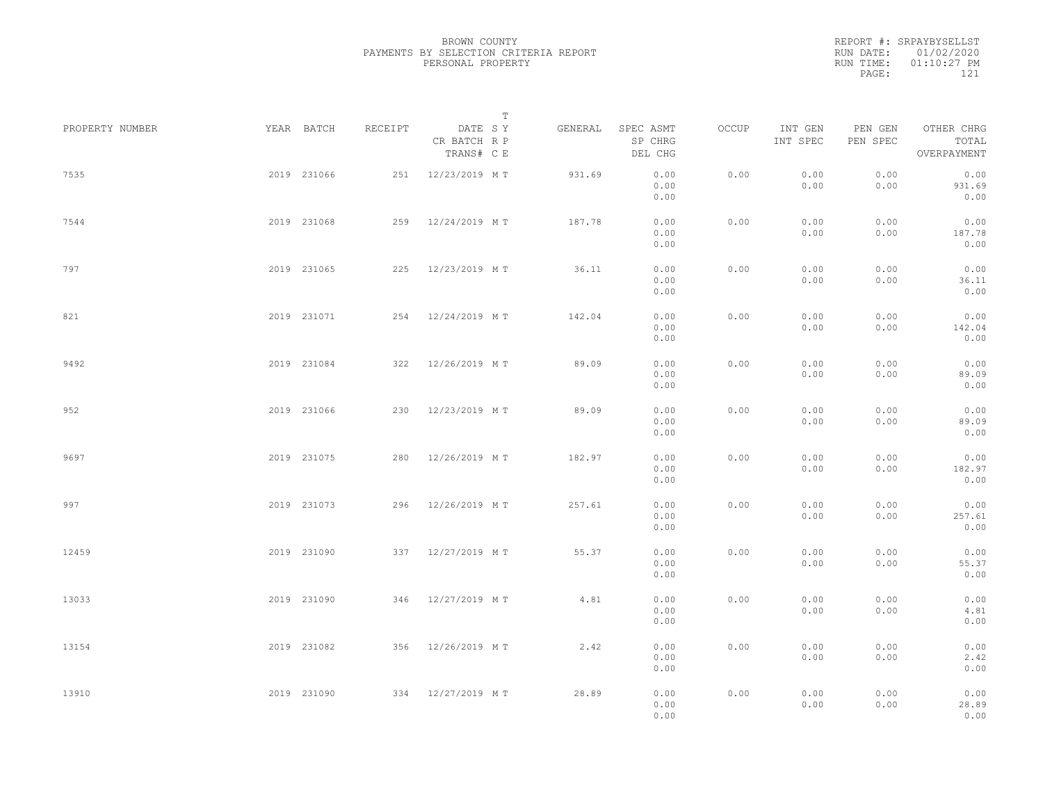|           | REPORT #: SRPAYBYSELLST |
|-----------|-------------------------|
|           | RUN DATE: 01/02/2020    |
| RUN TIME: | $01:10:27$ PM           |
| PAGE:     | 121                     |
|           |                         |

| PROPERTY NUMBER |             | YEAR BATCH  | RECEIPT | DATE SY                    | T | GENERAL | SPEC ASMT            | OCCUP | INT GEN      | PEN GEN      | OTHER CHRG             |  |
|-----------------|-------------|-------------|---------|----------------------------|---|---------|----------------------|-------|--------------|--------------|------------------------|--|
|                 |             |             |         | CR BATCH R P<br>TRANS# C E |   |         | SP CHRG<br>DEL CHG   |       | INT SPEC     | PEN SPEC     | TOTAL<br>OVERPAYMENT   |  |
| 7535            |             | 2019 231066 |         | 251 12/23/2019 MT          |   | 931.69  | 0.00<br>0.00<br>0.00 | 0.00  | 0.00<br>0.00 | 0.00<br>0.00 | 0.00<br>931.69<br>0.00 |  |
| 7544            |             | 2019 231068 |         | 259 12/24/2019 MT          |   | 187.78  | 0.00<br>0.00<br>0.00 | 0.00  | 0.00<br>0.00 | 0.00<br>0.00 | 0.00<br>187.78<br>0.00 |  |
| 797             |             | 2019 231065 |         | 225 12/23/2019 MT          |   | 36.11   | 0.00<br>0.00<br>0.00 | 0.00  | 0.00<br>0.00 | 0.00<br>0.00 | 0.00<br>36.11<br>0.00  |  |
| 821             |             | 2019 231071 |         | 254 12/24/2019 MT          |   | 142.04  | 0.00<br>0.00<br>0.00 | 0.00  | 0.00<br>0.00 | 0.00<br>0.00 | 0.00<br>142.04<br>0.00 |  |
| 9492            |             | 2019 231084 |         | 322 12/26/2019 MT          |   | 89.09   | 0.00<br>0.00<br>0.00 | 0.00  | 0.00<br>0.00 | 0.00<br>0.00 | 0.00<br>89.09<br>0.00  |  |
| 952             |             | 2019 231066 |         | 230 12/23/2019 MT          |   | 89.09   | 0.00<br>0.00<br>0.00 | 0.00  | 0.00<br>0.00 | 0.00<br>0.00 | 0.00<br>89.09<br>0.00  |  |
| 9697            |             | 2019 231075 |         | 280 12/26/2019 MT          |   | 182.97  | 0.00<br>0.00<br>0.00 | 0.00  | 0.00<br>0.00 | 0.00<br>0.00 | 0.00<br>182.97<br>0.00 |  |
| 997             |             | 2019 231073 |         | 296 12/26/2019 MT          |   | 257.61  | 0.00<br>0.00<br>0.00 | 0.00  | 0.00<br>0.00 | 0.00<br>0.00 | 0.00<br>257.61<br>0.00 |  |
| 12459           |             | 2019 231090 |         | 337 12/27/2019 MT          |   | 55.37   | 0.00<br>0.00<br>0.00 | 0.00  | 0.00<br>0.00 | 0.00<br>0.00 | 0.00<br>55.37<br>0.00  |  |
| 13033           |             | 2019 231090 |         | 346 12/27/2019 MT          |   | 4.81    | 0.00<br>0.00<br>0.00 | 0.00  | 0.00<br>0.00 | 0.00<br>0.00 | 0.00<br>4.81<br>0.00   |  |
| 13154           |             | 2019 231082 |         | 356 12/26/2019 MT          |   | 2.42    | 0.00<br>0.00<br>0.00 | 0.00  | 0.00<br>0.00 | 0.00<br>0.00 | 0.00<br>2.42<br>0.00   |  |
| 13910           | 2019 231090 |             |         | 334 12/27/2019 MT          |   | 28.89   | 0.00<br>0.00<br>0.00 | 0.00  | 0.00<br>0.00 | 0.00<br>0.00 | 0.00<br>28.89<br>0.00  |  |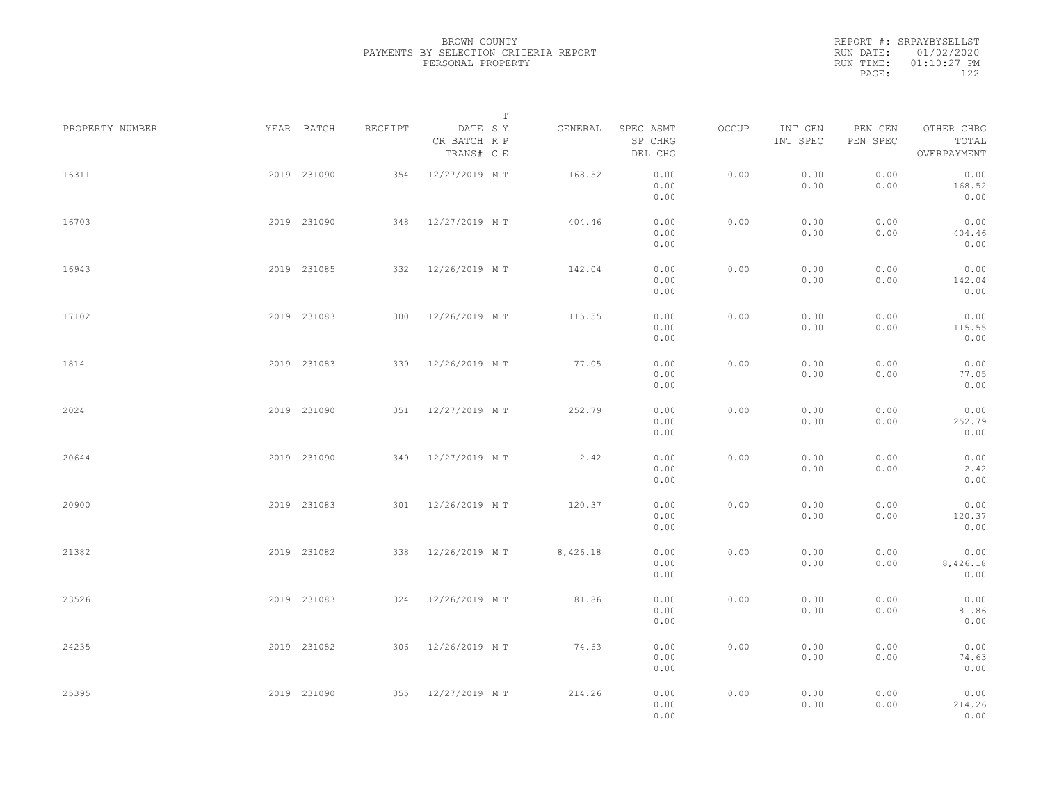|           | REPORT #: SRPAYBYSELLST |
|-----------|-------------------------|
|           | RUN DATE: 01/02/2020    |
| RUN TIME: | $01:10:27$ PM           |
| PAGE:     | 122                     |

|                 |             |             |         |                                       | $\mathbb T$ |                                 |       |                     |                     |                                    |  |
|-----------------|-------------|-------------|---------|---------------------------------------|-------------|---------------------------------|-------|---------------------|---------------------|------------------------------------|--|
| PROPERTY NUMBER |             | YEAR BATCH  | RECEIPT | DATE SY<br>CR BATCH R P<br>TRANS# C E | GENERAL     | SPEC ASMT<br>SP CHRG<br>DEL CHG | OCCUP | INT GEN<br>INT SPEC | PEN GEN<br>PEN SPEC | OTHER CHRG<br>TOTAL<br>OVERPAYMENT |  |
| 16311           |             | 2019 231090 |         | 354 12/27/2019 MT                     | 168.52      | 0.00<br>0.00<br>0.00            | 0.00  | 0.00<br>0.00        | 0.00<br>0.00        | 0.00<br>168.52<br>0.00             |  |
| 16703           |             | 2019 231090 |         | 348 12/27/2019 MT                     | 404.46      | 0.00<br>0.00<br>0.00            | 0.00  | 0.00<br>0.00        | 0.00<br>0.00        | 0.00<br>404.46<br>0.00             |  |
| 16943           |             | 2019 231085 |         | 332 12/26/2019 MT                     | 142.04      | 0.00<br>0.00<br>0.00            | 0.00  | 0.00<br>0.00        | 0.00<br>0.00        | 0.00<br>142.04<br>0.00             |  |
| 17102           |             | 2019 231083 |         | 300 12/26/2019 MT                     | 115.55      | 0.00<br>0.00<br>0.00            | 0.00  | 0.00<br>0.00        | 0.00<br>0.00        | 0.00<br>115.55<br>0.00             |  |
| 1814            |             | 2019 231083 |         | 339 12/26/2019 MT                     | 77.05       | 0.00<br>0.00<br>0.00            | 0.00  | 0.00<br>0.00        | 0.00<br>0.00        | 0.00<br>77.05<br>0.00              |  |
| 2024            |             | 2019 231090 | 351     | 12/27/2019 MT                         | 252.79      | 0.00<br>0.00<br>0.00            | 0.00  | 0.00<br>0.00        | 0.00<br>0.00        | 0.00<br>252.79<br>0.00             |  |
| 20644           |             | 2019 231090 |         | 349 12/27/2019 MT                     | 2.42        | 0.00<br>0.00<br>0.00            | 0.00  | 0.00<br>0.00        | 0.00<br>0.00        | 0.00<br>2.42<br>0.00               |  |
| 20900           |             | 2019 231083 |         | 301 12/26/2019 MT                     | 120.37      | 0.00<br>0.00<br>0.00            | 0.00  | 0.00<br>0.00        | 0.00<br>0.00        | 0.00<br>120.37<br>0.00             |  |
| 21382           |             | 2019 231082 | 338     | 12/26/2019 MT                         | 8,426.18    | 0.00<br>0.00<br>0.00            | 0.00  | 0.00<br>0.00        | 0.00<br>0.00        | 0.00<br>8,426.18<br>0.00           |  |
| 23526           |             | 2019 231083 |         | 324 12/26/2019 MT                     | 81.86       | 0.00<br>0.00<br>0.00            | 0.00  | 0.00<br>0.00        | 0.00<br>0.00        | 0.00<br>81.86<br>0.00              |  |
| 24235           |             | 2019 231082 |         | 306 12/26/2019 MT                     | 74.63       | 0.00<br>0.00<br>0.00            | 0.00  | 0.00<br>0.00        | 0.00<br>0.00        | 0.00<br>74.63<br>0.00              |  |
| 25395           | 2019 231090 |             |         | 355 12/27/2019 MT                     | 214.26      | 0.00<br>0.00<br>0.00            | 0.00  | 0.00<br>0.00        | 0.00<br>0.00        | 0.00<br>214.26<br>0.00             |  |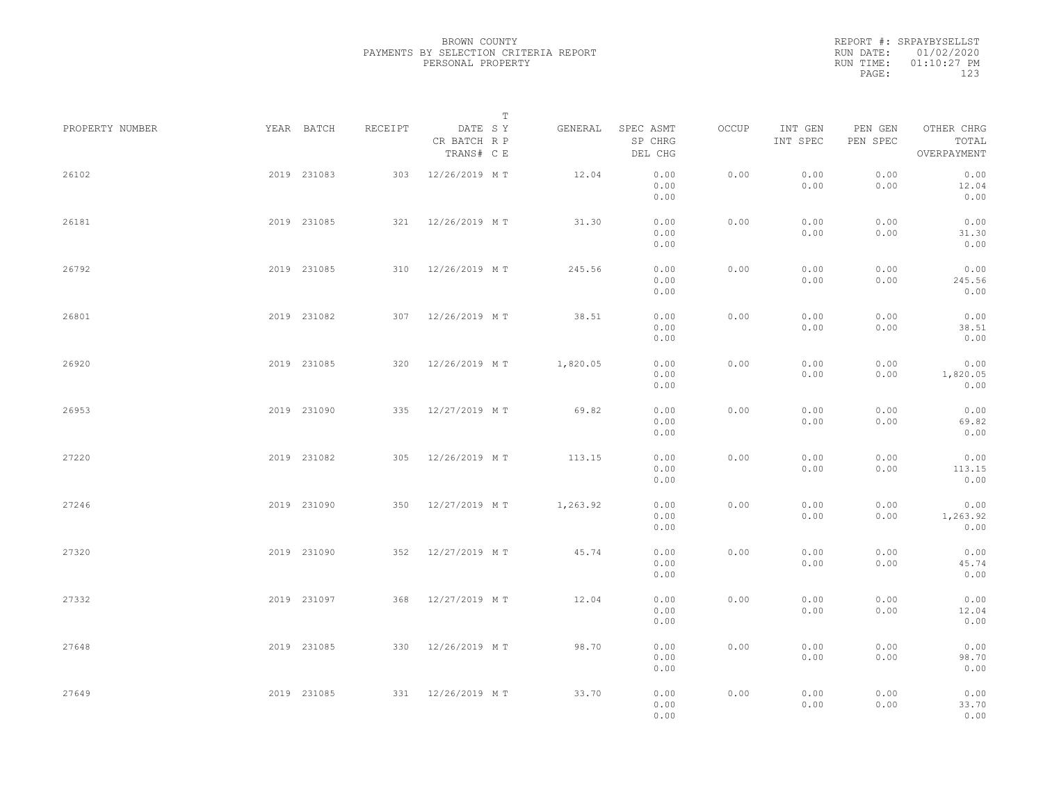|           | REPORT #: SRPAYBYSELLST |
|-----------|-------------------------|
|           | RUN DATE: 01/02/2020    |
| RUN TIME: | $01:10:27$ PM           |
| PAGE:     | 123                     |

|                 |             |             |         |                                       | $\mathbb T$ |                                 |       |                     |                     |                                    |  |
|-----------------|-------------|-------------|---------|---------------------------------------|-------------|---------------------------------|-------|---------------------|---------------------|------------------------------------|--|
| PROPERTY NUMBER |             | YEAR BATCH  | RECEIPT | DATE SY<br>CR BATCH R P<br>TRANS# C E | GENERAL     | SPEC ASMT<br>SP CHRG<br>DEL CHG | OCCUP | INT GEN<br>INT SPEC | PEN GEN<br>PEN SPEC | OTHER CHRG<br>TOTAL<br>OVERPAYMENT |  |
| 26102           |             | 2019 231083 |         | 303 12/26/2019 MT                     | 12.04       | 0.00<br>0.00<br>0.00            | 0.00  | 0.00<br>0.00        | 0.00<br>0.00        | 0.00<br>12.04<br>0.00              |  |
| 26181           |             | 2019 231085 |         | 321 12/26/2019 MT                     | 31.30       | 0.00<br>0.00<br>0.00            | 0.00  | 0.00<br>0.00        | 0.00<br>0.00        | 0.00<br>31.30<br>0.00              |  |
| 26792           |             | 2019 231085 |         | 310 12/26/2019 MT                     | 245.56      | 0.00<br>0.00<br>0.00            | 0.00  | 0.00<br>0.00        | 0.00<br>0.00        | 0.00<br>245.56<br>0.00             |  |
| 26801           |             | 2019 231082 |         | 307 12/26/2019 MT                     | 38.51       | 0.00<br>0.00<br>0.00            | 0.00  | 0.00<br>0.00        | 0.00<br>0.00        | 0.00<br>38.51<br>0.00              |  |
| 26920           |             | 2019 231085 |         | 320 12/26/2019 MT                     | 1,820.05    | 0.00<br>0.00<br>0.00            | 0.00  | 0.00<br>0.00        | 0.00<br>0.00        | 0.00<br>1,820.05<br>0.00           |  |
| 26953           |             | 2019 231090 | 335     | 12/27/2019 MT                         | 69.82       | 0.00<br>0.00<br>0.00            | 0.00  | 0.00<br>0.00        | 0.00<br>0.00        | 0.00<br>69.82<br>0.00              |  |
| 27220           |             | 2019 231082 |         | 305 12/26/2019 MT                     | 113.15      | 0.00<br>0.00<br>0.00            | 0.00  | 0.00<br>0.00        | 0.00<br>0.00        | 0.00<br>113.15<br>0.00             |  |
| 27246           |             | 2019 231090 |         | 350 12/27/2019 MT                     | 1,263.92    | 0.00<br>0.00<br>0.00            | 0.00  | 0.00<br>0.00        | 0.00<br>0.00        | 0.00<br>1,263.92<br>0.00           |  |
| 27320           |             | 2019 231090 |         | 352 12/27/2019 MT                     | 45.74       | 0.00<br>0.00<br>0.00            | 0.00  | 0.00<br>0.00        | 0.00<br>0.00        | 0.00<br>45.74<br>0.00              |  |
| 27332           |             | 2019 231097 |         | 368 12/27/2019 MT                     | 12.04       | 0.00<br>0.00<br>0.00            | 0.00  | 0.00<br>0.00        | 0.00<br>0.00        | 0.00<br>12.04<br>0.00              |  |
| 27648           |             | 2019 231085 |         | 330 12/26/2019 MT                     | 98.70       | 0.00<br>0.00<br>0.00            | 0.00  | 0.00<br>0.00        | 0.00<br>0.00        | 0.00<br>98.70<br>0.00              |  |
| 27649           | 2019 231085 |             |         | 331 12/26/2019 MT                     | 33.70       | 0.00<br>0.00<br>0.00            | 0.00  | 0.00<br>0.00        | 0.00<br>0.00        | 0.00<br>33.70<br>0.00              |  |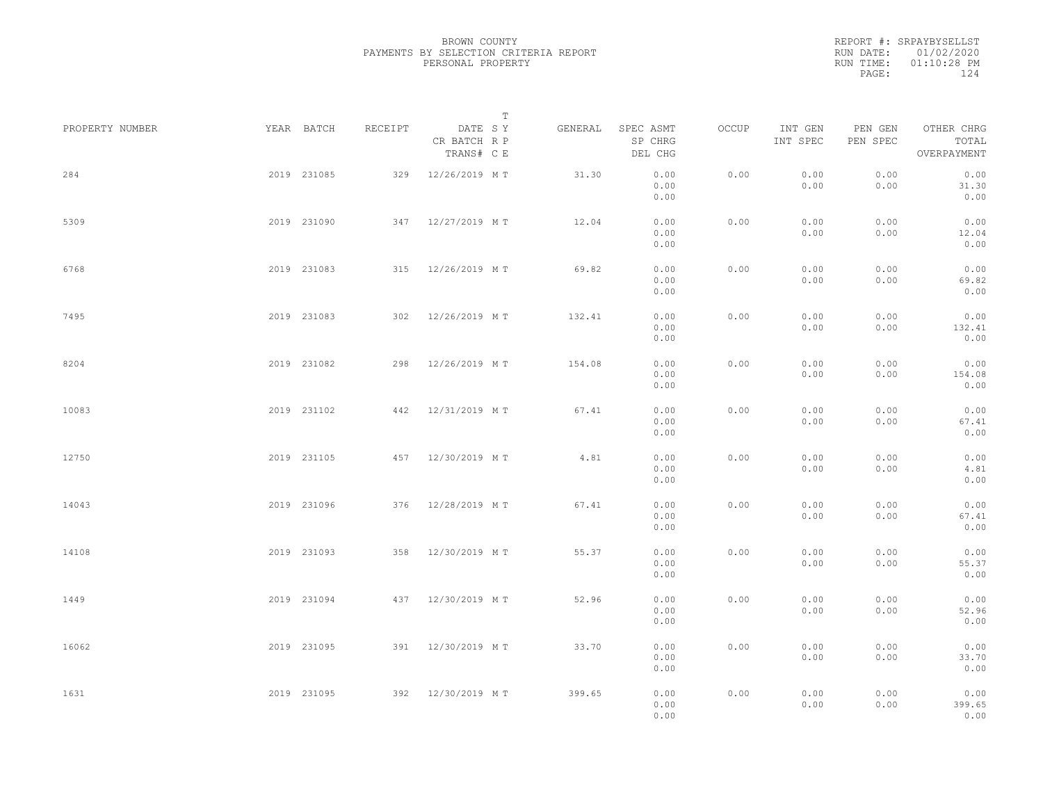|           | REPORT #: SRPAYBYSELLST |
|-----------|-------------------------|
|           | RUN DATE: 01/02/2020    |
| RUN TIME: | $01:10:28$ PM           |
| PAGE:     | 124                     |

|                 |             |             |         |                                       | $\mathbb T$ |         |                                 |       |                     |                     |                                    |  |
|-----------------|-------------|-------------|---------|---------------------------------------|-------------|---------|---------------------------------|-------|---------------------|---------------------|------------------------------------|--|
| PROPERTY NUMBER |             | YEAR BATCH  | RECEIPT | DATE SY<br>CR BATCH R P<br>TRANS# C E |             | GENERAL | SPEC ASMT<br>SP CHRG<br>DEL CHG | OCCUP | INT GEN<br>INT SPEC | PEN GEN<br>PEN SPEC | OTHER CHRG<br>TOTAL<br>OVERPAYMENT |  |
| 284             |             | 2019 231085 |         | 329 12/26/2019 MT                     |             | 31.30   | 0.00<br>0.00<br>0.00            | 0.00  | 0.00<br>0.00        | 0.00<br>0.00        | 0.00<br>31.30<br>0.00              |  |
| 5309            |             | 2019 231090 |         | 347 12/27/2019 MT                     |             | 12.04   | 0.00<br>0.00<br>0.00            | 0.00  | 0.00<br>0.00        | 0.00<br>0.00        | 0.00<br>12.04<br>0.00              |  |
| 6768            |             | 2019 231083 |         | 315 12/26/2019 MT                     |             | 69.82   | 0.00<br>0.00<br>0.00            | 0.00  | 0.00<br>0.00        | 0.00<br>0.00        | 0.00<br>69.82<br>0.00              |  |
| 7495            |             | 2019 231083 |         | 302 12/26/2019 MT                     |             | 132.41  | 0.00<br>0.00<br>0.00            | 0.00  | 0.00<br>0.00        | 0.00<br>0.00        | 0.00<br>132.41<br>0.00             |  |
| 8204            |             | 2019 231082 |         | 298 12/26/2019 MT                     |             | 154.08  | 0.00<br>0.00<br>0.00            | 0.00  | 0.00<br>0.00        | 0.00<br>0.00        | 0.00<br>154.08<br>0.00             |  |
| 10083           |             | 2019 231102 |         | 442 12/31/2019 MT                     |             | 67.41   | 0.00<br>0.00<br>0.00            | 0.00  | 0.00<br>0.00        | 0.00<br>0.00        | 0.00<br>67.41<br>0.00              |  |
| 12750           |             | 2019 231105 |         | 457 12/30/2019 MT                     |             | 4.81    | 0.00<br>0.00<br>0.00            | 0.00  | 0.00<br>0.00        | 0.00<br>0.00        | 0.00<br>4.81<br>0.00               |  |
| 14043           |             | 2019 231096 |         | 376 12/28/2019 MT                     |             | 67.41   | 0.00<br>0.00<br>0.00            | 0.00  | 0.00<br>0.00        | 0.00<br>0.00        | 0.00<br>67.41<br>0.00              |  |
| 14108           |             | 2019 231093 | 358     | 12/30/2019 MT                         |             | 55.37   | 0.00<br>0.00<br>0.00            | 0.00  | 0.00<br>0.00        | 0.00<br>0.00        | 0.00<br>55.37<br>0.00              |  |
| 1449            |             | 2019 231094 |         | 437 12/30/2019 MT                     |             | 52.96   | 0.00<br>0.00<br>0.00            | 0.00  | 0.00<br>0.00        | 0.00<br>0.00        | 0.00<br>52.96<br>0.00              |  |
| 16062           |             | 2019 231095 |         | 391 12/30/2019 MT                     |             | 33.70   | 0.00<br>0.00<br>0.00            | 0.00  | 0.00<br>0.00        | 0.00<br>0.00        | 0.00<br>33.70<br>0.00              |  |
| 1631            | 2019 231095 |             |         | 392 12/30/2019 MT                     |             | 399.65  | 0.00<br>0.00<br>0.00            | 0.00  | 0.00<br>0.00        | 0.00<br>0.00        | 0.00<br>399.65<br>0.00             |  |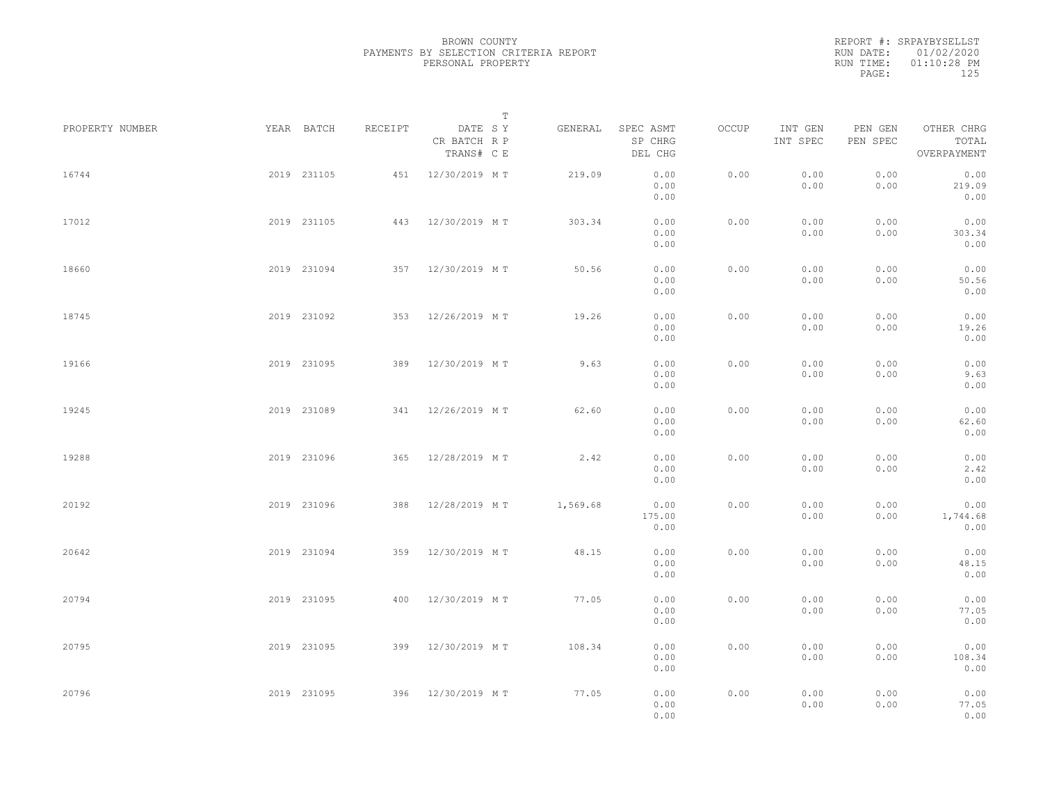|           | REPORT #: SRPAYBYSELLST |  |
|-----------|-------------------------|--|
|           | RUN DATE: 01/02/2020    |  |
| RUN TIME: | $01:10:28$ PM           |  |
| PAGE:     | 125                     |  |

|                 |             |             |         |                                       | $\mathbb T$ |          |                                 |       |                     |                     |                                    |  |
|-----------------|-------------|-------------|---------|---------------------------------------|-------------|----------|---------------------------------|-------|---------------------|---------------------|------------------------------------|--|
| PROPERTY NUMBER |             | YEAR BATCH  | RECEIPT | DATE SY<br>CR BATCH R P<br>TRANS# C E |             | GENERAL  | SPEC ASMT<br>SP CHRG<br>DEL CHG | OCCUP | INT GEN<br>INT SPEC | PEN GEN<br>PEN SPEC | OTHER CHRG<br>TOTAL<br>OVERPAYMENT |  |
| 16744           |             | 2019 231105 |         | 451 12/30/2019 MT                     |             | 219.09   | 0.00<br>0.00<br>0.00            | 0.00  | 0.00<br>0.00        | 0.00<br>0.00        | 0.00<br>219.09<br>0.00             |  |
| 17012           |             | 2019 231105 |         | 443 12/30/2019 MT                     |             | 303.34   | 0.00<br>0.00<br>0.00            | 0.00  | 0.00<br>0.00        | 0.00<br>0.00        | 0.00<br>303.34<br>0.00             |  |
| 18660           |             | 2019 231094 |         | 357 12/30/2019 MT                     |             | 50.56    | 0.00<br>0.00<br>0.00            | 0.00  | 0.00<br>0.00        | 0.00<br>0.00        | 0.00<br>50.56<br>0.00              |  |
| 18745           |             | 2019 231092 |         | 353 12/26/2019 MT                     |             | 19.26    | 0.00<br>0.00<br>0.00            | 0.00  | 0.00<br>0.00        | 0.00<br>0.00        | 0.00<br>19.26<br>0.00              |  |
| 19166           |             | 2019 231095 |         | 389 12/30/2019 MT                     |             | 9.63     | 0.00<br>0.00<br>0.00            | 0.00  | 0.00<br>0.00        | 0.00<br>0.00        | 0.00<br>9.63<br>0.00               |  |
| 19245           |             | 2019 231089 |         | 341 12/26/2019 MT                     |             | 62.60    | 0.00<br>0.00<br>0.00            | 0.00  | 0.00<br>0.00        | 0.00<br>0.00        | 0.00<br>62.60<br>0.00              |  |
| 19288           |             | 2019 231096 | 365     | 12/28/2019 MT                         |             | 2.42     | 0.00<br>0.00<br>0.00            | 0.00  | 0.00<br>0.00        | 0.00<br>0.00        | 0.00<br>2.42<br>0.00               |  |
| 20192           |             | 2019 231096 | 388     | 12/28/2019 MT                         |             | 1,569.68 | 0.00<br>175.00<br>0.00          | 0.00  | 0.00<br>0.00        | 0.00<br>0.00        | 0.00<br>1,744.68<br>0.00           |  |
| 20642           |             | 2019 231094 | 359     | 12/30/2019 MT                         |             | 48.15    | 0.00<br>0.00<br>0.00            | 0.00  | 0.00<br>0.00        | 0.00<br>0.00        | 0.00<br>48.15<br>0.00              |  |
| 20794           |             | 2019 231095 |         | 400 12/30/2019 MT                     |             | 77.05    | 0.00<br>0.00<br>0.00            | 0.00  | 0.00<br>0.00        | 0.00<br>0.00        | 0.00<br>77.05<br>0.00              |  |
| 20795           |             | 2019 231095 |         | 399 12/30/2019 MT                     |             | 108.34   | 0.00<br>0.00<br>0.00            | 0.00  | 0.00<br>0.00        | 0.00<br>0.00        | 0.00<br>108.34<br>0.00             |  |
| 20796           | 2019 231095 |             |         | 396 12/30/2019 MT                     |             | 77.05    | 0.00<br>0.00<br>0.00            | 0.00  | 0.00<br>0.00        | 0.00<br>0.00        | 0.00<br>77.05<br>0.00              |  |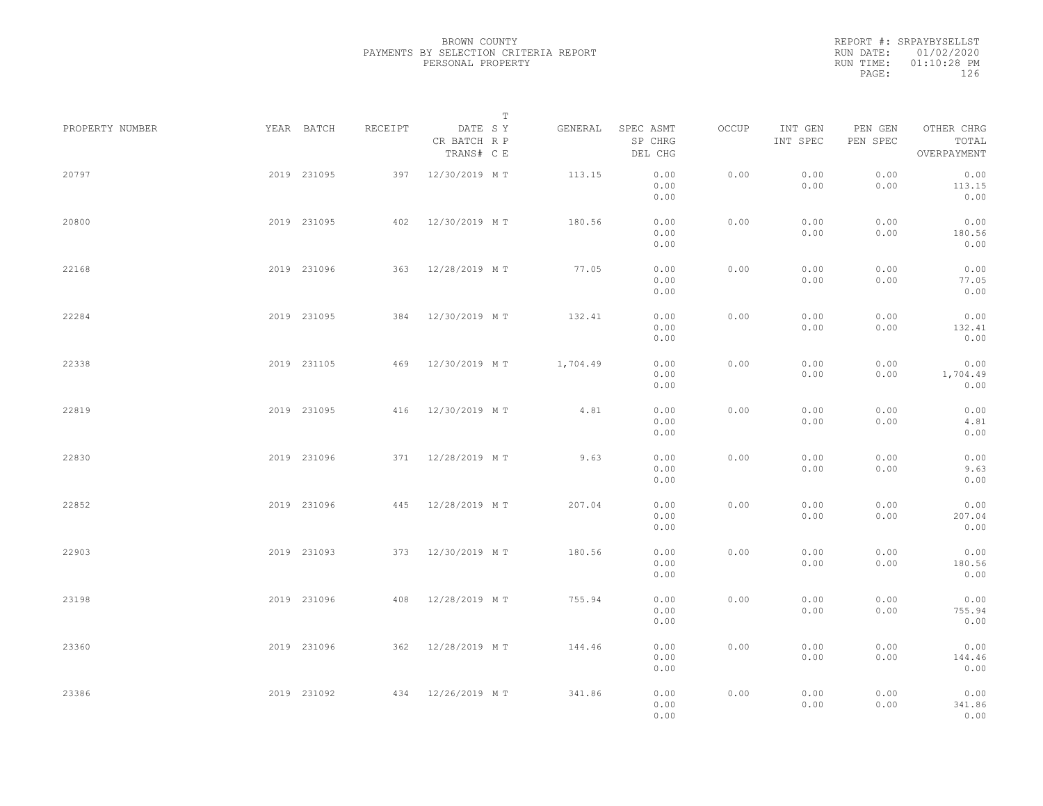|           | REPORT #: SRPAYBYSELLST |  |
|-----------|-------------------------|--|
|           | RUN DATE: 01/02/2020    |  |
| RUN TIME: | $01:10:28$ PM           |  |
| PAGE:     | 126                     |  |
|           |                         |  |

|                 |             |             |         |                                       | $\mathbb T$ |                                 |       |                     |                     |                                    |  |
|-----------------|-------------|-------------|---------|---------------------------------------|-------------|---------------------------------|-------|---------------------|---------------------|------------------------------------|--|
| PROPERTY NUMBER | YEAR BATCH  |             | RECEIPT | DATE SY<br>CR BATCH R P<br>TRANS# C E | GENERAL     | SPEC ASMT<br>SP CHRG<br>DEL CHG | OCCUP | INT GEN<br>INT SPEC | PEN GEN<br>PEN SPEC | OTHER CHRG<br>TOTAL<br>OVERPAYMENT |  |
| 20797           |             | 2019 231095 | 397     | 12/30/2019 MT                         | 113.15      | 0.00<br>0.00<br>0.00            | 0.00  | 0.00<br>0.00        | 0.00<br>0.00        | 0.00<br>113.15<br>0.00             |  |
| 20800           |             | 2019 231095 | 402     | 12/30/2019 MT                         | 180.56      | 0.00<br>0.00<br>0.00            | 0.00  | 0.00<br>0.00        | 0.00<br>0.00        | 0.00<br>180.56<br>0.00             |  |
| 22168           |             | 2019 231096 |         | 363 12/28/2019 MT                     | 77.05       | 0.00<br>0.00<br>0.00            | 0.00  | 0.00<br>0.00        | 0.00<br>0.00        | 0.00<br>77.05<br>0.00              |  |
| 22284           |             | 2019 231095 |         | 384 12/30/2019 MT                     | 132.41      | 0.00<br>0.00<br>0.00            | 0.00  | 0.00<br>0.00        | 0.00<br>0.00        | 0.00<br>132.41<br>0.00             |  |
| 22338           |             | 2019 231105 |         | 469 12/30/2019 MT                     | 1,704.49    | 0.00<br>0.00<br>0.00            | 0.00  | 0.00<br>0.00        | 0.00<br>0.00        | 0.00<br>1,704.49<br>0.00           |  |
| 22819           |             | 2019 231095 |         | 416 12/30/2019 MT                     | 4.81        | 0.00<br>0.00<br>0.00            | 0.00  | 0.00<br>0.00        | 0.00<br>0.00        | 0.00<br>4.81<br>0.00               |  |
| 22830           |             | 2019 231096 |         | 371 12/28/2019 MT                     | 9.63        | 0.00<br>0.00<br>0.00            | 0.00  | 0.00<br>0.00        | 0.00<br>0.00        | 0.00<br>9.63<br>0.00               |  |
| 22852           |             | 2019 231096 | 445     | 12/28/2019 MT                         | 207.04      | 0.00<br>0.00<br>0.00            | 0.00  | 0.00<br>0.00        | 0.00<br>0.00        | 0.00<br>207.04<br>0.00             |  |
| 22903           |             | 2019 231093 |         | 373 12/30/2019 MT                     | 180.56      | 0.00<br>0.00<br>0.00            | 0.00  | 0.00<br>0.00        | 0.00<br>0.00        | 0.00<br>180.56<br>0.00             |  |
| 23198           |             | 2019 231096 |         | 408 12/28/2019 MT                     | 755.94      | 0.00<br>0.00<br>0.00            | 0.00  | 0.00<br>0.00        | 0.00<br>0.00        | 0.00<br>755.94<br>0.00             |  |
| 23360           |             | 2019 231096 |         | 362 12/28/2019 MT                     | 144.46      | 0.00<br>0.00<br>0.00            | 0.00  | 0.00<br>0.00        | 0.00<br>0.00        | 0.00<br>144.46<br>0.00             |  |
| 23386           | 2019 231092 |             |         | 434 12/26/2019 MT                     | 341.86      | 0.00<br>0.00<br>0.00            | 0.00  | 0.00<br>0.00        | 0.00<br>0.00        | 0.00<br>341.86<br>0.00             |  |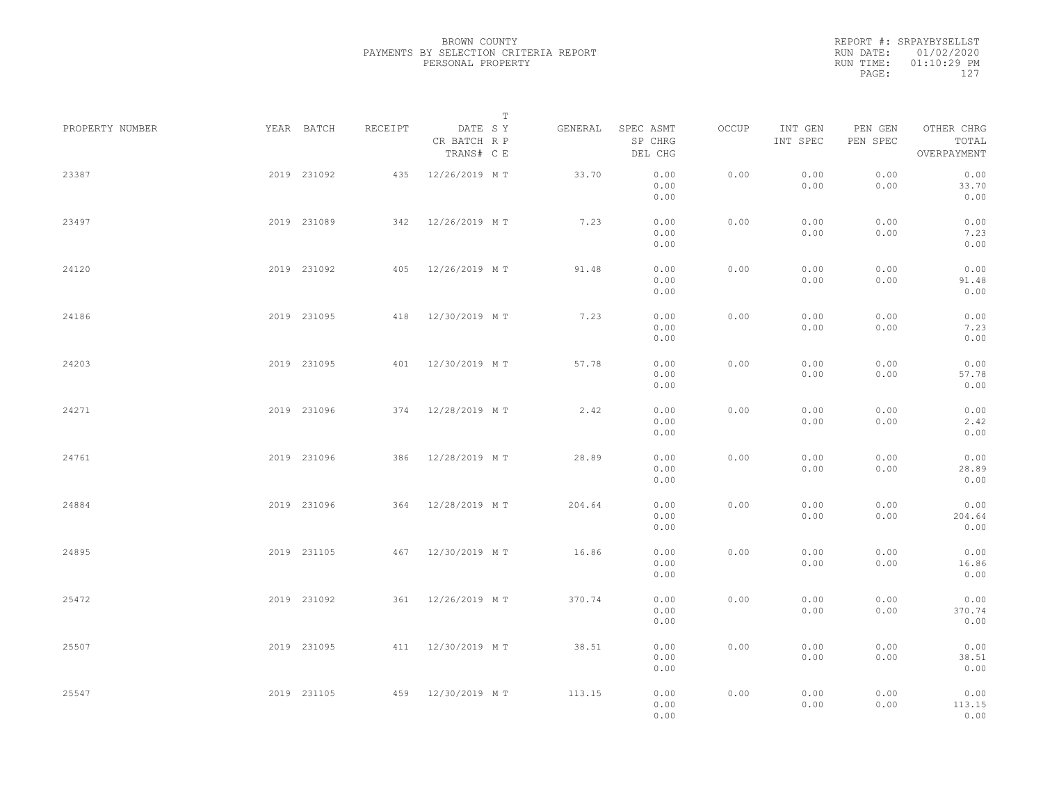|           |       | REPORT #: SRPAYBYSELLST |  |
|-----------|-------|-------------------------|--|
|           |       | RUN DATE: 01/02/2020    |  |
| RUN TIME: |       | $01:10:29$ PM           |  |
|           | PAGE: | 127                     |  |
|           |       |                         |  |

|                 |             |             |         |                                       | $\mathbb T$ |         |                                 |       |                     |                     |                                    |  |
|-----------------|-------------|-------------|---------|---------------------------------------|-------------|---------|---------------------------------|-------|---------------------|---------------------|------------------------------------|--|
| PROPERTY NUMBER |             | YEAR BATCH  | RECEIPT | DATE SY<br>CR BATCH R P<br>TRANS# C E |             | GENERAL | SPEC ASMT<br>SP CHRG<br>DEL CHG | OCCUP | INT GEN<br>INT SPEC | PEN GEN<br>PEN SPEC | OTHER CHRG<br>TOTAL<br>OVERPAYMENT |  |
| 23387           |             | 2019 231092 |         | 435 12/26/2019 MT                     |             | 33.70   | 0.00<br>0.00<br>0.00            | 0.00  | 0.00<br>0.00        | 0.00<br>0.00        | 0.00<br>33.70<br>0.00              |  |
| 23497           |             | 2019 231089 |         | 342 12/26/2019 MT                     |             | 7.23    | 0.00<br>0.00<br>0.00            | 0.00  | 0.00<br>0.00        | 0.00<br>0.00        | 0.00<br>7.23<br>0.00               |  |
| 24120           |             | 2019 231092 |         | 405 12/26/2019 MT                     |             | 91.48   | 0.00<br>0.00<br>0.00            | 0.00  | 0.00<br>0.00        | 0.00<br>0.00        | 0.00<br>91.48<br>0.00              |  |
| 24186           |             | 2019 231095 |         | 418 12/30/2019 MT                     |             | 7.23    | 0.00<br>0.00<br>0.00            | 0.00  | 0.00<br>0.00        | 0.00<br>0.00        | 0.00<br>7.23<br>0.00               |  |
| 24203           |             | 2019 231095 |         | 401 12/30/2019 MT                     |             | 57.78   | 0.00<br>0.00<br>0.00            | 0.00  | 0.00<br>0.00        | 0.00<br>0.00        | 0.00<br>57.78<br>0.00              |  |
| 24271           |             | 2019 231096 |         | 374 12/28/2019 MT                     |             | 2.42    | 0.00<br>0.00<br>0.00            | 0.00  | 0.00<br>0.00        | 0.00<br>0.00        | 0.00<br>2.42<br>0.00               |  |
| 24761           |             | 2019 231096 | 386     | 12/28/2019 MT                         |             | 28.89   | 0.00<br>0.00<br>0.00            | 0.00  | 0.00<br>0.00        | 0.00<br>0.00        | 0.00<br>28.89<br>0.00              |  |
| 24884           |             | 2019 231096 |         | 364 12/28/2019 MT                     |             | 204.64  | 0.00<br>0.00<br>0.00            | 0.00  | 0.00<br>0.00        | 0.00<br>0.00        | 0.00<br>204.64<br>0.00             |  |
| 24895           |             | 2019 231105 |         | 467 12/30/2019 MT                     |             | 16.86   | 0.00<br>0.00<br>0.00            | 0.00  | 0.00<br>0.00        | 0.00<br>0.00        | 0.00<br>16.86<br>0.00              |  |
| 25472           |             | 2019 231092 |         | 361 12/26/2019 MT                     |             | 370.74  | 0.00<br>0.00<br>0.00            | 0.00  | 0.00<br>0.00        | 0.00<br>0.00        | 0.00<br>370.74<br>0.00             |  |
| 25507           |             | 2019 231095 |         | 411 12/30/2019 MT                     |             | 38.51   | 0.00<br>0.00<br>0.00            | 0.00  | 0.00<br>0.00        | 0.00<br>0.00        | 0.00<br>38.51<br>0.00              |  |
| 25547           | 2019 231105 |             |         | 459 12/30/2019 MT                     |             | 113.15  | 0.00<br>0.00<br>0.00            | 0.00  | 0.00<br>0.00        | 0.00<br>0.00        | 0.00<br>113.15<br>0.00             |  |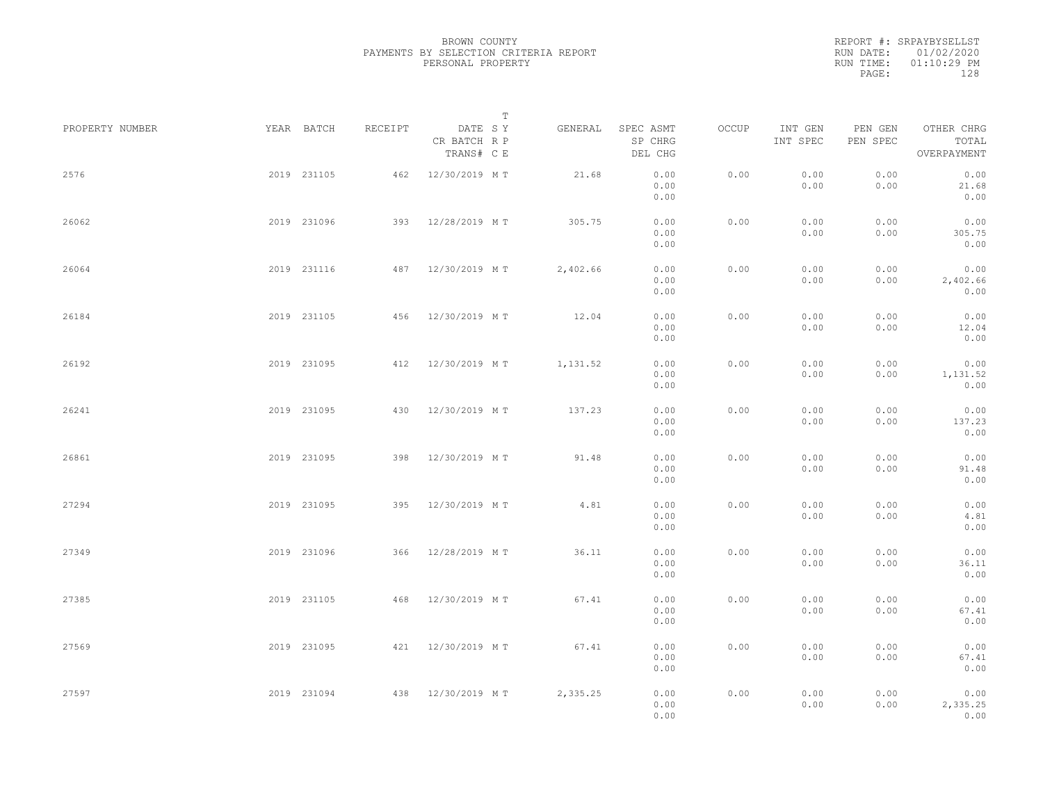|           |       | REPORT #: SRPAYBYSELLST |  |
|-----------|-------|-------------------------|--|
|           |       | RUN DATE: 01/02/2020    |  |
| RUN TIME: |       | $01:10:29$ PM           |  |
|           | PAGE: | 128                     |  |
|           |       |                         |  |

|                 |             |             |         |                                       | T |          |                                 |       |                     |                     |                                    |  |
|-----------------|-------------|-------------|---------|---------------------------------------|---|----------|---------------------------------|-------|---------------------|---------------------|------------------------------------|--|
| PROPERTY NUMBER |             | YEAR BATCH  | RECEIPT | DATE SY<br>CR BATCH R P<br>TRANS# C E |   | GENERAL  | SPEC ASMT<br>SP CHRG<br>DEL CHG | OCCUP | INT GEN<br>INT SPEC | PEN GEN<br>PEN SPEC | OTHER CHRG<br>TOTAL<br>OVERPAYMENT |  |
| 2576            |             | 2019 231105 |         | 462 12/30/2019 MT                     |   | 21.68    | 0.00<br>0.00<br>0.00            | 0.00  | 0.00<br>0.00        | 0.00<br>0.00        | 0.00<br>21.68<br>0.00              |  |
| 26062           |             | 2019 231096 |         | 393 12/28/2019 MT                     |   | 305.75   | 0.00<br>0.00<br>0.00            | 0.00  | 0.00<br>0.00        | 0.00<br>0.00        | 0.00<br>305.75<br>0.00             |  |
| 26064           |             | 2019 231116 |         | 487 12/30/2019 MT                     |   | 2,402.66 | 0.00<br>0.00<br>0.00            | 0.00  | 0.00<br>0.00        | 0.00<br>0.00        | 0.00<br>2,402.66<br>0.00           |  |
| 26184           |             | 2019 231105 |         | 456 12/30/2019 MT                     |   | 12.04    | 0.00<br>0.00<br>0.00            | 0.00  | 0.00<br>0.00        | 0.00<br>0.00        | 0.00<br>12.04<br>0.00              |  |
| 26192           |             | 2019 231095 |         | 412 12/30/2019 MT                     |   | 1,131.52 | 0.00<br>0.00<br>0.00            | 0.00  | 0.00<br>0.00        | 0.00<br>0.00        | 0.00<br>1,131.52<br>0.00           |  |
| 26241           |             | 2019 231095 | 430     | 12/30/2019 MT                         |   | 137.23   | 0.00<br>0.00<br>0.00            | 0.00  | 0.00<br>0.00        | 0.00<br>0.00        | 0.00<br>137.23<br>0.00             |  |
| 26861           |             | 2019 231095 | 398     | 12/30/2019 MT                         |   | 91.48    | 0.00<br>0.00<br>0.00            | 0.00  | 0.00<br>0.00        | 0.00<br>0.00        | 0.00<br>91.48<br>0.00              |  |
| 27294           |             | 2019 231095 | 395     | 12/30/2019 MT                         |   | 4.81     | 0.00<br>0.00<br>0.00            | 0.00  | 0.00<br>0.00        | 0.00<br>0.00        | 0.00<br>4.81<br>0.00               |  |
| 27349           |             | 2019 231096 |         | 366 12/28/2019 MT                     |   | 36.11    | 0.00<br>0.00<br>0.00            | 0.00  | 0.00<br>0.00        | 0.00<br>0.00        | 0.00<br>36.11<br>0.00              |  |
| 27385           |             | 2019 231105 |         | 468 12/30/2019 MT                     |   | 67.41    | 0.00<br>0.00<br>0.00            | 0.00  | 0.00<br>0.00        | 0.00<br>0.00        | 0.00<br>67.41<br>0.00              |  |
| 27569           |             | 2019 231095 |         | 421 12/30/2019 MT                     |   | 67.41    | 0.00<br>0.00<br>0.00            | 0.00  | 0.00<br>0.00        | 0.00<br>0.00        | 0.00<br>67.41<br>0.00              |  |
| 27597           | 2019 231094 |             |         | 438 12/30/2019 MT                     |   | 2,335.25 | 0.00<br>0.00<br>0.00            | 0.00  | 0.00<br>0.00        | 0.00<br>0.00        | 0.00<br>2,335.25<br>0.00           |  |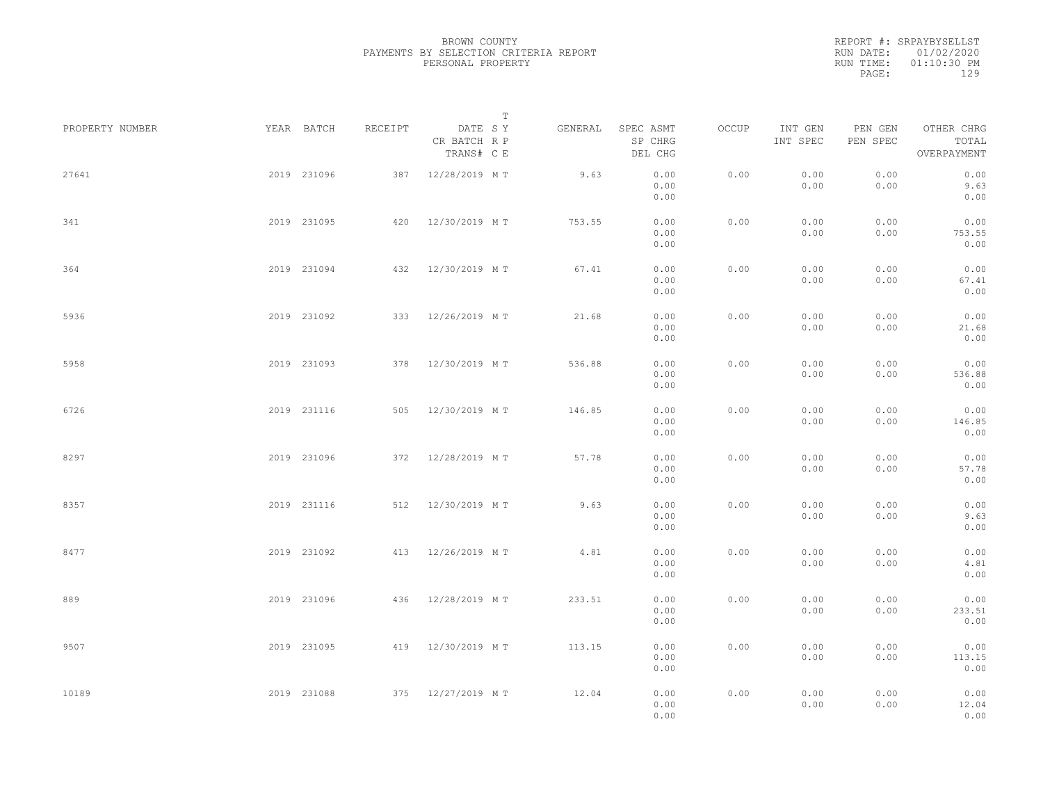|           | REPORT #: SRPAYBYSELLST |
|-----------|-------------------------|
|           | RUN DATE: 01/02/2020    |
| RUN TIME: | $01:10:30$ PM           |
| PAGE:     | 129                     |

|                 |             |             |         |                                       | $\mathbb T$ |         |                                 |       |                     |                     |                                    |  |
|-----------------|-------------|-------------|---------|---------------------------------------|-------------|---------|---------------------------------|-------|---------------------|---------------------|------------------------------------|--|
| PROPERTY NUMBER |             | YEAR BATCH  | RECEIPT | DATE SY<br>CR BATCH R P<br>TRANS# C E |             | GENERAL | SPEC ASMT<br>SP CHRG<br>DEL CHG | OCCUP | INT GEN<br>INT SPEC | PEN GEN<br>PEN SPEC | OTHER CHRG<br>TOTAL<br>OVERPAYMENT |  |
| 27641           |             | 2019 231096 |         | 387 12/28/2019 MT                     |             | 9.63    | 0.00<br>0.00<br>0.00            | 0.00  | 0.00<br>0.00        | 0.00<br>0.00        | 0.00<br>9.63<br>0.00               |  |
| 341             |             | 2019 231095 |         | 420 12/30/2019 MT                     |             | 753.55  | 0.00<br>0.00<br>0.00            | 0.00  | 0.00<br>0.00        | 0.00<br>0.00        | 0.00<br>753.55<br>0.00             |  |
| 364             |             | 2019 231094 |         | 432 12/30/2019 MT                     |             | 67.41   | 0.00<br>0.00<br>0.00            | 0.00  | 0.00<br>0.00        | 0.00<br>0.00        | 0.00<br>67.41<br>0.00              |  |
| 5936            |             | 2019 231092 |         | 333 12/26/2019 MT                     |             | 21.68   | 0.00<br>0.00<br>0.00            | 0.00  | 0.00<br>0.00        | 0.00<br>0.00        | 0.00<br>21.68<br>0.00              |  |
| 5958            |             | 2019 231093 |         | 378 12/30/2019 MT                     |             | 536.88  | 0.00<br>0.00<br>0.00            | 0.00  | 0.00<br>0.00        | 0.00<br>0.00        | 0.00<br>536.88<br>0.00             |  |
| 6726            |             | 2019 231116 |         | 505 12/30/2019 MT                     |             | 146.85  | 0.00<br>0.00<br>0.00            | 0.00  | 0.00<br>0.00        | 0.00<br>0.00        | 0.00<br>146.85<br>0.00             |  |
| 8297            |             | 2019 231096 |         | 372 12/28/2019 MT                     |             | 57.78   | 0.00<br>0.00<br>0.00            | 0.00  | 0.00<br>0.00        | 0.00<br>0.00        | 0.00<br>57.78<br>0.00              |  |
| 8357            |             | 2019 231116 |         | 512 12/30/2019 MT                     |             | 9.63    | 0.00<br>0.00<br>0.00            | 0.00  | 0.00<br>0.00        | 0.00<br>0.00        | 0.00<br>9.63<br>0.00               |  |
| 8477            |             | 2019 231092 |         | 413 12/26/2019 MT                     |             | 4.81    | 0.00<br>0.00<br>0.00            | 0.00  | 0.00<br>0.00        | 0.00<br>0.00        | 0.00<br>4.81<br>0.00               |  |
| 889             |             | 2019 231096 |         | 436 12/28/2019 MT                     |             | 233.51  | 0.00<br>0.00<br>0.00            | 0.00  | 0.00<br>0.00        | 0.00<br>0.00        | 0.00<br>233.51<br>0.00             |  |
| 9507            |             | 2019 231095 |         | 419 12/30/2019 MT                     |             | 113.15  | 0.00<br>0.00<br>0.00            | 0.00  | 0.00<br>0.00        | 0.00<br>0.00        | 0.00<br>113.15<br>0.00             |  |
| 10189           | 2019 231088 |             |         | 375 12/27/2019 MT                     |             | 12.04   | 0.00<br>0.00<br>0.00            | 0.00  | 0.00<br>0.00        | 0.00<br>0.00        | 0.00<br>12.04<br>0.00              |  |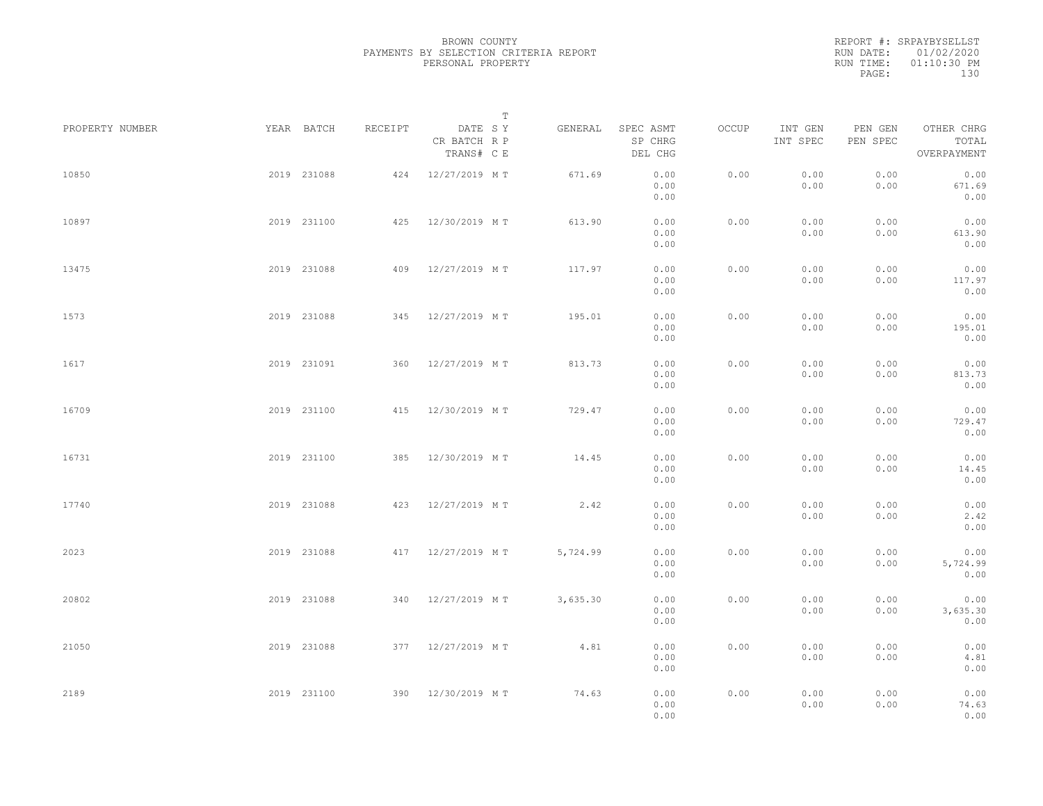|           | REPORT #: SRPAYBYSELLST |
|-----------|-------------------------|
|           | RUN DATE: 01/02/2020    |
| RUN TIME: | $01:10:30$ PM           |
| PAGE:     | 130                     |

|                 |             |             |         | $\mathbb T$                           |          |                                 |       |                     |                     |                                    |  |
|-----------------|-------------|-------------|---------|---------------------------------------|----------|---------------------------------|-------|---------------------|---------------------|------------------------------------|--|
| PROPERTY NUMBER | YEAR BATCH  |             | RECEIPT | DATE SY<br>CR BATCH R P<br>TRANS# C E | GENERAL  | SPEC ASMT<br>SP CHRG<br>DEL CHG | OCCUP | INT GEN<br>INT SPEC | PEN GEN<br>PEN SPEC | OTHER CHRG<br>TOTAL<br>OVERPAYMENT |  |
| 10850           | 2019 231088 |             |         | 424 12/27/2019 MT                     | 671.69   | 0.00<br>0.00<br>0.00            | 0.00  | 0.00<br>0.00        | 0.00<br>0.00        | 0.00<br>671.69<br>0.00             |  |
| 10897           | 2019 231100 |             |         | 425 12/30/2019 MT                     | 613.90   | 0.00<br>0.00<br>0.00            | 0.00  | 0.00<br>0.00        | 0.00<br>0.00        | 0.00<br>613.90<br>0.00             |  |
| 13475           | 2019 231088 |             |         | 409 12/27/2019 MT                     | 117.97   | 0.00<br>0.00<br>0.00            | 0.00  | 0.00<br>0.00        | 0.00<br>0.00        | 0.00<br>117.97<br>0.00             |  |
| 1573            | 2019 231088 |             |         | 345 12/27/2019 MT                     | 195.01   | 0.00<br>0.00<br>0.00            | 0.00  | 0.00<br>0.00        | 0.00<br>0.00        | 0.00<br>195.01<br>0.00             |  |
| 1617            | 2019 231091 |             |         | 360 12/27/2019 MT                     | 813.73   | 0.00<br>0.00<br>0.00            | 0.00  | 0.00<br>0.00        | 0.00<br>0.00        | 0.00<br>813.73<br>0.00             |  |
| 16709           | 2019 231100 |             |         | 415 12/30/2019 MT                     | 729.47   | 0.00<br>0.00<br>0.00            | 0.00  | 0.00<br>0.00        | 0.00<br>0.00        | 0.00<br>729.47<br>0.00             |  |
| 16731           | 2019 231100 |             | 385     | 12/30/2019 MT                         | 14.45    | 0.00<br>0.00<br>0.00            | 0.00  | 0.00<br>0.00        | 0.00<br>0.00        | 0.00<br>14.45<br>0.00              |  |
| 17740           | 2019 231088 |             | 423     | 12/27/2019 MT                         | 2.42     | 0.00<br>0.00<br>0.00            | 0.00  | 0.00<br>0.00        | 0.00<br>0.00        | 0.00<br>2.42<br>0.00               |  |
| 2023            |             | 2019 231088 |         | 417 12/27/2019 MT                     | 5,724.99 | 0.00<br>0.00<br>0.00            | 0.00  | 0.00<br>0.00        | 0.00<br>0.00        | 0.00<br>5,724.99<br>0.00           |  |
| 20802           |             | 2019 231088 |         | 340 12/27/2019 MT                     | 3,635.30 | 0.00<br>0.00<br>0.00            | 0.00  | 0.00<br>0.00        | 0.00<br>0.00        | 0.00<br>3,635.30<br>0.00           |  |
| 21050           | 2019 231088 |             |         | 377 12/27/2019 MT                     | 4.81     | 0.00<br>0.00<br>0.00            | 0.00  | 0.00<br>0.00        | 0.00<br>0.00        | 0.00<br>4.81<br>0.00               |  |
| 2189            | 2019 231100 |             |         | 390 12/30/2019 MT                     | 74.63    | 0.00<br>0.00<br>0.00            | 0.00  | 0.00<br>0.00        | 0.00<br>0.00        | 0.00<br>74.63<br>0.00              |  |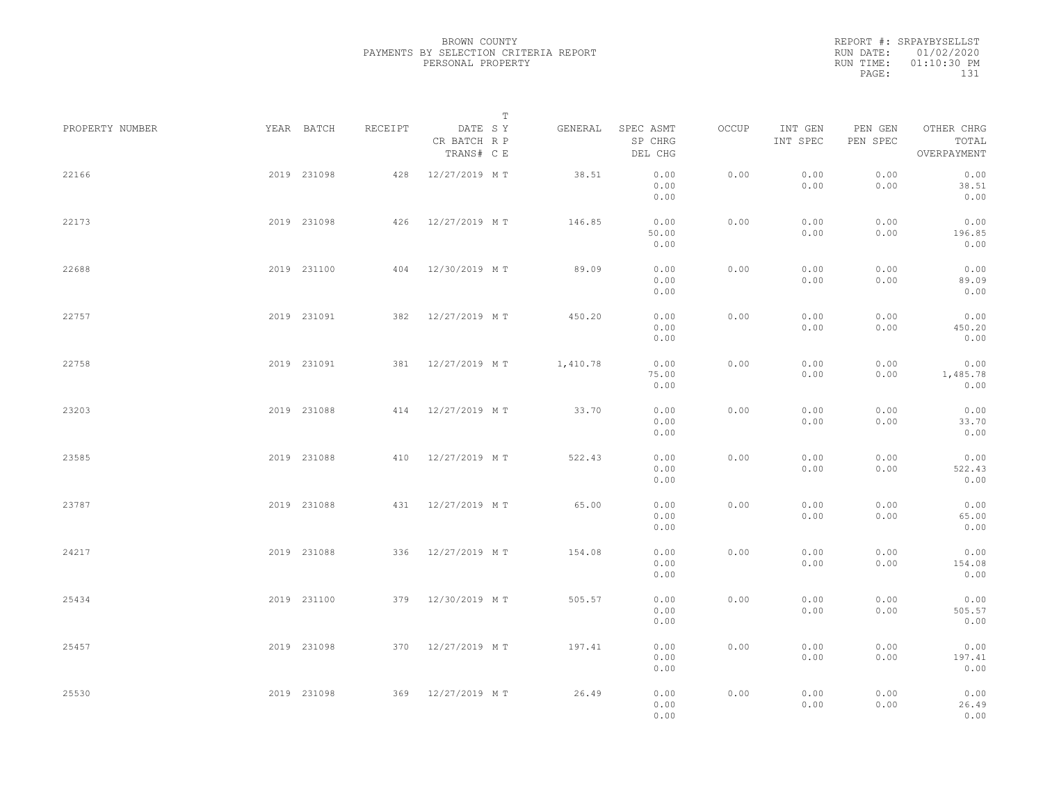|           | REPORT #: SRPAYBYSELLST |  |
|-----------|-------------------------|--|
|           | RUN DATE: 01/02/2020    |  |
| RUN TIME: | $01:10:30$ PM           |  |
| PAGE:     | 131                     |  |

|                 |             |             |         | $\mathbb T$                           |          |                                 |       |                     |                     |                                    |  |
|-----------------|-------------|-------------|---------|---------------------------------------|----------|---------------------------------|-------|---------------------|---------------------|------------------------------------|--|
| PROPERTY NUMBER |             | YEAR BATCH  | RECEIPT | DATE SY<br>CR BATCH R P<br>TRANS# C E | GENERAL  | SPEC ASMT<br>SP CHRG<br>DEL CHG | OCCUP | INT GEN<br>INT SPEC | PEN GEN<br>PEN SPEC | OTHER CHRG<br>TOTAL<br>OVERPAYMENT |  |
| 22166           |             | 2019 231098 | 428     | 12/27/2019 MT                         | 38.51    | 0.00<br>0.00<br>0.00            | 0.00  | 0.00<br>0.00        | 0.00<br>0.00        | 0.00<br>38.51<br>0.00              |  |
| 22173           |             | 2019 231098 |         | 426 12/27/2019 MT                     | 146.85   | 0.00<br>50.00<br>0.00           | 0.00  | 0.00<br>0.00        | 0.00<br>0.00        | 0.00<br>196.85<br>0.00             |  |
| 22688           |             | 2019 231100 |         | 404 12/30/2019 MT                     | 89.09    | 0.00<br>0.00<br>0.00            | 0.00  | 0.00<br>0.00        | 0.00<br>0.00        | 0.00<br>89.09<br>0.00              |  |
| 22757           |             | 2019 231091 |         | 382 12/27/2019 MT                     | 450.20   | 0.00<br>0.00<br>0.00            | 0.00  | 0.00<br>0.00        | 0.00<br>0.00        | 0.00<br>450.20<br>0.00             |  |
| 22758           |             | 2019 231091 |         | 381 12/27/2019 MT                     | 1,410.78 | 0.00<br>75.00<br>0.00           | 0.00  | 0.00<br>0.00        | 0.00<br>0.00        | 0.00<br>1,485.78<br>0.00           |  |
| 23203           |             | 2019 231088 |         | 414 12/27/2019 MT                     | 33.70    | 0.00<br>0.00<br>0.00            | 0.00  | 0.00<br>0.00        | 0.00<br>0.00        | 0.00<br>33.70<br>0.00              |  |
| 23585           |             | 2019 231088 | 410     | 12/27/2019 MT                         | 522.43   | 0.00<br>0.00<br>0.00            | 0.00  | 0.00<br>0.00        | 0.00<br>0.00        | 0.00<br>522.43<br>0.00             |  |
| 23787           |             | 2019 231088 |         | 431 12/27/2019 MT                     | 65.00    | 0.00<br>0.00<br>0.00            | 0.00  | 0.00<br>0.00        | 0.00<br>0.00        | 0.00<br>65.00<br>0.00              |  |
| 24217           |             | 2019 231088 | 336     | 12/27/2019 MT                         | 154.08   | 0.00<br>0.00<br>0.00            | 0.00  | 0.00<br>0.00        | 0.00<br>0.00        | 0.00<br>154.08<br>0.00             |  |
| 25434           |             | 2019 231100 |         | 379 12/30/2019 MT                     | 505.57   | 0.00<br>0.00<br>0.00            | 0.00  | 0.00<br>0.00        | 0.00<br>0.00        | 0.00<br>505.57<br>0.00             |  |
| 25457           |             | 2019 231098 |         | 370 12/27/2019 MT                     | 197.41   | 0.00<br>0.00<br>0.00            | 0.00  | 0.00<br>0.00        | 0.00<br>0.00        | 0.00<br>197.41<br>0.00             |  |
| 25530           | 2019 231098 |             |         | 369 12/27/2019 MT                     | 26.49    | 0.00<br>0.00<br>0.00            | 0.00  | 0.00<br>0.00        | 0.00<br>0.00        | 0.00<br>26.49<br>0.00              |  |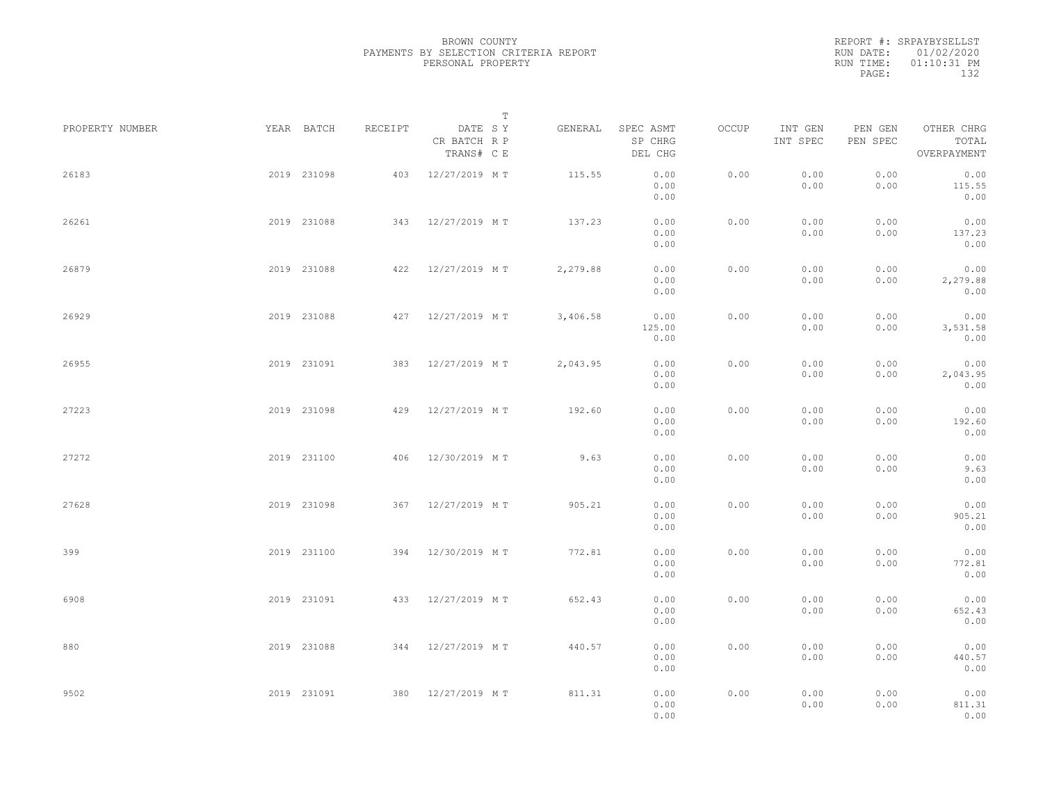|           | REPORT #: SRPAYBYSELLST |
|-----------|-------------------------|
|           | RUN DATE: 01/02/2020    |
| RUN TIME: | $01:10:31$ PM           |
| PAGE:     | 132                     |

|                 |             |             |         |                                       | T |          |                                 |       |                     |                     |                                    |  |
|-----------------|-------------|-------------|---------|---------------------------------------|---|----------|---------------------------------|-------|---------------------|---------------------|------------------------------------|--|
| PROPERTY NUMBER |             | YEAR BATCH  | RECEIPT | DATE SY<br>CR BATCH R P<br>TRANS# C E |   | GENERAL  | SPEC ASMT<br>SP CHRG<br>DEL CHG | OCCUP | INT GEN<br>INT SPEC | PEN GEN<br>PEN SPEC | OTHER CHRG<br>TOTAL<br>OVERPAYMENT |  |
| 26183           |             | 2019 231098 | 403     | 12/27/2019 MT                         |   | 115.55   | 0.00<br>0.00<br>0.00            | 0.00  | 0.00<br>0.00        | 0.00<br>0.00        | 0.00<br>115.55<br>0.00             |  |
| 26261           |             | 2019 231088 |         | 343 12/27/2019 MT                     |   | 137.23   | 0.00<br>0.00<br>0.00            | 0.00  | 0.00<br>0.00        | 0.00<br>0.00        | 0.00<br>137.23<br>0.00             |  |
| 26879           |             | 2019 231088 |         | 422 12/27/2019 MT                     |   | 2,279.88 | 0.00<br>0.00<br>0.00            | 0.00  | 0.00<br>0.00        | 0.00<br>0.00        | 0.00<br>2,279.88<br>0.00           |  |
| 26929           |             | 2019 231088 |         | 427 12/27/2019 MT                     |   | 3,406.58 | 0.00<br>125.00<br>0.00          | 0.00  | 0.00<br>0.00        | 0.00<br>0.00        | 0.00<br>3,531.58<br>0.00           |  |
| 26955           |             | 2019 231091 |         | 383 12/27/2019 MT                     |   | 2,043.95 | 0.00<br>0.00<br>0.00            | 0.00  | 0.00<br>0.00        | 0.00<br>0.00        | 0.00<br>2,043.95<br>0.00           |  |
| 27223           |             | 2019 231098 |         | 429 12/27/2019 MT                     |   | 192.60   | 0.00<br>0.00<br>0.00            | 0.00  | 0.00<br>0.00        | 0.00<br>0.00        | 0.00<br>192.60<br>0.00             |  |
| 27272           |             | 2019 231100 | 406     | 12/30/2019 MT                         |   | 9.63     | 0.00<br>0.00<br>0.00            | 0.00  | 0.00<br>0.00        | 0.00<br>0.00        | 0.00<br>9.63<br>0.00               |  |
| 27628           |             | 2019 231098 |         | 367 12/27/2019 MT                     |   | 905.21   | 0.00<br>0.00<br>0.00            | 0.00  | 0.00<br>0.00        | 0.00<br>0.00        | 0.00<br>905.21<br>0.00             |  |
| 399             |             | 2019 231100 | 394     | 12/30/2019 MT                         |   | 772.81   | 0.00<br>0.00<br>0.00            | 0.00  | 0.00<br>0.00        | 0.00<br>0.00        | 0.00<br>772.81<br>0.00             |  |
| 6908            |             | 2019 231091 |         | 433 12/27/2019 MT                     |   | 652.43   | 0.00<br>0.00<br>0.00            | 0.00  | 0.00<br>0.00        | 0.00<br>0.00        | 0.00<br>652.43<br>0.00             |  |
| 880             |             | 2019 231088 |         | 344 12/27/2019 MT                     |   | 440.57   | 0.00<br>0.00<br>0.00            | 0.00  | 0.00<br>0.00        | 0.00<br>0.00        | 0.00<br>440.57<br>0.00             |  |
| 9502            | 2019 231091 |             |         | 380 12/27/2019 MT                     |   | 811.31   | 0.00<br>0.00<br>0.00            | 0.00  | 0.00<br>0.00        | 0.00<br>0.00        | 0.00<br>811.31<br>0.00             |  |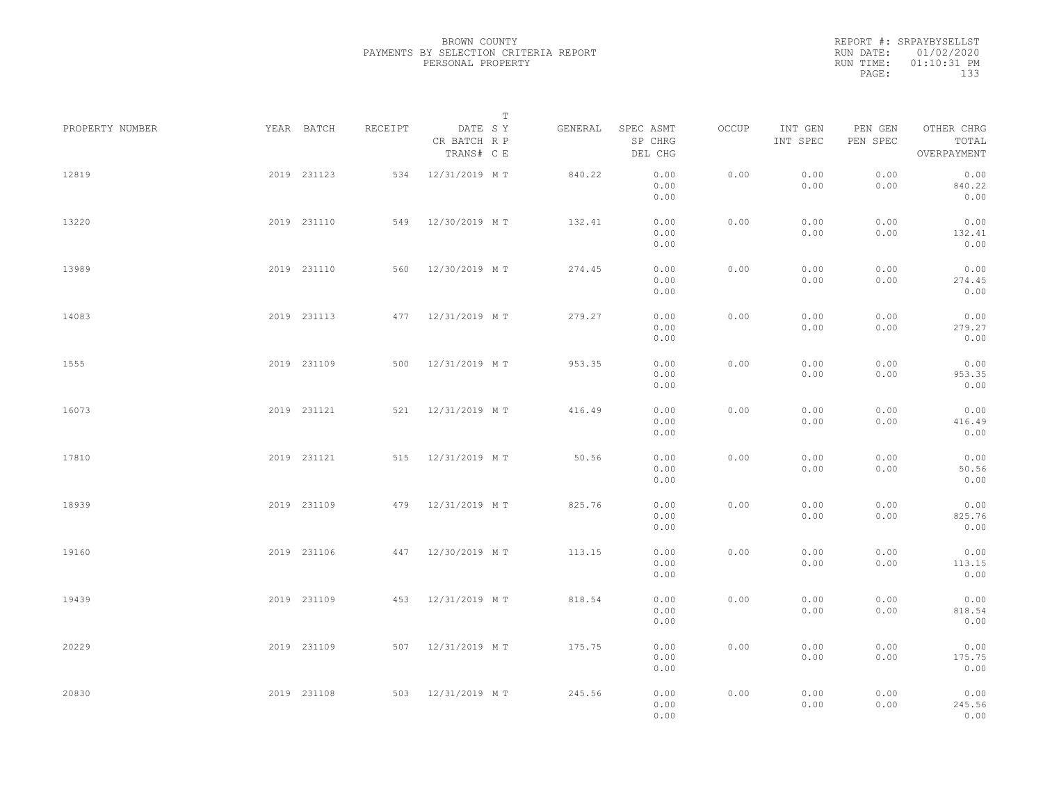REPORT #: SRPAYBYSELLST RUN DATE: 01/02/2020 RUN TIME: 01:10:31 PM PAGE: 133

|                 |             |             |         |                                       | $\mathbb T$ |                                 |       |                     |                     |                                    |  |
|-----------------|-------------|-------------|---------|---------------------------------------|-------------|---------------------------------|-------|---------------------|---------------------|------------------------------------|--|
| PROPERTY NUMBER | YEAR BATCH  |             | RECEIPT | DATE SY<br>CR BATCH R P<br>TRANS# C E | GENERAL     | SPEC ASMT<br>SP CHRG<br>DEL CHG | OCCUP | INT GEN<br>INT SPEC | PEN GEN<br>PEN SPEC | OTHER CHRG<br>TOTAL<br>OVERPAYMENT |  |
| 12819           |             | 2019 231123 |         | 534 12/31/2019 MT                     | 840.22      | 0.00<br>0.00<br>0.00            | 0.00  | 0.00<br>0.00        | 0.00<br>0.00        | 0.00<br>840.22<br>0.00             |  |
| 13220           |             | 2019 231110 |         | 549 12/30/2019 MT                     | 132.41      | 0.00<br>0.00<br>0.00            | 0.00  | 0.00<br>0.00        | 0.00<br>0.00        | 0.00<br>132.41<br>0.00             |  |
| 13989           |             | 2019 231110 |         | 560 12/30/2019 MT                     | 274.45      | 0.00<br>0.00<br>0.00            | 0.00  | 0.00<br>0.00        | 0.00<br>0.00        | 0.00<br>274.45<br>0.00             |  |
| 14083           |             | 2019 231113 |         | 477 12/31/2019 MT                     | 279.27      | 0.00<br>0.00<br>0.00            | 0.00  | 0.00<br>0.00        | 0.00<br>0.00        | 0.00<br>279.27<br>0.00             |  |
| 1555            |             | 2019 231109 |         | 500 12/31/2019 MT                     | 953.35      | 0.00<br>0.00<br>0.00            | 0.00  | 0.00<br>0.00        | 0.00<br>0.00        | 0.00<br>953.35<br>0.00             |  |
| 16073           |             | 2019 231121 |         | 521 12/31/2019 MT                     | 416.49      | 0.00<br>0.00<br>0.00            | 0.00  | 0.00<br>0.00        | 0.00<br>0.00        | 0.00<br>416.49<br>0.00             |  |
| 17810           |             | 2019 231121 | 515     | 12/31/2019 MT                         | 50.56       | 0.00<br>0.00<br>0.00            | 0.00  | 0.00<br>0.00        | 0.00<br>0.00        | 0.00<br>50.56<br>0.00              |  |
| 18939           |             | 2019 231109 |         | 479 12/31/2019 MT                     | 825.76      | 0.00<br>0.00<br>0.00            | 0.00  | 0.00<br>0.00        | 0.00<br>0.00        | 0.00<br>825.76<br>0.00             |  |
| 19160           |             | 2019 231106 |         | 447 12/30/2019 MT                     | 113.15      | 0.00<br>0.00<br>0.00            | 0.00  | 0.00<br>0.00        | 0.00<br>0.00        | 0.00<br>113.15<br>0.00             |  |
| 19439           |             | 2019 231109 |         | 453 12/31/2019 MT                     | 818.54      | 0.00<br>0.00<br>0.00            | 0.00  | 0.00<br>0.00        | 0.00<br>0.00        | 0.00<br>818.54<br>0.00             |  |
| 20229           |             | 2019 231109 |         | 507 12/31/2019 MT                     | 175.75      | 0.00<br>0.00                    | 0.00  | 0.00<br>0.00        | 0.00<br>0.00        | 0.00<br>175.75                     |  |
| 20830           | 2019 231108 |             |         | 503 12/31/2019 MT                     | 245.56      | 0.00<br>0.00<br>0.00<br>0.00    | 0.00  | 0.00<br>0.00        | 0.00<br>0.00        | 0.00<br>0.00<br>245.56<br>0.00     |  |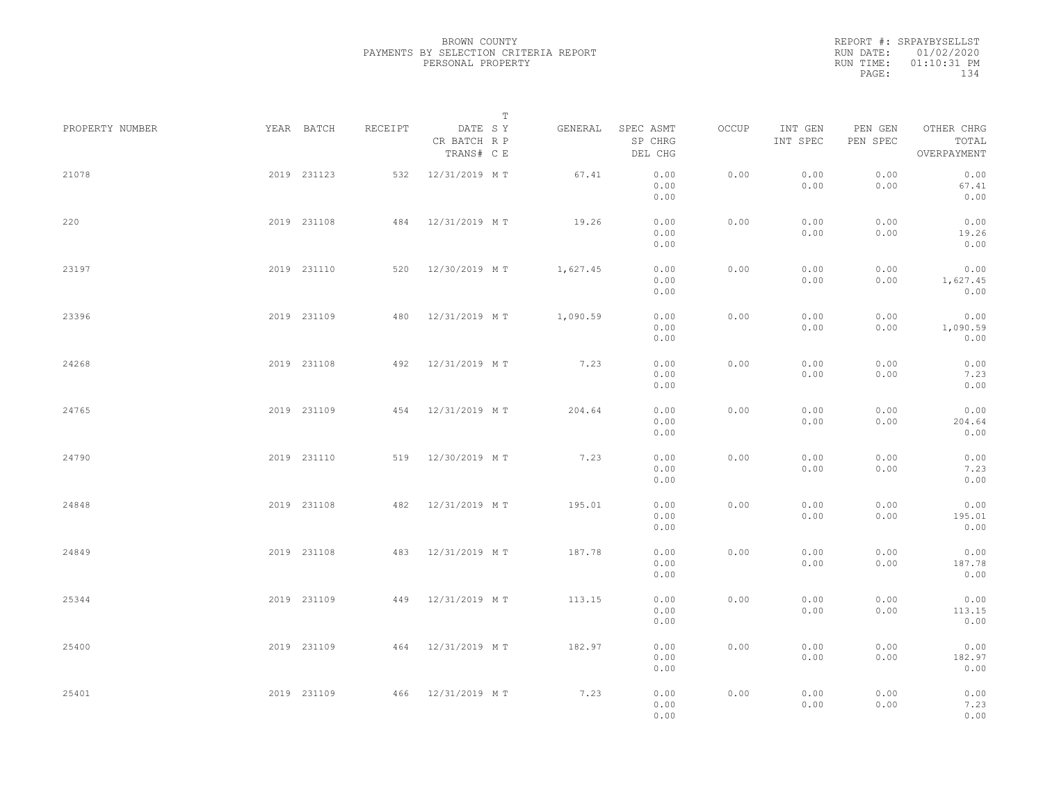|           | REPORT #: SRPAYBYSELLST |  |
|-----------|-------------------------|--|
|           | RUN DATE: 01/02/2020    |  |
| RUN TIME: | $01:10:31$ PM           |  |
| PAGE:     | 134                     |  |

|                 |             |             |         |                                       | $\mathbb T$ |          |                                 |       |                     |                     |                                    |  |
|-----------------|-------------|-------------|---------|---------------------------------------|-------------|----------|---------------------------------|-------|---------------------|---------------------|------------------------------------|--|
| PROPERTY NUMBER |             | YEAR BATCH  | RECEIPT | DATE SY<br>CR BATCH R P<br>TRANS# C E |             | GENERAL  | SPEC ASMT<br>SP CHRG<br>DEL CHG | OCCUP | INT GEN<br>INT SPEC | PEN GEN<br>PEN SPEC | OTHER CHRG<br>TOTAL<br>OVERPAYMENT |  |
| 21078           |             | 2019 231123 |         | 532 12/31/2019 MT                     |             | 67.41    | 0.00<br>0.00<br>0.00            | 0.00  | 0.00<br>0.00        | 0.00<br>0.00        | 0.00<br>67.41<br>0.00              |  |
| 220             |             | 2019 231108 |         | 484 12/31/2019 MT                     |             | 19.26    | 0.00<br>0.00<br>0.00            | 0.00  | 0.00<br>0.00        | 0.00<br>0.00        | 0.00<br>19.26<br>0.00              |  |
| 23197           |             | 2019 231110 |         | 520 12/30/2019 MT                     |             | 1,627.45 | 0.00<br>0.00<br>0.00            | 0.00  | 0.00<br>0.00        | 0.00<br>0.00        | 0.00<br>1,627.45<br>0.00           |  |
| 23396           |             | 2019 231109 |         | 480 12/31/2019 MT                     |             | 1,090.59 | 0.00<br>0.00<br>0.00            | 0.00  | 0.00<br>0.00        | 0.00<br>0.00        | 0.00<br>1,090.59<br>0.00           |  |
| 24268           |             | 2019 231108 |         | 492 12/31/2019 MT                     |             | 7.23     | 0.00<br>0.00<br>0.00            | 0.00  | 0.00<br>0.00        | 0.00<br>0.00        | 0.00<br>7.23<br>0.00               |  |
| 24765           |             | 2019 231109 |         | 454 12/31/2019 MT                     |             | 204.64   | 0.00<br>0.00<br>0.00            | 0.00  | 0.00<br>0.00        | 0.00<br>0.00        | 0.00<br>204.64<br>0.00             |  |
| 24790           |             | 2019 231110 |         | 519 12/30/2019 MT                     |             | 7.23     | 0.00<br>0.00<br>0.00            | 0.00  | 0.00<br>0.00        | 0.00<br>0.00        | 0.00<br>7.23<br>0.00               |  |
| 24848           |             | 2019 231108 |         | 482 12/31/2019 MT                     |             | 195.01   | 0.00<br>0.00<br>0.00            | 0.00  | 0.00<br>0.00        | 0.00<br>0.00        | 0.00<br>195.01<br>0.00             |  |
| 24849           |             | 2019 231108 | 483     | 12/31/2019 MT                         |             | 187.78   | 0.00<br>0.00<br>0.00            | 0.00  | 0.00<br>0.00        | 0.00<br>0.00        | 0.00<br>187.78<br>0.00             |  |
| 25344           |             | 2019 231109 |         | 449 12/31/2019 MT                     |             | 113.15   | 0.00<br>0.00<br>0.00            | 0.00  | 0.00<br>0.00        | 0.00<br>0.00        | 0.00<br>113.15<br>0.00             |  |
| 25400           |             | 2019 231109 |         | 464 12/31/2019 MT                     |             | 182.97   | 0.00<br>0.00<br>0.00            | 0.00  | 0.00<br>0.00        | 0.00<br>0.00        | 0.00<br>182.97<br>0.00             |  |
| 25401           | 2019 231109 |             |         | 466 12/31/2019 MT                     |             | 7.23     | 0.00<br>0.00<br>0.00            | 0.00  | 0.00<br>0.00        | 0.00<br>0.00        | 0.00<br>7.23<br>0.00               |  |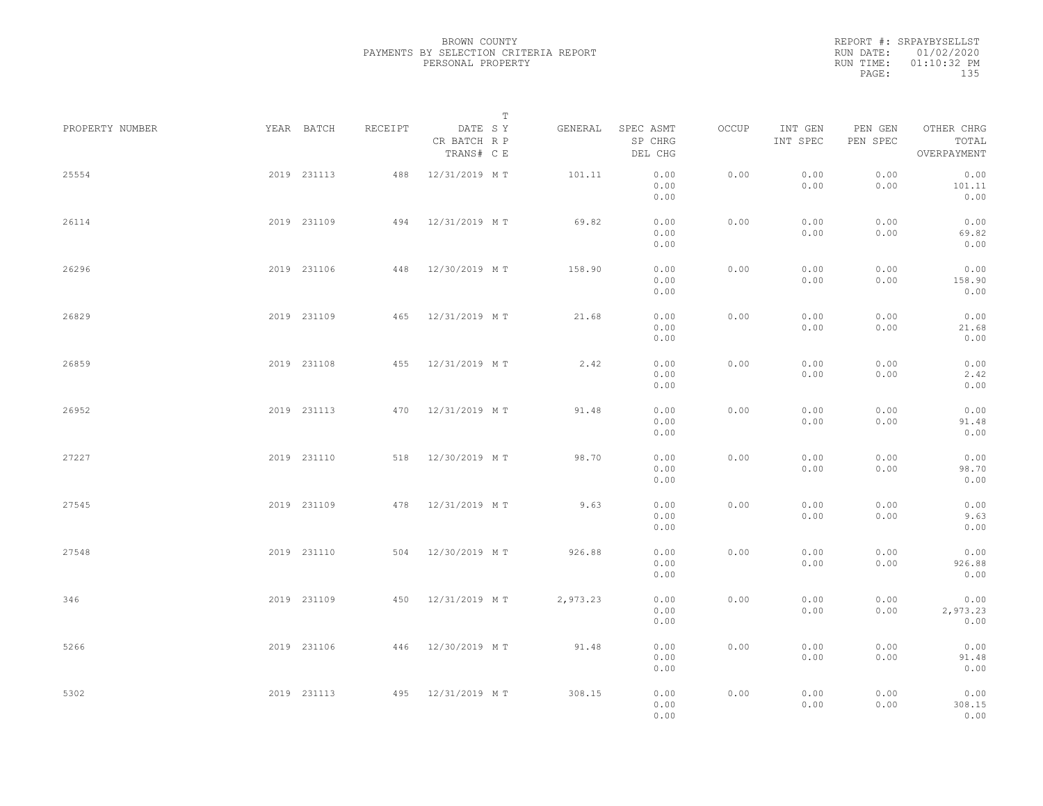|           | REPORT #: SRPAYBYSELLST |  |
|-----------|-------------------------|--|
|           | RUN DATE: 01/02/2020    |  |
| RUN TIME: | $01:10:32$ PM           |  |
| PAGE:     | 135                     |  |

| PROPERTY NUMBER | YEAR BATCH  | RECEIPT | DATE SY                    | $\mathbb T$ | GENERAL  | SPEC ASMT            | OCCUP | INT GEN      | PEN GEN      | OTHER CHRG               |  |
|-----------------|-------------|---------|----------------------------|-------------|----------|----------------------|-------|--------------|--------------|--------------------------|--|
|                 |             |         | CR BATCH R P<br>TRANS# C E |             |          | SP CHRG<br>DEL CHG   |       | INT SPEC     | PEN SPEC     | TOTAL<br>OVERPAYMENT     |  |
| 25554           | 2019 231113 |         | 488 12/31/2019 MT          |             | 101.11   | 0.00<br>0.00<br>0.00 | 0.00  | 0.00<br>0.00 | 0.00<br>0.00 | 0.00<br>101.11<br>0.00   |  |
| 26114           | 2019 231109 |         | 494 12/31/2019 MT          |             | 69.82    | 0.00<br>0.00<br>0.00 | 0.00  | 0.00<br>0.00 | 0.00<br>0.00 | 0.00<br>69.82<br>0.00    |  |
| 26296           | 2019 231106 |         | 448 12/30/2019 MT          |             | 158.90   | 0.00<br>0.00<br>0.00 | 0.00  | 0.00<br>0.00 | 0.00<br>0.00 | 0.00<br>158.90<br>0.00   |  |
| 26829           | 2019 231109 | 465     | 12/31/2019 MT              |             | 21.68    | 0.00<br>0.00<br>0.00 | 0.00  | 0.00<br>0.00 | 0.00<br>0.00 | 0.00<br>21.68<br>0.00    |  |
| 26859           | 2019 231108 |         | 455 12/31/2019 MT          |             | 2.42     | 0.00<br>0.00<br>0.00 | 0.00  | 0.00<br>0.00 | 0.00<br>0.00 | 0.00<br>2.42<br>0.00     |  |
| 26952           | 2019 231113 | 470     | 12/31/2019 MT              |             | 91.48    | 0.00<br>0.00<br>0.00 | 0.00  | 0.00<br>0.00 | 0.00<br>0.00 | 0.00<br>91.48<br>0.00    |  |
| 27227           | 2019 231110 | 518     | 12/30/2019 MT              |             | 98.70    | 0.00<br>0.00<br>0.00 | 0.00  | 0.00<br>0.00 | 0.00<br>0.00 | 0.00<br>98.70<br>0.00    |  |
| 27545           | 2019 231109 |         | 478 12/31/2019 MT          |             | 9.63     | 0.00<br>0.00<br>0.00 | 0.00  | 0.00<br>0.00 | 0.00<br>0.00 | 0.00<br>9.63<br>0.00     |  |
| 27548           | 2019 231110 |         | 504 12/30/2019 MT          |             | 926.88   | 0.00<br>0.00<br>0.00 | 0.00  | 0.00<br>0.00 | 0.00<br>0.00 | 0.00<br>926.88<br>0.00   |  |
| 346             | 2019 231109 |         | 450 12/31/2019 MT          |             | 2,973.23 | 0.00<br>0.00<br>0.00 | 0.00  | 0.00<br>0.00 | 0.00<br>0.00 | 0.00<br>2,973.23<br>0.00 |  |
| 5266            | 2019 231106 |         | 446 12/30/2019 MT          |             | 91.48    | 0.00<br>0.00<br>0.00 | 0.00  | 0.00<br>0.00 | 0.00<br>0.00 | 0.00<br>91.48<br>0.00    |  |
| 5302            | 2019 231113 |         | 495 12/31/2019 MT          |             | 308.15   | 0.00<br>0.00<br>0.00 | 0.00  | 0.00<br>0.00 | 0.00<br>0.00 | 0.00<br>308.15<br>0.00   |  |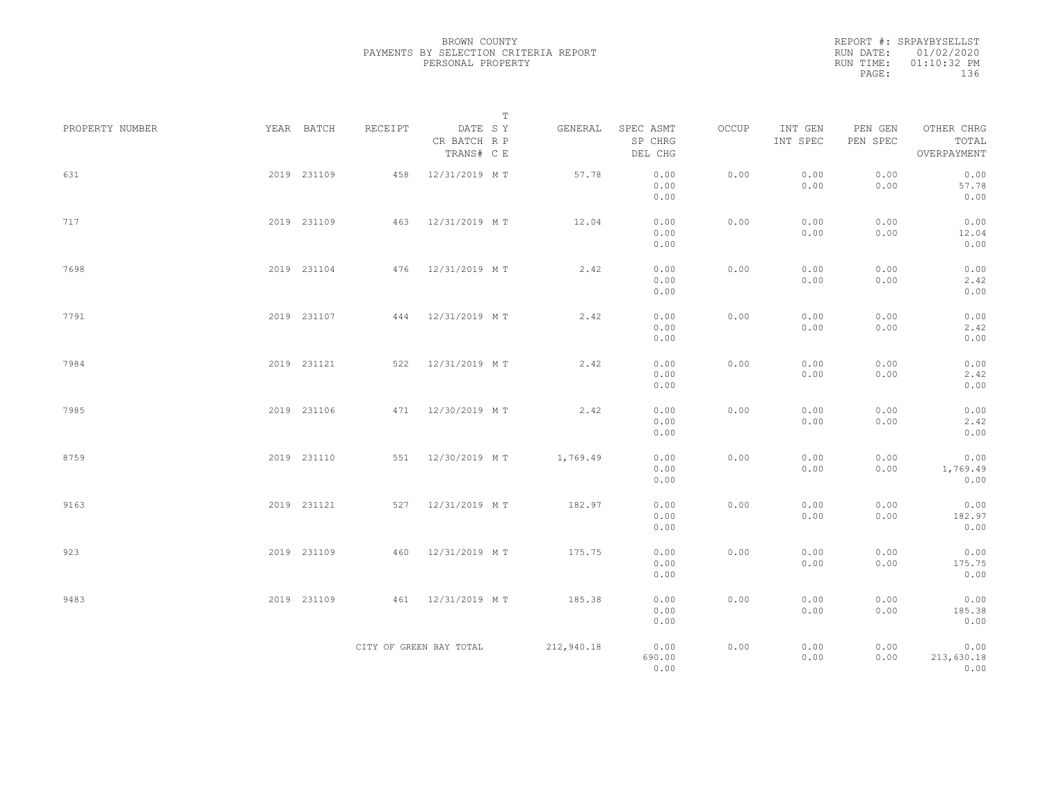REPORT #: SRPAYBYSELLST RUN DATE: 01/02/2020 RUN TIME: 01:10:32 PM PAGE: 136

|                 |             |         | $\mathbb T$                           |            |                                 |       |                     |                     |                                    |  |
|-----------------|-------------|---------|---------------------------------------|------------|---------------------------------|-------|---------------------|---------------------|------------------------------------|--|
| PROPERTY NUMBER | YEAR BATCH  | RECEIPT | DATE SY<br>CR BATCH R P<br>TRANS# C E | GENERAL    | SPEC ASMT<br>SP CHRG<br>DEL CHG | OCCUP | INT GEN<br>INT SPEC | PEN GEN<br>PEN SPEC | OTHER CHRG<br>TOTAL<br>OVERPAYMENT |  |
| 631             | 2019 231109 | 458     | 12/31/2019 MT                         | 57.78      | 0.00<br>0.00<br>0.00            | 0.00  | 0.00<br>0.00        | 0.00<br>0.00        | 0.00<br>57.78<br>0.00              |  |
| 717             | 2019 231109 | 463     | 12/31/2019 MT                         | 12.04      | 0.00<br>0.00<br>0.00            | 0.00  | 0.00<br>0.00        | 0.00<br>0.00        | 0.00<br>12.04<br>0.00              |  |
| 7698            | 2019 231104 |         | 476 12/31/2019 MT                     | 2.42       | 0.00<br>0.00<br>0.00            | 0.00  | 0.00<br>0.00        | 0.00<br>0.00        | 0.00<br>2.42<br>0.00               |  |
| 7791            | 2019 231107 |         | 444 12/31/2019 MT                     | 2.42       | 0.00<br>0.00<br>0.00            | 0.00  | 0.00<br>0.00        | 0.00<br>0.00        | 0.00<br>2.42<br>0.00               |  |
| 7984            | 2019 231121 |         | 522 12/31/2019 MT                     | 2.42       | 0.00<br>0.00<br>0.00            | 0.00  | 0.00<br>0.00        | 0.00<br>0.00        | 0.00<br>2.42<br>0.00               |  |
| 7985            | 2019 231106 |         | 471 12/30/2019 MT                     | 2.42       | 0.00<br>0.00<br>0.00            | 0.00  | 0.00<br>0.00        | 0.00<br>0.00        | 0.00<br>2.42<br>0.00               |  |
| 8759            | 2019 231110 |         | 551 12/30/2019 MT                     | 1,769.49   | 0.00<br>0.00<br>0.00            | 0.00  | 0.00<br>0.00        | 0.00<br>0.00        | 0.00<br>1,769.49<br>0.00           |  |
| 9163            | 2019 231121 |         | 527 12/31/2019 MT                     | 182.97     | 0.00<br>0.00<br>0.00            | 0.00  | 0.00<br>0.00        | 0.00<br>0.00        | 0.00<br>182.97<br>0.00             |  |
| 923             | 2019 231109 | 460     | 12/31/2019 MT                         | 175.75     | 0.00<br>0.00<br>0.00            | 0.00  | 0.00<br>0.00        | 0.00<br>0.00        | 0.00<br>175.75<br>0.00             |  |
| 9483            | 2019 231109 |         | 461 12/31/2019 MT                     | 185.38     | 0.00<br>0.00<br>0.00            | 0.00  | 0.00<br>0.00        | 0.00<br>0.00        | 0.00<br>185.38<br>0.00             |  |
|                 |             |         | CITY OF GREEN BAY TOTAL               | 212,940.18 | 0.00<br>690.00<br>0.00          | 0.00  | 0.00<br>0.00        | 0.00<br>0.00        | 0.00<br>213,630.18<br>0.00         |  |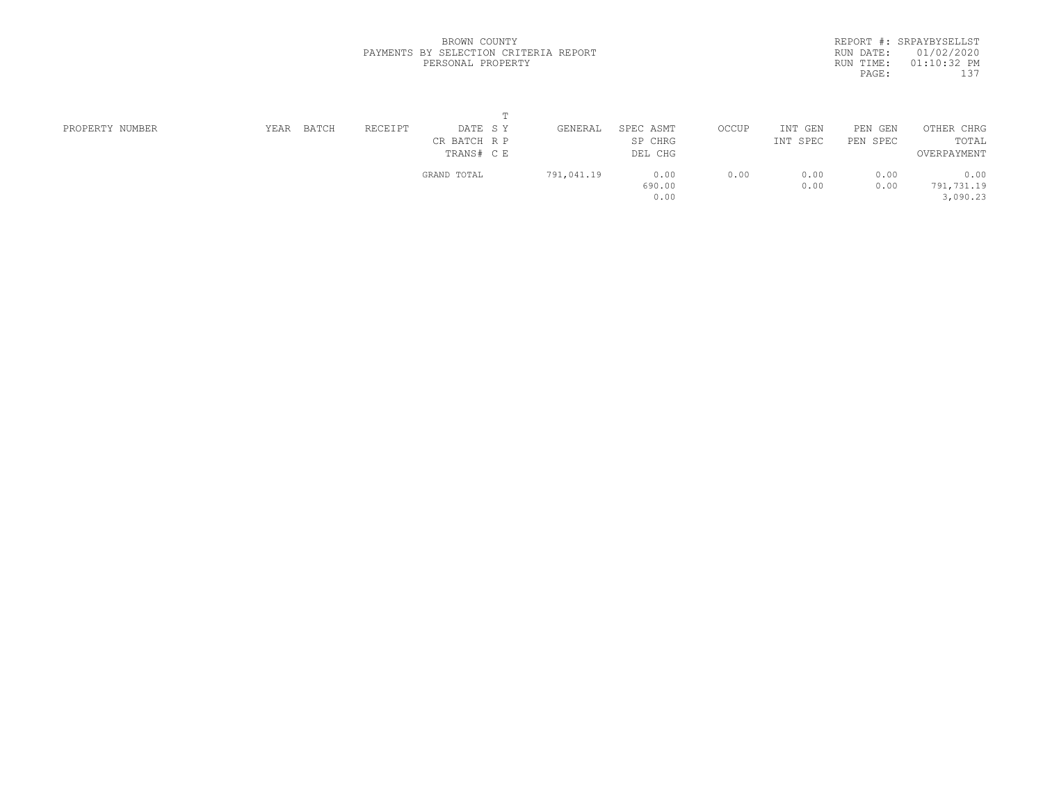|           | REPORT #: SRPAYBYSELLST |  |
|-----------|-------------------------|--|
|           | RUN DATE: 01/02/2020    |  |
| RUN TIME: | $01:10:32$ PM           |  |
| PAGE:     | 137                     |  |

| PROPERTY NUMBER | BATCH<br>YEAR | RECEIPT     | DATE SY      | GENERAL    | SPEC ASMT | OCCUP | INT<br>GEN | PEN GEN  | OTHER CHRG  |
|-----------------|---------------|-------------|--------------|------------|-----------|-------|------------|----------|-------------|
|                 |               |             | CR BATCH R P |            | SP CHRG   |       | INT SPEC   | PEN SPEC | TOTAL       |
|                 |               |             | TRANS# C E   |            | DEL CHG   |       |            |          | OVERPAYMENT |
|                 |               | GRAND TOTAL |              | 791,041.19 | 0.00      | 0.00  | 0.00       | 0.00     | 0.00        |
|                 |               |             |              |            | 690.00    |       | 0.00       | 0.00     | 791,731.19  |
|                 |               |             |              |            | 0.00      |       |            |          | 3,090.23    |